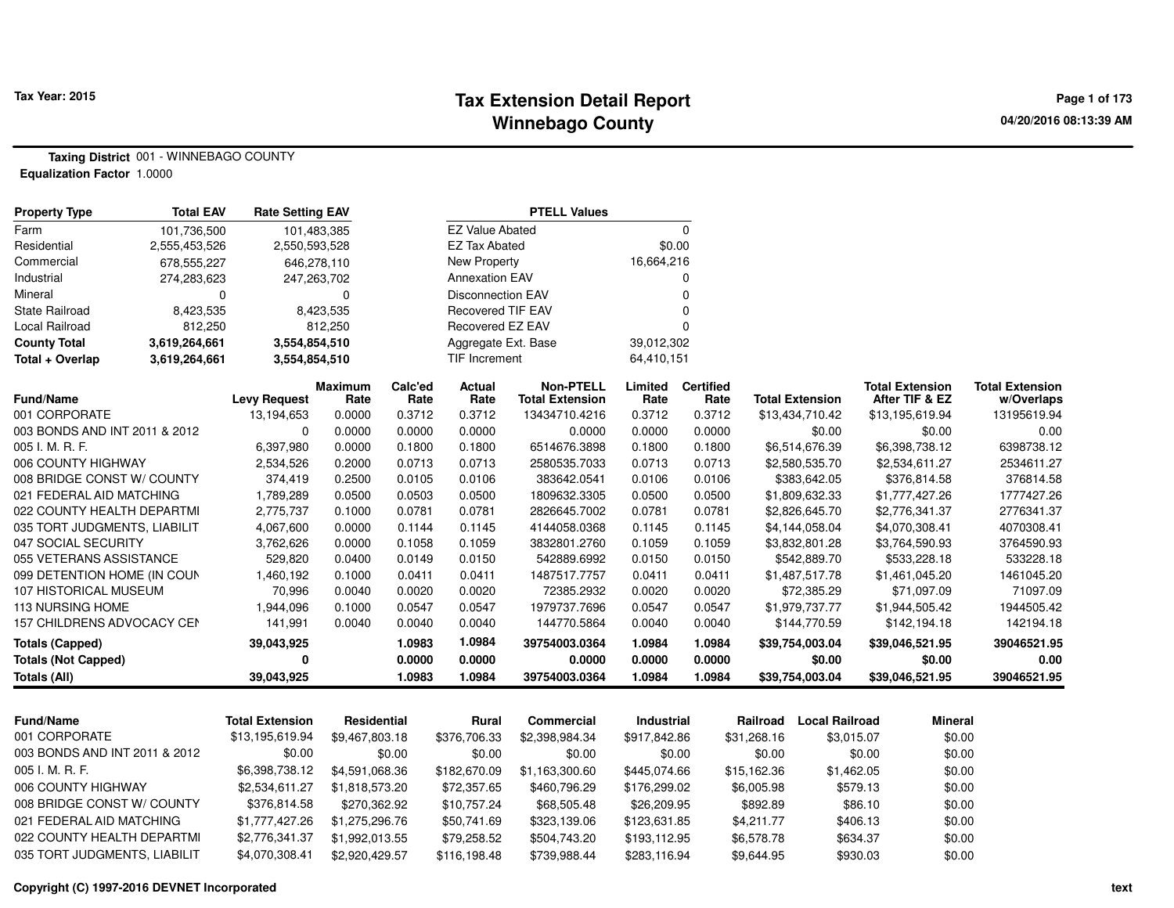#### **Tax Extension Detail Report Tax Year: 2015 Page 1 of 173 Winnebago County**

**Taxing District** 001 - WINNEBAGO COUNTY**Equalization Factor** 1.0000

| <b>Property Type</b>                             | <b>Total EAV</b> | <b>Rate Setting EAV</b> |                  | <b>PTELL Values</b> |                          |                             |                  |                  |             |                                |            |                                |                         |
|--------------------------------------------------|------------------|-------------------------|------------------|---------------------|--------------------------|-----------------------------|------------------|------------------|-------------|--------------------------------|------------|--------------------------------|-------------------------|
| Farm                                             | 101,736,500      | 101,483,385             |                  |                     | <b>EZ Value Abated</b>   |                             |                  | $\mathbf 0$      |             |                                |            |                                |                         |
| Residential                                      | 2,555,453,526    | 2,550,593,528           |                  |                     | <b>EZ Tax Abated</b>     |                             | \$0.00           |                  |             |                                |            |                                |                         |
| Commercial                                       | 678,555,227      | 646,278,110             |                  |                     | <b>New Property</b>      |                             | 16,664,216       |                  |             |                                |            |                                |                         |
| Industrial                                       | 274,283,623      | 247,263,702             |                  |                     | <b>Annexation EAV</b>    |                             |                  | 0                |             |                                |            |                                |                         |
| Mineral                                          | 0                |                         | 0                |                     | <b>Disconnection EAV</b> |                             |                  | $\Omega$         |             |                                |            |                                |                         |
| <b>State Railroad</b>                            | 8,423,535        |                         | 8,423,535        |                     | Recovered TIF EAV        |                             |                  | $\Omega$         |             |                                |            |                                |                         |
| <b>Local Railroad</b>                            | 812,250          |                         | 812,250          |                     | Recovered EZ EAV         |                             |                  | $\Omega$         |             |                                |            |                                |                         |
| <b>County Total</b>                              | 3,619,264,661    | 3,554,854,510           |                  |                     | Aggregate Ext. Base      |                             | 39,012,302       |                  |             |                                |            |                                |                         |
| Total + Overlap                                  | 3,619,264,661    | 3,554,854,510           |                  |                     | <b>TIF Increment</b>     |                             | 64,410,151       |                  |             |                                |            |                                |                         |
|                                                  |                  |                         | <b>Maximum</b>   | Calc'ed             | <b>Actual</b>            | <b>Non-PTELL</b>            | Limited          | <b>Certified</b> |             |                                |            | <b>Total Extension</b>         | <b>Total Extension</b>  |
| Fund/Name                                        |                  | <b>Levy Request</b>     | Rate             | Rate                | Rate                     | <b>Total Extension</b>      | Rate             | Rate             |             | <b>Total Extension</b>         |            | After TIF & EZ                 | w/Overlaps              |
| 001 CORPORATE                                    |                  | 13,194,653              | 0.0000           | 0.3712              | 0.3712                   | 13434710.4216               | 0.3712           | 0.3712           |             | \$13,434,710.42                |            | \$13,195,619.94                | 13195619.94             |
| 003 BONDS AND INT 2011 & 2012                    |                  | $\mathbf 0$             | 0.0000           | 0.0000              | 0.0000                   | 0.0000                      | 0.0000           | 0.0000           |             | \$0.00                         |            | \$0.00                         | 0.00                    |
| 005 I. M. R. F.                                  |                  | 6,397,980               | 0.0000           | 0.1800              | 0.1800                   | 6514676.3898                | 0.1800           | 0.1800           |             | \$6,514,676.39                 |            | \$6,398,738.12                 | 6398738.12              |
| 006 COUNTY HIGHWAY<br>008 BRIDGE CONST W/ COUNTY |                  | 2,534,526<br>374,419    | 0.2000<br>0.2500 | 0.0713<br>0.0105    | 0.0713<br>0.0106         | 2580535.7033<br>383642.0541 | 0.0713<br>0.0106 | 0.0713<br>0.0106 |             | \$2,580,535.70<br>\$383,642.05 |            | \$2,534,611.27<br>\$376,814.58 | 2534611.27<br>376814.58 |
| 021 FEDERAL AID MATCHING                         |                  | 1,789,289               | 0.0500           | 0.0503              | 0.0500                   | 1809632.3305                | 0.0500           | 0.0500           |             | \$1,809,632.33                 |            | \$1,777,427.26                 | 1777427.26              |
| 022 COUNTY HEALTH DEPARTMI                       |                  | 2,775,737               | 0.1000           | 0.0781              | 0.0781                   | 2826645.7002                | 0.0781           | 0.0781           |             | \$2,826,645.70                 |            | \$2,776,341.37                 | 2776341.37              |
| 035 TORT JUDGMENTS, LIABILIT                     |                  | 4,067,600               | 0.0000           | 0.1144              | 0.1145                   | 4144058.0368                | 0.1145           | 0.1145           |             | \$4,144,058.04                 |            | \$4,070,308.41                 | 4070308.41              |
| 047 SOCIAL SECURITY                              |                  | 3,762,626               | 0.0000           | 0.1058              | 0.1059                   | 3832801.2760                | 0.1059           | 0.1059           |             | \$3,832,801.28                 |            | \$3,764,590.93                 | 3764590.93              |
| 055 VETERANS ASSISTANCE                          |                  | 529,820                 | 0.0400           | 0.0149              | 0.0150                   | 542889.6992                 | 0.0150           | 0.0150           |             | \$542,889.70                   |            | \$533,228.18                   | 533228.18               |
| 099 DETENTION HOME (IN COUN                      |                  | 1,460,192               | 0.1000           | 0.0411              | 0.0411                   | 1487517.7757                | 0.0411           | 0.0411           |             | \$1,487,517.78                 |            | \$1,461,045.20                 | 1461045.20              |
| 107 HISTORICAL MUSEUM                            |                  | 70,996                  | 0.0040           | 0.0020              | 0.0020                   | 72385.2932                  | 0.0020           | 0.0020           |             | \$72,385.29                    |            | \$71,097.09                    | 71097.09                |
| 113 NURSING HOME                                 |                  | 1,944,096               | 0.1000           | 0.0547              | 0.0547                   | 1979737.7696                | 0.0547           | 0.0547           |             | \$1,979,737.77                 |            | \$1,944,505.42                 | 1944505.42              |
| 157 CHILDRENS ADVOCACY CEN                       |                  | 141,991                 | 0.0040           | 0.0040              | 0.0040                   | 144770.5864                 | 0.0040           | 0.0040           |             | \$144,770.59                   |            | \$142,194.18                   | 142194.18               |
| Totals (Capped)                                  |                  | 39,043,925              |                  | 1.0983              | 1.0984                   | 39754003.0364               | 1.0984           | 1.0984           |             | \$39,754,003.04                |            | \$39,046,521.95                | 39046521.95             |
| <b>Totals (Not Capped)</b>                       |                  | $\mathbf{0}$            |                  | 0.0000              | 0.0000                   | 0.0000                      | 0.0000           | 0.0000           |             | \$0.00                         |            | \$0.00                         | 0.00                    |
| <b>Totals (All)</b>                              |                  | 39,043,925              |                  | 1.0983              | 1.0984                   | 39754003.0364               | 1.0984           | 1.0984           |             | \$39,754,003.04                |            | \$39,046,521.95                | 39046521.95             |
|                                                  |                  |                         |                  |                     |                          |                             |                  |                  |             |                                |            |                                |                         |
| <b>Fund/Name</b>                                 |                  | <b>Total Extension</b>  | Residential      |                     | Rural                    | <b>Commercial</b>           | Industrial       |                  | Railroad    | <b>Local Railroad</b>          |            | <b>Mineral</b>                 |                         |
| 001 CORPORATE                                    |                  | \$13,195,619.94         | \$9,467,803.18   |                     | \$376,706.33             | \$2,398,984.34              | \$917,842.86     |                  | \$31,268.16 |                                | \$3,015.07 | \$0.00                         |                         |
| 003 BONDS AND INT 2011 & 2012                    |                  | \$0.00                  |                  | \$0.00              | \$0.00                   | \$0.00                      | \$0.00           |                  | \$0.00      |                                | \$0.00     | \$0.00                         |                         |
| 005 I. M. R. F.                                  |                  | \$6,398,738.12          | \$4,591,068.36   |                     | \$182,670.09             | \$1,163,300.60              | \$445,074.66     |                  | \$15,162.36 |                                | \$1,462.05 | \$0.00                         |                         |
| 006 COUNTY HIGHWAY                               |                  | \$2,534,611.27          | \$1,818,573.20   |                     | \$72,357.65              | \$460,796.29                | \$176,299.02     |                  | \$6,005.98  |                                | \$579.13   | \$0.00                         |                         |
| 008 BRIDGE CONST W/ COUNTY                       |                  | \$376,814.58            | \$270,362.92     |                     | \$10,757.24              | \$68,505.48                 | \$26,209.95      |                  | \$892.89    |                                | \$86.10    | \$0.00                         |                         |
| 021 FEDERAL AID MATCHING                         |                  | \$1,777,427.26          | \$1,275,296.76   |                     | \$50,741.69              | \$323,139.06                | \$123,631.85     |                  | \$4,211.77  |                                | \$406.13   | \$0.00                         |                         |
| 022 COUNTY HEALTH DEPARTMI                       |                  | \$2,776,341.37          | \$1,992,013.55   |                     | \$79,258.52              | \$504,743.20                | \$193,112.95     |                  | \$6,578.78  |                                | \$634.37   | \$0.00                         |                         |
| 035 TORT JUDGMENTS, LIABILIT                     |                  | \$4,070,308.41          | \$2,920,429.57   |                     | \$116,198.48             | \$739,988.44                | \$283,116.94     |                  | \$9,644.95  |                                | \$930.03   | \$0.00                         |                         |

**Copyright (C) 1997-2016 DEVNET Incorporated**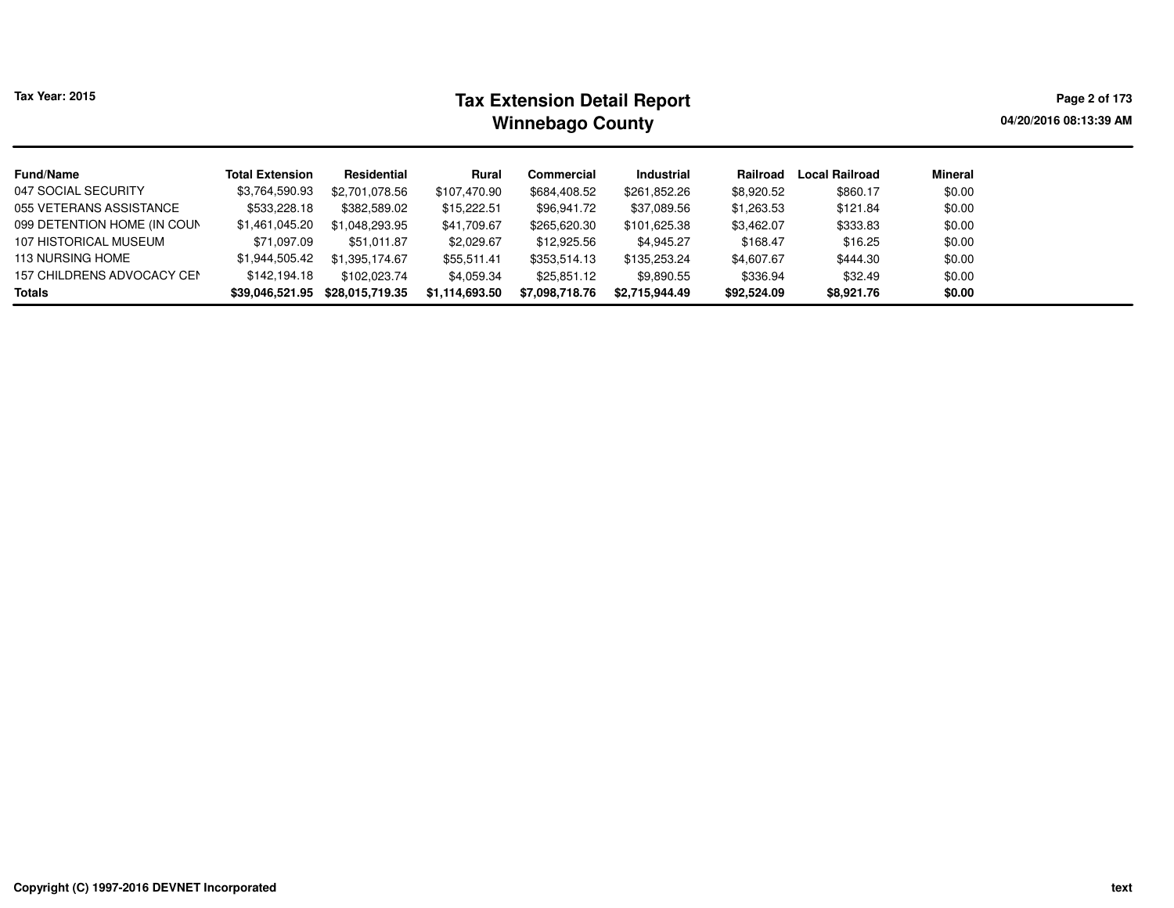|  | Tax Year: 2015 |  |
|--|----------------|--|
|--|----------------|--|

# **Tax Extension Detail Report Tax Year: 2015 Page 2 of 173 Winnebago County**

**04/20/2016 08:13:39 AM**

| <b>Fund/Name</b>                  | <b>Total Extension</b> | Residential     | Rural          | Commercial     | Industrial     | Railroad    | <b>Local Railroad</b> | Mineral |
|-----------------------------------|------------------------|-----------------|----------------|----------------|----------------|-------------|-----------------------|---------|
| 047 SOCIAL SECURITY               | \$3,764,590.93         | \$2,701,078.56  | \$107,470.90   | \$684,408.52   | \$261,852.26   | \$8,920.52  | \$860.17              | \$0.00  |
| 055 VETERANS ASSISTANCE           | \$533,228.18           | \$382,589.02    | \$15,222.51    | \$96,941.72    | \$37,089.56    | \$1,263.53  | \$121.84              | \$0.00  |
| 099 DETENTION HOME (IN COUN       | \$1,461,045.20         | \$1,048,293.95  | \$41,709.67    | \$265,620.30   | \$101,625.38   | \$3,462.07  | \$333.83              | \$0.00  |
| 107 HISTORICAL MUSEUM             | \$71,097.09            | \$51.011.87     | \$2,029.67     | \$12,925.56    | \$4,945.27     | \$168.47    | \$16.25               | \$0.00  |
| <b>113 NURSING HOME</b>           | \$1,944,505.42         | \$1.395.174.67  | \$55,511.41    | \$353,514.13   | \$135,253.24   | \$4,607.67  | \$444.30              | \$0.00  |
| <b>157 CHILDRENS ADVOCACY CEN</b> | \$142.194.18           | \$102,023.74    | \$4,059.34     | \$25,851.12    | \$9,890.55     | \$336.94    | \$32.49               | \$0.00  |
| Totals                            | \$39,046,521.95        | \$28,015,719.35 | \$1,114,693.50 | \$7,098,718.76 | \$2,715,944.49 | \$92,524.09 | \$8,921.76            | \$0.00  |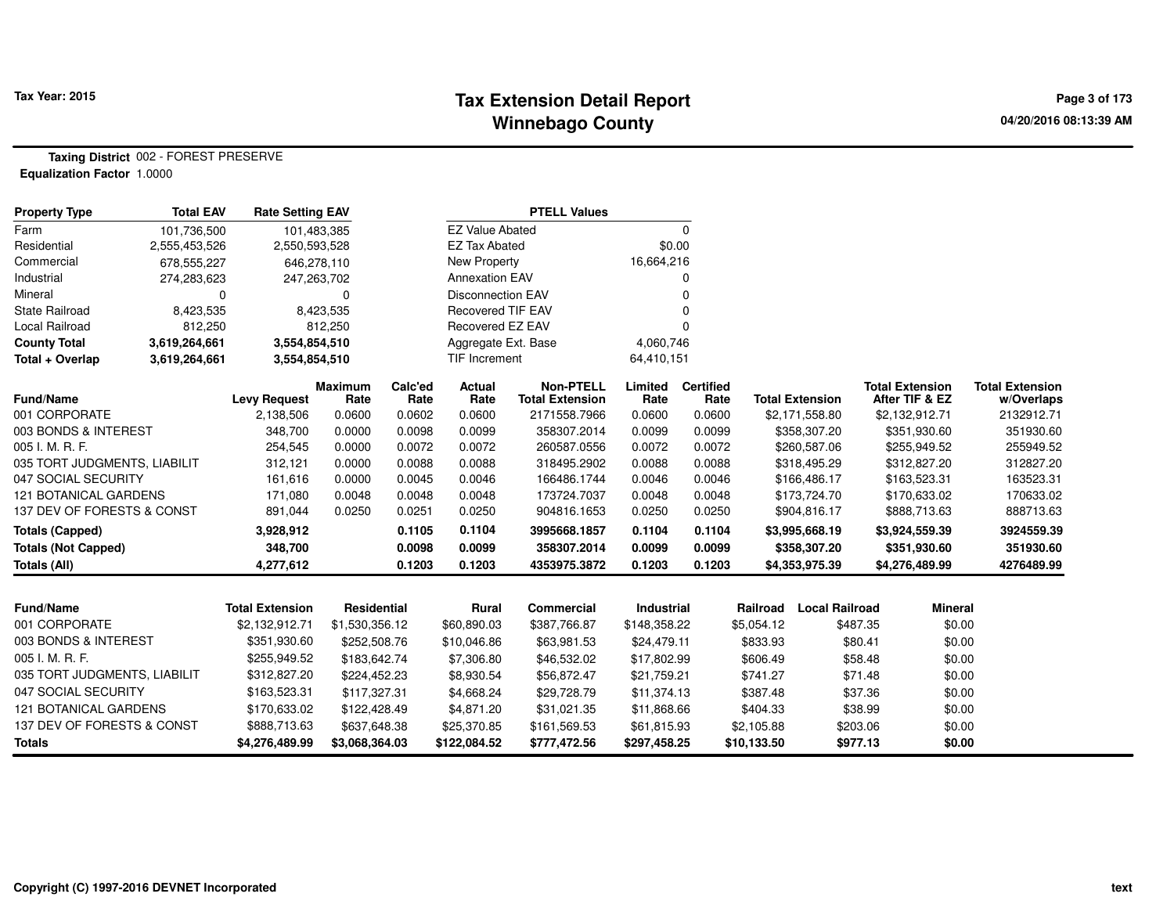#### **Tax Extension Detail Report Tax Year: 2015 Page 3 of 173 Winnebago County**

**Taxing District** 002 - FOREST PRESERVE**Equalization Factor** 1.0000

| <b>Property Type</b>         | <b>Total EAV</b> | <b>Rate Setting EAV</b> |                        |                 |                          | <b>PTELL Values</b>                        |                   |                          |             |                        |                                          |                                      |
|------------------------------|------------------|-------------------------|------------------------|-----------------|--------------------------|--------------------------------------------|-------------------|--------------------------|-------------|------------------------|------------------------------------------|--------------------------------------|
| Farm                         | 101,736,500      |                         | 101,483,385            |                 | <b>EZ Value Abated</b>   |                                            |                   | 0                        |             |                        |                                          |                                      |
| Residential                  | 2,555,453,526    | 2,550,593,528           |                        |                 | <b>EZ Tax Abated</b>     |                                            | \$0.00            |                          |             |                        |                                          |                                      |
| Commercial                   | 678,555,227      |                         | 646,278,110            |                 | <b>New Property</b>      |                                            | 16,664,216        |                          |             |                        |                                          |                                      |
| Industrial                   | 274,283,623      |                         | 247,263,702            |                 | <b>Annexation EAV</b>    |                                            |                   |                          |             |                        |                                          |                                      |
| Mineral                      | 0                |                         | 0                      |                 | <b>Disconnection EAV</b> |                                            |                   |                          |             |                        |                                          |                                      |
| State Railroad               | 8,423,535        |                         | 8,423,535              |                 | <b>Recovered TIF EAV</b> |                                            |                   |                          |             |                        |                                          |                                      |
| Local Railroad               | 812,250          |                         | 812,250                |                 | Recovered EZ EAV         |                                            |                   |                          |             |                        |                                          |                                      |
| <b>County Total</b>          | 3,619,264,661    | 3,554,854,510           |                        |                 | Aggregate Ext. Base      |                                            | 4,060,746         |                          |             |                        |                                          |                                      |
| Total + Overlap              | 3,619,264,661    | 3,554,854,510           |                        |                 | TIF Increment            |                                            | 64,410,151        |                          |             |                        |                                          |                                      |
| <b>Fund/Name</b>             |                  | <b>Levy Request</b>     | <b>Maximum</b><br>Rate | Calc'ed<br>Rate | Actual<br>Rate           | <b>Non-PTELL</b><br><b>Total Extension</b> | Limited<br>Rate   | <b>Certified</b><br>Rate |             | <b>Total Extension</b> | <b>Total Extension</b><br>After TIF & EZ | <b>Total Extension</b><br>w/Overlaps |
| 001 CORPORATE                |                  | 2,138,506               | 0.0600                 | 0.0602          | 0.0600                   | 2171558.7966                               | 0.0600            | 0.0600                   |             | \$2,171,558.80         | \$2,132,912.71                           | 2132912.71                           |
| 003 BONDS & INTEREST         |                  | 348,700                 | 0.0000                 | 0.0098          | 0.0099                   | 358307.2014                                | 0.0099            | 0.0099                   |             | \$358,307.20           | \$351,930.60                             | 351930.60                            |
| 005 I. M. R. F.              |                  | 254,545                 | 0.0000                 | 0.0072          | 0.0072                   | 260587.0556                                | 0.0072            | 0.0072                   |             | \$260,587.06           | \$255,949.52                             | 255949.52                            |
| 035 TORT JUDGMENTS, LIABILIT |                  | 312,121                 | 0.0000                 | 0.0088          | 0.0088                   | 318495.2902                                | 0.0088            | 0.0088                   |             | \$318,495.29           | \$312,827.20                             | 312827.20                            |
| 047 SOCIAL SECURITY          |                  | 161,616                 | 0.0000                 | 0.0045          | 0.0046                   | 166486.1744                                | 0.0046            | 0.0046                   |             | \$166,486.17           | \$163,523.31                             | 163523.31                            |
| <b>121 BOTANICAL GARDENS</b> |                  | 171,080                 | 0.0048                 | 0.0048          | 0.0048                   | 173724.7037                                | 0.0048            | 0.0048                   |             | \$173,724.70           | \$170,633.02                             | 170633.02                            |
| 137 DEV OF FORESTS & CONST   |                  | 891,044                 | 0.0250                 | 0.0251          | 0.0250                   | 904816.1653                                | 0.0250            | 0.0250                   |             | \$904,816.17           | \$888,713.63                             | 888713.63                            |
| <b>Totals (Capped)</b>       |                  | 3,928,912               |                        | 0.1105          | 0.1104                   | 3995668.1857                               | 0.1104            | 0.1104                   |             | \$3,995,668.19         | \$3,924,559.39                           | 3924559.39                           |
| <b>Totals (Not Capped)</b>   |                  | 348,700                 |                        | 0.0098          | 0.0099                   | 358307.2014                                | 0.0099            | 0.0099                   |             | \$358,307.20           | \$351,930.60                             | 351930.60                            |
| <b>Totals (All)</b>          |                  | 4,277,612               |                        | 0.1203          | 0.1203                   | 4353975.3872                               | 0.1203            | 0.1203                   |             | \$4,353,975.39         | \$4,276,489.99                           | 4276489.99                           |
|                              |                  |                         |                        |                 |                          |                                            |                   |                          |             |                        |                                          |                                      |
| <b>Fund/Name</b>             |                  | <b>Total Extension</b>  | Residential            |                 | <b>Rural</b>             | <b>Commercial</b>                          | <b>Industrial</b> |                          | Railroad    | <b>Local Railroad</b>  | <b>Mineral</b>                           |                                      |
| 001 CORPORATE                |                  | \$2,132,912.71          | \$1,530,356.12         |                 | \$60,890.03              | \$387,766.87                               | \$148,358.22      |                          | \$5,054.12  | \$487.35               | \$0.00                                   |                                      |
| 003 BONDS & INTEREST         |                  | \$351,930.60            | \$252,508.76           |                 | \$10,046.86              | \$63,981.53                                | \$24,479.11       |                          | \$833.93    | \$80.41                | \$0.00                                   |                                      |
| 005 I. M. R. F.              |                  | \$255,949.52            | \$183,642.74           |                 | \$7,306.80               | \$46,532.02                                | \$17,802.99       |                          | \$606.49    | \$58.48                | \$0.00                                   |                                      |
| 035 TORT JUDGMENTS, LIABILIT |                  | \$312,827.20            | \$224,452.23           |                 | \$8,930.54               | \$56,872.47                                | \$21,759.21       |                          | \$741.27    | \$71.48                | \$0.00                                   |                                      |
| 047 SOCIAL SECURITY          |                  | \$163,523.31            | \$117,327.31           |                 | \$4,668.24               | \$29,728.79                                | \$11,374.13       |                          | \$387.48    | \$37.36                | \$0.00                                   |                                      |
| 121 BOTANICAL GARDENS        |                  | \$170,633.02            | \$122,428.49           |                 | \$4,871.20               | \$31,021.35                                | \$11,868.66       |                          | \$404.33    | \$38.99                | \$0.00                                   |                                      |
| 137 DEV OF FORESTS & CONST   |                  | \$888,713.63            | \$637,648.38           |                 | \$25,370.85              | \$161,569.53                               | \$61,815.93       |                          | \$2,105.88  | \$203.06               | \$0.00                                   |                                      |
| <b>Totals</b>                |                  | \$4,276,489.99          | \$3,068,364.03         |                 | \$122,084.52             | \$777,472.56                               | \$297,458.25      |                          | \$10,133.50 | \$977.13               | \$0.00                                   |                                      |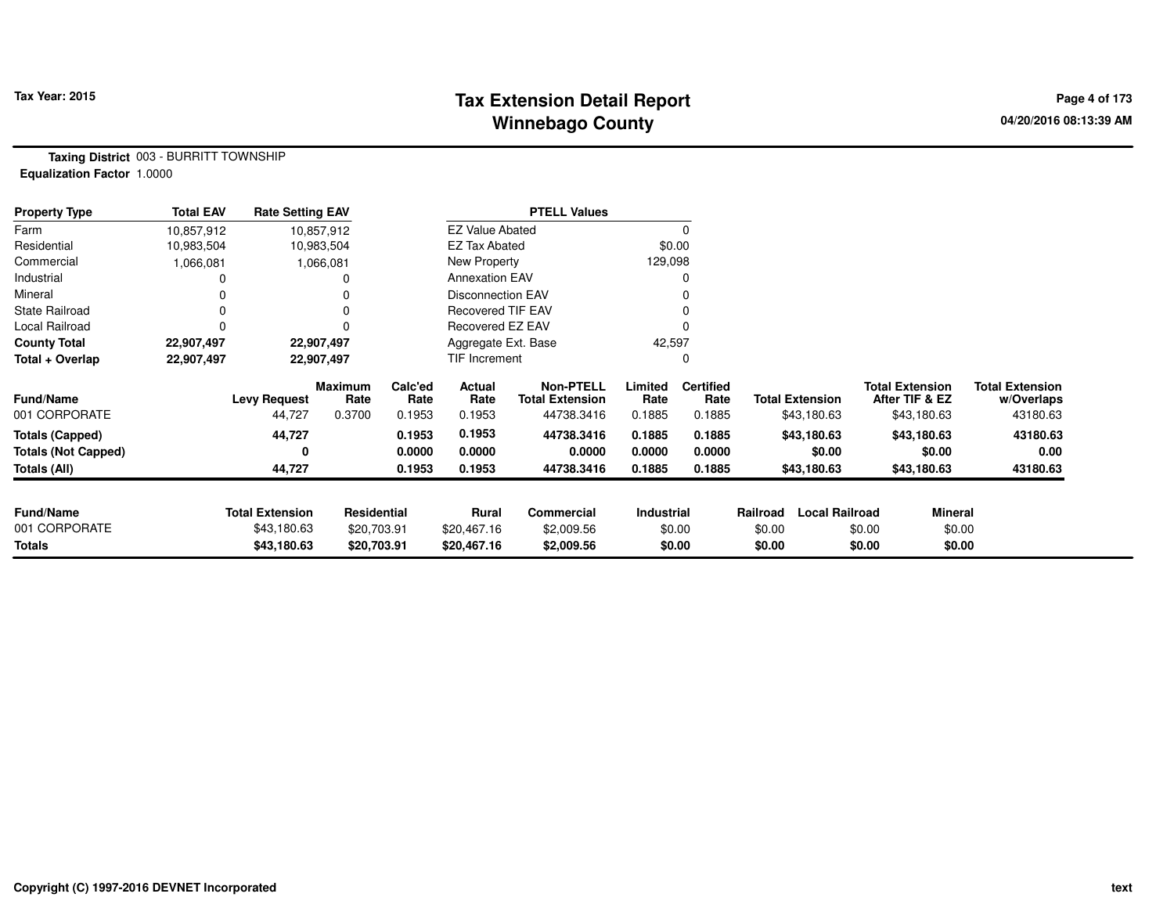# **Tax Extension Detail Report Tax Year: 2015 Page 4 of 173 Winnebago County**

**Taxing District** 003 - BURRITT TOWNSHIP**Equalization Factor** 1.0000

| <b>Property Type</b>       | <b>Total EAV</b> | <b>Rate Setting EAV</b> |                 |                 |                          | <b>PTELL Values</b>                        |                 |                          |                        |                       |                                          |                                      |
|----------------------------|------------------|-------------------------|-----------------|-----------------|--------------------------|--------------------------------------------|-----------------|--------------------------|------------------------|-----------------------|------------------------------------------|--------------------------------------|
| Farm                       | 10,857,912       |                         | 10,857,912      |                 | <b>EZ Value Abated</b>   |                                            |                 |                          |                        |                       |                                          |                                      |
| Residential                | 10,983,504       | 10,983,504              |                 |                 | <b>EZ Tax Abated</b>     |                                            | \$0.00          |                          |                        |                       |                                          |                                      |
| Commercial                 | 1,066,081        |                         | 1,066,081       |                 | New Property             |                                            | 129,098         |                          |                        |                       |                                          |                                      |
| Industrial                 |                  |                         |                 |                 | <b>Annexation EAV</b>    |                                            |                 |                          |                        |                       |                                          |                                      |
| Mineral                    |                  |                         |                 |                 | <b>Disconnection EAV</b> |                                            |                 |                          |                        |                       |                                          |                                      |
| <b>State Railroad</b>      |                  |                         |                 |                 | <b>Recovered TIF EAV</b> |                                            |                 |                          |                        |                       |                                          |                                      |
| Local Railroad             |                  |                         |                 |                 | Recovered EZ EAV         |                                            |                 |                          |                        |                       |                                          |                                      |
| <b>County Total</b>        | 22,907,497       | 22,907,497              |                 |                 | Aggregate Ext. Base      |                                            | 42,597          |                          |                        |                       |                                          |                                      |
| Total + Overlap            | 22,907,497       | 22,907,497              |                 |                 | TIF Increment            |                                            |                 |                          |                        |                       |                                          |                                      |
| <b>Fund/Name</b>           |                  | Levy Request            | Maximum<br>Rate | Calc'ed<br>Rate | Actual<br>Rate           | <b>Non-PTELL</b><br><b>Total Extension</b> | Limited<br>Rate | <b>Certified</b><br>Rate | <b>Total Extension</b> |                       | <b>Total Extension</b><br>After TIF & EZ | <b>Total Extension</b><br>w/Overlaps |
| 001 CORPORATE              |                  | 44,727                  | 0.3700          | 0.1953          | 0.1953                   | 44738.3416                                 | 0.1885          | 0.1885                   |                        | \$43,180.63           | \$43,180.63                              | 43180.63                             |
| <b>Totals (Capped)</b>     |                  | 44,727                  |                 | 0.1953          | 0.1953                   | 44738.3416                                 | 0.1885          | 0.1885                   |                        | \$43,180.63           | \$43,180.63                              | 43180.63                             |
| <b>Totals (Not Capped)</b> |                  | 0                       |                 | 0.0000          | 0.0000                   | 0.0000                                     | 0.0000          | 0.0000                   |                        | \$0.00                | \$0.00                                   | 0.00                                 |
| Totals (All)               |                  | 44,727                  |                 | 0.1953          | 0.1953                   | 44738.3416                                 | 0.1885          | 0.1885                   |                        | \$43,180.63           | \$43,180.63                              | 43180.63                             |
|                            |                  |                         |                 |                 |                          |                                            |                 |                          |                        |                       |                                          |                                      |
| <b>Fund/Name</b>           |                  | <b>Total Extension</b>  | Residential     |                 | Rural                    | Commercial                                 | Industrial      |                          | Railroad               | <b>Local Railroad</b> | <b>Mineral</b>                           |                                      |
| 001 CORPORATE              |                  | \$43,180.63             | \$20,703.91     |                 | \$20,467.16              | \$2,009.56                                 |                 | \$0.00                   | \$0.00                 | \$0.00                | \$0.00                                   |                                      |
| Totals                     |                  | \$43,180.63             | \$20,703.91     |                 | \$20,467.16              | \$2,009.56                                 |                 | \$0.00                   | \$0.00                 | \$0.00                | \$0.00                                   |                                      |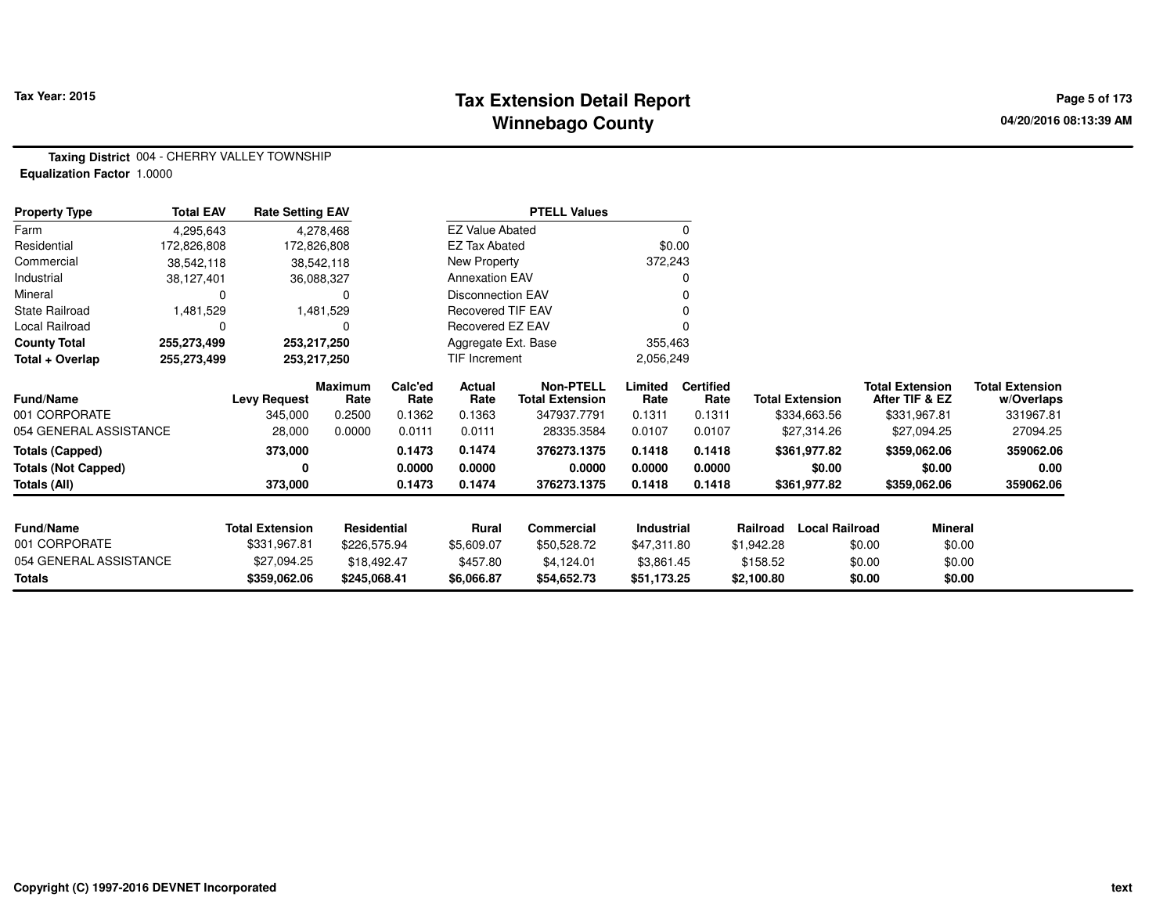# **Tax Extension Detail Report Tax Year: 2015 Page 5 of 173 Winnebago County**

**Taxing District** 004 - CHERRY VALLEY TOWNSHIP**Equalization Factor** 1.0000

| <b>Property Type</b>       | <b>Total EAV</b> | <b>Rate Setting EAV</b> |                        |                 |                          | <b>PTELL Values</b>                        |                 |                          |                        |                                          |                                      |
|----------------------------|------------------|-------------------------|------------------------|-----------------|--------------------------|--------------------------------------------|-----------------|--------------------------|------------------------|------------------------------------------|--------------------------------------|
| Farm                       | 4,295,643        |                         | 4,278,468              |                 | <b>EZ Value Abated</b>   |                                            |                 | 0                        |                        |                                          |                                      |
| Residential                | 172,826,808      | 172,826,808             |                        |                 | EZ Tax Abated            |                                            | \$0.00          |                          |                        |                                          |                                      |
| Commercial                 | 38,542,118       |                         | 38,542,118             |                 | New Property             |                                            | 372,243         |                          |                        |                                          |                                      |
| Industrial                 | 38,127,401       |                         | 36,088,327             |                 | <b>Annexation EAV</b>    |                                            |                 |                          |                        |                                          |                                      |
| Mineral                    | 0                |                         | 0                      |                 | <b>Disconnection EAV</b> |                                            |                 |                          |                        |                                          |                                      |
| <b>State Railroad</b>      | 1,481,529        |                         | 1,481,529              |                 | Recovered TIF EAV        |                                            |                 |                          |                        |                                          |                                      |
| Local Railroad             | 0                |                         | 0                      |                 | Recovered EZ EAV         |                                            |                 |                          |                        |                                          |                                      |
| <b>County Total</b>        | 255,273,499      | 253,217,250             |                        |                 | Aggregate Ext. Base      |                                            | 355,463         |                          |                        |                                          |                                      |
| Total + Overlap            | 255,273,499      | 253,217,250             |                        |                 | TIF Increment            |                                            | 2,056,249       |                          |                        |                                          |                                      |
| <b>Fund/Name</b>           |                  | <b>Levy Request</b>     | <b>Maximum</b><br>Rate | Calc'ed<br>Rate | Actual<br>Rate           | <b>Non-PTELL</b><br><b>Total Extension</b> | Limited<br>Rate | <b>Certified</b><br>Rate | <b>Total Extension</b> | <b>Total Extension</b><br>After TIF & EZ | <b>Total Extension</b><br>w/Overlaps |
| 001 CORPORATE              |                  | 345,000                 | 0.2500                 | 0.1362          | 0.1363                   | 347937.7791                                | 0.1311          | 0.1311                   | \$334,663.56           | \$331,967.81                             | 331967.81                            |
| 054 GENERAL ASSISTANCE     |                  | 28,000                  | 0.0000                 | 0.0111          | 0.0111                   | 28335.3584                                 | 0.0107          | 0.0107                   | \$27,314.26            | \$27,094.25                              | 27094.25                             |
| <b>Totals (Capped)</b>     |                  | 373,000                 |                        | 0.1473          | 0.1474                   | 376273.1375                                | 0.1418          | 0.1418                   | \$361,977.82           | \$359,062.06                             | 359062.06                            |
| <b>Totals (Not Capped)</b> |                  |                         |                        | 0.0000          | 0.0000                   | 0.0000                                     | 0.0000          | 0.0000                   | \$0.00                 | \$0.00                                   | 0.00                                 |
| Totals (All)               |                  | 373,000                 |                        | 0.1473          | 0.1474                   | 376273.1375                                | 0.1418          | 0.1418                   | \$361,977.82           | \$359,062.06                             | 359062.06                            |
|                            |                  |                         |                        |                 |                          |                                            |                 |                          |                        |                                          |                                      |
| Fund/Name                  |                  | <b>Total Extension</b>  | <b>Residential</b>     |                 | Rural                    | Commercial                                 | Industrial      |                          | Railroad               | <b>Local Railroad</b>                    | Mineral                              |
| 001 CORPORATE              |                  | \$331,967.81            | \$226,575.94           |                 | \$5,609.07               | \$50,528.72                                | \$47,311.80     |                          | \$1,942.28             | \$0.00                                   | \$0.00                               |
| 054 GENERAL ASSISTANCE     |                  | \$27,094.25             | \$18,492.47            |                 | \$457.80                 | \$4,124.01                                 | \$3,861.45      |                          | \$158.52               | \$0.00                                   | \$0.00                               |
| <b>Totals</b>              |                  | \$359,062.06            | \$245,068.41           |                 | \$6,066.87               | \$54,652.73                                | \$51,173.25     |                          | \$2,100.80             | \$0.00                                   | \$0.00                               |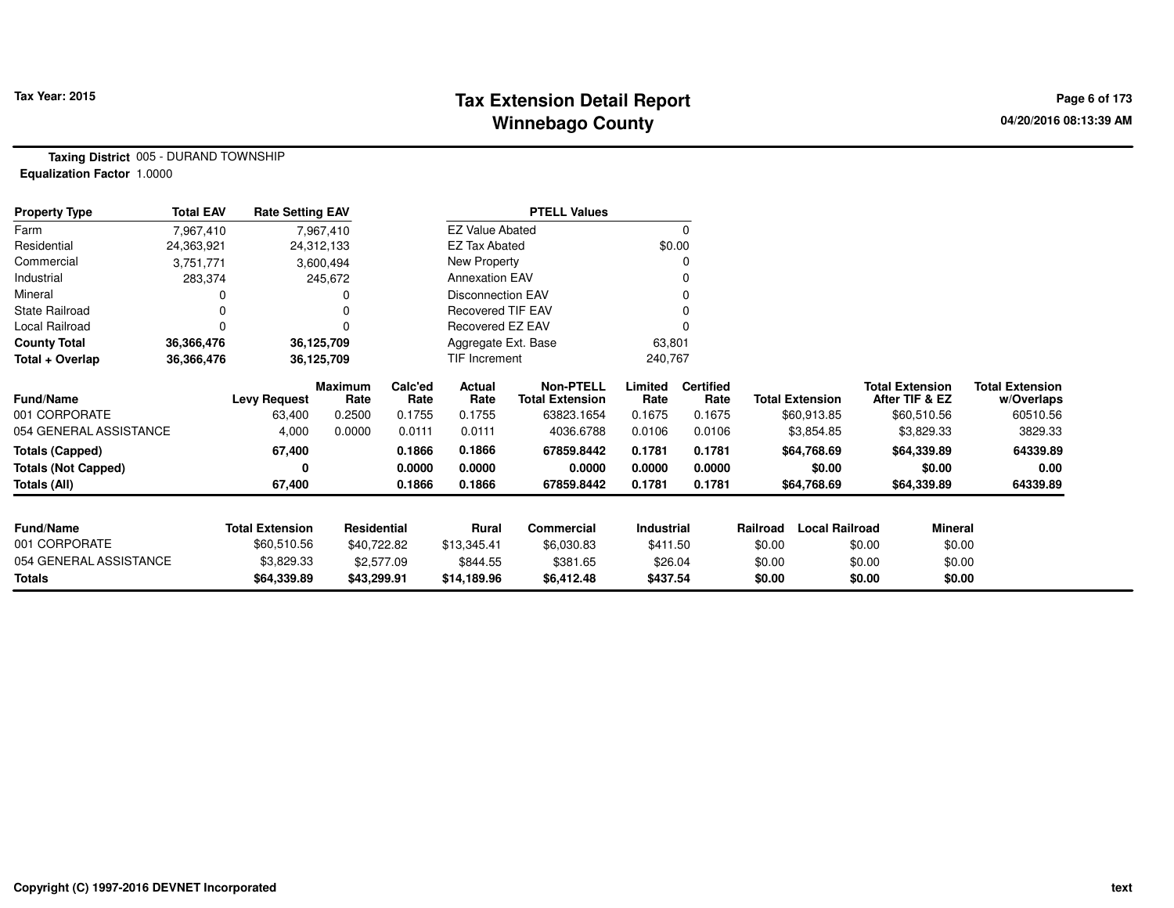# **Tax Extension Detail Report Tax Year: 2015 Page 6 of 173 Winnebago County**

**Taxing District** 005 - DURAND TOWNSHIP**Equalization Factor** 1.0000

| <b>Property Type</b>       | <b>Total EAV</b> | <b>Rate Setting EAV</b> |                        |                 |                          | <b>PTELL Values</b>                        |                 |                          |          |                        |                                          |                                      |
|----------------------------|------------------|-------------------------|------------------------|-----------------|--------------------------|--------------------------------------------|-----------------|--------------------------|----------|------------------------|------------------------------------------|--------------------------------------|
| Farm                       | 7,967,410        |                         | 7,967,410              |                 | <b>EZ Value Abated</b>   |                                            |                 | $\mathbf 0$              |          |                        |                                          |                                      |
| Residential                | 24,363,921       |                         | 24,312,133             |                 | <b>EZ Tax Abated</b>     |                                            | \$0.00          |                          |          |                        |                                          |                                      |
| Commercial                 | 3,751,771        |                         | 3,600,494              |                 | New Property             |                                            |                 |                          |          |                        |                                          |                                      |
| Industrial                 | 283,374          |                         | 245,672                |                 | <b>Annexation EAV</b>    |                                            |                 |                          |          |                        |                                          |                                      |
| Mineral                    |                  |                         |                        |                 | <b>Disconnection EAV</b> |                                            |                 |                          |          |                        |                                          |                                      |
| <b>State Railroad</b>      | 0                |                         |                        |                 | <b>Recovered TIF EAV</b> |                                            |                 |                          |          |                        |                                          |                                      |
| Local Railroad             | 0                |                         | 0                      |                 | Recovered EZ EAV         |                                            |                 |                          |          |                        |                                          |                                      |
| <b>County Total</b>        | 36,366,476       |                         | 36,125,709             |                 | Aggregate Ext. Base      |                                            | 63,801          |                          |          |                        |                                          |                                      |
| Total + Overlap            | 36,366,476       |                         | 36,125,709             |                 | TIF Increment            |                                            | 240,767         |                          |          |                        |                                          |                                      |
| <b>Fund/Name</b>           |                  | <b>Levy Request</b>     | <b>Maximum</b><br>Rate | Calc'ed<br>Rate | Actual<br>Rate           | <b>Non-PTELL</b><br><b>Total Extension</b> | Limited<br>Rate | <b>Certified</b><br>Rate |          | <b>Total Extension</b> | <b>Total Extension</b><br>After TIF & EZ | <b>Total Extension</b><br>w/Overlaps |
| 001 CORPORATE              |                  | 63,400                  | 0.2500                 | 0.1755          | 0.1755                   | 63823.1654                                 | 0.1675          | 0.1675                   |          | \$60,913.85            | \$60,510.56                              | 60510.56                             |
| 054 GENERAL ASSISTANCE     |                  | 4,000                   | 0.0000                 | 0.0111          | 0.0111                   | 4036.6788                                  | 0.0106          | 0.0106                   |          | \$3,854.85             | \$3,829.33                               | 3829.33                              |
| <b>Totals (Capped)</b>     |                  | 67,400                  |                        | 0.1866          | 0.1866                   | 67859.8442                                 | 0.1781          | 0.1781                   |          | \$64,768.69            | \$64,339.89                              | 64339.89                             |
| <b>Totals (Not Capped)</b> |                  |                         |                        | 0.0000          | 0.0000                   | 0.0000                                     | 0.0000          | 0.0000                   |          | \$0.00                 | \$0.00                                   | 0.00                                 |
| Totals (All)               |                  | 67,400                  |                        | 0.1866          | 0.1866                   | 67859.8442                                 | 0.1781          | 0.1781                   |          | \$64,768.69            | \$64,339.89                              | 64339.89                             |
| Fund/Name                  |                  | <b>Total Extension</b>  | Residential            |                 | <b>Rural</b>             | Commercial                                 | Industrial      |                          | Railroad | <b>Local Railroad</b>  | <b>Mineral</b>                           |                                      |
| 001 CORPORATE              |                  | \$60,510.56             |                        |                 |                          |                                            |                 |                          |          |                        |                                          |                                      |
| 054 GENERAL ASSISTANCE     |                  |                         | \$40,722.82            |                 | \$13,345.41              | \$6,030.83                                 | \$411.50        |                          | \$0.00   |                        | \$0.00<br>\$0.00                         |                                      |
|                            |                  | \$3,829.33              |                        | \$2,577.09      | \$844.55                 | \$381.65                                   | \$26.04         |                          | \$0.00   |                        | \$0.00<br>\$0.00                         |                                      |
| <b>Totals</b>              |                  | \$64,339.89             | \$43,299.91            |                 | \$14,189.96              | \$6,412.48                                 | \$437.54        |                          | \$0.00   |                        | \$0.00<br>\$0.00                         |                                      |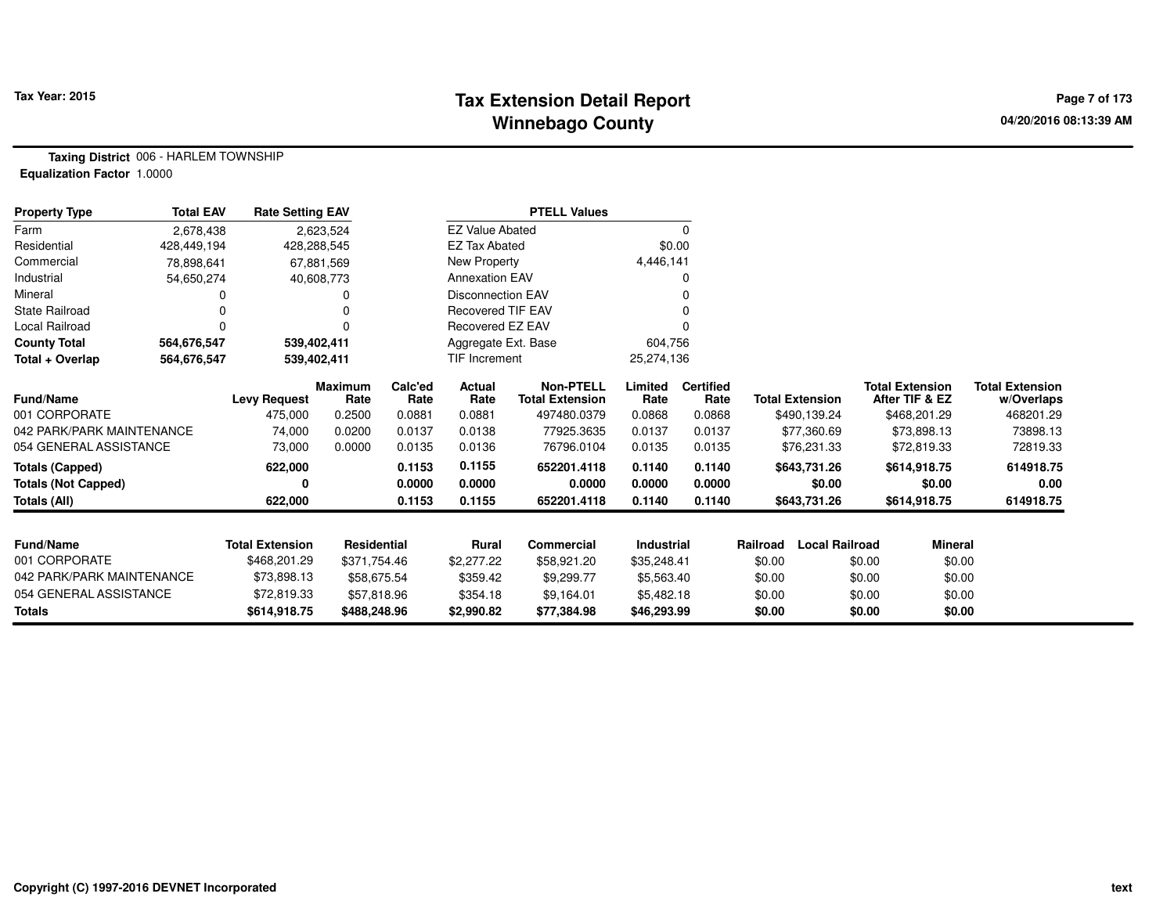#### **Tax Extension Detail Report Tax Year: 2015 Page 7 of 173 Winnebago County**

**Taxing District** 006 - HARLEM TOWNSHIP**Equalization Factor** 1.0000

| <b>Property Type</b>       | <b>Total EAV</b> | <b>Rate Setting EAV</b> |                    |                 |                          | <b>PTELL Values</b>                        |                 |                          |                                   |                                          |                                      |
|----------------------------|------------------|-------------------------|--------------------|-----------------|--------------------------|--------------------------------------------|-----------------|--------------------------|-----------------------------------|------------------------------------------|--------------------------------------|
| Farm                       | 2,678,438        |                         | 2,623,524          |                 | <b>EZ Value Abated</b>   |                                            |                 | 0                        |                                   |                                          |                                      |
| Residential                | 428,449,194      | 428,288,545             |                    |                 | <b>EZ Tax Abated</b>     |                                            | \$0.00          |                          |                                   |                                          |                                      |
| Commercial                 | 78,898,641       |                         | 67,881,569         |                 | New Property             |                                            | 4,446,141       |                          |                                   |                                          |                                      |
| Industrial                 | 54,650,274       |                         | 40,608,773         |                 | <b>Annexation EAV</b>    |                                            |                 | o                        |                                   |                                          |                                      |
| Mineral                    |                  |                         |                    |                 | Disconnection EAV        |                                            |                 |                          |                                   |                                          |                                      |
| <b>State Railroad</b>      |                  |                         |                    |                 | <b>Recovered TIF EAV</b> |                                            |                 |                          |                                   |                                          |                                      |
| Local Railroad             | $\Omega$         |                         | $\Omega$           |                 | Recovered EZ EAV         |                                            |                 |                          |                                   |                                          |                                      |
| <b>County Total</b>        | 564,676,547      | 539,402,411             |                    |                 | Aggregate Ext. Base      |                                            | 604,756         |                          |                                   |                                          |                                      |
| Total + Overlap            | 564,676,547      | 539,402,411             |                    |                 | <b>TIF Increment</b>     |                                            | 25,274,136      |                          |                                   |                                          |                                      |
| Fund/Name                  |                  | <b>Levy Request</b>     | Maximum<br>Rate    | Calc'ed<br>Rate | <b>Actual</b><br>Rate    | <b>Non-PTELL</b><br><b>Total Extension</b> | Limited<br>Rate | <b>Certified</b><br>Rate | <b>Total Extension</b>            | <b>Total Extension</b><br>After TIF & EZ | <b>Total Extension</b><br>w/Overlaps |
| 001 CORPORATE              |                  | 475,000                 | 0.2500             | 0.0881          | 0.0881                   | 497480.0379                                | 0.0868          | 0.0868                   | \$490,139.24                      | \$468,201.29                             | 468201.29                            |
| 042 PARK/PARK MAINTENANCE  |                  | 74,000                  | 0.0200             | 0.0137          | 0.0138                   | 77925.3635                                 | 0.0137          | 0.0137                   | \$77,360.69                       | \$73,898.13                              | 73898.13                             |
| 054 GENERAL ASSISTANCE     |                  | 73,000                  | 0.0000             | 0.0135          | 0.0136                   | 76796.0104                                 | 0.0135          | 0.0135                   | \$76,231.33                       | \$72,819.33                              | 72819.33                             |
| Totals (Capped)            |                  | 622,000                 |                    | 0.1153          | 0.1155                   | 652201.4118                                | 0.1140          | 0.1140                   | \$643,731.26                      | \$614,918.75                             | 614918.75                            |
| <b>Totals (Not Capped)</b> |                  | 0                       |                    | 0.0000          | 0.0000                   | 0.0000                                     | 0.0000          | 0.0000                   | \$0.00                            | \$0.00                                   | 0.00                                 |
| Totals (All)               |                  | 622,000                 |                    | 0.1153          | 0.1155                   | 652201.4118                                | 0.1140          | 0.1140                   | \$643,731.26                      | \$614,918.75                             | 614918.75                            |
|                            |                  |                         |                    |                 |                          |                                            |                 |                          |                                   |                                          |                                      |
| <b>Fund/Name</b>           |                  | <b>Total Extension</b>  | <b>Residential</b> |                 | Rural                    | <b>Commercial</b>                          | Industrial      |                          | <b>Local Railroad</b><br>Railroad | <b>Mineral</b>                           |                                      |
| 001 CORPORATE              |                  | \$468,201.29            | \$371,754.46       |                 | \$2,277.22               | \$58,921.20                                | \$35,248.41     |                          | \$0.00                            | \$0.00<br>\$0.00                         |                                      |
| 042 PARK/PARK MAINTENANCE  |                  | \$73,898.13             | \$58,675.54        |                 | \$359.42                 | \$9,299.77                                 | \$5,563.40      |                          | \$0.00                            | \$0.00<br>\$0.00                         |                                      |
| 054 GENERAL ASSISTANCE     |                  | \$72,819.33             | \$57,818.96        |                 | \$354.18                 | \$9,164.01                                 | \$5,482.18      |                          | \$0.00                            | \$0.00<br>\$0.00                         |                                      |
| <b>Totals</b>              |                  | \$614,918.75            | \$488,248.96       |                 | \$2,990.82               | \$77,384.98                                | \$46,293.99     |                          | \$0.00                            | \$0.00<br>\$0.00                         |                                      |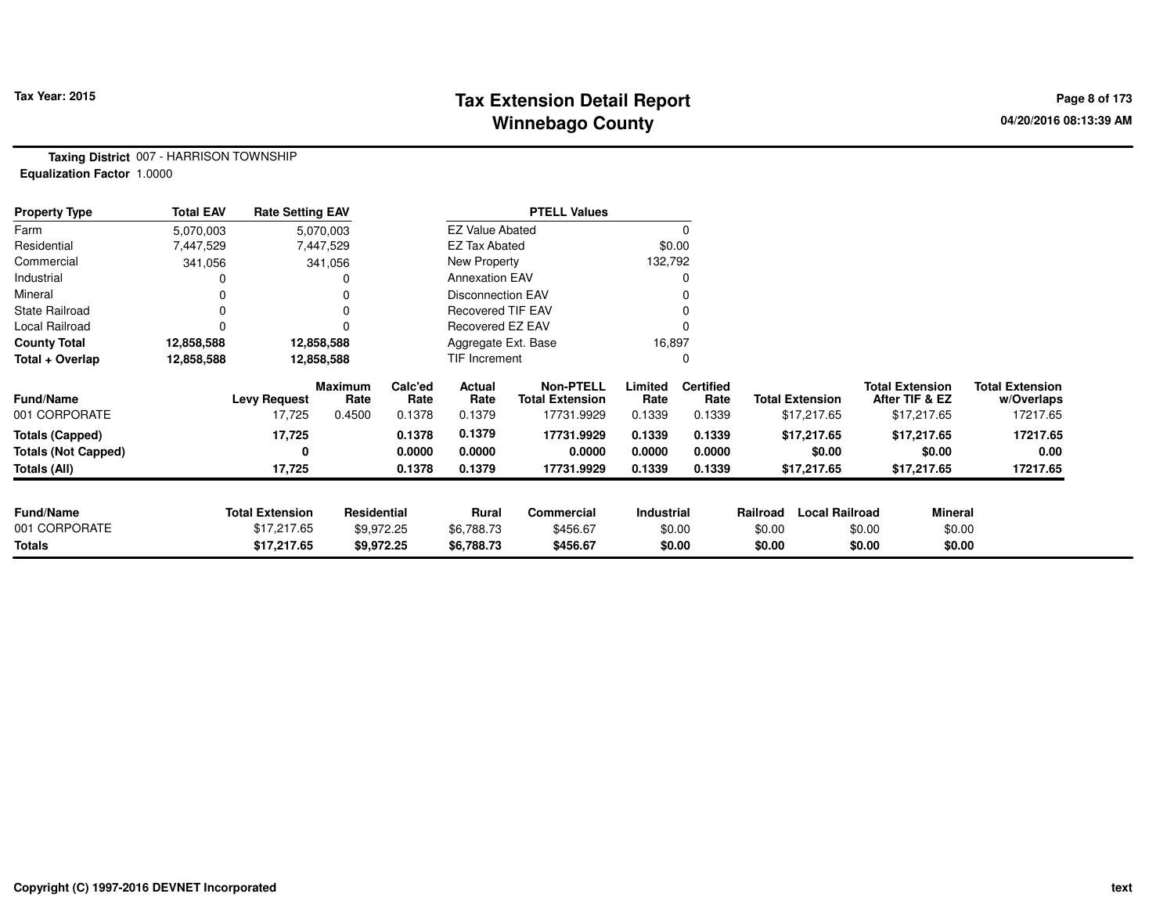# **Tax Extension Detail Report Tax Year: 2015 Page 8 of 173 Winnebago County**

**Taxing District** 007 - HARRISON TOWNSHIP**Equalization Factor** 1.0000

| <b>Property Type</b>       | <b>Total EAV</b> | <b>Rate Setting EAV</b> |                        |                 |                          | <b>PTELL Values</b>                        |                 |                          |                        |                       |                                          |                                      |
|----------------------------|------------------|-------------------------|------------------------|-----------------|--------------------------|--------------------------------------------|-----------------|--------------------------|------------------------|-----------------------|------------------------------------------|--------------------------------------|
| Farm                       | 5,070,003        |                         | 5,070,003              |                 | <b>EZ Value Abated</b>   |                                            |                 | 0                        |                        |                       |                                          |                                      |
| Residential                | 7,447,529        |                         | 7,447,529              |                 | <b>EZ Tax Abated</b>     |                                            | \$0.00          |                          |                        |                       |                                          |                                      |
| Commercial                 | 341,056          |                         | 341,056                |                 | New Property             |                                            | 132,792         |                          |                        |                       |                                          |                                      |
| Industrial                 |                  |                         |                        |                 | <b>Annexation EAV</b>    |                                            |                 |                          |                        |                       |                                          |                                      |
| Mineral                    |                  |                         |                        |                 | <b>Disconnection EAV</b> |                                            |                 |                          |                        |                       |                                          |                                      |
| <b>State Railroad</b>      | 0                |                         |                        |                 | <b>Recovered TIF EAV</b> |                                            |                 |                          |                        |                       |                                          |                                      |
| Local Railroad             |                  |                         |                        |                 | <b>Recovered EZ EAV</b>  |                                            |                 |                          |                        |                       |                                          |                                      |
| <b>County Total</b>        | 12,858,588       |                         | 12,858,588             |                 | Aggregate Ext. Base      |                                            | 16,897          |                          |                        |                       |                                          |                                      |
| Total + Overlap            | 12,858,588       |                         | 12,858,588             |                 | TIF Increment            |                                            |                 | 0                        |                        |                       |                                          |                                      |
| <b>Fund/Name</b>           |                  | <b>Levy Request</b>     | <b>Maximum</b><br>Rate | Calc'ed<br>Rate | Actual<br>Rate           | <b>Non-PTELL</b><br><b>Total Extension</b> | Limited<br>Rate | <b>Certified</b><br>Rate | <b>Total Extension</b> |                       | <b>Total Extension</b><br>After TIF & EZ | <b>Total Extension</b><br>w/Overlaps |
| 001 CORPORATE              |                  | 17,725                  | 0.4500                 | 0.1378          | 0.1379                   | 17731.9929                                 | 0.1339          | 0.1339                   | \$17,217.65            |                       | \$17,217.65                              | 17217.65                             |
| <b>Totals (Capped)</b>     |                  | 17,725                  |                        | 0.1378          | 0.1379                   | 17731.9929                                 | 0.1339          | 0.1339                   | \$17,217.65            |                       | \$17,217.65                              | 17217.65                             |
| <b>Totals (Not Capped)</b> |                  | 0                       |                        | 0.0000          | 0.0000                   | 0.0000                                     | 0.0000          | 0.0000                   |                        | \$0.00                | \$0.00                                   | 0.00                                 |
| Totals (All)               |                  | 17,725                  |                        | 0.1378          | 0.1379                   | 17731.9929                                 | 0.1339          | 0.1339                   | \$17,217.65            |                       | \$17,217.65                              | 17217.65                             |
|                            |                  |                         |                        |                 |                          |                                            |                 |                          |                        |                       |                                          |                                      |
| <b>Fund/Name</b>           |                  | <b>Total Extension</b>  | Residential            |                 | Rural                    | <b>Commercial</b>                          | Industrial      |                          | Railroad               | <b>Local Railroad</b> | <b>Mineral</b>                           |                                      |
| 001 CORPORATE              |                  | \$17,217.65             |                        | \$9,972.25      | \$6,788.73               | \$456.67                                   |                 | \$0.00                   | \$0.00                 | \$0.00                | \$0.00                                   |                                      |
| <b>Totals</b>              |                  | \$17,217.65             |                        | \$9,972.25      | \$6,788.73               | \$456.67                                   |                 | \$0.00                   | \$0.00                 | \$0.00                | \$0.00                                   |                                      |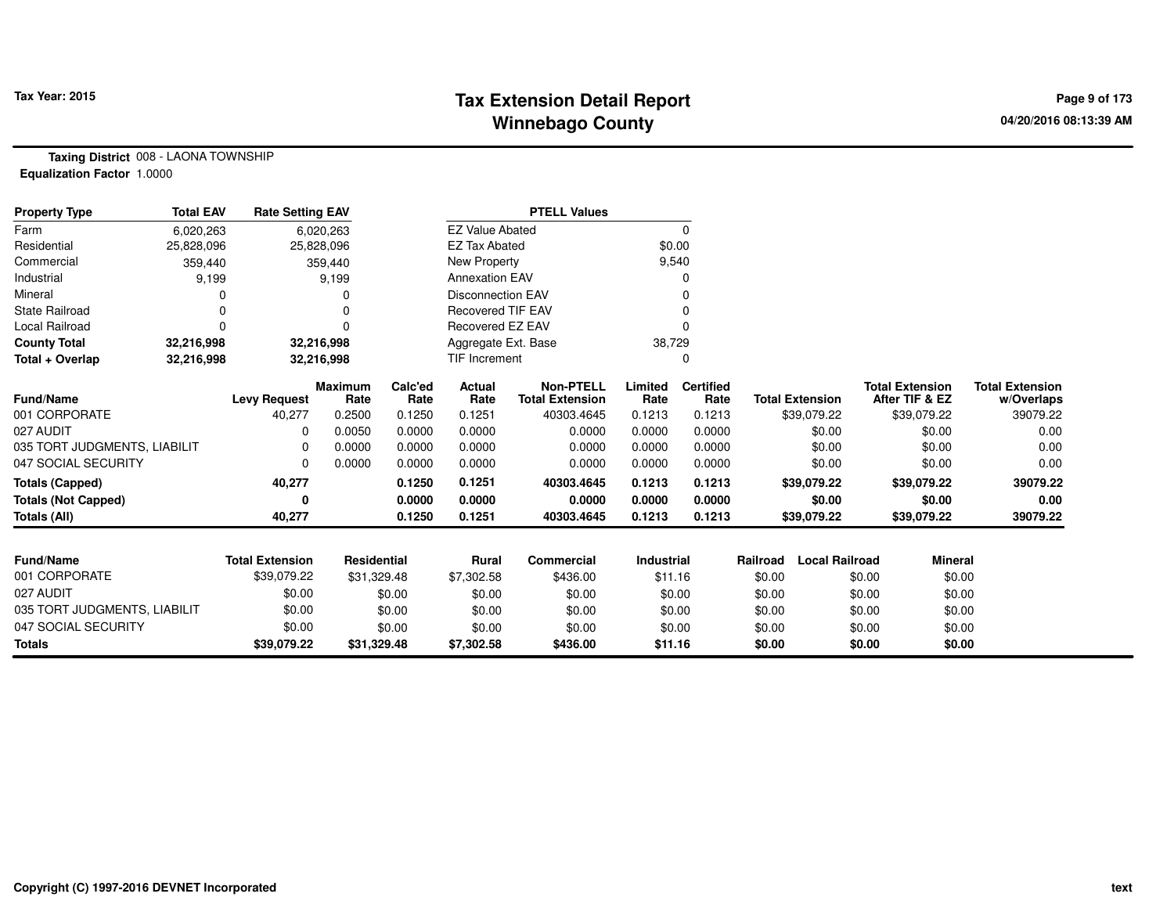# **Tax Extension Detail Report Tax Year: 2015 Page 9 of 173 Winnebago County**

**Taxing District** 008 - LAONA TOWNSHIP**Equalization Factor** 1.0000

| <b>Property Type</b>         | <b>Total EAV</b> | <b>Rate Setting EAV</b> |                        |                 |                          | <b>PTELL Values</b>                        |                 |                          |          |                        |                                          |                |                                      |
|------------------------------|------------------|-------------------------|------------------------|-----------------|--------------------------|--------------------------------------------|-----------------|--------------------------|----------|------------------------|------------------------------------------|----------------|--------------------------------------|
| Farm                         | 6,020,263        |                         | 6,020,263              |                 | <b>EZ Value Abated</b>   |                                            |                 | $\mathbf 0$              |          |                        |                                          |                |                                      |
| Residential                  | 25,828,096       |                         | 25,828,096             |                 | <b>EZ Tax Abated</b>     |                                            | \$0.00          |                          |          |                        |                                          |                |                                      |
| Commercial                   | 359,440          |                         | 359,440                |                 | New Property             |                                            | 9,540           |                          |          |                        |                                          |                |                                      |
| Industrial                   | 9,199            |                         | 9,199                  |                 | <b>Annexation EAV</b>    |                                            |                 | O                        |          |                        |                                          |                |                                      |
| Mineral                      |                  |                         | 0                      |                 | <b>Disconnection EAV</b> |                                            |                 |                          |          |                        |                                          |                |                                      |
| <b>State Railroad</b>        | 0                |                         | 0                      |                 | <b>Recovered TIF EAV</b> |                                            |                 |                          |          |                        |                                          |                |                                      |
| <b>Local Railroad</b>        | 0                |                         | 0                      |                 | Recovered EZ EAV         |                                            |                 | $\Omega$                 |          |                        |                                          |                |                                      |
| <b>County Total</b>          | 32,216,998       |                         | 32,216,998             |                 | Aggregate Ext. Base      |                                            | 38,729          |                          |          |                        |                                          |                |                                      |
| Total + Overlap              | 32,216,998       |                         | 32,216,998             |                 | <b>TIF Increment</b>     |                                            |                 | 0                        |          |                        |                                          |                |                                      |
| <b>Fund/Name</b>             |                  | <b>Levy Request</b>     | <b>Maximum</b><br>Rate | Calc'ed<br>Rate | Actual<br>Rate           | <b>Non-PTELL</b><br><b>Total Extension</b> | Limited<br>Rate | <b>Certified</b><br>Rate |          | <b>Total Extension</b> | <b>Total Extension</b><br>After TIF & EZ |                | <b>Total Extension</b><br>w/Overlaps |
| 001 CORPORATE                |                  | 40,277                  | 0.2500                 | 0.1250          | 0.1251                   | 40303.4645                                 | 0.1213          | 0.1213                   |          | \$39,079.22            | \$39,079.22                              |                | 39079.22                             |
| 027 AUDIT                    |                  | $\Omega$                | 0.0050                 | 0.0000          | 0.0000                   | 0.0000                                     | 0.0000          | 0.0000                   |          | \$0.00                 |                                          | \$0.00         | 0.00                                 |
| 035 TORT JUDGMENTS, LIABILIT |                  | $\Omega$                | 0.0000                 | 0.0000          | 0.0000                   | 0.0000                                     | 0.0000          | 0.0000                   |          | \$0.00                 |                                          | \$0.00         | 0.00                                 |
| 047 SOCIAL SECURITY          |                  | $\Omega$                | 0.0000                 | 0.0000          | 0.0000                   | 0.0000                                     | 0.0000          | 0.0000                   |          | \$0.00                 |                                          | \$0.00         | 0.00                                 |
| <b>Totals (Capped)</b>       |                  | 40,277                  |                        | 0.1250          | 0.1251                   | 40303.4645                                 | 0.1213          | 0.1213                   |          | \$39,079.22            | \$39,079.22                              |                | 39079.22                             |
| <b>Totals (Not Capped)</b>   |                  | 0                       |                        | 0.0000          | 0.0000                   | 0.0000                                     | 0.0000          | 0.0000                   |          | \$0.00                 |                                          | \$0.00         | 0.00                                 |
| <b>Totals (All)</b>          |                  | 40,277                  |                        | 0.1250          | 0.1251                   | 40303.4645                                 | 0.1213          | 0.1213                   |          | \$39,079.22            | \$39,079.22                              |                | 39079.22                             |
|                              |                  |                         |                        |                 |                          |                                            |                 |                          |          |                        |                                          |                |                                      |
| Fund/Name                    |                  | <b>Total Extension</b>  | Residential            |                 | <b>Rural</b>             | Commercial                                 | Industrial      |                          | Railroad | <b>Local Railroad</b>  |                                          | <b>Mineral</b> |                                      |
| 001 CORPORATE                |                  | \$39,079.22             | \$31,329.48            |                 | \$7,302.58               | \$436.00                                   | \$11.16         |                          | \$0.00   |                        | \$0.00                                   | \$0.00         |                                      |
| 027 AUDIT                    |                  | \$0.00                  |                        | \$0.00          | \$0.00                   | \$0.00                                     | \$0.00          |                          | \$0.00   |                        | \$0.00                                   | \$0.00         |                                      |
| 035 TORT JUDGMENTS, LIABILIT |                  | \$0.00                  |                        | \$0.00          | \$0.00                   | \$0.00                                     | \$0.00          |                          | \$0.00   |                        | \$0.00                                   | \$0.00         |                                      |
| 047 SOCIAL SECURITY          |                  | \$0.00                  |                        | \$0.00          | \$0.00                   | \$0.00                                     | \$0.00          |                          | \$0.00   |                        | \$0.00                                   | \$0.00         |                                      |
| <b>Totals</b>                |                  | \$39,079.22             | \$31,329.48            |                 | \$7,302.58               | \$436.00                                   | \$11.16         |                          | \$0.00   |                        | \$0.00                                   | \$0.00         |                                      |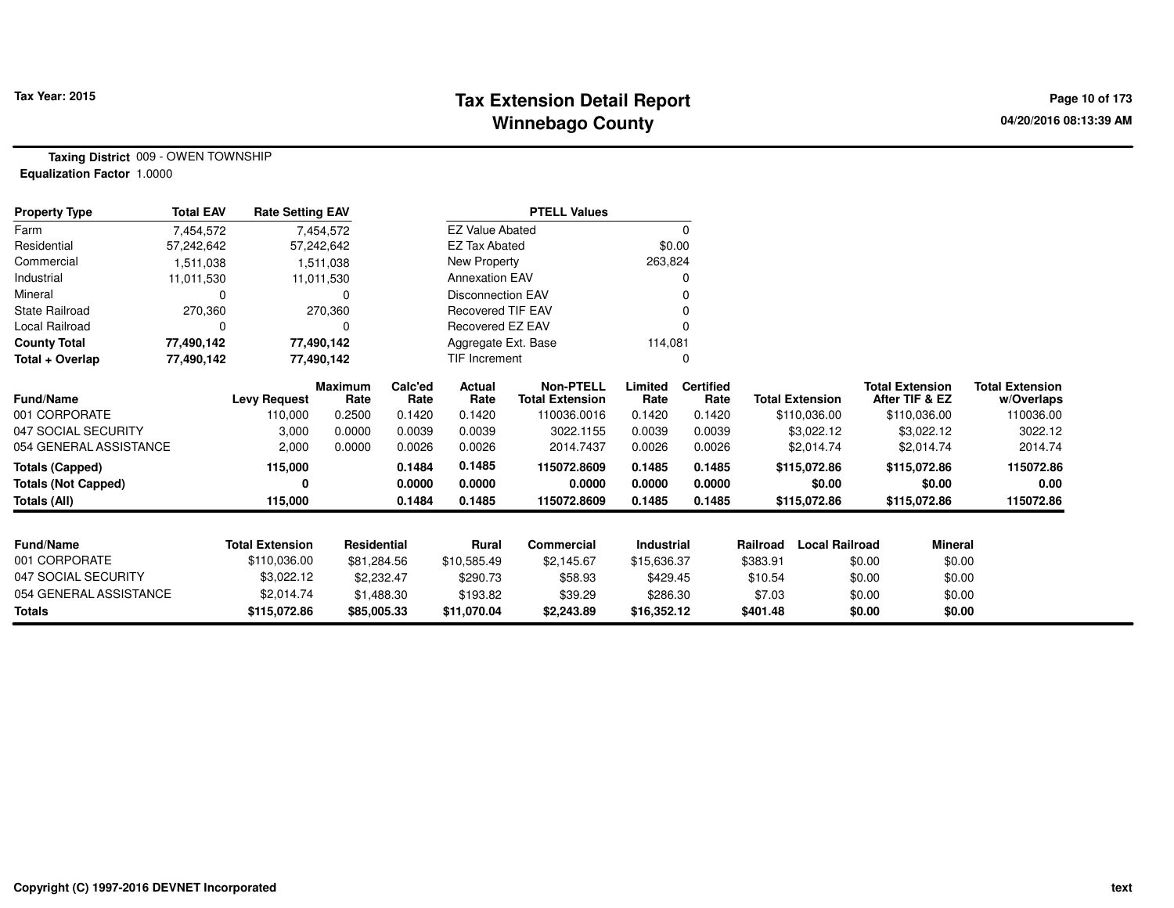#### **Tax Extension Detail Report Tax Year: 2015 Page 10 of 173 Winnebago County**

**Taxing District** 009 - OWEN TOWNSHIP**Equalization Factor** 1.0000

| <b>Property Type</b>       | <b>Total EAV</b> | <b>Rate Setting EAV</b> |                        |                 |                          | <b>PTELL Values</b>                 |                 |                          |                                   |                                          |                                      |
|----------------------------|------------------|-------------------------|------------------------|-----------------|--------------------------|-------------------------------------|-----------------|--------------------------|-----------------------------------|------------------------------------------|--------------------------------------|
| Farm                       | 7.454.572        |                         | 7,454,572              |                 | <b>EZ Value Abated</b>   |                                     |                 | 0                        |                                   |                                          |                                      |
| Residential                | 57,242,642       |                         | 57,242,642             |                 | <b>EZ Tax Abated</b>     |                                     | \$0.00          |                          |                                   |                                          |                                      |
| Commercial                 | 1,511,038        |                         | 1,511,038              |                 | New Property             |                                     | 263,824         |                          |                                   |                                          |                                      |
| Industrial                 | 11,011,530       |                         | 11,011,530             |                 | <b>Annexation EAV</b>    |                                     |                 |                          |                                   |                                          |                                      |
| Mineral                    | O                |                         | 0                      |                 | <b>Disconnection EAV</b> |                                     |                 |                          |                                   |                                          |                                      |
| <b>State Railroad</b>      | 270,360          |                         | 270,360                |                 | <b>Recovered TIF EAV</b> |                                     |                 |                          |                                   |                                          |                                      |
| <b>Local Railroad</b>      |                  |                         | 0                      |                 | Recovered EZ EAV         |                                     |                 |                          |                                   |                                          |                                      |
| <b>County Total</b>        | 77,490,142       |                         | 77,490,142             |                 | Aggregate Ext. Base      |                                     | 114,081         |                          |                                   |                                          |                                      |
| Total + Overlap            | 77,490,142       |                         | 77,490,142             |                 | <b>TIF Increment</b>     |                                     | 0               |                          |                                   |                                          |                                      |
| Fund/Name                  |                  | <b>Levy Request</b>     | <b>Maximum</b><br>Rate | Calc'ed<br>Rate | <b>Actual</b><br>Rate    | Non-PTELL<br><b>Total Extension</b> | Limited<br>Rate | <b>Certified</b><br>Rate | <b>Total Extension</b>            | <b>Total Extension</b><br>After TIF & EZ | <b>Total Extension</b><br>w/Overlaps |
| 001 CORPORATE              |                  | 110,000                 | 0.2500                 | 0.1420          | 0.1420                   | 110036.0016                         | 0.1420          | 0.1420                   | \$110,036.00                      | \$110,036.00                             | 110036.00                            |
| 047 SOCIAL SECURITY        |                  | 3,000                   | 0.0000                 | 0.0039          | 0.0039                   | 3022.1155                           | 0.0039          | 0.0039                   | \$3,022.12                        | \$3,022.12                               | 3022.12                              |
| 054 GENERAL ASSISTANCE     |                  | 2,000                   | 0.0000                 | 0.0026          | 0.0026                   | 2014.7437                           | 0.0026          | 0.0026                   | \$2,014.74                        | \$2,014.74                               | 2014.74                              |
| <b>Totals (Capped)</b>     |                  | 115,000                 |                        | 0.1484          | 0.1485                   | 115072.8609                         | 0.1485          | 0.1485                   | \$115,072.86                      | \$115,072.86                             | 115072.86                            |
| <b>Totals (Not Capped)</b> |                  | 0                       |                        | 0.0000          | 0.0000                   | 0.0000                              | 0.0000          | 0.0000                   | \$0.00                            | \$0.00                                   | 0.00                                 |
| <b>Totals (All)</b>        |                  | 115,000                 |                        | 0.1484          | 0.1485                   | 115072.8609                         | 0.1485          | 0.1485                   | \$115,072.86                      | \$115,072.86                             | 115072.86                            |
|                            |                  |                         |                        |                 |                          |                                     |                 |                          |                                   |                                          |                                      |
| <b>Fund/Name</b>           |                  | <b>Total Extension</b>  | Residential            |                 | <b>Rural</b>             | <b>Commercial</b>                   | Industrial      |                          | Railroad<br><b>Local Railroad</b> | <b>Mineral</b>                           |                                      |
| 001 CORPORATE              |                  | \$110,036.00            | \$81,284.56            |                 | \$10,585.49              | \$2,145.67                          | \$15,636.37     |                          | \$383.91                          | \$0.00                                   | \$0.00                               |
| 047 SOCIAL SECURITY        |                  | \$3,022.12              | \$2,232.47             |                 | \$290.73                 | \$58.93                             | \$429.45        |                          | \$10.54                           | \$0.00                                   | \$0.00                               |
| 054 GENERAL ASSISTANCE     |                  | \$2,014.74              | \$1,488.30             |                 | \$193.82                 | \$39.29                             | \$286.30        |                          | \$7.03                            | \$0.00                                   | \$0.00                               |
| <b>Totals</b>              |                  | \$115,072.86            | \$85,005.33            |                 | \$11,070.04              | \$2,243.89                          | \$16,352.12     |                          | \$401.48                          | \$0.00                                   | \$0.00                               |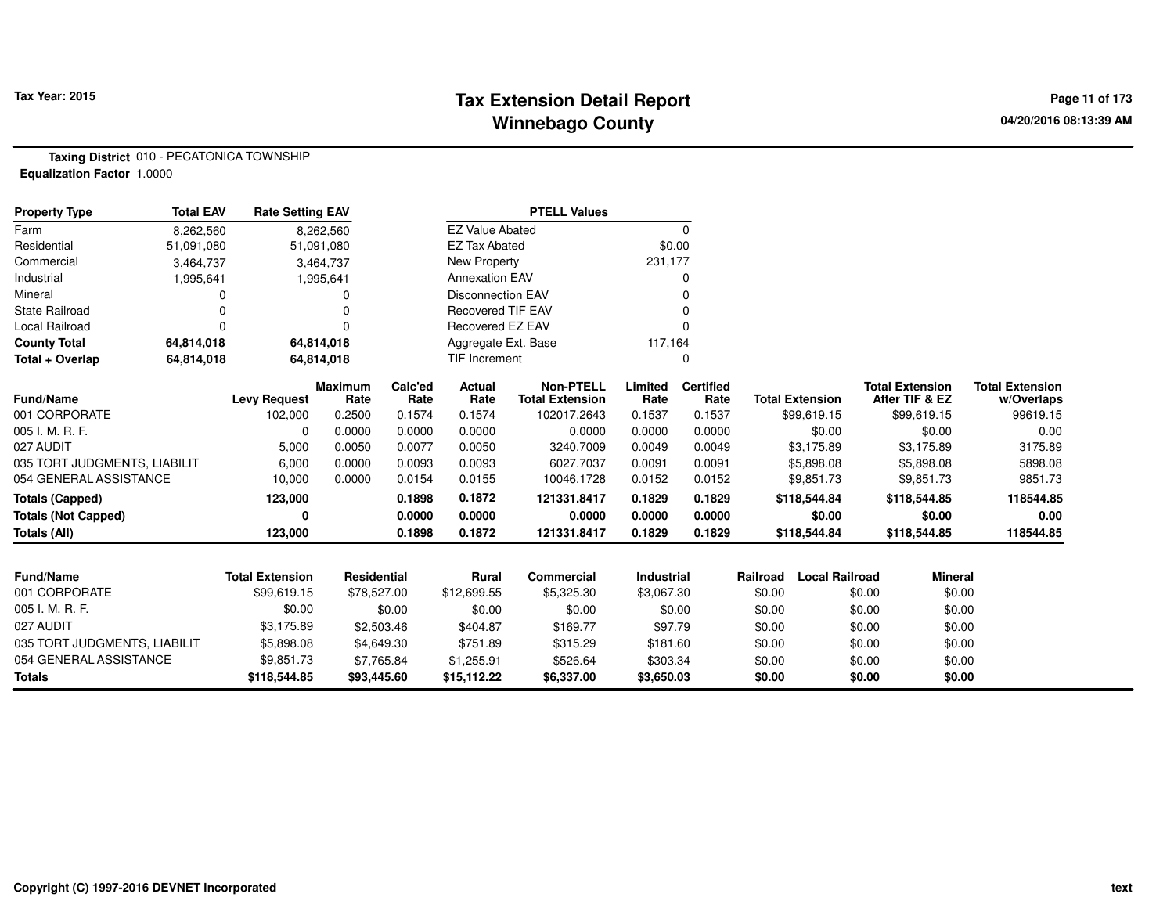# **Tax Extension Detail Report Tax Year: 2015 Page 11 of 173 Winnebago County**

**Taxing District** 010 - PECATONICA TOWNSHIP**Equalization Factor** 1.0000

| <b>Property Type</b>         | <b>Total EAV</b> | <b>Rate Setting EAV</b> |                        |                 |                          |                                            |                   |                          |          |                        |        |                                          |                                      |
|------------------------------|------------------|-------------------------|------------------------|-----------------|--------------------------|--------------------------------------------|-------------------|--------------------------|----------|------------------------|--------|------------------------------------------|--------------------------------------|
| Farm                         | 8,262,560        |                         | 8,262,560              |                 | <b>EZ Value Abated</b>   |                                            |                   | 0                        |          |                        |        |                                          |                                      |
| Residential                  | 51,091,080       |                         | 51,091,080             |                 | <b>EZ Tax Abated</b>     |                                            | \$0.00            |                          |          |                        |        |                                          |                                      |
| Commercial                   | 3,464,737        |                         | 3,464,737              |                 | New Property             |                                            | 231,177           |                          |          |                        |        |                                          |                                      |
| Industrial                   | 1,995,641        |                         | 1,995,641              |                 | <b>Annexation EAV</b>    |                                            |                   | 0                        |          |                        |        |                                          |                                      |
| Mineral                      | 0                |                         | 0                      |                 | <b>Disconnection EAV</b> |                                            |                   |                          |          |                        |        |                                          |                                      |
| <b>State Railroad</b>        | 0                |                         |                        |                 | <b>Recovered TIF EAV</b> |                                            |                   |                          |          |                        |        |                                          |                                      |
| Local Railroad               | 0                |                         | 0                      |                 | Recovered EZ EAV         |                                            |                   |                          |          |                        |        |                                          |                                      |
| <b>County Total</b>          | 64,814,018       |                         | 64,814,018             |                 | Aggregate Ext. Base      |                                            | 117,164           |                          |          |                        |        |                                          |                                      |
| Total + Overlap              | 64,814,018       |                         | 64,814,018             |                 | <b>TIF Increment</b>     |                                            |                   | 0                        |          |                        |        |                                          |                                      |
| <b>Fund/Name</b>             |                  | <b>Levy Request</b>     | <b>Maximum</b><br>Rate | Calc'ed<br>Rate | <b>Actual</b><br>Rate    | <b>Non-PTELL</b><br><b>Total Extension</b> | Limited<br>Rate   | <b>Certified</b><br>Rate |          | <b>Total Extension</b> |        | <b>Total Extension</b><br>After TIF & EZ | <b>Total Extension</b><br>w/Overlaps |
| 001 CORPORATE                |                  | 102,000                 | 0.2500                 | 0.1574          | 0.1574                   | 102017.2643                                | 0.1537            | 0.1537                   |          | \$99,619.15            |        | \$99,619.15                              | 99619.15                             |
| 005 I. M. R. F.              |                  | $\Omega$                | 0.0000                 | 0.0000          | 0.0000                   | 0.0000                                     | 0.0000            | 0.0000                   |          | \$0.00                 |        | \$0.00                                   | 0.00                                 |
| 027 AUDIT                    |                  | 5,000                   | 0.0050                 | 0.0077          | 0.0050                   | 3240.7009                                  | 0.0049            | 0.0049                   |          | \$3,175.89             |        | \$3,175.89                               | 3175.89                              |
| 035 TORT JUDGMENTS, LIABILIT |                  | 6,000                   | 0.0000                 | 0.0093          | 0.0093                   | 6027.7037                                  | 0.0091            | 0.0091                   |          | \$5,898.08             |        | \$5,898.08                               | 5898.08                              |
| 054 GENERAL ASSISTANCE       |                  | 10,000                  | 0.0000                 | 0.0154          | 0.0155                   | 10046.1728                                 | 0.0152            | 0.0152                   |          | \$9,851.73             |        | \$9,851.73                               | 9851.73                              |
| <b>Totals (Capped)</b>       |                  | 123,000                 |                        | 0.1898          | 0.1872                   | 121331.8417                                | 0.1829            | 0.1829                   |          | \$118,544.84           |        | \$118,544.85                             | 118544.85                            |
| <b>Totals (Not Capped)</b>   |                  | 0                       |                        | 0.0000          | 0.0000                   | 0.0000                                     | 0.0000            | 0.0000                   |          | \$0.00                 |        | \$0.00                                   | 0.00                                 |
| <b>Totals (All)</b>          |                  | 123,000                 |                        | 0.1898          | 0.1872                   | 121331.8417                                | 0.1829            | 0.1829                   |          | \$118,544.84           |        | \$118,544.85                             | 118544.85                            |
|                              |                  |                         |                        |                 |                          |                                            |                   |                          |          |                        |        |                                          |                                      |
| Fund/Name                    |                  | <b>Total Extension</b>  | <b>Residential</b>     |                 | <b>Rural</b>             | <b>Commercial</b>                          | <b>Industrial</b> |                          | Railroad | <b>Local Railroad</b>  |        | <b>Mineral</b>                           |                                      |
| 001 CORPORATE                |                  | \$99,619.15             | \$78,527.00            |                 | \$12,699.55              | \$5,325.30                                 | \$3,067.30        |                          | \$0.00   |                        | \$0.00 | \$0.00                                   |                                      |
| 005 I. M. R. F.              |                  | \$0.00                  |                        | \$0.00          | \$0.00                   | \$0.00                                     | \$0.00            |                          | \$0.00   |                        | \$0.00 | \$0.00                                   |                                      |
| 027 AUDIT                    |                  | \$3,175.89              |                        | \$2,503.46      | \$404.87                 | \$169.77                                   | \$97.79           |                          | \$0.00   |                        | \$0.00 | \$0.00                                   |                                      |
| 035 TORT JUDGMENTS, LIABILIT |                  | \$5,898.08              |                        | \$4,649.30      | \$751.89                 | \$315.29                                   | \$181.60          |                          | \$0.00   |                        | \$0.00 | \$0.00                                   |                                      |
| 054 GENERAL ASSISTANCE       |                  | \$9,851.73              |                        | \$7,765.84      | \$1,255.91               | \$526.64                                   | \$303.34          |                          | \$0.00   |                        | \$0.00 | \$0.00                                   |                                      |
| <b>Totals</b>                |                  | \$118,544.85            | \$93,445.60            |                 | \$15,112.22              | \$6,337.00                                 | \$3,650.03        |                          | \$0.00   |                        | \$0.00 | \$0.00                                   |                                      |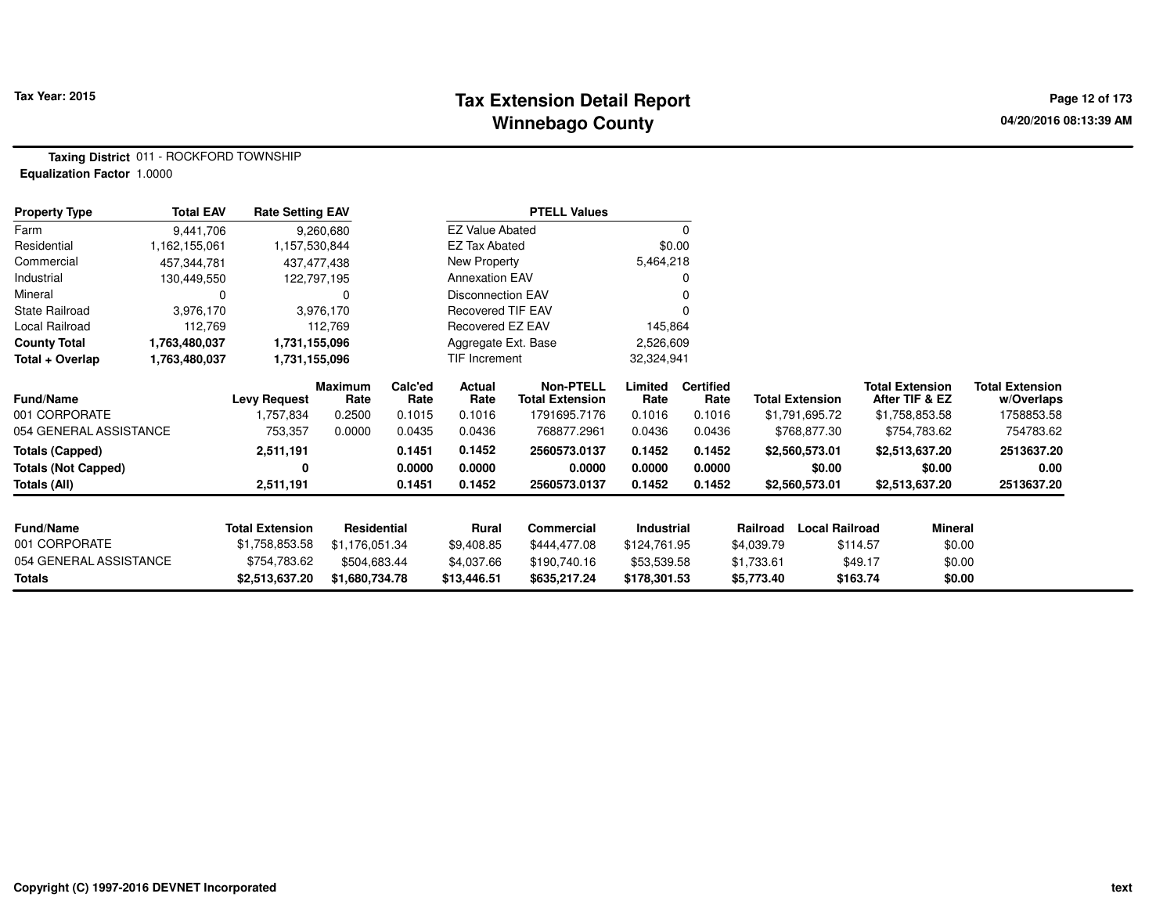# **Tax Extension Detail Report Tax Year: 2015 Page 12 of 173 Winnebago County**

**Taxing District** 011 - ROCKFORD TOWNSHIP**Equalization Factor** 1.0000

| <b>Property Type</b>       | <b>Total EAV</b> | <b>Rate Setting EAV</b> |                 |                 |                          | <b>PTELL Values</b>                        |                 |                          |            |                        |                                          |                                      |
|----------------------------|------------------|-------------------------|-----------------|-----------------|--------------------------|--------------------------------------------|-----------------|--------------------------|------------|------------------------|------------------------------------------|--------------------------------------|
| Farm                       | 9,441,706        |                         | 9,260,680       |                 | <b>EZ Value Abated</b>   |                                            |                 | $\Omega$                 |            |                        |                                          |                                      |
| Residential                | 1,162,155,061    | 1,157,530,844           |                 |                 | <b>EZ Tax Abated</b>     |                                            |                 | \$0.00                   |            |                        |                                          |                                      |
| Commercial                 | 457,344,781      | 437,477,438             |                 |                 | New Property             |                                            | 5,464,218       |                          |            |                        |                                          |                                      |
| Industrial                 | 130,449,550      | 122,797,195             |                 |                 | <b>Annexation EAV</b>    |                                            |                 |                          |            |                        |                                          |                                      |
| Mineral                    | 0                |                         | 0               |                 | <b>Disconnection EAV</b> |                                            |                 |                          |            |                        |                                          |                                      |
| <b>State Railroad</b>      | 3,976,170        |                         | 3,976,170       |                 | <b>Recovered TIF EAV</b> |                                            |                 |                          |            |                        |                                          |                                      |
| Local Railroad             | 112,769          |                         | 112,769         |                 | Recovered EZ EAV         |                                            | 145,864         |                          |            |                        |                                          |                                      |
| <b>County Total</b>        | 1,763,480,037    | 1,731,155,096           |                 |                 | Aggregate Ext. Base      |                                            | 2,526,609       |                          |            |                        |                                          |                                      |
| Total + Overlap            | 1,763,480,037    | 1,731,155,096           |                 |                 | TIF Increment            |                                            | 32,324,941      |                          |            |                        |                                          |                                      |
| <b>Fund/Name</b>           |                  | <b>Levy Request</b>     | Maximum<br>Rate | Calc'ed<br>Rate | Actual<br>Rate           | <b>Non-PTELL</b><br><b>Total Extension</b> | Limited<br>Rate | <b>Certified</b><br>Rate |            | <b>Total Extension</b> | <b>Total Extension</b><br>After TIF & EZ | <b>Total Extension</b><br>w/Overlaps |
| 001 CORPORATE              |                  | 1,757,834               | 0.2500          | 0.1015          | 0.1016                   | 1791695.7176                               | 0.1016          | 0.1016                   |            | \$1,791,695.72         | \$1,758,853.58                           | 1758853.58                           |
| 054 GENERAL ASSISTANCE     |                  | 753,357                 | 0.0000          | 0.0435          | 0.0436                   | 768877.2961                                | 0.0436          | 0.0436                   |            | \$768,877.30           | \$754,783.62                             | 754783.62                            |
| <b>Totals (Capped)</b>     |                  | 2,511,191               |                 | 0.1451          | 0.1452                   | 2560573.0137                               | 0.1452          | 0.1452                   |            | \$2,560,573.01         | \$2,513,637.20                           | 2513637.20                           |
| <b>Totals (Not Capped)</b> |                  |                         |                 | 0.0000          | 0.0000                   | 0.0000                                     | 0.0000          | 0.0000                   |            | \$0.00                 | \$0.00                                   | 0.00                                 |
| Totals (All)               |                  | 2,511,191               |                 | 0.1451          | 0.1452                   | 2560573.0137                               | 0.1452          | 0.1452                   |            | \$2,560,573.01         | \$2,513,637.20                           | 2513637.20                           |
| <b>Fund/Name</b>           |                  | <b>Total Extension</b>  | Residential     |                 | Rural                    | Commercial                                 | Industrial      |                          | Railroad   | <b>Local Railroad</b>  |                                          | Mineral                              |
| 001 CORPORATE              |                  | \$1,758,853.58          | \$1,176,051.34  |                 | \$9,408.85               | \$444,477.08                               | \$124,761.95    |                          | \$4,039.79 |                        | \$114.57                                 | \$0.00                               |
| 054 GENERAL ASSISTANCE     |                  | \$754,783.62            | \$504,683.44    |                 | \$4,037.66               | \$190,740.16                               | \$53,539.58     |                          | \$1,733.61 |                        | \$49.17                                  | \$0.00                               |
| Totals                     |                  | \$2,513,637.20          | \$1,680,734.78  |                 | \$13,446.51              | \$635,217.24                               | \$178,301.53    |                          | \$5,773.40 |                        | \$163.74                                 | \$0.00                               |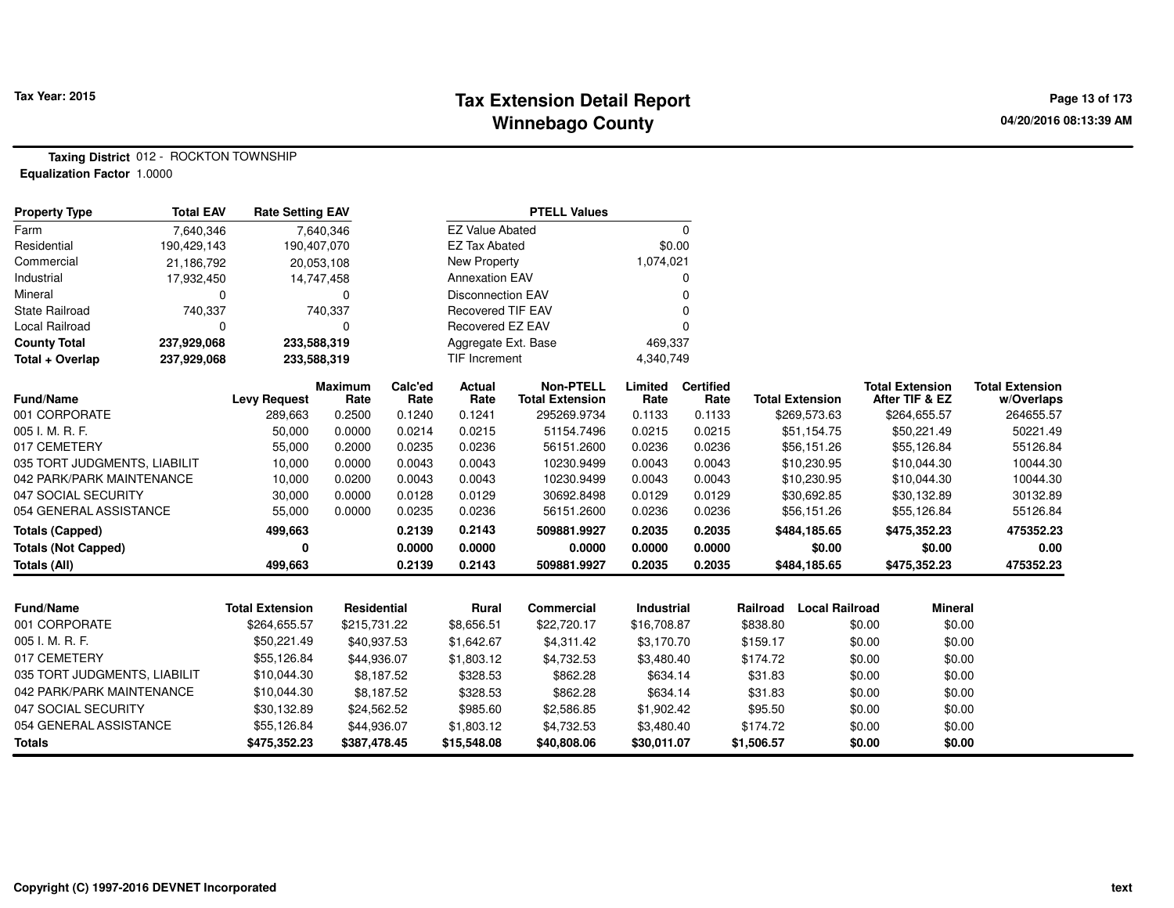#### **Tax Extension Detail Report Tax Year: 2015 Page 13 of 173 Winnebago County**

**Taxing District** 012 - ROCKTON TOWNSHIP**Equalization Factor** 1.0000

| <b>EZ Value Abated</b><br>$\mathbf 0$<br>Farm<br>7,640,346<br>7,640,346<br><b>EZ Tax Abated</b><br>\$0.00<br>Residential<br>190,429,143<br>190,407,070<br><b>New Property</b><br>1,074,021<br>Commercial<br>21,186,792<br>20,053,108<br><b>Annexation EAV</b><br>Industrial<br>17,932,450<br>14,747,458<br>O<br>Mineral<br><b>Disconnection EAV</b><br>0<br>0<br><b>State Railroad</b><br>740,337<br><b>Recovered TIF EAV</b><br>740,337<br>Local Railroad<br>Recovered EZ EAV<br>0<br>0<br>0<br><b>County Total</b><br>237,929,068<br>233,588,319<br>Aggregate Ext. Base<br>469,337<br>Total + Overlap<br>237,929,068<br>233,588,319<br>TIF Increment<br>4,340,749<br><b>Non-PTELL</b><br>Calc'ed<br>Actual<br>Limited<br><b>Certified</b><br><b>Total Extension</b><br>Maximum<br><b>Fund/Name</b><br><b>Levy Request</b><br>Rate<br><b>Total Extension</b><br>Rate<br>Rate<br><b>Total Extension</b><br>After TIF & EZ<br>Rate<br>Rate<br>001 CORPORATE<br>0.2500<br>0.1240<br>0.1241<br>295269.9734<br>0.1133<br>0.1133<br>\$269,573.63<br>\$264,655.57<br>289,663<br>005 I. M. R. F.<br>50,000<br>0.0000<br>0.0215<br>51154.7496<br>0.0215<br>0.0215<br>\$50,221.49<br>0.0214<br>\$51,154.75<br>017 CEMETERY<br>0.0236<br>0.0236<br>\$55,126.84<br>55,000<br>0.2000<br>0.0235<br>56151.2600<br>0.0236<br>\$56,151.26<br>0.0043<br>0.0043<br>035 TORT JUDGMENTS, LIABILIT<br>10,000<br>0.0000<br>0.0043<br>10230.9499<br>0.0043<br>\$10,230.95<br>\$10,044.30<br>042 PARK/PARK MAINTENANCE<br>10,000<br>0.0200<br>0.0043<br>0.0043<br>0.0043<br>10230.9499<br>0.0043<br>\$10,230.95<br>\$10,044.30<br>047 SOCIAL SECURITY<br>30,000<br>0.0000<br>0.0128<br>0.0129<br>30692.8498<br>0.0129<br>0.0129<br>\$30,692.85<br>\$30,132.89<br>054 GENERAL ASSISTANCE<br>55,000<br>0.0236<br>0.0236<br>0.0000<br>0.0235<br>56151.2600<br>0.0236<br>\$56,151.26<br>\$55,126.84<br>0.2143<br>0.2035<br><b>Totals (Capped)</b><br>499,663<br>0.2139<br>0.2035<br>509881.9927<br>\$484,185.65<br>\$475,352.23<br>0<br>0.0000<br>0.0000<br>0.0000<br>0.0000<br>0.0000<br>\$0.00<br>\$0.00<br><b>Totals (Not Capped)</b><br>0.2143<br>499,663<br>0.2139<br>509881.9927<br>0.2035<br>0.2035<br>\$484,185.65<br>\$475,352.23<br>Totals (All)<br><b>Local Railroad</b><br><b>Fund/Name</b><br><b>Total Extension</b><br><b>Residential</b><br>Rural<br>Commercial<br>Industrial<br>Railroad<br><b>Mineral</b><br>001 CORPORATE<br>\$264,655.57<br>\$215,731.22<br>\$8,656.51<br>\$22,720.17<br>\$838.80<br>\$0.00<br>\$0.00<br>\$16,708.87<br>005 I. M. R. F.<br>\$50,221.49<br>\$0.00<br>\$1,642.67<br>\$4,311.42<br>\$3,170.70<br>\$159.17<br>\$0.00<br>\$40,937.53<br>017 CEMETERY<br>\$55,126.84<br>\$0.00<br>\$44,936.07<br>\$1,803.12<br>\$4,732.53<br>\$3,480.40<br>\$174.72<br>\$0.00<br>035 TORT JUDGMENTS, LIABILIT<br>\$10,044.30<br>\$328.53<br>\$862.28<br>\$634.14<br>\$31.83<br>\$0.00<br>\$0.00<br>\$8,187.52<br>042 PARK/PARK MAINTENANCE<br>\$10,044.30<br>\$8,187.52<br>\$328.53<br>\$862.28<br>\$634.14<br>\$31.83<br>\$0.00<br>\$0.00<br>047 SOCIAL SECURITY<br>\$30,132.89<br>\$95.50<br>\$0.00<br>\$24,562.52<br>\$985.60<br>\$2,586.85<br>\$1,902.42<br>\$0.00<br>054 GENERAL ASSISTANCE<br>\$55,126.84<br>\$0.00<br>\$44,936.07<br>\$1,803.12<br>\$4,732.53<br>\$3,480.40<br>\$174.72<br>\$0.00<br>\$0.00<br>\$0.00<br><b>Totals</b><br>\$475,352.23<br>\$387,478.45<br>\$15,548.08<br>\$40,808.06<br>\$30,011.07<br>\$1,506.57 | Property Type | Total EAV | <b>Rate Setting EAV</b> |  | <b>PTELL Values</b> |  |  |                                      |
|-------------------------------------------------------------------------------------------------------------------------------------------------------------------------------------------------------------------------------------------------------------------------------------------------------------------------------------------------------------------------------------------------------------------------------------------------------------------------------------------------------------------------------------------------------------------------------------------------------------------------------------------------------------------------------------------------------------------------------------------------------------------------------------------------------------------------------------------------------------------------------------------------------------------------------------------------------------------------------------------------------------------------------------------------------------------------------------------------------------------------------------------------------------------------------------------------------------------------------------------------------------------------------------------------------------------------------------------------------------------------------------------------------------------------------------------------------------------------------------------------------------------------------------------------------------------------------------------------------------------------------------------------------------------------------------------------------------------------------------------------------------------------------------------------------------------------------------------------------------------------------------------------------------------------------------------------------------------------------------------------------------------------------------------------------------------------------------------------------------------------------------------------------------------------------------------------------------------------------------------------------------------------------------------------------------------------------------------------------------------------------------------------------------------------------------------------------------------------------------------------------------------------------------------------------------------------------------------------------------------------------------------------------------------------------------------------------------------------------------------------------------------------------------------------------------------------------------------------------------------------------------------------------------------------------------------------------------------------------------------------------------------------------------------------------------------------------------------------------------------------------------------------------------------------------------------------------------------------------------------------------------------------------------------------------------------------------------------------------------------------------------------------------------------------------------------|---------------|-----------|-------------------------|--|---------------------|--|--|--------------------------------------|
|                                                                                                                                                                                                                                                                                                                                                                                                                                                                                                                                                                                                                                                                                                                                                                                                                                                                                                                                                                                                                                                                                                                                                                                                                                                                                                                                                                                                                                                                                                                                                                                                                                                                                                                                                                                                                                                                                                                                                                                                                                                                                                                                                                                                                                                                                                                                                                                                                                                                                                                                                                                                                                                                                                                                                                                                                                                                                                                                                                                                                                                                                                                                                                                                                                                                                                                                                                                                                                           |               |           |                         |  |                     |  |  |                                      |
|                                                                                                                                                                                                                                                                                                                                                                                                                                                                                                                                                                                                                                                                                                                                                                                                                                                                                                                                                                                                                                                                                                                                                                                                                                                                                                                                                                                                                                                                                                                                                                                                                                                                                                                                                                                                                                                                                                                                                                                                                                                                                                                                                                                                                                                                                                                                                                                                                                                                                                                                                                                                                                                                                                                                                                                                                                                                                                                                                                                                                                                                                                                                                                                                                                                                                                                                                                                                                                           |               |           |                         |  |                     |  |  |                                      |
|                                                                                                                                                                                                                                                                                                                                                                                                                                                                                                                                                                                                                                                                                                                                                                                                                                                                                                                                                                                                                                                                                                                                                                                                                                                                                                                                                                                                                                                                                                                                                                                                                                                                                                                                                                                                                                                                                                                                                                                                                                                                                                                                                                                                                                                                                                                                                                                                                                                                                                                                                                                                                                                                                                                                                                                                                                                                                                                                                                                                                                                                                                                                                                                                                                                                                                                                                                                                                                           |               |           |                         |  |                     |  |  |                                      |
|                                                                                                                                                                                                                                                                                                                                                                                                                                                                                                                                                                                                                                                                                                                                                                                                                                                                                                                                                                                                                                                                                                                                                                                                                                                                                                                                                                                                                                                                                                                                                                                                                                                                                                                                                                                                                                                                                                                                                                                                                                                                                                                                                                                                                                                                                                                                                                                                                                                                                                                                                                                                                                                                                                                                                                                                                                                                                                                                                                                                                                                                                                                                                                                                                                                                                                                                                                                                                                           |               |           |                         |  |                     |  |  |                                      |
|                                                                                                                                                                                                                                                                                                                                                                                                                                                                                                                                                                                                                                                                                                                                                                                                                                                                                                                                                                                                                                                                                                                                                                                                                                                                                                                                                                                                                                                                                                                                                                                                                                                                                                                                                                                                                                                                                                                                                                                                                                                                                                                                                                                                                                                                                                                                                                                                                                                                                                                                                                                                                                                                                                                                                                                                                                                                                                                                                                                                                                                                                                                                                                                                                                                                                                                                                                                                                                           |               |           |                         |  |                     |  |  |                                      |
|                                                                                                                                                                                                                                                                                                                                                                                                                                                                                                                                                                                                                                                                                                                                                                                                                                                                                                                                                                                                                                                                                                                                                                                                                                                                                                                                                                                                                                                                                                                                                                                                                                                                                                                                                                                                                                                                                                                                                                                                                                                                                                                                                                                                                                                                                                                                                                                                                                                                                                                                                                                                                                                                                                                                                                                                                                                                                                                                                                                                                                                                                                                                                                                                                                                                                                                                                                                                                                           |               |           |                         |  |                     |  |  |                                      |
|                                                                                                                                                                                                                                                                                                                                                                                                                                                                                                                                                                                                                                                                                                                                                                                                                                                                                                                                                                                                                                                                                                                                                                                                                                                                                                                                                                                                                                                                                                                                                                                                                                                                                                                                                                                                                                                                                                                                                                                                                                                                                                                                                                                                                                                                                                                                                                                                                                                                                                                                                                                                                                                                                                                                                                                                                                                                                                                                                                                                                                                                                                                                                                                                                                                                                                                                                                                                                                           |               |           |                         |  |                     |  |  |                                      |
|                                                                                                                                                                                                                                                                                                                                                                                                                                                                                                                                                                                                                                                                                                                                                                                                                                                                                                                                                                                                                                                                                                                                                                                                                                                                                                                                                                                                                                                                                                                                                                                                                                                                                                                                                                                                                                                                                                                                                                                                                                                                                                                                                                                                                                                                                                                                                                                                                                                                                                                                                                                                                                                                                                                                                                                                                                                                                                                                                                                                                                                                                                                                                                                                                                                                                                                                                                                                                                           |               |           |                         |  |                     |  |  |                                      |
|                                                                                                                                                                                                                                                                                                                                                                                                                                                                                                                                                                                                                                                                                                                                                                                                                                                                                                                                                                                                                                                                                                                                                                                                                                                                                                                                                                                                                                                                                                                                                                                                                                                                                                                                                                                                                                                                                                                                                                                                                                                                                                                                                                                                                                                                                                                                                                                                                                                                                                                                                                                                                                                                                                                                                                                                                                                                                                                                                                                                                                                                                                                                                                                                                                                                                                                                                                                                                                           |               |           |                         |  |                     |  |  |                                      |
|                                                                                                                                                                                                                                                                                                                                                                                                                                                                                                                                                                                                                                                                                                                                                                                                                                                                                                                                                                                                                                                                                                                                                                                                                                                                                                                                                                                                                                                                                                                                                                                                                                                                                                                                                                                                                                                                                                                                                                                                                                                                                                                                                                                                                                                                                                                                                                                                                                                                                                                                                                                                                                                                                                                                                                                                                                                                                                                                                                                                                                                                                                                                                                                                                                                                                                                                                                                                                                           |               |           |                         |  |                     |  |  | <b>Total Extension</b><br>w/Overlaps |
|                                                                                                                                                                                                                                                                                                                                                                                                                                                                                                                                                                                                                                                                                                                                                                                                                                                                                                                                                                                                                                                                                                                                                                                                                                                                                                                                                                                                                                                                                                                                                                                                                                                                                                                                                                                                                                                                                                                                                                                                                                                                                                                                                                                                                                                                                                                                                                                                                                                                                                                                                                                                                                                                                                                                                                                                                                                                                                                                                                                                                                                                                                                                                                                                                                                                                                                                                                                                                                           |               |           |                         |  |                     |  |  | 264655.57                            |
|                                                                                                                                                                                                                                                                                                                                                                                                                                                                                                                                                                                                                                                                                                                                                                                                                                                                                                                                                                                                                                                                                                                                                                                                                                                                                                                                                                                                                                                                                                                                                                                                                                                                                                                                                                                                                                                                                                                                                                                                                                                                                                                                                                                                                                                                                                                                                                                                                                                                                                                                                                                                                                                                                                                                                                                                                                                                                                                                                                                                                                                                                                                                                                                                                                                                                                                                                                                                                                           |               |           |                         |  |                     |  |  | 50221.49                             |
|                                                                                                                                                                                                                                                                                                                                                                                                                                                                                                                                                                                                                                                                                                                                                                                                                                                                                                                                                                                                                                                                                                                                                                                                                                                                                                                                                                                                                                                                                                                                                                                                                                                                                                                                                                                                                                                                                                                                                                                                                                                                                                                                                                                                                                                                                                                                                                                                                                                                                                                                                                                                                                                                                                                                                                                                                                                                                                                                                                                                                                                                                                                                                                                                                                                                                                                                                                                                                                           |               |           |                         |  |                     |  |  | 55126.84                             |
|                                                                                                                                                                                                                                                                                                                                                                                                                                                                                                                                                                                                                                                                                                                                                                                                                                                                                                                                                                                                                                                                                                                                                                                                                                                                                                                                                                                                                                                                                                                                                                                                                                                                                                                                                                                                                                                                                                                                                                                                                                                                                                                                                                                                                                                                                                                                                                                                                                                                                                                                                                                                                                                                                                                                                                                                                                                                                                                                                                                                                                                                                                                                                                                                                                                                                                                                                                                                                                           |               |           |                         |  |                     |  |  | 10044.30                             |
|                                                                                                                                                                                                                                                                                                                                                                                                                                                                                                                                                                                                                                                                                                                                                                                                                                                                                                                                                                                                                                                                                                                                                                                                                                                                                                                                                                                                                                                                                                                                                                                                                                                                                                                                                                                                                                                                                                                                                                                                                                                                                                                                                                                                                                                                                                                                                                                                                                                                                                                                                                                                                                                                                                                                                                                                                                                                                                                                                                                                                                                                                                                                                                                                                                                                                                                                                                                                                                           |               |           |                         |  |                     |  |  | 10044.30                             |
|                                                                                                                                                                                                                                                                                                                                                                                                                                                                                                                                                                                                                                                                                                                                                                                                                                                                                                                                                                                                                                                                                                                                                                                                                                                                                                                                                                                                                                                                                                                                                                                                                                                                                                                                                                                                                                                                                                                                                                                                                                                                                                                                                                                                                                                                                                                                                                                                                                                                                                                                                                                                                                                                                                                                                                                                                                                                                                                                                                                                                                                                                                                                                                                                                                                                                                                                                                                                                                           |               |           |                         |  |                     |  |  | 30132.89                             |
|                                                                                                                                                                                                                                                                                                                                                                                                                                                                                                                                                                                                                                                                                                                                                                                                                                                                                                                                                                                                                                                                                                                                                                                                                                                                                                                                                                                                                                                                                                                                                                                                                                                                                                                                                                                                                                                                                                                                                                                                                                                                                                                                                                                                                                                                                                                                                                                                                                                                                                                                                                                                                                                                                                                                                                                                                                                                                                                                                                                                                                                                                                                                                                                                                                                                                                                                                                                                                                           |               |           |                         |  |                     |  |  | 55126.84                             |
|                                                                                                                                                                                                                                                                                                                                                                                                                                                                                                                                                                                                                                                                                                                                                                                                                                                                                                                                                                                                                                                                                                                                                                                                                                                                                                                                                                                                                                                                                                                                                                                                                                                                                                                                                                                                                                                                                                                                                                                                                                                                                                                                                                                                                                                                                                                                                                                                                                                                                                                                                                                                                                                                                                                                                                                                                                                                                                                                                                                                                                                                                                                                                                                                                                                                                                                                                                                                                                           |               |           |                         |  |                     |  |  | 475352.23                            |
|                                                                                                                                                                                                                                                                                                                                                                                                                                                                                                                                                                                                                                                                                                                                                                                                                                                                                                                                                                                                                                                                                                                                                                                                                                                                                                                                                                                                                                                                                                                                                                                                                                                                                                                                                                                                                                                                                                                                                                                                                                                                                                                                                                                                                                                                                                                                                                                                                                                                                                                                                                                                                                                                                                                                                                                                                                                                                                                                                                                                                                                                                                                                                                                                                                                                                                                                                                                                                                           |               |           |                         |  |                     |  |  | 0.00                                 |
|                                                                                                                                                                                                                                                                                                                                                                                                                                                                                                                                                                                                                                                                                                                                                                                                                                                                                                                                                                                                                                                                                                                                                                                                                                                                                                                                                                                                                                                                                                                                                                                                                                                                                                                                                                                                                                                                                                                                                                                                                                                                                                                                                                                                                                                                                                                                                                                                                                                                                                                                                                                                                                                                                                                                                                                                                                                                                                                                                                                                                                                                                                                                                                                                                                                                                                                                                                                                                                           |               |           |                         |  |                     |  |  | 475352.23                            |
|                                                                                                                                                                                                                                                                                                                                                                                                                                                                                                                                                                                                                                                                                                                                                                                                                                                                                                                                                                                                                                                                                                                                                                                                                                                                                                                                                                                                                                                                                                                                                                                                                                                                                                                                                                                                                                                                                                                                                                                                                                                                                                                                                                                                                                                                                                                                                                                                                                                                                                                                                                                                                                                                                                                                                                                                                                                                                                                                                                                                                                                                                                                                                                                                                                                                                                                                                                                                                                           |               |           |                         |  |                     |  |  |                                      |
|                                                                                                                                                                                                                                                                                                                                                                                                                                                                                                                                                                                                                                                                                                                                                                                                                                                                                                                                                                                                                                                                                                                                                                                                                                                                                                                                                                                                                                                                                                                                                                                                                                                                                                                                                                                                                                                                                                                                                                                                                                                                                                                                                                                                                                                                                                                                                                                                                                                                                                                                                                                                                                                                                                                                                                                                                                                                                                                                                                                                                                                                                                                                                                                                                                                                                                                                                                                                                                           |               |           |                         |  |                     |  |  |                                      |
|                                                                                                                                                                                                                                                                                                                                                                                                                                                                                                                                                                                                                                                                                                                                                                                                                                                                                                                                                                                                                                                                                                                                                                                                                                                                                                                                                                                                                                                                                                                                                                                                                                                                                                                                                                                                                                                                                                                                                                                                                                                                                                                                                                                                                                                                                                                                                                                                                                                                                                                                                                                                                                                                                                                                                                                                                                                                                                                                                                                                                                                                                                                                                                                                                                                                                                                                                                                                                                           |               |           |                         |  |                     |  |  |                                      |
|                                                                                                                                                                                                                                                                                                                                                                                                                                                                                                                                                                                                                                                                                                                                                                                                                                                                                                                                                                                                                                                                                                                                                                                                                                                                                                                                                                                                                                                                                                                                                                                                                                                                                                                                                                                                                                                                                                                                                                                                                                                                                                                                                                                                                                                                                                                                                                                                                                                                                                                                                                                                                                                                                                                                                                                                                                                                                                                                                                                                                                                                                                                                                                                                                                                                                                                                                                                                                                           |               |           |                         |  |                     |  |  |                                      |
|                                                                                                                                                                                                                                                                                                                                                                                                                                                                                                                                                                                                                                                                                                                                                                                                                                                                                                                                                                                                                                                                                                                                                                                                                                                                                                                                                                                                                                                                                                                                                                                                                                                                                                                                                                                                                                                                                                                                                                                                                                                                                                                                                                                                                                                                                                                                                                                                                                                                                                                                                                                                                                                                                                                                                                                                                                                                                                                                                                                                                                                                                                                                                                                                                                                                                                                                                                                                                                           |               |           |                         |  |                     |  |  |                                      |
|                                                                                                                                                                                                                                                                                                                                                                                                                                                                                                                                                                                                                                                                                                                                                                                                                                                                                                                                                                                                                                                                                                                                                                                                                                                                                                                                                                                                                                                                                                                                                                                                                                                                                                                                                                                                                                                                                                                                                                                                                                                                                                                                                                                                                                                                                                                                                                                                                                                                                                                                                                                                                                                                                                                                                                                                                                                                                                                                                                                                                                                                                                                                                                                                                                                                                                                                                                                                                                           |               |           |                         |  |                     |  |  |                                      |
|                                                                                                                                                                                                                                                                                                                                                                                                                                                                                                                                                                                                                                                                                                                                                                                                                                                                                                                                                                                                                                                                                                                                                                                                                                                                                                                                                                                                                                                                                                                                                                                                                                                                                                                                                                                                                                                                                                                                                                                                                                                                                                                                                                                                                                                                                                                                                                                                                                                                                                                                                                                                                                                                                                                                                                                                                                                                                                                                                                                                                                                                                                                                                                                                                                                                                                                                                                                                                                           |               |           |                         |  |                     |  |  |                                      |
|                                                                                                                                                                                                                                                                                                                                                                                                                                                                                                                                                                                                                                                                                                                                                                                                                                                                                                                                                                                                                                                                                                                                                                                                                                                                                                                                                                                                                                                                                                                                                                                                                                                                                                                                                                                                                                                                                                                                                                                                                                                                                                                                                                                                                                                                                                                                                                                                                                                                                                                                                                                                                                                                                                                                                                                                                                                                                                                                                                                                                                                                                                                                                                                                                                                                                                                                                                                                                                           |               |           |                         |  |                     |  |  |                                      |
|                                                                                                                                                                                                                                                                                                                                                                                                                                                                                                                                                                                                                                                                                                                                                                                                                                                                                                                                                                                                                                                                                                                                                                                                                                                                                                                                                                                                                                                                                                                                                                                                                                                                                                                                                                                                                                                                                                                                                                                                                                                                                                                                                                                                                                                                                                                                                                                                                                                                                                                                                                                                                                                                                                                                                                                                                                                                                                                                                                                                                                                                                                                                                                                                                                                                                                                                                                                                                                           |               |           |                         |  |                     |  |  |                                      |
|                                                                                                                                                                                                                                                                                                                                                                                                                                                                                                                                                                                                                                                                                                                                                                                                                                                                                                                                                                                                                                                                                                                                                                                                                                                                                                                                                                                                                                                                                                                                                                                                                                                                                                                                                                                                                                                                                                                                                                                                                                                                                                                                                                                                                                                                                                                                                                                                                                                                                                                                                                                                                                                                                                                                                                                                                                                                                                                                                                                                                                                                                                                                                                                                                                                                                                                                                                                                                                           |               |           |                         |  |                     |  |  |                                      |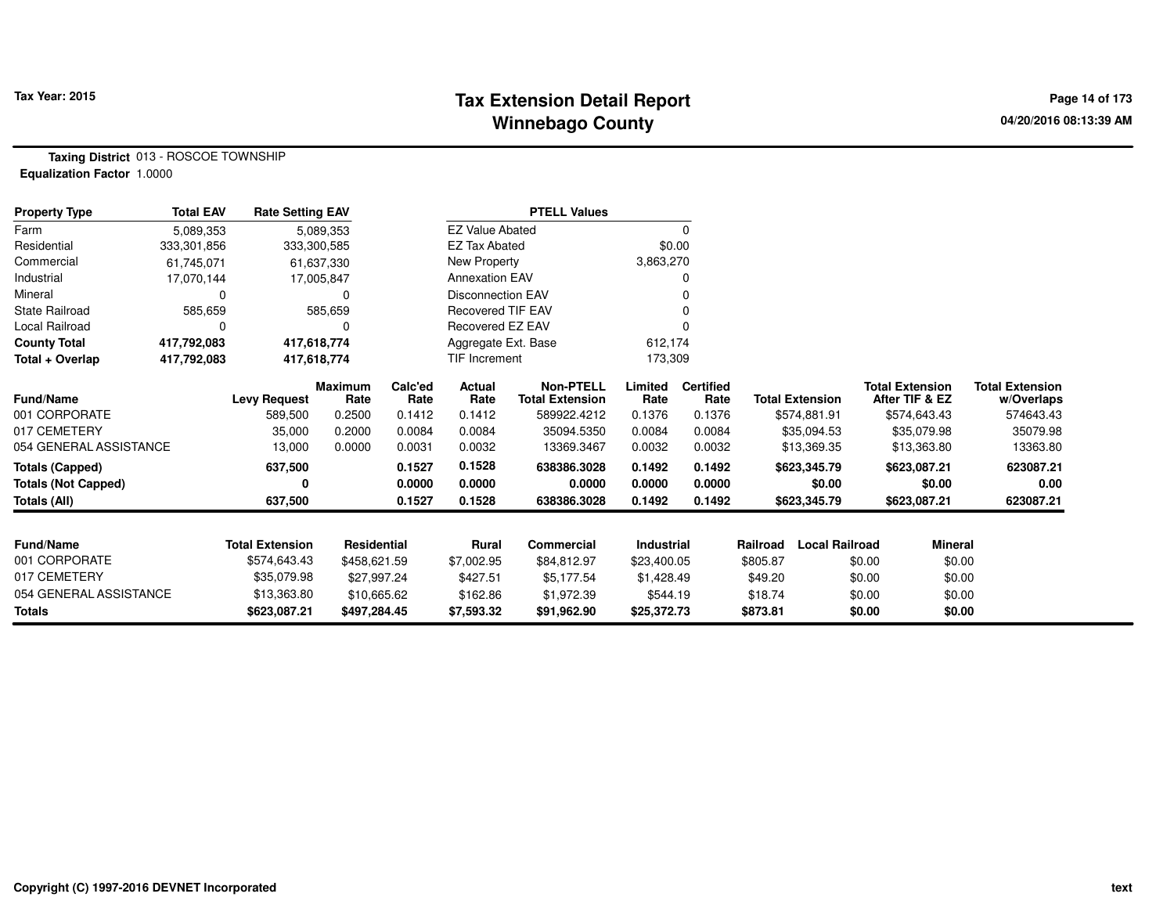#### **Tax Extension Detail Report Tax Year: 2015 Page 14 of 173 Winnebago County**

**Taxing District** 013 - ROSCOE TOWNSHIP**Equalization Factor** 1.0000

| <b>Property Type</b>       | <b>Total EAV</b> | <b>Rate Setting EAV</b> |                        |                 |                          | <b>PTELL Values</b>                        |                 |                          |                                   |                                          |                                      |
|----------------------------|------------------|-------------------------|------------------------|-----------------|--------------------------|--------------------------------------------|-----------------|--------------------------|-----------------------------------|------------------------------------------|--------------------------------------|
| Farm                       | 5,089,353        |                         | 5,089,353              |                 | <b>EZ Value Abated</b>   |                                            |                 | 0                        |                                   |                                          |                                      |
| Residential                | 333,301,856      | 333,300,585             |                        |                 | EZ Tax Abated            |                                            | \$0.00          |                          |                                   |                                          |                                      |
| Commercial                 | 61,745,071       |                         | 61,637,330             |                 | New Property             |                                            | 3,863,270       |                          |                                   |                                          |                                      |
| Industrial                 | 17,070,144       |                         | 17,005,847             |                 | <b>Annexation EAV</b>    |                                            |                 |                          |                                   |                                          |                                      |
| Mineral                    | 0                |                         | 0                      |                 | <b>Disconnection EAV</b> |                                            |                 |                          |                                   |                                          |                                      |
| <b>State Railroad</b>      | 585,659          |                         | 585,659                |                 | <b>Recovered TIF EAV</b> |                                            |                 |                          |                                   |                                          |                                      |
| Local Railroad             | 0                |                         | 0                      |                 | Recovered EZ EAV         |                                            |                 |                          |                                   |                                          |                                      |
| <b>County Total</b>        | 417,792,083      | 417,618,774             |                        |                 | Aggregate Ext. Base      |                                            | 612,174         |                          |                                   |                                          |                                      |
| Total + Overlap            | 417,792,083      | 417,618,774             |                        |                 | <b>TIF Increment</b>     |                                            | 173,309         |                          |                                   |                                          |                                      |
| <b>Fund/Name</b>           |                  | <b>Levy Request</b>     | <b>Maximum</b><br>Rate | Calc'ed<br>Rate | Actual<br>Rate           | <b>Non-PTELL</b><br><b>Total Extension</b> | Limited<br>Rate | <b>Certified</b><br>Rate | <b>Total Extension</b>            | <b>Total Extension</b><br>After TIF & EZ | <b>Total Extension</b><br>w/Overlaps |
| 001 CORPORATE              |                  | 589,500                 | 0.2500                 | 0.1412          | 0.1412                   | 589922.4212                                | 0.1376          | 0.1376                   | \$574,881.91                      | \$574,643.43                             | 574643.43                            |
| 017 CEMETERY               |                  | 35,000                  | 0.2000                 | 0.0084          | 0.0084                   | 35094.5350                                 | 0.0084          | 0.0084                   | \$35,094.53                       | \$35,079.98                              | 35079.98                             |
| 054 GENERAL ASSISTANCE     |                  | 13,000                  | 0.0000                 | 0.0031          | 0.0032                   | 13369.3467                                 | 0.0032          | 0.0032                   | \$13,369.35                       | \$13,363.80                              | 13363.80                             |
| <b>Totals (Capped)</b>     |                  | 637,500                 |                        | 0.1527          | 0.1528                   | 638386.3028                                | 0.1492          | 0.1492                   | \$623,345.79                      | \$623,087.21                             | 623087.21                            |
| <b>Totals (Not Capped)</b> |                  | 0                       |                        | 0.0000          | 0.0000                   | 0.0000                                     | 0.0000          | 0.0000                   | \$0.00                            | \$0.00                                   | 0.00                                 |
| <b>Totals (All)</b>        |                  | 637,500                 |                        | 0.1527          | 0.1528                   | 638386.3028                                | 0.1492          | 0.1492                   | \$623,345.79                      | \$623,087.21                             | 623087.21                            |
| Fund/Name                  |                  | <b>Total Extension</b>  | <b>Residential</b>     |                 | <b>Rural</b>             | Commercial                                 | Industrial      |                          | <b>Local Railroad</b><br>Railroad | <b>Mineral</b>                           |                                      |
| 001 CORPORATE              |                  | \$574,643.43            | \$458,621.59           |                 | \$7,002.95               | \$84,812.97                                | \$23,400.05     |                          | \$805.87                          |                                          | \$0.00                               |
| 017 CEMETERY               |                  | \$35,079.98             |                        |                 |                          |                                            |                 |                          |                                   | \$0.00                                   |                                      |
| 054 GENERAL ASSISTANCE     |                  |                         | \$27,997.24            |                 | \$427.51                 | \$5,177.54                                 | \$1,428.49      |                          | \$49.20                           | \$0.00                                   | \$0.00                               |
|                            |                  | \$13,363.80             | \$10,665.62            |                 | \$162.86                 | \$1,972.39                                 | \$544.19        |                          | \$18.74                           | \$0.00                                   | \$0.00                               |
| <b>Totals</b>              |                  | \$623,087.21            | \$497,284.45           |                 | \$7,593.32               | \$91,962.90                                | \$25,372.73     |                          | \$873.81                          | \$0.00                                   | \$0.00                               |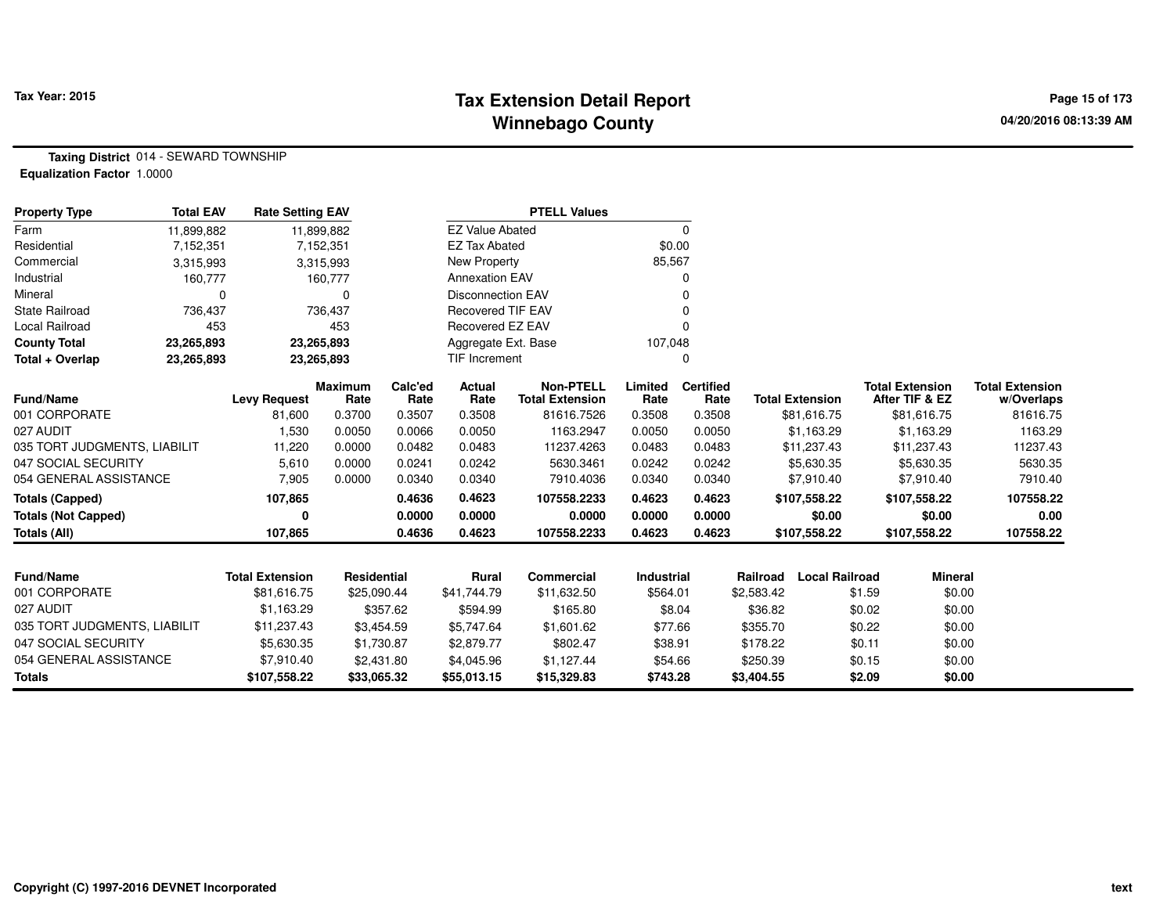# **Tax Extension Detail Report Tax Year: 2015 Page 15 of 173 Winnebago County**

**Taxing District** 014 - SEWARD TOWNSHIP**Equalization Factor** 1.0000

| <b>Property Type</b>         | <b>Total EAV</b> | <b>Rate Setting EAV</b> |                        |                 |                          | <b>PTELL Values</b>                        |                 |                          |            |                        |        |                                          |                                      |
|------------------------------|------------------|-------------------------|------------------------|-----------------|--------------------------|--------------------------------------------|-----------------|--------------------------|------------|------------------------|--------|------------------------------------------|--------------------------------------|
| Farm                         | 11,899,882       |                         | 11,899,882             |                 | <b>EZ Value Abated</b>   |                                            |                 | $\mathbf 0$              |            |                        |        |                                          |                                      |
| Residential                  | 7,152,351        |                         | 7,152,351              |                 | <b>EZ Tax Abated</b>     |                                            | \$0.00          |                          |            |                        |        |                                          |                                      |
| Commercial                   | 3,315,993        |                         | 3,315,993              |                 | <b>New Property</b>      |                                            | 85,567          |                          |            |                        |        |                                          |                                      |
| Industrial                   | 160,777          |                         | 160,777                |                 | <b>Annexation EAV</b>    |                                            |                 |                          |            |                        |        |                                          |                                      |
| Mineral                      | 0                |                         | 0                      |                 | <b>Disconnection EAV</b> |                                            |                 |                          |            |                        |        |                                          |                                      |
| <b>State Railroad</b>        | 736,437          |                         | 736,437                |                 | Recovered TIF EAV        |                                            |                 |                          |            |                        |        |                                          |                                      |
| Local Railroad               | 453              |                         | 453                    |                 | Recovered EZ EAV         |                                            |                 |                          |            |                        |        |                                          |                                      |
| <b>County Total</b>          | 23,265,893       |                         | 23,265,893             |                 | Aggregate Ext. Base      |                                            | 107,048         |                          |            |                        |        |                                          |                                      |
| Total + Overlap              | 23,265,893       |                         | 23,265,893             |                 | <b>TIF Increment</b>     |                                            |                 | 0                        |            |                        |        |                                          |                                      |
| <b>Fund/Name</b>             |                  | <b>Levy Request</b>     | <b>Maximum</b><br>Rate | Calc'ed<br>Rate | Actual<br>Rate           | <b>Non-PTELL</b><br><b>Total Extension</b> | Limited<br>Rate | <b>Certified</b><br>Rate |            | <b>Total Extension</b> |        | <b>Total Extension</b><br>After TIF & EZ | <b>Total Extension</b><br>w/Overlaps |
| 001 CORPORATE                |                  | 81,600                  | 0.3700                 | 0.3507          | 0.3508                   | 81616.7526                                 | 0.3508          | 0.3508                   |            | \$81,616.75            |        | \$81,616.75                              | 81616.75                             |
| 027 AUDIT                    |                  | 1,530                   | 0.0050                 | 0.0066          | 0.0050                   | 1163.2947                                  | 0.0050          | 0.0050                   |            | \$1,163.29             |        | \$1,163.29                               | 1163.29                              |
| 035 TORT JUDGMENTS, LIABILIT |                  | 11,220                  | 0.0000                 | 0.0482          | 0.0483                   | 11237.4263                                 | 0.0483          | 0.0483                   |            | \$11,237.43            |        | \$11,237.43                              | 11237.43                             |
| 047 SOCIAL SECURITY          |                  | 5,610                   | 0.0000                 | 0.0241          | 0.0242                   | 5630.3461                                  | 0.0242          | 0.0242                   |            | \$5,630.35             |        | \$5,630.35                               | 5630.35                              |
| 054 GENERAL ASSISTANCE       |                  | 7,905                   | 0.0000                 | 0.0340          | 0.0340                   | 7910.4036                                  | 0.0340          | 0.0340                   |            | \$7,910.40             |        | \$7,910.40                               | 7910.40                              |
| <b>Totals (Capped)</b>       |                  | 107,865                 |                        | 0.4636          | 0.4623                   | 107558.2233                                | 0.4623          | 0.4623                   |            | \$107,558.22           |        | \$107,558.22                             | 107558.22                            |
| <b>Totals (Not Capped)</b>   |                  | 0                       |                        | 0.0000          | 0.0000                   | 0.0000                                     | 0.0000          | 0.0000                   |            | \$0.00                 |        | \$0.00                                   | 0.00                                 |
| <b>Totals (All)</b>          |                  | 107,865                 |                        | 0.4636          | 0.4623                   | 107558.2233                                | 0.4623          | 0.4623                   |            | \$107,558.22           |        | \$107,558.22                             | 107558.22                            |
|                              |                  |                         |                        |                 |                          |                                            |                 |                          |            |                        |        |                                          |                                      |
| <b>Fund/Name</b>             |                  | <b>Total Extension</b>  | Residential            |                 | <b>Rural</b>             | <b>Commercial</b>                          | Industrial      |                          | Railroad   | <b>Local Railroad</b>  |        | <b>Mineral</b>                           |                                      |
| 001 CORPORATE                |                  | \$81,616.75             | \$25,090.44            |                 | \$41,744.79              | \$11,632.50                                | \$564.01        |                          | \$2,583.42 |                        | \$1.59 | \$0.00                                   |                                      |
| 027 AUDIT                    |                  | \$1,163.29              |                        | \$357.62        | \$594.99                 | \$165.80                                   |                 | \$8.04                   | \$36.82    |                        | \$0.02 | \$0.00                                   |                                      |
| 035 TORT JUDGMENTS, LIABILIT |                  | \$11,237.43             |                        | \$3,454.59      | \$5,747.64               | \$1,601.62                                 | \$77.66         |                          | \$355.70   |                        | \$0.22 | \$0.00                                   |                                      |
| 047 SOCIAL SECURITY          |                  | \$5,630.35              |                        | \$1,730.87      | \$2,879.77               | \$802.47                                   | \$38.91         |                          | \$178.22   |                        | \$0.11 | \$0.00                                   |                                      |
| 054 GENERAL ASSISTANCE       |                  | \$7,910.40              |                        | \$2,431.80      | \$4,045.96               | \$1,127.44                                 | \$54.66         |                          | \$250.39   |                        | \$0.15 | \$0.00                                   |                                      |
| <b>Totals</b>                |                  | \$107,558.22            | \$33,065.32            |                 | \$55,013.15              | \$15,329.83                                | \$743.28        |                          | \$3,404.55 |                        | \$2.09 | \$0.00                                   |                                      |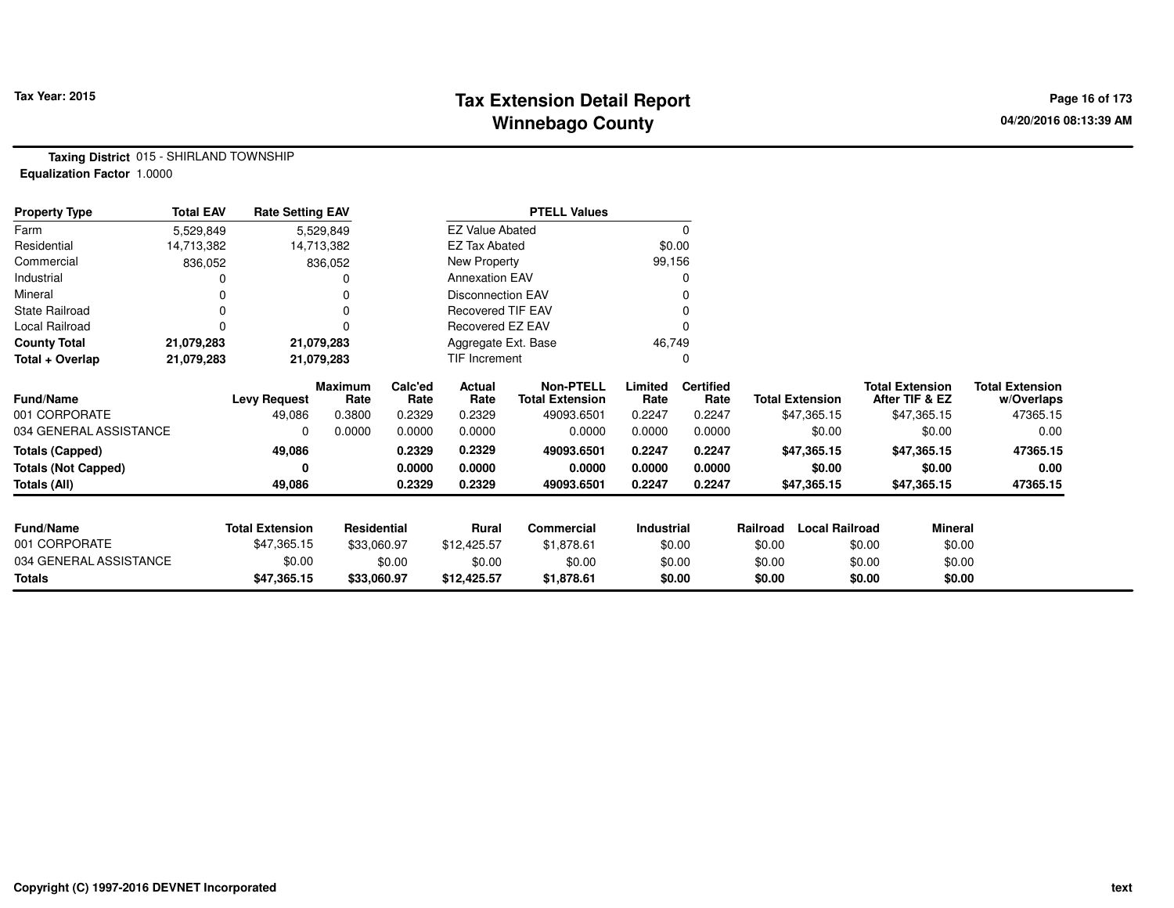# **Tax Extension Detail Report Tax Year: 2015 Page 16 of 173 Winnebago County**

**Taxing District** 015 - SHIRLAND TOWNSHIP**Equalization Factor** 1.0000

| <b>Property Type</b>       | <b>Total EAV</b> | <b>Rate Setting EAV</b> |                 |                 |                          | <b>PTELL Values</b>                        |                 |                          |          |                        |                                          |         |                                      |
|----------------------------|------------------|-------------------------|-----------------|-----------------|--------------------------|--------------------------------------------|-----------------|--------------------------|----------|------------------------|------------------------------------------|---------|--------------------------------------|
| Farm                       | 5,529,849        |                         | 5,529,849       |                 | <b>EZ Value Abated</b>   |                                            |                 | 0                        |          |                        |                                          |         |                                      |
| Residential                | 14,713,382       |                         | 14,713,382      |                 | <b>EZ Tax Abated</b>     |                                            |                 | \$0.00                   |          |                        |                                          |         |                                      |
| Commercial                 | 836,052          |                         | 836,052         |                 | New Property             |                                            | 99,156          |                          |          |                        |                                          |         |                                      |
| Industrial                 |                  |                         |                 |                 | <b>Annexation EAV</b>    |                                            |                 | O                        |          |                        |                                          |         |                                      |
| Mineral                    |                  |                         |                 |                 | Disconnection EAV        |                                            |                 |                          |          |                        |                                          |         |                                      |
| <b>State Railroad</b>      |                  |                         |                 |                 | <b>Recovered TIF EAV</b> |                                            |                 |                          |          |                        |                                          |         |                                      |
| Local Railroad             |                  |                         |                 |                 | Recovered EZ EAV         |                                            |                 |                          |          |                        |                                          |         |                                      |
| <b>County Total</b>        | 21,079,283       |                         | 21,079,283      |                 | Aggregate Ext. Base      |                                            | 46,749          |                          |          |                        |                                          |         |                                      |
| Total + Overlap            | 21,079,283       |                         | 21,079,283      |                 | TIF Increment            |                                            |                 | 0                        |          |                        |                                          |         |                                      |
| <b>Fund/Name</b>           |                  | <b>Levy Request</b>     | Maximum<br>Rate | Calc'ed<br>Rate | Actual<br>Rate           | <b>Non-PTELL</b><br><b>Total Extension</b> | Limited<br>Rate | <b>Certified</b><br>Rate |          | <b>Total Extension</b> | <b>Total Extension</b><br>After TIF & EZ |         | <b>Total Extension</b><br>w/Overlaps |
| 001 CORPORATE              |                  | 49,086                  | 0.3800          | 0.2329          | 0.2329                   | 49093.6501                                 | 0.2247          | 0.2247                   |          | \$47,365.15            | \$47,365.15                              |         | 47365.15                             |
| 034 GENERAL ASSISTANCE     |                  | 0                       | 0.0000          | 0.0000          | 0.0000                   | 0.0000                                     | 0.0000          | 0.0000                   |          | \$0.00                 |                                          | \$0.00  | 0.00                                 |
| <b>Totals (Capped)</b>     |                  | 49,086                  |                 | 0.2329          | 0.2329                   | 49093.6501                                 | 0.2247          | 0.2247                   |          | \$47,365.15            | \$47,365.15                              |         | 47365.15                             |
| <b>Totals (Not Capped)</b> |                  |                         |                 | 0.0000          | 0.0000                   | 0.0000                                     | 0.0000          | 0.0000                   |          | \$0.00                 |                                          | \$0.00  | 0.00                                 |
| Totals (All)               |                  | 49,086                  |                 | 0.2329          | 0.2329                   | 49093.6501                                 | 0.2247          | 0.2247                   |          | \$47,365.15            | \$47,365.15                              |         | 47365.15                             |
| <b>Fund/Name</b>           |                  | <b>Total Extension</b>  | Residential     |                 | Rural                    | Commercial                                 | Industrial      |                          | Railroad | <b>Local Railroad</b>  |                                          | Mineral |                                      |
| 001 CORPORATE              |                  | \$47,365.15             | \$33,060.97     |                 | \$12,425.57              | \$1,878.61                                 |                 | \$0.00                   | \$0.00   |                        | \$0.00                                   | \$0.00  |                                      |
| 034 GENERAL ASSISTANCE     |                  | \$0.00                  |                 | \$0.00          | \$0.00                   | \$0.00                                     |                 | \$0.00                   | \$0.00   |                        | \$0.00                                   | \$0.00  |                                      |
| <b>Totals</b>              |                  | \$47,365.15             | \$33,060.97     |                 | \$12,425.57              | \$1,878.61                                 |                 | \$0.00                   | \$0.00   |                        | \$0.00                                   | \$0.00  |                                      |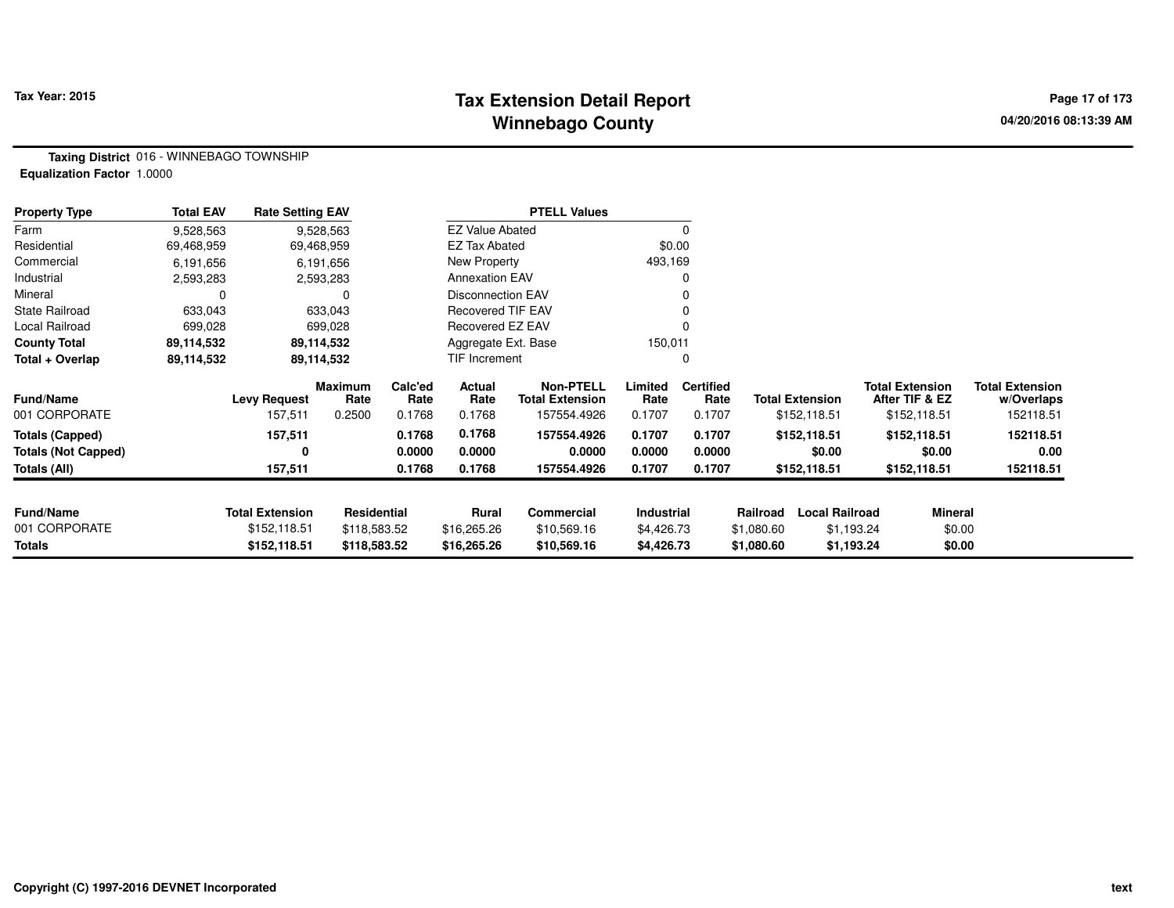# **Tax Extension Detail Report Tax Year: 2015 Page 17 of 173 Winnebago County**

**Taxing District** 016 - WINNEBAGO TOWNSHIP**Equalization Factor** 1.0000

| <b>Property Type</b>       | <b>Total EAV</b> | <b>Rate Setting EAV</b> |                 |                 |                          | <b>PTELL Values</b>                        |                 |                          |                                   |                                          |                                      |
|----------------------------|------------------|-------------------------|-----------------|-----------------|--------------------------|--------------------------------------------|-----------------|--------------------------|-----------------------------------|------------------------------------------|--------------------------------------|
| Farm                       | 9,528,563        |                         | 9,528,563       |                 | <b>EZ Value Abated</b>   |                                            |                 |                          |                                   |                                          |                                      |
| Residential                | 69,468,959       |                         | 69,468,959      |                 | <b>EZ Tax Abated</b>     |                                            | \$0.00          |                          |                                   |                                          |                                      |
| Commercial                 | 6,191,656        |                         | 6,191,656       |                 | New Property             |                                            | 493,169         |                          |                                   |                                          |                                      |
| Industrial                 | 2,593,283        |                         | 2,593,283       |                 | <b>Annexation EAV</b>    |                                            |                 |                          |                                   |                                          |                                      |
| Mineral                    |                  |                         | $\Omega$        |                 | Disconnection EAV        |                                            |                 |                          |                                   |                                          |                                      |
| <b>State Railroad</b>      | 633,043          |                         | 633,043         |                 | <b>Recovered TIF EAV</b> |                                            |                 |                          |                                   |                                          |                                      |
| Local Railroad             | 699,028          |                         | 699,028         |                 | Recovered EZ EAV         |                                            |                 |                          |                                   |                                          |                                      |
| <b>County Total</b>        | 89,114,532       |                         | 89,114,532      |                 | Aggregate Ext. Base      |                                            | 150,011         |                          |                                   |                                          |                                      |
| Total + Overlap            | 89,114,532       |                         | 89,114,532      |                 | TIF Increment            |                                            |                 |                          |                                   |                                          |                                      |
| <b>Fund/Name</b>           |                  | Levy Request            | Maximum<br>Rate | Calc'ed<br>Rate | Actual<br>Rate           | <b>Non-PTELL</b><br><b>Total Extension</b> | Limited<br>Rate | <b>Certified</b><br>Rate | <b>Total Extension</b>            | <b>Total Extension</b><br>After TIF & EZ | <b>Total Extension</b><br>w/Overlaps |
| 001 CORPORATE              |                  | 157,511                 | 0.2500          | 0.1768          | 0.1768                   | 157554.4926                                | 0.1707          | 0.1707                   | \$152,118.51                      | \$152,118.51                             | 152118.51                            |
| <b>Totals (Capped)</b>     |                  | 157,511                 |                 | 0.1768          | 0.1768                   | 157554.4926                                | 0.1707          | 0.1707                   | \$152,118.51                      | \$152,118.51                             | 152118.51                            |
| <b>Totals (Not Capped)</b> |                  | 0                       |                 | 0.0000          | 0.0000                   | 0.0000                                     | 0.0000          | 0.0000                   | \$0.00                            | \$0.00                                   | 0.00                                 |
| Totals (All)               |                  | 157,511                 |                 | 0.1768          | 0.1768                   | 157554.4926                                | 0.1707          | 0.1707                   | \$152,118.51                      | \$152,118.51                             | 152118.51                            |
|                            |                  |                         |                 |                 |                          |                                            |                 |                          |                                   |                                          |                                      |
| <b>Fund/Name</b>           |                  | <b>Total Extension</b>  | Residential     |                 | <b>Rural</b>             | Commercial                                 | Industrial      |                          | <b>Local Railroad</b><br>Railroad |                                          | <b>Mineral</b>                       |
| 001 CORPORATE              |                  | \$152,118.51            | \$118,583.52    |                 | \$16,265.26              | \$10,569.16                                | \$4,426.73      |                          | \$1,080.60                        | \$1,193.24                               | \$0.00                               |
| Totals                     |                  | \$152,118.51            | \$118,583.52    |                 | \$16,265.26              | \$10,569.16                                | \$4,426.73      |                          | \$1,080.60                        | \$1,193.24                               | \$0.00                               |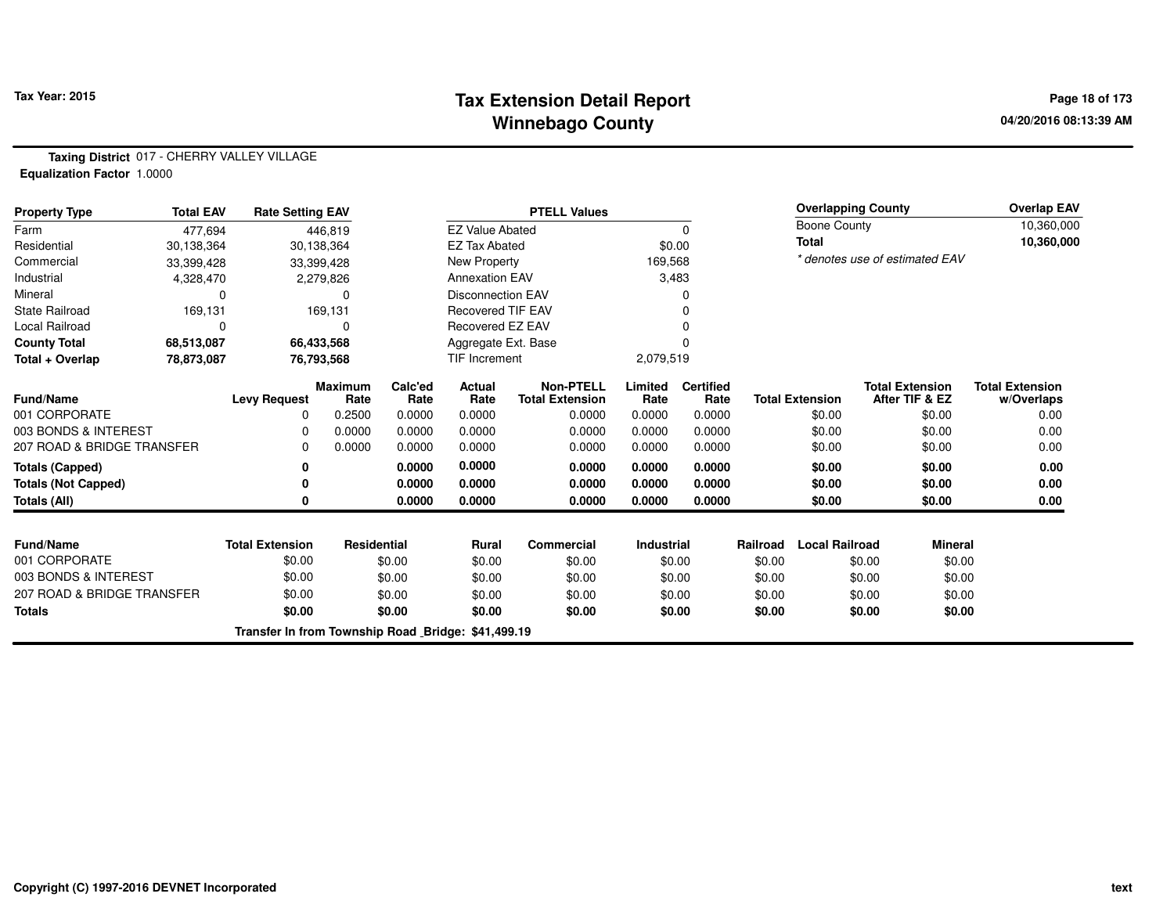# **Tax Extension Detail Report Tax Year: 2015 Page 18 of 173 Winnebago County**

**Taxing District** 017 - CHERRY VALLEY VILLAGE**Equalization Factor** 1.0000

| <b>Property Type</b>              | <b>Total EAV</b> | <b>Rate Setting EAV</b>                            |                        |                 |                          | <b>PTELL Values</b>                        |                 |                          |          |                        | <b>Overlapping County</b>      |                | <b>Overlap EAV</b>                   |
|-----------------------------------|------------------|----------------------------------------------------|------------------------|-----------------|--------------------------|--------------------------------------------|-----------------|--------------------------|----------|------------------------|--------------------------------|----------------|--------------------------------------|
| Farm                              | 477,694          |                                                    | 446,819                |                 | <b>EZ Value Abated</b>   |                                            |                 | 0                        |          | Boone County           |                                |                | 10,360,000                           |
| Residential                       | 30,138,364       |                                                    | 30,138,364             |                 | <b>EZ Tax Abated</b>     |                                            |                 | \$0.00                   |          | <b>Total</b>           |                                |                | 10,360,000                           |
| Commercial                        | 33,399,428       |                                                    | 33,399,428             |                 | New Property             |                                            | 169,568         |                          |          |                        | * denotes use of estimated EAV |                |                                      |
| Industrial                        | 4,328,470        |                                                    | 2,279,826              |                 | <b>Annexation EAV</b>    |                                            |                 | 3,483                    |          |                        |                                |                |                                      |
| Mineral                           | 0                |                                                    | 0                      |                 | <b>Disconnection EAV</b> |                                            |                 |                          |          |                        |                                |                |                                      |
| <b>State Railroad</b>             | 169,131          |                                                    | 169,131                |                 | <b>Recovered TIF EAV</b> |                                            |                 |                          |          |                        |                                |                |                                      |
| Local Railroad                    | $\Omega$         |                                                    | 0                      |                 | Recovered EZ EAV         |                                            |                 |                          |          |                        |                                |                |                                      |
| <b>County Total</b>               | 68,513,087       |                                                    | 66,433,568             |                 | Aggregate Ext. Base      |                                            |                 |                          |          |                        |                                |                |                                      |
| Total + Overlap                   | 78,873,087       |                                                    | 76,793,568             |                 | TIF Increment            |                                            | 2,079,519       |                          |          |                        |                                |                |                                      |
| <b>Fund/Name</b>                  |                  | <b>Levy Request</b>                                | <b>Maximum</b><br>Rate | Calc'ed<br>Rate | <b>Actual</b><br>Rate    | <b>Non-PTELL</b><br><b>Total Extension</b> | Limited<br>Rate | <b>Certified</b><br>Rate |          | <b>Total Extension</b> | <b>Total Extension</b>         | After TIF & EZ | <b>Total Extension</b><br>w/Overlaps |
| 001 CORPORATE                     |                  | 0                                                  | 0.2500                 | 0.0000          | 0.0000                   | 0.0000                                     | 0.0000          | 0.0000                   |          | \$0.00                 |                                | \$0.00         | 0.00                                 |
| 003 BONDS & INTEREST              |                  | 0                                                  | 0.0000                 | 0.0000          | 0.0000                   | 0.0000                                     | 0.0000          | 0.0000                   |          | \$0.00                 |                                | \$0.00         | 0.00                                 |
| 207 ROAD & BRIDGE TRANSFER        |                  | O                                                  | 0.0000                 | 0.0000          | 0.0000                   | 0.0000                                     | 0.0000          | 0.0000                   |          | \$0.00                 |                                | \$0.00         | 0.00                                 |
| <b>Totals (Capped)</b>            |                  |                                                    |                        | 0.0000          | 0.0000                   | 0.0000                                     | 0.0000          | 0.0000                   |          | \$0.00                 |                                | \$0.00         | 0.00                                 |
| <b>Totals (Not Capped)</b>        |                  | 0                                                  |                        | 0.0000          | 0.0000                   | 0.0000                                     | 0.0000          | 0.0000                   |          | \$0.00                 |                                | \$0.00         | 0.00                                 |
| Totals (All)                      |                  | 0                                                  |                        | 0.0000          | 0.0000                   | 0.0000                                     | 0.0000          | 0.0000                   |          | \$0.00                 |                                | \$0.00         | 0.00                                 |
|                                   |                  |                                                    |                        |                 |                          |                                            |                 |                          |          |                        |                                |                |                                      |
| <b>Fund/Name</b><br>001 CORPORATE |                  | <b>Total Extension</b><br>\$0.00                   | Residential            |                 | <b>Rural</b>             | Commercial                                 | Industrial      |                          | Railroad | <b>Local Railroad</b>  |                                | <b>Mineral</b> |                                      |
| 003 BONDS & INTEREST              |                  |                                                    |                        | \$0.00          | \$0.00                   | \$0.00                                     |                 | \$0.00                   | \$0.00   |                        | \$0.00                         | \$0.00         |                                      |
|                                   |                  | \$0.00                                             |                        | \$0.00          | \$0.00                   | \$0.00                                     |                 | \$0.00                   | \$0.00   |                        | \$0.00                         | \$0.00         |                                      |
| 207 ROAD & BRIDGE TRANSFER        |                  | \$0.00                                             |                        | \$0.00          | \$0.00                   | \$0.00                                     |                 | \$0.00                   | \$0.00   |                        | \$0.00                         | \$0.00         |                                      |
| <b>Totals</b>                     |                  | \$0.00                                             |                        | \$0.00          | \$0.00                   | \$0.00                                     |                 | \$0.00                   | \$0.00   |                        | \$0.00                         | \$0.00         |                                      |
|                                   |                  | Transfer In from Township Road Bridge: \$41,499.19 |                        |                 |                          |                                            |                 |                          |          |                        |                                |                |                                      |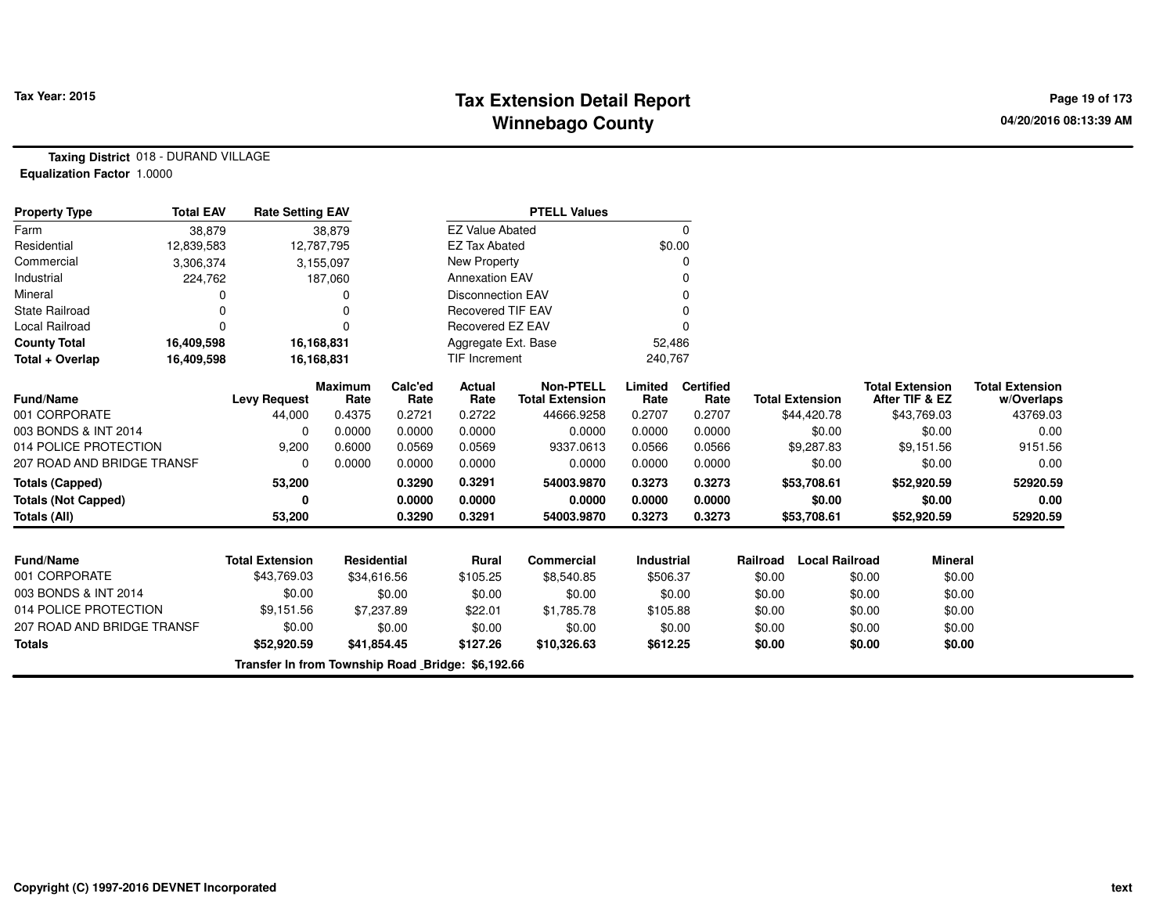# **Tax Extension Detail Report Tax Year: 2015 Page 19 of 173 Winnebago County**

**Taxing District** 018 - DURAND VILLAGE**Equalization Factor** 1.0000

| <b>Property Type</b>       | <b>Total EAV</b> | <b>Rate Setting EAV</b>                           |                        |                 |                          | <b>PTELL Values</b>                        |                   |                          |          |                        |                                          |                |                                      |
|----------------------------|------------------|---------------------------------------------------|------------------------|-----------------|--------------------------|--------------------------------------------|-------------------|--------------------------|----------|------------------------|------------------------------------------|----------------|--------------------------------------|
| Farm                       | 38,879           |                                                   | 38,879                 |                 | <b>EZ Value Abated</b>   |                                            |                   | 0                        |          |                        |                                          |                |                                      |
| Residential                | 12,839,583       |                                                   | 12,787,795             |                 | <b>EZ Tax Abated</b>     |                                            | \$0.00            |                          |          |                        |                                          |                |                                      |
| Commercial                 | 3,306,374        |                                                   | 3,155,097              |                 | <b>New Property</b>      |                                            |                   | O                        |          |                        |                                          |                |                                      |
| Industrial                 | 224,762          |                                                   | 187,060                |                 | <b>Annexation EAV</b>    |                                            |                   |                          |          |                        |                                          |                |                                      |
| Mineral                    |                  |                                                   | 0                      |                 | <b>Disconnection EAV</b> |                                            |                   |                          |          |                        |                                          |                |                                      |
| <b>State Railroad</b>      |                  |                                                   | $\Omega$               |                 | <b>Recovered TIF EAV</b> |                                            |                   |                          |          |                        |                                          |                |                                      |
| <b>Local Railroad</b>      | $\Omega$         |                                                   | 0                      |                 | Recovered EZ EAV         |                                            |                   | O                        |          |                        |                                          |                |                                      |
| <b>County Total</b>        | 16,409,598       |                                                   | 16,168,831             |                 | Aggregate Ext. Base      |                                            | 52,486            |                          |          |                        |                                          |                |                                      |
| Total + Overlap            | 16,409,598       |                                                   | 16,168,831             |                 | TIF Increment            |                                            | 240,767           |                          |          |                        |                                          |                |                                      |
| <b>Fund/Name</b>           |                  | <b>Levy Request</b>                               | <b>Maximum</b><br>Rate | Calc'ed<br>Rate | Actual<br>Rate           | <b>Non-PTELL</b><br><b>Total Extension</b> | Limited<br>Rate   | <b>Certified</b><br>Rate |          | <b>Total Extension</b> | <b>Total Extension</b><br>After TIF & EZ |                | <b>Total Extension</b><br>w/Overlaps |
| 001 CORPORATE              |                  | 44,000                                            | 0.4375                 | 0.2721          | 0.2722                   | 44666.9258                                 | 0.2707            | 0.2707                   |          | \$44,420.78            | \$43,769.03                              |                | 43769.03                             |
| 003 BONDS & INT 2014       |                  | 0                                                 | 0.0000                 | 0.0000          | 0.0000                   | 0.0000                                     | 0.0000            | 0.0000                   |          | \$0.00                 |                                          | \$0.00         | 0.00                                 |
| 014 POLICE PROTECTION      |                  | 9,200                                             | 0.6000                 | 0.0569          | 0.0569                   | 9337.0613                                  | 0.0566            | 0.0566                   |          | \$9,287.83             | \$9,151.56                               |                | 9151.56                              |
| 207 ROAD AND BRIDGE TRANSF |                  | $\Omega$                                          | 0.0000                 | 0.0000          | 0.0000                   | 0.0000                                     | 0.0000            | 0.0000                   |          | \$0.00                 |                                          | \$0.00         | 0.00                                 |
| <b>Totals (Capped)</b>     |                  | 53,200                                            |                        | 0.3290          | 0.3291                   | 54003.9870                                 | 0.3273            | 0.3273                   |          | \$53,708.61            | \$52,920.59                              |                | 52920.59                             |
| <b>Totals (Not Capped)</b> |                  | 0                                                 |                        | 0.0000          | 0.0000                   | 0.0000                                     | 0.0000            | 0.0000                   |          | \$0.00                 |                                          | \$0.00         | 0.00                                 |
| Totals (All)               |                  | 53,200                                            |                        | 0.3290          | 0.3291                   | 54003.9870                                 | 0.3273            | 0.3273                   |          | \$53,708.61            | \$52,920.59                              |                | 52920.59                             |
|                            |                  |                                                   |                        |                 |                          |                                            |                   |                          |          |                        |                                          |                |                                      |
| <b>Fund/Name</b>           |                  | <b>Total Extension</b>                            | <b>Residential</b>     |                 | Rural                    | <b>Commercial</b>                          | <b>Industrial</b> |                          | Railroad | <b>Local Railroad</b>  |                                          | <b>Mineral</b> |                                      |
| 001 CORPORATE              |                  | \$43,769.03                                       | \$34,616.56            |                 | \$105.25                 | \$8,540.85                                 | \$506.37          |                          | \$0.00   |                        | \$0.00                                   | \$0.00         |                                      |
| 003 BONDS & INT 2014       |                  | \$0.00                                            |                        | \$0.00          | \$0.00                   | \$0.00                                     |                   | \$0.00                   | \$0.00   |                        | \$0.00                                   | \$0.00         |                                      |
| 014 POLICE PROTECTION      |                  | \$9,151.56                                        | \$7,237.89             |                 | \$22.01                  | \$1,785.78                                 | \$105.88          |                          | \$0.00   |                        | \$0.00                                   | \$0.00         |                                      |
| 207 ROAD AND BRIDGE TRANSF |                  | \$0.00                                            |                        | \$0.00          | \$0.00                   | \$0.00                                     |                   | \$0.00                   | \$0.00   |                        | \$0.00                                   | \$0.00         |                                      |
| <b>Totals</b>              |                  | \$52,920.59                                       | \$41,854.45            |                 | \$127.26                 | \$10,326.63                                | \$612.25          |                          | \$0.00   |                        | \$0.00                                   | \$0.00         |                                      |
|                            |                  | Transfer In from Township Road Bridge: \$6,192.66 |                        |                 |                          |                                            |                   |                          |          |                        |                                          |                |                                      |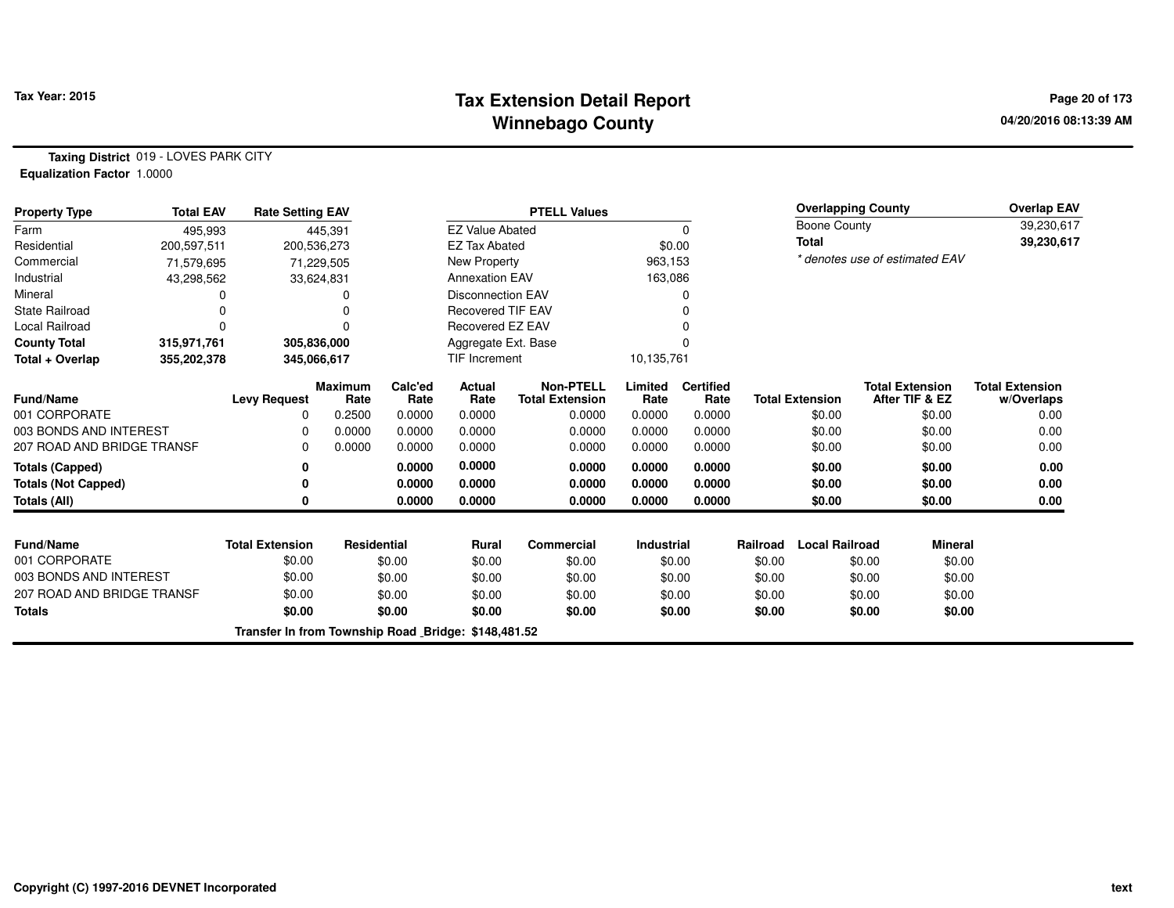# **Tax Extension Detail Report Tax Year: 2015 Page 20 of 173 Winnebago County**

**Taxing District** 019 - LOVES PARK CITY**Equalization Factor** 1.0000

| <b>Property Type</b>       | <b>Total EAV</b> | <b>Rate Setting EAV</b>                             |                        |                 |                          | <b>PTELL Values</b>                        |                   |                          |                  | <b>Overlapping County</b> |                  |                                          | <b>Overlap EAV</b>                   |
|----------------------------|------------------|-----------------------------------------------------|------------------------|-----------------|--------------------------|--------------------------------------------|-------------------|--------------------------|------------------|---------------------------|------------------|------------------------------------------|--------------------------------------|
| Farm                       | 495,993          |                                                     | 445,391                |                 | <b>EZ Value Abated</b>   |                                            |                   |                          |                  | Boone County              |                  |                                          | 39,230,617                           |
| Residential                | 200,597,511      |                                                     | 200,536,273            |                 | <b>EZ Tax Abated</b>     |                                            |                   | \$0.00                   |                  | <b>Total</b>              |                  |                                          | 39,230,617                           |
| Commercial                 | 71,579,695       |                                                     | 71,229,505             |                 | New Property             |                                            | 963,153           |                          |                  |                           |                  | * denotes use of estimated EAV           |                                      |
| Industrial                 | 43,298,562       |                                                     | 33,624,831             |                 | <b>Annexation EAV</b>    |                                            | 163,086           |                          |                  |                           |                  |                                          |                                      |
| Mineral                    |                  |                                                     |                        |                 | <b>Disconnection EAV</b> |                                            |                   |                          |                  |                           |                  |                                          |                                      |
| <b>State Railroad</b>      |                  |                                                     |                        |                 | <b>Recovered TIF EAV</b> |                                            |                   |                          |                  |                           |                  |                                          |                                      |
| Local Railroad             | O                |                                                     |                        |                 | Recovered EZ EAV         |                                            |                   |                          |                  |                           |                  |                                          |                                      |
| <b>County Total</b>        | 315,971,761      |                                                     | 305,836,000            |                 | Aggregate Ext. Base      |                                            |                   |                          |                  |                           |                  |                                          |                                      |
| Total + Overlap            | 355,202,378      |                                                     | 345,066,617            |                 | <b>TIF Increment</b>     |                                            | 10,135,761        |                          |                  |                           |                  |                                          |                                      |
| Fund/Name                  |                  | <b>Levy Request</b>                                 | <b>Maximum</b><br>Rate | Calc'ed<br>Rate | Actual<br>Rate           | <b>Non-PTELL</b><br><b>Total Extension</b> | Limited<br>Rate   | <b>Certified</b><br>Rate |                  | <b>Total Extension</b>    |                  | <b>Total Extension</b><br>After TIF & EZ | <b>Total Extension</b><br>w/Overlaps |
| 001 CORPORATE              |                  | 0                                                   | 0.2500                 | 0.0000          | 0.0000                   | 0.0000                                     | 0.0000            | 0.0000                   |                  | \$0.00                    |                  | \$0.00                                   | 0.00                                 |
| 003 BONDS AND INTEREST     |                  | $\Omega$                                            | 0.0000                 | 0.0000          | 0.0000                   | 0.0000                                     | 0.0000            | 0.0000                   |                  | \$0.00                    |                  | \$0.00                                   | 0.00                                 |
| 207 ROAD AND BRIDGE TRANSF |                  | $\Omega$                                            | 0.0000                 | 0.0000          | 0.0000                   | 0.0000                                     | 0.0000            | 0.0000                   |                  | \$0.00                    |                  | \$0.00                                   | 0.00                                 |
| <b>Totals (Capped)</b>     |                  | 0                                                   |                        | 0.0000          | 0.0000                   | 0.0000                                     | 0.0000            | 0.0000                   |                  | \$0.00                    |                  | \$0.00                                   | 0.00                                 |
| <b>Totals (Not Capped)</b> |                  | 0                                                   |                        | 0.0000          | 0.0000                   | 0.0000                                     | 0.0000            | 0.0000                   |                  | \$0.00                    |                  | \$0.00                                   | 0.00                                 |
| Totals (All)               |                  | 0                                                   |                        | 0.0000          | 0.0000                   | 0.0000                                     | 0.0000            | 0.0000                   |                  | \$0.00                    |                  | \$0.00                                   | 0.00                                 |
| <b>Fund/Name</b>           |                  | <b>Total Extension</b>                              | Residential            |                 | <b>Rural</b>             | Commercial                                 | <b>Industrial</b> |                          | Railroad         | <b>Local Railroad</b>     |                  | <b>Mineral</b>                           |                                      |
| 001 CORPORATE              |                  | \$0.00                                              |                        | \$0.00          | \$0.00                   | \$0.00                                     |                   | \$0.00                   | \$0.00           |                           | \$0.00           | \$0.00                                   |                                      |
| 003 BONDS AND INTEREST     |                  | \$0.00                                              |                        | \$0.00          | \$0.00                   | \$0.00                                     |                   | \$0.00                   | \$0.00           |                           | \$0.00           | \$0.00                                   |                                      |
| 207 ROAD AND BRIDGE TRANSF |                  | \$0.00                                              |                        | \$0.00          | \$0.00                   | \$0.00                                     |                   | \$0.00                   |                  |                           |                  | \$0.00                                   |                                      |
| <b>Totals</b>              |                  | \$0.00                                              |                        | \$0.00          | \$0.00                   | \$0.00                                     |                   | \$0.00                   | \$0.00<br>\$0.00 |                           | \$0.00<br>\$0.00 | \$0.00                                   |                                      |
|                            |                  | Transfer In from Township Road Bridge: \$148,481.52 |                        |                 |                          |                                            |                   |                          |                  |                           |                  |                                          |                                      |
|                            |                  |                                                     |                        |                 |                          |                                            |                   |                          |                  |                           |                  |                                          |                                      |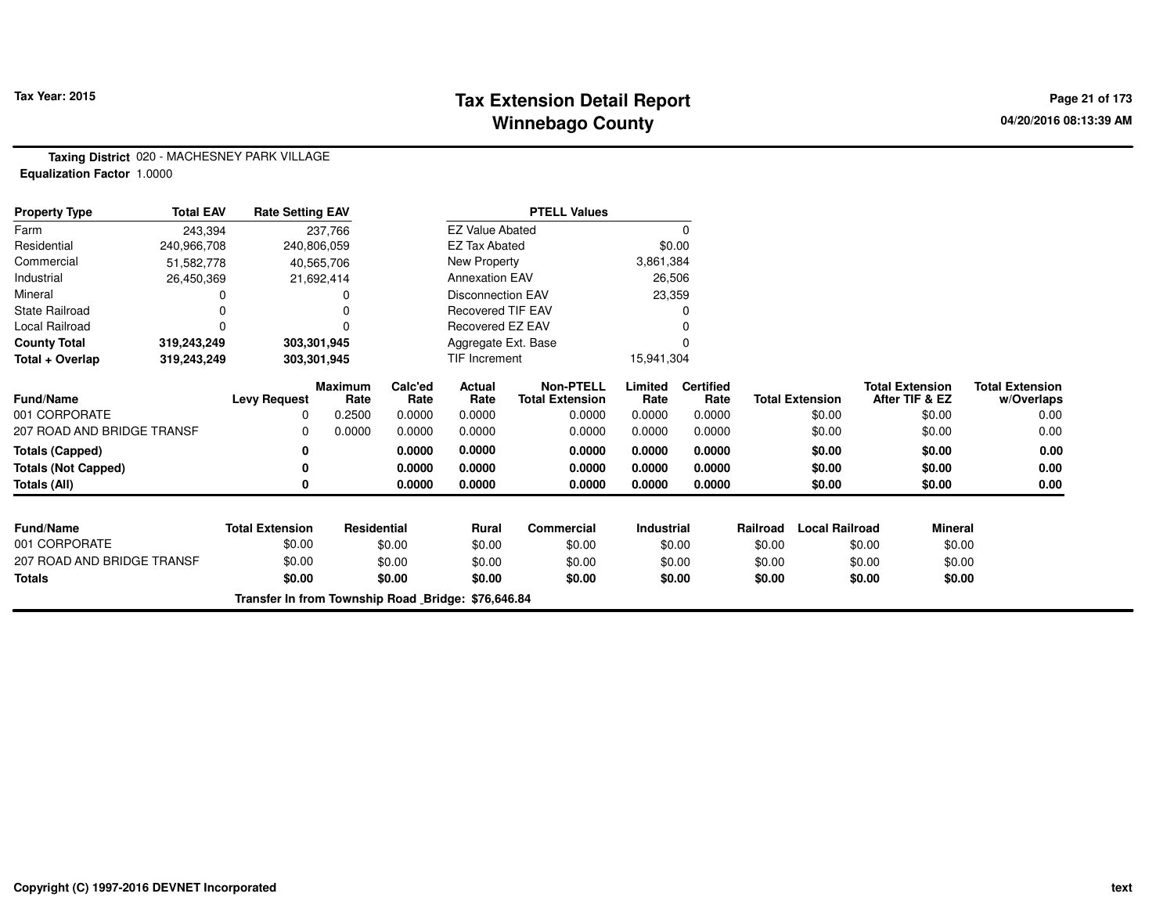# **Tax Extension Detail Report Tax Year: 2015 Page 21 of 173 Winnebago County**

**Taxing District** 020 - MACHESNEY PARK VILLAGE**Equalization Factor** 1.0000

| <b>Property Type</b>       | <b>Total EAV</b> | <b>Rate Setting EAV</b>                            |                        |                 |                          | <b>PTELL Values</b>                        |                   |                          |          |                        |                                          |                                      |
|----------------------------|------------------|----------------------------------------------------|------------------------|-----------------|--------------------------|--------------------------------------------|-------------------|--------------------------|----------|------------------------|------------------------------------------|--------------------------------------|
| Farm                       | 243,394          |                                                    | 237,766                |                 | <b>EZ Value Abated</b>   |                                            |                   | 0                        |          |                        |                                          |                                      |
| Residential                | 240,966,708      |                                                    | 240,806,059            |                 | <b>EZ Tax Abated</b>     |                                            | \$0.00            |                          |          |                        |                                          |                                      |
| Commercial                 | 51,582,778       |                                                    | 40,565,706             |                 | New Property             |                                            | 3,861,384         |                          |          |                        |                                          |                                      |
| Industrial                 | 26,450,369       |                                                    | 21,692,414             |                 | <b>Annexation EAV</b>    |                                            | 26,506            |                          |          |                        |                                          |                                      |
| Mineral                    |                  |                                                    |                        |                 | <b>Disconnection EAV</b> |                                            | 23,359            |                          |          |                        |                                          |                                      |
| <b>State Railroad</b>      |                  |                                                    |                        |                 | <b>Recovered TIF EAV</b> |                                            |                   |                          |          |                        |                                          |                                      |
| Local Railroad             | 0                |                                                    |                        |                 | Recovered EZ EAV         |                                            |                   |                          |          |                        |                                          |                                      |
| <b>County Total</b>        | 319,243,249      |                                                    | 303,301,945            |                 | Aggregate Ext. Base      |                                            |                   |                          |          |                        |                                          |                                      |
| Total + Overlap            | 319,243,249      |                                                    | 303,301,945            |                 | TIF Increment            |                                            | 15,941,304        |                          |          |                        |                                          |                                      |
| Fund/Name                  |                  | <b>Levy Request</b>                                | <b>Maximum</b><br>Rate | Calc'ed<br>Rate | Actual<br>Rate           | <b>Non-PTELL</b><br><b>Total Extension</b> | Limited<br>Rate   | <b>Certified</b><br>Rate |          | <b>Total Extension</b> | <b>Total Extension</b><br>After TIF & EZ | <b>Total Extension</b><br>w/Overlaps |
| 001 CORPORATE              |                  | 0                                                  | 0.2500                 | 0.0000          | 0.0000                   | 0.0000                                     | 0.0000            | 0.0000                   |          | \$0.00                 | \$0.00                                   | 0.00                                 |
| 207 ROAD AND BRIDGE TRANSF |                  | 0                                                  | 0.0000                 | 0.0000          | 0.0000                   | 0.0000                                     | 0.0000            | 0.0000                   |          | \$0.00                 | \$0.00                                   | 0.00                                 |
| <b>Totals (Capped)</b>     |                  | 0                                                  |                        | 0.0000          | 0.0000                   | 0.0000                                     | 0.0000            | 0.0000                   |          | \$0.00                 | \$0.00                                   | 0.00                                 |
| <b>Totals (Not Capped)</b> |                  | 0                                                  |                        | 0.0000          | 0.0000                   | 0.0000                                     | 0.0000            | 0.0000                   |          | \$0.00                 | \$0.00                                   | 0.00                                 |
| Totals (All)               |                  | 0                                                  |                        | 0.0000          | 0.0000                   | 0.0000                                     | 0.0000            | 0.0000                   |          | \$0.00                 | \$0.00                                   | 0.00                                 |
| <b>Fund/Name</b>           |                  | <b>Total Extension</b>                             | <b>Residential</b>     |                 | <b>Rural</b>             | <b>Commercial</b>                          | <b>Industrial</b> |                          | Railroad | <b>Local Railroad</b>  | <b>Mineral</b>                           |                                      |
| 001 CORPORATE              |                  | \$0.00                                             |                        | \$0.00          | \$0.00                   | \$0.00                                     |                   | \$0.00                   | \$0.00   |                        | \$0.00<br>\$0.00                         |                                      |
| 207 ROAD AND BRIDGE TRANSF |                  | \$0.00                                             |                        | \$0.00          | \$0.00                   | \$0.00                                     |                   | \$0.00                   | \$0.00   |                        | \$0.00<br>\$0.00                         |                                      |
| <b>Totals</b>              |                  | \$0.00                                             |                        | \$0.00          | \$0.00                   | \$0.00                                     |                   | \$0.00                   | \$0.00   |                        | \$0.00<br>\$0.00                         |                                      |
|                            |                  | Transfer In from Township Road Bridge: \$76,646.84 |                        |                 |                          |                                            |                   |                          |          |                        |                                          |                                      |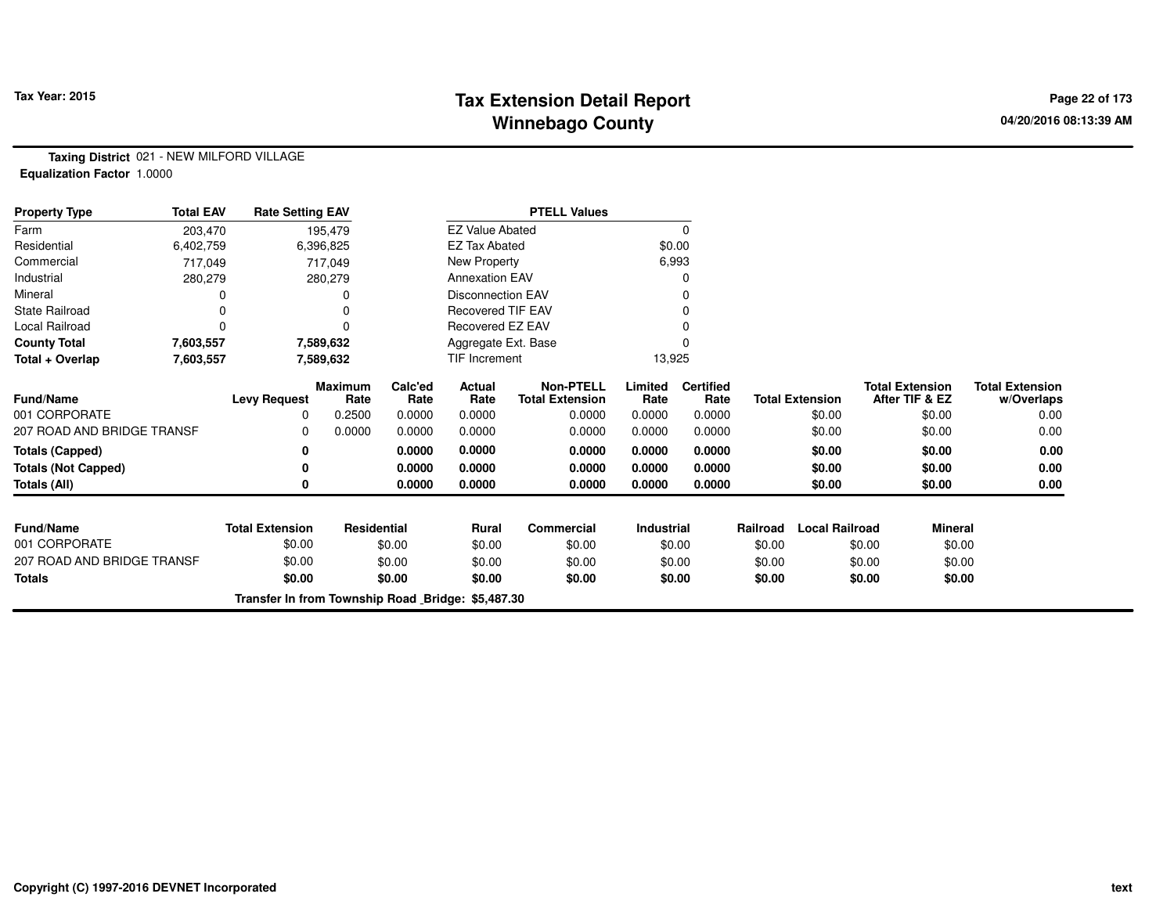# **Tax Extension Detail Report Tax Year: 2015 Page 22 of 173 Winnebago County**

**Taxing District** 021 - NEW MILFORD VILLAGE**Equalization Factor** 1.0000

| <b>Property Type</b>       | <b>Total EAV</b> | <b>Rate Setting EAV</b>                           |                        |                 |                          | <b>PTELL Values</b>                        |                 |                          |          |                        |                                          |                                      |
|----------------------------|------------------|---------------------------------------------------|------------------------|-----------------|--------------------------|--------------------------------------------|-----------------|--------------------------|----------|------------------------|------------------------------------------|--------------------------------------|
| Farm                       | 203,470          |                                                   | 195,479                |                 | <b>EZ Value Abated</b>   |                                            |                 | 0                        |          |                        |                                          |                                      |
| Residential                | 6,402,759        |                                                   | 6,396,825              |                 | <b>EZ Tax Abated</b>     |                                            | \$0.00          |                          |          |                        |                                          |                                      |
| Commercial                 | 717,049          |                                                   | 717,049                |                 | New Property             |                                            |                 | 6,993                    |          |                        |                                          |                                      |
| Industrial                 | 280,279          |                                                   | 280,279                |                 | <b>Annexation EAV</b>    |                                            |                 | 0                        |          |                        |                                          |                                      |
| Mineral                    |                  |                                                   |                        |                 | <b>Disconnection EAV</b> |                                            |                 | 0                        |          |                        |                                          |                                      |
| <b>State Railroad</b>      |                  |                                                   |                        |                 | <b>Recovered TIF EAV</b> |                                            |                 | 0                        |          |                        |                                          |                                      |
| Local Railroad             |                  |                                                   |                        |                 | Recovered EZ EAV         |                                            |                 |                          |          |                        |                                          |                                      |
| <b>County Total</b>        | 7,603,557        |                                                   | 7,589,632              |                 | Aggregate Ext. Base      |                                            |                 | $\Omega$                 |          |                        |                                          |                                      |
| Total + Overlap            | 7,603,557        |                                                   | 7,589,632              |                 | <b>TIF Increment</b>     |                                            | 13,925          |                          |          |                        |                                          |                                      |
| Fund/Name                  |                  | <b>Levy Request</b>                               | <b>Maximum</b><br>Rate | Calc'ed<br>Rate | Actual<br>Rate           | <b>Non-PTELL</b><br><b>Total Extension</b> | Limited<br>Rate | <b>Certified</b><br>Rate |          | <b>Total Extension</b> | <b>Total Extension</b><br>After TIF & EZ | <b>Total Extension</b><br>w/Overlaps |
| 001 CORPORATE              |                  | 0                                                 | 0.2500                 | 0.0000          | 0.0000                   | 0.0000                                     | 0.0000          | 0.0000                   |          | \$0.00                 | \$0.00                                   | 0.00                                 |
| 207 ROAD AND BRIDGE TRANSF |                  | 0                                                 | 0.0000                 | 0.0000          | 0.0000                   | 0.0000                                     | 0.0000          | 0.0000                   |          | \$0.00                 | \$0.00                                   | 0.00                                 |
| <b>Totals (Capped)</b>     |                  | 0                                                 |                        | 0.0000          | 0.0000                   | 0.0000                                     | 0.0000          | 0.0000                   |          | \$0.00                 | \$0.00                                   | 0.00                                 |
| <b>Totals (Not Capped)</b> |                  | 0                                                 |                        | 0.0000          | 0.0000                   | 0.0000                                     | 0.0000          | 0.0000                   |          | \$0.00                 | \$0.00                                   | 0.00                                 |
| Totals (All)               |                  | 0                                                 |                        | 0.0000          | 0.0000                   | 0.0000                                     | 0.0000          | 0.0000                   |          | \$0.00                 | \$0.00                                   | 0.00                                 |
| <b>Fund/Name</b>           |                  | <b>Total Extension</b>                            | <b>Residential</b>     |                 | <b>Rural</b>             | <b>Commercial</b>                          | Industrial      |                          | Railroad | <b>Local Railroad</b>  | <b>Mineral</b>                           |                                      |
| 001 CORPORATE              |                  | \$0.00                                            |                        | \$0.00          | \$0.00                   | \$0.00                                     |                 | \$0.00                   | \$0.00   |                        | \$0.00<br>\$0.00                         |                                      |
| 207 ROAD AND BRIDGE TRANSF |                  | \$0.00                                            |                        | \$0.00          | \$0.00                   | \$0.00                                     |                 | \$0.00                   | \$0.00   |                        | \$0.00<br>\$0.00                         |                                      |
| <b>Totals</b>              |                  | \$0.00                                            |                        | \$0.00          | \$0.00                   | \$0.00                                     |                 | \$0.00                   | \$0.00   |                        | \$0.00<br>\$0.00                         |                                      |
|                            |                  | Transfer In from Township Road Bridge: \$5,487.30 |                        |                 |                          |                                            |                 |                          |          |                        |                                          |                                      |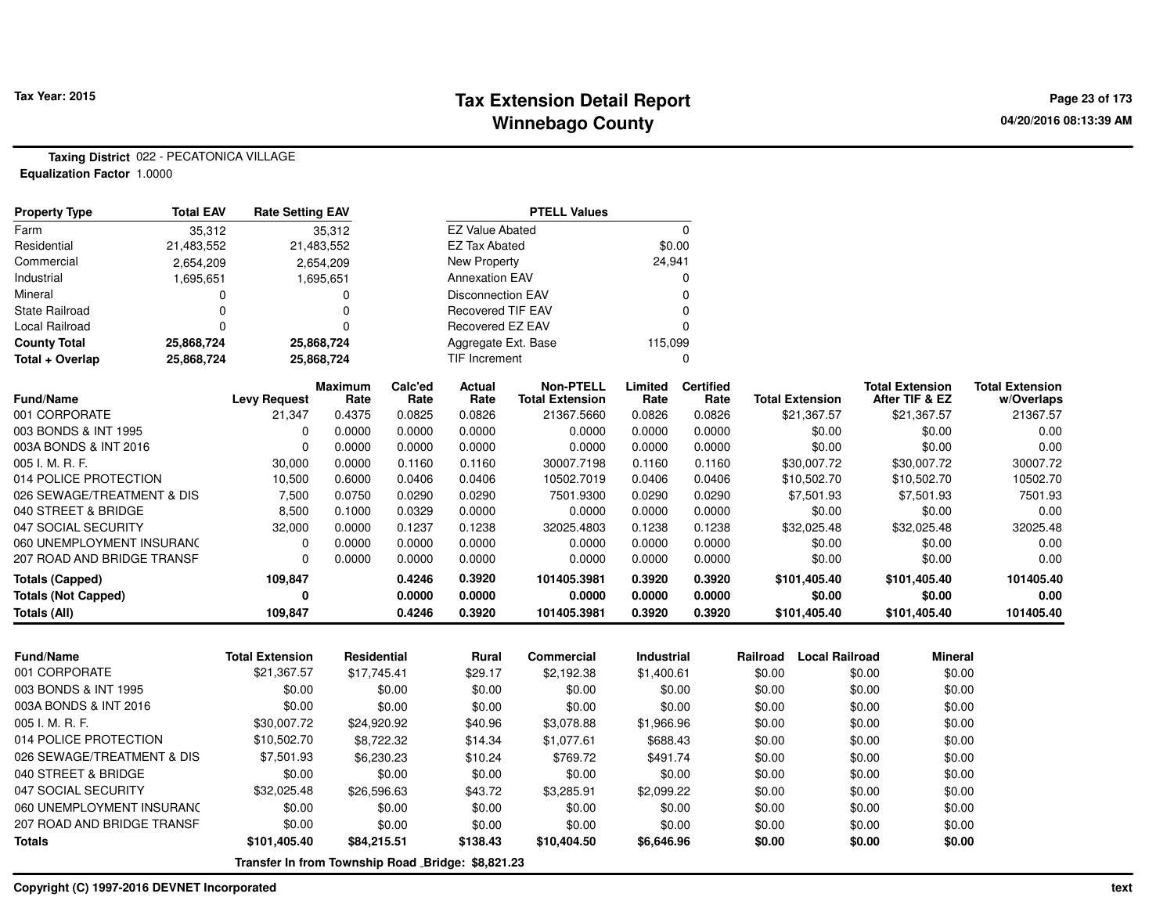**Property Type**

# **Tax Extension Detail Report Tax Year: 2015 Page 23 of 173 Winnebago County**

**Taxing District** 022 - PECATONICA VILLAGE**Equalization Factor** 1.0000

| <b>Property Type</b>       | <b>Total EAV</b> | <b>Rate Setting EAV</b> |                        |                 |                          | <b>PTELL Values</b>                        |                 |                          |                        |                                          |                                      |
|----------------------------|------------------|-------------------------|------------------------|-----------------|--------------------------|--------------------------------------------|-----------------|--------------------------|------------------------|------------------------------------------|--------------------------------------|
| Farm                       | 35,312           |                         | 35,312                 |                 | <b>EZ Value Abated</b>   |                                            |                 | 0                        |                        |                                          |                                      |
| Residential                | 21,483,552       | 21,483,552              |                        |                 | <b>EZ Tax Abated</b>     |                                            |                 | \$0.00                   |                        |                                          |                                      |
| Commercial                 | 2,654,209        |                         | 2,654,209              |                 | New Property             |                                            | 24,941          |                          |                        |                                          |                                      |
| Industrial                 | 1,695,651        |                         | 1,695,651              |                 | <b>Annexation EAV</b>    |                                            |                 |                          |                        |                                          |                                      |
| Mineral                    | O                |                         |                        |                 | <b>Disconnection EAV</b> |                                            |                 |                          |                        |                                          |                                      |
| <b>State Railroad</b>      |                  |                         |                        |                 | <b>Recovered TIF EAV</b> |                                            |                 |                          |                        |                                          |                                      |
| Local Railroad             | 0                |                         |                        |                 | Recovered EZ EAV         |                                            |                 |                          |                        |                                          |                                      |
| <b>County Total</b>        | 25,868,724       | 25,868,724              |                        |                 | Aggregate Ext. Base      |                                            | 115,099         |                          |                        |                                          |                                      |
| Total + Overlap            | 25,868,724       | 25,868,724              |                        |                 | <b>TIF Increment</b>     |                                            |                 |                          |                        |                                          |                                      |
| <b>Fund/Name</b>           |                  | <b>Levy Request</b>     | <b>Maximum</b><br>Rate | Calc'ed<br>Rate | Actual<br>Rate           | <b>Non-PTELL</b><br><b>Total Extension</b> | Limited<br>Rate | <b>Certified</b><br>Rate | <b>Total Extension</b> | <b>Total Extension</b><br>After TIF & EZ | <b>Total Extension</b><br>w/Overlaps |
| 001 CORPORATE              |                  | 21,347                  | 0.4375                 | 0.0825          | 0.0826                   | 21367.5660                                 | 0.0826          | 0.0826                   | \$21,367.57            | \$21,367.57                              | 21367.57                             |
| 003 BONDS & INT 1995       |                  |                         | 0.0000                 | 0.0000          | 0.0000                   | 0.0000                                     | 0.0000          | 0.0000                   | \$0.00                 | \$0.00                                   | 0.00                                 |
| 003A BONDS & INT 2016      |                  |                         | 0.0000                 | 0.0000          | 0.0000                   | 0.0000                                     | 0.0000          | 0.0000                   | \$0.00                 | \$0.00                                   | 0.00                                 |
| 005 I. M. R. F.            |                  | 30,000                  | 0.0000                 | 0.1160          | 0.1160                   | 30007.7198                                 | 0.1160          | 0.1160                   | \$30,007.72            | \$30,007.72                              | 30007.72                             |
| 014 POLICE PROTECTION      |                  | 10,500                  | 0.6000                 | 0.0406          | 0.0406                   | 10502.7019                                 | 0.0406          | 0.0406                   | \$10,502.70            | \$10,502.70                              | 10502.70                             |
| 026 SEWAGE/TREATMENT & DIS |                  | 7,500                   | 0.0750                 | 0.0290          | 0.0290                   | 7501.9300                                  | 0.0290          | 0.0290                   | \$7,501.93             | \$7,501.93                               | 7501.93                              |
| 040 STREET & BRIDGE        |                  | 8,500                   | 0.1000                 | 0.0329          | 0.0000                   | 0.0000                                     | 0.0000          | 0.0000                   | \$0.00                 | \$0.00                                   | 0.00                                 |
| 047 SOCIAL SECURITY        |                  | 32,000                  | 0.0000                 | 0.1237          | 0.1238                   | 32025.4803                                 | 0.1238          | 0.1238                   | \$32,025.48            | \$32,025.48                              | 32025.48                             |
| 060 UNEMPLOYMENT INSURANC  |                  |                         | 0.0000                 | 0.0000          | 0.0000                   | 0.0000                                     | 0.0000          | 0.0000                   | \$0.00                 | \$0.00                                   | 0.00                                 |
| 207 ROAD AND BRIDGE TRANSF |                  |                         | 0.0000                 | 0.0000          | 0.0000                   | 0.0000                                     | 0.0000          | 0.0000                   | \$0.00                 | \$0.00                                   | 0.00                                 |
| <b>Totals (Capped)</b>     |                  | 109,847                 |                        | 0.4246          | 0.3920                   | 101405.3981                                | 0.3920          | 0.3920                   | \$101,405.40           | \$101,405.40                             | 101405.40                            |
| <b>Totals (Not Capped)</b> |                  |                         |                        | 0.0000          | 0.0000                   | 0.0000                                     | 0.0000          | 0.0000                   | \$0.00                 | \$0.00                                   | 0.00                                 |
| Totals (All)               |                  | 109,847                 |                        | 0.4246          | 0.3920                   | 101405.3981                                | 0.3920          | 0.3920                   | \$101,405.40           | \$101,405.40                             | 101405.40                            |

| <b>Fund/Name</b>           | <b>Total Extension</b> | Residential                                       | Rural    | Commercial  | <b>Industrial</b> | Railroad | Local Railroad | <b>Mineral</b> |
|----------------------------|------------------------|---------------------------------------------------|----------|-------------|-------------------|----------|----------------|----------------|
| 001 CORPORATE              | \$21,367.57            | \$17.745.41                                       | \$29.17  | \$2.192.38  | \$1,400.61        | \$0.00   | \$0.00         | \$0.00         |
| 003 BONDS & INT 1995       | \$0.00                 | \$0.00                                            | \$0.00   | \$0.00      | \$0.00            | \$0.00   | \$0.00         | \$0.00         |
| 003A BONDS & INT 2016      | \$0.00                 | \$0.00                                            | \$0.00   | \$0.00      | \$0.00            | \$0.00   | \$0.00         | \$0.00         |
| 005 I. M. R. F.            | \$30,007.72            | \$24.920.92                                       | \$40.96  | \$3.078.88  | \$1,966.96        | \$0.00   | \$0.00         | \$0.00         |
| 014 POLICE PROTECTION      | \$10,502.70            | \$8,722,32                                        | \$14.34  | \$1,077.61  | \$688.43          | \$0.00   | \$0.00         | \$0.00         |
| 026 SEWAGE/TREATMENT & DIS | \$7,501.93             | \$6,230,23                                        | \$10.24  | \$769.72    | \$491.74          | \$0.00   | \$0.00         | \$0.00         |
| 040 STREET & BRIDGE        | \$0.00                 | \$0.00                                            | \$0.00   | \$0.00      | \$0.00            | \$0.00   | \$0.00         | \$0.00         |
| 047 SOCIAL SECURITY        | \$32,025.48            | \$26,596.63                                       | \$43.72  | \$3,285.91  | \$2,099.22        | \$0.00   | \$0.00         | \$0.00         |
| 060 UNEMPLOYMENT INSURANC  | \$0.00                 | \$0.00                                            | \$0.00   | \$0.00      | \$0.00            | \$0.00   | \$0.00         | \$0.00         |
| 207 ROAD AND BRIDGE TRANSF | \$0.00                 | \$0.00                                            | \$0.00   | \$0.00      | \$0.00            | \$0.00   | \$0.00         | \$0.00         |
| <b>Totals</b>              | \$101.405.40           | \$84,215.51                                       | \$138.43 | \$10,404.50 | \$6,646.96        | \$0.00   | \$0.00         | \$0.00         |
|                            |                        | Transfer In from Township Road Bridge: \$8,821.23 |          |             |                   |          |                |                |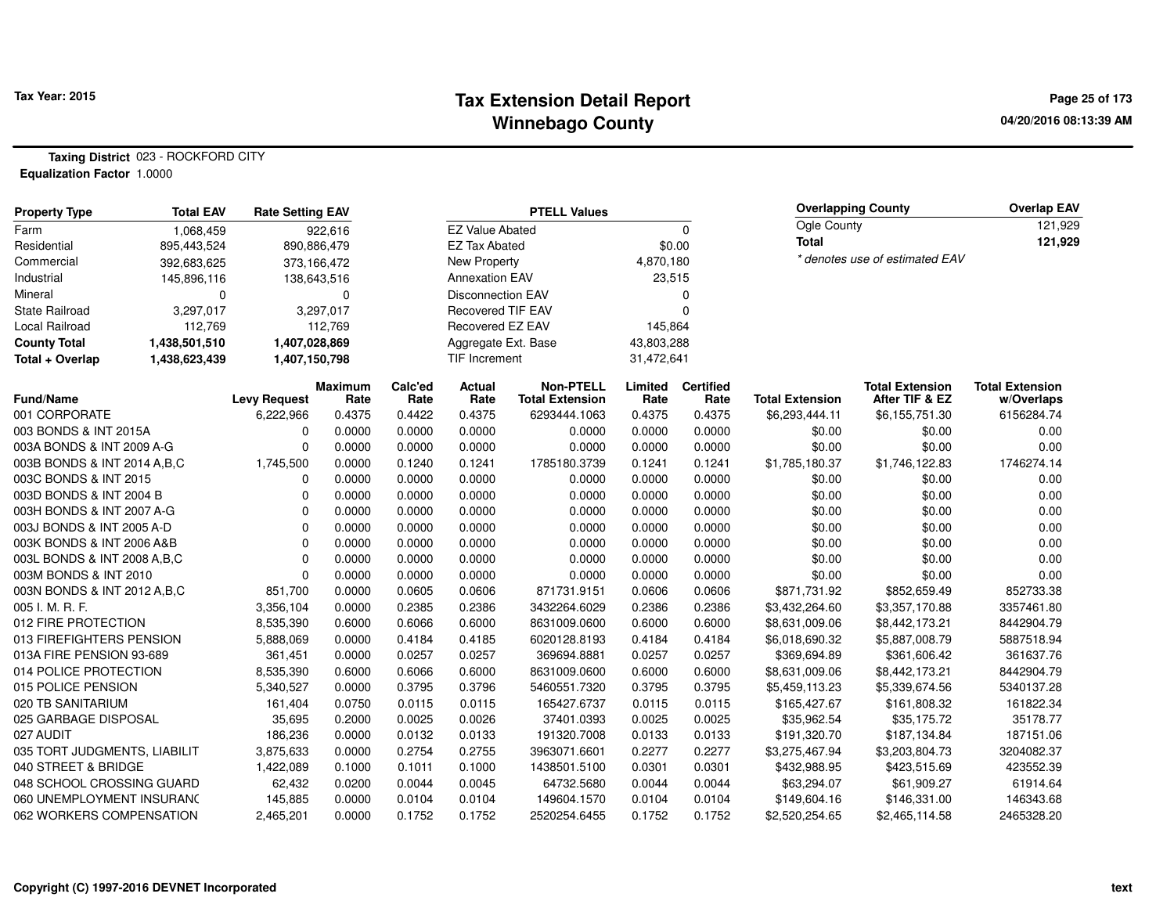#### **Tax Extension Detail Report Tax Year: 2015 Page 25 of 173 Winnebago County**

**Taxing District** 023 - ROCKFORD CITY**Equalization Factor** 1.0000

| <b>Property Type</b>              | <b>Total EAV</b> | <b>Rate Setting EAV</b>  |                |                |                          | <b>PTELL Values</b>    |                |                  |                          | <b>Overlapping County</b>                | <b>Overlap EAV</b>     |
|-----------------------------------|------------------|--------------------------|----------------|----------------|--------------------------|------------------------|----------------|------------------|--------------------------|------------------------------------------|------------------------|
| Farm                              | 1,068,459        |                          | 922,616        |                | <b>EZ Value Abated</b>   |                        |                | 0                | Ogle County              |                                          | 121,929                |
| Residential                       | 895,443,524      |                          | 890,886,479    |                | <b>EZ Tax Abated</b>     |                        | \$0.00         |                  | <b>Total</b>             |                                          | 121,929                |
| Commercial                        | 392,683,625      |                          | 373,166,472    |                | <b>New Property</b>      |                        | 4,870,180      |                  |                          | * denotes use of estimated EAV           |                        |
| Industrial                        | 145,896,116      |                          | 138,643,516    |                | <b>Annexation EAV</b>    |                        | 23,515         |                  |                          |                                          |                        |
| Mineral                           | $\mathbf 0$      |                          | $\Omega$       |                | <b>Disconnection EAV</b> |                        |                | $\Omega$         |                          |                                          |                        |
| State Railroad                    | 3,297,017        |                          | 3,297,017      |                | <b>Recovered TIF EAV</b> |                        |                | $\Omega$         |                          |                                          |                        |
| Local Railroad                    | 112,769          |                          | 112,769        |                | Recovered EZ EAV         |                        | 145,864        |                  |                          |                                          |                        |
| <b>County Total</b>               | 1,438,501,510    | 1,407,028,869            |                |                | Aggregate Ext. Base      |                        | 43,803,288     |                  |                          |                                          |                        |
| Total + Overlap                   | 1,438,623,439    | 1,407,150,798            |                |                | TIF Increment            |                        | 31,472,641     |                  |                          |                                          |                        |
|                                   |                  |                          | Maximum        | Calc'ed        | Actual                   | <b>Non-PTELL</b>       | Limited        | <b>Certified</b> |                          | <b>Total Extension</b><br>After TIF & EZ | <b>Total Extension</b> |
| <b>Fund/Name</b><br>001 CORPORATE |                  | <b>Levy Request</b>      | Rate<br>0.4375 | Rate<br>0.4422 | Rate<br>0.4375           | <b>Total Extension</b> | Rate<br>0.4375 | Rate<br>0.4375   | <b>Total Extension</b>   |                                          | w/Overlaps             |
| 003 BONDS & INT 2015A             |                  | 6,222,966<br>$\mathbf 0$ | 0.0000         | 0.0000         | 0.0000                   | 6293444.1063<br>0.0000 | 0.0000         | 0.0000           | \$6,293,444.11<br>\$0.00 | \$6,155,751.30<br>\$0.00                 | 6156284.74<br>0.00     |
| 003A BONDS & INT 2009 A-G         |                  | $\mathbf 0$              | 0.0000         | 0.0000         | 0.0000                   | 0.0000                 | 0.0000         | 0.0000           | \$0.00                   | \$0.00                                   | 0.00                   |
| 003B BONDS & INT 2014 A, B, C     |                  | 1,745,500                | 0.0000         | 0.1240         | 0.1241                   | 1785180.3739           | 0.1241         | 0.1241           | \$1,785,180.37           | \$1,746,122.83                           | 1746274.14             |
| 003C BONDS & INT 2015             |                  | $\mathbf 0$              | 0.0000         | 0.0000         | 0.0000                   | 0.0000                 | 0.0000         | 0.0000           | \$0.00                   | \$0.00                                   | 0.00                   |
| 003D BONDS & INT 2004 B           |                  | $\mathbf 0$              | 0.0000         | 0.0000         | 0.0000                   | 0.0000                 | 0.0000         | 0.0000           | \$0.00                   | \$0.00                                   | 0.00                   |
| 003H BONDS & INT 2007 A-G         |                  | $\Omega$                 | 0.0000         | 0.0000         | 0.0000                   | 0.0000                 | 0.0000         | 0.0000           | \$0.00                   | \$0.00                                   | 0.00                   |
| 003J BONDS & INT 2005 A-D         |                  | $\mathbf 0$              | 0.0000         | 0.0000         | 0.0000                   | 0.0000                 | 0.0000         | 0.0000           | \$0.00                   | \$0.00                                   | 0.00                   |
| 003K BONDS & INT 2006 A&B         |                  | $\mathbf 0$              | 0.0000         | 0.0000         | 0.0000                   | 0.0000                 | 0.0000         | 0.0000           | \$0.00                   | \$0.00                                   | 0.00                   |
| 003L BONDS & INT 2008 A, B, C     |                  | $\mathbf 0$              | 0.0000         | 0.0000         | 0.0000                   | 0.0000                 | 0.0000         | 0.0000           | \$0.00                   | \$0.00                                   | 0.00                   |
| 003M BONDS & INT 2010             |                  | $\mathbf 0$              | 0.0000         | 0.0000         | 0.0000                   | 0.0000                 | 0.0000         | 0.0000           | \$0.00                   | \$0.00                                   | 0.00                   |
| 003N BONDS & INT 2012 A, B, C     |                  | 851,700                  | 0.0000         | 0.0605         | 0.0606                   | 871731.9151            | 0.0606         | 0.0606           | \$871,731.92             | \$852,659.49                             | 852733.38              |
| 005 I. M. R. F.                   |                  | 3,356,104                | 0.0000         | 0.2385         | 0.2386                   | 3432264.6029           | 0.2386         | 0.2386           | \$3,432,264.60           | \$3,357,170.88                           | 3357461.80             |
| 012 FIRE PROTECTION               |                  | 8,535,390                | 0.6000         | 0.6066         | 0.6000                   | 8631009.0600           | 0.6000         | 0.6000           | \$8,631,009.06           | \$8,442,173.21                           | 8442904.79             |
| 013 FIREFIGHTERS PENSION          |                  | 5,888,069                | 0.0000         | 0.4184         | 0.4185                   | 6020128.8193           | 0.4184         | 0.4184           | \$6,018,690.32           | \$5,887,008.79                           | 5887518.94             |
| 013A FIRE PENSION 93-689          |                  | 361,451                  | 0.0000         | 0.0257         | 0.0257                   | 369694.8881            | 0.0257         | 0.0257           | \$369,694.89             | \$361,606.42                             | 361637.76              |
| 014 POLICE PROTECTION             |                  | 8,535,390                | 0.6000         | 0.6066         | 0.6000                   | 8631009.0600           | 0.6000         | 0.6000           | \$8,631,009.06           | \$8,442,173.21                           | 8442904.79             |
| 015 POLICE PENSION                |                  | 5,340,527                | 0.0000         | 0.3795         | 0.3796                   | 5460551.7320           | 0.3795         | 0.3795           | \$5,459,113.23           | \$5,339,674.56                           | 5340137.28             |
| 020 TB SANITARIUM                 |                  | 161,404                  | 0.0750         | 0.0115         | 0.0115                   | 165427.6737            | 0.0115         | 0.0115           | \$165,427.67             | \$161,808.32                             | 161822.34              |
| 025 GARBAGE DISPOSAL              |                  | 35,695                   | 0.2000         | 0.0025         | 0.0026                   | 37401.0393             | 0.0025         | 0.0025           | \$35,962.54              | \$35,175.72                              | 35178.77               |
| 027 AUDIT                         |                  | 186,236                  | 0.0000         | 0.0132         | 0.0133                   | 191320.7008            | 0.0133         | 0.0133           | \$191,320.70             | \$187,134.84                             | 187151.06              |
| 035 TORT JUDGMENTS, LIABILIT      |                  | 3,875,633                | 0.0000         | 0.2754         | 0.2755                   | 3963071.6601           | 0.2277         | 0.2277           | \$3,275,467.94           | \$3,203,804.73                           | 3204082.37             |
| 040 STREET & BRIDGE               |                  | 1,422,089                | 0.1000         | 0.1011         | 0.1000                   | 1438501.5100           | 0.0301         | 0.0301           | \$432,988.95             | \$423,515.69                             | 423552.39              |
| 048 SCHOOL CROSSING GUARD         |                  | 62,432                   | 0.0200         | 0.0044         | 0.0045                   | 64732.5680             | 0.0044         | 0.0044           | \$63,294.07              | \$61,909.27                              | 61914.64               |
| 060 UNEMPLOYMENT INSURANC         |                  | 145,885                  | 0.0000         | 0.0104         | 0.0104                   | 149604.1570            | 0.0104         | 0.0104           | \$149,604.16             | \$146,331.00                             | 146343.68              |
| 062 WORKERS COMPENSATION          |                  | 2,465,201                | 0.0000         | 0.1752         | 0.1752                   | 2520254.6455           | 0.1752         | 0.1752           | \$2,520,254.65           | \$2,465,114.58                           | 2465328.20             |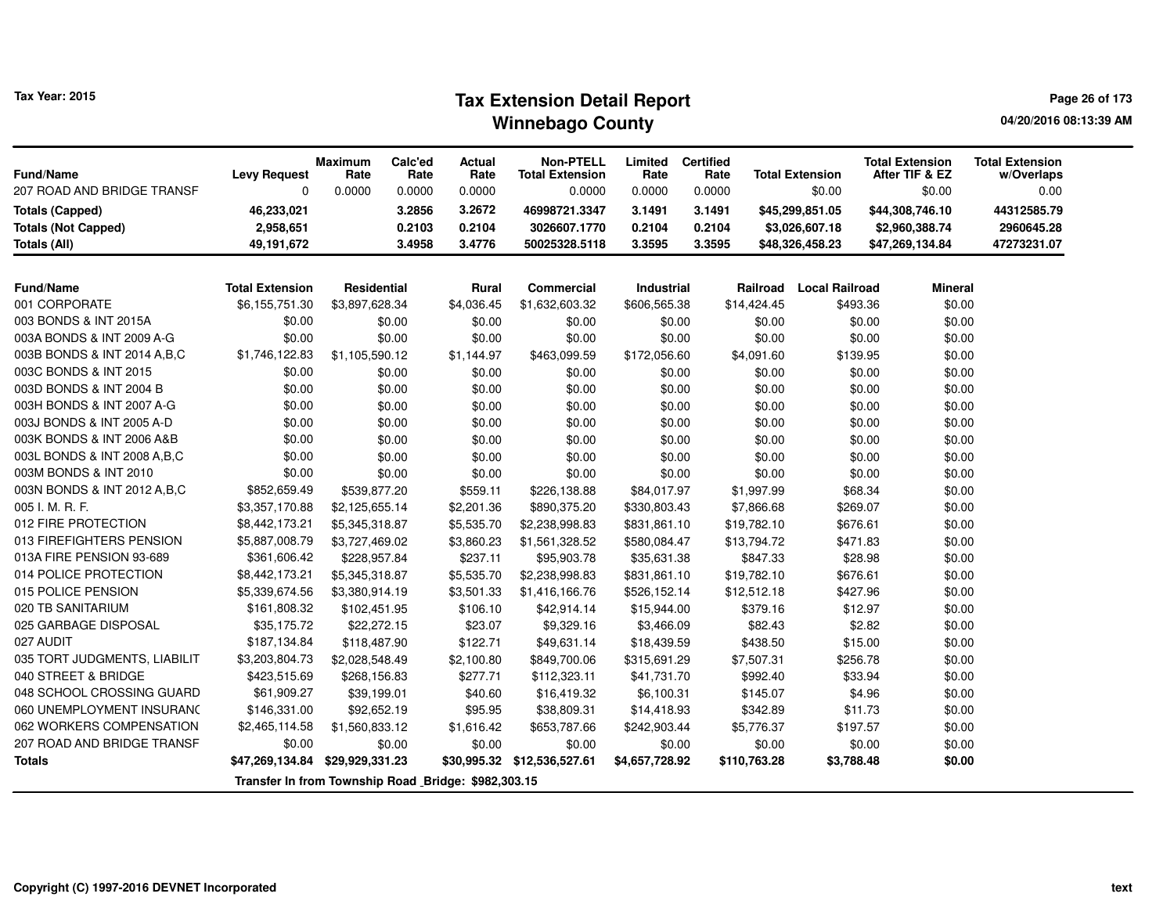# **Tax Extension Detail Report Tax Year: 2015 Page 26 of 173 Winnebago County**

**04/20/2016 08:13:39 AM**

| Fund/Name<br>207 ROAD AND BRIDGE TRANSF | <b>Levy Request</b><br>$\Omega$                     | <b>Maximum</b><br>Rate<br>0.0000 | Calc'ed<br>Rate<br>0.0000 | Actual<br>Rate<br>0.0000 | <b>Non-PTELL</b><br><b>Total Extension</b><br>0.0000 | Limited<br>Rate<br>0.0000 | <b>Certified</b><br>Rate<br>0.0000 | <b>Total Extension</b><br>\$0.00 | <b>Total Extension</b><br>After TIF & EZ<br>\$0.00 | <b>Total Extension</b><br>w/Overlaps<br>0.00 |
|-----------------------------------------|-----------------------------------------------------|----------------------------------|---------------------------|--------------------------|------------------------------------------------------|---------------------------|------------------------------------|----------------------------------|----------------------------------------------------|----------------------------------------------|
| <b>Totals (Capped)</b>                  | 46,233,021                                          |                                  | 3.2856                    | 3.2672                   | 46998721.3347                                        | 3.1491                    | 3.1491                             | \$45,299,851.05                  | \$44,308,746.10                                    | 44312585.79                                  |
| <b>Totals (Not Capped)</b>              | 2,958,651                                           |                                  | 0.2103                    | 0.2104                   | 3026607.1770                                         | 0.2104                    | 0.2104                             | \$3,026,607.18                   | \$2,960,388.74                                     | 2960645.28                                   |
| <b>Totals (All)</b>                     | 49,191,672                                          |                                  | 3.4958                    | 3.4776                   | 50025328.5118                                        | 3.3595                    | 3.3595                             | \$48,326,458.23                  | \$47,269,134.84                                    | 47273231.07                                  |
|                                         |                                                     |                                  |                           |                          |                                                      |                           |                                    |                                  |                                                    |                                              |
| Fund/Name                               | <b>Total Extension</b>                              | Residential                      |                           | <b>Rural</b>             | <b>Commercial</b>                                    | Industrial                | Railroad                           | <b>Local Railroad</b>            | <b>Mineral</b>                                     |                                              |
| 001 CORPORATE                           | \$6,155,751.30                                      | \$3,897,628.34                   |                           | \$4,036.45               | \$1,632,603.32                                       | \$606,565.38              | \$14,424.45                        | \$493.36                         | \$0.00                                             |                                              |
| 003 BONDS & INT 2015A                   | \$0.00                                              |                                  | \$0.00                    | \$0.00                   | \$0.00                                               | \$0.00                    | \$0.00                             |                                  | \$0.00<br>\$0.00                                   |                                              |
| 003A BONDS & INT 2009 A-G               | \$0.00                                              |                                  | \$0.00                    | \$0.00                   | \$0.00                                               | \$0.00                    | \$0.00                             |                                  | \$0.00<br>\$0.00                                   |                                              |
| 003B BONDS & INT 2014 A, B, C           | \$1,746,122.83                                      | \$1,105,590.12                   |                           | \$1,144.97               | \$463,099.59                                         | \$172,056.60              | \$4,091.60                         | \$139.95                         | \$0.00                                             |                                              |
| 003C BONDS & INT 2015                   | \$0.00                                              |                                  | \$0.00                    | \$0.00                   | \$0.00                                               | \$0.00                    | \$0.00                             |                                  | \$0.00<br>\$0.00                                   |                                              |
| 003D BONDS & INT 2004 B                 | \$0.00                                              |                                  | \$0.00                    | \$0.00                   | \$0.00                                               | \$0.00                    | \$0.00                             |                                  | \$0.00<br>\$0.00                                   |                                              |
| 003H BONDS & INT 2007 A-G               | \$0.00                                              |                                  | \$0.00                    | \$0.00                   | \$0.00                                               | \$0.00                    | \$0.00                             |                                  | \$0.00<br>\$0.00                                   |                                              |
| 003J BONDS & INT 2005 A-D               | \$0.00                                              |                                  | \$0.00                    | \$0.00                   | \$0.00                                               | \$0.00                    | \$0.00                             |                                  | \$0.00<br>\$0.00                                   |                                              |
| 003K BONDS & INT 2006 A&B               | \$0.00                                              |                                  | \$0.00                    | \$0.00                   | \$0.00                                               | \$0.00                    | \$0.00                             |                                  | \$0.00<br>\$0.00                                   |                                              |
| 003L BONDS & INT 2008 A, B, C           | \$0.00                                              |                                  | \$0.00                    | \$0.00                   | \$0.00                                               | \$0.00                    | \$0.00                             |                                  | \$0.00<br>\$0.00                                   |                                              |
| 003M BONDS & INT 2010                   | \$0.00                                              |                                  | \$0.00                    | \$0.00                   | \$0.00                                               | \$0.00                    | \$0.00                             |                                  | \$0.00<br>\$0.00                                   |                                              |
| 003N BONDS & INT 2012 A, B, C           | \$852,659.49                                        | \$539,877.20                     |                           | \$559.11                 | \$226,138.88                                         | \$84,017.97               | \$1,997.99                         | \$68.34                          | \$0.00                                             |                                              |
| 005 I. M. R. F.                         | \$3,357,170.88                                      | \$2,125,655.14                   |                           | \$2,201.36               | \$890,375.20                                         | \$330,803.43              | \$7,866.68                         | \$269.07                         | \$0.00                                             |                                              |
| 012 FIRE PROTECTION                     | \$8,442,173.21                                      | \$5,345,318.87                   |                           | \$5,535.70               | \$2,238,998.83                                       | \$831,861.10              | \$19,782.10                        | \$676.61                         | \$0.00                                             |                                              |
| 013 FIREFIGHTERS PENSION                | \$5,887,008.79                                      | \$3,727,469.02                   |                           | \$3,860.23               | \$1,561,328.52                                       | \$580,084.47              | \$13,794.72                        | \$471.83                         | \$0.00                                             |                                              |
| 013A FIRE PENSION 93-689                | \$361,606.42                                        | \$228,957.84                     |                           | \$237.11                 | \$95,903.78                                          | \$35,631.38               | \$847.33                           | \$28.98                          | \$0.00                                             |                                              |
| 014 POLICE PROTECTION                   | \$8,442,173.21                                      | \$5,345,318.87                   |                           | \$5,535.70               | \$2,238,998.83                                       | \$831,861.10              | \$19,782.10                        | \$676.61                         | \$0.00                                             |                                              |
| 015 POLICE PENSION                      | \$5,339,674.56                                      | \$3,380,914.19                   |                           | \$3,501.33               | \$1,416,166.76                                       | \$526,152.14              | \$12,512.18                        | \$427.96                         | \$0.00                                             |                                              |
| 020 TB SANITARIUM                       | \$161,808.32                                        | \$102,451.95                     |                           | \$106.10                 | \$42,914.14                                          | \$15,944.00               | \$379.16                           | \$12.97                          | \$0.00                                             |                                              |
| 025 GARBAGE DISPOSAL                    | \$35,175.72                                         | \$22,272.15                      |                           | \$23.07                  | \$9,329.16                                           | \$3,466.09                | \$82.43                            |                                  | \$2.82<br>\$0.00                                   |                                              |
| 027 AUDIT                               | \$187,134.84                                        | \$118,487.90                     |                           | \$122.71                 | \$49,631.14                                          | \$18,439.59               | \$438.50                           | \$15.00                          | \$0.00                                             |                                              |
| 035 TORT JUDGMENTS, LIABILIT            | \$3,203,804.73                                      | \$2,028,548.49                   |                           | \$2,100.80               | \$849,700.06                                         | \$315,691.29              | \$7,507.31                         | \$256.78                         | \$0.00                                             |                                              |
| 040 STREET & BRIDGE                     | \$423,515.69                                        | \$268,156.83                     |                           | \$277.71                 | \$112,323.11                                         | \$41,731.70               | \$992.40                           | \$33.94                          | \$0.00                                             |                                              |
| 048 SCHOOL CROSSING GUARD               | \$61,909.27                                         | \$39,199.01                      |                           | \$40.60                  | \$16,419.32                                          | \$6,100.31                | \$145.07                           |                                  | \$4.96<br>\$0.00                                   |                                              |
| 060 UNEMPLOYMENT INSURANC               | \$146,331.00                                        | \$92,652.19                      |                           | \$95.95                  | \$38,809.31                                          | \$14,418.93               | \$342.89                           | \$11.73                          | \$0.00                                             |                                              |
| 062 WORKERS COMPENSATION                | \$2,465,114.58                                      | \$1,560,833.12                   |                           | \$1,616.42               | \$653,787.66                                         | \$242,903.44              | \$5,776.37                         | \$197.57                         | \$0.00                                             |                                              |
| 207 ROAD AND BRIDGE TRANSF              | \$0.00                                              |                                  | \$0.00                    | \$0.00                   | \$0.00                                               | \$0.00                    | \$0.00                             |                                  | \$0.00<br>\$0.00                                   |                                              |
| <b>Totals</b>                           | \$47,269,134.84                                     | \$29,929,331.23                  |                           |                          | \$30,995.32 \$12,536,527.61                          | \$4,657,728.92            | \$110,763.28                       | \$3,788.48                       | \$0.00                                             |                                              |
|                                         | Transfer In from Township Road Bridge: \$982,303.15 |                                  |                           |                          |                                                      |                           |                                    |                                  |                                                    |                                              |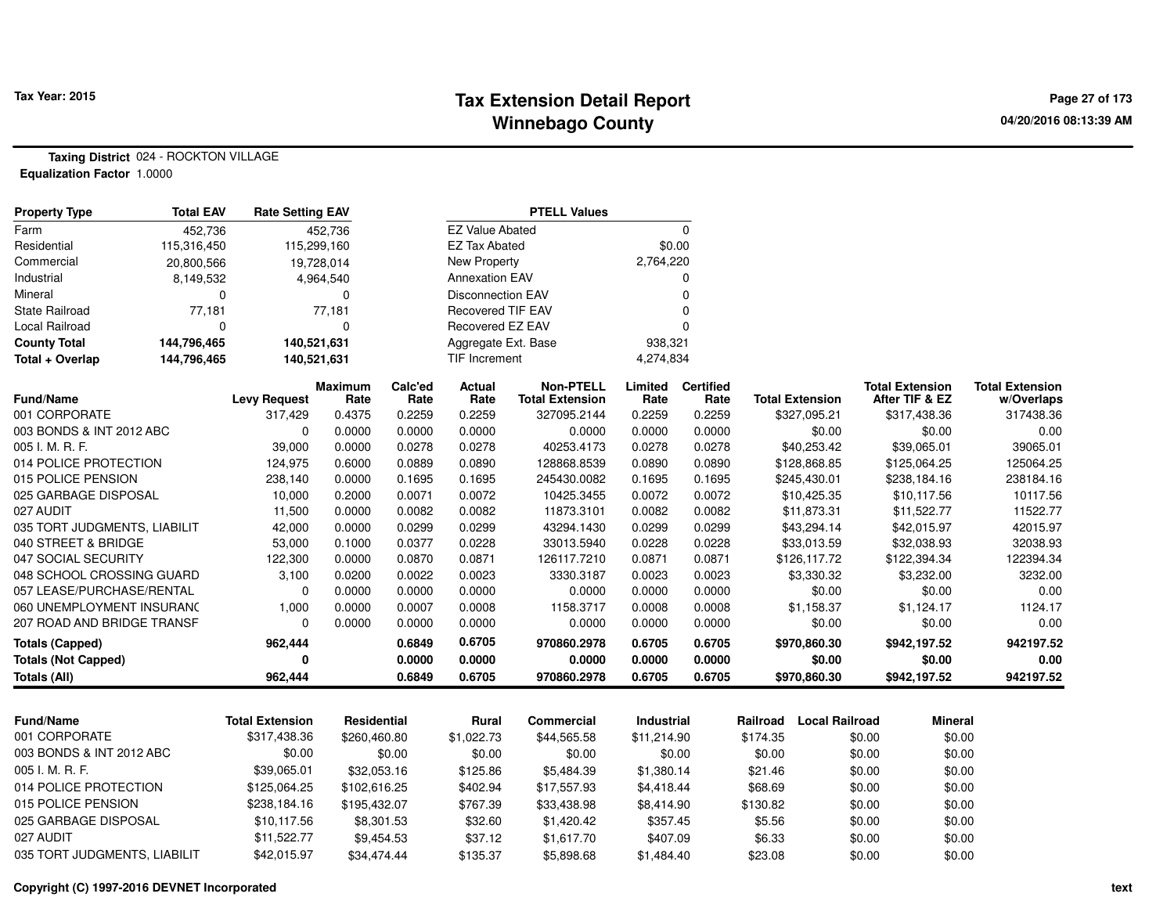#### **Tax Extension Detail Report Tax Year: 2015 Page 27 of 173 Winnebago County**

**Taxing District** 024 - ROCKTON VILLAGE**Equalization Factor** 1.0000

| <b>Property Type</b>         | <b>Total EAV</b> | <b>Rate Setting EAV</b> |                        |                 |                          | <b>PTELL Values</b>                        |                 |                          |                        |                       |                                          |                                      |
|------------------------------|------------------|-------------------------|------------------------|-----------------|--------------------------|--------------------------------------------|-----------------|--------------------------|------------------------|-----------------------|------------------------------------------|--------------------------------------|
| Farm                         | 452,736          |                         | 452,736                |                 | <b>EZ Value Abated</b>   |                                            |                 | $\mathbf 0$              |                        |                       |                                          |                                      |
| Residential                  | 115,316,450      | 115,299,160             |                        |                 | <b>EZ Tax Abated</b>     |                                            |                 | \$0.00                   |                        |                       |                                          |                                      |
| Commercial                   | 20,800,566       |                         | 19,728,014             |                 | New Property             |                                            | 2,764,220       |                          |                        |                       |                                          |                                      |
| Industrial                   | 8,149,532        |                         | 4,964,540              |                 | <b>Annexation EAV</b>    |                                            |                 | $\Omega$                 |                        |                       |                                          |                                      |
| Mineral                      | 0                |                         | 0                      |                 | <b>Disconnection EAV</b> |                                            |                 | $\Omega$                 |                        |                       |                                          |                                      |
| State Railroad               | 77,181           |                         | 77,181                 |                 | <b>Recovered TIF EAV</b> |                                            |                 | 0                        |                        |                       |                                          |                                      |
| Local Railroad               | 0                |                         | 0                      |                 | Recovered EZ EAV         |                                            |                 | $\Omega$                 |                        |                       |                                          |                                      |
| <b>County Total</b>          | 144,796,465      | 140,521,631             |                        |                 | Aggregate Ext. Base      |                                            | 938,321         |                          |                        |                       |                                          |                                      |
| Total + Overlap              | 144,796,465      | 140,521,631             |                        |                 | <b>TIF Increment</b>     |                                            | 4,274,834       |                          |                        |                       |                                          |                                      |
| <b>Fund/Name</b>             |                  | <b>Levy Request</b>     | <b>Maximum</b><br>Rate | Calc'ed<br>Rate | <b>Actual</b><br>Rate    | <b>Non-PTELL</b><br><b>Total Extension</b> | Limited<br>Rate | <b>Certified</b><br>Rate | <b>Total Extension</b> |                       | <b>Total Extension</b><br>After TIF & EZ | <b>Total Extension</b><br>w/Overlaps |
| 001 CORPORATE                |                  | 317,429                 | 0.4375                 | 0.2259          | 0.2259                   | 327095.2144                                | 0.2259          | 0.2259                   | \$327,095.21           |                       | \$317,438.36                             | 317438.36                            |
| 003 BONDS & INT 2012 ABC     |                  | $\Omega$                | 0.0000                 | 0.0000          | 0.0000                   | 0.0000                                     | 0.0000          | 0.0000                   |                        | \$0.00                | \$0.00                                   | 0.00                                 |
| 005 I. M. R. F.              |                  | 39,000                  | 0.0000                 | 0.0278          | 0.0278                   | 40253.4173                                 | 0.0278          | 0.0278                   | \$40,253.42            |                       | \$39,065.01                              | 39065.01                             |
| 014 POLICE PROTECTION        |                  | 124,975                 | 0.6000                 | 0.0889          | 0.0890                   | 128868.8539                                | 0.0890          | 0.0890                   | \$128,868.85           |                       | \$125,064.25                             | 125064.25                            |
| 015 POLICE PENSION           |                  | 238,140                 | 0.0000                 | 0.1695          | 0.1695                   | 245430.0082                                | 0.1695          | 0.1695                   | \$245,430.01           |                       | \$238,184.16                             | 238184.16                            |
| 025 GARBAGE DISPOSAL         |                  | 10,000                  | 0.2000                 | 0.0071          | 0.0072                   | 10425.3455                                 | 0.0072          | 0.0072                   | \$10,425.35            |                       | \$10,117.56                              | 10117.56                             |
| 027 AUDIT                    |                  | 11,500                  | 0.0000                 | 0.0082          | 0.0082                   | 11873.3101                                 | 0.0082          | 0.0082                   | \$11,873.31            |                       | \$11,522.77                              | 11522.77                             |
| 035 TORT JUDGMENTS, LIABILIT |                  | 42,000                  | 0.0000                 | 0.0299          | 0.0299                   | 43294.1430                                 | 0.0299          | 0.0299                   | \$43,294.14            |                       | \$42,015.97                              | 42015.97                             |
| 040 STREET & BRIDGE          |                  | 53,000                  | 0.1000                 | 0.0377          | 0.0228                   | 33013.5940                                 | 0.0228          | 0.0228                   | \$33,013.59            |                       | \$32,038.93                              | 32038.93                             |
| 047 SOCIAL SECURITY          |                  | 122,300                 | 0.0000                 | 0.0870          | 0.0871                   | 126117.7210                                | 0.0871          | 0.0871                   | \$126,117.72           |                       | \$122,394.34                             | 122394.34                            |
| 048 SCHOOL CROSSING GUARD    |                  | 3,100                   | 0.0200                 | 0.0022          | 0.0023                   | 3330.3187                                  | 0.0023          | 0.0023                   | \$3,330.32             |                       | \$3,232.00                               | 3232.00                              |
| 057 LEASE/PURCHASE/RENTAL    |                  | 0                       | 0.0000                 | 0.0000          | 0.0000                   | 0.0000                                     | 0.0000          | 0.0000                   |                        | \$0.00                | \$0.00                                   | 0.00                                 |
| 060 UNEMPLOYMENT INSURANC    |                  | 1,000                   | 0.0000                 | 0.0007          | 0.0008                   | 1158.3717                                  | 0.0008          | 0.0008                   | \$1,158.37             |                       | \$1,124.17                               | 1124.17                              |
| 207 ROAD AND BRIDGE TRANSF   |                  | $\Omega$                | 0.0000                 | 0.0000          | 0.0000                   | 0.0000                                     | 0.0000          | 0.0000                   |                        | \$0.00                | \$0.00                                   | 0.00                                 |
| <b>Totals (Capped)</b>       |                  | 962,444                 |                        | 0.6849          | 0.6705                   | 970860.2978                                | 0.6705          | 0.6705                   | \$970,860.30           |                       | \$942,197.52                             | 942197.52                            |
| <b>Totals (Not Capped)</b>   |                  | O                       |                        | 0.0000          | 0.0000                   | 0.0000                                     | 0.0000          | 0.0000                   |                        | \$0.00                | \$0.00                                   | 0.00                                 |
| <b>Totals (All)</b>          |                  | 962,444                 |                        | 0.6849          | 0.6705                   | 970860.2978                                | 0.6705          | 0.6705                   | \$970,860.30           |                       | \$942,197.52                             | 942197.52                            |
|                              |                  |                         |                        |                 |                          |                                            |                 |                          |                        |                       |                                          |                                      |
| <b>Fund/Name</b>             |                  | <b>Total Extension</b>  | Residential            |                 | <b>Rural</b>             | <b>Commercial</b>                          | Industrial      |                          | Railroad               | <b>Local Railroad</b> | <b>Mineral</b>                           |                                      |
| 001 CORPORATE                |                  | \$317,438.36            | \$260,460.80           |                 | \$1,022.73               | \$44,565.58                                | \$11,214.90     |                          | \$174.35               | \$0.00                | \$0.00                                   |                                      |
| 003 BONDS & INT 2012 ABC     |                  | \$0.00                  |                        | \$0.00          | \$0.00                   | \$0.00                                     |                 | \$0.00                   | \$0.00                 | \$0.00                | \$0.00                                   |                                      |
| 005 I. M. R. F.              |                  | \$39,065.01             | \$32,053.16            |                 | \$125.86                 | \$5,484.39                                 | \$1,380.14      |                          | \$21.46                | \$0.00                | \$0.00                                   |                                      |
| 014 POLICE PROTECTION        |                  | \$125,064.25            | \$102,616.25           |                 | \$402.94                 | \$17,557.93                                | \$4,418.44      |                          | \$68.69                | \$0.00                | \$0.00                                   |                                      |
| 015 POLICE PENSION           |                  | \$238,184.16            | \$195,432.07           |                 | \$767.39                 | \$33,438.98                                | \$8,414.90      |                          | \$130.82               | \$0.00                | \$0.00                                   |                                      |
| 025 GARBAGE DISPOSAL         |                  | \$10,117.56             | \$8,301.53             |                 | \$32.60                  | \$1,420.42                                 | \$357.45        |                          | \$5.56                 | \$0.00                | \$0.00                                   |                                      |
| 027 AUDIT                    |                  | \$11,522.77             | \$9,454.53             |                 | \$37.12                  | \$1,617.70                                 | \$407.09        |                          | \$6.33                 | \$0.00                | \$0.00                                   |                                      |
| 035 TORT JUDGMENTS, LIABILIT |                  | \$42,015.97             | \$34,474.44            |                 | \$135.37                 | \$5,898.68                                 | \$1,484.40      |                          | \$23.08                | \$0.00                | \$0.00                                   |                                      |

**Copyright (C) 1997-2016 DEVNET Incorporated**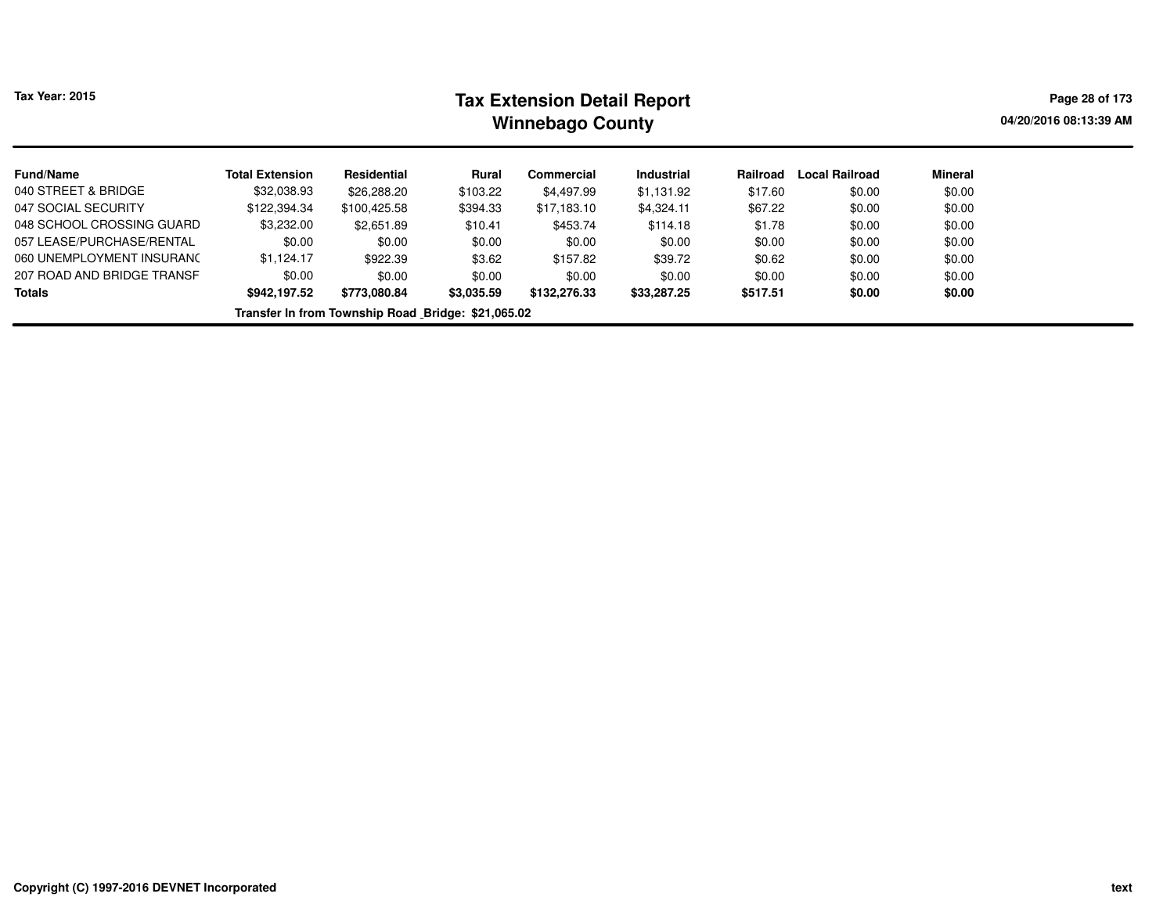| <b>Tax Year: 2015</b>      | <b>Tax Extension Detail Report</b><br><b>Winnebago County</b> |                                                    |            |              |                   |          |                       |         |  |  |  |  |
|----------------------------|---------------------------------------------------------------|----------------------------------------------------|------------|--------------|-------------------|----------|-----------------------|---------|--|--|--|--|
| <b>Fund/Name</b>           | <b>Total Extension</b>                                        | Residential                                        | Rural      | Commercial   | <b>Industrial</b> | Railroad | <b>Local Railroad</b> | Mineral |  |  |  |  |
| 040 STREET & BRIDGE        | \$32,038.93                                                   | \$26,288.20                                        | \$103.22   | \$4,497.99   | \$1,131.92        | \$17.60  | \$0.00                | \$0.00  |  |  |  |  |
| 047 SOCIAL SECURITY        | \$122,394.34                                                  | \$100.425.58                                       | \$394.33   | \$17,183.10  | \$4,324.11        | \$67.22  | \$0.00                | \$0.00  |  |  |  |  |
| 048 SCHOOL CROSSING GUARD  | \$3,232.00                                                    | \$2,651.89                                         | \$10.41    | \$453.74     | \$114.18          | \$1.78   | \$0.00                | \$0.00  |  |  |  |  |
| 057 LEASE/PURCHASE/RENTAL  | \$0.00                                                        | \$0.00                                             | \$0.00     | \$0.00       | \$0.00            | \$0.00   | \$0.00                | \$0.00  |  |  |  |  |
| 060 UNEMPLOYMENT INSURANC  | \$1.124.17                                                    | \$922.39                                           | \$3.62     | \$157.82     | \$39.72           | \$0.62   | \$0.00                | \$0.00  |  |  |  |  |
| 207 ROAD AND BRIDGE TRANSF | \$0.00                                                        | \$0.00                                             | \$0.00     | \$0.00       | \$0.00            | \$0.00   | \$0.00                | \$0.00  |  |  |  |  |
| <b>Totals</b>              | \$942,197.52                                                  | \$773,080.84                                       | \$3,035.59 | \$132,276.33 | \$33,287.25       | \$517.51 | \$0.00                | \$0.00  |  |  |  |  |
|                            |                                                               | Transfer In from Township Road Bridge: \$21,065.02 |            |              |                   |          |                       |         |  |  |  |  |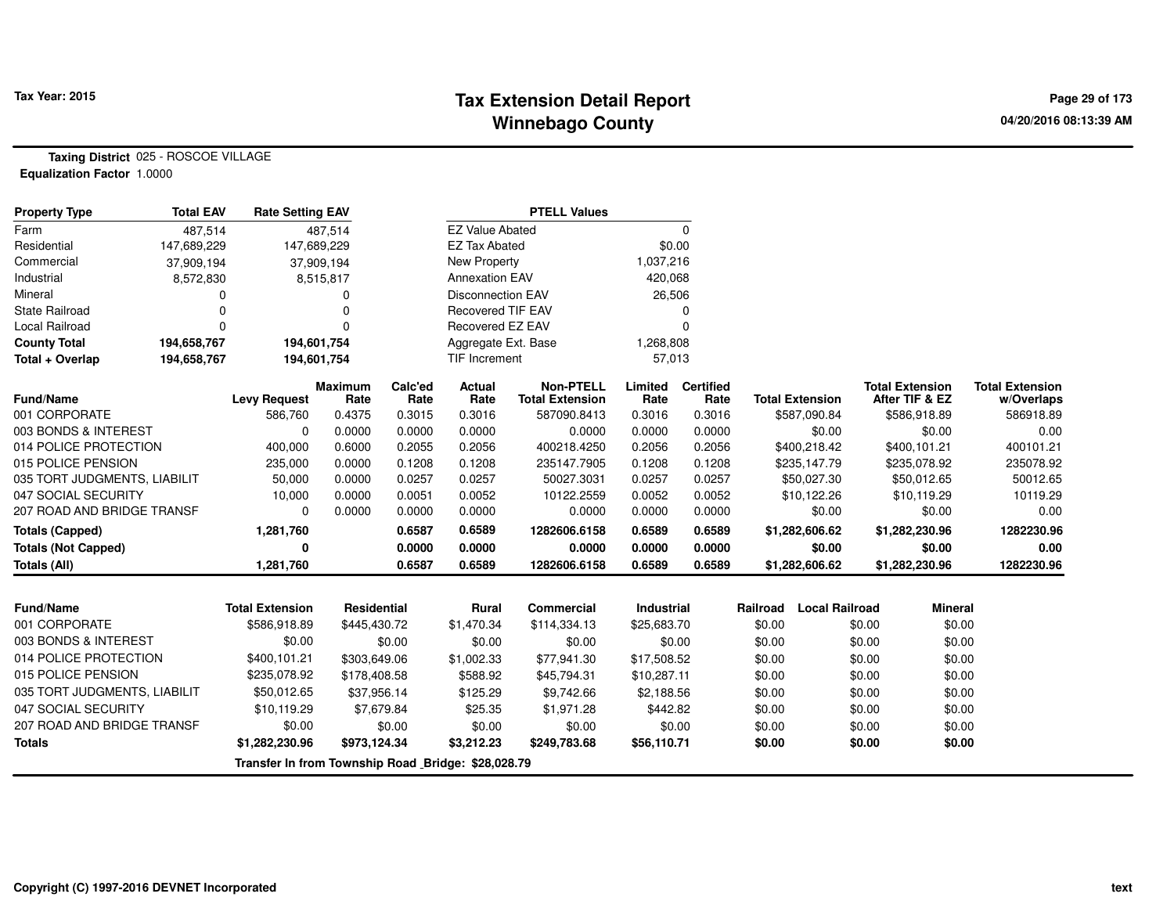#### **Tax Extension Detail Report Tax Year: 2015 Page 29 of 173 Winnebago County**

**Taxing District** 025 - ROSCOE VILLAGE**Equalization Factor** 1.0000

| <b>Property Type</b>         | <b>Total EAV</b> | <b>Rate Setting EAV</b>                            |                        |                 |                          | <b>PTELL Values</b>                        |                   |                          |                                   |                                          |                                      |
|------------------------------|------------------|----------------------------------------------------|------------------------|-----------------|--------------------------|--------------------------------------------|-------------------|--------------------------|-----------------------------------|------------------------------------------|--------------------------------------|
| Farm                         | 487,514          |                                                    | 487,514                |                 | <b>EZ Value Abated</b>   |                                            |                   | $\Omega$                 |                                   |                                          |                                      |
| Residential                  | 147,689,229      | 147,689,229                                        |                        |                 | <b>EZ Tax Abated</b>     |                                            | \$0.00            |                          |                                   |                                          |                                      |
| Commercial                   | 37,909,194       |                                                    | 37,909,194             |                 | New Property             |                                            | 1,037,216         |                          |                                   |                                          |                                      |
| Industrial                   | 8,572,830        |                                                    | 8,515,817              |                 | <b>Annexation EAV</b>    |                                            | 420,068           |                          |                                   |                                          |                                      |
| Mineral                      | 0                |                                                    | 0                      |                 | <b>Disconnection EAV</b> |                                            | 26,506            |                          |                                   |                                          |                                      |
| <b>State Railroad</b>        | 0                |                                                    | 0                      |                 | <b>Recovered TIF EAV</b> |                                            |                   | $\Omega$                 |                                   |                                          |                                      |
| <b>Local Railroad</b>        | $\Omega$         |                                                    | $\Omega$               |                 | Recovered EZ EAV         |                                            |                   | $\Omega$                 |                                   |                                          |                                      |
| <b>County Total</b>          | 194,658,767      | 194,601,754                                        |                        |                 | Aggregate Ext. Base      |                                            | 1,268,808         |                          |                                   |                                          |                                      |
| Total + Overlap              | 194,658,767      | 194,601,754                                        |                        |                 | <b>TIF Increment</b>     |                                            | 57,013            |                          |                                   |                                          |                                      |
| <b>Fund/Name</b>             |                  | <b>Levy Request</b>                                | <b>Maximum</b><br>Rate | Calc'ed<br>Rate | <b>Actual</b><br>Rate    | <b>Non-PTELL</b><br><b>Total Extension</b> | Limited<br>Rate   | <b>Certified</b><br>Rate | <b>Total Extension</b>            | <b>Total Extension</b><br>After TIF & EZ | <b>Total Extension</b><br>w/Overlaps |
| 001 CORPORATE                |                  | 586,760                                            | 0.4375                 | 0.3015          | 0.3016                   | 587090.8413                                | 0.3016            | 0.3016                   | \$587,090.84                      | \$586,918.89                             | 586918.89                            |
| 003 BONDS & INTEREST         |                  | $\Omega$                                           | 0.0000                 | 0.0000          | 0.0000                   | 0.0000                                     | 0.0000            | 0.0000                   | \$0.00                            | \$0.00                                   | 0.00                                 |
| 014 POLICE PROTECTION        |                  | 400,000                                            | 0.6000                 | 0.2055          | 0.2056                   | 400218.4250                                | 0.2056            | 0.2056                   | \$400,218.42                      | \$400,101.21                             | 400101.21                            |
| 015 POLICE PENSION           |                  | 235,000                                            | 0.0000                 | 0.1208          | 0.1208                   | 235147.7905                                | 0.1208            | 0.1208                   | \$235,147.79                      | \$235,078.92                             | 235078.92                            |
| 035 TORT JUDGMENTS, LIABILIT |                  | 50,000                                             | 0.0000                 | 0.0257          | 0.0257                   | 50027.3031                                 | 0.0257            | 0.0257                   | \$50,027.30                       | \$50,012.65                              | 50012.65                             |
| 047 SOCIAL SECURITY          |                  | 10,000                                             | 0.0000                 | 0.0051          | 0.0052                   | 10122.2559                                 | 0.0052            | 0.0052                   | \$10,122.26                       | \$10,119.29                              | 10119.29                             |
| 207 ROAD AND BRIDGE TRANSF   |                  | $\Omega$                                           | 0.0000                 | 0.0000          | 0.0000                   | 0.0000                                     | 0.0000            | 0.0000                   | \$0.00                            | \$0.00                                   | 0.00                                 |
| <b>Totals (Capped)</b>       |                  | 1,281,760                                          |                        | 0.6587          | 0.6589                   | 1282606.6158                               | 0.6589            | 0.6589                   | \$1,282,606.62                    | \$1,282,230.96                           | 1282230.96                           |
| <b>Totals (Not Capped)</b>   |                  | 0                                                  |                        | 0.0000          | 0.0000                   | 0.0000                                     | 0.0000            | 0.0000                   | \$0.00                            | \$0.00                                   | 0.00                                 |
| Totals (All)                 |                  | 1,281,760                                          |                        | 0.6587          | 0.6589                   | 1282606.6158                               | 0.6589            | 0.6589                   | \$1,282,606.62                    | \$1,282,230.96                           | 1282230.96                           |
|                              |                  |                                                    |                        |                 |                          |                                            |                   |                          |                                   |                                          |                                      |
| <b>Fund/Name</b>             |                  | <b>Total Extension</b>                             | <b>Residential</b>     |                 | <b>Rural</b>             | <b>Commercial</b>                          | <b>Industrial</b> |                          | <b>Local Railroad</b><br>Railroad | <b>Mineral</b>                           |                                      |
| 001 CORPORATE                |                  | \$586,918.89                                       | \$445,430.72           |                 | \$1,470.34               | \$114,334.13                               | \$25,683.70       |                          | \$0.00                            | \$0.00<br>\$0.00                         |                                      |
| 003 BONDS & INTEREST         |                  | \$0.00                                             |                        | \$0.00          | \$0.00                   | \$0.00                                     |                   | \$0.00                   | \$0.00                            | \$0.00<br>\$0.00                         |                                      |
| 014 POLICE PROTECTION        |                  | \$400,101.21                                       | \$303,649.06           |                 | \$1,002.33               | \$77,941.30                                | \$17,508.52       |                          | \$0.00                            | \$0.00<br>\$0.00                         |                                      |
| 015 POLICE PENSION           |                  | \$235,078.92                                       | \$178,408.58           |                 | \$588.92                 | \$45,794.31                                | \$10,287.11       |                          | \$0.00                            | \$0.00<br>\$0.00                         |                                      |
| 035 TORT JUDGMENTS, LIABILIT |                  | \$50,012.65                                        | \$37,956.14            |                 | \$125.29                 | \$9,742.66                                 | \$2,188.56        |                          | \$0.00                            | \$0.00<br>\$0.00                         |                                      |
| 047 SOCIAL SECURITY          |                  | \$10,119.29                                        |                        | \$7,679.84      | \$25.35                  | \$1,971.28                                 | \$442.82          |                          | \$0.00                            | \$0.00<br>\$0.00                         |                                      |
| 207 ROAD AND BRIDGE TRANSF   |                  | \$0.00                                             |                        | \$0.00          | \$0.00                   | \$0.00                                     |                   | \$0.00                   | \$0.00                            | \$0.00<br>\$0.00                         |                                      |
| <b>Totals</b>                |                  | \$1,282,230.96                                     | \$973,124.34           |                 | \$3,212.23               | \$249,783.68                               | \$56,110.71       |                          | \$0.00                            | \$0.00<br>\$0.00                         |                                      |
|                              |                  | Transfer In from Township Road Bridge: \$28,028.79 |                        |                 |                          |                                            |                   |                          |                                   |                                          |                                      |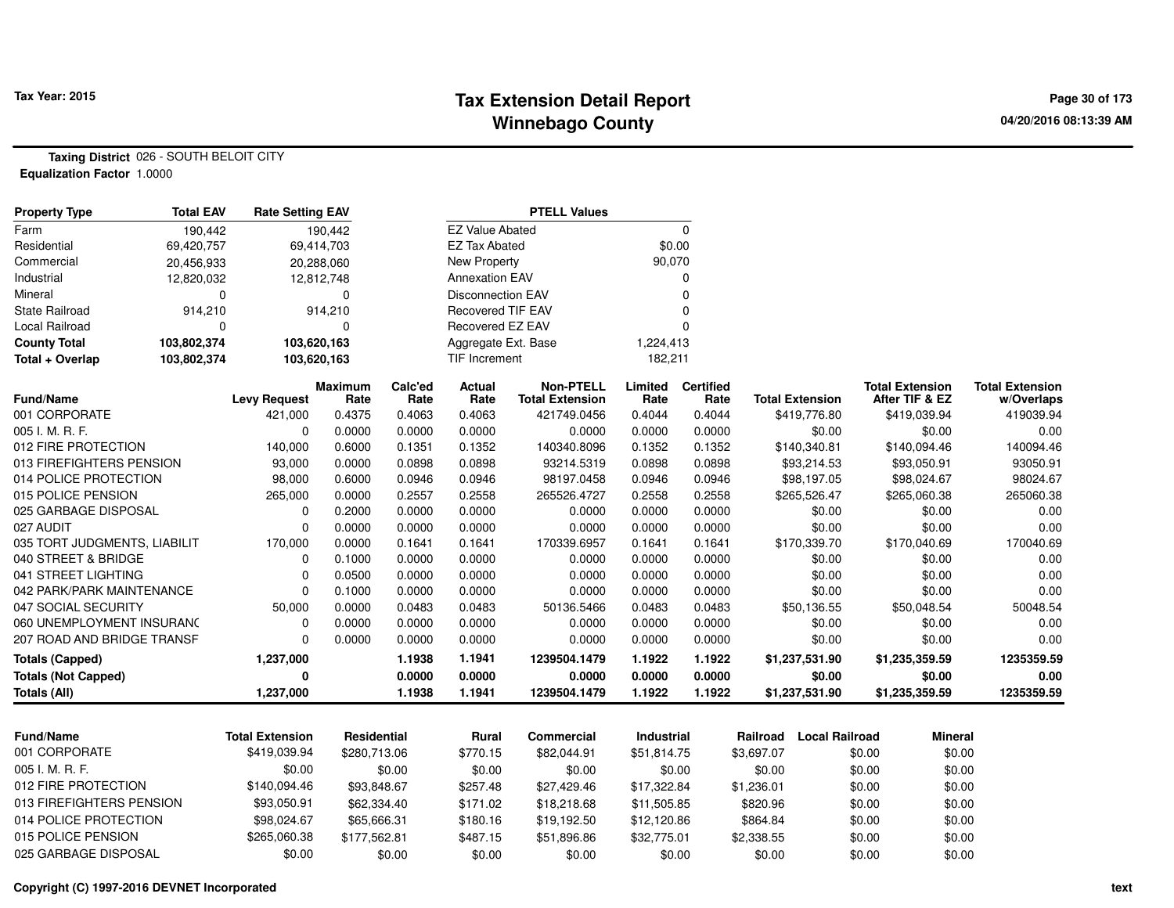#### **Tax Extension Detail Report Tax Year: 2015 Page 30 of 173 Winnebago County**

**Taxing District** 026 - SOUTH BELOIT CITY**Equalization Factor** 1.0000

| <b>Property Type</b>         | <b>Total EAV</b> | <b>Rate Setting EAV</b> |                        |                 |                          | <b>PTELL Values</b>                        |                 |                          |                        |                       |                                          |                                      |
|------------------------------|------------------|-------------------------|------------------------|-----------------|--------------------------|--------------------------------------------|-----------------|--------------------------|------------------------|-----------------------|------------------------------------------|--------------------------------------|
| Farm                         | 190,442          |                         | 190,442                |                 | <b>EZ Value Abated</b>   |                                            |                 | $\mathbf 0$              |                        |                       |                                          |                                      |
| Residential                  | 69,420,757       | 69,414,703              |                        |                 | <b>EZ Tax Abated</b>     |                                            | \$0.00          |                          |                        |                       |                                          |                                      |
| Commercial                   | 20,456,933       |                         | 20,288,060             |                 | <b>New Property</b>      |                                            | 90,070          |                          |                        |                       |                                          |                                      |
| Industrial                   | 12,820,032       |                         | 12,812,748             |                 | <b>Annexation EAV</b>    |                                            |                 | 0                        |                        |                       |                                          |                                      |
| Mineral                      | $\Omega$         |                         | 0                      |                 | <b>Disconnection EAV</b> |                                            |                 | $\mathbf 0$              |                        |                       |                                          |                                      |
| State Railroad               | 914,210          |                         | 914,210                |                 | <b>Recovered TIF EAV</b> |                                            |                 | $\mathbf 0$              |                        |                       |                                          |                                      |
| <b>Local Railroad</b>        | $\Omega$         |                         | $\Omega$               |                 | Recovered EZ EAV         |                                            |                 | $\Omega$                 |                        |                       |                                          |                                      |
| <b>County Total</b>          | 103,802,374      | 103,620,163             |                        |                 | Aggregate Ext. Base      |                                            | 1,224,413       |                          |                        |                       |                                          |                                      |
| Total + Overlap              | 103,802,374      | 103,620,163             |                        |                 | TIF Increment            |                                            | 182,211         |                          |                        |                       |                                          |                                      |
| <b>Fund/Name</b>             |                  | <b>Levy Request</b>     | <b>Maximum</b><br>Rate | Calc'ed<br>Rate | <b>Actual</b><br>Rate    | <b>Non-PTELL</b><br><b>Total Extension</b> | Limited<br>Rate | <b>Certified</b><br>Rate | <b>Total Extension</b> |                       | <b>Total Extension</b><br>After TIF & EZ | <b>Total Extension</b><br>w/Overlaps |
| 001 CORPORATE                |                  | 421,000                 | 0.4375                 | 0.4063          | 0.4063                   | 421749.0456                                | 0.4044          | 0.4044                   |                        | \$419,776.80          | \$419,039.94                             | 419039.94                            |
| 005 I. M. R. F.              |                  | $\mathbf 0$             | 0.0000                 | 0.0000          | 0.0000                   | 0.0000                                     | 0.0000          | 0.0000                   |                        | \$0.00                | \$0.00                                   | 0.00                                 |
| 012 FIRE PROTECTION          |                  | 140,000                 | 0.6000                 | 0.1351          | 0.1352                   | 140340.8096                                | 0.1352          | 0.1352                   |                        | \$140,340.81          | \$140,094.46                             | 140094.46                            |
| 013 FIREFIGHTERS PENSION     |                  | 93,000                  | 0.0000                 | 0.0898          | 0.0898                   | 93214.5319                                 | 0.0898          | 0.0898                   |                        | \$93,214.53           | \$93,050.91                              | 93050.91                             |
| 014 POLICE PROTECTION        |                  | 98,000                  | 0.6000                 | 0.0946          | 0.0946                   | 98197.0458                                 | 0.0946          | 0.0946                   |                        | \$98,197.05           | \$98,024.67                              | 98024.67                             |
| 015 POLICE PENSION           |                  | 265,000                 | 0.0000                 | 0.2557          | 0.2558                   | 265526.4727                                | 0.2558          | 0.2558                   |                        | \$265,526.47          | \$265,060.38                             | 265060.38                            |
| 025 GARBAGE DISPOSAL         |                  | $\mathbf 0$             | 0.2000                 | 0.0000          | 0.0000                   | 0.0000                                     | 0.0000          | 0.0000                   |                        | \$0.00                | \$0.00                                   | 0.00                                 |
| 027 AUDIT                    |                  | $\mathbf 0$             | 0.0000                 | 0.0000          | 0.0000                   | 0.0000                                     | 0.0000          | 0.0000                   |                        | \$0.00                | \$0.00                                   | 0.00                                 |
| 035 TORT JUDGMENTS, LIABILIT |                  | 170,000                 | 0.0000                 | 0.1641          | 0.1641                   | 170339.6957                                | 0.1641          | 0.1641                   |                        | \$170,339.70          | \$170,040.69                             | 170040.69                            |
| 040 STREET & BRIDGE          |                  | $\mathbf 0$             | 0.1000                 | 0.0000          | 0.0000                   | 0.0000                                     | 0.0000          | 0.0000                   |                        | \$0.00                | \$0.00                                   | 0.00                                 |
| 041 STREET LIGHTING          |                  | $\mathbf 0$             | 0.0500                 | 0.0000          | 0.0000                   | 0.0000                                     | 0.0000          | 0.0000                   |                        | \$0.00                | \$0.00                                   | 0.00                                 |
| 042 PARK/PARK MAINTENANCE    |                  | $\Omega$                | 0.1000                 | 0.0000          | 0.0000                   | 0.0000                                     | 0.0000          | 0.0000                   |                        | \$0.00                | \$0.00                                   | 0.00                                 |
| 047 SOCIAL SECURITY          |                  | 50,000                  | 0.0000                 | 0.0483          | 0.0483                   | 50136.5466                                 | 0.0483          | 0.0483                   |                        | \$50,136.55           | \$50,048.54                              | 50048.54                             |
| 060 UNEMPLOYMENT INSURANC    |                  | $\mathbf 0$             | 0.0000                 | 0.0000          | 0.0000                   | 0.0000                                     | 0.0000          | 0.0000                   |                        | \$0.00                | \$0.00                                   | 0.00                                 |
| 207 ROAD AND BRIDGE TRANSF   |                  | $\Omega$                | 0.0000                 | 0.0000          | 0.0000                   | 0.0000                                     | 0.0000          | 0.0000                   |                        | \$0.00                | \$0.00                                   | 0.00                                 |
| <b>Totals (Capped)</b>       |                  | 1,237,000               |                        | 1.1938          | 1.1941                   | 1239504.1479                               | 1.1922          | 1.1922                   | \$1,237,531.90         |                       | \$1,235,359.59                           | 1235359.59                           |
| <b>Totals (Not Capped)</b>   |                  | $\bf{0}$                |                        | 0.0000          | 0.0000                   | 0.0000                                     | 0.0000          | 0.0000                   |                        | \$0.00                | \$0.00                                   | 0.00                                 |
| Totals (All)                 |                  | 1,237,000               |                        | 1.1938          | 1.1941                   | 1239504.1479                               | 1.1922          | 1.1922                   | \$1,237,531.90         |                       | \$1,235,359.59                           | 1235359.59                           |
|                              |                  |                         |                        |                 |                          |                                            |                 |                          |                        |                       |                                          |                                      |
| Fund/Name                    |                  | <b>Total Extension</b>  | <b>Residential</b>     |                 | <b>Rural</b>             | <b>Commercial</b>                          | Industrial      |                          | Railroad               | <b>Local Railroad</b> | <b>Mineral</b>                           |                                      |
| 001 CORPORATE                |                  | \$419,039.94            | \$280,713.06           |                 | \$770.15                 | \$82,044.91                                | \$51,814.75     |                          | \$3,697.07             | \$0.00                | \$0.00                                   |                                      |
| 005 I. M. R. F.              |                  | \$0.00                  |                        | \$0.00          | \$0.00                   | \$0.00                                     |                 | \$0.00                   | \$0.00                 | \$0.00                | \$0.00                                   |                                      |
| 012 FIRE PROTECTION          |                  | \$140,094.46            | \$93,848.67            |                 | \$257.48                 | \$27,429.46                                | \$17,322.84     |                          | \$1,236.01             | \$0.00                | \$0.00                                   |                                      |
| 013 FIREFIGHTERS PENSION     |                  | \$93,050.91             | \$62,334.40            |                 | \$171.02                 | \$18,218.68                                | \$11,505.85     |                          | \$820.96               | \$0.00                | \$0.00                                   |                                      |
| 014 POLICE PROTECTION        |                  | \$98,024.67             | \$65,666.31            |                 | \$180.16                 | \$19,192.50                                | \$12,120.86     |                          | \$864.84               | \$0.00                | \$0.00                                   |                                      |
| 015 POLICE PENSION           |                  | \$265,060.38            | \$177,562.81           |                 | \$487.15                 | \$51,896.86                                | \$32,775.01     |                          | \$2,338.55             | \$0.00                | \$0.00                                   |                                      |
| 025 GARBAGE DISPOSAL         |                  | \$0.00                  |                        | \$0.00          | \$0.00                   | \$0.00                                     |                 | \$0.00                   | \$0.00                 | \$0.00                | \$0.00                                   |                                      |

#### **Copyright (C) 1997-2016 DEVNET Incorporated**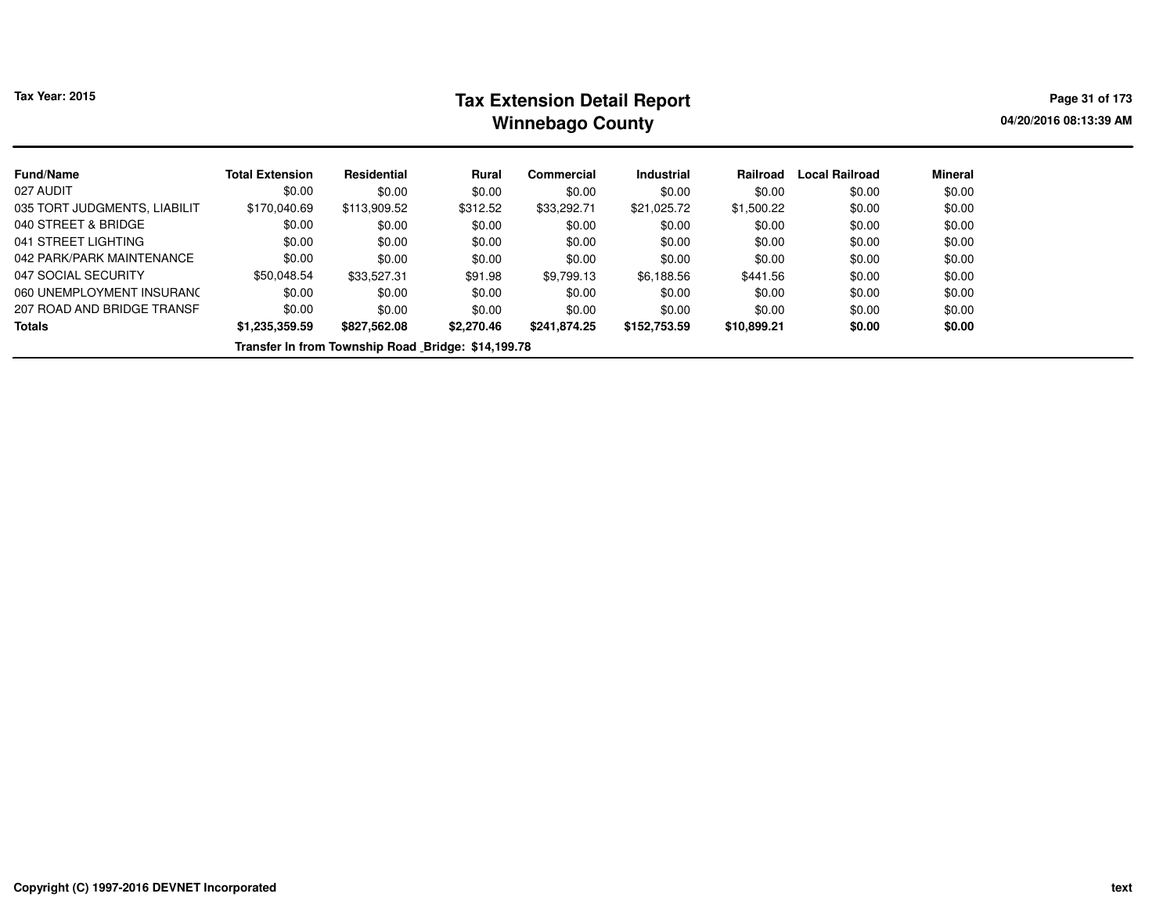# **Tax Extension Detail Report Tax Year: 2015 Page 31 of 173 Winnebago County**

**04/20/2016 08:13:39 AM**

| <b>Fund/Name</b>             | <b>Total Extension</b> | <b>Residential</b>                                 | Rural      | Commercial   | <b>Industrial</b> | Railroad    | Local Railroad | <b>Mineral</b> |
|------------------------------|------------------------|----------------------------------------------------|------------|--------------|-------------------|-------------|----------------|----------------|
| 027 AUDIT                    | \$0.00                 | \$0.00                                             | \$0.00     | \$0.00       | \$0.00            | \$0.00      | \$0.00         | \$0.00         |
| 035 TORT JUDGMENTS, LIABILIT | \$170,040.69           | \$113,909.52                                       | \$312.52   | \$33,292.71  | \$21,025.72       | \$1,500.22  | \$0.00         | \$0.00         |
| 040 STREET & BRIDGE          | \$0.00                 | \$0.00                                             | \$0.00     | \$0.00       | \$0.00            | \$0.00      | \$0.00         | \$0.00         |
| 041 STREET LIGHTING          | \$0.00                 | \$0.00                                             | \$0.00     | \$0.00       | \$0.00            | \$0.00      | \$0.00         | \$0.00         |
| 042 PARK/PARK MAINTENANCE    | \$0.00                 | \$0.00                                             | \$0.00     | \$0.00       | \$0.00            | \$0.00      | \$0.00         | \$0.00         |
| 047 SOCIAL SECURITY          | \$50.048.54            | \$33,527.31                                        | \$91.98    | \$9,799.13   | \$6,188.56        | \$441.56    | \$0.00         | \$0.00         |
| 060 UNEMPLOYMENT INSURANC    | \$0.00                 | \$0.00                                             | \$0.00     | \$0.00       | \$0.00            | \$0.00      | \$0.00         | \$0.00         |
| 207 ROAD AND BRIDGE TRANSF   | \$0.00                 | \$0.00                                             | \$0.00     | \$0.00       | \$0.00            | \$0.00      | \$0.00         | \$0.00         |
| <b>Totals</b>                | \$1.235.359.59         | \$827,562.08                                       | \$2,270.46 | \$241.874.25 | \$152,753.59      | \$10,899.21 | \$0.00         | \$0.00         |
|                              |                        | Transfer In from Township Road Bridge: \$14,199.78 |            |              |                   |             |                |                |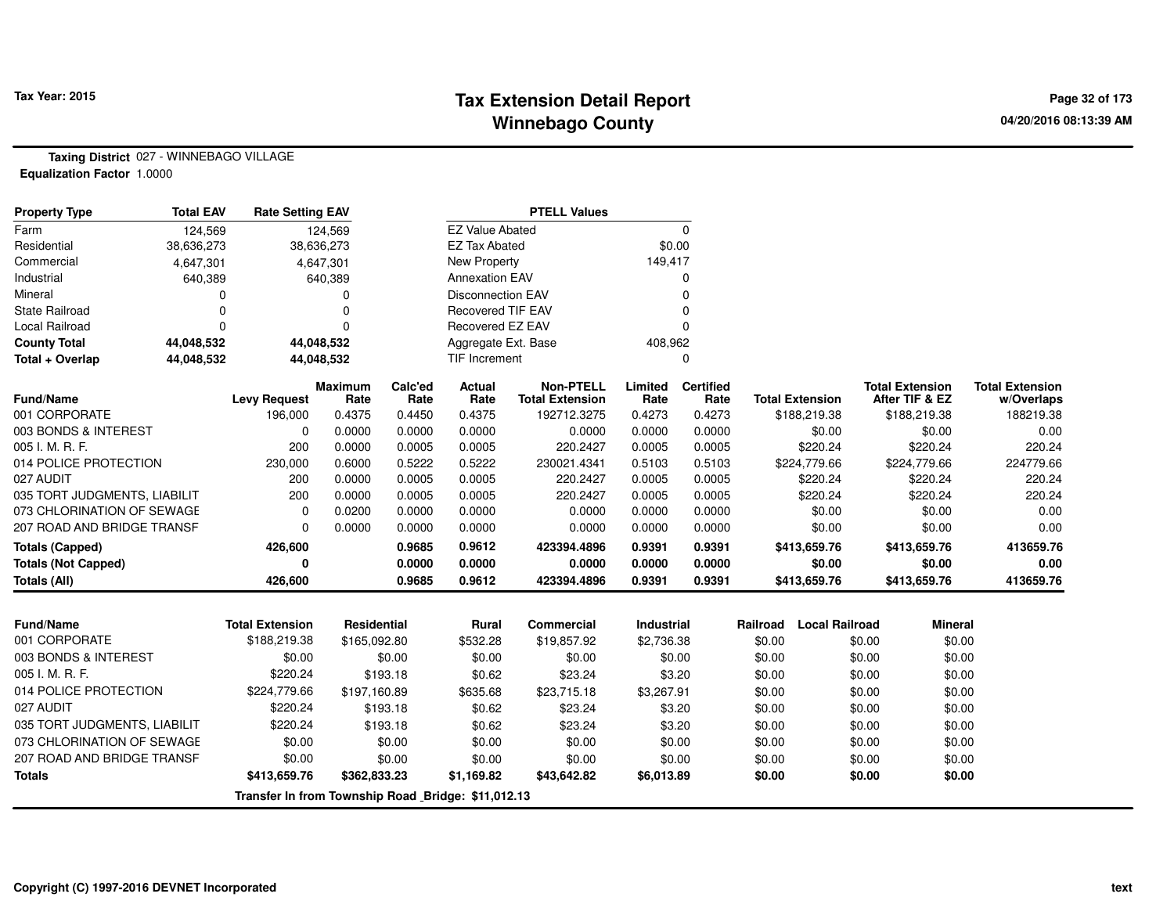# **Tax Extension Detail Report Tax Year: 2015 Page 32 of 173 Winnebago County**

**Taxing District** 027 - WINNEBAGO VILLAGE**Equalization Factor** 1.0000

| <b>Property Type</b>         | <b>Total EAV</b> | <b>Rate Setting EAV</b> |                        |                 |                          | <b>PTELL Values</b>                        |                 |                          |                        |                                          |                                      |
|------------------------------|------------------|-------------------------|------------------------|-----------------|--------------------------|--------------------------------------------|-----------------|--------------------------|------------------------|------------------------------------------|--------------------------------------|
| Farm                         | 124,569          |                         | 124,569                |                 | <b>EZ Value Abated</b>   |                                            |                 | $\Omega$                 |                        |                                          |                                      |
| Residential                  | 38,636,273       |                         | 38,636,273             |                 | <b>EZ Tax Abated</b>     |                                            |                 | \$0.00                   |                        |                                          |                                      |
| Commercial                   | 4,647,301        |                         | 4,647,301              |                 | New Property             |                                            | 149,417         |                          |                        |                                          |                                      |
| Industrial                   | 640,389          |                         | 640,389                |                 | <b>Annexation EAV</b>    |                                            |                 |                          |                        |                                          |                                      |
| Mineral                      |                  |                         |                        |                 | <b>Disconnection EAV</b> |                                            |                 |                          |                        |                                          |                                      |
| <b>State Railroad</b>        |                  |                         |                        |                 | <b>Recovered TIF EAV</b> |                                            |                 |                          |                        |                                          |                                      |
| Local Railroad               | ∩                |                         |                        |                 | Recovered EZ EAV         |                                            |                 |                          |                        |                                          |                                      |
| <b>County Total</b>          | 44,048,532       |                         | 44,048,532             |                 | Aggregate Ext. Base      |                                            | 408,962         |                          |                        |                                          |                                      |
| Total + Overlap              | 44,048,532       |                         | 44,048,532             |                 | TIF Increment            |                                            |                 | 0                        |                        |                                          |                                      |
| Fund/Name                    |                  | <b>Levy Request</b>     | <b>Maximum</b><br>Rate | Calc'ed<br>Rate | Actual<br>Rate           | <b>Non-PTELL</b><br><b>Total Extension</b> | Limited<br>Rate | <b>Certified</b><br>Rate | <b>Total Extension</b> | <b>Total Extension</b><br>After TIF & EZ | <b>Total Extension</b><br>w/Overlaps |
| 001 CORPORATE                |                  | 196,000                 | 0.4375                 | 0.4450          | 0.4375                   | 192712.3275                                | 0.4273          | 0.4273                   | \$188,219.38           | \$188,219.38                             | 188219.38                            |
| 003 BONDS & INTEREST         |                  | $\Omega$                | 0.0000                 | 0.0000          | 0.0000                   | 0.0000                                     | 0.0000          | 0.0000                   | \$0.00                 | \$0.00                                   | 0.00                                 |
| 005 I. M. R. F.              |                  | 200                     | 0.0000                 | 0.0005          | 0.0005                   | 220.2427                                   | 0.0005          | 0.0005                   | \$220.24               | \$220.24                                 | 220.24                               |
| 014 POLICE PROTECTION        |                  | 230,000                 | 0.6000                 | 0.5222          | 0.5222                   | 230021.4341                                | 0.5103          | 0.5103                   | \$224,779.66           | \$224,779.66                             | 224779.66                            |
| 027 AUDIT                    |                  | 200                     | 0.0000                 | 0.0005          | 0.0005                   | 220.2427                                   | 0.0005          | 0.0005                   | \$220.24               | \$220.24                                 | 220.24                               |
| 035 TORT JUDGMENTS, LIABILIT |                  | 200                     | 0.0000                 | 0.0005          | 0.0005                   | 220.2427                                   | 0.0005          | 0.0005                   | \$220.24               | \$220.24                                 | 220.24                               |
| 073 CHLORINATION OF SEWAGE   |                  | 0                       | 0.0200                 | 0.0000          | 0.0000                   | 0.0000                                     | 0.0000          | 0.0000                   | \$0.00                 | \$0.00                                   | 0.00                                 |
| 207 ROAD AND BRIDGE TRANSF   |                  | $\Omega$                | 0.0000                 | 0.0000          | 0.0000                   | 0.0000                                     | 0.0000          | 0.0000                   | \$0.00                 | \$0.00                                   | 0.00                                 |
| Totals (Capped)              |                  | 426,600                 |                        | 0.9685          | 0.9612                   | 423394.4896                                | 0.9391          | 0.9391                   | \$413,659.76           | \$413,659.76                             | 413659.76                            |
| Totals (Not Capped)          |                  | 0                       |                        | 0.0000          | 0.0000                   | 0.0000                                     | 0.0000          | 0.0000                   | \$0.00                 | \$0.00                                   | 0.00                                 |
| Totals (All)                 |                  | 426,600                 |                        | 0.9685          | 0.9612                   | 423394.4896                                | 0.9391          | 0.9391                   | \$413,659.76           | \$413,659.76                             | 413659.76                            |

| <b>Fund/Name</b>             | Total Extension | Residential                                        | Rural      | Commercial  | <b>Industrial</b> | Railroad | Local Railroad | Mineral |
|------------------------------|-----------------|----------------------------------------------------|------------|-------------|-------------------|----------|----------------|---------|
| 001 CORPORATE                | \$188,219.38    | \$165,092.80                                       | \$532.28   | \$19,857.92 | \$2,736.38        | \$0.00   | \$0.00         | \$0.00  |
| 003 BONDS & INTEREST         | \$0.00          | \$0.00                                             | \$0.00     | \$0.00      | \$0.00            | \$0.00   | \$0.00         | \$0.00  |
| 005 I. M. R. F.              | \$220.24        | \$193.18                                           | \$0.62     | \$23.24     | \$3.20            | \$0.00   | \$0.00         | \$0.00  |
| 014 POLICE PROTECTION        | \$224,779.66    | \$197,160.89                                       | \$635.68   | \$23,715.18 | \$3,267.91        | \$0.00   | \$0.00         | \$0.00  |
| 027 AUDIT                    | \$220.24        | \$193.18                                           | \$0.62     | \$23.24     | \$3.20            | \$0.00   | \$0.00         | \$0.00  |
| 035 TORT JUDGMENTS, LIABILIT | \$220.24        | \$193.18                                           | \$0.62     | \$23.24     | \$3.20            | \$0.00   | \$0.00         | \$0.00  |
| 073 CHLORINATION OF SEWAGE   | \$0.00          | \$0.00                                             | \$0.00     | \$0.00      | \$0.00            | \$0.00   | \$0.00         | \$0.00  |
| 207 ROAD AND BRIDGE TRANSF   | \$0.00          | \$0.00                                             | \$0.00     | \$0.00      | \$0.00            | \$0.00   | \$0.00         | \$0.00  |
| <b>Totals</b>                | \$413,659.76    | \$362,833.23                                       | \$1,169.82 | \$43,642.82 | \$6,013.89        | \$0.00   | \$0.00         | \$0.00  |
|                              |                 | Transfer In from Township Road Bridge: \$11,012.13 |            |             |                   |          |                |         |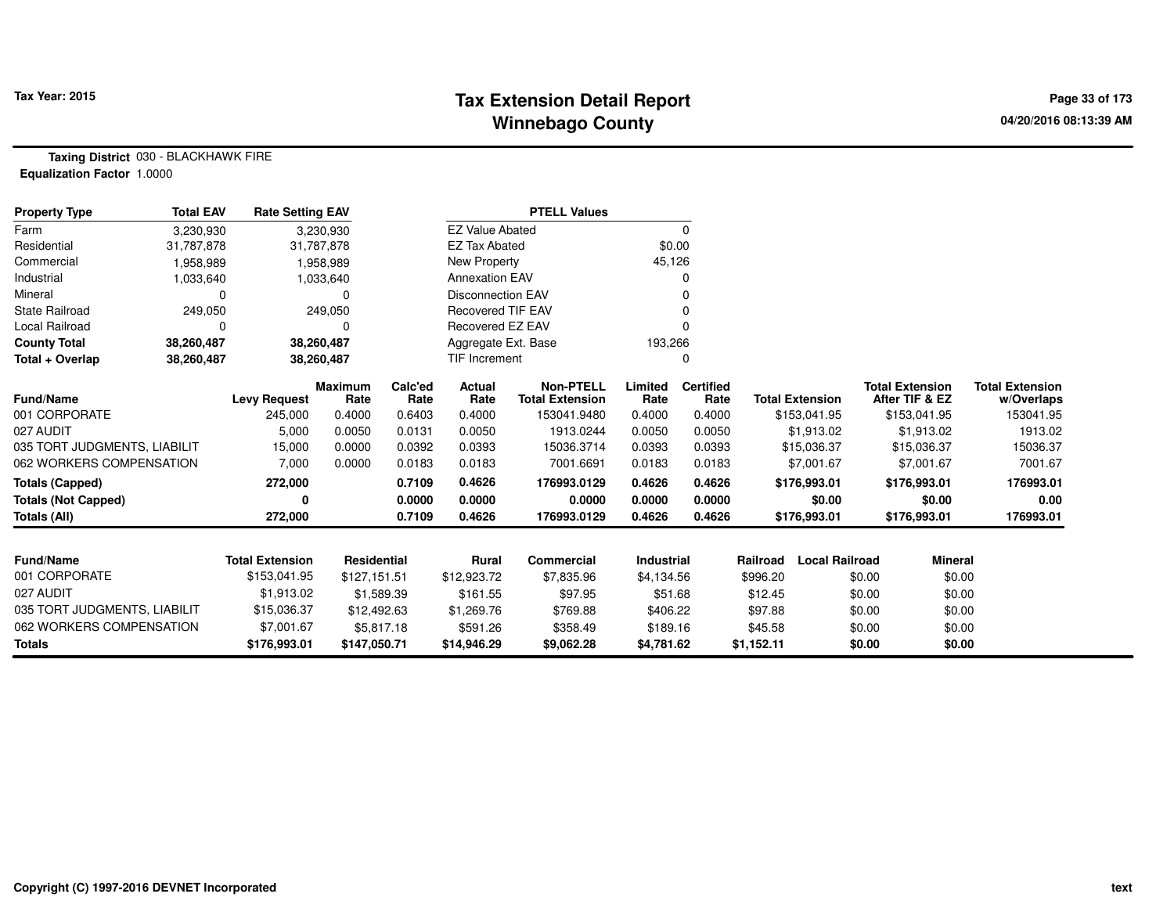# **Tax Extension Detail Report Tax Year: 2015 Page 33 of 173 Winnebago County**

**Taxing District** 030 - BLACKHAWK FIRE**Equalization Factor** 1.0000

| <b>Property Type</b>         | <b>Total EAV</b> | <b>Rate Setting EAV</b> |                        |                 |                          | <b>PTELL Values</b>                        |                   |                          |            |                        |        |                                          |                                      |
|------------------------------|------------------|-------------------------|------------------------|-----------------|--------------------------|--------------------------------------------|-------------------|--------------------------|------------|------------------------|--------|------------------------------------------|--------------------------------------|
| Farm                         | 3,230,930        |                         | 3,230,930              |                 | <b>EZ Value Abated</b>   |                                            |                   | 0                        |            |                        |        |                                          |                                      |
| Residential                  | 31,787,878       |                         | 31,787,878             |                 | <b>EZ Tax Abated</b>     |                                            | \$0.00            |                          |            |                        |        |                                          |                                      |
| Commercial                   | 1,958,989        |                         | 1,958,989              |                 | New Property             |                                            | 45,126            |                          |            |                        |        |                                          |                                      |
| Industrial                   | 1,033,640        |                         | 1,033,640              |                 | <b>Annexation EAV</b>    |                                            |                   | 0                        |            |                        |        |                                          |                                      |
| Mineral                      | $\Omega$         |                         |                        |                 | <b>Disconnection EAV</b> |                                            |                   |                          |            |                        |        |                                          |                                      |
| <b>State Railroad</b>        | 249,050          |                         | 249,050                |                 | <b>Recovered TIF EAV</b> |                                            |                   |                          |            |                        |        |                                          |                                      |
| <b>Local Railroad</b>        | $\Omega$         |                         |                        |                 | <b>Recovered EZ EAV</b>  |                                            |                   | ŋ                        |            |                        |        |                                          |                                      |
| <b>County Total</b>          | 38,260,487       |                         | 38,260,487             |                 | Aggregate Ext. Base      |                                            | 193,266           |                          |            |                        |        |                                          |                                      |
| Total + Overlap              | 38,260,487       |                         | 38,260,487             |                 | <b>TIF Increment</b>     |                                            |                   | 0                        |            |                        |        |                                          |                                      |
| <b>Fund/Name</b>             |                  | <b>Levy Request</b>     | <b>Maximum</b><br>Rate | Calc'ed<br>Rate | Actual<br>Rate           | <b>Non-PTELL</b><br><b>Total Extension</b> | Limited<br>Rate   | <b>Certified</b><br>Rate |            | <b>Total Extension</b> |        | <b>Total Extension</b><br>After TIF & EZ | <b>Total Extension</b><br>w/Overlaps |
| 001 CORPORATE                |                  | 245,000                 | 0.4000                 | 0.6403          | 0.4000                   | 153041.9480                                | 0.4000            | 0.4000                   |            | \$153,041.95           |        | \$153,041.95                             | 153041.95                            |
| 027 AUDIT                    |                  | 5,000                   | 0.0050                 | 0.0131          | 0.0050                   | 1913.0244                                  | 0.0050            | 0.0050                   |            | \$1,913.02             |        | \$1,913.02                               | 1913.02                              |
| 035 TORT JUDGMENTS, LIABILIT |                  | 15,000                  | 0.0000                 | 0.0392          | 0.0393                   | 15036.3714                                 | 0.0393            | 0.0393                   |            | \$15,036.37            |        | \$15,036.37                              | 15036.37                             |
| 062 WORKERS COMPENSATION     |                  | 7,000                   | 0.0000                 | 0.0183          | 0.0183                   | 7001.6691                                  | 0.0183            | 0.0183                   |            | \$7,001.67             |        | \$7,001.67                               | 7001.67                              |
| <b>Totals (Capped)</b>       |                  | 272,000                 |                        | 0.7109          | 0.4626                   | 176993.0129                                | 0.4626            | 0.4626                   |            | \$176,993.01           |        | \$176,993.01                             | 176993.01                            |
| <b>Totals (Not Capped)</b>   |                  | 0                       |                        | 0.0000          | 0.0000                   | 0.0000                                     | 0.0000            | 0.0000                   |            | \$0.00                 |        | \$0.00                                   | 0.00                                 |
| <b>Totals (All)</b>          |                  | 272,000                 |                        | 0.7109          | 0.4626                   | 176993.0129                                | 0.4626            | 0.4626                   |            | \$176,993.01           |        | \$176,993.01                             | 176993.01                            |
|                              |                  |                         |                        |                 |                          |                                            |                   |                          |            |                        |        |                                          |                                      |
| <b>Fund/Name</b>             |                  | <b>Total Extension</b>  | <b>Residential</b>     |                 | Rural                    | <b>Commercial</b>                          | <b>Industrial</b> |                          | Railroad   | <b>Local Railroad</b>  |        | <b>Mineral</b>                           |                                      |
| 001 CORPORATE                |                  | \$153,041.95            | \$127,151.51           |                 | \$12,923.72              | \$7,835.96                                 | \$4,134.56        |                          | \$996.20   |                        | \$0.00 | \$0.00                                   |                                      |
| 027 AUDIT                    |                  | \$1,913.02              |                        | \$1,589.39      | \$161.55                 | \$97.95                                    | \$51.68           |                          | \$12.45    |                        | \$0.00 | \$0.00                                   |                                      |
| 035 TORT JUDGMENTS, LIABILIT |                  | \$15,036.37             | \$12,492.63            |                 | \$1,269.76               | \$769.88                                   | \$406.22          |                          | \$97.88    |                        | \$0.00 | \$0.00                                   |                                      |
| 062 WORKERS COMPENSATION     |                  | \$7,001.67              |                        | \$5,817.18      | \$591.26                 | \$358.49                                   | \$189.16          |                          | \$45.58    |                        | \$0.00 | \$0.00                                   |                                      |
| <b>Totals</b>                |                  | \$176,993.01            | \$147,050.71           |                 | \$14,946.29              | \$9,062.28                                 | \$4,781.62        |                          | \$1,152.11 |                        | \$0.00 | \$0.00                                   |                                      |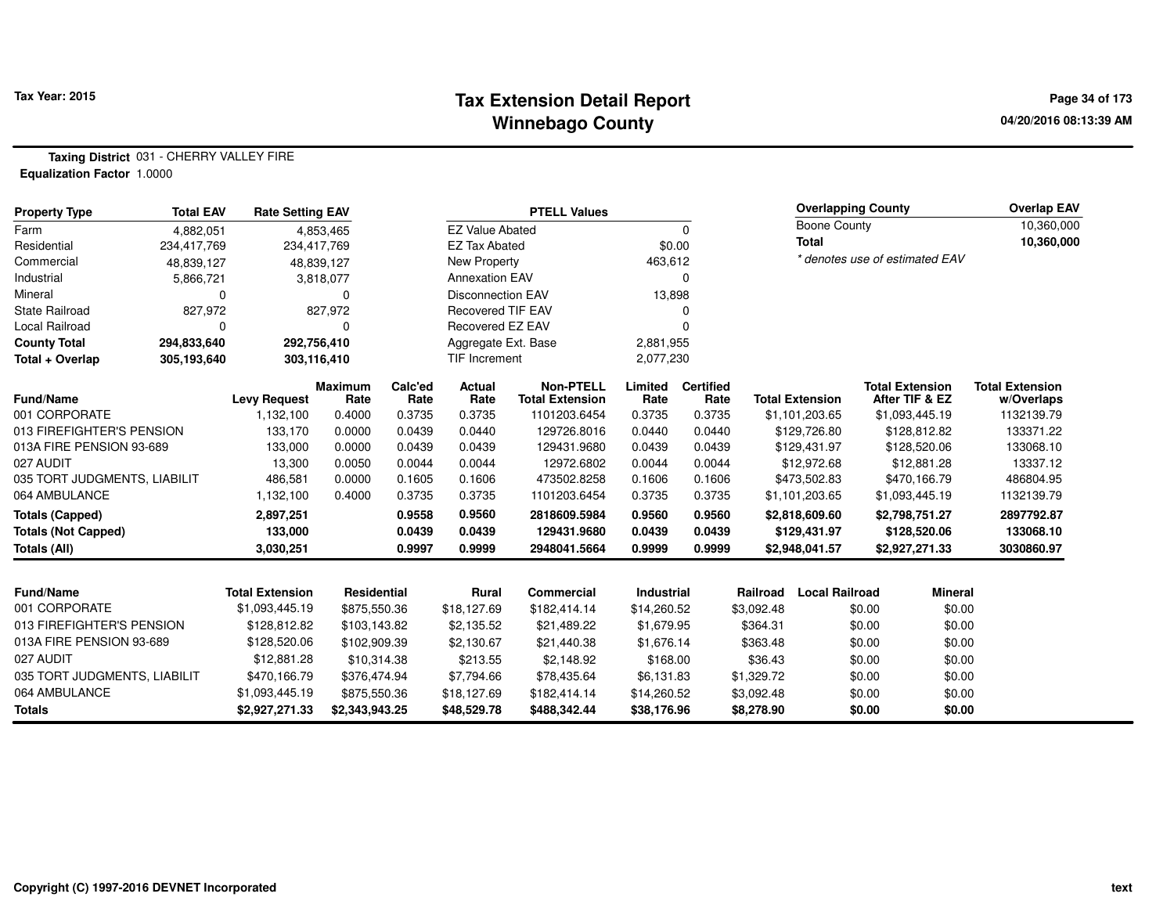#### **Tax Extension Detail Report Tax Year: 2015 Page 34 of 173 Winnebago County**

**Taxing District** 031 - CHERRY VALLEY FIRE**Equalization Factor** 1.0000

| <b>Property Type</b>         | <b>Total EAV</b> | <b>Rate Setting EAV</b> |                        | <b>PTELL Values</b> |                          |                                            |                   |                          |            | <b>Overlapping County</b> |        |                                          | <b>Overlap EAV</b>                   |
|------------------------------|------------------|-------------------------|------------------------|---------------------|--------------------------|--------------------------------------------|-------------------|--------------------------|------------|---------------------------|--------|------------------------------------------|--------------------------------------|
| Farm                         | 4.882.051        |                         | 4.853.465              |                     | <b>EZ Value Abated</b>   |                                            |                   | $\Omega$                 |            | <b>Boone County</b>       |        |                                          | 10,360,000                           |
| Residential                  | 234,417,769      | 234,417,769             |                        |                     | <b>EZ Tax Abated</b>     |                                            | \$0.00            |                          |            | <b>Total</b>              |        |                                          | 10,360,000                           |
| Commercial                   | 48,839,127       |                         | 48,839,127             |                     | <b>New Property</b>      |                                            | 463,612           |                          |            |                           |        | * denotes use of estimated EAV           |                                      |
| Industrial                   | 5,866,721        |                         | 3,818,077              |                     | <b>Annexation EAV</b>    |                                            |                   | $\Omega$                 |            |                           |        |                                          |                                      |
| Mineral                      | $\mathbf 0$      |                         | 0                      |                     | <b>Disconnection EAV</b> |                                            | 13,898            |                          |            |                           |        |                                          |                                      |
| <b>State Railroad</b>        | 827,972          |                         | 827,972                |                     | <b>Recovered TIF EAV</b> |                                            |                   | $\Omega$                 |            |                           |        |                                          |                                      |
| <b>Local Railroad</b>        | $\mathbf 0$      |                         | n                      |                     | Recovered EZ EAV         |                                            |                   | 0                        |            |                           |        |                                          |                                      |
| <b>County Total</b>          | 294,833,640      | 292,756,410             |                        |                     | Aggregate Ext. Base      |                                            | 2,881,955         |                          |            |                           |        |                                          |                                      |
| Total + Overlap              | 305,193,640      | 303,116,410             |                        |                     | <b>TIF Increment</b>     |                                            | 2,077,230         |                          |            |                           |        |                                          |                                      |
| <b>Fund/Name</b>             |                  | <b>Levy Request</b>     | <b>Maximum</b><br>Rate | Calc'ed<br>Rate     | Actual<br>Rate           | <b>Non-PTELL</b><br><b>Total Extension</b> | Limited<br>Rate   | <b>Certified</b><br>Rate |            | <b>Total Extension</b>    |        | <b>Total Extension</b><br>After TIF & EZ | <b>Total Extension</b><br>w/Overlaps |
| 001 CORPORATE                |                  | 1,132,100               | 0.4000                 | 0.3735              | 0.3735                   | 1101203.6454                               | 0.3735            | 0.3735                   |            | \$1,101,203.65            |        | \$1,093,445.19                           | 1132139.79                           |
| 013 FIREFIGHTER'S PENSION    |                  | 133,170                 | 0.0000                 | 0.0439              | 0.0440                   | 129726.8016                                | 0.0440            | 0.0440                   |            | \$129,726.80              |        | \$128,812.82                             | 133371.22                            |
| 013A FIRE PENSION 93-689     |                  | 133,000                 | 0.0000                 | 0.0439              | 0.0439                   | 129431.9680                                | 0.0439            | 0.0439                   |            | \$129,431.97              |        | \$128,520.06                             | 133068.10                            |
| 027 AUDIT                    |                  | 13,300                  | 0.0050                 | 0.0044              | 0.0044                   | 12972.6802                                 | 0.0044            | 0.0044                   |            | \$12,972.68               |        | \$12,881.28                              | 13337.12                             |
| 035 TORT JUDGMENTS, LIABILIT |                  | 486,581                 | 0.0000                 | 0.1605              | 0.1606                   | 473502.8258                                | 0.1606            | 0.1606                   |            | \$473,502.83              |        | \$470,166.79                             | 486804.95                            |
| 064 AMBULANCE                |                  | 1,132,100               | 0.4000                 | 0.3735              | 0.3735                   | 1101203.6454                               | 0.3735            | 0.3735                   |            | \$1,101,203.65            |        | \$1,093,445.19                           | 1132139.79                           |
| <b>Totals (Capped)</b>       |                  | 2,897,251               |                        | 0.9558              | 0.9560                   | 2818609.5984                               | 0.9560            | 0.9560                   |            | \$2,818,609.60            |        | \$2,798,751.27                           | 2897792.87                           |
| <b>Totals (Not Capped)</b>   |                  | 133,000                 |                        | 0.0439              | 0.0439                   | 129431.9680                                | 0.0439            | 0.0439                   |            | \$129,431.97              |        | \$128,520.06                             | 133068.10                            |
| Totals (All)                 |                  | 3,030,251               |                        | 0.9997              | 0.9999                   | 2948041.5664                               | 0.9999            | 0.9999                   |            | \$2,948,041.57            |        | \$2,927,271.33                           | 3030860.97                           |
|                              |                  |                         |                        |                     |                          |                                            |                   |                          |            |                           |        |                                          |                                      |
| <b>Fund/Name</b>             |                  | <b>Total Extension</b>  | <b>Residential</b>     |                     | Rural                    | <b>Commercial</b>                          | <b>Industrial</b> |                          | Railroad   | <b>Local Railroad</b>     |        | <b>Mineral</b>                           |                                      |
| 001 CORPORATE                |                  | \$1,093,445.19          | \$875,550.36           |                     | \$18,127.69              | \$182,414.14                               | \$14,260.52       |                          | \$3,092.48 |                           | \$0.00 | \$0.00                                   |                                      |
| 013 FIREFIGHTER'S PENSION    |                  | \$128,812.82            | \$103,143.82           |                     | \$2,135.52               | \$21,489.22                                | \$1,679.95        |                          | \$364.31   |                           | \$0.00 | \$0.00                                   |                                      |
| 013A FIRE PENSION 93-689     |                  | \$128,520.06            | \$102,909.39           |                     | \$2.130.67               | \$21,440.38                                | \$1,676.14        |                          | \$363.48   |                           | \$0.00 | \$0.00                                   |                                      |
| 027 AUDIT                    |                  | \$12,881.28             | \$10,314.38            |                     | \$213.55                 | \$2,148.92                                 | \$168.00          |                          | \$36.43    |                           | \$0.00 | \$0.00                                   |                                      |
| 035 TORT JUDGMENTS, LIABILIT |                  | \$470,166.79            | \$376,474.94           |                     | \$7,794.66               | \$78,435.64                                | \$6,131.83        |                          | \$1,329.72 |                           | \$0.00 | \$0.00                                   |                                      |
| 064 AMBULANCE                |                  | \$1,093,445.19          | \$875,550.36           |                     | \$18,127.69              | \$182,414.14                               | \$14,260.52       |                          | \$3,092.48 |                           | \$0.00 | \$0.00                                   |                                      |
| <b>Totals</b>                |                  | \$2,927,271.33          | \$2,343,943.25         |                     | \$48,529.78              | \$488,342.44                               | \$38,176.96       |                          | \$8,278.90 |                           | \$0.00 | \$0.00                                   |                                      |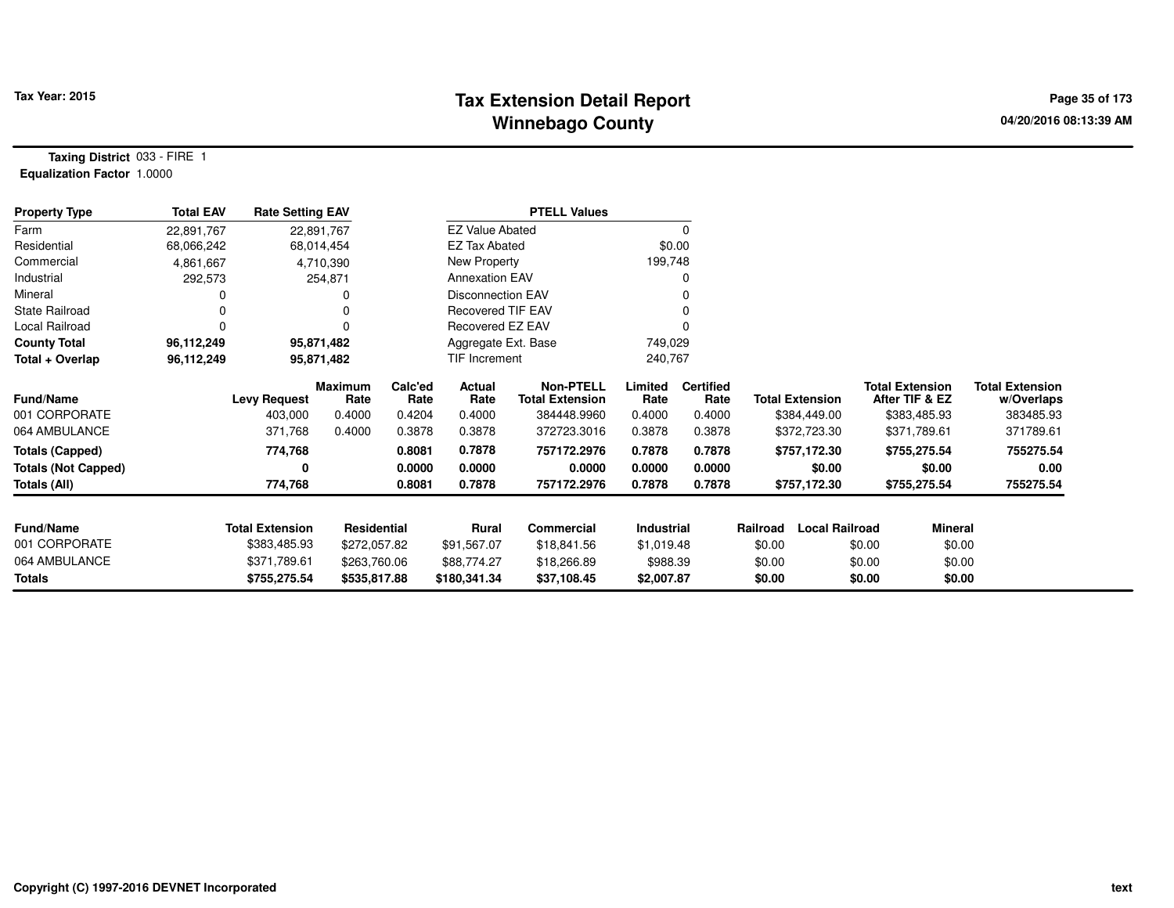# **Tax Extension Detail Report Tax Year: 2015 Page 35 of 173 Winnebago County**

**Taxing District** 033 - FIRE 1**Equalization Factor** 1.0000

| <b>Property Type</b>                                                 | <b>Total EAV</b> | <b>Rate Setting EAV</b>                   |                                            |                                     |                                    | <b>PTELL Values</b>                                                      |                                     |                                              |                    |                                                        |                                                                          |                                                                |
|----------------------------------------------------------------------|------------------|-------------------------------------------|--------------------------------------------|-------------------------------------|------------------------------------|--------------------------------------------------------------------------|-------------------------------------|----------------------------------------------|--------------------|--------------------------------------------------------|--------------------------------------------------------------------------|----------------------------------------------------------------|
| Farm                                                                 | 22,891,767       |                                           | 22,891,767                                 |                                     |                                    | <b>EZ Value Abated</b>                                                   | 0                                   |                                              |                    |                                                        |                                                                          |                                                                |
| Residential                                                          | 68,066,242       | 68,014,454                                |                                            | <b>EZ Tax Abated</b>                |                                    | \$0.00                                                                   |                                     |                                              |                    |                                                        |                                                                          |                                                                |
| Commercial                                                           | 4,861,667        | 4,710,390                                 |                                            |                                     | New Property                       |                                                                          | 199,748                             |                                              |                    |                                                        |                                                                          |                                                                |
| Industrial                                                           | 292,573          | 254,871                                   |                                            |                                     | <b>Annexation EAV</b>              |                                                                          |                                     | 0                                            |                    |                                                        |                                                                          |                                                                |
| Mineral                                                              |                  | 0                                         |                                            |                                     | <b>Disconnection EAV</b>           |                                                                          |                                     |                                              |                    |                                                        |                                                                          |                                                                |
| <b>State Railroad</b>                                                | 0                | 0                                         |                                            |                                     | <b>Recovered TIF EAV</b>           |                                                                          |                                     |                                              |                    |                                                        |                                                                          |                                                                |
| Local Railroad                                                       | 0                | 0                                         |                                            |                                     | Recovered EZ EAV                   |                                                                          |                                     |                                              |                    |                                                        |                                                                          |                                                                |
| <b>County Total</b>                                                  | 96,112,249       | 95,871,482                                |                                            |                                     | Aggregate Ext. Base                |                                                                          | 749,029                             |                                              |                    |                                                        |                                                                          |                                                                |
| Total + Overlap                                                      | 96,112,249       | 95,871,482                                |                                            | TIF Increment                       |                                    |                                                                          | 240,767                             |                                              |                    |                                                        |                                                                          |                                                                |
| <b>Fund/Name</b><br>001 CORPORATE<br>064 AMBULANCE                   |                  | <b>Levy Request</b><br>403,000<br>371,768 | <b>Maximum</b><br>Rate<br>0.4000<br>0.4000 | Calc'ed<br>Rate<br>0.4204<br>0.3878 | Actual<br>Rate<br>0.4000<br>0.3878 | <b>Non-PTELL</b><br><b>Total Extension</b><br>384448.9960<br>372723.3016 | Limited<br>Rate<br>0.4000<br>0.3878 | <b>Certified</b><br>Rate<br>0.4000<br>0.3878 |                    | <b>Total Extension</b><br>\$384,449.00<br>\$372,723.30 | <b>Total Extension</b><br>After TIF & EZ<br>\$383,485.93<br>\$371,789.61 | <b>Total Extension</b><br>w/Overlaps<br>383485.93<br>371789.61 |
| <b>Totals (Capped)</b><br><b>Totals (Not Capped)</b><br>Totals (All) |                  | 774,768<br>0<br>774,768                   |                                            | 0.8081<br>0.0000<br>0.8081          | 0.7878<br>0.0000<br>0.7878         | 757172.2976<br>0.0000<br>757172.2976                                     | 0.7878<br>0.0000<br>0.7878          | 0.7878<br>0.0000<br>0.7878                   |                    | \$757,172.30<br>\$0.00<br>\$757,172.30                 | \$755,275.54<br>\$0.00<br>\$755,275.54                                   | 755275.54<br>0.00<br>755275.54                                 |
| <b>Fund/Name</b><br>001 CORPORATE                                    |                  | <b>Total Extension</b><br>\$383,485.93    | <b>Residential</b><br>\$272,057.82         |                                     | Rural<br>\$91,567.07               | Commercial<br>\$18,841.56                                                | Industrial<br>\$1,019.48            |                                              | Railroad<br>\$0.00 | <b>Local Railroad</b>                                  | <b>Mineral</b><br>\$0.00<br>\$0.00                                       |                                                                |
| 064 AMBULANCE                                                        |                  | \$371,789.61<br>\$263,760.06              |                                            |                                     | \$88,774.27                        | \$18,266.89                                                              | \$988.39                            |                                              | \$0.00             |                                                        | \$0.00<br>\$0.00                                                         |                                                                |
| Totals                                                               |                  | \$755,275.54<br>\$535,817.88              |                                            |                                     | \$180,341.34                       | \$37,108.45                                                              | \$2,007.87                          |                                              | \$0.00             |                                                        | \$0.00<br>\$0.00                                                         |                                                                |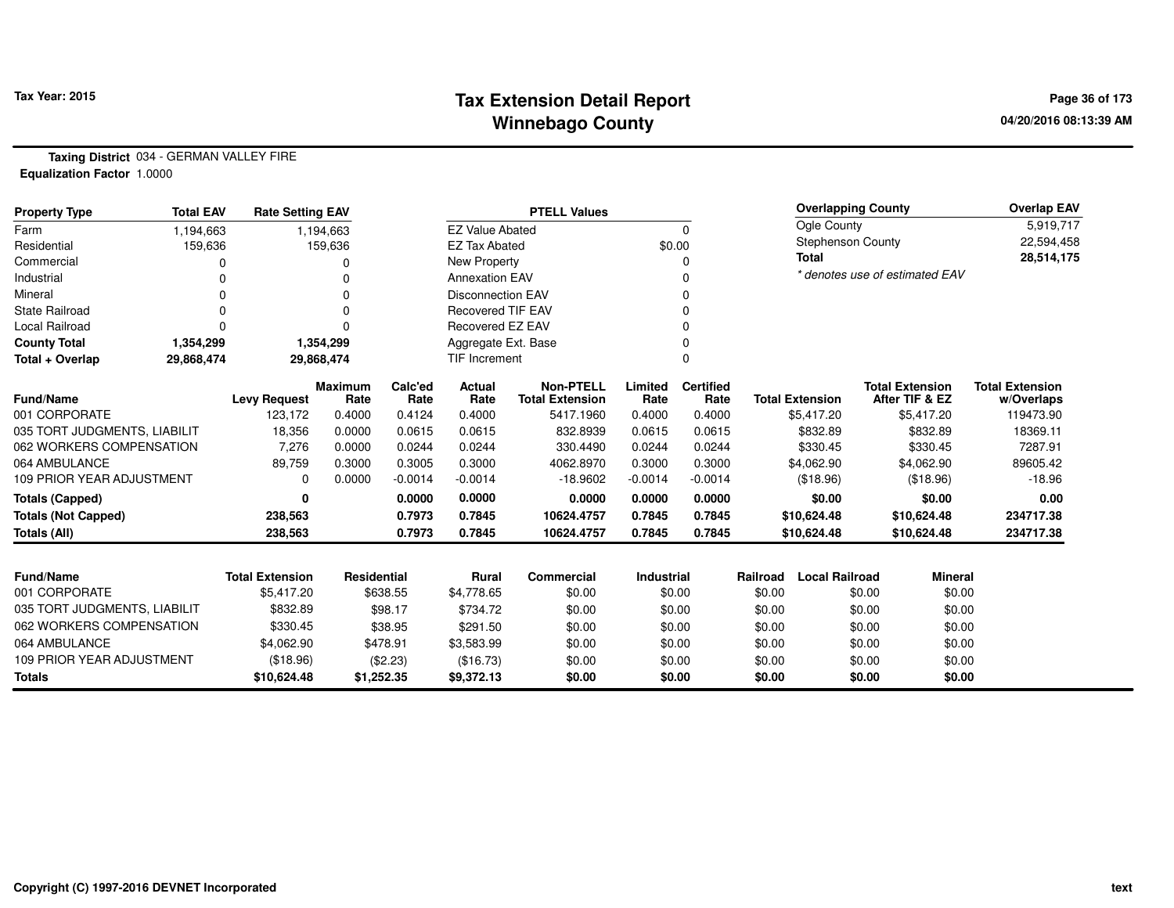# **Tax Extension Detail Report Tax Year: 2015 Page 36 of 173 Winnebago County**

**Taxing District** 034 - GERMAN VALLEY FIRE**Equalization Factor** 1.0000

| <b>Property Type</b>             | <b>Total EAV</b> | <b>Rate Setting EAV</b> |                        | <b>PTELL Values</b>      |                          |                                            |                 |                          |                                |                          | <b>Overlapping County</b> | <b>Overlap EAV</b>                       |                                      |
|----------------------------------|------------------|-------------------------|------------------------|--------------------------|--------------------------|--------------------------------------------|-----------------|--------------------------|--------------------------------|--------------------------|---------------------------|------------------------------------------|--------------------------------------|
| Farm                             | 1,194,663        | 1,194,663               |                        |                          | <b>EZ Value Abated</b>   | $\Omega$                                   |                 |                          | Ogle County                    | 5,919,717                |                           |                                          |                                      |
| Residential                      | 159,636          | 159,636                 |                        |                          | <b>EZ Tax Abated</b>     |                                            | \$0.00          |                          |                                | <b>Stephenson County</b> |                           |                                          | 22,594,458                           |
| Commercial                       |                  | 0                       |                        | New Property             |                          |                                            | 0               |                          |                                | <b>Total</b>             |                           |                                          | 28,514,175                           |
| Industrial                       |                  |                         | <b>Annexation EAV</b>  |                          |                          | $\Omega$                                   |                 |                          | * denotes use of estimated EAV |                          |                           |                                          |                                      |
| Mineral                          |                  |                         |                        |                          | <b>Disconnection EAV</b> | ∩                                          |                 |                          |                                |                          |                           |                                          |                                      |
| <b>State Railroad</b>            |                  | 0                       |                        | <b>Recovered TIF EAV</b> |                          |                                            |                 |                          |                                |                          |                           |                                          |                                      |
| Local Railroad                   |                  | 0                       |                        | Recovered EZ EAV         |                          |                                            |                 |                          |                                |                          |                           |                                          |                                      |
| <b>County Total</b>              | 1,354,299        | 1,354,299               |                        | Aggregate Ext. Base      |                          |                                            | $\Omega$        |                          |                                |                          |                           |                                          |                                      |
| Total + Overlap                  | 29,868,474       | 29,868,474              |                        | <b>TIF Increment</b>     |                          |                                            | $\Omega$        |                          |                                |                          |                           |                                          |                                      |
| Fund/Name                        |                  | <b>Levy Request</b>     | <b>Maximum</b><br>Rate | Calc'ed<br>Rate          | Actual<br>Rate           | <b>Non-PTELL</b><br><b>Total Extension</b> | Limited<br>Rate | <b>Certified</b><br>Rate |                                | <b>Total Extension</b>   |                           | <b>Total Extension</b><br>After TIF & EZ | <b>Total Extension</b><br>w/Overlaps |
| 001 CORPORATE                    |                  | 123,172                 | 0.4000                 | 0.4124                   | 0.4000                   | 5417.1960                                  | 0.4000          | 0.4000                   |                                | \$5,417.20               |                           | \$5,417.20                               | 119473.90                            |
| 035 TORT JUDGMENTS. LIABILIT     |                  | 18,356                  | 0.0000                 | 0.0615                   | 0.0615                   | 832.8939                                   | 0.0615          | 0.0615                   |                                | \$832.89                 |                           | \$832.89                                 | 18369.11                             |
| 062 WORKERS COMPENSATION         |                  | 7,276                   | 0.0000                 | 0.0244                   | 0.0244                   | 330.4490                                   | 0.0244          | 0.0244                   |                                | \$330.45                 |                           | \$330.45                                 | 7287.91                              |
| 064 AMBULANCE                    |                  | 89,759                  | 0.3000                 | 0.3005                   | 0.3000                   | 4062.8970                                  | 0.3000          | 0.3000                   |                                | \$4,062.90               |                           | \$4,062.90                               | 89605.42                             |
| <b>109 PRIOR YEAR ADJUSTMENT</b> |                  | 0                       | 0.0000                 | $-0.0014$                | $-0.0014$                | $-18.9602$                                 | $-0.0014$       | $-0.0014$                |                                | (\$18.96)                |                           | (\$18.96)                                | $-18.96$                             |
| <b>Totals (Capped)</b>           |                  | 0                       |                        | 0.0000                   | 0.0000                   | 0.0000                                     | 0.0000          | 0.0000                   |                                | \$0.00                   |                           | \$0.00                                   | 0.00                                 |
| <b>Totals (Not Capped)</b>       |                  | 238,563                 |                        | 0.7973                   | 0.7845                   | 10624.4757                                 | 0.7845          | 0.7845                   |                                | \$10,624.48              |                           | \$10,624.48                              | 234717.38                            |
| Totals (All)                     |                  | 238,563                 |                        | 0.7973                   | 0.7845                   | 10624.4757                                 | 0.7845          | 0.7845                   |                                | \$10,624.48              |                           | \$10,624.48                              | 234717.38                            |
|                                  |                  |                         |                        |                          | <b>Rural</b>             |                                            |                 |                          |                                |                          |                           |                                          |                                      |
| Fund/Name                        |                  | <b>Total Extension</b>  |                        | Residential              |                          | Commercial                                 | Industrial      |                          | Railroad                       | <b>Local Railroad</b>    |                           | <b>Mineral</b>                           |                                      |
| 001 CORPORATE                    |                  | \$5,417.20              |                        | \$638.55                 |                          | \$0.00                                     | \$0.00          |                          | \$0.00                         |                          | \$0.00                    | \$0.00                                   |                                      |
| 035 TORT JUDGMENTS, LIABILIT     |                  | \$832.89                | \$98.17                |                          | \$734.72                 | \$0.00                                     | \$0.00          |                          | \$0.00                         |                          | \$0.00                    | \$0.00                                   |                                      |
| 062 WORKERS COMPENSATION         |                  | \$330.45                |                        | \$38.95                  |                          | \$0.00                                     | \$0.00          |                          | \$0.00                         |                          | \$0.00                    | \$0.00                                   |                                      |
| 064 AMBULANCE                    |                  | \$4,062.90              |                        | \$478.91                 | \$3,583.99               | \$0.00                                     | \$0.00          |                          | \$0.00                         |                          | \$0.00                    | \$0.00                                   |                                      |
| 109 PRIOR YEAR ADJUSTMENT        |                  | (\$18.96)               |                        | (\$2.23)                 | (\$16.73)                | \$0.00                                     |                 | \$0.00                   | \$0.00                         |                          | \$0.00                    | \$0.00                                   |                                      |
| <b>Totals</b>                    |                  | \$10,624.48             |                        | \$1,252.35               | \$9,372.13               | \$0.00                                     |                 | \$0.00                   | \$0.00                         |                          | \$0.00                    | \$0.00                                   |                                      |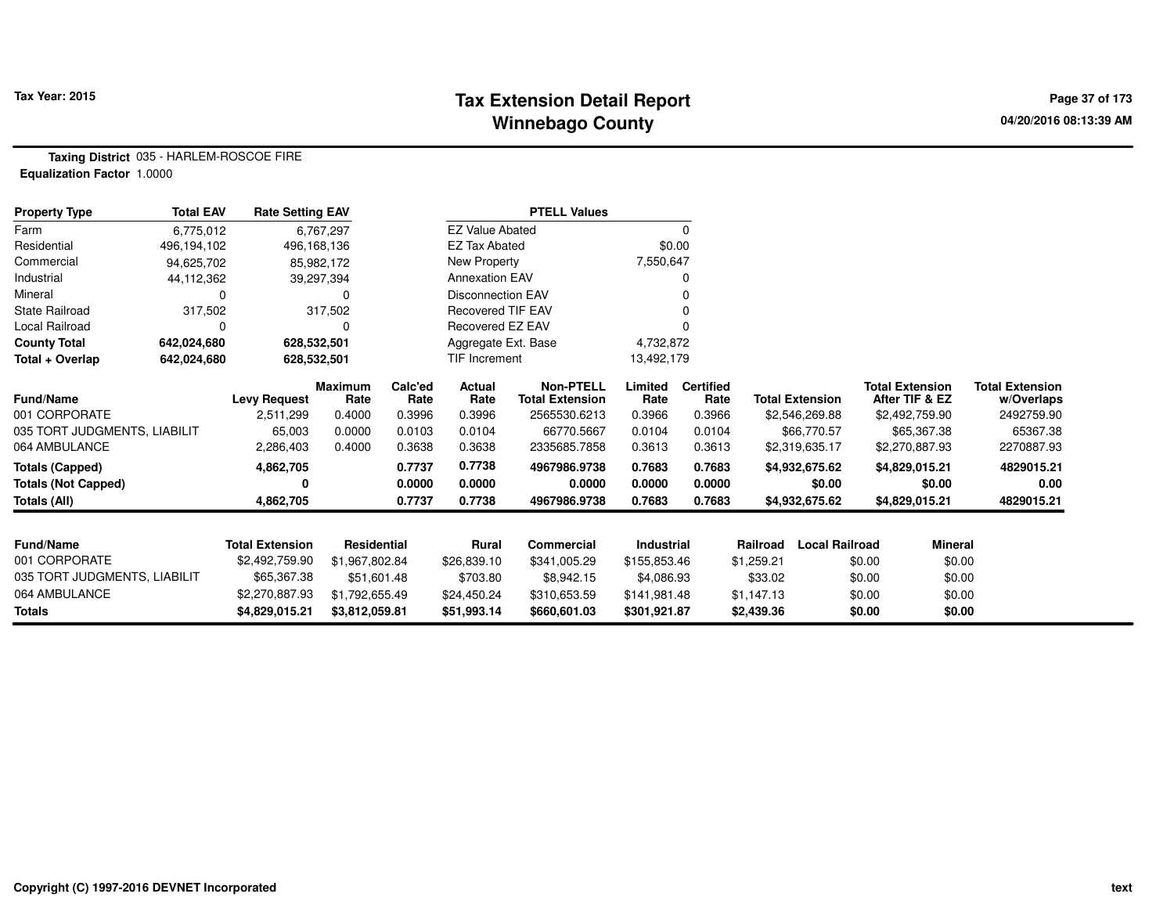## **Tax Extension Detail Report Tax Year: 2015 Page 37 of 173 Winnebago County**

**Taxing District** 035 - HARLEM-ROSCOE FIRE**Equalization Factor** 1.0000

| <b>Property Type</b>         | <b>Total EAV</b> | <b>Rate Setting EAV</b> |                    |                 |                          | <b>PTELL Values</b>                        |                 |                          |                        |                                          |                |                                      |
|------------------------------|------------------|-------------------------|--------------------|-----------------|--------------------------|--------------------------------------------|-----------------|--------------------------|------------------------|------------------------------------------|----------------|--------------------------------------|
| Farm                         | 6,775,012        |                         | 6,767,297          |                 | <b>EZ Value Abated</b>   |                                            |                 | 0                        |                        |                                          |                |                                      |
| Residential                  | 496,194,102      | 496,168,136             |                    |                 | <b>EZ Tax Abated</b>     |                                            | \$0.00          |                          |                        |                                          |                |                                      |
| Commercial                   | 94,625,702       | 85,982,172              |                    |                 | New Property             |                                            | 7,550,647       |                          |                        |                                          |                |                                      |
| Industrial                   | 44,112,362       | 39,297,394              |                    |                 | <b>Annexation EAV</b>    |                                            |                 |                          |                        |                                          |                |                                      |
| Mineral                      | 0                |                         | 0                  |                 | <b>Disconnection EAV</b> |                                            |                 |                          |                        |                                          |                |                                      |
| <b>State Railroad</b>        | 317,502          |                         | 317,502            |                 | <b>Recovered TIF EAV</b> |                                            |                 |                          |                        |                                          |                |                                      |
| Local Railroad               | 0                |                         | 0                  |                 | Recovered EZ EAV         |                                            |                 |                          |                        |                                          |                |                                      |
| <b>County Total</b>          | 642,024,680      | 628,532,501             |                    |                 | Aggregate Ext. Base      |                                            | 4,732,872       |                          |                        |                                          |                |                                      |
| Total + Overlap              | 642,024,680      | 628,532,501             |                    |                 | TIF Increment            |                                            | 13,492,179      |                          |                        |                                          |                |                                      |
| Fund/Name                    |                  | <b>Levy Request</b>     | Maximum<br>Rate    | Calc'ed<br>Rate | <b>Actual</b><br>Rate    | <b>Non-PTELL</b><br><b>Total Extension</b> | Limited<br>Rate | <b>Certified</b><br>Rate | <b>Total Extension</b> | <b>Total Extension</b><br>After TIF & EZ |                | <b>Total Extension</b><br>w/Overlaps |
| 001 CORPORATE                |                  | 2,511,299               | 0.4000             | 0.3996          | 0.3996                   | 2565530.6213                               | 0.3966          | 0.3966                   | \$2,546,269.88         | \$2,492,759.90                           |                | 2492759.90                           |
| 035 TORT JUDGMENTS, LIABILIT |                  | 65,003                  | 0.0000             | 0.0103          | 0.0104                   | 66770.5667                                 | 0.0104          | 0.0104                   | \$66,770.57            | \$65,367.38                              |                | 65367.38                             |
| 064 AMBULANCE                |                  | 2,286,403               | 0.4000             | 0.3638          | 0.3638                   | 2335685.7858                               | 0.3613          | 0.3613                   | \$2,319,635.17         | \$2,270,887.93                           |                | 2270887.93                           |
| <b>Totals (Capped)</b>       |                  | 4,862,705               |                    | 0.7737          | 0.7738                   | 4967986.9738                               | 0.7683          | 0.7683                   | \$4,932,675.62         | \$4,829,015.21                           |                | 4829015.21                           |
| <b>Totals (Not Capped)</b>   |                  | 0                       |                    | 0.0000          | 0.0000                   | 0.0000                                     | 0.0000          | 0.0000                   | \$0.00                 |                                          | \$0.00         | 0.00                                 |
| <b>Totals (All)</b>          |                  | 4,862,705               |                    | 0.7737          | 0.7738                   | 4967986.9738                               | 0.7683          | 0.7683                   | \$4,932,675.62         | \$4,829,015.21                           |                | 4829015.21                           |
|                              |                  |                         |                    |                 |                          |                                            |                 |                          |                        |                                          |                |                                      |
| <b>Fund/Name</b>             |                  | <b>Total Extension</b>  | <b>Residential</b> |                 | Rural                    | <b>Commercial</b>                          | Industrial      |                          | Railroad               | <b>Local Railroad</b>                    | <b>Mineral</b> |                                      |
| 001 CORPORATE                |                  | \$2,492,759.90          | \$1,967,802.84     |                 | \$26,839.10              | \$341,005.29                               | \$155,853.46    |                          | \$1,259.21             | \$0.00                                   | \$0.00         |                                      |
| 035 TORT JUDGMENTS, LIABILIT |                  | \$65,367.38             | \$51,601.48        |                 | \$703.80                 | \$8,942.15                                 | \$4,086.93      |                          | \$33.02                | \$0.00                                   | \$0.00         |                                      |
| 064 AMBULANCE                |                  | \$2,270,887.93          | \$1,792,655.49     |                 | \$24,450.24              | \$310,653.59                               | \$141,981.48    |                          | \$1,147.13             | \$0.00                                   | \$0.00         |                                      |
| <b>Totals</b>                |                  | \$4,829,015.21          | \$3,812,059.81     |                 | \$51,993.14              | \$660,601.03                               | \$301,921.87    |                          | \$2,439.36             | \$0.00                                   | \$0.00         |                                      |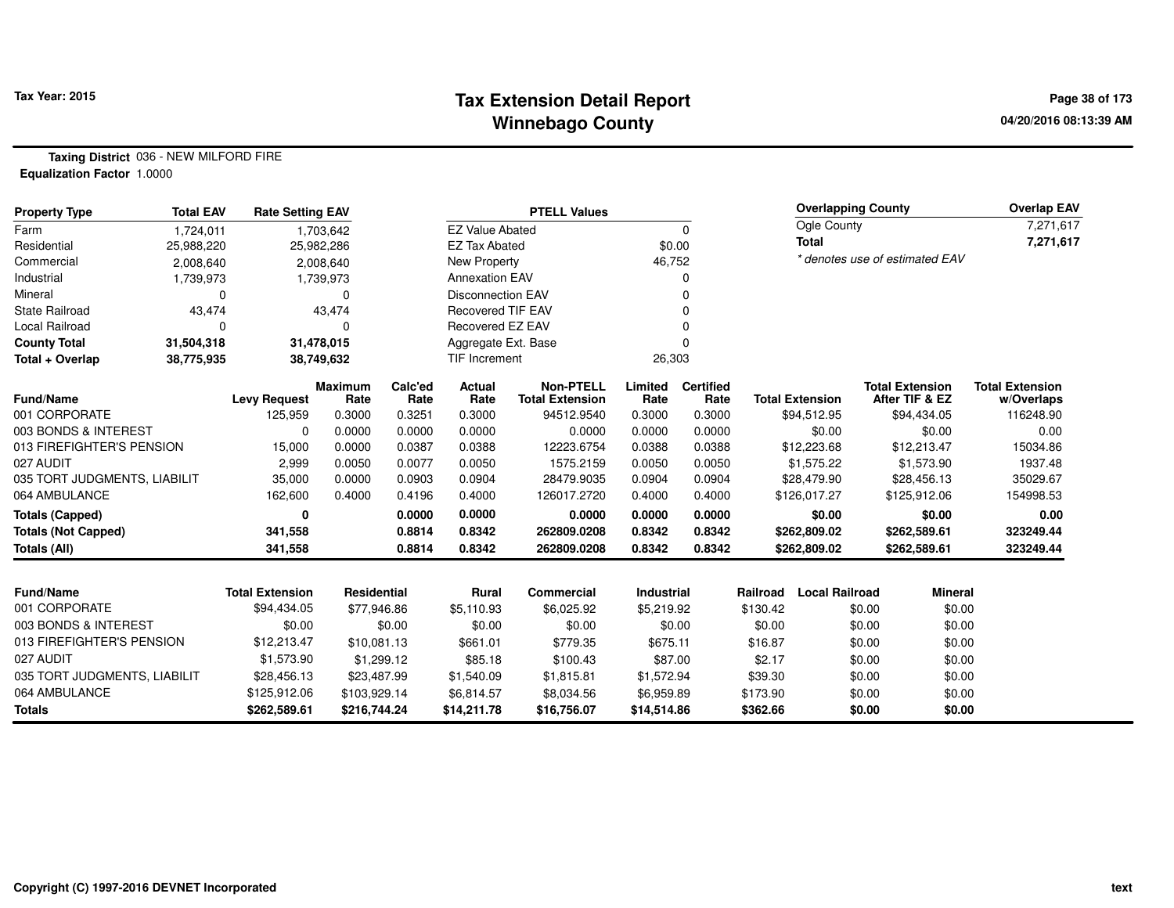## **Tax Extension Detail Report Tax Year: 2015 Page 38 of 173 Winnebago County**

**Taxing District** 036 - NEW MILFORD FIRE**Equalization Factor** 1.0000

| <b>Property Type</b>         | <b>Total EAV</b> | <b>Rate Setting EAV</b> |                        |                 |                          | <b>PTELL Values</b>                        |                 |                          |          | <b>Overlapping County</b> |                                          | Overlap EAV                          |
|------------------------------|------------------|-------------------------|------------------------|-----------------|--------------------------|--------------------------------------------|-----------------|--------------------------|----------|---------------------------|------------------------------------------|--------------------------------------|
| Farm                         | 1,724,011        |                         | 1,703,642              |                 | <b>EZ Value Abated</b>   |                                            |                 | 0                        |          | Ogle County               |                                          | 7,271,617                            |
| Residential                  | 25,988,220       |                         | 25,982,286             |                 | <b>EZ Tax Abated</b>     |                                            | \$0.00          |                          |          | <b>Total</b>              |                                          | 7,271,617                            |
| Commercial                   | 2,008,640        |                         | 2,008,640              |                 | New Property             |                                            | 46,752          |                          |          |                           | * denotes use of estimated EAV           |                                      |
| Industrial                   | 1,739,973        |                         | 1,739,973              |                 | <b>Annexation EAV</b>    |                                            |                 |                          |          |                           |                                          |                                      |
| Mineral                      | $\Omega$         |                         | $\Omega$               |                 | <b>Disconnection EAV</b> |                                            |                 |                          |          |                           |                                          |                                      |
| <b>State Railroad</b>        | 43,474           |                         | 43,474                 |                 | <b>Recovered TIF EAV</b> |                                            |                 |                          |          |                           |                                          |                                      |
| Local Railroad               | $\Omega$         |                         | 0                      |                 | Recovered EZ EAV         |                                            |                 |                          |          |                           |                                          |                                      |
| <b>County Total</b>          | 31,504,318       |                         | 31,478,015             |                 | Aggregate Ext. Base      |                                            |                 |                          |          |                           |                                          |                                      |
| Total + Overlap              | 38,775,935       |                         | 38,749,632             |                 | TIF Increment            |                                            | 26,303          |                          |          |                           |                                          |                                      |
| <b>Fund/Name</b>             |                  | <b>Levy Request</b>     | <b>Maximum</b><br>Rate | Calc'ed<br>Rate | Actual<br>Rate           | <b>Non-PTELL</b><br><b>Total Extension</b> | Limited<br>Rate | <b>Certified</b><br>Rate |          | <b>Total Extension</b>    | <b>Total Extension</b><br>After TIF & EZ | <b>Total Extension</b><br>w/Overlaps |
| 001 CORPORATE                |                  | 125,959                 | 0.3000                 | 0.3251          | 0.3000                   | 94512.9540                                 | 0.3000          | 0.3000                   |          | \$94,512.95               | \$94,434.05                              | 116248.90                            |
| 003 BONDS & INTEREST         |                  | 0                       | 0.0000                 | 0.0000          | 0.0000                   | 0.0000                                     | 0.0000          | 0.0000                   |          | \$0.00                    | \$0.00                                   | 0.00                                 |
| 013 FIREFIGHTER'S PENSION    |                  | 15,000                  | 0.0000                 | 0.0387          | 0.0388                   | 12223.6754                                 | 0.0388          | 0.0388                   |          | \$12,223.68               | \$12,213.47                              | 15034.86                             |
| 027 AUDIT                    |                  | 2,999                   | 0.0050                 | 0.0077          | 0.0050                   | 1575.2159                                  | 0.0050          | 0.0050                   |          | \$1,575.22                | \$1,573.90                               | 1937.48                              |
| 035 TORT JUDGMENTS, LIABILIT |                  | 35,000                  | 0.0000                 | 0.0903          | 0.0904                   | 28479.9035                                 | 0.0904          | 0.0904                   |          | \$28,479.90               | \$28,456.13                              | 35029.67                             |
| 064 AMBULANCE                |                  | 162,600                 | 0.4000                 | 0.4196          | 0.4000                   | 126017.2720                                | 0.4000          | 0.4000                   |          | \$126,017.27              | \$125,912.06                             | 154998.53                            |
| <b>Totals (Capped)</b>       |                  | $\mathbf{0}$            |                        | 0.0000          | 0.0000                   | 0.0000                                     | 0.0000          | 0.0000                   |          | \$0.00                    | \$0.00                                   | 0.00                                 |
| <b>Totals (Not Capped)</b>   |                  | 341,558                 |                        | 0.8814          | 0.8342                   | 262809.0208                                | 0.8342          | 0.8342                   |          | \$262,809.02              | \$262,589.61                             | 323249.44                            |
| Totals (All)                 |                  | 341,558                 |                        | 0.8814          | 0.8342                   | 262809.0208                                | 0.8342          | 0.8342                   |          | \$262,809.02              | \$262,589.61                             | 323249.44                            |
|                              |                  |                         |                        |                 |                          |                                            |                 |                          |          |                           |                                          |                                      |
| <b>Fund/Name</b>             |                  | <b>Total Extension</b>  | Residential            |                 | Rural                    | Commercial                                 | Industrial      |                          | Railroad | <b>Local Railroad</b>     | <b>Mineral</b>                           |                                      |
| 001 CORPORATE                |                  | \$94,434.05             | \$77,946.86            |                 | \$5,110.93               | \$6,025.92                                 | \$5,219.92      |                          | \$130.42 | \$0.00                    | \$0.00                                   |                                      |
| 003 BONDS & INTEREST         |                  | \$0.00                  |                        | \$0.00          | \$0.00                   | \$0.00                                     | \$0.00          |                          | \$0.00   | \$0.00                    | \$0.00                                   |                                      |
| 013 FIREFIGHTER'S PENSION    |                  | \$12,213.47             | \$10,081.13            |                 | \$661.01                 | \$779.35                                   | \$675.11        |                          | \$16.87  | \$0.00                    | \$0.00                                   |                                      |
| 027 AUDIT                    |                  | \$1,573.90              | \$1,299.12             |                 | \$85.18                  | \$100.43                                   | \$87.00         |                          | \$2.17   | \$0.00                    | \$0.00                                   |                                      |
| 035 TORT JUDGMENTS, LIABILIT |                  | \$28,456.13             | \$23,487.99            |                 | \$1,540.09               | \$1,815.81                                 | \$1,572.94      |                          | \$39.30  | \$0.00                    | \$0.00                                   |                                      |
| 064 AMBULANCE                |                  | \$125,912.06            | \$103,929.14           |                 | \$6,814.57               | \$8,034.56                                 | \$6,959.89      |                          | \$173.90 | \$0.00                    | \$0.00                                   |                                      |
| <b>Totals</b>                |                  | \$262,589.61            | \$216,744.24           |                 | \$14,211.78              | \$16,756.07                                | \$14,514.86     |                          | \$362.66 | \$0.00                    | \$0.00                                   |                                      |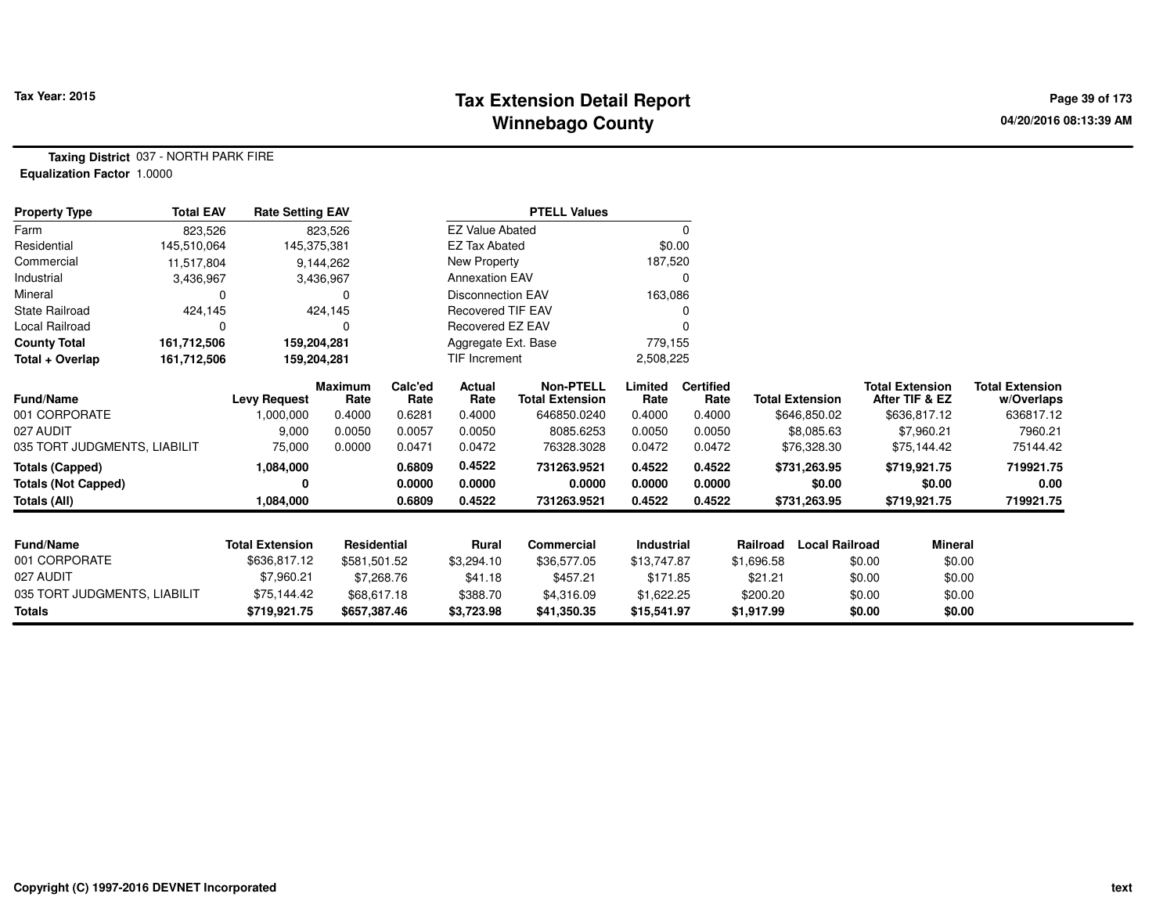## **Tax Extension Detail Report Tax Year: 2015 Page 39 of 173 Winnebago County**

**Taxing District** 037 - NORTH PARK FIRE**Equalization Factor** 1.0000

| <b>Property Type</b>         | <b>Total EAV</b> | <b>Rate Setting EAV</b> |                 |                 |                          | <b>PTELL Values</b>                        |                 |                          |                                   |                                          |                                      |
|------------------------------|------------------|-------------------------|-----------------|-----------------|--------------------------|--------------------------------------------|-----------------|--------------------------|-----------------------------------|------------------------------------------|--------------------------------------|
| Farm                         | 823,526          |                         | 823,526         |                 | <b>EZ Value Abated</b>   |                                            |                 | 0                        |                                   |                                          |                                      |
| Residential                  | 145,510,064      | 145,375,381             |                 |                 | <b>EZ Tax Abated</b>     |                                            | \$0.00          |                          |                                   |                                          |                                      |
| Commercial                   | 11,517,804       |                         | 9,144,262       |                 | New Property             |                                            | 187,520         |                          |                                   |                                          |                                      |
| Industrial                   | 3,436,967        |                         | 3,436,967       |                 | <b>Annexation EAV</b>    |                                            |                 | O                        |                                   |                                          |                                      |
| Mineral                      |                  |                         | 0               |                 | <b>Disconnection EAV</b> |                                            | 163,086         |                          |                                   |                                          |                                      |
| State Railroad               | 424,145          |                         | 424,145         |                 | <b>Recovered TIF EAV</b> |                                            |                 |                          |                                   |                                          |                                      |
| Local Railroad               |                  |                         | 0               |                 | Recovered EZ EAV         |                                            |                 |                          |                                   |                                          |                                      |
| <b>County Total</b>          | 161,712,506      | 159,204,281             |                 |                 | Aggregate Ext. Base      |                                            | 779,155         |                          |                                   |                                          |                                      |
| Total + Overlap              | 161,712,506      | 159,204,281             |                 |                 | <b>TIF Increment</b>     |                                            | 2,508,225       |                          |                                   |                                          |                                      |
| Fund/Name                    |                  | <b>Levy Request</b>     | Maximum<br>Rate | Calc'ed<br>Rate | <b>Actual</b><br>Rate    | <b>Non-PTELL</b><br><b>Total Extension</b> | Limited<br>Rate | <b>Certified</b><br>Rate | <b>Total Extension</b>            | <b>Total Extension</b><br>After TIF & EZ | <b>Total Extension</b><br>w/Overlaps |
| 001 CORPORATE                |                  | 1,000,000               | 0.4000          | 0.6281          | 0.4000                   | 646850.0240                                | 0.4000          | 0.4000                   | \$646,850.02                      | \$636,817.12                             | 636817.12                            |
| 027 AUDIT                    |                  | 9,000                   | 0.0050          | 0.0057          | 0.0050                   | 8085.6253                                  | 0.0050          | 0.0050                   | \$8,085.63                        | \$7,960.21                               | 7960.21                              |
| 035 TORT JUDGMENTS, LIABILIT |                  | 75,000                  | 0.0000          | 0.0471          | 0.0472                   | 76328.3028                                 | 0.0472          | 0.0472                   | \$76,328.30                       | \$75,144.42                              | 75144.42                             |
| <b>Totals (Capped)</b>       |                  | 1,084,000               |                 | 0.6809          | 0.4522                   | 731263.9521                                | 0.4522          | 0.4522                   | \$731,263.95                      | \$719,921.75                             | 719921.75                            |
| <b>Totals (Not Capped)</b>   |                  | 0                       |                 | 0.0000          | 0.0000                   | 0.0000                                     | 0.0000          | 0.0000                   | \$0.00                            | \$0.00                                   | 0.00                                 |
| <b>Totals (All)</b>          |                  | 1,084,000               |                 | 0.6809          | 0.4522                   | 731263.9521                                | 0.4522          | 0.4522                   | \$731,263.95                      | \$719,921.75                             | 719921.75                            |
| Fund/Name                    |                  | <b>Total Extension</b>  | Residential     |                 | Rural                    | Commercial                                 | Industrial      |                          | <b>Local Railroad</b><br>Railroad | Mineral                                  |                                      |
| 001 CORPORATE                |                  | \$636,817.12            | \$581,501.52    |                 | \$3,294.10               | \$36,577.05                                | \$13,747.87     |                          | \$1,696.58                        | \$0.00                                   | \$0.00                               |
| 027 AUDIT                    |                  | \$7,960.21              | \$7,268.76      |                 | \$41.18                  | \$457.21                                   | \$171.85        |                          | \$21.21                           | \$0.00                                   | \$0.00                               |
| 035 TORT JUDGMENTS, LIABILIT |                  | \$75,144.42             | \$68,617.18     |                 | \$388.70                 | \$4,316.09                                 | \$1,622.25      |                          | \$200.20                          | \$0.00                                   | \$0.00                               |
| <b>Totals</b>                |                  | \$719,921.75            | \$657,387.46    |                 | \$3,723.98               | \$41,350.35                                | \$15,541.97     |                          | \$1,917.99                        | \$0.00                                   | \$0.00                               |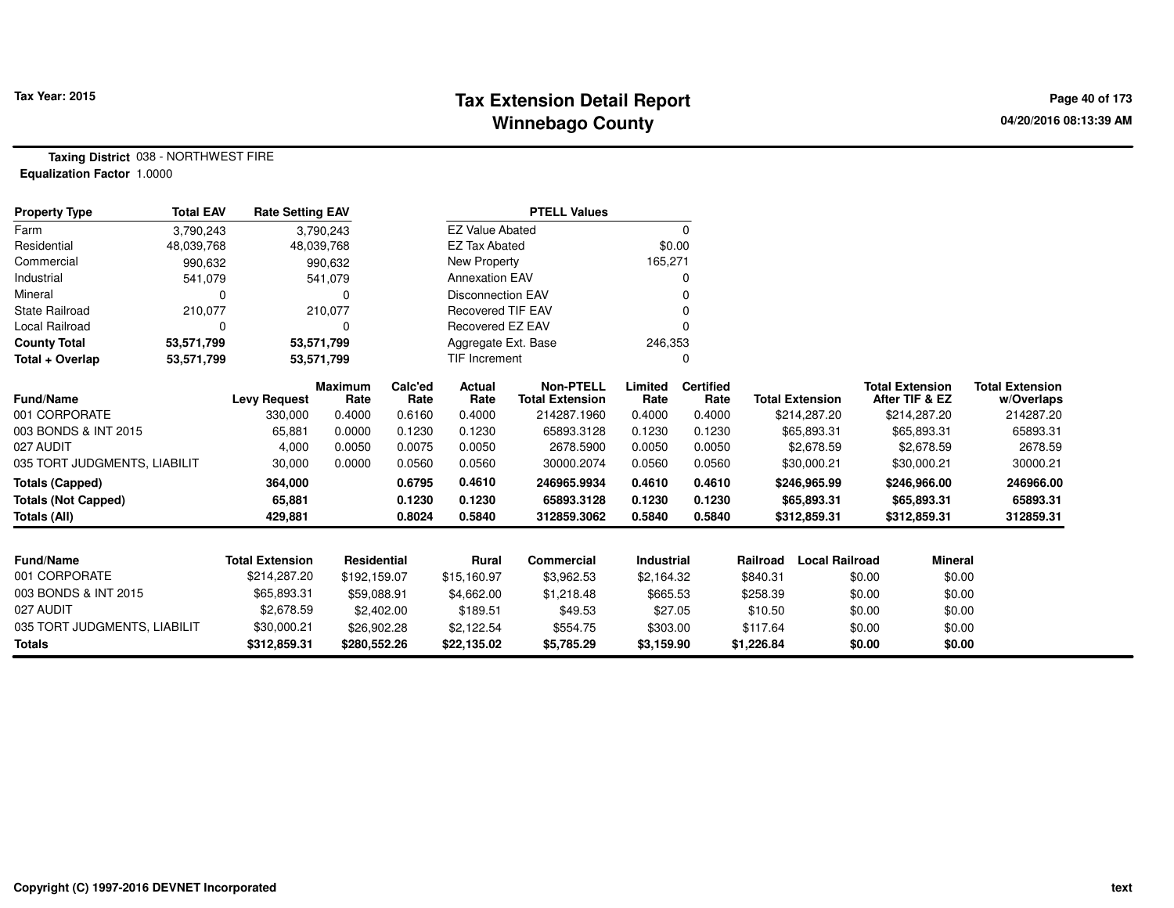## **Tax Extension Detail Report Tax Year: 2015 Page 40 of 173 Winnebago County**

**Taxing District** 038 - NORTHWEST FIRE**Equalization Factor** 1.0000

| <b>Property Type</b>         | <b>Total EAV</b> | <b>Rate Setting EAV</b> |                        |                 |                          | <b>PTELL Values</b>                        |                 |                          |            |                        |                                          |                                      |
|------------------------------|------------------|-------------------------|------------------------|-----------------|--------------------------|--------------------------------------------|-----------------|--------------------------|------------|------------------------|------------------------------------------|--------------------------------------|
| Farm                         | 3,790,243        |                         | 3,790,243              |                 | <b>EZ Value Abated</b>   |                                            |                 | 0                        |            |                        |                                          |                                      |
| Residential                  | 48,039,768       |                         | 48,039,768             |                 | <b>EZ Tax Abated</b>     |                                            | \$0.00          |                          |            |                        |                                          |                                      |
| Commercial                   | 990,632          |                         | 990,632                |                 | <b>New Property</b>      |                                            | 165,271         |                          |            |                        |                                          |                                      |
| Industrial                   | 541,079          |                         | 541,079                |                 | <b>Annexation EAV</b>    |                                            |                 | 0                        |            |                        |                                          |                                      |
| Mineral                      | 0                |                         | 0                      |                 | <b>Disconnection EAV</b> |                                            |                 | 0                        |            |                        |                                          |                                      |
| <b>State Railroad</b>        | 210,077          |                         | 210,077                |                 | <b>Recovered TIF EAV</b> |                                            |                 | 0                        |            |                        |                                          |                                      |
| <b>Local Railroad</b>        | 0                |                         | 0                      |                 | Recovered EZ EAV         |                                            |                 | $\Omega$                 |            |                        |                                          |                                      |
| <b>County Total</b>          | 53,571,799       |                         | 53,571,799             |                 | Aggregate Ext. Base      |                                            | 246,353         |                          |            |                        |                                          |                                      |
| Total + Overlap              | 53,571,799       |                         | 53,571,799             |                 | <b>TIF Increment</b>     |                                            |                 | 0                        |            |                        |                                          |                                      |
| Fund/Name                    |                  | <b>Levy Request</b>     | <b>Maximum</b><br>Rate | Calc'ed<br>Rate | Actual<br>Rate           | <b>Non-PTELL</b><br><b>Total Extension</b> | Limited<br>Rate | <b>Certified</b><br>Rate |            | <b>Total Extension</b> | <b>Total Extension</b><br>After TIF & EZ | <b>Total Extension</b><br>w/Overlaps |
| 001 CORPORATE                |                  | 330,000                 | 0.4000                 | 0.6160          | 0.4000                   | 214287.1960                                | 0.4000          | 0.4000                   |            | \$214,287.20           | \$214,287.20                             | 214287.20                            |
| 003 BONDS & INT 2015         |                  | 65,881                  | 0.0000                 | 0.1230          | 0.1230                   | 65893.3128                                 | 0.1230          | 0.1230                   |            | \$65,893.31            | \$65,893.31                              | 65893.31                             |
| 027 AUDIT                    |                  | 4,000                   | 0.0050                 | 0.0075          | 0.0050                   | 2678.5900                                  | 0.0050          | 0.0050                   |            | \$2,678.59             | \$2,678.59                               | 2678.59                              |
| 035 TORT JUDGMENTS, LIABILIT |                  | 30,000                  | 0.0000                 | 0.0560          | 0.0560                   | 30000.2074                                 | 0.0560          | 0.0560                   |            | \$30,000.21            | \$30,000.21                              | 30000.21                             |
| <b>Totals (Capped)</b>       |                  | 364,000                 |                        | 0.6795          | 0.4610                   | 246965.9934                                | 0.4610          | 0.4610                   |            | \$246,965.99           | \$246,966.00                             | 246966.00                            |
| <b>Totals (Not Capped)</b>   |                  | 65,881                  |                        | 0.1230          | 0.1230                   | 65893.3128                                 | 0.1230          | 0.1230                   |            | \$65,893.31            | \$65,893.31                              | 65893.31                             |
| Totals (All)                 |                  | 429,881                 |                        | 0.8024          | 0.5840                   | 312859.3062                                | 0.5840          | 0.5840                   |            | \$312,859.31           | \$312,859.31                             | 312859.31                            |
|                              |                  |                         |                        |                 |                          |                                            |                 |                          |            |                        |                                          |                                      |
| <b>Fund/Name</b>             |                  | <b>Total Extension</b>  | <b>Residential</b>     |                 | Rural                    | <b>Commercial</b>                          | Industrial      |                          | Railroad   | <b>Local Railroad</b>  | <b>Mineral</b>                           |                                      |
| 001 CORPORATE                |                  | \$214,287.20            | \$192,159.07           |                 | \$15,160.97              | \$3,962.53                                 | \$2,164.32      |                          | \$840.31   |                        | \$0.00<br>\$0.00                         |                                      |
| 003 BONDS & INT 2015         |                  | \$65,893.31             | \$59,088.91            |                 | \$4,662.00               | \$1,218.48                                 | \$665.53        |                          | \$258.39   |                        | \$0.00<br>\$0.00                         |                                      |
| 027 AUDIT                    |                  | \$2,678.59              | \$2,402.00             |                 | \$189.51                 | \$49.53                                    | \$27.05         |                          | \$10.50    |                        | \$0.00<br>\$0.00                         |                                      |
| 035 TORT JUDGMENTS, LIABILIT |                  | \$30,000.21             | \$26,902.28            |                 | \$2,122.54               | \$554.75                                   | \$303.00        |                          | \$117.64   |                        | \$0.00<br>\$0.00                         |                                      |
| <b>Totals</b>                |                  | \$312,859.31            | \$280,552.26           |                 | \$22,135.02              | \$5,785.29                                 | \$3,159.90      |                          | \$1,226.84 |                        | \$0.00<br>\$0.00                         |                                      |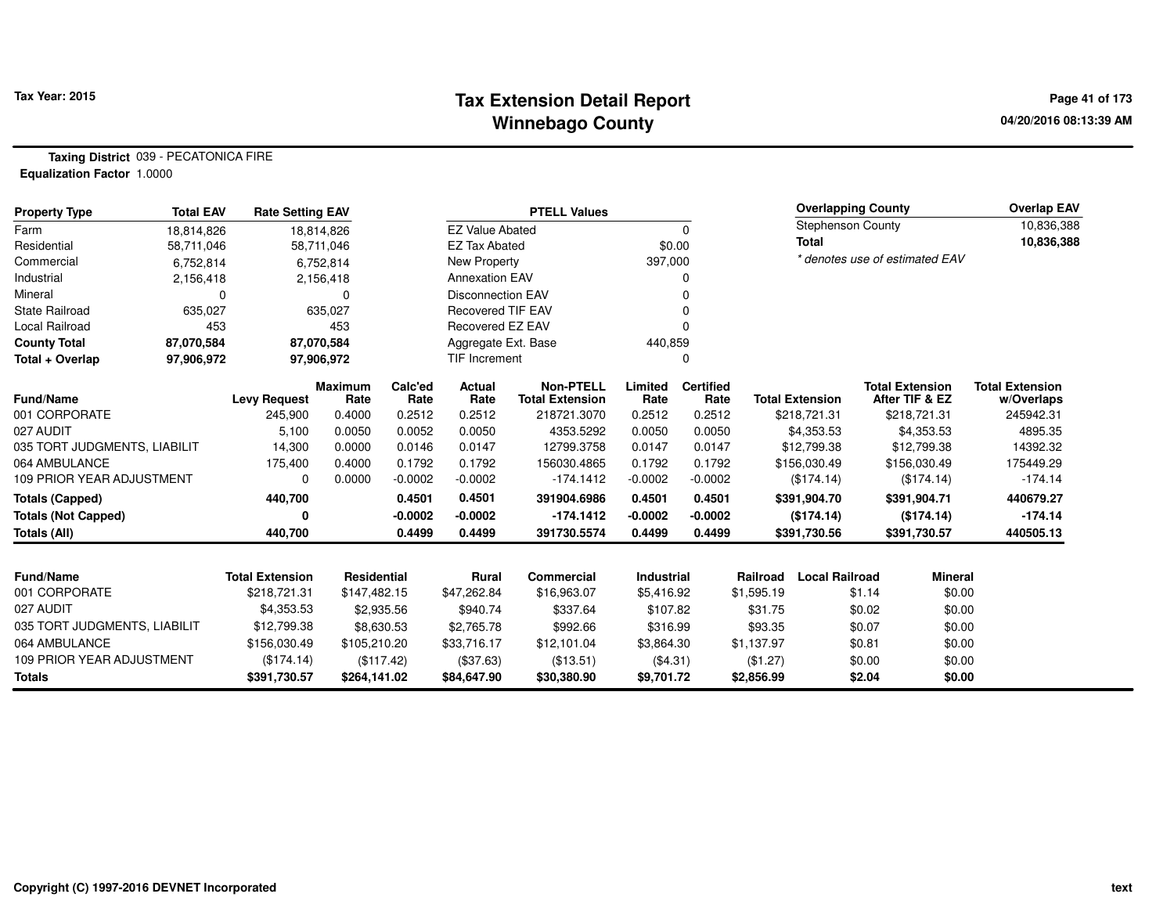#### **Tax Extension Detail Report Tax Year: 2015 Page 41 of 173 Winnebago County**

**Taxing District** 039 - PECATONICA FIRE**Equalization Factor** 1.0000

| <b>Property Type</b>             | <b>Total EAV</b> | <b>Rate Setting EAV</b> |                        |                 |                          | <b>PTELL Values</b>                        |                   |                          |            | <b>Overlapping County</b> |        |                                          | <b>Overlap EAV</b>                   |
|----------------------------------|------------------|-------------------------|------------------------|-----------------|--------------------------|--------------------------------------------|-------------------|--------------------------|------------|---------------------------|--------|------------------------------------------|--------------------------------------|
| Farm                             | 18,814,826       |                         | 18,814,826             |                 | <b>EZ Value Abated</b>   |                                            |                   | 0                        |            | <b>Stephenson County</b>  |        |                                          | 10,836,388                           |
| Residential                      | 58,711,046       |                         | 58,711,046             |                 | <b>EZ Tax Abated</b>     |                                            |                   | \$0.00                   |            | <b>Total</b>              |        |                                          | 10,836,388                           |
| Commercial                       | 6,752,814        |                         | 6,752,814              |                 | New Property             |                                            | 397,000           |                          |            |                           |        | * denotes use of estimated EAV           |                                      |
| Industrial                       | 2,156,418        |                         | 2,156,418              |                 | <b>Annexation EAV</b>    |                                            |                   |                          |            |                           |        |                                          |                                      |
| Mineral                          | $\Omega$         |                         | 0                      |                 | <b>Disconnection EAV</b> |                                            |                   |                          |            |                           |        |                                          |                                      |
| <b>State Railroad</b>            | 635,027          |                         | 635,027                |                 | <b>Recovered TIF EAV</b> |                                            |                   |                          |            |                           |        |                                          |                                      |
| Local Railroad                   | 453              |                         | 453                    |                 | Recovered EZ EAV         |                                            |                   | $\Omega$                 |            |                           |        |                                          |                                      |
| <b>County Total</b>              | 87,070,584       |                         | 87,070,584             |                 | Aggregate Ext. Base      |                                            | 440,859           |                          |            |                           |        |                                          |                                      |
| Total + Overlap                  | 97,906,972       |                         | 97,906,972             |                 | <b>TIF Increment</b>     |                                            |                   | 0                        |            |                           |        |                                          |                                      |
| <b>Fund/Name</b>                 |                  | <b>Levy Request</b>     | <b>Maximum</b><br>Rate | Calc'ed<br>Rate | Actual<br>Rate           | <b>Non-PTELL</b><br><b>Total Extension</b> | Limited<br>Rate   | <b>Certified</b><br>Rate |            | <b>Total Extension</b>    |        | <b>Total Extension</b><br>After TIF & EZ | <b>Total Extension</b><br>w/Overlaps |
| 001 CORPORATE                    |                  | 245,900                 | 0.4000                 | 0.2512          | 0.2512                   | 218721.3070                                | 0.2512            | 0.2512                   |            | \$218,721.31              |        | \$218,721.31                             | 245942.31                            |
| 027 AUDIT                        |                  | 5,100                   | 0.0050                 | 0.0052          | 0.0050                   | 4353.5292                                  | 0.0050            | 0.0050                   |            | \$4,353.53                |        | \$4,353.53                               | 4895.35                              |
| 035 TORT JUDGMENTS, LIABILIT     |                  | 14,300                  | 0.0000                 | 0.0146          | 0.0147                   | 12799.3758                                 | 0.0147            | 0.0147                   |            | \$12,799.38               |        | \$12,799.38                              | 14392.32                             |
| 064 AMBULANCE                    |                  | 175,400                 | 0.4000                 | 0.1792          | 0.1792                   | 156030.4865                                | 0.1792            | 0.1792                   |            | \$156,030.49              |        | \$156,030.49                             | 175449.29                            |
| 109 PRIOR YEAR ADJUSTMENT        |                  | $\Omega$                | 0.0000                 | $-0.0002$       | $-0.0002$                | $-174.1412$                                | $-0.0002$         | $-0.0002$                |            | (\$174.14)                |        | (\$174.14)                               | $-174.14$                            |
| <b>Totals (Capped)</b>           |                  | 440,700                 |                        | 0.4501          | 0.4501                   | 391904.6986                                | 0.4501            | 0.4501                   |            | \$391,904.70              |        | \$391,904.71                             | 440679.27                            |
| <b>Totals (Not Capped)</b>       |                  | 0                       |                        | $-0.0002$       | $-0.0002$                | $-174.1412$                                | $-0.0002$         | $-0.0002$                |            | (\$174.14)                |        | (\$174.14)                               | $-174.14$                            |
| <b>Totals (All)</b>              |                  | 440,700                 |                        | 0.4499          | 0.4499                   | 391730.5574                                | 0.4499            | 0.4499                   |            | \$391,730.56              |        | \$391,730.57                             | 440505.13                            |
| Fund/Name                        |                  | <b>Total Extension</b>  | <b>Residential</b>     |                 | <b>Rural</b>             | <b>Commercial</b>                          | <b>Industrial</b> |                          | Railroad   | <b>Local Railroad</b>     |        | <b>Mineral</b>                           |                                      |
| 001 CORPORATE                    |                  | \$218,721.31            | \$147,482.15           |                 | \$47,262.84              | \$16,963.07                                | \$5,416.92        |                          | \$1,595.19 |                           | \$1.14 | \$0.00                                   |                                      |
| 027 AUDIT                        |                  | \$4,353.53              |                        | \$2,935.56      | \$940.74                 | \$337.64                                   | \$107.82          |                          | \$31.75    |                           | \$0.02 | \$0.00                                   |                                      |
| 035 TORT JUDGMENTS, LIABILIT     |                  | \$12,799.38             |                        | \$8,630.53      | \$2,765.78               | \$992.66                                   | \$316.99          |                          | \$93.35    |                           | \$0.07 | \$0.00                                   |                                      |
| 064 AMBULANCE                    |                  | \$156,030.49            | \$105,210.20           |                 | \$33,716.17              | \$12,101.04                                | \$3,864.30        |                          | \$1,137.97 |                           | \$0.81 | \$0.00                                   |                                      |
| <b>109 PRIOR YEAR ADJUSTMENT</b> |                  | (\$174.14)              |                        | (\$117.42)      | (\$37.63)                |                                            | (\$4.31)          |                          | (\$1.27)   |                           | \$0.00 | \$0.00                                   |                                      |
| <b>Totals</b>                    |                  | \$391,730.57            | \$264,141.02           |                 | \$84,647.90              | (\$13.51)<br>\$30,380.90                   | \$9,701.72        |                          | \$2,856.99 |                           | \$2.04 | \$0.00                                   |                                      |
|                                  |                  |                         |                        |                 |                          |                                            |                   |                          |            |                           |        |                                          |                                      |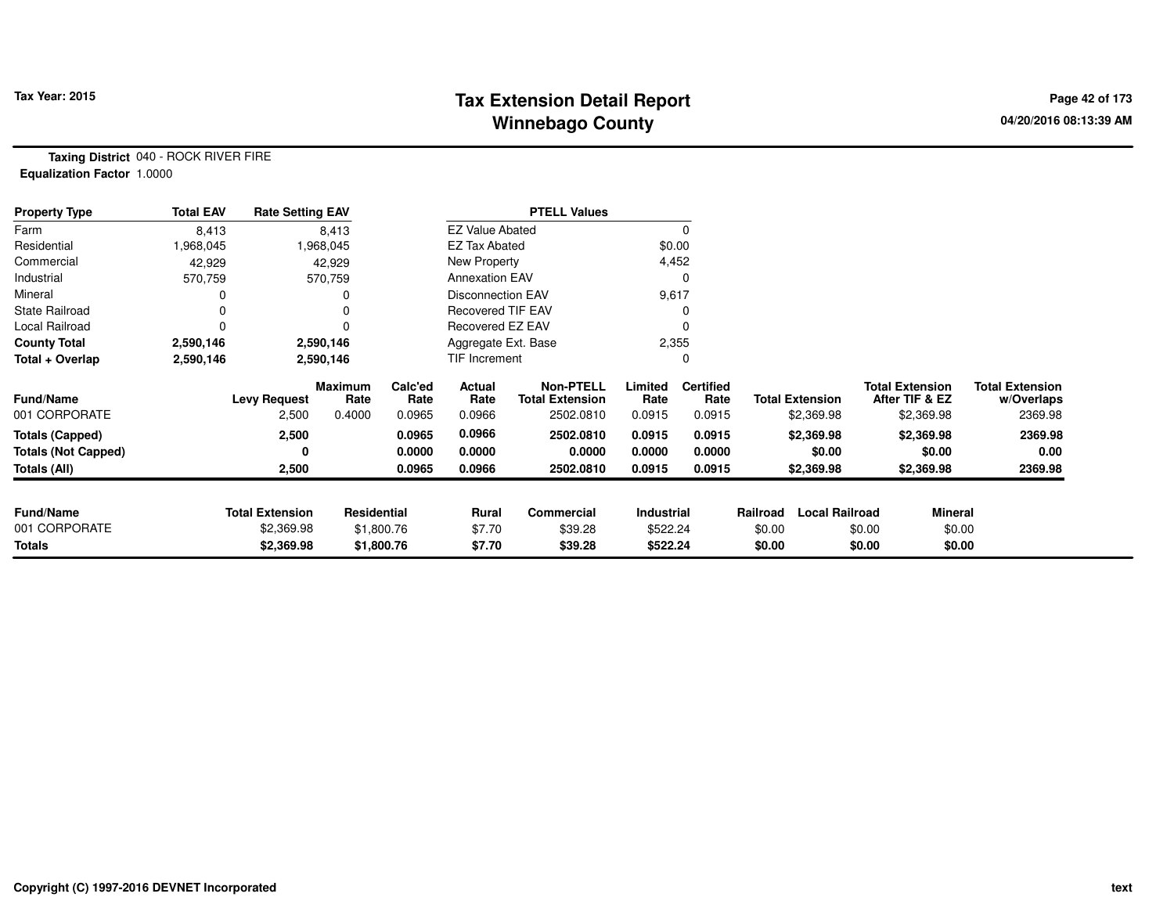## **Tax Extension Detail Report Tax Year: 2015 Page 42 of 173 Winnebago County**

**Taxing District** 040 - ROCK RIVER FIRE**Equalization Factor** 1.0000

| <b>Property Type</b>       | <b>Total EAV</b> | <b>Rate Setting EAV</b> |                        |                 |                          | <b>PTELL Values</b>                        |                 |                          |          |                        |        |                                          |                                      |
|----------------------------|------------------|-------------------------|------------------------|-----------------|--------------------------|--------------------------------------------|-----------------|--------------------------|----------|------------------------|--------|------------------------------------------|--------------------------------------|
| Farm                       | 8,413            |                         | 8,413                  |                 | <b>EZ Value Abated</b>   |                                            |                 | 0                        |          |                        |        |                                          |                                      |
| Residential                | 968,045,         |                         | 1,968,045              |                 | <b>EZ Tax Abated</b>     |                                            | \$0.00          |                          |          |                        |        |                                          |                                      |
| Commercial                 | 42,929           |                         | 42,929                 |                 | New Property             |                                            | 4,452           |                          |          |                        |        |                                          |                                      |
| Industrial                 | 570,759          |                         | 570,759                |                 | <b>Annexation EAV</b>    |                                            |                 | 0                        |          |                        |        |                                          |                                      |
| Mineral                    |                  |                         |                        |                 | <b>Disconnection EAV</b> |                                            | 9,617           |                          |          |                        |        |                                          |                                      |
| <b>State Railroad</b>      | O                |                         |                        |                 | <b>Recovered TIF EAV</b> |                                            |                 |                          |          |                        |        |                                          |                                      |
| Local Railroad             | 0                |                         |                        |                 | Recovered EZ EAV         |                                            |                 | 0                        |          |                        |        |                                          |                                      |
| <b>County Total</b>        | 2,590,146        |                         | 2,590,146              |                 | Aggregate Ext. Base      |                                            | 2,355           |                          |          |                        |        |                                          |                                      |
| Total + Overlap            | 2,590,146        |                         | 2,590,146              |                 | TIF Increment            |                                            |                 | 0                        |          |                        |        |                                          |                                      |
| <b>Fund/Name</b>           |                  | <b>Levy Request</b>     | <b>Maximum</b><br>Rate | Calc'ed<br>Rate | Actual<br>Rate           | <b>Non-PTELL</b><br><b>Total Extension</b> | Limited<br>Rate | <b>Certified</b><br>Rate |          | <b>Total Extension</b> |        | <b>Total Extension</b><br>After TIF & EZ | <b>Total Extension</b><br>w/Overlaps |
| 001 CORPORATE              |                  | 2,500                   | 0.4000                 | 0.0965          | 0.0966                   | 2502.0810                                  | 0.0915          | 0.0915                   |          | \$2,369.98             |        | \$2,369.98                               | 2369.98                              |
| <b>Totals (Capped)</b>     |                  | 2,500                   |                        | 0.0965          | 0.0966                   | 2502.0810                                  | 0.0915          | 0.0915                   |          | \$2,369.98             |        | \$2,369.98                               | 2369.98                              |
| <b>Totals (Not Capped)</b> |                  | 0                       |                        | 0.0000          | 0.0000                   | 0.0000                                     | 0.0000          | 0.0000                   |          | \$0.00                 |        | \$0.00                                   | 0.00                                 |
| Totals (All)               |                  | 2,500                   |                        | 0.0965          | 0.0966                   | 2502.0810                                  | 0.0915          | 0.0915                   |          | \$2,369.98             |        | \$2,369.98                               | 2369.98                              |
| <b>Fund/Name</b>           |                  | <b>Total Extension</b>  | Residential            |                 | Rural                    | <b>Commercial</b>                          | Industrial      |                          | Railroad | <b>Local Railroad</b>  |        | Mineral                                  |                                      |
| 001 CORPORATE              |                  | \$2,369.98              |                        | \$1,800.76      | \$7.70                   | \$39.28                                    | \$522.24        |                          | \$0.00   |                        | \$0.00 | \$0.00                                   |                                      |
| <b>Totals</b>              |                  | \$2,369.98              |                        | \$1,800.76      | \$7.70                   | \$39.28                                    | \$522.24        |                          | \$0.00   |                        | \$0.00 | \$0.00                                   |                                      |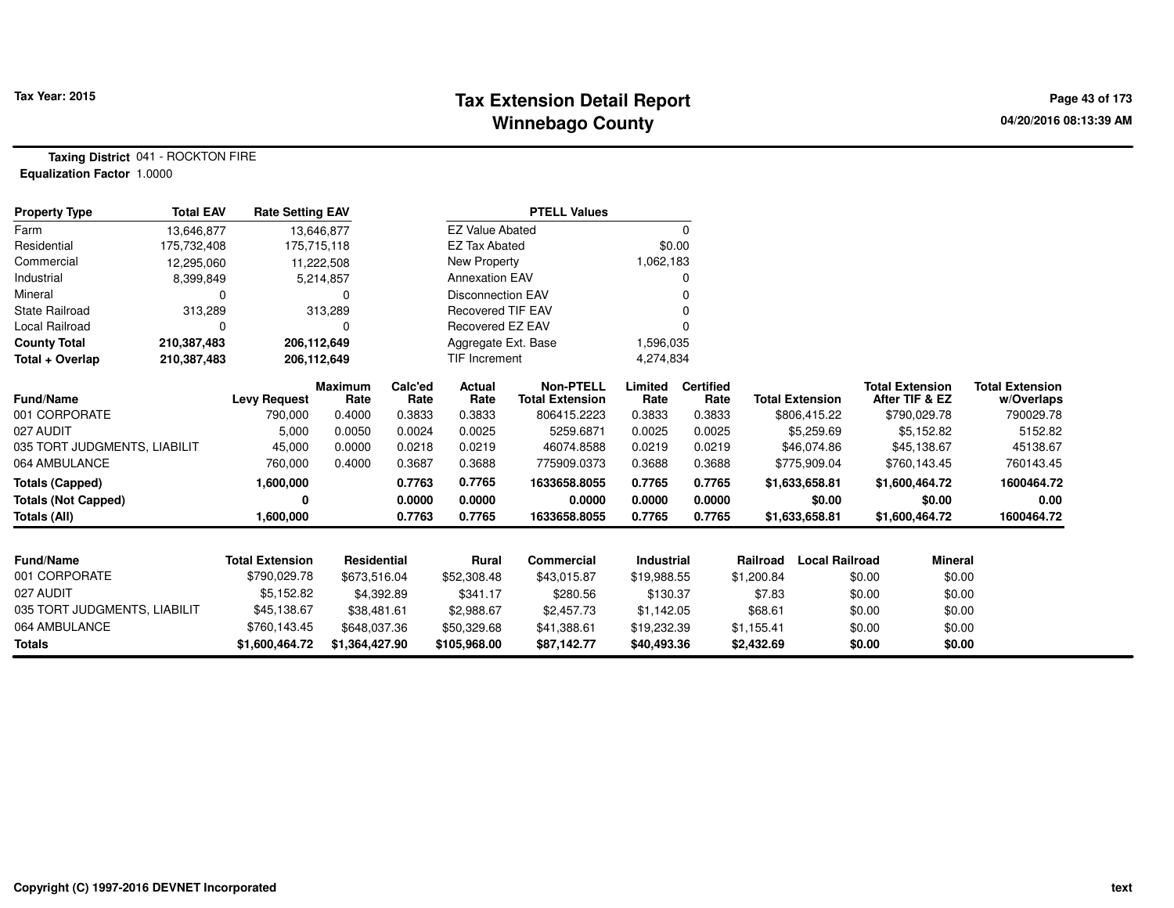## **Tax Extension Detail Report Tax Year: 2015 Page 43 of 173 Winnebago County**

**Taxing District** 041 - ROCKTON FIRE**Equalization Factor** 1.0000

| <b>Property Type</b>         | <b>Total EAV</b> | <b>Rate Setting EAV</b> |                        |                 |                          | <b>PTELL Values</b>                        |                   |                          |                        |                       |                                          |                                      |
|------------------------------|------------------|-------------------------|------------------------|-----------------|--------------------------|--------------------------------------------|-------------------|--------------------------|------------------------|-----------------------|------------------------------------------|--------------------------------------|
| Farm                         | 13.646.877       | 13,646,877              |                        |                 | <b>EZ Value Abated</b>   |                                            |                   | 0                        |                        |                       |                                          |                                      |
| Residential                  | 175,732,408      | 175,715,118             |                        |                 | <b>EZ Tax Abated</b>     |                                            | \$0.00            |                          |                        |                       |                                          |                                      |
| Commercial                   | 12,295,060       | 11,222,508              |                        |                 | New Property             |                                            | 1,062,183         |                          |                        |                       |                                          |                                      |
| Industrial                   | 8,399,849        |                         | 5,214,857              |                 | <b>Annexation EAV</b>    |                                            |                   | 0                        |                        |                       |                                          |                                      |
| Mineral                      |                  |                         |                        |                 | <b>Disconnection EAV</b> |                                            |                   | 0                        |                        |                       |                                          |                                      |
| <b>State Railroad</b>        | 313,289          |                         | 313,289                |                 | <b>Recovered TIF EAV</b> |                                            |                   | $\Omega$                 |                        |                       |                                          |                                      |
| <b>Local Railroad</b>        | 0                |                         |                        |                 | Recovered EZ EAV         |                                            |                   | $\Omega$                 |                        |                       |                                          |                                      |
| <b>County Total</b>          | 210,387,483      | 206,112,649             |                        |                 | Aggregate Ext. Base      |                                            | 1,596,035         |                          |                        |                       |                                          |                                      |
| Total + Overlap              | 210,387,483      | 206,112,649             |                        |                 | <b>TIF Increment</b>     |                                            | 4,274,834         |                          |                        |                       |                                          |                                      |
| <b>Fund/Name</b>             |                  | <b>Levy Request</b>     | <b>Maximum</b><br>Rate | Calc'ed<br>Rate | Actual<br>Rate           | <b>Non-PTELL</b><br><b>Total Extension</b> | Limited<br>Rate   | <b>Certified</b><br>Rate | <b>Total Extension</b> |                       | <b>Total Extension</b><br>After TIF & EZ | <b>Total Extension</b><br>w/Overlaps |
| 001 CORPORATE                |                  | 790,000                 | 0.4000                 | 0.3833          | 0.3833                   | 806415.2223                                | 0.3833            | 0.3833                   |                        | \$806,415.22          | \$790,029.78                             | 790029.78                            |
| 027 AUDIT                    |                  | 5,000                   | 0.0050                 | 0.0024          | 0.0025                   | 5259.6871                                  | 0.0025            | 0.0025                   |                        | \$5,259.69            | \$5,152.82                               | 5152.82                              |
| 035 TORT JUDGMENTS, LIABILIT |                  | 45,000                  | 0.0000                 | 0.0218          | 0.0219                   | 46074.8588                                 | 0.0219            | 0.0219                   |                        | \$46,074.86           | \$45,138.67                              | 45138.67                             |
| 064 AMBULANCE                |                  | 760,000                 | 0.4000                 | 0.3687          | 0.3688                   | 775909.0373                                | 0.3688            | 0.3688                   |                        | \$775,909.04          | \$760,143.45                             | 760143.45                            |
| <b>Totals (Capped)</b>       |                  | 1,600,000               |                        | 0.7763          | 0.7765                   | 1633658.8055                               | 0.7765            | 0.7765                   |                        | \$1,633,658.81        | \$1,600,464.72                           | 1600464.72                           |
| <b>Totals (Not Capped)</b>   |                  | 0                       |                        | 0.0000          | 0.0000                   | 0.0000                                     | 0.0000            | 0.0000                   |                        | \$0.00                | \$0.00                                   | 0.00                                 |
| Totals (All)                 |                  | 1,600,000               |                        | 0.7763          | 0.7765                   | 1633658.8055                               | 0.7765            | 0.7765                   |                        | \$1,633,658.81        | \$1,600,464.72                           | 1600464.72                           |
|                              |                  |                         |                        |                 |                          |                                            |                   |                          |                        |                       |                                          |                                      |
| <b>Fund/Name</b>             |                  | <b>Total Extension</b>  | <b>Residential</b>     |                 | <b>Rural</b>             | Commercial                                 | <b>Industrial</b> |                          | Railroad               | <b>Local Railroad</b> | <b>Mineral</b>                           |                                      |
| 001 CORPORATE                |                  | \$790,029.78            | \$673,516.04           |                 | \$52,308.48              | \$43,015.87                                | \$19,988.55       |                          | \$1,200.84             | \$0.00                | \$0.00                                   |                                      |
| 027 AUDIT                    |                  | \$5,152.82              | \$4,392.89             |                 | \$341.17                 | \$280.56                                   | \$130.37          |                          | \$7.83                 |                       | \$0.00<br>\$0.00                         |                                      |
| 035 TORT JUDGMENTS, LIABILIT |                  | \$45,138.67             | \$38,481.61            |                 | \$2,988.67               | \$2,457.73                                 | \$1,142.05        |                          | \$68.61                |                       | \$0.00<br>\$0.00                         |                                      |
| 064 AMBULANCE                |                  | \$760,143.45            | \$648,037.36           |                 | \$50,329.68              | \$41,388.61                                | \$19,232.39       |                          | \$1,155.41             |                       | \$0.00<br>\$0.00                         |                                      |
| <b>Totals</b>                |                  | \$1,600,464.72          | \$1,364,427.90         |                 | \$105,968.00             | \$87,142.77                                | \$40,493.36       |                          | \$2,432.69             |                       | \$0.00<br>\$0.00                         |                                      |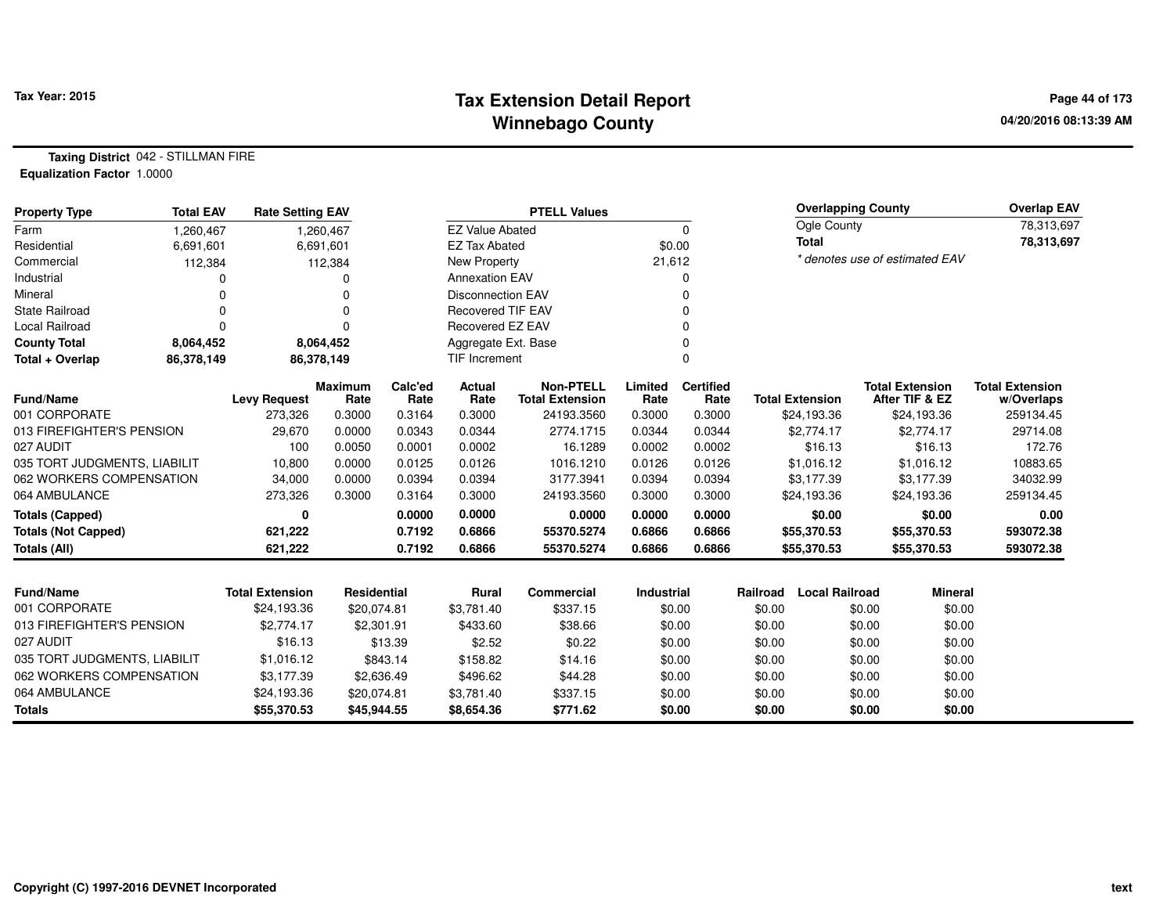## **Tax Extension Detail Report Tax Year: 2015 Page 44 of 173 Winnebago County**

**Taxing District** 042 - STILLMAN FIRE**Equalization Factor** 1.0000

| <b>Property Type</b>         | <b>Total EAV</b> | <b>Rate Setting EAV</b> |                        |                 |                          | <b>PTELL Values</b>                        |                 |                          |          | <b>Overlapping County</b> |                                          |                | <b>Overlap EAV</b>                   |
|------------------------------|------------------|-------------------------|------------------------|-----------------|--------------------------|--------------------------------------------|-----------------|--------------------------|----------|---------------------------|------------------------------------------|----------------|--------------------------------------|
| Farm                         | 1,260,467        |                         | 1,260,467              |                 | <b>EZ Value Abated</b>   |                                            |                 | 0                        |          | Ogle County               |                                          |                | 78,313,697                           |
| Residential                  | 6,691,601        |                         | 6,691,601              |                 | <b>EZ Tax Abated</b>     |                                            | \$0.00          |                          |          | <b>Total</b>              |                                          |                | 78,313,697                           |
| Commercial                   | 112,384          |                         | 112,384                |                 | New Property             |                                            | 21,612          |                          |          |                           | * denotes use of estimated EAV           |                |                                      |
| Industrial                   |                  |                         | $\Omega$               |                 | <b>Annexation EAV</b>    |                                            |                 | 0                        |          |                           |                                          |                |                                      |
| Mineral                      | 0                |                         | $\Omega$               |                 | <b>Disconnection EAV</b> |                                            |                 | 0                        |          |                           |                                          |                |                                      |
| <b>State Railroad</b>        | 0                |                         | $\Omega$               |                 | <b>Recovered TIF EAV</b> |                                            |                 | $\Omega$                 |          |                           |                                          |                |                                      |
| Local Railroad               | 0                |                         | $\Omega$               |                 | Recovered EZ EAV         |                                            |                 | 0                        |          |                           |                                          |                |                                      |
| <b>County Total</b>          | 8,064,452        |                         | 8,064,452              |                 | Aggregate Ext. Base      |                                            |                 | $\Omega$                 |          |                           |                                          |                |                                      |
| Total + Overlap              | 86,378,149       |                         | 86,378,149             |                 | <b>TIF Increment</b>     |                                            |                 | $\Omega$                 |          |                           |                                          |                |                                      |
| <b>Fund/Name</b>             |                  | <b>Levy Request</b>     | <b>Maximum</b><br>Rate | Calc'ed<br>Rate | Actual<br>Rate           | <b>Non-PTELL</b><br><b>Total Extension</b> | Limited<br>Rate | <b>Certified</b><br>Rate |          | <b>Total Extension</b>    | <b>Total Extension</b><br>After TIF & EZ |                | <b>Total Extension</b><br>w/Overlaps |
| 001 CORPORATE                |                  | 273,326                 | 0.3000                 | 0.3164          | 0.3000                   | 24193.3560                                 | 0.3000          | 0.3000                   |          | \$24,193.36               | \$24,193.36                              |                | 259134.45                            |
| 013 FIREFIGHTER'S PENSION    |                  | 29,670                  | 0.0000                 | 0.0343          | 0.0344                   | 2774.1715                                  | 0.0344          | 0.0344                   |          | \$2,774.17                | \$2,774.17                               |                | 29714.08                             |
| 027 AUDIT                    |                  | 100                     | 0.0050                 | 0.0001          | 0.0002                   | 16.1289                                    | 0.0002          | 0.0002                   |          | \$16.13                   | \$16.13                                  |                | 172.76                               |
| 035 TORT JUDGMENTS, LIABILIT |                  | 10,800                  | 0.0000                 | 0.0125          | 0.0126                   | 1016.1210                                  | 0.0126          | 0.0126                   |          | \$1,016.12                | \$1,016.12                               |                | 10883.65                             |
| 062 WORKERS COMPENSATION     |                  | 34,000                  | 0.0000                 | 0.0394          | 0.0394                   | 3177.3941                                  | 0.0394          | 0.0394                   |          | \$3,177.39                | \$3,177.39                               |                | 34032.99                             |
| 064 AMBULANCE                |                  | 273,326                 | 0.3000                 | 0.3164          | 0.3000                   | 24193.3560                                 | 0.3000          | 0.3000                   |          | \$24,193.36               | \$24,193.36                              |                | 259134.45                            |
| <b>Totals (Capped)</b>       |                  | 0                       |                        | 0.0000          | 0.0000                   | 0.0000                                     | 0.0000          | 0.0000                   |          | \$0.00                    | \$0.00                                   |                | 0.00                                 |
| <b>Totals (Not Capped)</b>   |                  | 621,222                 |                        | 0.7192          | 0.6866                   | 55370.5274                                 | 0.6866          | 0.6866                   |          | \$55,370.53               | \$55,370.53                              |                | 593072.38                            |
| Totals (All)                 |                  | 621,222                 |                        | 0.7192          | 0.6866                   | 55370.5274                                 | 0.6866          | 0.6866                   |          | \$55,370.53               | \$55,370.53                              |                | 593072.38                            |
|                              |                  |                         |                        |                 |                          |                                            |                 |                          |          |                           |                                          |                |                                      |
| Fund/Name                    |                  | <b>Total Extension</b>  | Residential            |                 | Rural                    | Commercial                                 | Industrial      |                          | Railroad | <b>Local Railroad</b>     |                                          | <b>Mineral</b> |                                      |
| 001 CORPORATE                |                  | \$24,193.36             | \$20,074.81            |                 | \$3,781.40               | \$337.15                                   |                 | \$0.00                   | \$0.00   |                           | \$0.00                                   | \$0.00         |                                      |
| 013 FIREFIGHTER'S PENSION    |                  | \$2,774.17              |                        | \$2,301.91      | \$433.60                 | \$38.66                                    |                 | \$0.00                   | \$0.00   |                           | \$0.00                                   | \$0.00         |                                      |
| 027 AUDIT                    |                  | \$16.13                 |                        | \$13.39         | \$2.52                   | \$0.22                                     |                 | \$0.00                   | \$0.00   |                           | \$0.00                                   | \$0.00         |                                      |
| 035 TORT JUDGMENTS, LIABILIT |                  | \$1,016.12              |                        | \$843.14        | \$158.82                 | \$14.16                                    |                 | \$0.00                   | \$0.00   |                           | \$0.00                                   | \$0.00         |                                      |
| 062 WORKERS COMPENSATION     |                  | \$3,177.39              |                        | \$2,636.49      | \$496.62                 | \$44.28                                    |                 | \$0.00                   | \$0.00   |                           | \$0.00                                   | \$0.00         |                                      |
| 064 AMBULANCE                |                  | \$24,193.36             | \$20,074.81            |                 | \$3,781.40               | \$337.15                                   |                 | \$0.00                   | \$0.00   |                           | \$0.00                                   | \$0.00         |                                      |
| <b>Totals</b>                |                  | \$55,370.53             | \$45,944.55            |                 | \$8,654.36               | \$771.62                                   |                 | \$0.00                   | \$0.00   |                           | \$0.00                                   | \$0.00         |                                      |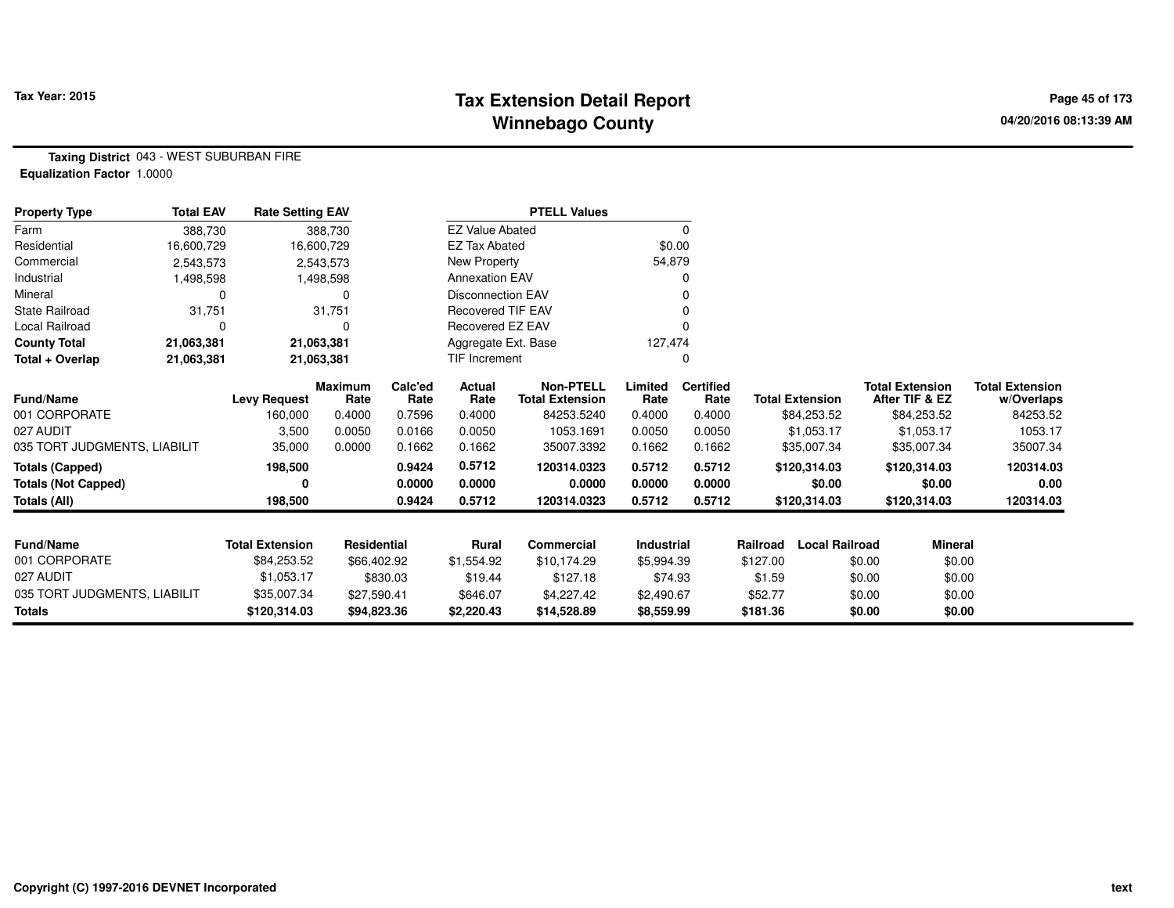## **Tax Extension Detail Report Tax Year: 2015 Page 45 of 173 Winnebago County**

**Taxing District** 043 - WEST SUBURBAN FIRE**Equalization Factor** 1.0000

| <b>Property Type</b>         | <b>Total EAV</b> | <b>Rate Setting EAV</b> |                        |                 |                          | <b>PTELL Values</b>                        |                 |                          |                        |                       |                                          |                                      |
|------------------------------|------------------|-------------------------|------------------------|-----------------|--------------------------|--------------------------------------------|-----------------|--------------------------|------------------------|-----------------------|------------------------------------------|--------------------------------------|
| Farm                         | 388.730          |                         | 388,730                |                 | <b>EZ Value Abated</b>   |                                            |                 | 0                        |                        |                       |                                          |                                      |
| Residential                  | 16,600,729       |                         | 16,600,729             |                 | <b>EZ Tax Abated</b>     |                                            | \$0.00          |                          |                        |                       |                                          |                                      |
| Commercial                   | 2,543,573        |                         | 2,543,573              |                 | New Property             |                                            | 54,879          |                          |                        |                       |                                          |                                      |
| Industrial                   | 1,498,598        |                         | 1,498,598              |                 | <b>Annexation EAV</b>    |                                            |                 |                          |                        |                       |                                          |                                      |
| Mineral                      | 0                |                         | 0                      |                 | <b>Disconnection EAV</b> |                                            |                 |                          |                        |                       |                                          |                                      |
| State Railroad               | 31,751           |                         | 31,751                 |                 | <b>Recovered TIF EAV</b> |                                            |                 |                          |                        |                       |                                          |                                      |
| Local Railroad               | 0                |                         | 0                      |                 | Recovered EZ EAV         |                                            |                 |                          |                        |                       |                                          |                                      |
| <b>County Total</b>          | 21,063,381       |                         | 21,063,381             |                 | Aggregate Ext. Base      |                                            | 127,474         |                          |                        |                       |                                          |                                      |
| Total + Overlap              | 21,063,381       |                         | 21,063,381             |                 | <b>TIF Increment</b>     |                                            |                 |                          |                        |                       |                                          |                                      |
| Fund/Name                    |                  | <b>Levy Request</b>     | <b>Maximum</b><br>Rate | Calc'ed<br>Rate | <b>Actual</b><br>Rate    | <b>Non-PTELL</b><br><b>Total Extension</b> | Limited<br>Rate | <b>Certified</b><br>Rate | <b>Total Extension</b> |                       | <b>Total Extension</b><br>After TIF & EZ | <b>Total Extension</b><br>w/Overlaps |
| 001 CORPORATE                |                  | 160,000                 | 0.4000                 | 0.7596          | 0.4000                   | 84253.5240                                 | 0.4000          | 0.4000                   |                        | \$84,253.52           | \$84,253.52                              | 84253.52                             |
| 027 AUDIT                    |                  | 3,500                   | 0.0050                 | 0.0166          | 0.0050                   | 1053.1691                                  | 0.0050          | 0.0050                   |                        | \$1,053.17            | \$1,053.17                               | 1053.17                              |
| 035 TORT JUDGMENTS, LIABILIT |                  | 35,000                  | 0.0000                 | 0.1662          | 0.1662                   | 35007.3392                                 | 0.1662          | 0.1662                   |                        | \$35,007.34           | \$35,007.34                              | 35007.34                             |
| <b>Totals (Capped)</b>       |                  | 198,500                 |                        | 0.9424          | 0.5712                   | 120314.0323                                | 0.5712          | 0.5712                   | \$120,314.03           |                       | \$120,314.03                             | 120314.03                            |
| <b>Totals (Not Capped)</b>   |                  | 0                       |                        | 0.0000          | 0.0000                   | 0.0000                                     | 0.0000          | 0.0000                   |                        | \$0.00                | \$0.00                                   | 0.00                                 |
| Totals (All)                 |                  | 198,500                 |                        | 0.9424          | 0.5712                   | 120314.0323                                | 0.5712          | 0.5712                   | \$120,314.03           |                       | \$120,314.03                             | 120314.03                            |
|                              |                  |                         |                        |                 |                          |                                            |                 |                          |                        |                       |                                          |                                      |
| <b>Fund/Name</b>             |                  | <b>Total Extension</b>  | <b>Residential</b>     |                 | Rural                    | <b>Commercial</b>                          | Industrial      |                          | Railroad               | <b>Local Railroad</b> | <b>Mineral</b>                           |                                      |
| 001 CORPORATE                |                  | \$84,253.52             | \$66,402.92            |                 | \$1,554.92               | \$10,174.29                                | \$5,994.39      |                          | \$127.00               | \$0.00                | \$0.00                                   |                                      |
| 027 AUDIT                    |                  | \$1,053.17              |                        | \$830.03        | \$19.44                  | \$127.18                                   | \$74.93         |                          | \$1.59                 | \$0.00                | \$0.00                                   |                                      |
| 035 TORT JUDGMENTS, LIABILIT |                  | \$35,007.34             | \$27,590.41            |                 | \$646.07                 | \$4,227.42                                 | \$2,490.67      |                          | \$52.77                | \$0.00                | \$0.00                                   |                                      |
| <b>Totals</b>                |                  | \$120,314.03            | \$94,823.36            |                 | \$2,220.43               | \$14,528.89                                | \$8,559.99      |                          | \$181.36               | \$0.00                | \$0.00                                   |                                      |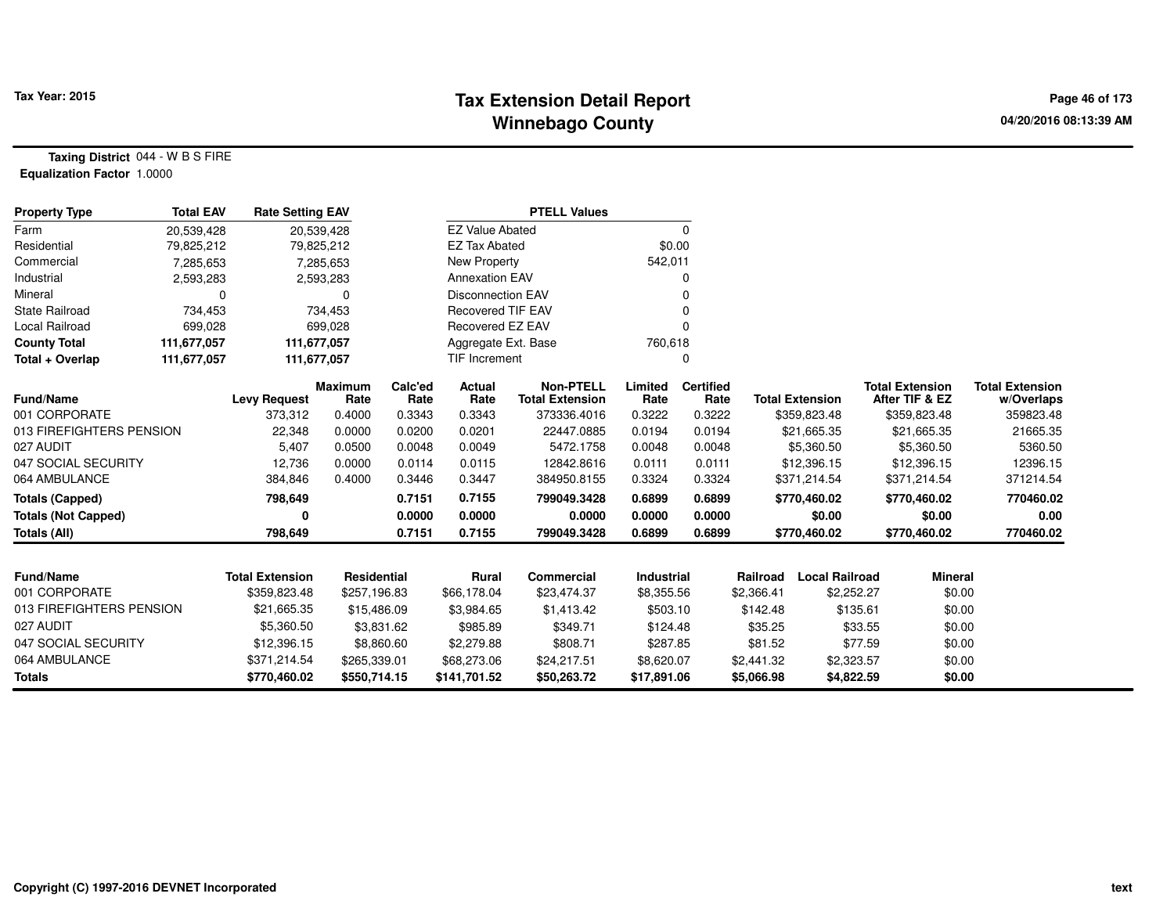### **Tax Extension Detail Report Tax Year: 2015 Page 46 of 173 Winnebago County**

**Taxing District** 044 - W B S FIRE**Equalization Factor** 1.0000

| <b>Property Type</b>       | <b>Total EAV</b> | <b>Rate Setting EAV</b> |                        |                 |                          | <b>PTELL Values</b>                        |                 |                          |            |                        |                                          |                                      |
|----------------------------|------------------|-------------------------|------------------------|-----------------|--------------------------|--------------------------------------------|-----------------|--------------------------|------------|------------------------|------------------------------------------|--------------------------------------|
| Farm                       | 20,539,428       |                         | 20,539,428             |                 | <b>EZ Value Abated</b>   |                                            |                 | 0                        |            |                        |                                          |                                      |
| Residential                | 79,825,212       |                         | 79,825,212             |                 | <b>EZ Tax Abated</b>     |                                            | \$0.00          |                          |            |                        |                                          |                                      |
| Commercial                 | 7,285,653        |                         | 7,285,653              |                 | New Property             |                                            | 542,011         |                          |            |                        |                                          |                                      |
| Industrial                 | 2,593,283        |                         | 2,593,283              |                 | <b>Annexation EAV</b>    |                                            |                 |                          |            |                        |                                          |                                      |
| Mineral                    | 0                |                         | 0                      |                 | <b>Disconnection EAV</b> |                                            |                 |                          |            |                        |                                          |                                      |
| <b>State Railroad</b>      | 734,453          |                         | 734,453                |                 | <b>Recovered TIF EAV</b> |                                            |                 |                          |            |                        |                                          |                                      |
| Local Railroad             | 699,028          |                         | 699,028                |                 | Recovered EZ EAV         |                                            |                 |                          |            |                        |                                          |                                      |
| <b>County Total</b>        | 111,677,057      |                         | 111,677,057            |                 | Aggregate Ext. Base      |                                            | 760,618         |                          |            |                        |                                          |                                      |
| Total + Overlap            | 111,677,057      |                         | 111,677,057            |                 | TIF Increment            |                                            |                 | 0                        |            |                        |                                          |                                      |
| <b>Fund/Name</b>           |                  | <b>Levy Request</b>     | <b>Maximum</b><br>Rate | Calc'ed<br>Rate | Actual<br>Rate           | <b>Non-PTELL</b><br><b>Total Extension</b> | Limited<br>Rate | <b>Certified</b><br>Rate |            | <b>Total Extension</b> | <b>Total Extension</b><br>After TIF & EZ | <b>Total Extension</b><br>w/Overlaps |
| 001 CORPORATE              |                  | 373,312                 | 0.4000                 | 0.3343          | 0.3343                   | 373336.4016                                | 0.3222          | 0.3222                   |            | \$359,823.48           | \$359,823.48                             | 359823.48                            |
| 013 FIREFIGHTERS PENSION   |                  | 22,348                  | 0.0000                 | 0.0200          | 0.0201                   | 22447.0885                                 | 0.0194          | 0.0194                   |            | \$21,665.35            | \$21,665.35                              | 21665.35                             |
| 027 AUDIT                  |                  | 5,407                   | 0.0500                 | 0.0048          | 0.0049                   | 5472.1758                                  | 0.0048          | 0.0048                   |            | \$5,360.50             | \$5,360.50                               | 5360.50                              |
| 047 SOCIAL SECURITY        |                  | 12,736                  | 0.0000                 | 0.0114          | 0.0115                   | 12842.8616                                 | 0.0111          | 0.0111                   |            | \$12,396.15            | \$12,396.15                              | 12396.15                             |
| 064 AMBULANCE              |                  | 384,846                 | 0.4000                 | 0.3446          | 0.3447                   | 384950.8155                                | 0.3324          | 0.3324                   |            | \$371,214.54           | \$371,214.54                             | 371214.54                            |
| <b>Totals (Capped)</b>     |                  | 798,649                 |                        | 0.7151          | 0.7155                   | 799049.3428                                | 0.6899          | 0.6899                   |            | \$770,460.02           | \$770,460.02                             | 770460.02                            |
| <b>Totals (Not Capped)</b> |                  | 0                       |                        | 0.0000          | 0.0000                   | 0.0000                                     | 0.0000          | 0.0000                   |            | \$0.00                 | \$0.00                                   | 0.00                                 |
| <b>Totals (All)</b>        |                  | 798,649                 |                        | 0.7151          | 0.7155                   | 799049.3428                                | 0.6899          | 0.6899                   |            | \$770,460.02           | \$770,460.02                             | 770460.02                            |
|                            |                  |                         |                        |                 |                          |                                            |                 |                          |            |                        |                                          |                                      |
| <b>Fund/Name</b>           |                  | <b>Total Extension</b>  | Residential            |                 | Rural                    | <b>Commercial</b>                          | Industrial      |                          | Railroad   | <b>Local Railroad</b>  | <b>Mineral</b>                           |                                      |
| 001 CORPORATE              |                  | \$359,823.48            | \$257,196.83           |                 | \$66,178.04              | \$23,474.37                                | \$8,355.56      |                          | \$2,366.41 | \$2,252.27             | \$0.00                                   |                                      |
| 013 FIREFIGHTERS PENSION   |                  | \$21,665.35             | \$15,486.09            |                 | \$3,984.65               | \$1,413.42                                 | \$503.10        |                          | \$142.48   | \$135.61               | \$0.00                                   |                                      |
| 027 AUDIT                  |                  | \$5,360.50              |                        | \$3,831.62      | \$985.89                 | \$349.71                                   | \$124.48        |                          | \$35.25    | \$33.55                | \$0.00                                   |                                      |
| 047 SOCIAL SECURITY        |                  | \$12,396.15             |                        | \$8,860.60      | \$2,279.88               | \$808.71                                   | \$287.85        |                          | \$81.52    | \$77.59                | \$0.00                                   |                                      |
| 064 AMBULANCE              |                  | \$371,214.54            | \$265,339.01           |                 | \$68,273.06              | \$24,217.51                                | \$8,620.07      |                          | \$2,441.32 | \$2,323.57             | \$0.00                                   |                                      |
| <b>Totals</b>              |                  | \$770,460.02            | \$550,714.15           |                 | \$141,701.52             | \$50,263.72                                | \$17,891.06     |                          | \$5,066.98 | \$4,822.59             | \$0.00                                   |                                      |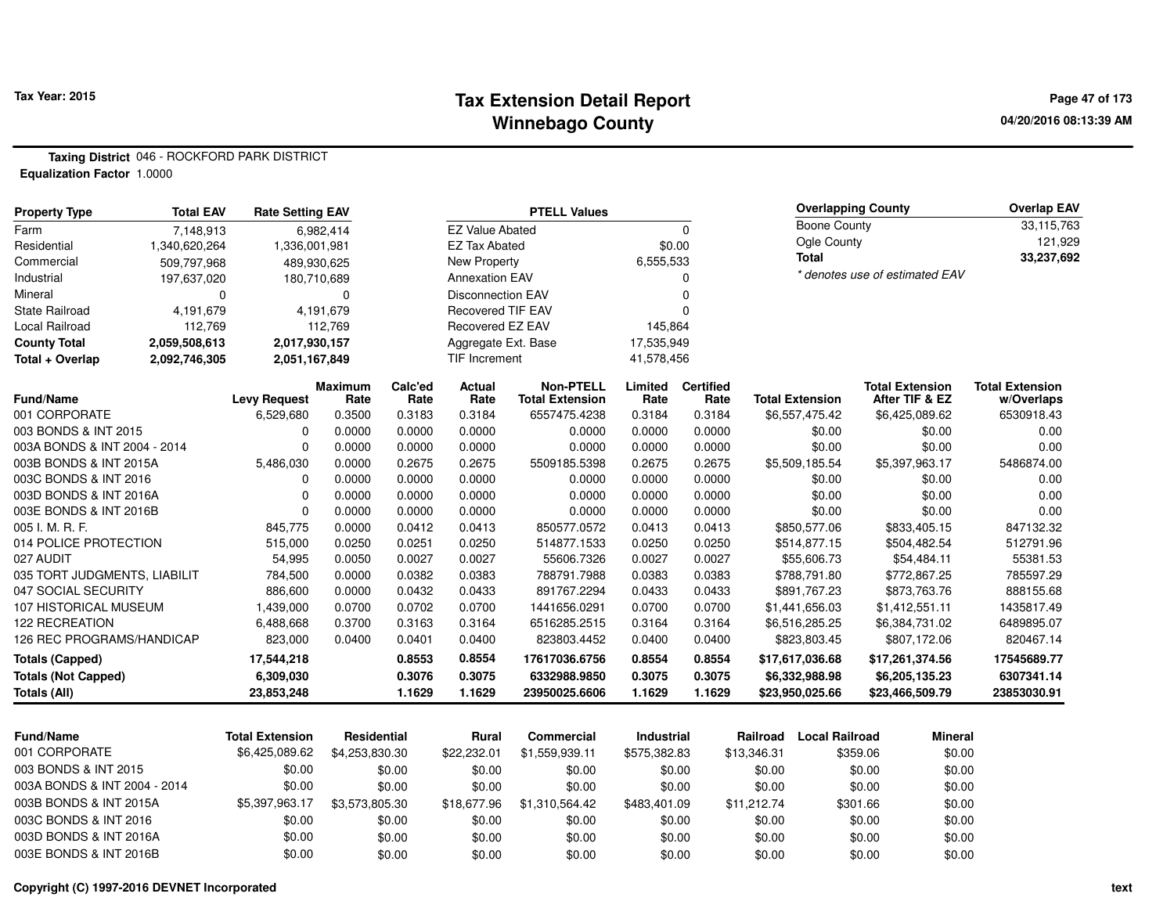#### **Tax Extension Detail Report Tax Year: 2015 Page 47 of 173 Winnebago County**

**04/20/2016 08:13:39 AM**

**Taxing District** 046 - ROCKFORD PARK DISTRICT**Equalization Factor** 1.0000

| <b>Property Type</b>         | <b>Total EAV</b> | <b>Rate Setting EAV</b> |                        |                 |                          | <b>PTELL Values</b>                        |                   |                          |                        | <b>Overlapping County</b> |                                          | <b>Overlap EAV</b>                   |
|------------------------------|------------------|-------------------------|------------------------|-----------------|--------------------------|--------------------------------------------|-------------------|--------------------------|------------------------|---------------------------|------------------------------------------|--------------------------------------|
| Farm                         | 7,148,913        |                         | 6,982,414              |                 | <b>EZ Value Abated</b>   |                                            |                   | $\mathbf{0}$             | <b>Boone County</b>    |                           |                                          | 33,115,763                           |
| Residential                  | 1,340,620,264    | 1,336,001,981           |                        |                 | <b>EZ Tax Abated</b>     |                                            | \$0.00            |                          | Ogle County            |                           |                                          | 121,929                              |
| Commercial                   | 509,797,968      | 489,930,625             |                        |                 | <b>New Property</b>      |                                            | 6,555,533         |                          | <b>Total</b>           |                           |                                          | 33,237,692                           |
| Industrial                   | 197,637,020      |                         | 180,710,689            |                 | <b>Annexation EAV</b>    |                                            |                   | 0                        |                        |                           | * denotes use of estimated EAV           |                                      |
| Mineral                      | $\Omega$         |                         | 0                      |                 | Disconnection EAV        |                                            |                   | $\mathbf 0$              |                        |                           |                                          |                                      |
| <b>State Railroad</b>        | 4,191,679        |                         | 4,191,679              |                 | <b>Recovered TIF EAV</b> |                                            |                   | $\Omega$                 |                        |                           |                                          |                                      |
| <b>Local Railroad</b>        | 112,769          |                         | 112,769                |                 | Recovered EZ EAV         |                                            | 145,864           |                          |                        |                           |                                          |                                      |
| <b>County Total</b>          | 2,059,508,613    | 2,017,930,157           |                        |                 | Aggregate Ext. Base      |                                            | 17,535,949        |                          |                        |                           |                                          |                                      |
| Total + Overlap              | 2,092,746,305    | 2,051,167,849           |                        |                 | TIF Increment            |                                            | 41,578,456        |                          |                        |                           |                                          |                                      |
| <b>Fund/Name</b>             |                  | <b>Levy Request</b>     | <b>Maximum</b><br>Rate | Calc'ed<br>Rate | Actual<br>Rate           | <b>Non-PTELL</b><br><b>Total Extension</b> | Limited<br>Rate   | <b>Certified</b><br>Rate | <b>Total Extension</b> |                           | <b>Total Extension</b><br>After TIF & EZ | <b>Total Extension</b><br>w/Overlaps |
| 001 CORPORATE                |                  | 6,529,680               | 0.3500                 | 0.3183          | 0.3184                   | 6557475.4238                               | 0.3184            | 0.3184                   | \$6,557,475.42         |                           | \$6,425,089.62                           | 6530918.43                           |
| 003 BONDS & INT 2015         |                  | 0                       | 0.0000                 | 0.0000          | 0.0000                   | 0.0000                                     | 0.0000            | 0.0000                   | \$0.00                 |                           | \$0.00                                   | 0.00                                 |
| 003A BONDS & INT 2004 - 2014 |                  | $\mathbf 0$             | 0.0000                 | 0.0000          | 0.0000                   | 0.0000                                     | 0.0000            | 0.0000                   | \$0.00                 |                           | \$0.00                                   | 0.00                                 |
| 003B BONDS & INT 2015A       |                  | 5,486,030               | 0.0000                 | 0.2675          | 0.2675                   | 5509185.5398                               | 0.2675            | 0.2675                   | \$5,509,185.54         |                           | \$5,397,963.17                           | 5486874.00                           |
| 003C BONDS & INT 2016        |                  | 0                       | 0.0000                 | 0.0000          | 0.0000                   | 0.0000                                     | 0.0000            | 0.0000                   | \$0.00                 |                           | \$0.00                                   | 0.00                                 |
| 003D BONDS & INT 2016A       |                  | $\mathbf 0$             | 0.0000                 | 0.0000          | 0.0000                   | 0.0000                                     | 0.0000            | 0.0000                   | \$0.00                 |                           | \$0.00                                   | 0.00                                 |
| 003E BONDS & INT 2016B       |                  | $\mathbf 0$             | 0.0000                 | 0.0000          | 0.0000                   | 0.0000                                     | 0.0000            | 0.0000                   | \$0.00                 |                           | \$0.00                                   | 0.00                                 |
| 005 I. M. R. F.              |                  | 845,775                 | 0.0000                 | 0.0412          | 0.0413                   | 850577.0572                                | 0.0413            | 0.0413                   | \$850,577.06           |                           | \$833,405.15                             | 847132.32                            |
| 014 POLICE PROTECTION        |                  | 515,000                 | 0.0250                 | 0.0251          | 0.0250                   | 514877.1533                                | 0.0250            | 0.0250                   | \$514,877.15           |                           | \$504,482.54                             | 512791.96                            |
| 027 AUDIT                    |                  | 54,995                  | 0.0050                 | 0.0027          | 0.0027                   | 55606.7326                                 | 0.0027            | 0.0027                   | \$55,606.73            |                           | \$54,484.11                              | 55381.53                             |
| 035 TORT JUDGMENTS, LIABILIT |                  | 784,500                 | 0.0000                 | 0.0382          | 0.0383                   | 788791.7988                                | 0.0383            | 0.0383                   | \$788.791.80           |                           | \$772,867.25                             | 785597.29                            |
| 047 SOCIAL SECURITY          |                  | 886,600                 | 0.0000                 | 0.0432          | 0.0433                   | 891767.2294                                | 0.0433            | 0.0433                   | \$891,767.23           |                           | \$873,763.76                             | 888155.68                            |
| 107 HISTORICAL MUSEUM        |                  | 1,439,000               | 0.0700                 | 0.0702          | 0.0700                   | 1441656.0291                               | 0.0700            | 0.0700                   | \$1,441,656.03         |                           | \$1,412,551.11                           | 1435817.49                           |
| <b>122 RECREATION</b>        |                  | 6,488,668               | 0.3700                 | 0.3163          | 0.3164                   | 6516285.2515                               | 0.3164            | 0.3164                   | \$6,516,285.25         |                           | \$6,384,731.02                           | 6489895.07                           |
| 126 REC PROGRAMS/HANDICAP    |                  | 823,000                 | 0.0400                 | 0.0401          | 0.0400                   | 823803.4452                                | 0.0400            | 0.0400                   | \$823,803.45           |                           | \$807,172.06                             | 820467.14                            |
| <b>Totals (Capped)</b>       |                  | 17,544,218              |                        | 0.8553          | 0.8554                   | 17617036.6756                              | 0.8554            | 0.8554                   | \$17,617,036.68        |                           | \$17,261,374.56                          | 17545689.77                          |
| <b>Totals (Not Capped)</b>   |                  | 6,309,030               |                        | 0.3076          | 0.3075                   | 6332988.9850                               | 0.3075            | 0.3075                   | \$6,332,988.98         |                           | \$6,205,135.23                           | 6307341.14                           |
| <b>Totals (All)</b>          |                  | 23,853,248              |                        | 1.1629          | 1.1629                   | 23950025.6606                              | 1.1629            | 1.1629                   | \$23,950,025.66        |                           | \$23,466,509.79                          | 23853030.91                          |
|                              |                  |                         |                        |                 |                          |                                            |                   |                          |                        |                           |                                          |                                      |
| <b>Fund/Name</b>             |                  | <b>Total Extension</b>  | <b>Residential</b>     |                 | <b>Rural</b>             | <b>Commercial</b>                          | <b>Industrial</b> |                          | <b>Railroad</b>        | <b>Local Railroad</b>     | <b>Mineral</b>                           |                                      |
| 001 CORPORATE                |                  | \$6,425,089.62          | \$4,253,830.30         |                 | \$22,232.01              | \$1,559,939.11                             | \$575,382.83      |                          | \$13,346.31            | \$359.06                  | \$0.00                                   |                                      |
| 003 BONDS & INT 2015         |                  | \$0.00                  |                        | \$0.00          | \$0.00                   | \$0.00                                     | \$0.00            |                          | \$0.00                 | \$0.00                    | \$0.00                                   |                                      |
| 003A BONDS & INT 2004 - 2014 |                  | \$0.00                  |                        | \$0.00          | \$0.00                   | \$0.00                                     | \$0.00            |                          | \$0.00                 | \$0.00                    | \$0.00                                   |                                      |
| 003B BONDS & INT 2015A       |                  | \$5,397,963.17          | \$3,573,805.30         |                 | \$18,677.96              | \$1,310,564.42                             | \$483,401.09      |                          | \$11,212.74            | \$301.66                  | \$0.00                                   |                                      |
| 003C BONDS & INT 2016        |                  | \$0.00                  |                        | \$0.00          | \$0.00                   | \$0.00                                     | \$0.00            |                          | \$0.00                 | \$0.00                    | \$0.00                                   |                                      |
| 003D BONDS & INT 2016A       |                  | \$0.00                  |                        | \$0.00          | \$0.00                   | \$0.00                                     | \$0.00            |                          | \$0.00                 | \$0.00                    | \$0.00                                   |                                      |

0 \$0.00 \$0.00 \$0.00 \$0.00 \$0.00 \$0.00 \$0.00 \$0.00

```
Copyright (C) 1997-2016 DEVNET Incorporated
```
003E BONDS & INT 2016B \$0.00

\$0.00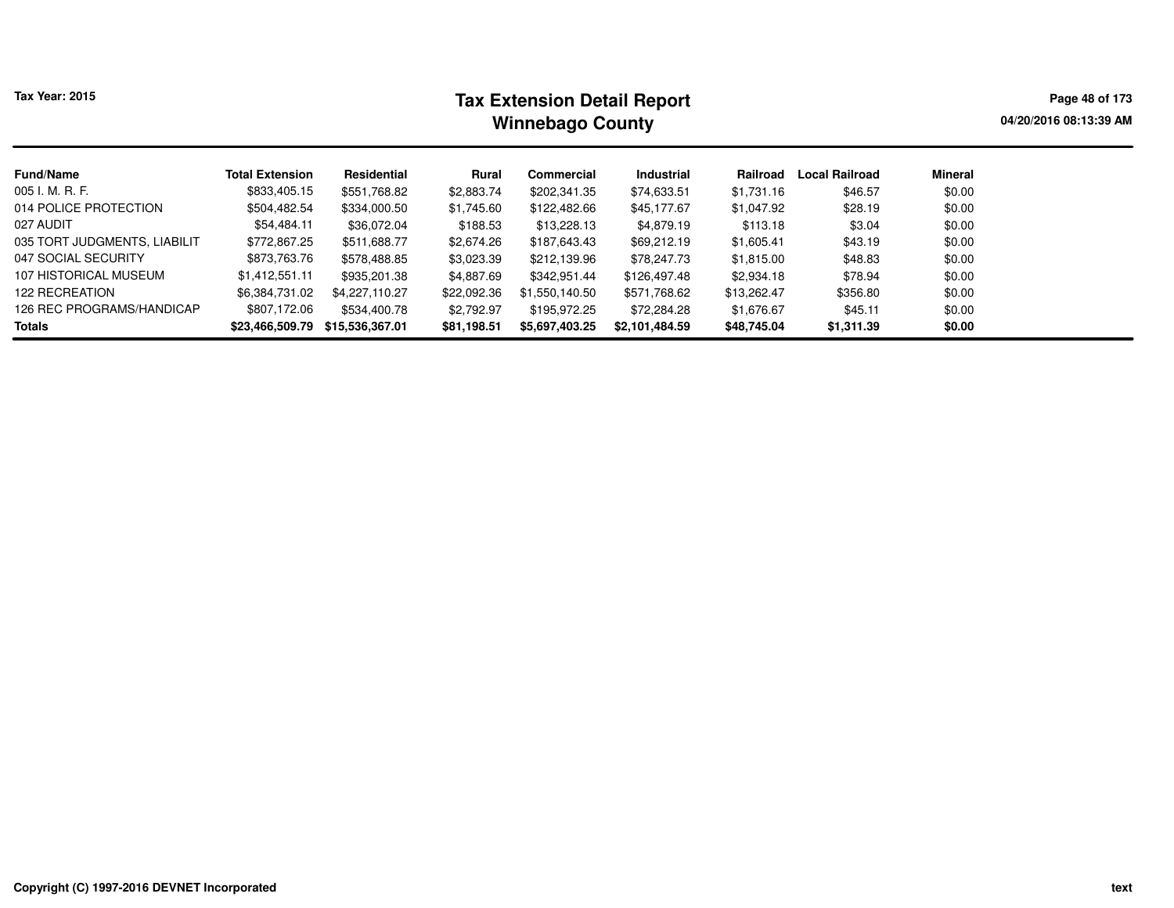# **Tax Extension Detail Report Tax Year: 2015 Page 48 of 173 Winnebago County**

**04/20/2016 08:13:39 AM**

| <b>Fund/Name</b>             | <b>Total Extension</b> | Residential     | Rural       | Commercial     | Industrial     | Railroad    | <b>Local Railroad</b> | Mineral |
|------------------------------|------------------------|-----------------|-------------|----------------|----------------|-------------|-----------------------|---------|
| 005 I. M. R. F.              | \$833,405.15           | \$551,768.82    | \$2,883.74  | \$202,341.35   | \$74,633.51    | \$1,731.16  | \$46.57               | \$0.00  |
| 014 POLICE PROTECTION        | \$504,482.54           | \$334,000.50    | \$1,745.60  | \$122,482.66   | \$45,177.67    | \$1,047.92  | \$28.19               | \$0.00  |
| 027 AUDIT                    | \$54,484.11            | \$36,072.04     | \$188.53    | \$13,228.13    | \$4,879.19     | \$113.18    | \$3.04                | \$0.00  |
| 035 TORT JUDGMENTS. LIABILIT | \$772,867.25           | \$511,688.77    | \$2,674.26  | \$187,643.43   | \$69,212.19    | \$1,605.41  | \$43.19               | \$0.00  |
| 047 SOCIAL SECURITY          | \$873,763.76           | \$578,488.85    | \$3,023.39  | \$212,139.96   | \$78,247.73    | \$1,815.00  | \$48.83               | \$0.00  |
| 107 HISTORICAL MUSEUM        | \$1,412,551.11         | \$935,201.38    | \$4,887.69  | \$342,951.44   | \$126,497.48   | \$2,934.18  | \$78.94               | \$0.00  |
| <b>122 RECREATION</b>        | \$6,384,731.02         | \$4,227,110.27  | \$22,092.36 | \$1,550,140.50 | \$571,768.62   | \$13,262.47 | \$356.80              | \$0.00  |
| 126 REC PROGRAMS/HANDICAP    | \$807,172.06           | \$534,400.78    | \$2,792.97  | \$195,972.25   | \$72,284.28    | \$1,676.67  | \$45.11               | \$0.00  |
| Totals                       | \$23,466,509.79        | \$15,536,367.01 | \$81,198.51 | \$5,697,403.25 | \$2,101,484.59 | \$48,745.04 | \$1,311.39            | \$0.00  |
|                              |                        |                 |             |                |                |             |                       |         |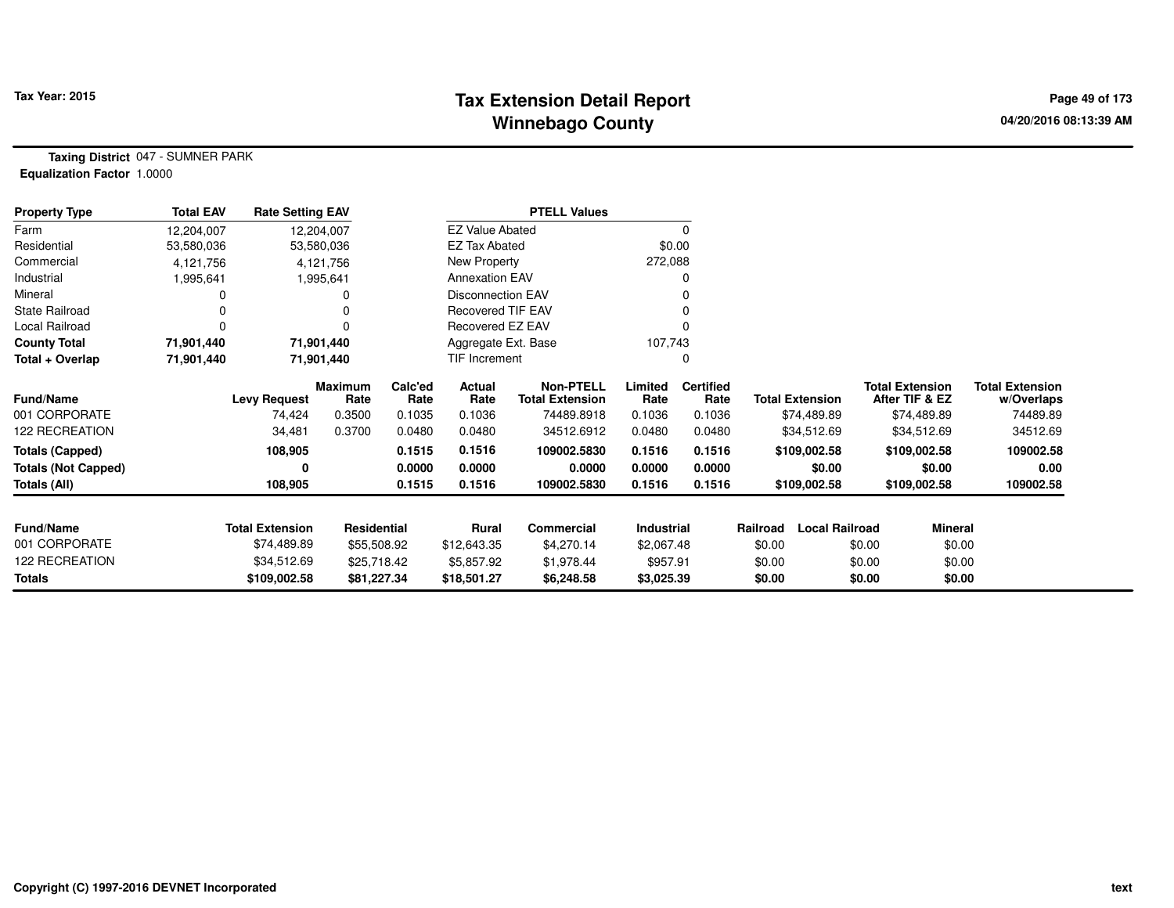## **Tax Extension Detail Report Tax Year: 2015 Page 49 of 173 Winnebago County**

**Taxing District** 047 - SUMNER PARK**Equalization Factor** 1.0000

| <b>Property Type</b>       | <b>Total EAV</b> | <b>Rate Setting EAV</b> |                 |                 |                          | <b>PTELL Values</b>                        |                 |                          |                        |                       |                                          |                                      |
|----------------------------|------------------|-------------------------|-----------------|-----------------|--------------------------|--------------------------------------------|-----------------|--------------------------|------------------------|-----------------------|------------------------------------------|--------------------------------------|
| Farm                       | 12,204,007       | 12,204,007              |                 |                 | <b>EZ Value Abated</b>   |                                            |                 | $\Omega$                 |                        |                       |                                          |                                      |
| Residential                | 53,580,036       |                         | 53,580,036      |                 | EZ Tax Abated            |                                            | \$0.00          |                          |                        |                       |                                          |                                      |
| Commercial                 | 4,121,756        |                         | 4,121,756       |                 | New Property             |                                            | 272,088         |                          |                        |                       |                                          |                                      |
| Industrial                 | 1,995,641        |                         | 1,995,641       |                 | <b>Annexation EAV</b>    |                                            |                 | O                        |                        |                       |                                          |                                      |
| Mineral                    |                  |                         |                 |                 | <b>Disconnection EAV</b> |                                            |                 |                          |                        |                       |                                          |                                      |
| <b>State Railroad</b>      |                  |                         |                 |                 | <b>Recovered TIF EAV</b> |                                            |                 |                          |                        |                       |                                          |                                      |
| Local Railroad             |                  |                         |                 |                 | Recovered EZ EAV         |                                            |                 |                          |                        |                       |                                          |                                      |
| <b>County Total</b>        | 71,901,440       | 71,901,440              |                 |                 | Aggregate Ext. Base      |                                            | 107,743         |                          |                        |                       |                                          |                                      |
| Total + Overlap            | 71,901,440       | 71,901,440              |                 |                 | TIF Increment            |                                            |                 | 0                        |                        |                       |                                          |                                      |
| Fund/Name                  |                  | <b>Levy Request</b>     | Maximum<br>Rate | Calc'ed<br>Rate | Actual<br>Rate           | <b>Non-PTELL</b><br><b>Total Extension</b> | Limited<br>Rate | <b>Certified</b><br>Rate | <b>Total Extension</b> |                       | <b>Total Extension</b><br>After TIF & EZ | <b>Total Extension</b><br>w/Overlaps |
| 001 CORPORATE              |                  | 74,424                  | 0.3500          | 0.1035          | 0.1036                   | 74489.8918                                 | 0.1036          | 0.1036                   | \$74,489.89            |                       | \$74,489.89                              | 74489.89                             |
| 122 RECREATION             |                  | 34,481                  | 0.3700          | 0.0480          | 0.0480                   | 34512.6912                                 | 0.0480          | 0.0480                   | \$34,512.69            |                       | \$34,512.69                              | 34512.69                             |
| <b>Totals (Capped)</b>     |                  | 108,905                 |                 | 0.1515          | 0.1516                   | 109002.5830                                | 0.1516          | 0.1516                   | \$109,002.58           |                       | \$109,002.58                             | 109002.58                            |
| <b>Totals (Not Capped)</b> |                  |                         |                 | 0.0000          | 0.0000                   | 0.0000                                     | 0.0000          | 0.0000                   |                        | \$0.00                | \$0.00                                   | 0.00                                 |
| Totals (All)               |                  | 108,905                 |                 | 0.1515          | 0.1516                   | 109002.5830                                | 0.1516          | 0.1516                   | \$109,002.58           |                       | \$109,002.58                             | 109002.58                            |
| <b>Fund/Name</b>           |                  | <b>Total Extension</b>  | Residential     |                 | Rural                    | Commercial                                 | Industrial      |                          | Railroad               | <b>Local Railroad</b> | <b>Mineral</b>                           |                                      |
| 001 CORPORATE              |                  | \$74,489.89             | \$55,508.92     |                 | \$12,643.35              | \$4,270.14                                 | \$2,067.48      |                          | \$0.00                 | \$0.00                | \$0.00                                   |                                      |
| 122 RECREATION             |                  | \$34,512.69             | \$25,718.42     |                 | \$5,857.92               | \$1,978.44                                 | \$957.91        |                          | \$0.00                 | \$0.00                | \$0.00                                   |                                      |
| Totals                     |                  | \$109,002.58            | \$81,227.34     |                 | \$18,501.27              | \$6,248.58                                 | \$3,025.39      |                          | \$0.00                 | \$0.00                | \$0.00                                   |                                      |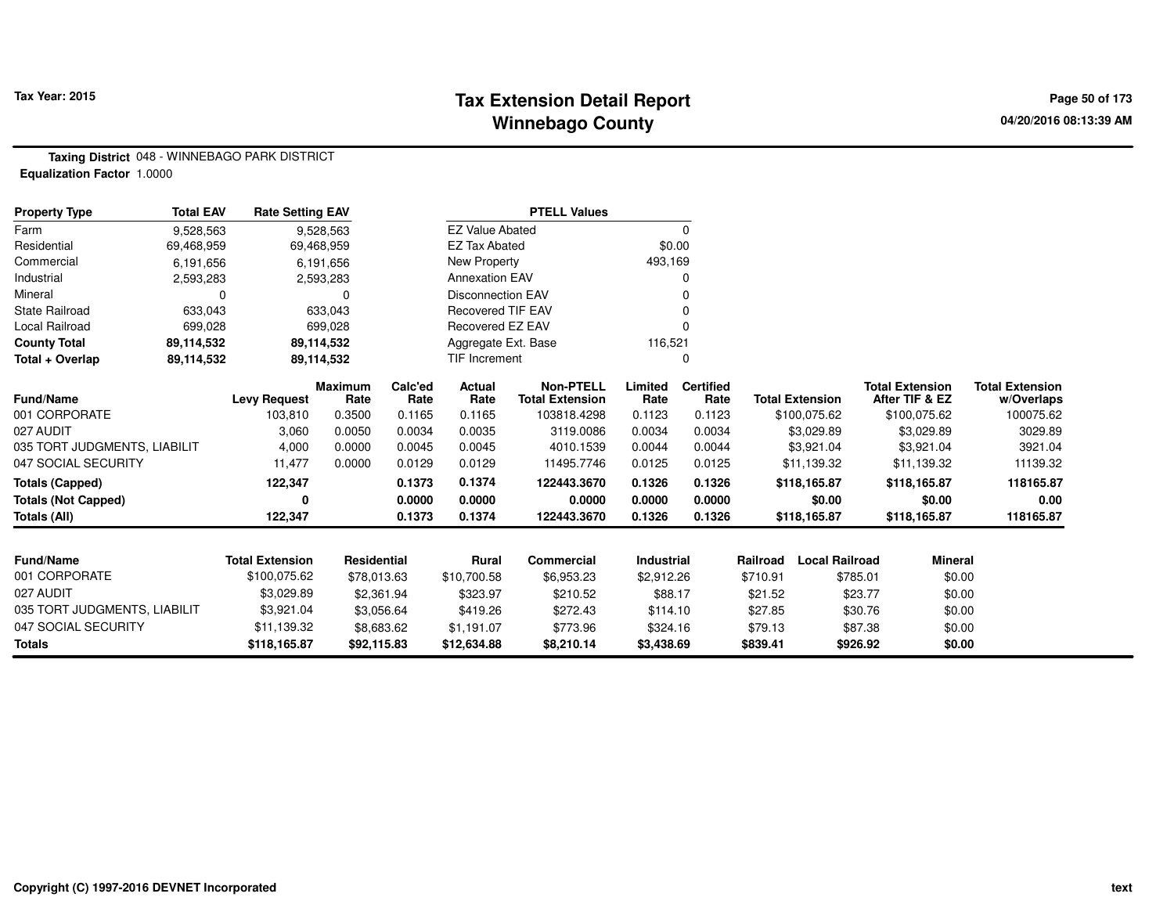## **Tax Extension Detail Report Tax Year: 2015 Page 50 of 173 Winnebago County**

**Taxing District** 048 - WINNEBAGO PARK DISTRICT**Equalization Factor** 1.0000

| <b>Property Type</b>         | <b>Total EAV</b> | <b>Rate Setting EAV</b> |                        |                 |                          | <b>PTELL Values</b>                        |                   |                          |          |                        |          |                                          |                                      |
|------------------------------|------------------|-------------------------|------------------------|-----------------|--------------------------|--------------------------------------------|-------------------|--------------------------|----------|------------------------|----------|------------------------------------------|--------------------------------------|
| Farm                         | 9,528,563        |                         | 9,528,563              |                 | <b>EZ Value Abated</b>   |                                            |                   | $\mathbf 0$              |          |                        |          |                                          |                                      |
| Residential                  | 69,468,959       | 69,468,959              |                        |                 | <b>EZ Tax Abated</b>     |                                            | \$0.00            |                          |          |                        |          |                                          |                                      |
| Commercial                   | 6,191,656        |                         | 6,191,656              |                 | New Property             |                                            | 493,169           |                          |          |                        |          |                                          |                                      |
| Industrial                   | 2,593,283        |                         | 2,593,283              |                 | <b>Annexation EAV</b>    |                                            |                   | 0                        |          |                        |          |                                          |                                      |
| Mineral                      | $\Omega$         |                         | $\Omega$               |                 | <b>Disconnection EAV</b> |                                            |                   | O                        |          |                        |          |                                          |                                      |
| <b>State Railroad</b>        | 633,043          |                         | 633,043                |                 | <b>Recovered TIF EAV</b> |                                            |                   |                          |          |                        |          |                                          |                                      |
| Local Railroad               | 699,028          |                         | 699,028                |                 | Recovered EZ EAV         |                                            |                   |                          |          |                        |          |                                          |                                      |
| <b>County Total</b>          | 89,114,532       |                         | 89,114,532             |                 | Aggregate Ext. Base      |                                            | 116,521           |                          |          |                        |          |                                          |                                      |
| Total + Overlap              | 89,114,532       |                         | 89,114,532             |                 | <b>TIF Increment</b>     |                                            |                   | 0                        |          |                        |          |                                          |                                      |
| Fund/Name                    |                  | <b>Levy Request</b>     | <b>Maximum</b><br>Rate | Calc'ed<br>Rate | Actual<br>Rate           | <b>Non-PTELL</b><br><b>Total Extension</b> | Limited<br>Rate   | <b>Certified</b><br>Rate |          | <b>Total Extension</b> |          | <b>Total Extension</b><br>After TIF & EZ | <b>Total Extension</b><br>w/Overlaps |
| 001 CORPORATE                |                  | 103,810                 | 0.3500                 | 0.1165          | 0.1165                   | 103818.4298                                | 0.1123            | 0.1123                   |          | \$100,075.62           |          | \$100,075.62                             | 100075.62                            |
| 027 AUDIT                    |                  | 3,060                   | 0.0050                 | 0.0034          | 0.0035                   | 3119.0086                                  | 0.0034            | 0.0034                   |          | \$3,029.89             |          | \$3,029.89                               | 3029.89                              |
| 035 TORT JUDGMENTS, LIABILIT |                  | 4,000                   | 0.0000                 | 0.0045          | 0.0045                   | 4010.1539                                  | 0.0044            | 0.0044                   |          | \$3,921.04             |          | \$3,921.04                               | 3921.04                              |
| 047 SOCIAL SECURITY          |                  | 11,477                  | 0.0000                 | 0.0129          | 0.0129                   | 11495.7746                                 | 0.0125            | 0.0125                   |          | \$11,139.32            |          | \$11,139.32                              | 11139.32                             |
| <b>Totals (Capped)</b>       |                  | 122,347                 |                        | 0.1373          | 0.1374                   | 122443.3670                                | 0.1326            | 0.1326                   |          | \$118,165.87           |          | \$118,165.87                             | 118165.87                            |
| <b>Totals (Not Capped)</b>   |                  | 0                       |                        | 0.0000          | 0.0000                   | 0.0000                                     | 0.0000            | 0.0000                   |          | \$0.00                 |          | \$0.00                                   | 0.00                                 |
| Totals (All)                 |                  | 122,347                 |                        | 0.1373          | 0.1374                   | 122443.3670                                | 0.1326            | 0.1326                   |          | \$118,165.87           |          | \$118,165.87                             | 118165.87                            |
|                              |                  |                         |                        |                 |                          |                                            |                   |                          |          |                        |          |                                          |                                      |
| Fund/Name                    |                  | <b>Total Extension</b>  | Residential            |                 | <b>Rural</b>             | <b>Commercial</b>                          | <b>Industrial</b> |                          | Railroad | <b>Local Railroad</b>  |          | <b>Mineral</b>                           |                                      |
| 001 CORPORATE                |                  | \$100,075.62            | \$78,013.63            |                 | \$10,700.58              | \$6,953.23                                 | \$2,912.26        |                          | \$710.91 |                        | \$785.01 | \$0.00                                   |                                      |
| 027 AUDIT                    |                  | \$3,029.89              | \$2,361.94             |                 | \$323.97                 | \$210.52                                   | \$88.17           |                          | \$21.52  |                        | \$23.77  | \$0.00                                   |                                      |
| 035 TORT JUDGMENTS, LIABILIT |                  | \$3,921.04              | \$3,056.64             |                 | \$419.26                 | \$272.43                                   | \$114.10          |                          | \$27.85  |                        | \$30.76  | \$0.00                                   |                                      |
| 047 SOCIAL SECURITY          |                  | \$11,139.32             | \$8,683.62             |                 | \$1,191.07               | \$773.96                                   | \$324.16          |                          | \$79.13  |                        | \$87.38  | \$0.00                                   |                                      |
| <b>Totals</b>                |                  | \$118,165.87            | \$92,115.83            |                 | \$12,634.88              | \$8,210.14                                 | \$3,438.69        |                          | \$839.41 |                        | \$926.92 | \$0.00                                   |                                      |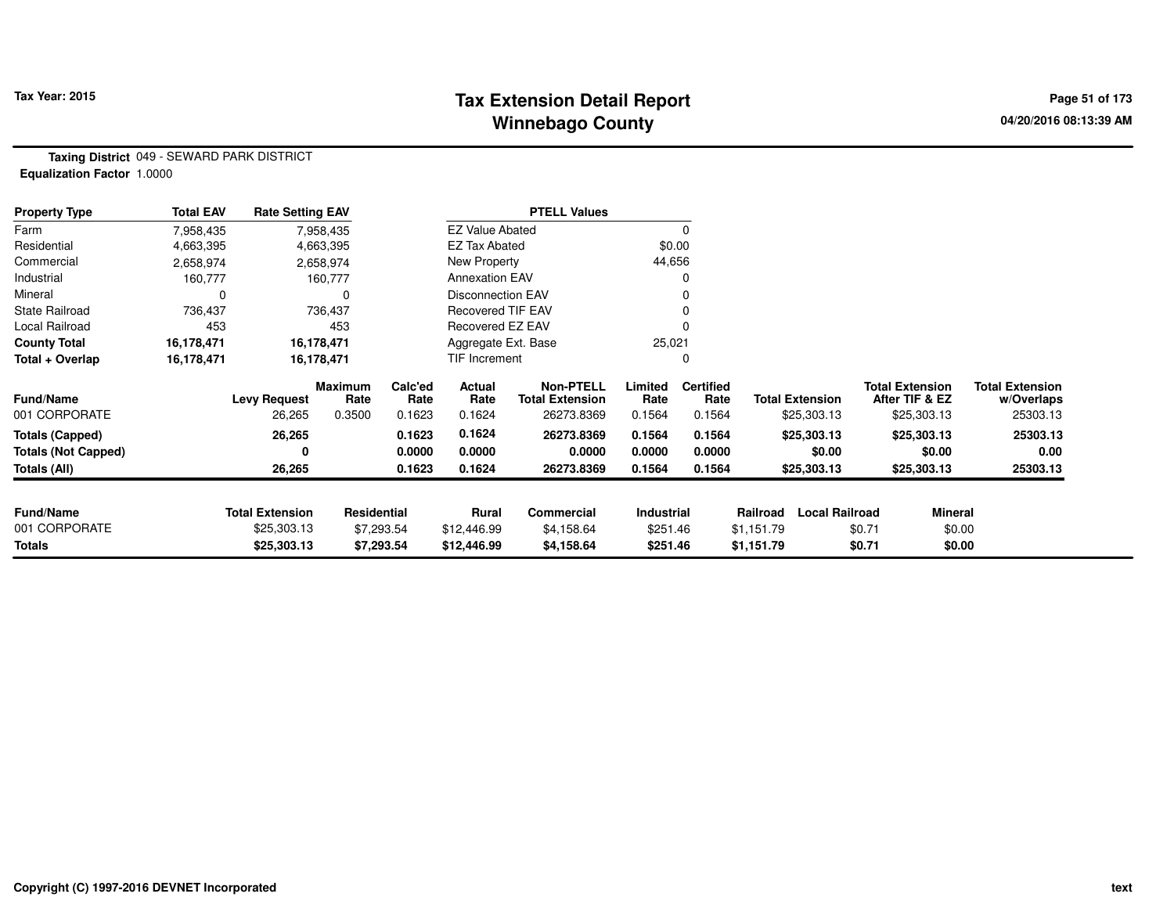## **Tax Extension Detail Report Tax Year: 2015 Page 51 of 173 Winnebago County**

**Taxing District** 049 - SEWARD PARK DISTRICT**Equalization Factor** 1.0000

| <b>Property Type</b>       | <b>Total EAV</b> | <b>Rate Setting EAV</b>  |                 |                 |                        | <b>PTELL Values</b>                        |                   |                          |            |                        |                                          |                                      |
|----------------------------|------------------|--------------------------|-----------------|-----------------|------------------------|--------------------------------------------|-------------------|--------------------------|------------|------------------------|------------------------------------------|--------------------------------------|
| Farm                       | 7,958,435        |                          | 7,958,435       |                 | <b>EZ Value Abated</b> |                                            |                   | 0                        |            |                        |                                          |                                      |
| Residential                | 4,663,395        |                          | 4,663,395       |                 | <b>EZ Tax Abated</b>   |                                            |                   | \$0.00                   |            |                        |                                          |                                      |
| Commercial                 | 2,658,974        |                          | 2,658,974       |                 | New Property           |                                            | 44,656            |                          |            |                        |                                          |                                      |
| Industrial                 | 160,777          |                          | 160,777         |                 | <b>Annexation EAV</b>  |                                            |                   | 0                        |            |                        |                                          |                                      |
| Mineral                    |                  |                          |                 |                 | Disconnection EAV      |                                            |                   | 0                        |            |                        |                                          |                                      |
| <b>State Railroad</b>      | 736,437          |                          | 736,437         |                 | Recovered TIF EAV      |                                            |                   |                          |            |                        |                                          |                                      |
| Local Railroad             | 453              |                          | 453             |                 | Recovered EZ EAV       |                                            |                   |                          |            |                        |                                          |                                      |
| <b>County Total</b>        | 16,178,471       | 16,178,471<br>16,178,471 |                 |                 | Aggregate Ext. Base    |                                            | 25,021            |                          |            |                        |                                          |                                      |
| Total + Overlap            | 16,178,471       |                          |                 |                 | TIF Increment          |                                            |                   | 0                        |            |                        |                                          |                                      |
| <b>Fund/Name</b>           |                  | <b>Levy Request</b>      | Maximum<br>Rate | Calc'ed<br>Rate | Actual<br>Rate         | <b>Non-PTELL</b><br><b>Total Extension</b> | Limited<br>Rate   | <b>Certified</b><br>Rate |            | <b>Total Extension</b> | <b>Total Extension</b><br>After TIF & EZ | <b>Total Extension</b><br>w/Overlaps |
| 001 CORPORATE              |                  | 26,265                   | 0.3500          | 0.1623          | 0.1624                 | 26273.8369                                 | 0.1564            | 0.1564                   |            | \$25,303.13            | \$25,303.13                              | 25303.13                             |
| <b>Totals (Capped)</b>     |                  | 26,265                   |                 | 0.1623          | 0.1624                 | 26273.8369                                 | 0.1564            | 0.1564                   |            | \$25,303.13            | \$25,303.13                              | 25303.13                             |
| <b>Totals (Not Capped)</b> |                  | 0                        |                 | 0.0000          | 0.0000                 | 0.0000                                     | 0.0000            | 0.0000                   |            | \$0.00                 | \$0.00                                   | 0.00                                 |
| Totals (All)               |                  | 26,265                   |                 | 0.1623          | 0.1624                 | 26273.8369                                 | 0.1564            | 0.1564                   |            | \$25,303.13            | \$25,303.13                              | 25303.13                             |
|                            |                  |                          |                 |                 |                        |                                            |                   |                          |            |                        |                                          |                                      |
| <b>Fund/Name</b>           |                  | <b>Total Extension</b>   | Residential     |                 | Rural                  | <b>Commercial</b>                          | <b>Industrial</b> |                          | Railroad   | <b>Local Railroad</b>  | <b>Mineral</b>                           |                                      |
| 001 CORPORATE              |                  | \$25,303.13              |                 | \$7,293.54      | \$12,446.99            | \$4,158.64                                 | \$251.46          |                          | \$1,151.79 |                        | \$0.71                                   | \$0.00                               |
| Totals                     |                  | \$25,303.13              |                 | \$7,293.54      | \$12,446.99            | \$4,158.64                                 | \$251.46          |                          | \$1,151.79 |                        | \$0.71                                   | \$0.00                               |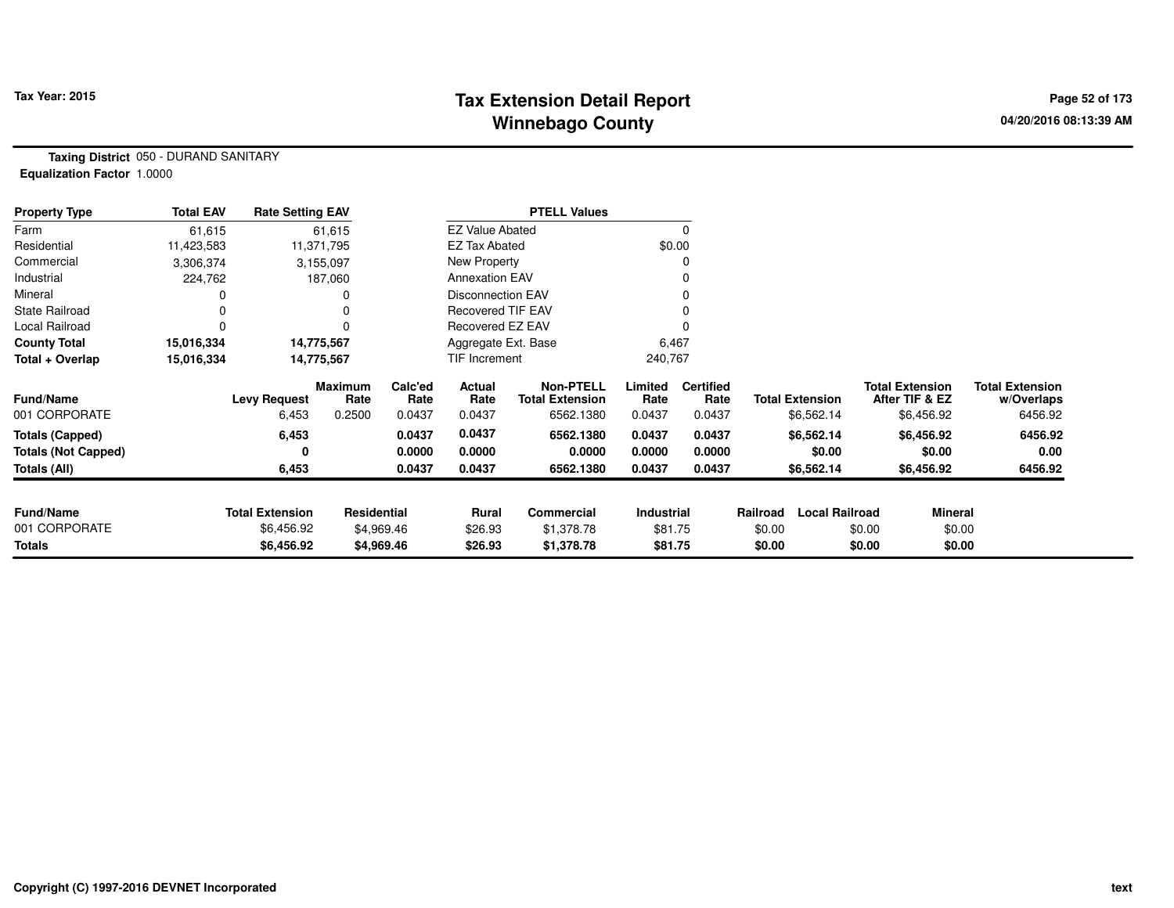## **Tax Extension Detail Report Tax Year: 2015 Page 52 of 173 Winnebago County**

**Taxing District** 050 - DURAND SANITARY**Equalization Factor** 1.0000

| <b>Property Type</b>       | <b>Total EAV</b> | <b>Rate Setting EAV</b>                |                 |                 |                          | <b>PTELL Values</b>                        |                 |                          |          |                        |                                          |                                      |
|----------------------------|------------------|----------------------------------------|-----------------|-----------------|--------------------------|--------------------------------------------|-----------------|--------------------------|----------|------------------------|------------------------------------------|--------------------------------------|
| Farm                       | 61,615           |                                        | 61,615          |                 | <b>EZ Value Abated</b>   |                                            |                 | $\Omega$                 |          |                        |                                          |                                      |
| Residential                | 11,423,583       |                                        | 11,371,795      |                 | <b>EZ Tax Abated</b>     |                                            |                 | \$0.00                   |          |                        |                                          |                                      |
| Commercial                 | 3,306,374        |                                        | 3,155,097       |                 | New Property             |                                            |                 |                          |          |                        |                                          |                                      |
| Industrial                 | 224,762          |                                        | 187,060         |                 | <b>Annexation EAV</b>    |                                            |                 |                          |          |                        |                                          |                                      |
| Mineral                    |                  |                                        |                 |                 | <b>Disconnection EAV</b> |                                            |                 |                          |          |                        |                                          |                                      |
| <b>State Railroad</b>      |                  |                                        |                 |                 | <b>Recovered TIF EAV</b> |                                            |                 |                          |          |                        |                                          |                                      |
| Local Railroad             | 0                |                                        |                 |                 | Recovered EZ EAV         |                                            |                 |                          |          |                        |                                          |                                      |
| <b>County Total</b>        | 15,016,334       | 14,775,567<br>15,016,334<br>14,775,567 |                 |                 | Aggregate Ext. Base      |                                            | 6,467           |                          |          |                        |                                          |                                      |
| Total + Overlap            |                  |                                        |                 |                 | TIF Increment            |                                            | 240,767         |                          |          |                        |                                          |                                      |
| <b>Fund/Name</b>           |                  | <b>Levy Request</b>                    | Maximum<br>Rate | Calc'ed<br>Rate | Actual<br>Rate           | <b>Non-PTELL</b><br><b>Total Extension</b> | Limited<br>Rate | <b>Certified</b><br>Rate |          | <b>Total Extension</b> | <b>Total Extension</b><br>After TIF & EZ | <b>Total Extension</b><br>w/Overlaps |
| 001 CORPORATE              |                  | 6,453                                  | 0.2500          | 0.0437          | 0.0437                   | 6562.1380                                  | 0.0437          | 0.0437                   |          | \$6,562.14             | \$6,456.92                               | 6456.92                              |
| Totals (Capped)            |                  | 6,453                                  |                 | 0.0437          | 0.0437                   | 6562.1380                                  | 0.0437          | 0.0437                   |          | \$6,562.14             | \$6,456.92                               | 6456.92                              |
| <b>Totals (Not Capped)</b> |                  | 0                                      |                 | 0.0000          | 0.0000                   | 0.0000                                     | 0.0000          | 0.0000                   |          | \$0.00                 | \$0.00                                   | 0.00                                 |
| Totals (All)               |                  | 6,453                                  |                 | 0.0437          | 0.0437                   | 6562.1380                                  | 0.0437          | 0.0437                   |          | \$6,562.14             | \$6,456.92                               | 6456.92                              |
|                            |                  |                                        |                 |                 |                          |                                            |                 |                          |          |                        |                                          |                                      |
| <b>Fund/Name</b>           |                  | <b>Total Extension</b>                 | Residential     |                 | Rural                    | Commercial                                 | Industrial      |                          | Railroad | <b>Local Railroad</b>  | <b>Mineral</b>                           |                                      |
| 001 CORPORATE              |                  | \$6,456.92                             |                 | \$4,969.46      | \$26.93                  | \$1,378.78                                 | \$81.75         |                          | \$0.00   | \$0.00                 | \$0.00                                   |                                      |
| <b>Totals</b>              |                  | \$6,456.92                             |                 | \$4,969.46      | \$26.93                  | \$1,378.78                                 | \$81.75         |                          | \$0.00   | \$0.00                 | \$0.00                                   |                                      |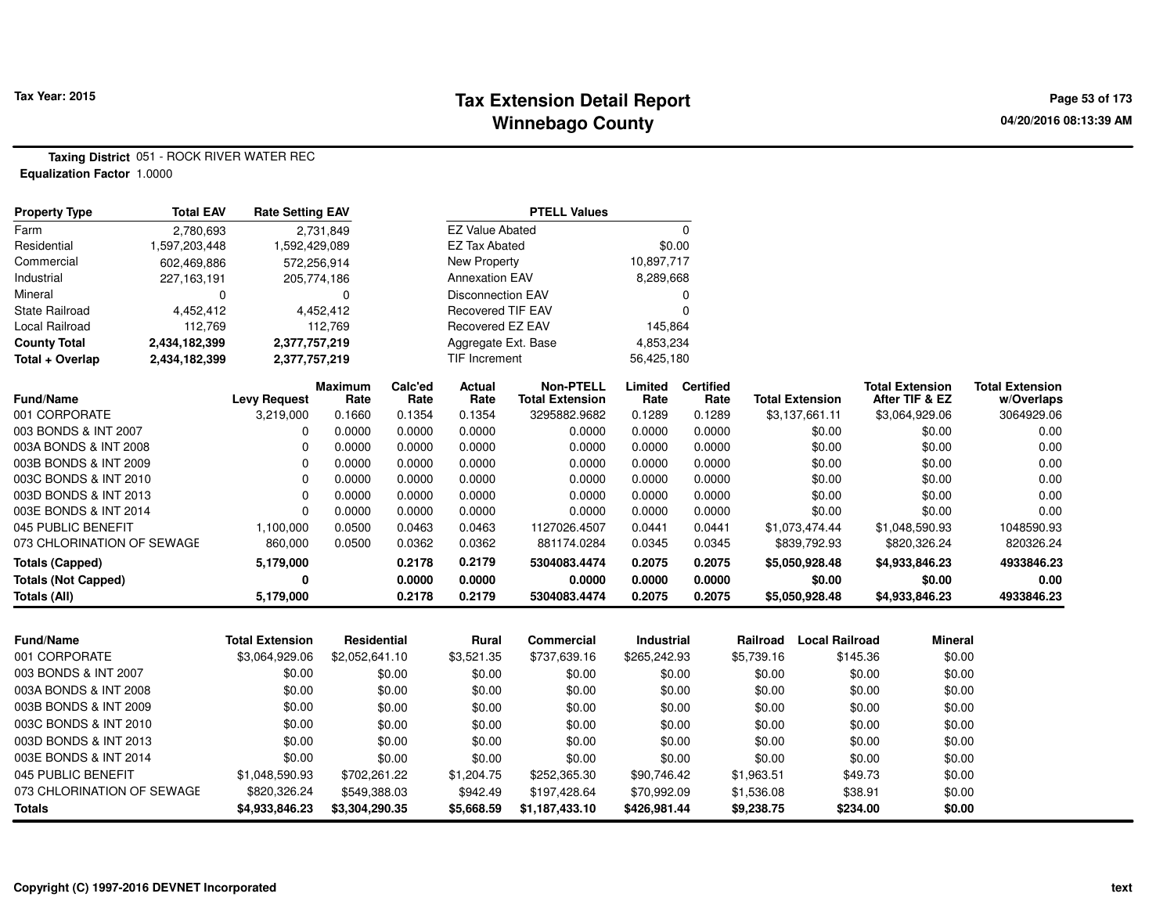### **Tax Extension Detail Report Tax Year: 2015 Page 53 of 173 Winnebago County**

**Taxing District** 051 - ROCK RIVER WATER REC**Equalization Factor** 1.0000

| <b>Property Type</b>              | <b>Total EAV</b> | <b>Rate Setting EAV</b> |                    |                |                          | <b>PTELL Values</b>    |                  |                  |            |                          |                        |                |                        |
|-----------------------------------|------------------|-------------------------|--------------------|----------------|--------------------------|------------------------|------------------|------------------|------------|--------------------------|------------------------|----------------|------------------------|
| Farm                              | 2,780,693        |                         | 2,731,849          |                | <b>EZ Value Abated</b>   |                        |                  | $\mathbf 0$      |            |                          |                        |                |                        |
| Residential                       | 1,597,203,448    | 1,592,429,089           |                    |                | <b>EZ Tax Abated</b>     |                        | \$0.00           |                  |            |                          |                        |                |                        |
| Commercial                        | 602,469,886      | 572,256,914             |                    |                | <b>New Property</b>      |                        | 10,897,717       |                  |            |                          |                        |                |                        |
| Industrial                        | 227,163,191      | 205,774,186             |                    |                | <b>Annexation EAV</b>    |                        | 8,289,668        |                  |            |                          |                        |                |                        |
| Mineral                           | 0                |                         | $\Omega$           |                | <b>Disconnection EAV</b> |                        |                  | 0                |            |                          |                        |                |                        |
| <b>State Railroad</b>             | 4,452,412        |                         | 4,452,412          |                | <b>Recovered TIF EAV</b> |                        |                  | $\Omega$         |            |                          |                        |                |                        |
| Local Railroad                    | 112,769          |                         | 112,769            |                | Recovered EZ EAV         |                        | 145,864          |                  |            |                          |                        |                |                        |
| <b>County Total</b>               | 2,434,182,399    | 2,377,757,219           |                    |                | Aggregate Ext. Base      |                        | 4,853,234        |                  |            |                          |                        |                |                        |
| Total + Overlap                   | 2,434,182,399    | 2,377,757,219           |                    |                | <b>TIF Increment</b>     |                        | 56,425,180       |                  |            |                          |                        |                |                        |
|                                   |                  |                         | <b>Maximum</b>     | Calc'ed        | Actual                   | <b>Non-PTELL</b>       | Limited          | <b>Certified</b> |            |                          | <b>Total Extension</b> |                | <b>Total Extension</b> |
| <b>Fund/Name</b><br>001 CORPORATE |                  | <b>Levy Request</b>     | Rate<br>0.1660     | Rate<br>0.1354 | Rate<br>0.1354           | <b>Total Extension</b> | Rate             | Rate<br>0.1289   |            | <b>Total Extension</b>   | After TIF & EZ         |                | w/Overlaps             |
| 003 BONDS & INT 2007              |                  | 3,219,000<br>0          | 0.0000             | 0.0000         | 0.0000                   | 3295882.9682<br>0.0000 | 0.1289<br>0.0000 | 0.0000           |            | \$3,137,661.11<br>\$0.00 | \$3,064,929.06         | \$0.00         | 3064929.06<br>0.00     |
| 003A BONDS & INT 2008             |                  | $\Omega$                | 0.0000             | 0.0000         | 0.0000                   | 0.0000                 | 0.0000           | 0.0000           |            | \$0.00                   |                        | \$0.00         | 0.00                   |
| 003B BONDS & INT 2009             |                  | $\Omega$                | 0.0000             | 0.0000         | 0.0000                   | 0.0000                 | 0.0000           | 0.0000           |            | \$0.00                   |                        | \$0.00         | 0.00                   |
| 003C BONDS & INT 2010             |                  | $\Omega$                | 0.0000             | 0.0000         | 0.0000                   | 0.0000                 | 0.0000           | 0.0000           |            | \$0.00                   |                        | \$0.00         | 0.00                   |
| 003D BONDS & INT 2013             |                  | $\Omega$                | 0.0000             | 0.0000         | 0.0000                   | 0.0000                 | 0.0000           | 0.0000           |            | \$0.00                   |                        | \$0.00         | 0.00                   |
| 003E BONDS & INT 2014             |                  | O                       | 0.0000             | 0.0000         | 0.0000                   | 0.0000                 | 0.0000           | 0.0000           |            | \$0.00                   |                        | \$0.00         | 0.00                   |
| 045 PUBLIC BENEFIT                |                  | 1,100,000               | 0.0500             | 0.0463         | 0.0463                   | 1127026.4507           | 0.0441           | 0.0441           |            | \$1,073,474.44           | \$1,048,590.93         |                | 1048590.93             |
| 073 CHLORINATION OF SEWAGE        |                  | 860,000                 | 0.0500             | 0.0362         | 0.0362                   | 881174.0284            | 0.0345           | 0.0345           |            | \$839,792.93             | \$820,326.24           |                | 820326.24              |
| <b>Totals (Capped)</b>            |                  | 5,179,000               |                    | 0.2178         | 0.2179                   | 5304083.4474           | 0.2075           | 0.2075           |            | \$5,050,928.48           | \$4,933,846.23         |                | 4933846.23             |
| <b>Totals (Not Capped)</b>        |                  | 0                       |                    | 0.0000         | 0.0000                   | 0.0000                 | 0.0000           | 0.0000           |            | \$0.00                   |                        | \$0.00         | 0.00                   |
| Totals (All)                      |                  | 5,179,000               |                    | 0.2178         | 0.2179                   | 5304083.4474           | 0.2075           | 0.2075           |            | \$5,050,928.48           | \$4,933,846.23         |                | 4933846.23             |
|                                   |                  |                         |                    |                |                          |                        |                  |                  |            |                          |                        |                |                        |
| Fund/Name                         |                  | <b>Total Extension</b>  | <b>Residential</b> |                | Rural                    | <b>Commercial</b>      | Industrial       |                  | Railroad   | <b>Local Railroad</b>    |                        | <b>Mineral</b> |                        |
| 001 CORPORATE                     |                  | \$3,064,929.06          | \$2,052,641.10     |                | \$3,521.35               | \$737,639.16           | \$265,242.93     |                  | \$5,739.16 |                          | \$145.36               | \$0.00         |                        |
| 003 BONDS & INT 2007              |                  | \$0.00                  |                    | \$0.00         | \$0.00                   | \$0.00                 |                  | \$0.00           | \$0.00     |                          | \$0.00                 | \$0.00         |                        |
| 003A BONDS & INT 2008             |                  | \$0.00                  |                    | \$0.00         | \$0.00                   | \$0.00                 |                  | \$0.00           | \$0.00     |                          | \$0.00                 | \$0.00         |                        |
| 003B BONDS & INT 2009             |                  | \$0.00                  |                    | \$0.00         | \$0.00                   | \$0.00                 |                  | \$0.00           | \$0.00     |                          | \$0.00                 | \$0.00         |                        |
| 003C BONDS & INT 2010             |                  | \$0.00                  |                    | \$0.00         | \$0.00                   | \$0.00                 |                  | \$0.00           | \$0.00     |                          | \$0.00                 | \$0.00         |                        |
| 003D BONDS & INT 2013             |                  | \$0.00                  |                    | \$0.00         | \$0.00                   | \$0.00                 |                  | \$0.00           | \$0.00     |                          | \$0.00                 | \$0.00         |                        |
| 003E BONDS & INT 2014             |                  | \$0.00                  |                    | \$0.00         | \$0.00                   | \$0.00                 |                  | \$0.00           | \$0.00     |                          | \$0.00                 | \$0.00         |                        |
| 045 PUBLIC BENEFIT                |                  | \$1,048,590.93          | \$702,261.22       |                | \$1,204.75               | \$252,365.30           | \$90,746.42      |                  | \$1,963.51 |                          | \$49.73                | \$0.00         |                        |
| 073 CHLORINATION OF SEWAGE        |                  | \$820,326.24            | \$549,388.03       |                | \$942.49                 | \$197,428.64           | \$70,992.09      |                  | \$1,536.08 |                          | \$38.91                | \$0.00         |                        |
| <b>Totals</b>                     |                  | \$4,933,846.23          | \$3,304,290.35     |                | \$5,668.59               | \$1,187,433.10         | \$426,981.44     |                  | \$9,238.75 |                          | \$234.00               | \$0.00         |                        |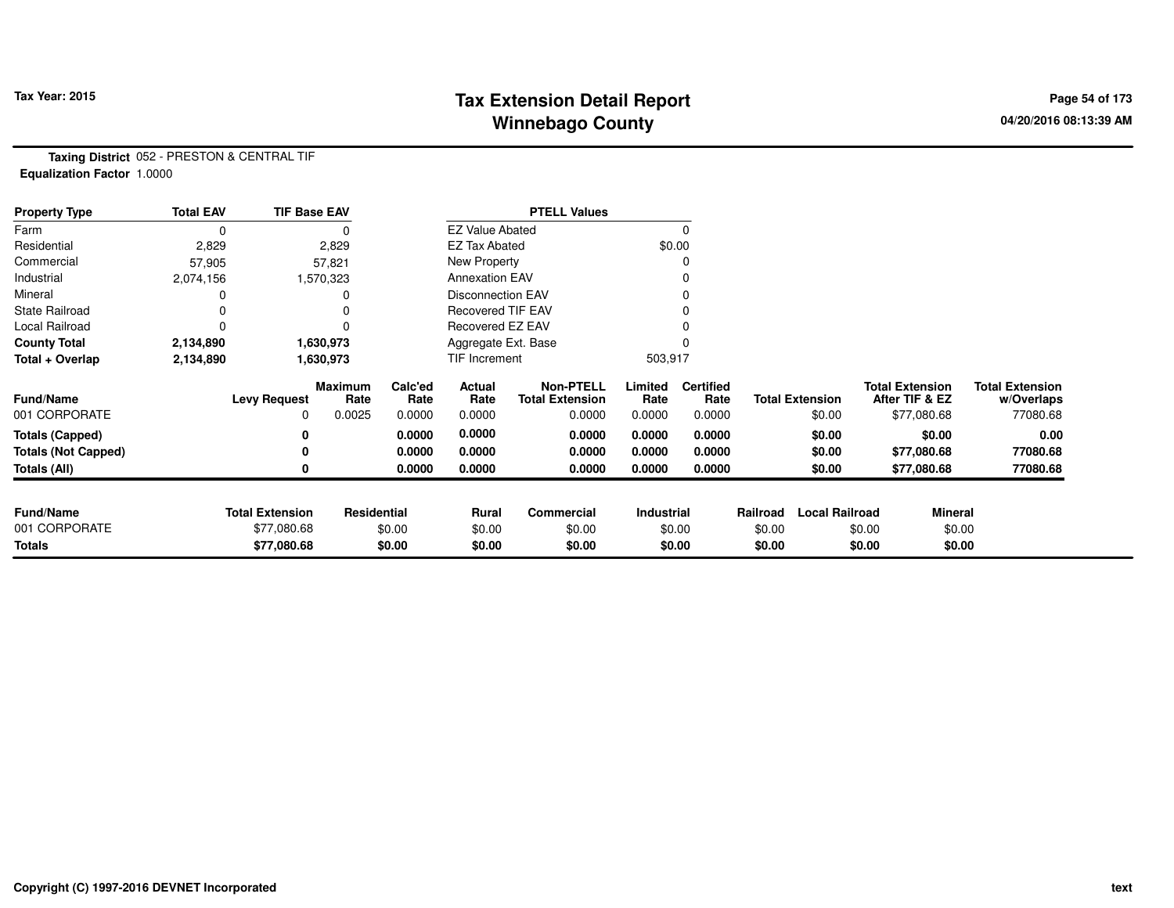## **Tax Extension Detail Report Tax Year: 2015 Page 54 of 173 Winnebago County**

**Taxing District** 052 - PRESTON & CENTRAL TIF**Equalization Factor** 1.0000

| <b>Property Type</b>       | <b>Total EAV</b> | <b>TIF Base EAV</b>    |                 |                 |                        | <b>PTELL Values</b>                        |                 |                          |          |                        |                                          |                |                                      |
|----------------------------|------------------|------------------------|-----------------|-----------------|------------------------|--------------------------------------------|-----------------|--------------------------|----------|------------------------|------------------------------------------|----------------|--------------------------------------|
| Farm                       | 0                |                        |                 |                 | <b>EZ Value Abated</b> |                                            |                 | $\Omega$                 |          |                        |                                          |                |                                      |
| Residential                | 2,829            |                        | 2,829           |                 | <b>EZ Tax Abated</b>   |                                            |                 | \$0.00                   |          |                        |                                          |                |                                      |
| Commercial                 | 57,905           |                        | 57,821          |                 | New Property           |                                            |                 |                          |          |                        |                                          |                |                                      |
| Industrial                 | 2,074,156        |                        | 1,570,323       |                 | <b>Annexation EAV</b>  |                                            |                 |                          |          |                        |                                          |                |                                      |
| Mineral                    |                  |                        |                 |                 | Disconnection EAV      |                                            |                 |                          |          |                        |                                          |                |                                      |
| <b>State Railroad</b>      |                  |                        |                 |                 | Recovered TIF EAV      |                                            |                 |                          |          |                        |                                          |                |                                      |
| Local Railroad             | 0                |                        | $\Omega$        |                 | Recovered EZ EAV       |                                            |                 |                          |          |                        |                                          |                |                                      |
| <b>County Total</b>        | 2,134,890        |                        | 1,630,973       |                 | Aggregate Ext. Base    |                                            |                 |                          |          |                        |                                          |                |                                      |
| Total + Overlap            | 2,134,890        |                        | 1,630,973       |                 | TIF Increment          |                                            | 503,917         |                          |          |                        |                                          |                |                                      |
| <b>Fund/Name</b>           |                  | <b>Levy Request</b>    | Maximum<br>Rate | Calc'ed<br>Rate | Actual<br>Rate         | <b>Non-PTELL</b><br><b>Total Extension</b> | Limited<br>Rate | <b>Certified</b><br>Rate |          | <b>Total Extension</b> | <b>Total Extension</b><br>After TIF & EZ |                | <b>Total Extension</b><br>w/Overlaps |
| 001 CORPORATE              |                  | 0                      | 0.0025          | 0.0000          | 0.0000                 | 0.0000                                     | 0.0000          | 0.0000                   |          | \$0.00                 |                                          | \$77,080.68    | 77080.68                             |
| <b>Totals (Capped)</b>     |                  | 0                      |                 | 0.0000          | 0.0000                 | 0.0000                                     | 0.0000          | 0.0000                   |          | \$0.00                 |                                          | \$0.00         | 0.00                                 |
| <b>Totals (Not Capped)</b> |                  | 0                      |                 | 0.0000          | 0.0000                 | 0.0000                                     | 0.0000          | 0.0000                   |          | \$0.00                 |                                          | \$77,080.68    | 77080.68                             |
| Totals (All)               |                  | 0                      |                 | 0.0000          | 0.0000                 | 0.0000                                     | 0.0000          | 0.0000                   |          | \$0.00                 |                                          | \$77,080.68    | 77080.68                             |
|                            |                  |                        |                 |                 |                        |                                            |                 |                          |          |                        |                                          |                |                                      |
| <b>Fund/Name</b>           |                  | <b>Total Extension</b> | Residential     |                 | Rural                  | Commercial                                 | Industrial      |                          | Railroad | <b>Local Railroad</b>  |                                          | <b>Mineral</b> |                                      |
| 001 CORPORATE              |                  | \$77,080.68            |                 | \$0.00          | \$0.00                 | \$0.00                                     |                 | \$0.00                   | \$0.00   |                        | \$0.00                                   | \$0.00         |                                      |
| <b>Totals</b>              |                  | \$77,080.68            |                 | \$0.00          | \$0.00                 | \$0.00                                     |                 | \$0.00                   | \$0.00   |                        | \$0.00                                   | \$0.00         |                                      |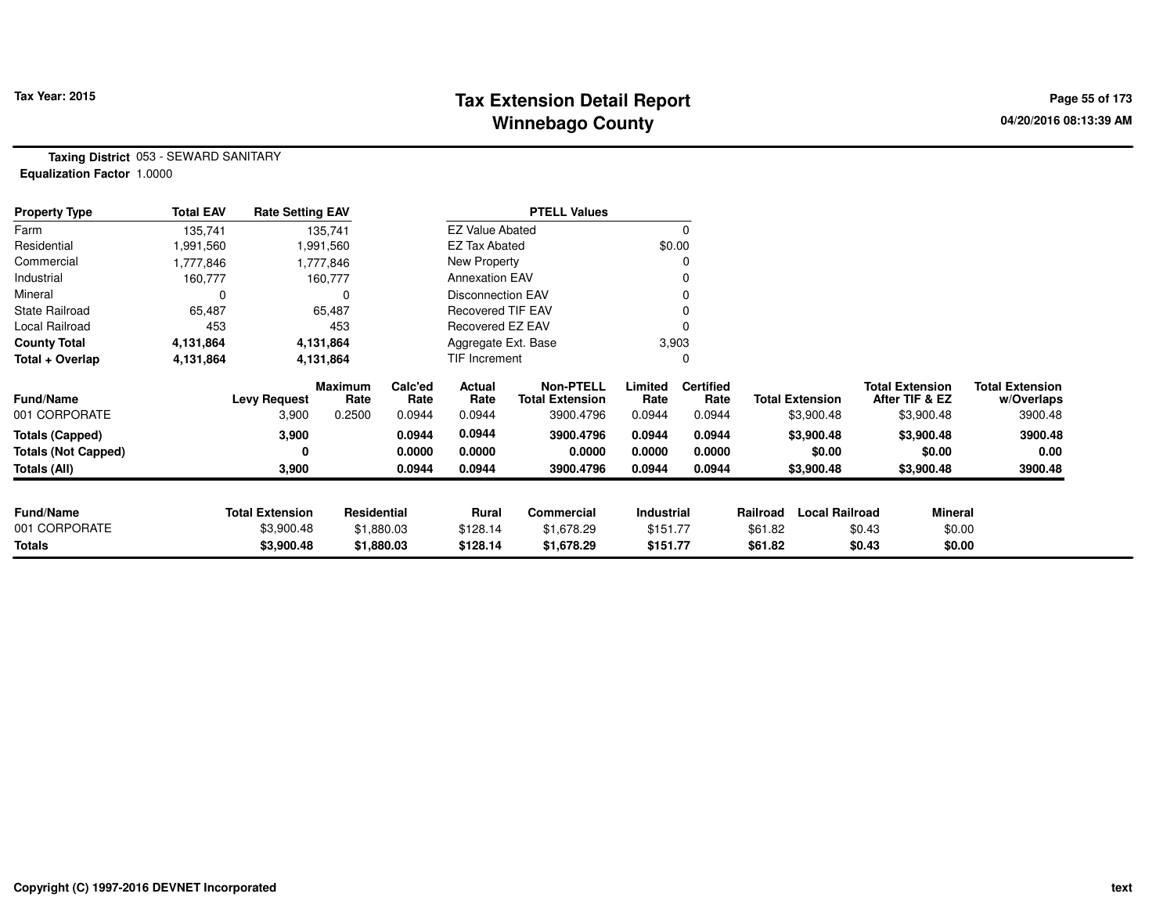## **Tax Extension Detail Report Tax Year: 2015 Page 55 of 173 Winnebago County**

**Taxing District** 053 - SEWARD SANITARY**Equalization Factor** 1.0000

| <b>Property Type</b>       | <b>Total EAV</b> | <b>Rate Setting EAV</b> |                 |                 |                          | <b>PTELL Values</b>                        |                   |                          |          |                        |                                          |                                      |
|----------------------------|------------------|-------------------------|-----------------|-----------------|--------------------------|--------------------------------------------|-------------------|--------------------------|----------|------------------------|------------------------------------------|--------------------------------------|
| Farm                       | 135,741          |                         | 135,741         |                 | <b>EZ Value Abated</b>   |                                            |                   | 0                        |          |                        |                                          |                                      |
| Residential                | 1,991,560        |                         | 1,991,560       |                 | EZ Tax Abated            |                                            |                   | \$0.00                   |          |                        |                                          |                                      |
| Commercial                 | 1,777,846        |                         | 1,777,846       |                 | New Property             |                                            |                   | 0                        |          |                        |                                          |                                      |
| Industrial                 | 160,777          |                         | 160,777         |                 | <b>Annexation EAV</b>    |                                            |                   | 0                        |          |                        |                                          |                                      |
| Mineral                    | 0                |                         |                 |                 | <b>Disconnection EAV</b> |                                            |                   | 0                        |          |                        |                                          |                                      |
| <b>State Railroad</b>      | 65,487           |                         | 65,487          |                 | <b>Recovered TIF EAV</b> |                                            |                   |                          |          |                        |                                          |                                      |
| Local Railroad             | 453              |                         | 453             |                 | Recovered EZ EAV         |                                            |                   | 0                        |          |                        |                                          |                                      |
| <b>County Total</b>        | 4,131,864        | 4,131,864<br>4,131,864  |                 |                 | Aggregate Ext. Base      |                                            |                   | 3,903                    |          |                        |                                          |                                      |
| Total + Overlap            | 4,131,864        |                         |                 |                 | <b>TIF Increment</b>     |                                            |                   | 0                        |          |                        |                                          |                                      |
| <b>Fund/Name</b>           |                  | <b>Levy Request</b>     | Maximum<br>Rate | Calc'ed<br>Rate | Actual<br>Rate           | <b>Non-PTELL</b><br><b>Total Extension</b> | Limited<br>Rate   | <b>Certified</b><br>Rate |          | <b>Total Extension</b> | <b>Total Extension</b><br>After TIF & EZ | <b>Total Extension</b><br>w/Overlaps |
| 001 CORPORATE              |                  | 3,900                   | 0.2500          | 0.0944          | 0.0944                   | 3900.4796                                  | 0.0944            | 0.0944                   |          | \$3,900.48             | \$3,900.48                               | 3900.48                              |
| Totals (Capped)            |                  | 3,900                   |                 | 0.0944          | 0.0944                   | 3900.4796                                  | 0.0944            | 0.0944                   |          | \$3,900.48             | \$3,900.48                               | 3900.48                              |
| <b>Totals (Not Capped)</b> |                  | 0                       |                 | 0.0000          | 0.0000                   | 0.0000                                     | 0.0000            | 0.0000                   |          | \$0.00                 | \$0.00                                   | 0.00                                 |
| Totals (All)               |                  | 3,900                   |                 | 0.0944          | 0.0944                   | 3900.4796                                  | 0.0944            | 0.0944                   |          | \$3,900.48             | \$3,900.48                               | 3900.48                              |
|                            |                  |                         |                 |                 |                          |                                            |                   |                          |          |                        |                                          |                                      |
| <b>Fund/Name</b>           |                  | <b>Total Extension</b>  | Residential     |                 | Rural                    | <b>Commercial</b>                          | <b>Industrial</b> |                          | Railroad | <b>Local Railroad</b>  | Mineral                                  |                                      |
| 001 CORPORATE              |                  | \$3,900.48              |                 | \$1,880.03      | \$128.14                 | \$1,678.29                                 | \$151.77          |                          | \$61.82  |                        | \$0.43<br>\$0.00                         |                                      |
| Totals                     |                  | \$3,900.48              |                 | \$1,880.03      | \$128.14                 | \$1,678.29                                 | \$151.77          |                          | \$61.82  |                        | \$0.43<br>\$0.00                         |                                      |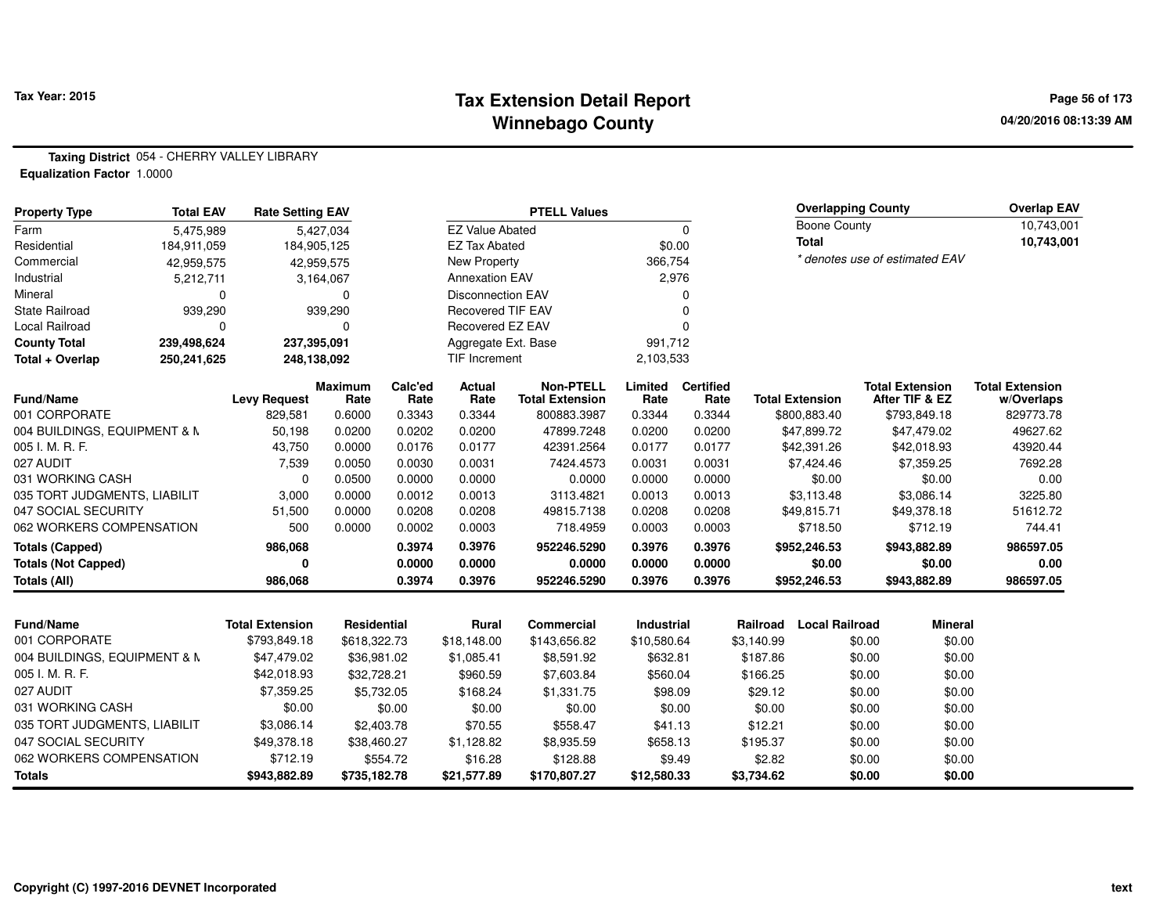## **Tax Extension Detail Report Tax Year: 2015 Page 56 of 173 Winnebago County**

**04/20/2016 08:13:39 AM**

**Taxing District** 054 - CHERRY VALLEY LIBRARY

**Equalization Factor** 1.0000

| <b>Property Type</b>         | <b>Total EAV</b> | <b>Rate Setting EAV</b>  |                        |                 |                          | <b>PTELL Values</b>                        |                 |                          |                      | <b>Overlapping County</b> |                  |                                          | <b>Overlap EAV</b>                   |
|------------------------------|------------------|--------------------------|------------------------|-----------------|--------------------------|--------------------------------------------|-----------------|--------------------------|----------------------|---------------------------|------------------|------------------------------------------|--------------------------------------|
| Farm                         | 5,475,989        |                          | 5,427,034              |                 | <b>EZ Value Abated</b>   |                                            |                 | $\Omega$                 |                      | Boone County              |                  |                                          | 10,743,001                           |
| Residential                  | 184,911,059      | 184,905,125              |                        |                 | <b>EZ Tax Abated</b>     |                                            | \$0.00          |                          |                      | <b>Total</b>              |                  |                                          | 10,743,001                           |
| Commercial                   | 42,959,575       |                          | 42,959,575             |                 | <b>New Property</b>      |                                            | 366,754         |                          |                      |                           |                  | * denotes use of estimated EAV           |                                      |
| Industrial                   | 5,212,711        |                          | 3,164,067              |                 | <b>Annexation EAV</b>    |                                            | 2,976           |                          |                      |                           |                  |                                          |                                      |
| Mineral                      | $\Omega$         |                          | $\Omega$               |                 | <b>Disconnection EAV</b> |                                            |                 | $\Omega$                 |                      |                           |                  |                                          |                                      |
| <b>State Railroad</b>        | 939,290          |                          | 939,290                |                 | <b>Recovered TIF EAV</b> |                                            |                 | $\Omega$                 |                      |                           |                  |                                          |                                      |
| <b>Local Railroad</b>        | $\Omega$         |                          | $\Omega$               |                 | Recovered EZ EAV         |                                            |                 | $\Omega$                 |                      |                           |                  |                                          |                                      |
| <b>County Total</b>          | 239,498,624      | 237,395,091              |                        |                 | Aggregate Ext. Base      |                                            | 991,712         |                          |                      |                           |                  |                                          |                                      |
| Total + Overlap              | 250,241,625      | 248,138,092              |                        |                 | <b>TIF Increment</b>     |                                            | 2,103,533       |                          |                      |                           |                  |                                          |                                      |
| <b>Fund/Name</b>             |                  | <b>Levy Request</b>      | <b>Maximum</b><br>Rate | Calc'ed<br>Rate | <b>Actual</b><br>Rate    | <b>Non-PTELL</b><br><b>Total Extension</b> | Limited<br>Rate | <b>Certified</b><br>Rate |                      | <b>Total Extension</b>    |                  | <b>Total Extension</b><br>After TIF & EZ | <b>Total Extension</b><br>w/Overlaps |
| 001 CORPORATE                |                  | 829,581                  | 0.6000                 | 0.3343          | 0.3344                   | 800883.3987                                | 0.3344          | 0.3344                   |                      | \$800,883.40              |                  | \$793,849.18                             | 829773.78                            |
| 004 BUILDINGS, EQUIPMENT & M |                  | 50,198                   | 0.0200                 | 0.0202          | 0.0200                   | 47899.7248                                 | 0.0200          | 0.0200                   |                      | \$47,899.72               |                  | \$47,479.02                              | 49627.62                             |
| 005 I. M. R. F.              |                  | 43,750                   | 0.0000                 | 0.0176          | 0.0177                   | 42391.2564                                 | 0.0177          | 0.0177                   |                      | \$42,391.26               |                  | \$42,018.93                              | 43920.44                             |
| 027 AUDIT                    |                  | 7,539                    | 0.0050                 | 0.0030          | 0.0031                   | 7424.4573                                  | 0.0031          | 0.0031                   |                      | \$7,424.46                |                  | \$7,359.25                               | 7692.28                              |
| 031 WORKING CASH             |                  | $\mathbf 0$              | 0.0500                 | 0.0000          | 0.0000                   | 0.0000                                     | 0.0000          | 0.0000                   |                      | \$0.00                    |                  | \$0.00                                   | 0.00                                 |
| 035 TORT JUDGMENTS, LIABILIT |                  | 3,000                    | 0.0000                 | 0.0012          | 0.0013                   | 3113.4821                                  | 0.0013          | 0.0013                   |                      | \$3,113.48                |                  | \$3,086.14                               | 3225.80                              |
| 047 SOCIAL SECURITY          |                  | 51,500                   | 0.0000                 | 0.0208          | 0.0208                   | 49815.7138                                 | 0.0208          | 0.0208                   |                      | \$49,815.71               |                  | \$49,378.18                              | 51612.72                             |
| 062 WORKERS COMPENSATION     |                  | 500                      | 0.0000                 | 0.0002          | 0.0003                   | 718.4959                                   | 0.0003          | 0.0003                   |                      | \$718.50                  |                  | \$712.19                                 | 744.41                               |
| <b>Totals (Capped)</b>       |                  | 986,068                  |                        | 0.3974          | 0.3976                   | 952246.5290                                | 0.3976          | 0.3976                   |                      | \$952,246.53              |                  | \$943,882.89                             | 986597.05                            |
| <b>Totals (Not Capped)</b>   |                  | 0                        |                        | 0.0000          | 0.0000                   | 0.0000                                     | 0.0000          | 0.0000                   |                      | \$0.00                    |                  | \$0.00                                   | 0.00                                 |
| Totals (All)                 |                  | 986,068                  |                        | 0.3974          | 0.3976                   | 952246.5290                                | 0.3976          | 0.3976                   |                      | \$952,246.53              |                  | \$943,882.89                             | 986597.05                            |
| <b>Fund/Name</b>             |                  | <b>Total Extension</b>   | Residential            |                 | Rural                    | <b>Commercial</b>                          | Industrial      |                          | Railroad             | <b>Local Railroad</b>     |                  | <b>Mineral</b>                           |                                      |
| 001 CORPORATE                |                  | \$793,849.18             | \$618,322.73           |                 | \$18,148.00              | \$143,656.82                               | \$10,580.64     |                          | \$3,140.99           |                           | \$0.00           | \$0.00                                   |                                      |
| 004 BUILDINGS, EQUIPMENT & N |                  | \$47,479.02              | \$36,981.02            |                 | \$1,085.41               | \$8,591.92                                 | \$632.81        |                          | \$187.86             |                           | \$0.00           | \$0.00                                   |                                      |
| 005 I. M. R. F.              |                  | \$42,018.93              | \$32,728.21            |                 | \$960.59                 | \$7,603.84                                 | \$560.04        |                          | \$166.25             |                           | \$0.00           | \$0.00                                   |                                      |
| 027 AUDIT                    |                  | \$7,359.25               | \$5,732.05             |                 | \$168.24                 | \$1,331.75                                 | \$98.09         |                          | \$29.12              |                           | \$0.00           | \$0.00                                   |                                      |
| 031 WORKING CASH             |                  | \$0.00                   |                        | \$0.00          | \$0.00                   | \$0.00                                     |                 | \$0.00                   | \$0.00               |                           | \$0.00           | \$0.00                                   |                                      |
| 035 TORT JUDGMENTS, LIABILIT |                  | \$3,086.14               |                        |                 |                          |                                            |                 |                          | \$12.21              |                           |                  |                                          |                                      |
| 047 SOCIAL SECURITY          |                  | \$49,378.18              | \$2,403.78             |                 | \$70.55                  | \$558.47                                   | \$41.13         |                          |                      |                           | \$0.00           | \$0.00                                   |                                      |
| 062 WORKERS COMPENSATION     |                  |                          | \$38,460.27            |                 | \$1,128.82               | \$8,935.59                                 | \$658.13        |                          | \$195.37             |                           | \$0.00           | \$0.00                                   |                                      |
| <b>Totals</b>                |                  | \$712.19<br>\$943,882.89 | \$735,182.78           | \$554.72        | \$16.28<br>\$21,577.89   | \$128.88<br>\$170,807.27                   | \$12,580.33     | \$9.49                   | \$2.82<br>\$3,734.62 |                           | \$0.00<br>\$0.00 | \$0.00<br>\$0.00                         |                                      |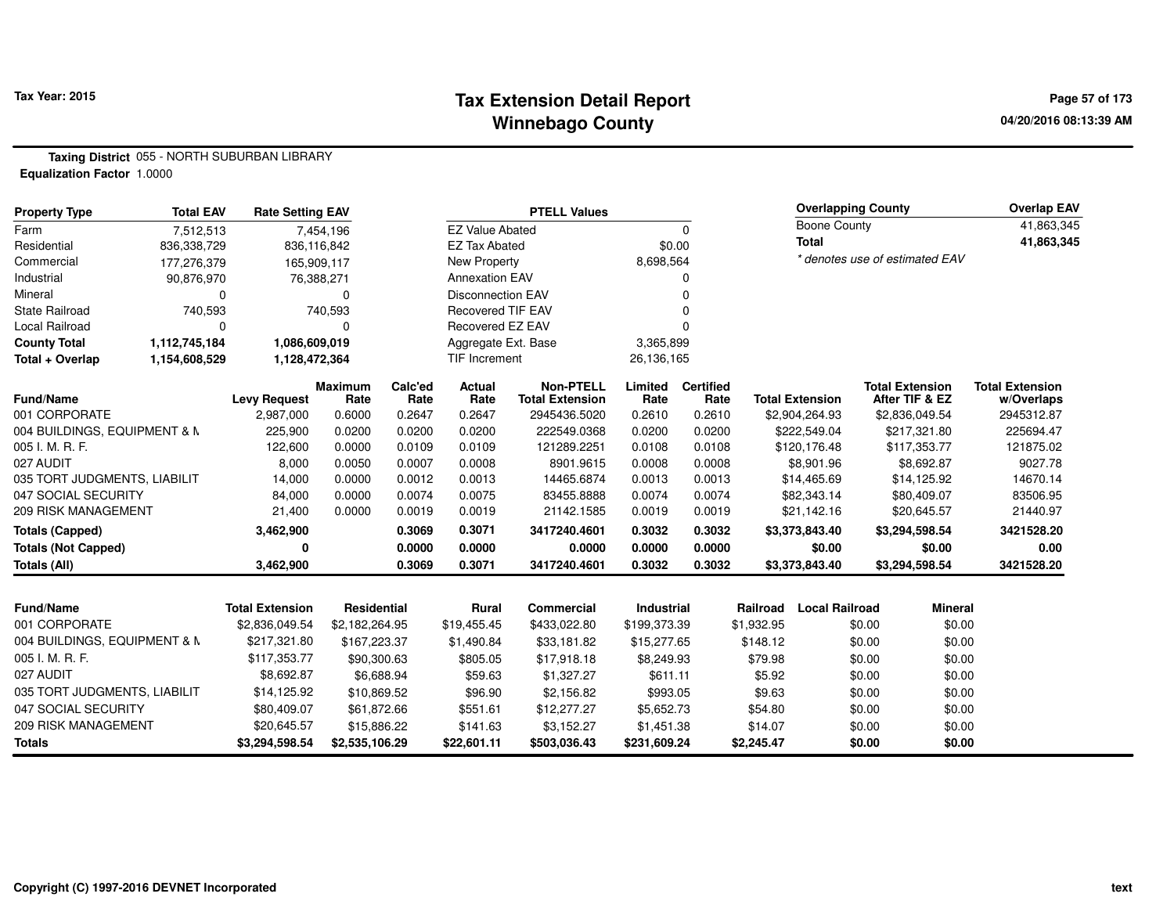### **Tax Extension Detail Report Tax Year: 2015 Page 57 of 173 Winnebago County**

**Taxing District** 055 - NORTH SUBURBAN LIBRARY

**Equalization Factor** 1.0000

| <b>Property Type</b>         | <b>Total EAV</b> | <b>Rate Setting EAV</b> |                        |                 |                          | <b>PTELL Values</b>                        |                 |                          |            | <b>Overlapping County</b> |        |                                          | <b>Overlap EAV</b>                   |
|------------------------------|------------------|-------------------------|------------------------|-----------------|--------------------------|--------------------------------------------|-----------------|--------------------------|------------|---------------------------|--------|------------------------------------------|--------------------------------------|
| Farm                         | 7,512,513        |                         | 7,454,196              |                 | <b>EZ Value Abated</b>   |                                            |                 | $\Omega$                 |            | <b>Boone County</b>       |        |                                          | 41,863,345                           |
| Residential                  | 836,338,729      |                         | 836,116,842            |                 | <b>EZ Tax Abated</b>     |                                            | \$0.00          |                          |            | <b>Total</b>              |        |                                          | 41,863,345                           |
| Commercial                   | 177,276,379      |                         | 165,909,117            |                 | New Property             |                                            | 8,698,564       |                          |            |                           |        | * denotes use of estimated EAV           |                                      |
| Industrial                   | 90,876,970       |                         | 76,388,271             |                 | <b>Annexation EAV</b>    |                                            |                 | 0                        |            |                           |        |                                          |                                      |
| Mineral                      | 0                |                         | 0                      |                 | <b>Disconnection EAV</b> |                                            |                 | U                        |            |                           |        |                                          |                                      |
| <b>State Railroad</b>        | 740,593          |                         | 740,593                |                 | <b>Recovered TIF EAV</b> |                                            |                 |                          |            |                           |        |                                          |                                      |
| <b>Local Railroad</b>        | 0                |                         | 0                      |                 | Recovered EZ EAV         |                                            |                 | O                        |            |                           |        |                                          |                                      |
| <b>County Total</b>          | 1,112,745,184    | 1,086,609,019           |                        |                 | Aggregate Ext. Base      |                                            | 3,365,899       |                          |            |                           |        |                                          |                                      |
| Total + Overlap              | 1,154,608,529    | 1,128,472,364           |                        |                 | TIF Increment            |                                            | 26,136,165      |                          |            |                           |        |                                          |                                      |
| <b>Fund/Name</b>             |                  | <b>Levy Request</b>     | <b>Maximum</b><br>Rate | Calc'ed<br>Rate | Actual<br>Rate           | <b>Non-PTELL</b><br><b>Total Extension</b> | Limited<br>Rate | <b>Certified</b><br>Rate |            | <b>Total Extension</b>    |        | <b>Total Extension</b><br>After TIF & EZ | <b>Total Extension</b><br>w/Overlaps |
| 001 CORPORATE                |                  | 2,987,000               | 0.6000                 | 0.2647          | 0.2647                   | 2945436.5020                               | 0.2610          | 0.2610                   |            | \$2,904,264.93            |        | \$2,836,049.54                           | 2945312.87                           |
| 004 BUILDINGS, EQUIPMENT & M |                  | 225,900                 | 0.0200                 | 0.0200          | 0.0200                   | 222549.0368                                | 0.0200          | 0.0200                   |            | \$222,549.04              |        | \$217,321.80                             | 225694.47                            |
| 005 I. M. R. F.              |                  | 122,600                 | 0.0000                 | 0.0109          | 0.0109                   | 121289.2251                                | 0.0108          | 0.0108                   |            | \$120,176.48              |        | \$117,353.77                             | 121875.02                            |
| 027 AUDIT                    |                  | 8,000                   | 0.0050                 | 0.0007          | 0.0008                   | 8901.9615                                  | 0.0008          | 0.0008                   |            | \$8,901.96                |        | \$8,692.87                               | 9027.78                              |
| 035 TORT JUDGMENTS, LIABILIT |                  | 14,000                  | 0.0000                 | 0.0012          | 0.0013                   | 14465.6874                                 | 0.0013          | 0.0013                   |            | \$14,465.69               |        | \$14,125.92                              | 14670.14                             |
| 047 SOCIAL SECURITY          |                  | 84,000                  | 0.0000                 | 0.0074          | 0.0075                   | 83455.8888                                 | 0.0074          | 0.0074                   |            | \$82,343.14               |        | \$80,409.07                              | 83506.95                             |
| 209 RISK MANAGEMENT          |                  | 21,400                  | 0.0000                 | 0.0019          | 0.0019                   | 21142.1585                                 | 0.0019          | 0.0019                   |            | \$21,142.16               |        | \$20,645.57                              | 21440.97                             |
| <b>Totals (Capped)</b>       |                  | 3,462,900               |                        | 0.3069          | 0.3071                   | 3417240.4601                               | 0.3032          | 0.3032                   |            | \$3,373,843.40            |        | \$3,294,598.54                           | 3421528.20                           |
| <b>Totals (Not Capped)</b>   |                  | 0                       |                        | 0.0000          | 0.0000                   | 0.0000                                     | 0.0000          | 0.0000                   |            | \$0.00                    |        | \$0.00                                   | 0.00                                 |
| <b>Totals (All)</b>          |                  | 3,462,900               |                        | 0.3069          | 0.3071                   | 3417240.4601                               | 0.3032          | 0.3032                   |            | \$3,373,843.40            |        | \$3,294,598.54                           | 3421528.20                           |
|                              |                  |                         |                        |                 |                          |                                            |                 |                          |            |                           |        |                                          |                                      |
| <b>Fund/Name</b>             |                  | <b>Total Extension</b>  | Residential            |                 | Rural                    | <b>Commercial</b>                          | Industrial      |                          | Railroad   | <b>Local Railroad</b>     |        | <b>Mineral</b>                           |                                      |
| 001 CORPORATE                |                  | \$2,836,049.54          | \$2,182,264.95         |                 | \$19,455.45              | \$433,022.80                               | \$199,373.39    |                          | \$1,932.95 |                           | \$0.00 | \$0.00                                   |                                      |
| 004 BUILDINGS, EQUIPMENT & N |                  | \$217,321.80            | \$167,223.37           |                 | \$1,490.84               | \$33,181.82                                | \$15,277.65     |                          | \$148.12   |                           | \$0.00 | \$0.00                                   |                                      |
| 005 I. M. R. F.              |                  | \$117,353.77            | \$90,300.63            |                 | \$805.05                 | \$17,918.18                                | \$8,249.93      |                          | \$79.98    |                           | \$0.00 | \$0.00                                   |                                      |
| 027 AUDIT                    |                  | \$8,692.87              | \$6,688.94             |                 | \$59.63                  | \$1,327.27                                 | \$611.11        |                          | \$5.92     |                           | \$0.00 | \$0.00                                   |                                      |
| 035 TORT JUDGMENTS, LIABILIT |                  | \$14,125.92             | \$10,869.52            |                 | \$96.90                  | \$2,156.82                                 | \$993.05        |                          | \$9.63     |                           | \$0.00 | \$0.00                                   |                                      |
| 047 SOCIAL SECURITY          |                  | \$80,409.07             | \$61,872.66            |                 | \$551.61                 | \$12,277.27                                | \$5,652.73      |                          | \$54.80    |                           | \$0.00 | \$0.00                                   |                                      |
| 209 RISK MANAGEMENT          |                  | \$20,645.57             | \$15,886.22            |                 | \$141.63                 | \$3,152.27                                 | \$1,451.38      |                          | \$14.07    |                           | \$0.00 | \$0.00                                   |                                      |
| <b>Totals</b>                |                  | \$3,294,598.54          | \$2,535,106.29         |                 | \$22,601.11              | \$503,036.43                               | \$231,609.24    |                          | \$2,245.47 |                           | \$0.00 | \$0.00                                   |                                      |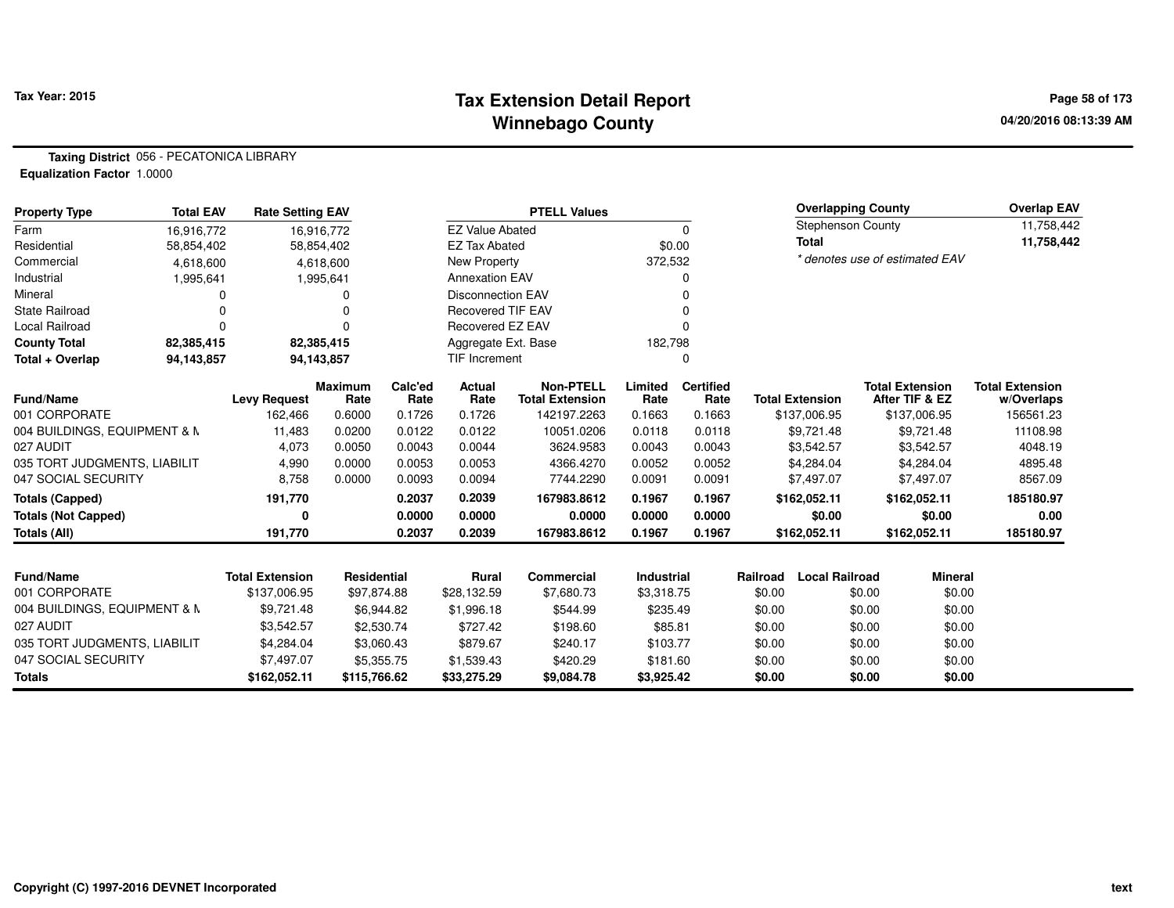## **Tax Extension Detail Report Tax Year: 2015 Page 58 of 173 Winnebago County**

**Taxing District** 056 - PECATONICA LIBRARY**Equalization Factor** 1.0000

| <b>Property Type</b>         | <b>Total EAV</b> | <b>Rate Setting EAV</b> |                        |                 |                          | <b>PTELL Values</b>                        |                   |                          |          | <b>Overlapping County</b>      |                                          |                | <b>Overlap EAV</b>                   |
|------------------------------|------------------|-------------------------|------------------------|-----------------|--------------------------|--------------------------------------------|-------------------|--------------------------|----------|--------------------------------|------------------------------------------|----------------|--------------------------------------|
| Farm                         | 16,916,772       |                         | 16,916,772             |                 | <b>EZ Value Abated</b>   |                                            |                   | $\mathbf 0$              |          | <b>Stephenson County</b>       |                                          |                | 11,758,442                           |
| Residential                  | 58,854,402       |                         | 58,854,402             |                 | <b>EZ Tax Abated</b>     |                                            |                   | \$0.00                   |          | <b>Total</b>                   |                                          |                | 11,758,442                           |
| Commercial                   | 4,618,600        |                         | 4,618,600              |                 | <b>New Property</b>      |                                            | 372,532           |                          |          | * denotes use of estimated EAV |                                          |                |                                      |
| Industrial                   | 1,995,641        |                         | 1,995,641              |                 | <b>Annexation EAV</b>    |                                            |                   |                          |          |                                |                                          |                |                                      |
| Mineral                      |                  |                         | 0                      |                 | <b>Disconnection EAV</b> |                                            |                   |                          |          |                                |                                          |                |                                      |
| <b>State Railroad</b>        |                  |                         |                        |                 | <b>Recovered TIF EAV</b> |                                            |                   |                          |          |                                |                                          |                |                                      |
| Local Railroad               |                  |                         |                        |                 | Recovered EZ EAV         |                                            |                   |                          |          |                                |                                          |                |                                      |
| <b>County Total</b>          | 82,385,415       |                         | 82,385,415             |                 | Aggregate Ext. Base      |                                            | 182,798           |                          |          |                                |                                          |                |                                      |
| Total + Overlap              | 94,143,857       |                         | 94,143,857             |                 | TIF Increment            |                                            |                   |                          |          |                                |                                          |                |                                      |
| <b>Fund/Name</b>             |                  | <b>Levy Request</b>     | <b>Maximum</b><br>Rate | Calc'ed<br>Rate | Actual<br>Rate           | <b>Non-PTELL</b><br><b>Total Extension</b> | Limited<br>Rate   | <b>Certified</b><br>Rate |          | <b>Total Extension</b>         | <b>Total Extension</b><br>After TIF & EZ |                | <b>Total Extension</b><br>w/Overlaps |
| 001 CORPORATE                |                  | 162,466                 | 0.6000                 | 0.1726          | 0.1726                   | 142197.2263                                | 0.1663            | 0.1663                   |          | \$137,006.95                   |                                          | \$137,006.95   | 156561.23                            |
| 004 BUILDINGS, EQUIPMENT & M |                  | 11,483                  | 0.0200                 | 0.0122          | 0.0122                   | 10051.0206                                 | 0.0118            | 0.0118                   |          | \$9,721.48                     |                                          | \$9,721.48     | 11108.98                             |
| 027 AUDIT                    |                  | 4,073                   | 0.0050                 | 0.0043          | 0.0044                   | 3624.9583                                  | 0.0043            | 0.0043                   |          | \$3,542.57                     |                                          | \$3,542.57     | 4048.19                              |
| 035 TORT JUDGMENTS, LIABILIT |                  | 4,990                   | 0.0000                 | 0.0053          | 0.0053                   | 4366.4270                                  | 0.0052            | 0.0052                   |          | \$4,284.04                     |                                          | \$4,284.04     | 4895.48                              |
| 047 SOCIAL SECURITY          |                  | 8,758                   | 0.0000                 | 0.0093          | 0.0094                   | 7744.2290                                  | 0.0091            | 0.0091                   |          | \$7,497.07                     |                                          | \$7,497.07     | 8567.09                              |
| <b>Totals (Capped)</b>       |                  | 191,770                 |                        | 0.2037          | 0.2039                   | 167983.8612                                | 0.1967            | 0.1967                   |          | \$162,052.11                   |                                          | \$162,052.11   | 185180.97                            |
| <b>Totals (Not Capped)</b>   |                  | 0                       |                        | 0.0000          | 0.0000                   | 0.0000                                     | 0.0000            | 0.0000                   |          | \$0.00                         |                                          | \$0.00         | 0.00                                 |
| Totals (All)                 |                  | 191,770                 |                        | 0.2037          | 0.2039                   | 167983.8612                                | 0.1967            | 0.1967                   |          | \$162,052.11                   |                                          | \$162,052.11   | 185180.97                            |
|                              |                  |                         |                        |                 |                          |                                            |                   |                          |          |                                |                                          |                |                                      |
| <b>Fund/Name</b>             |                  | <b>Total Extension</b>  | <b>Residential</b>     |                 | <b>Rural</b>             | <b>Commercial</b>                          | <b>Industrial</b> |                          | Railroad | <b>Local Railroad</b>          |                                          | <b>Mineral</b> |                                      |
| 001 CORPORATE                |                  | \$137,006.95            | \$97,874.88            |                 | \$28,132.59              | \$7,680.73                                 | \$3,318.75        |                          | \$0.00   |                                | \$0.00                                   | \$0.00         |                                      |
| 004 BUILDINGS, EQUIPMENT & N |                  | \$9,721.48              |                        | \$6,944.82      | \$1,996.18               | \$544.99                                   | \$235.49          |                          | \$0.00   |                                | \$0.00                                   | \$0.00         |                                      |
| 027 AUDIT                    |                  | \$3,542.57              |                        | \$2,530.74      | \$727.42                 | \$198.60                                   | \$85.81           |                          | \$0.00   |                                | \$0.00                                   | \$0.00         |                                      |
| 035 TORT JUDGMENTS, LIABILIT |                  | \$4,284.04              |                        | \$3,060.43      | \$879.67                 | \$240.17                                   | \$103.77          |                          | \$0.00   |                                | \$0.00                                   | \$0.00         |                                      |
| 047 SOCIAL SECURITY          |                  | \$7,497.07              |                        | \$5,355.75      | \$1,539.43               | \$420.29                                   | \$181.60          |                          | \$0.00   |                                | \$0.00                                   | \$0.00         |                                      |
| <b>Totals</b>                |                  | \$162,052.11            | \$115,766.62           |                 | \$33,275.29              | \$9,084.78                                 | \$3,925.42        |                          | \$0.00   |                                | \$0.00                                   | \$0.00         |                                      |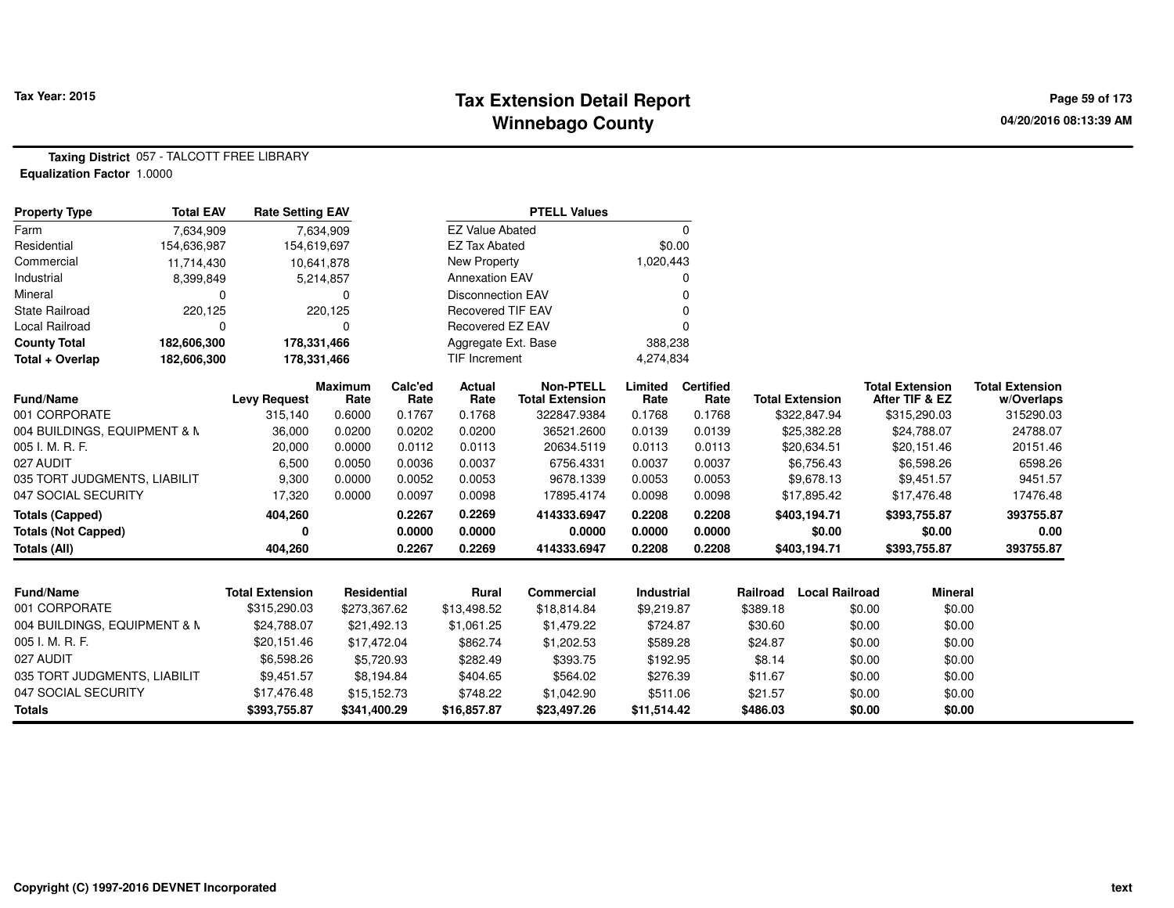## **Tax Extension Detail Report Tax Year: 2015 Page 59 of 173 Winnebago County**

**Taxing District** 057 - TALCOTT FREE LIBRARY**Equalization Factor** 1.0000

| <b>Property Type</b>         | <b>Total EAV</b> | <b>Rate Setting EAV</b> |                        |                 |                          | <b>PTELL Values</b>                        |                   |                          |          |                        |                                          |                                      |
|------------------------------|------------------|-------------------------|------------------------|-----------------|--------------------------|--------------------------------------------|-------------------|--------------------------|----------|------------------------|------------------------------------------|--------------------------------------|
| Farm                         | 7,634,909        |                         | 7,634,909              |                 | <b>EZ Value Abated</b>   |                                            |                   | $\Omega$                 |          |                        |                                          |                                      |
| Residential                  | 154,636,987      |                         | 154,619,697            |                 | <b>EZ Tax Abated</b>     |                                            | \$0.00            |                          |          |                        |                                          |                                      |
| Commercial                   | 11,714,430       |                         | 10,641,878             |                 | New Property             |                                            | 1,020,443         |                          |          |                        |                                          |                                      |
| Industrial                   | 8,399,849        |                         | 5,214,857              |                 | <b>Annexation EAV</b>    |                                            |                   | $\Omega$                 |          |                        |                                          |                                      |
| Mineral                      | $\Omega$         |                         | $\Omega$               |                 | <b>Disconnection EAV</b> |                                            |                   |                          |          |                        |                                          |                                      |
| <b>State Railroad</b>        | 220,125          |                         | 220,125                |                 | <b>Recovered TIF EAV</b> |                                            |                   |                          |          |                        |                                          |                                      |
| Local Railroad               | 0                |                         | $\Omega$               |                 | Recovered EZ EAV         |                                            |                   |                          |          |                        |                                          |                                      |
| <b>County Total</b>          | 182,606,300      |                         | 178,331,466            |                 | Aggregate Ext. Base      |                                            | 388,238           |                          |          |                        |                                          |                                      |
| Total + Overlap              | 182,606,300      |                         | 178,331,466            |                 | TIF Increment            |                                            | 4,274,834         |                          |          |                        |                                          |                                      |
| <b>Fund/Name</b>             |                  | <b>Levy Request</b>     | <b>Maximum</b><br>Rate | Calc'ed<br>Rate | <b>Actual</b><br>Rate    | <b>Non-PTELL</b><br><b>Total Extension</b> | Limited<br>Rate   | <b>Certified</b><br>Rate |          | <b>Total Extension</b> | <b>Total Extension</b><br>After TIF & EZ | <b>Total Extension</b><br>w/Overlaps |
| 001 CORPORATE                |                  | 315,140                 | 0.6000                 | 0.1767          | 0.1768                   | 322847.9384                                | 0.1768            | 0.1768                   |          | \$322,847.94           | \$315,290.03                             | 315290.03                            |
| 004 BUILDINGS, EQUIPMENT & M |                  | 36,000                  | 0.0200                 | 0.0202          | 0.0200                   | 36521.2600                                 | 0.0139            | 0.0139                   |          | \$25,382.28            | \$24,788.07                              | 24788.07                             |
| 005 I. M. R. F.              |                  | 20,000                  | 0.0000                 | 0.0112          | 0.0113                   | 20634.5119                                 | 0.0113            | 0.0113                   |          | \$20,634.51            | \$20,151.46                              | 20151.46                             |
| 027 AUDIT                    |                  | 6,500                   | 0.0050                 | 0.0036          | 0.0037                   | 6756.4331                                  | 0.0037            | 0.0037                   |          | \$6,756.43             | \$6,598.26                               | 6598.26                              |
| 035 TORT JUDGMENTS, LIABILIT |                  | 9,300                   | 0.0000                 | 0.0052          | 0.0053                   | 9678.1339                                  | 0.0053            | 0.0053                   |          | \$9,678.13             | \$9,451.57                               | 9451.57                              |
| 047 SOCIAL SECURITY          |                  | 17,320                  | 0.0000                 | 0.0097          | 0.0098                   | 17895.4174                                 | 0.0098            | 0.0098                   |          | \$17,895.42            | \$17,476.48                              | 17476.48                             |
| <b>Totals (Capped)</b>       |                  | 404,260                 |                        | 0.2267          | 0.2269                   | 414333.6947                                | 0.2208            | 0.2208                   |          | \$403,194.71           | \$393,755.87                             | 393755.87                            |
| <b>Totals (Not Capped)</b>   |                  |                         |                        | 0.0000          | 0.0000                   | 0.0000                                     | 0.0000            | 0.0000                   |          | \$0.00                 | \$0.00                                   | 0.00                                 |
| Totals (All)                 |                  | 404.260                 |                        | 0.2267          | 0.2269                   | 414333.6947                                | 0.2208            | 0.2208                   |          | \$403,194.71           | \$393,755.87                             | 393755.87                            |
|                              |                  |                         |                        |                 |                          |                                            |                   |                          |          |                        |                                          |                                      |
| <b>Fund/Name</b>             |                  | <b>Total Extension</b>  | <b>Residential</b>     |                 | Rural                    | <b>Commercial</b>                          | <b>Industrial</b> |                          | Railroad | <b>Local Railroad</b>  | <b>Mineral</b>                           |                                      |
| 001 CORPORATE                |                  | \$315,290.03            | \$273,367.62           |                 | \$13,498.52              | \$18,814.84                                | \$9,219.87        |                          | \$389.18 |                        | \$0.00<br>\$0.00                         |                                      |
| 004 BUILDINGS, EQUIPMENT & N |                  | \$24,788.07             | \$21,492.13            |                 | \$1,061.25               | \$1,479.22                                 | \$724.87          |                          | \$30.60  |                        | \$0.00<br>\$0.00                         |                                      |
| 005 I. M. R. F.              |                  | \$20,151.46             | \$17,472.04            |                 | \$862.74                 | \$1,202.53                                 | \$589.28          |                          | \$24.87  |                        | \$0.00<br>\$0.00                         |                                      |
| 027 AUDIT                    |                  | \$6,598.26              |                        | \$5,720.93      | \$282.49                 | \$393.75                                   | \$192.95          |                          | \$8.14   |                        | \$0.00<br>\$0.00                         |                                      |
| 035 TORT JUDGMENTS, LIABILIT |                  | \$9,451.57              |                        | \$8,194.84      | \$404.65                 | \$564.02                                   | \$276.39          |                          | \$11.67  |                        | \$0.00<br>\$0.00                         |                                      |
| 047 SOCIAL SECURITY          |                  | \$17,476.48             | \$15,152.73            |                 | \$748.22                 | \$1,042.90                                 | \$511.06          |                          | \$21.57  |                        | \$0.00<br>\$0.00                         |                                      |
| <b>Totals</b>                |                  | \$393,755.87            | \$341,400.29           |                 | \$16,857.87              | \$23,497.26                                | \$11,514.42       |                          | \$486.03 |                        | \$0.00<br>\$0.00                         |                                      |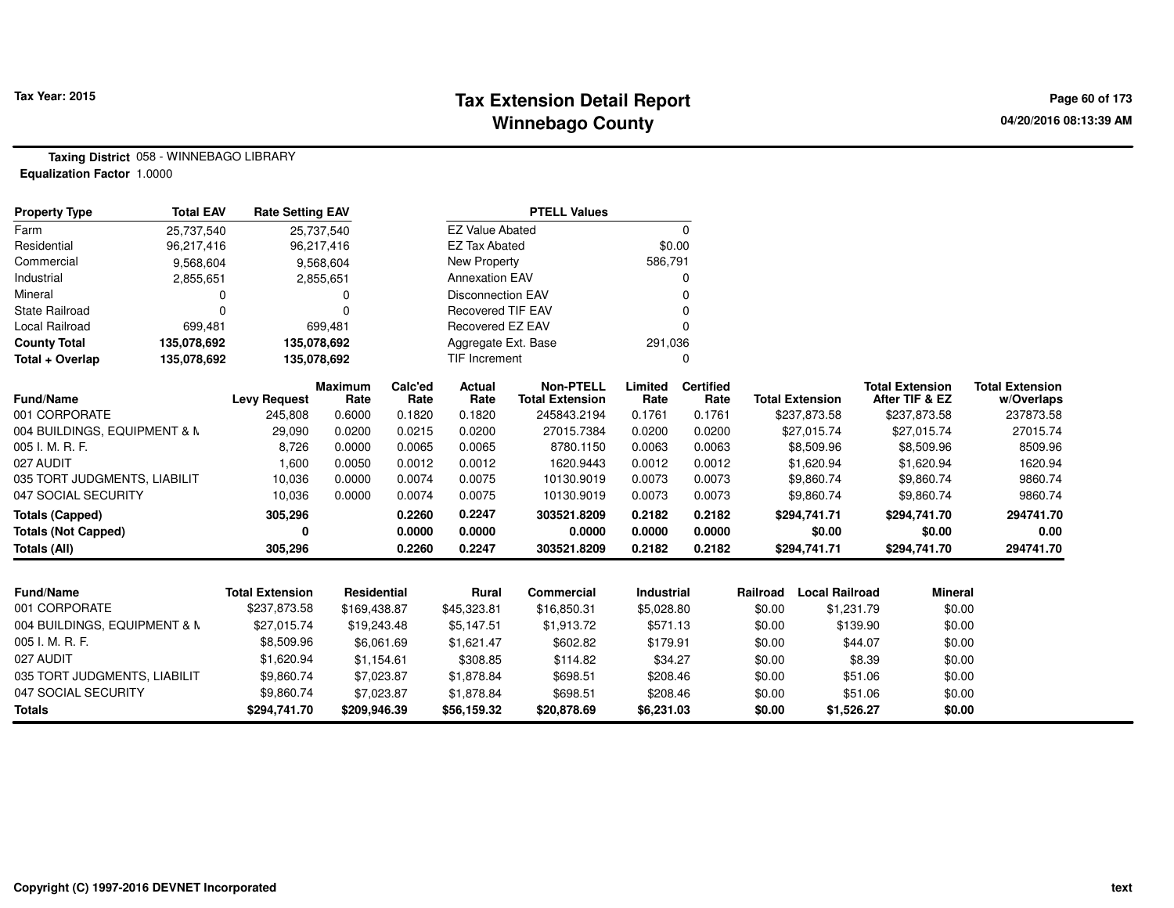## **Tax Extension Detail Report Tax Year: 2015 Page 60 of 173 Winnebago County**

**Taxing District** 058 - WINNEBAGO LIBRARY**Equalization Factor** 1.0000

| <b>Property Type</b>         | <b>Total EAV</b> | <b>Rate Setting EAV</b> |                        |                 |                          | <b>PTELL Values</b>                        |                   |                          |          |                        |                                          |                                      |
|------------------------------|------------------|-------------------------|------------------------|-----------------|--------------------------|--------------------------------------------|-------------------|--------------------------|----------|------------------------|------------------------------------------|--------------------------------------|
| Farm                         | 25,737,540       |                         | 25,737,540             |                 | <b>EZ Value Abated</b>   |                                            |                   | $\Omega$                 |          |                        |                                          |                                      |
| Residential                  | 96,217,416       |                         | 96,217,416             |                 | <b>EZ Tax Abated</b>     |                                            |                   | \$0.00                   |          |                        |                                          |                                      |
| Commercial                   | 9,568,604        |                         | 9,568,604              |                 | New Property             |                                            | 586,791           |                          |          |                        |                                          |                                      |
| Industrial                   | 2,855,651        |                         | 2,855,651              |                 | <b>Annexation EAV</b>    |                                            |                   | $\Omega$                 |          |                        |                                          |                                      |
| Mineral                      | $\Omega$         |                         | 0                      |                 | <b>Disconnection EAV</b> |                                            |                   |                          |          |                        |                                          |                                      |
| <b>State Railroad</b>        | $\Omega$         |                         | $\Omega$               |                 | <b>Recovered TIF EAV</b> |                                            |                   |                          |          |                        |                                          |                                      |
| Local Railroad               | 699,481          |                         | 699,481                |                 | Recovered EZ EAV         |                                            |                   |                          |          |                        |                                          |                                      |
| <b>County Total</b>          | 135,078,692      | 135,078,692             |                        |                 | Aggregate Ext. Base      |                                            | 291,036           |                          |          |                        |                                          |                                      |
| Total + Overlap              | 135,078,692      | 135,078,692             |                        |                 | TIF Increment            |                                            |                   | $\Omega$                 |          |                        |                                          |                                      |
| Fund/Name                    |                  | <b>Levy Request</b>     | <b>Maximum</b><br>Rate | Calc'ed<br>Rate | Actual<br>Rate           | <b>Non-PTELL</b><br><b>Total Extension</b> | Limited<br>Rate   | <b>Certified</b><br>Rate |          | <b>Total Extension</b> | <b>Total Extension</b><br>After TIF & EZ | <b>Total Extension</b><br>w/Overlaps |
| 001 CORPORATE                |                  | 245,808                 | 0.6000                 | 0.1820          | 0.1820                   | 245843.2194                                | 0.1761            | 0.1761                   |          | \$237,873.58           | \$237,873.58                             | 237873.58                            |
| 004 BUILDINGS, EQUIPMENT & N |                  | 29,090                  | 0.0200                 | 0.0215          | 0.0200                   | 27015.7384                                 | 0.0200            | 0.0200                   |          | \$27,015.74            | \$27,015.74                              | 27015.74                             |
| 005 I. M. R. F.              |                  | 8,726                   | 0.0000                 | 0.0065          | 0.0065                   | 8780.1150                                  | 0.0063            | 0.0063                   |          | \$8,509.96             | \$8,509.96                               | 8509.96                              |
| 027 AUDIT                    |                  | 1,600                   | 0.0050                 | 0.0012          | 0.0012                   | 1620.9443                                  | 0.0012            | 0.0012                   |          | \$1,620.94             | \$1,620.94                               | 1620.94                              |
| 035 TORT JUDGMENTS, LIABILIT |                  | 10,036                  | 0.0000                 | 0.0074          | 0.0075                   | 10130.9019                                 | 0.0073            | 0.0073                   |          | \$9,860.74             | \$9,860.74                               | 9860.74                              |
| 047 SOCIAL SECURITY          |                  | 10,036                  | 0.0000                 | 0.0074          | 0.0075                   | 10130.9019                                 | 0.0073            | 0.0073                   |          | \$9,860.74             | \$9,860.74                               | 9860.74                              |
| <b>Totals (Capped)</b>       |                  | 305,296                 |                        | 0.2260          | 0.2247                   | 303521.8209                                | 0.2182            | 0.2182                   |          | \$294,741.71           | \$294,741.70                             | 294741.70                            |
| <b>Totals (Not Capped)</b>   |                  | ŋ                       |                        | 0.0000          | 0.0000                   | 0.0000                                     | 0.0000            | 0.0000                   |          | \$0.00                 | \$0.00                                   | 0.00                                 |
| Totals (All)                 |                  | 305,296                 |                        | 0.2260          | 0.2247                   | 303521.8209                                | 0.2182            | 0.2182                   |          | \$294,741.71           | \$294,741.70                             | 294741.70                            |
|                              |                  |                         |                        |                 |                          |                                            |                   |                          |          |                        |                                          |                                      |
| <b>Fund/Name</b>             |                  | <b>Total Extension</b>  | Residential            |                 | <b>Rural</b>             | <b>Commercial</b>                          | <b>Industrial</b> |                          | Railroad | <b>Local Railroad</b>  | <b>Mineral</b>                           |                                      |
| 001 CORPORATE                |                  | \$237,873.58            | \$169,438.87           |                 | \$45,323.81              | \$16,850.31                                | \$5,028.80        |                          | \$0.00   | \$1,231.79             | \$0.00                                   |                                      |
| 004 BUILDINGS, EQUIPMENT & N |                  | \$27,015.74             | \$19,243.48            |                 | \$5,147.51               | \$1,913.72                                 | \$571.13          |                          | \$0.00   | \$139.90               | \$0.00                                   |                                      |
| 005 I. M. R. F.              |                  | \$8,509.96              |                        | \$6,061.69      | \$1,621.47               | \$602.82                                   | \$179.91          |                          | \$0.00   | \$44.07                | \$0.00                                   |                                      |
| 027 AUDIT                    |                  | \$1,620.94              | \$1,154.61             |                 | \$308.85                 | \$114.82                                   | \$34.27           |                          | \$0.00   |                        | \$8.39<br>\$0.00                         |                                      |
| 035 TORT JUDGMENTS, LIABILIT |                  | \$9,860.74              |                        | \$7,023.87      | \$1,878.84               | \$698.51                                   | \$208.46          |                          | \$0.00   | \$51.06                | \$0.00                                   |                                      |
| 047 SOCIAL SECURITY          |                  | \$9,860.74              |                        | \$7,023.87      | \$1,878.84               | \$698.51                                   | \$208.46          |                          | \$0.00   | \$51.06                | \$0.00                                   |                                      |
| <b>Totals</b>                |                  | \$294,741.70            | \$209,946.39           |                 | \$56,159.32              | \$20,878.69                                | \$6,231.03        |                          | \$0.00   | \$1,526.27             | \$0.00                                   |                                      |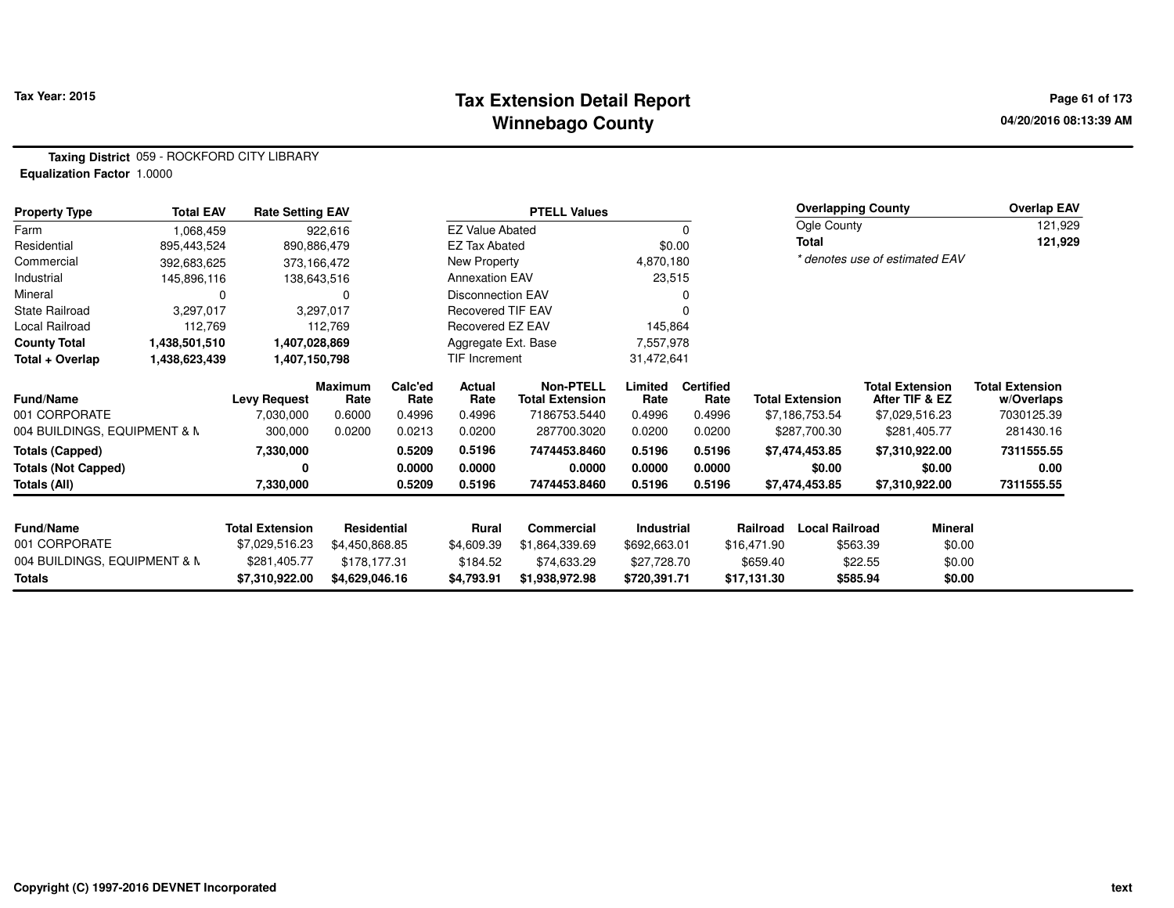## **Tax Extension Detail Report Tax Year: 2015 Page 61 of 173 Winnebago County**

**Taxing District** 059 - ROCKFORD CITY LIBRARY**Equalization Factor** 1.0000

| <b>Property Type</b>         | <b>Total EAV</b> | <b>Rate Setting EAV</b> |                    |                 |                          | <b>PTELL Values</b>                        |                 |                          |             | <b>Overlapping County</b> |                                          | <b>Overlap EAV</b>                   |
|------------------------------|------------------|-------------------------|--------------------|-----------------|--------------------------|--------------------------------------------|-----------------|--------------------------|-------------|---------------------------|------------------------------------------|--------------------------------------|
| Farm                         | 1,068,459        |                         | 922,616            |                 | <b>EZ Value Abated</b>   |                                            |                 | 0                        |             | Ogle County               |                                          | 121,929                              |
| Residential                  | 895,443,524      | 890,886,479             |                    |                 | <b>EZ Tax Abated</b>     |                                            |                 | \$0.00                   |             | Total                     |                                          | 121,929                              |
| Commercial                   | 392,683,625      | 373,166,472             |                    |                 | New Property             |                                            | 4,870,180       |                          |             |                           | * denotes use of estimated EAV           |                                      |
| Industrial                   | 145,896,116      | 138,643,516             |                    |                 | <b>Annexation EAV</b>    |                                            | 23,515          |                          |             |                           |                                          |                                      |
| Mineral                      | 0                |                         | 0                  |                 | <b>Disconnection EAV</b> |                                            |                 |                          |             |                           |                                          |                                      |
| <b>State Railroad</b>        | 3,297,017        |                         | 3,297,017          |                 | <b>Recovered TIF EAV</b> |                                            |                 |                          |             |                           |                                          |                                      |
| Local Railroad               | 112,769          |                         | 112,769            |                 | Recovered EZ EAV         |                                            | 145,864         |                          |             |                           |                                          |                                      |
| <b>County Total</b>          | 1,438,501,510    | 1,407,028,869           |                    |                 | Aggregate Ext. Base      |                                            | 7,557,978       |                          |             |                           |                                          |                                      |
| Total + Overlap              | 1,438,623,439    | 1,407,150,798           |                    |                 | TIF Increment            |                                            | 31,472,641      |                          |             |                           |                                          |                                      |
| <b>Fund/Name</b>             |                  | <b>Levy Request</b>     | Maximum<br>Rate    | Calc'ed<br>Rate | Actual<br>Rate           | <b>Non-PTELL</b><br><b>Total Extension</b> | Limited<br>Rate | <b>Certified</b><br>Rate |             | <b>Total Extension</b>    | <b>Total Extension</b><br>After TIF & EZ | <b>Total Extension</b><br>w/Overlaps |
| 001 CORPORATE                |                  | 7,030,000               | 0.6000             | 0.4996          | 0.4996                   | 7186753.5440                               | 0.4996          | 0.4996                   |             | \$7,186,753.54            | \$7,029,516.23                           | 7030125.39                           |
| 004 BUILDINGS, EQUIPMENT & N |                  | 300,000                 | 0.0200             | 0.0213          | 0.0200                   | 287700.3020                                | 0.0200          | 0.0200                   |             | \$287,700.30              | \$281,405.77                             | 281430.16                            |
| <b>Totals (Capped)</b>       |                  | 7,330,000               |                    | 0.5209          | 0.5196                   | 7474453.8460                               | 0.5196          | 0.5196                   |             | \$7,474,453.85            | \$7,310,922.00                           | 7311555.55                           |
| <b>Totals (Not Capped)</b>   |                  | 0                       |                    | 0.0000          | 0.0000                   | 0.0000                                     | 0.0000          | 0.0000                   |             | \$0.00                    | \$0.00                                   | 0.00                                 |
| Totals (All)                 |                  | 7,330,000               |                    | 0.5209          | 0.5196                   | 7474453.8460                               | 0.5196          | 0.5196                   |             | \$7,474,453.85            | \$7,310,922.00                           | 7311555.55                           |
| <b>Fund/Name</b>             |                  | <b>Total Extension</b>  | <b>Residential</b> |                 | Rural                    | Commercial                                 | Industrial      |                          | Railroad    | <b>Local Railroad</b>     | <b>Mineral</b>                           |                                      |
| 001 CORPORATE                |                  | \$7,029,516.23          | \$4,450,868.85     |                 | \$4,609.39               | \$1,864,339.69                             | \$692,663.01    |                          | \$16,471.90 |                           | \$0.00<br>\$563.39                       |                                      |
| 004 BUILDINGS, EQUIPMENT & N |                  | \$281,405.77            | \$178,177.31       |                 | \$184.52                 | \$74,633.29                                | \$27,728.70     |                          | \$659.40    |                           | \$22.55<br>\$0.00                        |                                      |
| Totals                       |                  | \$7,310,922.00          | \$4,629,046.16     |                 | \$4,793.91               | \$1,938,972.98                             | \$720,391.71    |                          | \$17,131.30 |                           | \$585.94<br>\$0.00                       |                                      |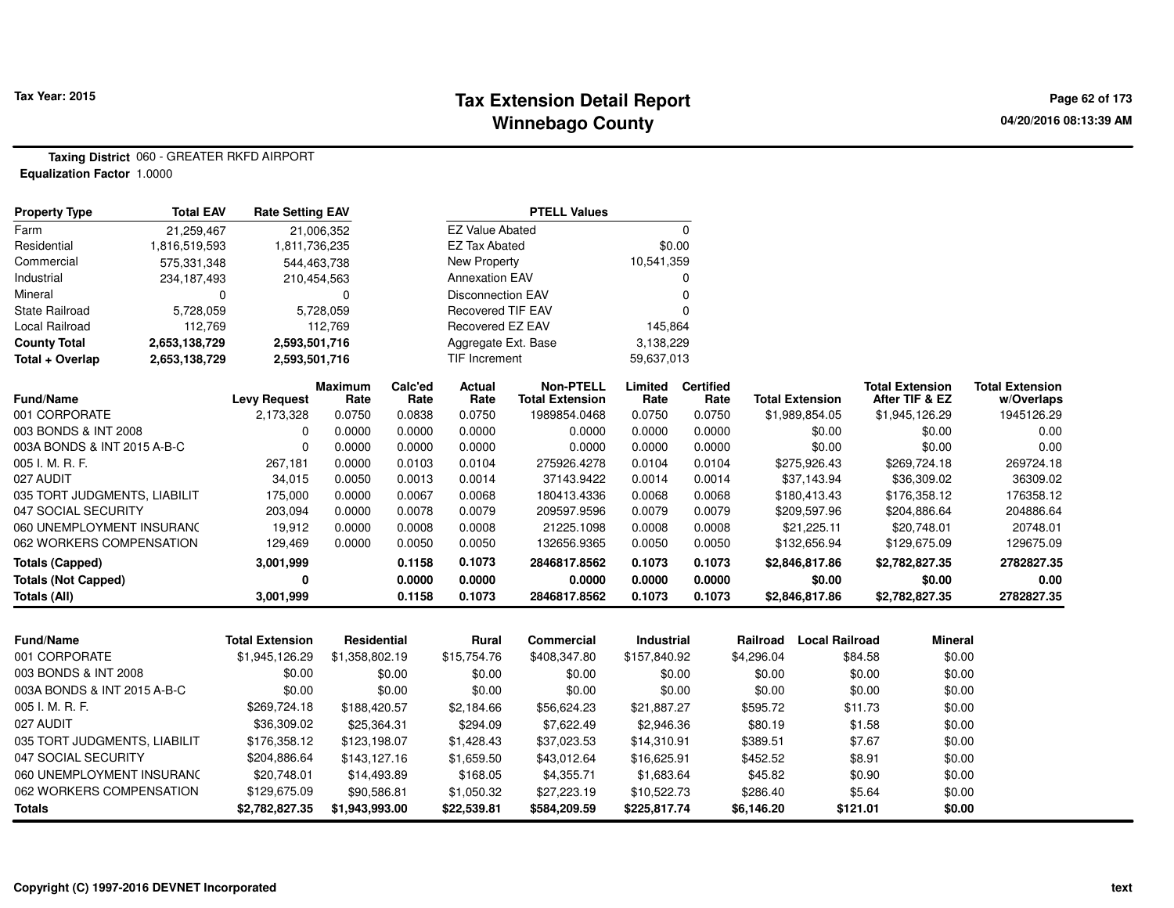## **Tax Extension Detail Report Tax Year: 2015 Page 62 of 173 Winnebago County**

**Taxing District** 060 - GREATER RKFD AIRPORT**Equalization Factor** 1.0000

| <b>Property Type</b>         | <b>Total EAV</b> | <b>Rate Setting EAV</b> |                        |                 |                          | <b>PTELL Values</b>                        |                 |                          |            |                        |                                          |                                      |
|------------------------------|------------------|-------------------------|------------------------|-----------------|--------------------------|--------------------------------------------|-----------------|--------------------------|------------|------------------------|------------------------------------------|--------------------------------------|
| Farm                         | 21,259,467       |                         | 21,006,352             |                 | <b>EZ Value Abated</b>   |                                            |                 | 0                        |            |                        |                                          |                                      |
| Residential                  | 1,816,519,593    | 1,811,736,235           |                        |                 | <b>EZ Tax Abated</b>     |                                            | \$0.00          |                          |            |                        |                                          |                                      |
| Commercial                   | 575,331,348      | 544,463,738             |                        |                 | <b>New Property</b>      |                                            | 10,541,359      |                          |            |                        |                                          |                                      |
| Industrial                   | 234,187,493      | 210,454,563             |                        |                 | <b>Annexation EAV</b>    |                                            |                 | 0                        |            |                        |                                          |                                      |
| Mineral                      | 0                |                         | $\mathbf 0$            |                 | <b>Disconnection EAV</b> |                                            |                 | 0                        |            |                        |                                          |                                      |
| State Railroad               | 5,728,059        |                         | 5,728,059              |                 | <b>Recovered TIF EAV</b> |                                            |                 | $\Omega$                 |            |                        |                                          |                                      |
| <b>Local Railroad</b>        | 112,769          |                         | 112,769                |                 | Recovered EZ EAV         |                                            | 145,864         |                          |            |                        |                                          |                                      |
| <b>County Total</b>          | 2,653,138,729    | 2,593,501,716           |                        |                 | Aggregate Ext. Base      |                                            | 3,138,229       |                          |            |                        |                                          |                                      |
| Total + Overlap              | 2,653,138,729    | 2,593,501,716           |                        |                 | TIF Increment            |                                            | 59,637,013      |                          |            |                        |                                          |                                      |
| <b>Fund/Name</b>             |                  | <b>Levy Request</b>     | <b>Maximum</b><br>Rate | Calc'ed<br>Rate | Actual<br>Rate           | <b>Non-PTELL</b><br><b>Total Extension</b> | Limited<br>Rate | <b>Certified</b><br>Rate |            | <b>Total Extension</b> | <b>Total Extension</b><br>After TIF & EZ | <b>Total Extension</b><br>w/Overlaps |
| 001 CORPORATE                |                  | 2,173,328               | 0.0750                 | 0.0838          | 0.0750                   | 1989854.0468                               | 0.0750          | 0.0750                   |            | \$1,989,854.05         | \$1,945,126.29                           | 1945126.29                           |
| 003 BONDS & INT 2008         |                  | 0                       | 0.0000                 | 0.0000          | 0.0000                   | 0.0000                                     | 0.0000          | 0.0000                   |            | \$0.00                 | \$0.00                                   | 0.00                                 |
| 003A BONDS & INT 2015 A-B-C  |                  | $\Omega$                | 0.0000                 | 0.0000          | 0.0000                   | 0.0000                                     | 0.0000          | 0.0000                   |            | \$0.00                 | \$0.00                                   | 0.00                                 |
| 005 I. M. R. F.              |                  | 267,181                 | 0.0000                 | 0.0103          | 0.0104                   | 275926.4278                                | 0.0104          | 0.0104                   |            | \$275,926.43           | \$269,724.18                             | 269724.18                            |
| 027 AUDIT                    |                  | 34,015                  | 0.0050                 | 0.0013          | 0.0014                   | 37143.9422                                 | 0.0014          | 0.0014                   |            | \$37,143.94            | \$36,309.02                              | 36309.02                             |
| 035 TORT JUDGMENTS, LIABILIT |                  | 175,000                 | 0.0000                 | 0.0067          | 0.0068                   | 180413.4336                                | 0.0068          | 0.0068                   |            | \$180,413.43           | \$176,358.12                             | 176358.12                            |
| 047 SOCIAL SECURITY          |                  | 203,094                 | 0.0000                 | 0.0078          | 0.0079                   | 209597.9596                                | 0.0079          | 0.0079                   |            | \$209,597.96           | \$204,886.64                             | 204886.64                            |
| 060 UNEMPLOYMENT INSURANC    |                  | 19,912                  | 0.0000                 | 0.0008          | 0.0008                   | 21225.1098                                 | 0.0008          | 0.0008                   |            | \$21,225.11            | \$20,748.01                              | 20748.01                             |
| 062 WORKERS COMPENSATION     |                  | 129,469                 | 0.0000                 | 0.0050          | 0.0050                   | 132656.9365                                | 0.0050          | 0.0050                   |            | \$132,656.94           | \$129,675.09                             | 129675.09                            |
| <b>Totals (Capped)</b>       |                  | 3,001,999               |                        | 0.1158          | 0.1073                   | 2846817.8562                               | 0.1073          | 0.1073                   |            | \$2,846,817.86         | \$2,782,827.35                           | 2782827.35                           |
| <b>Totals (Not Capped)</b>   |                  | $\bf{0}$                |                        | 0.0000          | 0.0000                   | 0.0000                                     | 0.0000          | 0.0000                   |            | \$0.00                 | \$0.00                                   | 0.00                                 |
| <b>Totals (All)</b>          |                  | 3,001,999               |                        | 0.1158          | 0.1073                   | 2846817.8562                               | 0.1073          | 0.1073                   |            | \$2,846,817.86         | \$2,782,827.35                           | 2782827.35                           |
|                              |                  |                         |                        |                 |                          |                                            |                 |                          |            |                        |                                          |                                      |
| <b>Fund/Name</b>             |                  | <b>Total Extension</b>  | <b>Residential</b>     |                 | Rural                    | <b>Commercial</b>                          | Industrial      |                          | Railroad   | <b>Local Railroad</b>  | <b>Mineral</b>                           |                                      |
| 001 CORPORATE                |                  | \$1,945,126.29          | \$1,358,802.19         |                 | \$15,754.76              | \$408,347.80                               | \$157,840.92    |                          | \$4,296.04 | \$84.58                | \$0.00                                   |                                      |
| 003 BONDS & INT 2008         |                  | \$0.00                  |                        | \$0.00          | \$0.00                   | \$0.00                                     |                 | \$0.00                   | \$0.00     | \$0.00                 | \$0.00                                   |                                      |
| 003A BONDS & INT 2015 A-B-C  |                  | \$0.00                  |                        | \$0.00          | \$0.00                   | \$0.00                                     |                 | \$0.00                   | \$0.00     | \$0.00                 | \$0.00                                   |                                      |
| 005 I. M. R. F.              |                  | \$269,724.18            | \$188,420.57           |                 | \$2,184.66               | \$56,624.23                                | \$21,887.27     |                          | \$595.72   | \$11.73                | \$0.00                                   |                                      |
| 027 AUDIT                    |                  | \$36,309.02             | \$25,364.31            |                 | \$294.09                 | \$7,622.49                                 | \$2,946.36      |                          | \$80.19    | \$1.58                 | \$0.00                                   |                                      |
| 035 TORT JUDGMENTS, LIABILIT |                  | \$176,358.12            | \$123,198.07           |                 | \$1,428.43               | \$37,023.53                                | \$14,310.91     |                          | \$389.51   | \$7.67                 | \$0.00                                   |                                      |
| 047 SOCIAL SECURITY          |                  | \$204,886.64            | \$143,127.16           |                 | \$1,659.50               | \$43,012.64                                | \$16,625.91     |                          | \$452.52   | \$8.91                 | \$0.00                                   |                                      |
| 060 UNEMPLOYMENT INSURANC    |                  | \$20,748.01             | \$14,493.89            |                 | \$168.05                 | \$4,355.71                                 | \$1,683.64      |                          | \$45.82    | \$0.90                 | \$0.00                                   |                                      |
| 062 WORKERS COMPENSATION     |                  | \$129,675.09            | \$90,586.81            |                 | \$1,050.32               | \$27,223.19                                | \$10,522.73     |                          | \$286.40   | \$5.64                 | \$0.00                                   |                                      |
| <b>Totals</b>                |                  | \$2,782,827.35          | \$1,943,993.00         |                 | \$22,539.81              | \$584,209.59                               | \$225,817.74    |                          | \$6,146.20 | \$121.01               | \$0.00                                   |                                      |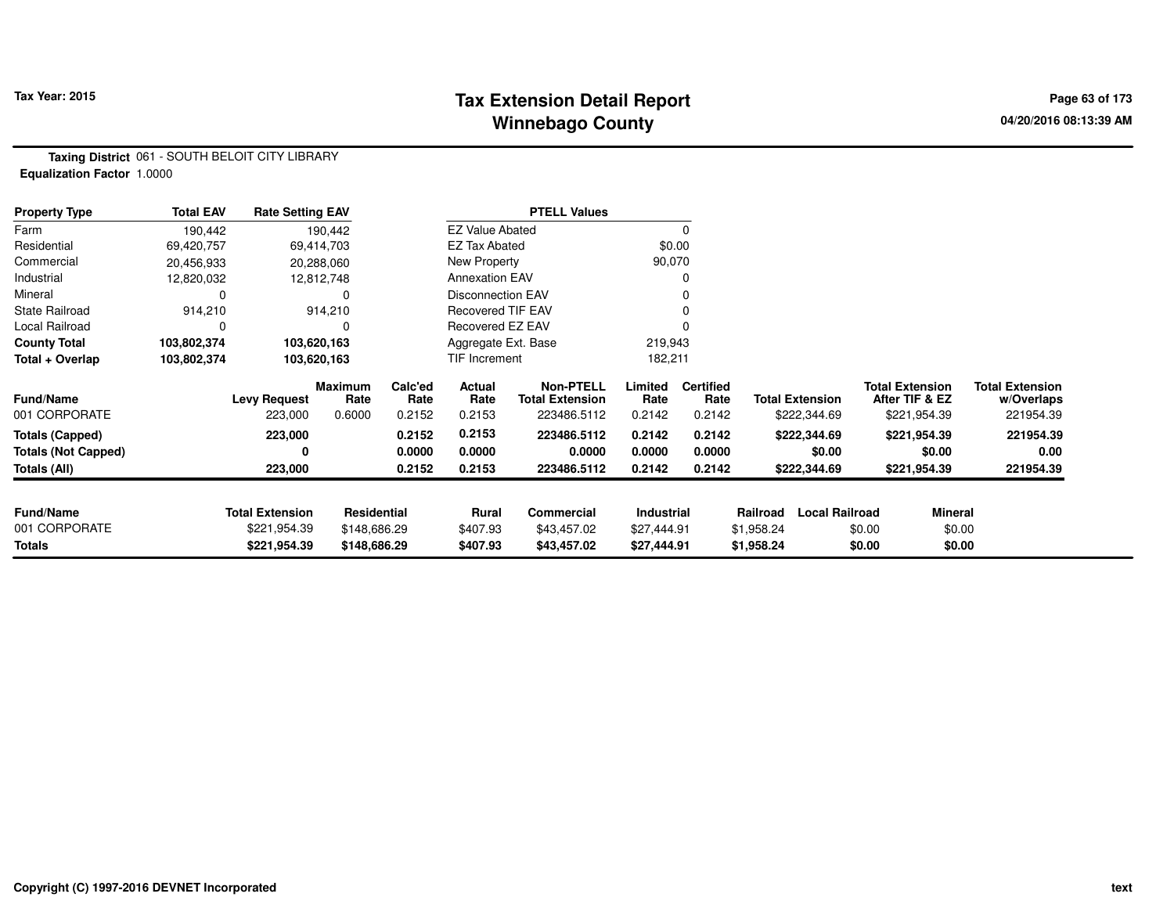## **Tax Extension Detail Report Tax Year: 2015 Page 63 of 173 Winnebago County**

**Taxing District** 061 - SOUTH BELOIT CITY LIBRARY**Equalization Factor** 1.0000

| <b>Property Type</b>       | <b>Total EAV</b> | <b>Rate Setting EAV</b> |                        |                 |                          | <b>PTELL Values</b>                        |                 |                          |            |                        |                                          |                                      |
|----------------------------|------------------|-------------------------|------------------------|-----------------|--------------------------|--------------------------------------------|-----------------|--------------------------|------------|------------------------|------------------------------------------|--------------------------------------|
| Farm                       | 190,442          |                         | 190,442                |                 | <b>EZ Value Abated</b>   |                                            |                 | 0                        |            |                        |                                          |                                      |
| Residential                | 69,420,757       |                         | 69,414,703             |                 | <b>EZ Tax Abated</b>     |                                            |                 | \$0.00                   |            |                        |                                          |                                      |
| Commercial                 | 20,456,933       |                         | 20,288,060             |                 | New Property             |                                            | 90,070          |                          |            |                        |                                          |                                      |
| Industrial                 | 12,820,032       |                         | 12,812,748             |                 | <b>Annexation EAV</b>    |                                            |                 | 0                        |            |                        |                                          |                                      |
| Mineral                    | 0                |                         |                        |                 | <b>Disconnection EAV</b> |                                            |                 | 0                        |            |                        |                                          |                                      |
| <b>State Railroad</b>      | 914,210          |                         | 914,210                |                 | <b>Recovered TIF EAV</b> |                                            |                 | 0                        |            |                        |                                          |                                      |
| Local Railroad             | 0                |                         |                        |                 | Recovered EZ EAV         |                                            |                 |                          |            |                        |                                          |                                      |
| <b>County Total</b>        | 103,802,374      | 103,620,163             |                        |                 | Aggregate Ext. Base      |                                            | 219,943         |                          |            |                        |                                          |                                      |
| Total + Overlap            | 103,802,374      | 103,620,163             |                        |                 | TIF Increment            |                                            | 182,211         |                          |            |                        |                                          |                                      |
| <b>Fund/Name</b>           |                  | <b>Levy Request</b>     | <b>Maximum</b><br>Rate | Calc'ed<br>Rate | Actual<br>Rate           | <b>Non-PTELL</b><br><b>Total Extension</b> | Limited<br>Rate | <b>Certified</b><br>Rate |            | <b>Total Extension</b> | <b>Total Extension</b><br>After TIF & EZ | <b>Total Extension</b><br>w/Overlaps |
| 001 CORPORATE              |                  | 223,000                 | 0.6000                 | 0.2152          | 0.2153                   | 223486.5112                                | 0.2142          | 0.2142                   |            | \$222,344.69           | \$221,954.39                             | 221954.39                            |
| <b>Totals (Capped)</b>     |                  | 223,000                 |                        | 0.2152          | 0.2153                   | 223486.5112                                | 0.2142          | 0.2142                   |            | \$222,344.69           | \$221,954.39                             | 221954.39                            |
| <b>Totals (Not Capped)</b> |                  | 0                       |                        | 0.0000          | 0.0000                   | 0.0000                                     | 0.0000          | 0.0000                   |            | \$0.00                 | \$0.00                                   | 0.00                                 |
| Totals (All)               |                  | 223,000                 |                        | 0.2152          | 0.2153                   | 223486.5112                                | 0.2142          | 0.2142                   |            | \$222,344.69           | \$221,954.39                             | 221954.39                            |
| <b>Fund/Name</b>           |                  | <b>Total Extension</b>  | <b>Residential</b>     |                 | Rural                    | <b>Commercial</b>                          | Industrial      |                          | Railroad   | <b>Local Railroad</b>  | Mineral                                  |                                      |
| 001 CORPORATE              |                  | \$221,954.39            | \$148,686.29           |                 | \$407.93                 | \$43,457.02                                | \$27,444.91     |                          | \$1,958.24 | \$0.00                 | \$0.00                                   |                                      |
| <b>Totals</b>              |                  | \$221,954.39            | \$148,686.29           |                 | \$407.93                 | \$43,457.02                                | \$27,444.91     |                          | \$1,958.24 | \$0.00                 | \$0.00                                   |                                      |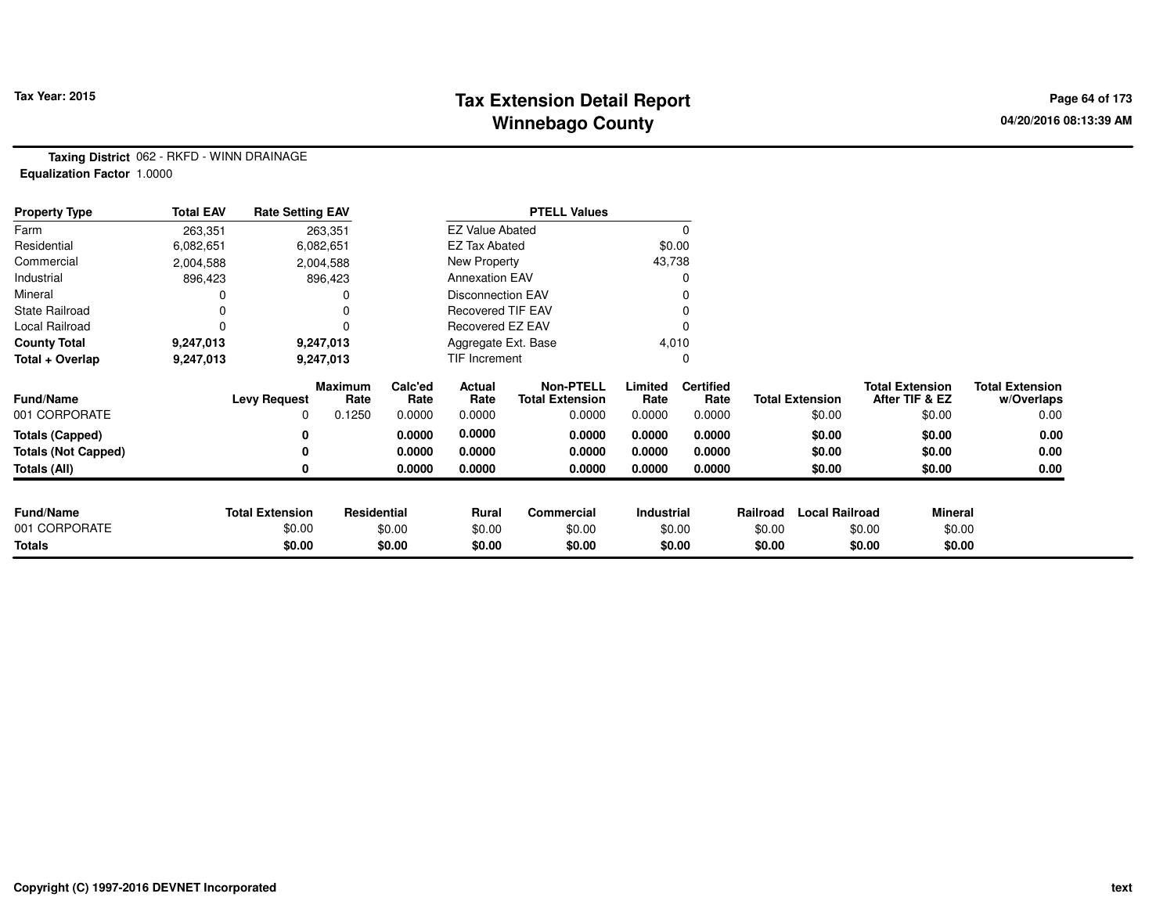## **Tax Extension Detail Report Tax Year: 2015 Page 64 of 173 Winnebago County**

**Taxing District** 062 - RKFD - WINN DRAINAGE**Equalization Factor** 1.0000

| <b>Property Type</b>       | <b>Total EAV</b> | <b>Rate Setting EAV</b> |                 |                 |                          | <b>PTELL Values</b>                        |                 |                          |          |                        |                                          |                                      |
|----------------------------|------------------|-------------------------|-----------------|-----------------|--------------------------|--------------------------------------------|-----------------|--------------------------|----------|------------------------|------------------------------------------|--------------------------------------|
| Farm                       | 263,351          |                         | 263,351         |                 | <b>EZ Value Abated</b>   |                                            |                 |                          |          |                        |                                          |                                      |
| Residential                | 6,082,651        |                         | 6,082,651       |                 | <b>EZ Tax Abated</b>     |                                            |                 | \$0.00                   |          |                        |                                          |                                      |
| Commercial                 | 2,004,588        |                         | 2,004,588       |                 | New Property             |                                            | 43,738          |                          |          |                        |                                          |                                      |
| Industrial                 | 896,423          |                         | 896,423         |                 | <b>Annexation EAV</b>    |                                            |                 |                          |          |                        |                                          |                                      |
| Mineral                    |                  |                         |                 |                 | <b>Disconnection EAV</b> |                                            |                 |                          |          |                        |                                          |                                      |
| <b>State Railroad</b>      |                  |                         |                 |                 | <b>Recovered TIF EAV</b> |                                            |                 |                          |          |                        |                                          |                                      |
| Local Railroad             | 0                |                         |                 |                 | Recovered EZ EAV         |                                            |                 |                          |          |                        |                                          |                                      |
| <b>County Total</b>        | 9,247,013        |                         | 9,247,013       |                 | Aggregate Ext. Base      |                                            |                 | 4,010                    |          |                        |                                          |                                      |
| Total + Overlap            | 9,247,013        |                         | 9,247,013       |                 | TIF Increment            |                                            |                 |                          |          |                        |                                          |                                      |
| <b>Fund/Name</b>           |                  | <b>Levy Request</b>     | Maximum<br>Rate | Calc'ed<br>Rate | Actual<br>Rate           | <b>Non-PTELL</b><br><b>Total Extension</b> | Limited<br>Rate | <b>Certified</b><br>Rate |          | <b>Total Extension</b> | <b>Total Extension</b><br>After TIF & EZ | <b>Total Extension</b><br>w/Overlaps |
| 001 CORPORATE              |                  | 0                       | 0.1250          | 0.0000          | 0.0000                   | 0.0000                                     | 0.0000          | 0.0000                   |          | \$0.00                 | \$0.00                                   | 0.00                                 |
| <b>Totals (Capped)</b>     |                  | 0                       |                 | 0.0000          | 0.0000                   | 0.0000                                     | 0.0000          | 0.0000                   |          | \$0.00                 | \$0.00                                   | 0.00                                 |
| <b>Totals (Not Capped)</b> |                  | 0                       |                 | 0.0000          | 0.0000                   | 0.0000                                     | 0.0000          | 0.0000                   |          | \$0.00                 | \$0.00                                   | 0.00                                 |
| <b>Totals (All)</b>        |                  | 0                       |                 | 0.0000          | 0.0000                   | 0.0000                                     | 0.0000          | 0.0000                   |          | \$0.00                 | \$0.00                                   | 0.00                                 |
|                            |                  |                         |                 |                 |                          |                                            |                 |                          |          |                        |                                          |                                      |
| <b>Fund/Name</b>           |                  | <b>Total Extension</b>  | Residential     |                 | Rural                    | Commercial                                 | Industrial      |                          | Railroad | <b>Local Railroad</b>  | <b>Mineral</b>                           |                                      |
| 001 CORPORATE              |                  | \$0.00                  |                 | \$0.00          | \$0.00                   | \$0.00                                     |                 | \$0.00                   | \$0.00   |                        | \$0.00                                   | \$0.00                               |
| <b>Totals</b>              |                  | \$0.00                  |                 | \$0.00          | \$0.00                   | \$0.00                                     |                 | \$0.00                   | \$0.00   |                        | \$0.00                                   | \$0.00                               |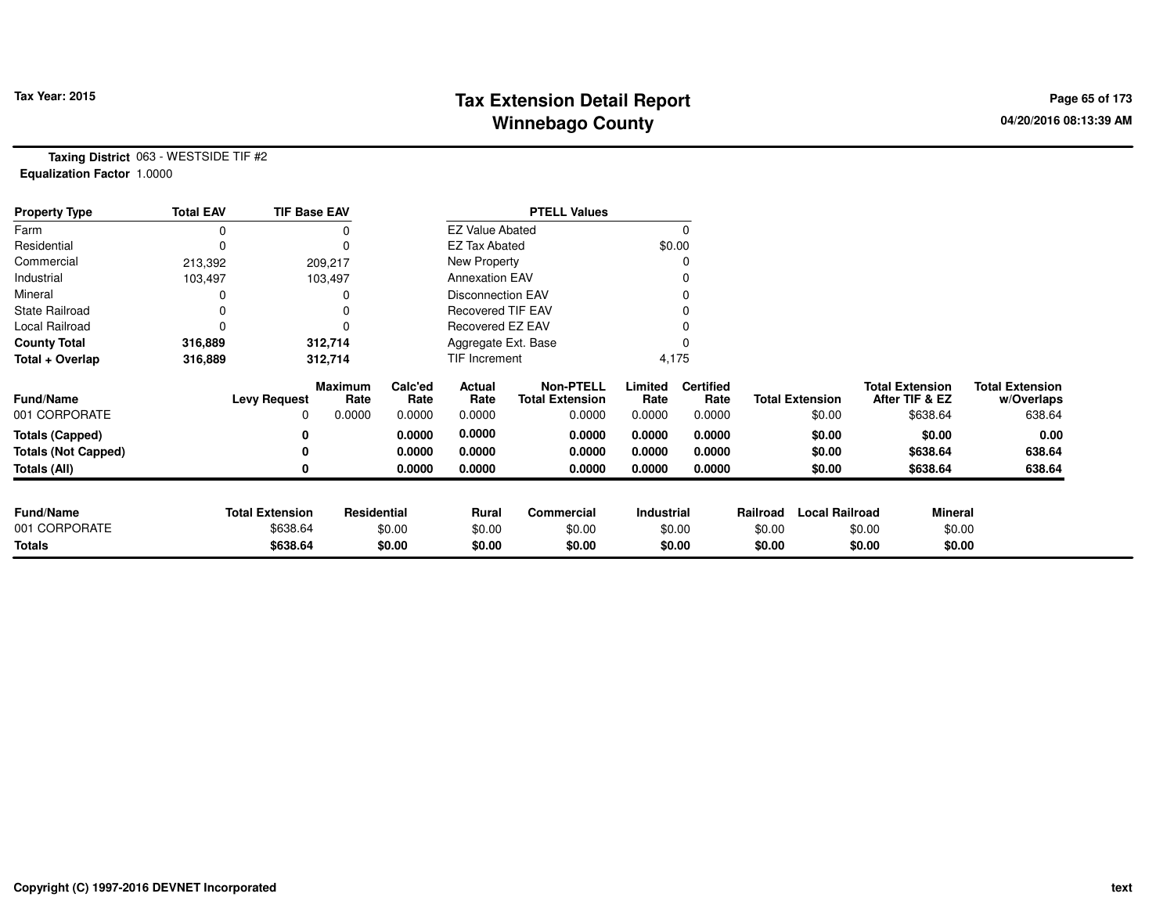## **Tax Extension Detail Report Tax Year: 2015 Page 65 of 173 Winnebago County**

**Taxing District** 063 - WESTSIDE TIF #2**Equalization Factor** 1.0000

| <b>Property Type</b>       | <b>Total EAV</b> | <b>TIF Base EAV</b>    |                 |                 |                          | <b>PTELL Values</b>                        |                 |                          |          |                        |                                          |                                      |
|----------------------------|------------------|------------------------|-----------------|-----------------|--------------------------|--------------------------------------------|-----------------|--------------------------|----------|------------------------|------------------------------------------|--------------------------------------|
| Farm                       |                  |                        |                 |                 | <b>EZ Value Abated</b>   |                                            |                 | $\Omega$                 |          |                        |                                          |                                      |
| Residential                | 0                |                        | $\Omega$        |                 | <b>EZ Tax Abated</b>     |                                            |                 | \$0.00                   |          |                        |                                          |                                      |
| Commercial                 | 213,392          |                        | 209,217         |                 | New Property             |                                            |                 | 0                        |          |                        |                                          |                                      |
| Industrial                 | 103,497          |                        | 103,497         |                 | <b>Annexation EAV</b>    |                                            |                 |                          |          |                        |                                          |                                      |
| Mineral                    |                  |                        | 0               |                 | <b>Disconnection EAV</b> |                                            |                 | 0                        |          |                        |                                          |                                      |
| <b>State Railroad</b>      |                  |                        |                 |                 | <b>Recovered TIF EAV</b> |                                            |                 |                          |          |                        |                                          |                                      |
| Local Railroad             |                  |                        | $\Omega$        |                 | Recovered EZ EAV         |                                            |                 |                          |          |                        |                                          |                                      |
| <b>County Total</b>        | 316,889          |                        | 312,714         |                 | Aggregate Ext. Base      |                                            |                 |                          |          |                        |                                          |                                      |
| Total + Overlap            | 316,889          |                        | 312,714         |                 | TIF Increment            |                                            |                 | 4,175                    |          |                        |                                          |                                      |
| <b>Fund/Name</b>           |                  | <b>Levy Request</b>    | Maximum<br>Rate | Calc'ed<br>Rate | Actual<br>Rate           | <b>Non-PTELL</b><br><b>Total Extension</b> | Limited<br>Rate | <b>Certified</b><br>Rate |          | <b>Total Extension</b> | <b>Total Extension</b><br>After TIF & EZ | <b>Total Extension</b><br>w/Overlaps |
| 001 CORPORATE              |                  | 0                      | 0.0000          | 0.0000          | 0.0000                   | 0.0000                                     | 0.0000          | 0.0000                   |          | \$0.00                 | \$638.64                                 | 638.64                               |
| <b>Totals (Capped)</b>     |                  |                        |                 | 0.0000          | 0.0000                   | 0.0000                                     | 0.0000          | 0.0000                   |          | \$0.00                 | \$0.00                                   | 0.00                                 |
| <b>Totals (Not Capped)</b> |                  |                        |                 | 0.0000          | 0.0000                   | 0.0000                                     | 0.0000          | 0.0000                   |          | \$0.00                 | \$638.64                                 | 638.64                               |
| Totals (All)               |                  |                        |                 | 0.0000          | 0.0000                   | 0.0000                                     | 0.0000          | 0.0000                   |          | \$0.00                 | \$638.64                                 | 638.64                               |
| <b>Fund/Name</b>           |                  |                        |                 |                 |                          |                                            |                 |                          |          |                        |                                          |                                      |
| 001 CORPORATE              |                  | <b>Total Extension</b> | Residential     |                 | Rural                    | Commercial                                 | Industrial      |                          | Railroad | <b>Local Railroad</b>  | <b>Mineral</b>                           |                                      |
|                            |                  | \$638.64               |                 | \$0.00          | \$0.00                   | \$0.00                                     |                 | \$0.00                   | \$0.00   |                        | \$0.00                                   | \$0.00                               |
| Totals                     |                  | \$638.64               |                 | \$0.00          | \$0.00                   | \$0.00                                     |                 | \$0.00                   | \$0.00   |                        | \$0.00                                   | \$0.00                               |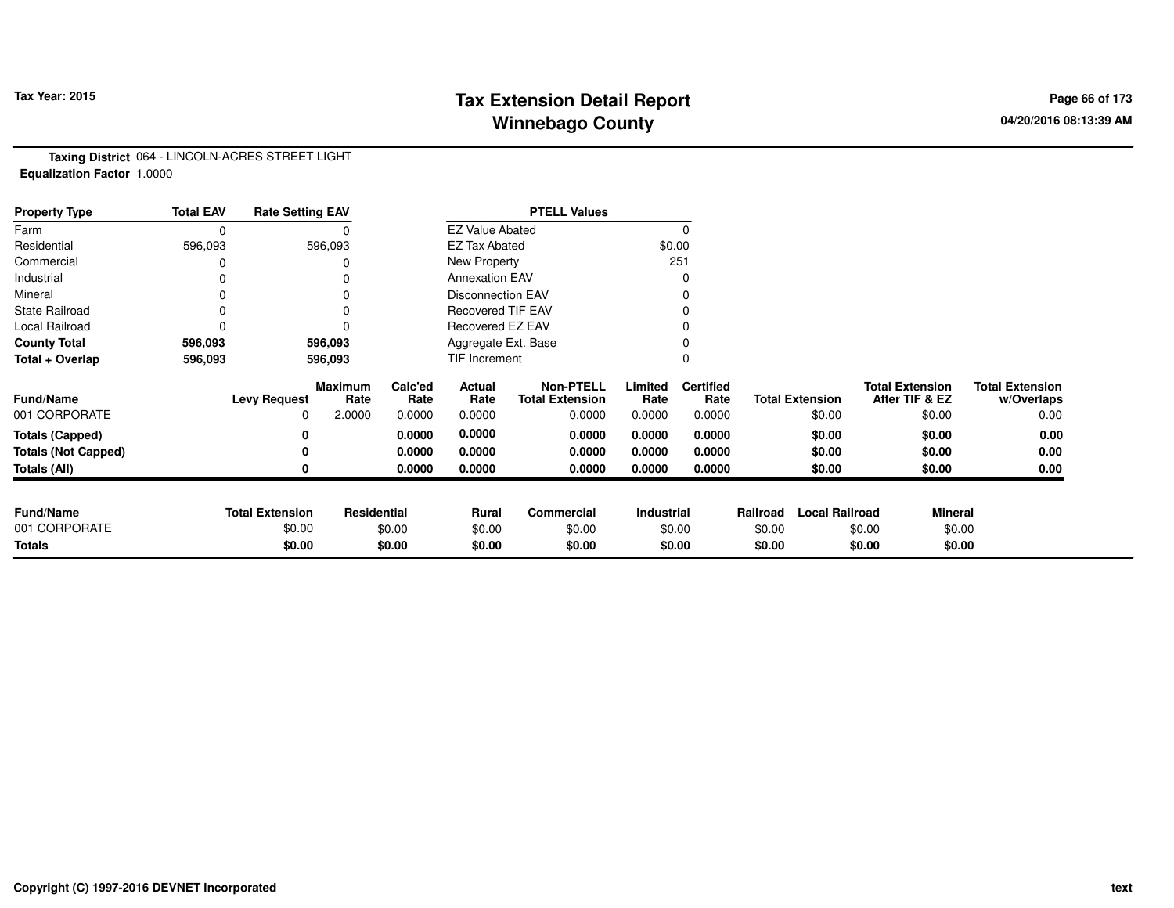## **Tax Extension Detail Report Tax Year: 2015 Page 66 of 173 Winnebago County**

**Taxing District** 064 - LINCOLN-ACRES STREET LIGHT**Equalization Factor** 1.0000

| <b>Property Type</b>       | <b>Total EAV</b> | <b>Rate Setting EAV</b> |                        |                 |                          | <b>PTELL Values</b>                        |                   |                          |          |                        |                                          |                                      |
|----------------------------|------------------|-------------------------|------------------------|-----------------|--------------------------|--------------------------------------------|-------------------|--------------------------|----------|------------------------|------------------------------------------|--------------------------------------|
| Farm                       | 0                |                         |                        |                 | <b>EZ Value Abated</b>   |                                            |                   | $\Omega$                 |          |                        |                                          |                                      |
| Residential                | 596,093          |                         | 596,093                |                 | <b>EZ Tax Abated</b>     |                                            |                   | \$0.00                   |          |                        |                                          |                                      |
| Commercial                 |                  |                         |                        |                 | New Property             |                                            |                   | 251                      |          |                        |                                          |                                      |
| Industrial                 |                  |                         |                        |                 | <b>Annexation EAV</b>    |                                            |                   | 0                        |          |                        |                                          |                                      |
| Mineral                    | 0                |                         |                        |                 | <b>Disconnection EAV</b> |                                            |                   | 0                        |          |                        |                                          |                                      |
| <b>State Railroad</b>      | 0                |                         | $\Omega$               |                 | <b>Recovered TIF EAV</b> |                                            |                   |                          |          |                        |                                          |                                      |
| Local Railroad             | 0                |                         |                        |                 | Recovered EZ EAV         |                                            |                   |                          |          |                        |                                          |                                      |
| <b>County Total</b>        | 596,093          |                         | 596,093                |                 | Aggregate Ext. Base      |                                            |                   |                          |          |                        |                                          |                                      |
| Total + Overlap            | 596,093          |                         | 596,093                |                 | TIF Increment            |                                            |                   | 0                        |          |                        |                                          |                                      |
| <b>Fund/Name</b>           |                  | <b>Levy Request</b>     | <b>Maximum</b><br>Rate | Calc'ed<br>Rate | Actual<br>Rate           | <b>Non-PTELL</b><br><b>Total Extension</b> | Limited<br>Rate   | <b>Certified</b><br>Rate |          | <b>Total Extension</b> | <b>Total Extension</b><br>After TIF & EZ | <b>Total Extension</b><br>w/Overlaps |
| 001 CORPORATE              |                  | 0                       | 2.0000                 | 0.0000          | 0.0000                   | 0.0000                                     | 0.0000            | 0.0000                   |          | \$0.00                 | \$0.00                                   | 0.00                                 |
| <b>Totals (Capped)</b>     |                  | 0                       |                        | 0.0000          | 0.0000                   | 0.0000                                     | 0.0000            | 0.0000                   |          | \$0.00                 | \$0.00                                   | 0.00                                 |
| <b>Totals (Not Capped)</b> |                  | 0                       |                        | 0.0000          | 0.0000                   | 0.0000                                     | 0.0000            | 0.0000                   |          | \$0.00                 | \$0.00                                   | 0.00                                 |
| Totals (All)               |                  | 0                       |                        | 0.0000          | 0.0000                   | 0.0000                                     | 0.0000            | 0.0000                   |          | \$0.00                 | \$0.00                                   | 0.00                                 |
|                            |                  |                         |                        |                 |                          |                                            |                   |                          |          |                        |                                          |                                      |
| <b>Fund/Name</b>           |                  | <b>Total Extension</b>  | <b>Residential</b>     |                 | Rural                    | Commercial                                 | <b>Industrial</b> |                          | Railroad | <b>Local Railroad</b>  | <b>Mineral</b>                           |                                      |
| 001 CORPORATE              |                  | \$0.00                  |                        | \$0.00          | \$0.00                   | \$0.00                                     |                   | \$0.00                   | \$0.00   |                        | \$0.00<br>\$0.00                         |                                      |
| <b>Totals</b>              |                  | \$0.00                  |                        | \$0.00          | \$0.00                   | \$0.00                                     |                   | \$0.00                   | \$0.00   |                        | \$0.00<br>\$0.00                         |                                      |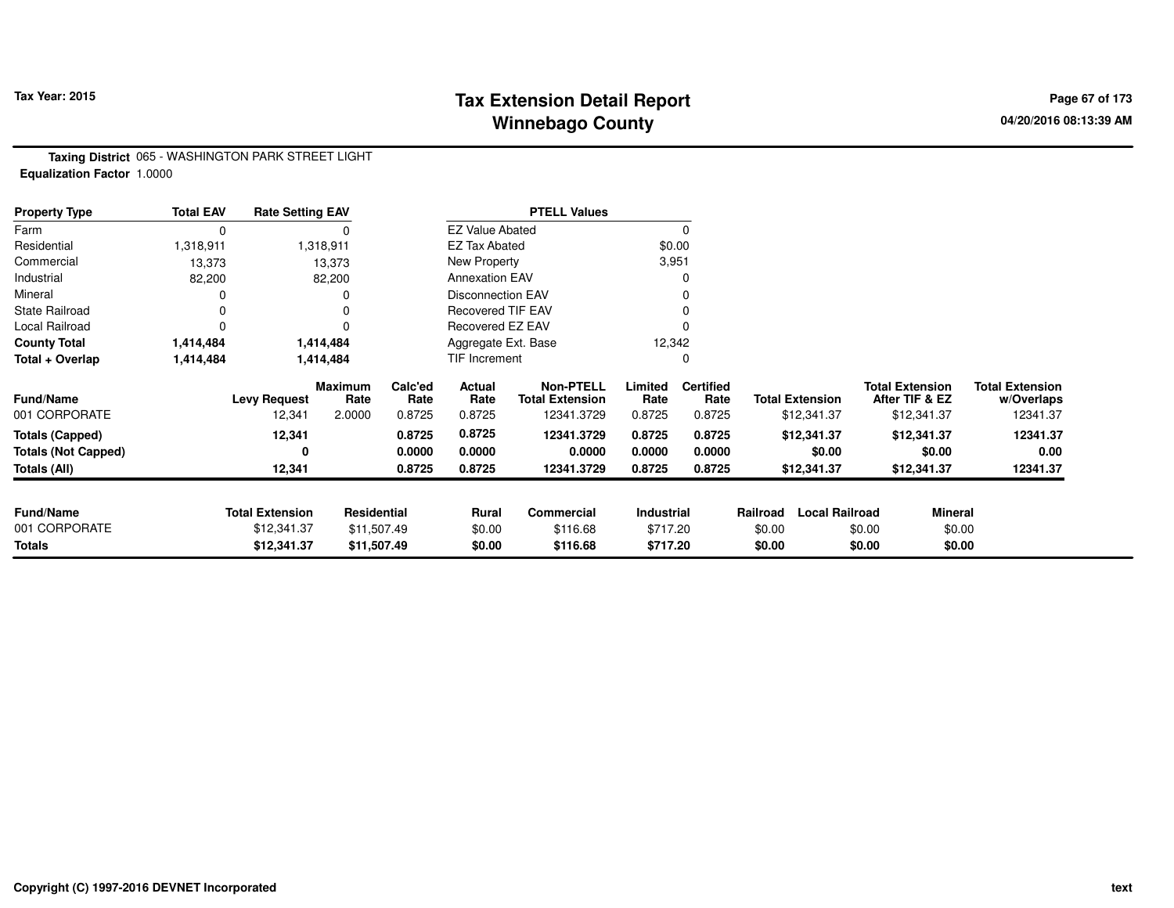## **Tax Extension Detail Report Tax Year: 2015 Page 67 of 173 Winnebago County**

**Taxing District** 065 - WASHINGTON PARK STREET LIGHT**Equalization Factor** 1.0000

| <b>Property Type</b>       | <b>Total EAV</b> | <b>Rate Setting EAV</b> |                 |                 |                          | <b>PTELL Values</b>                        |                 |                          |          |                        |        |                                          |                                      |
|----------------------------|------------------|-------------------------|-----------------|-----------------|--------------------------|--------------------------------------------|-----------------|--------------------------|----------|------------------------|--------|------------------------------------------|--------------------------------------|
| Farm                       | 0                |                         |                 |                 | <b>EZ Value Abated</b>   |                                            |                 |                          |          |                        |        |                                          |                                      |
| Residential                | 1,318,911        |                         | 1,318,911       |                 | <b>EZ Tax Abated</b>     |                                            | \$0.00          |                          |          |                        |        |                                          |                                      |
| Commercial                 | 13,373           |                         | 13,373          |                 | New Property             |                                            | 3,951           |                          |          |                        |        |                                          |                                      |
| Industrial                 | 82,200           |                         | 82,200          |                 | <b>Annexation EAV</b>    |                                            |                 |                          |          |                        |        |                                          |                                      |
| Mineral                    |                  |                         |                 |                 | <b>Disconnection EAV</b> |                                            |                 |                          |          |                        |        |                                          |                                      |
| <b>State Railroad</b>      |                  |                         |                 |                 | <b>Recovered TIF EAV</b> |                                            |                 |                          |          |                        |        |                                          |                                      |
| Local Railroad             |                  |                         |                 |                 | Recovered EZ EAV         |                                            |                 |                          |          |                        |        |                                          |                                      |
| <b>County Total</b>        | 1,414,484        |                         | 1,414,484       |                 | Aggregate Ext. Base      |                                            | 12,342          |                          |          |                        |        |                                          |                                      |
| Total + Overlap            | 1,414,484        |                         | 1,414,484       |                 | TIF Increment            |                                            |                 |                          |          |                        |        |                                          |                                      |
| <b>Fund/Name</b>           |                  | <b>Levy Request</b>     | Maximum<br>Rate | Calc'ed<br>Rate | Actual<br>Rate           | <b>Non-PTELL</b><br><b>Total Extension</b> | Limited<br>Rate | <b>Certified</b><br>Rate |          | <b>Total Extension</b> |        | <b>Total Extension</b><br>After TIF & EZ | <b>Total Extension</b><br>w/Overlaps |
| 001 CORPORATE              |                  | 12,341                  | 2.0000          | 0.8725          | 0.8725                   | 12341.3729                                 | 0.8725          | 0.8725                   |          | \$12,341.37            |        | \$12,341.37                              | 12341.37                             |
| <b>Totals (Capped)</b>     |                  | 12,341                  |                 | 0.8725          | 0.8725                   | 12341.3729                                 | 0.8725          | 0.8725                   |          | \$12,341.37            |        | \$12,341.37                              | 12341.37                             |
| <b>Totals (Not Capped)</b> |                  | 0                       |                 | 0.0000          | 0.0000                   | 0.0000                                     | 0.0000          | 0.0000                   |          | \$0.00                 |        | \$0.00                                   | 0.00                                 |
| Totals (All)               |                  | 12,341                  |                 | 0.8725          | 0.8725                   | 12341.3729                                 | 0.8725          | 0.8725                   |          | \$12,341.37            |        | \$12,341.37                              | 12341.37                             |
|                            |                  |                         |                 |                 |                          |                                            |                 |                          |          |                        |        |                                          |                                      |
| <b>Fund/Name</b>           |                  | <b>Total Extension</b>  | Residential     |                 | <b>Rural</b>             | Commercial                                 | Industrial      |                          | Railroad | <b>Local Railroad</b>  |        | <b>Mineral</b>                           |                                      |
| 001 CORPORATE              |                  | \$12,341.37             | \$11,507.49     |                 | \$0.00                   | \$116.68                                   | \$717.20        |                          | \$0.00   |                        | \$0.00 | \$0.00                                   |                                      |
| <b>Totals</b>              |                  | \$12,341.37             | \$11,507.49     |                 | \$0.00                   | \$116.68                                   | \$717.20        |                          | \$0.00   |                        | \$0.00 | \$0.00                                   |                                      |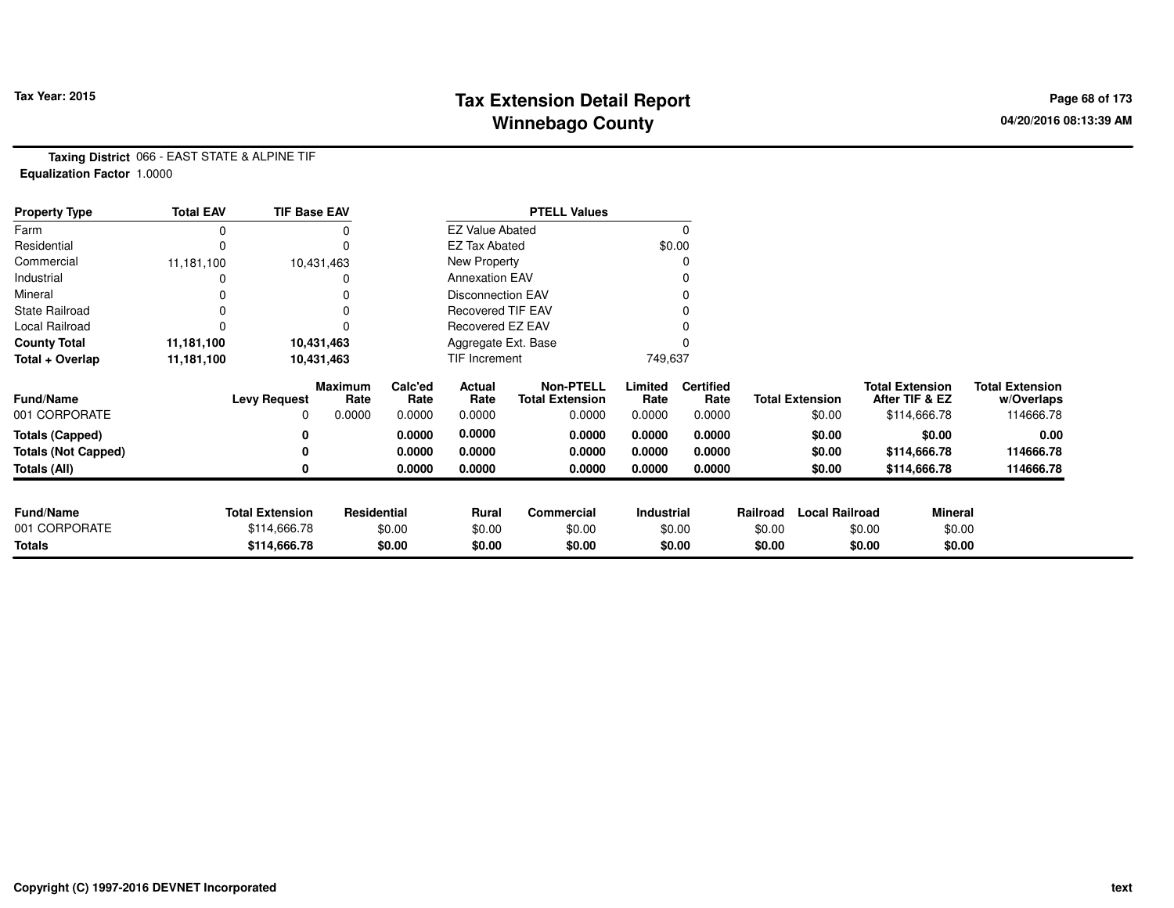## **Tax Extension Detail Report Tax Year: 2015 Page 68 of 173 Winnebago County**

**Taxing District** 066 - EAST STATE & ALPINE TIF**Equalization Factor** 1.0000

| <b>Property Type</b>       | <b>Total EAV</b> | <b>TIF Base EAV</b>    |                 |                 |                          | <b>PTELL Values</b>                        |                 |                          |          |                        |                                          |                                      |
|----------------------------|------------------|------------------------|-----------------|-----------------|--------------------------|--------------------------------------------|-----------------|--------------------------|----------|------------------------|------------------------------------------|--------------------------------------|
| Farm                       | 0                |                        |                 |                 | <b>EZ Value Abated</b>   |                                            |                 |                          |          |                        |                                          |                                      |
| Residential                | 0                |                        |                 |                 | <b>EZ Tax Abated</b>     |                                            |                 | \$0.00                   |          |                        |                                          |                                      |
| Commercial                 | 11,181,100       |                        | 10,431,463      |                 | New Property             |                                            |                 |                          |          |                        |                                          |                                      |
| Industrial                 |                  |                        |                 |                 | <b>Annexation EAV</b>    |                                            |                 |                          |          |                        |                                          |                                      |
| Mineral                    |                  |                        |                 |                 | <b>Disconnection EAV</b> |                                            |                 |                          |          |                        |                                          |                                      |
| <b>State Railroad</b>      |                  |                        |                 |                 | <b>Recovered TIF EAV</b> |                                            |                 |                          |          |                        |                                          |                                      |
| Local Railroad             |                  |                        |                 |                 | Recovered EZ EAV         |                                            |                 |                          |          |                        |                                          |                                      |
| <b>County Total</b>        | 11,181,100       |                        | 10,431,463      |                 | Aggregate Ext. Base      |                                            |                 |                          |          |                        |                                          |                                      |
| Total + Overlap            | 11,181,100       |                        | 10,431,463      |                 | TIF Increment            |                                            | 749,637         |                          |          |                        |                                          |                                      |
| Fund/Name                  |                  | <b>Levy Request</b>    | Maximum<br>Rate | Calc'ed<br>Rate | Actual<br>Rate           | <b>Non-PTELL</b><br><b>Total Extension</b> | Limited<br>Rate | <b>Certified</b><br>Rate |          | <b>Total Extension</b> | <b>Total Extension</b><br>After TIF & EZ | <b>Total Extension</b><br>w/Overlaps |
| 001 CORPORATE              |                  | 0                      | 0.0000          | 0.0000          | 0.0000                   | 0.0000                                     | 0.0000          | 0.0000                   |          | \$0.00                 | \$114,666.78                             | 114666.78                            |
| Totals (Capped)            |                  |                        |                 | 0.0000          | 0.0000                   | 0.0000                                     | 0.0000          | 0.0000                   |          | \$0.00                 | \$0.00                                   | 0.00                                 |
| <b>Totals (Not Capped)</b> |                  |                        |                 | 0.0000          | 0.0000                   | 0.0000                                     | 0.0000          | 0.0000                   |          | \$0.00                 | \$114,666.78                             | 114666.78                            |
| Totals (All)               |                  |                        |                 | 0.0000          | 0.0000                   | 0.0000                                     | 0.0000          | 0.0000                   |          | \$0.00                 | \$114,666.78                             | 114666.78                            |
|                            |                  |                        |                 |                 |                          |                                            |                 |                          |          |                        |                                          |                                      |
| <b>Fund/Name</b>           |                  | <b>Total Extension</b> | Residential     |                 | Rural                    | Commercial                                 | Industrial      |                          | Railroad | <b>Local Railroad</b>  |                                          | <b>Mineral</b>                       |
| 001 CORPORATE              |                  | \$114,666.78           |                 | \$0.00          | \$0.00                   | \$0.00                                     |                 | \$0.00                   | \$0.00   |                        | \$0.00                                   | \$0.00                               |
| Totals                     |                  | \$114,666.78           |                 | \$0.00          | \$0.00                   | \$0.00                                     |                 | \$0.00                   | \$0.00   |                        | \$0.00                                   | \$0.00                               |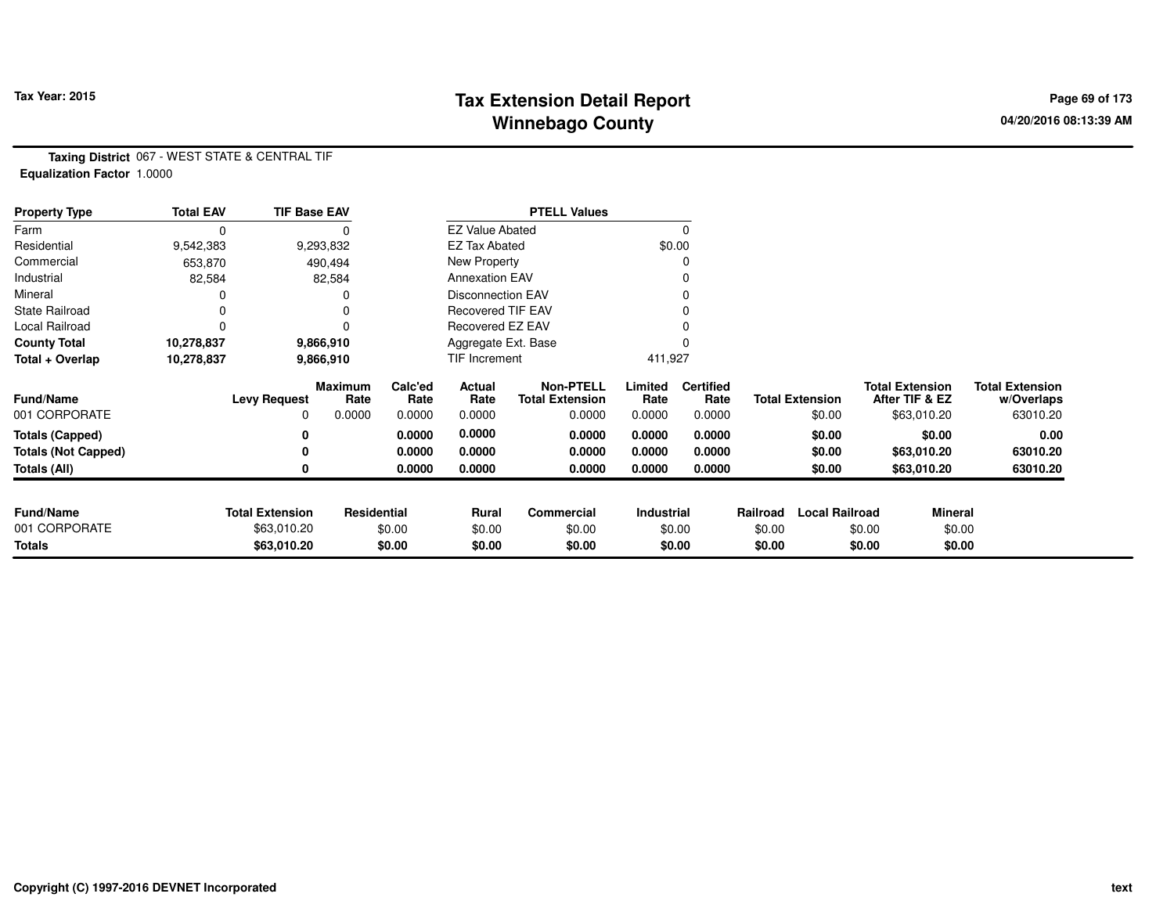## **Tax Extension Detail Report Tax Year: 2015 Page 69 of 173 Winnebago County**

**Taxing District** 067 - WEST STATE & CENTRAL TIF**Equalization Factor** 1.0000

| <b>Property Type</b>       | <b>Total EAV</b> | <b>TIF Base EAV</b>    |                 |                 |                          | <b>PTELL Values</b>                        |                 |                          |          |                        |                                          |                                      |
|----------------------------|------------------|------------------------|-----------------|-----------------|--------------------------|--------------------------------------------|-----------------|--------------------------|----------|------------------------|------------------------------------------|--------------------------------------|
| Farm                       | 0                |                        |                 |                 | <b>EZ Value Abated</b>   |                                            |                 |                          |          |                        |                                          |                                      |
| Residential                | 9,542,383        |                        | 9,293,832       |                 | <b>EZ Tax Abated</b>     |                                            |                 | \$0.00                   |          |                        |                                          |                                      |
| Commercial                 | 653,870          |                        | 490,494         |                 | New Property             |                                            |                 |                          |          |                        |                                          |                                      |
| Industrial                 | 82,584           |                        | 82,584          |                 | <b>Annexation EAV</b>    |                                            |                 |                          |          |                        |                                          |                                      |
| Mineral                    |                  |                        |                 |                 | <b>Disconnection EAV</b> |                                            |                 |                          |          |                        |                                          |                                      |
| <b>State Railroad</b>      |                  |                        |                 |                 | <b>Recovered TIF EAV</b> |                                            |                 |                          |          |                        |                                          |                                      |
| Local Railroad             |                  |                        |                 |                 | Recovered EZ EAV         |                                            |                 |                          |          |                        |                                          |                                      |
| <b>County Total</b>        | 10,278,837       |                        | 9,866,910       |                 | Aggregate Ext. Base      |                                            |                 |                          |          |                        |                                          |                                      |
| Total + Overlap            | 10,278,837       |                        | 9,866,910       |                 | TIF Increment            |                                            | 411,927         |                          |          |                        |                                          |                                      |
| <b>Fund/Name</b>           |                  | <b>Levy Request</b>    | Maximum<br>Rate | Calc'ed<br>Rate | Actual<br>Rate           | <b>Non-PTELL</b><br><b>Total Extension</b> | Limited<br>Rate | <b>Certified</b><br>Rate |          | <b>Total Extension</b> | <b>Total Extension</b><br>After TIF & EZ | <b>Total Extension</b><br>w/Overlaps |
| 001 CORPORATE              |                  | 0                      | 0.0000          | 0.0000          | 0.0000                   | 0.0000                                     | 0.0000          | 0.0000                   |          | \$0.00                 | \$63,010.20                              | 63010.20                             |
| <b>Totals (Capped)</b>     |                  |                        |                 | 0.0000          | 0.0000                   | 0.0000                                     | 0.0000          | 0.0000                   |          | \$0.00                 | \$0.00                                   | 0.00                                 |
| <b>Totals (Not Capped)</b> |                  |                        |                 | 0.0000          | 0.0000                   | 0.0000                                     | 0.0000          | 0.0000                   |          | \$0.00                 | \$63,010.20                              | 63010.20                             |
| Totals (All)               |                  |                        |                 | 0.0000          | 0.0000                   | 0.0000                                     | 0.0000          | 0.0000                   |          | \$0.00                 | \$63,010.20                              | 63010.20                             |
|                            |                  |                        |                 |                 |                          |                                            |                 |                          |          |                        |                                          |                                      |
| <b>Fund/Name</b>           |                  | <b>Total Extension</b> | Residential     |                 | Rural                    | Commercial                                 | Industrial      |                          | Railroad | <b>Local Railroad</b>  |                                          | Mineral                              |
| 001 CORPORATE              |                  | \$63,010.20            |                 | \$0.00          | \$0.00                   | \$0.00                                     |                 | \$0.00                   | \$0.00   |                        | \$0.00                                   | \$0.00                               |
| <b>Totals</b>              |                  | \$63,010.20            |                 | \$0.00          | \$0.00                   | \$0.00                                     |                 | \$0.00                   | \$0.00   |                        | \$0.00                                   | \$0.00                               |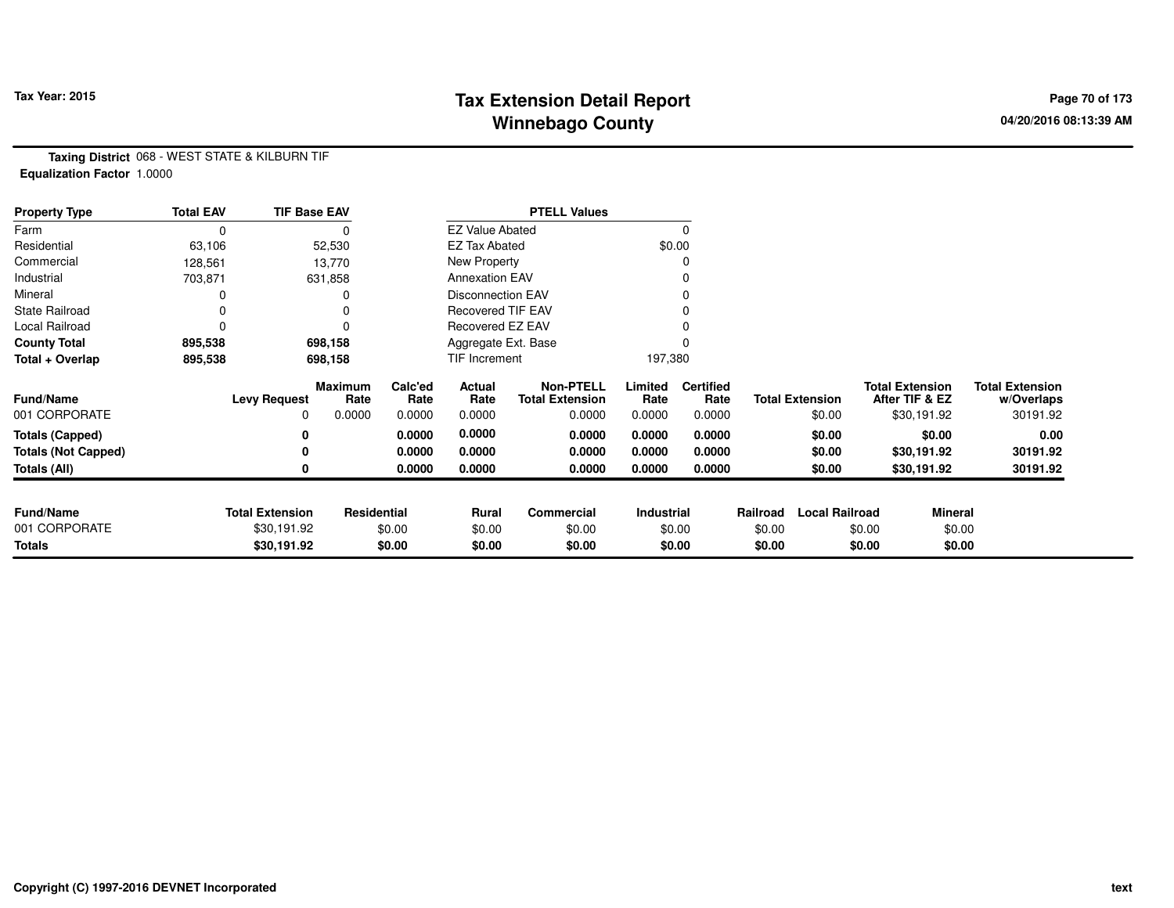## **Tax Extension Detail Report Tax Year: 2015 Page 70 of 173 Winnebago County**

**Taxing District** 068 - WEST STATE & KILBURN TIF**Equalization Factor** 1.0000

| <b>Property Type</b>       | <b>Total EAV</b> | <b>TIF Base EAV</b>    |                 |                 |                          | <b>PTELL Values</b>                        |                   |                          |          |                        |                                          |             |                                      |
|----------------------------|------------------|------------------------|-----------------|-----------------|--------------------------|--------------------------------------------|-------------------|--------------------------|----------|------------------------|------------------------------------------|-------------|--------------------------------------|
| Farm                       | 0                |                        |                 |                 | <b>EZ Value Abated</b>   |                                            |                   | 0                        |          |                        |                                          |             |                                      |
| Residential                | 63,106           |                        | 52,530          |                 | <b>EZ Tax Abated</b>     |                                            |                   | \$0.00                   |          |                        |                                          |             |                                      |
| Commercial                 | 128,561          |                        | 13,770          |                 | New Property             |                                            |                   | 0                        |          |                        |                                          |             |                                      |
| Industrial                 | 703,871          |                        | 631,858         |                 | <b>Annexation EAV</b>    |                                            |                   |                          |          |                        |                                          |             |                                      |
| Mineral                    |                  |                        |                 |                 | <b>Disconnection EAV</b> |                                            |                   | 0                        |          |                        |                                          |             |                                      |
| <b>State Railroad</b>      |                  |                        | 0               |                 | <b>Recovered TIF EAV</b> |                                            |                   |                          |          |                        |                                          |             |                                      |
| Local Railroad             |                  |                        | 0               |                 | Recovered EZ EAV         |                                            |                   |                          |          |                        |                                          |             |                                      |
| <b>County Total</b>        | 895,538          |                        | 698,158         |                 | Aggregate Ext. Base      |                                            |                   |                          |          |                        |                                          |             |                                      |
| Total + Overlap            | 895,538          |                        | 698,158         |                 | TIF Increment            |                                            | 197,380           |                          |          |                        |                                          |             |                                      |
| <b>Fund/Name</b>           |                  | <b>Levy Request</b>    | Maximum<br>Rate | Calc'ed<br>Rate | Actual<br>Rate           | <b>Non-PTELL</b><br><b>Total Extension</b> | Limited<br>Rate   | <b>Certified</b><br>Rate |          | <b>Total Extension</b> | <b>Total Extension</b><br>After TIF & EZ |             | <b>Total Extension</b><br>w/Overlaps |
| 001 CORPORATE              |                  | 0                      | 0.0000          | 0.0000          | 0.0000                   | 0.0000                                     | 0.0000            | 0.0000                   |          | \$0.00                 |                                          | \$30,191.92 | 30191.92                             |
| <b>Totals (Capped)</b>     |                  |                        |                 | 0.0000          | 0.0000                   | 0.0000                                     | 0.0000            | 0.0000                   |          | \$0.00                 |                                          | \$0.00      | 0.00                                 |
| <b>Totals (Not Capped)</b> |                  |                        |                 | 0.0000          | 0.0000                   | 0.0000                                     | 0.0000            | 0.0000                   |          | \$0.00                 |                                          | \$30,191.92 | 30191.92                             |
| Totals (All)               |                  |                        |                 | 0.0000          | 0.0000                   | 0.0000                                     | 0.0000            | 0.0000                   |          | \$0.00                 |                                          | \$30,191.92 | 30191.92                             |
| <b>Fund/Name</b>           |                  | <b>Total Extension</b> | Residential     |                 | Rural                    | Commercial                                 | <b>Industrial</b> |                          | Railroad | <b>Local Railroad</b>  |                                          | Mineral     |                                      |
| 001 CORPORATE              |                  | \$30,191.92            |                 | \$0.00          | \$0.00                   | \$0.00                                     |                   | \$0.00                   | \$0.00   |                        | \$0.00                                   | \$0.00      |                                      |
| Totals                     |                  | \$30,191.92            |                 | \$0.00          | \$0.00                   | \$0.00                                     |                   | \$0.00                   | \$0.00   |                        | \$0.00                                   | \$0.00      |                                      |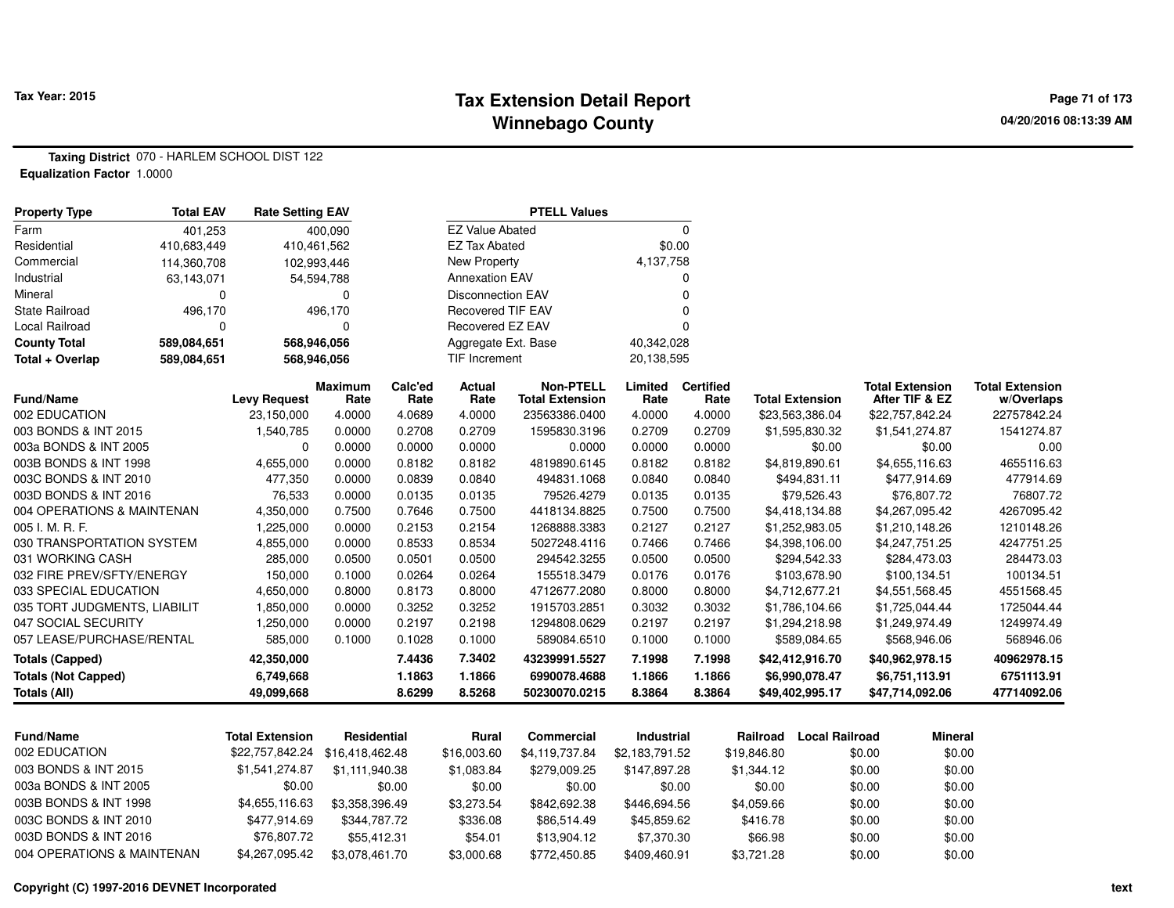#### **Tax Extension Detail Report Tax Year: 2015 Page 71 of 173 Winnebago County**

**Taxing District** 070 - HARLEM SCHOOL DIST 122**Equalization Factor** 1.0000

| <b>Property Type</b>         | <b>Total EAV</b> | <b>Rate Setting EAV</b>         |                    |                 |                          | <b>PTELL Values</b>                        |                 |                          |             |                        |                                          |                                      |
|------------------------------|------------------|---------------------------------|--------------------|-----------------|--------------------------|--------------------------------------------|-----------------|--------------------------|-------------|------------------------|------------------------------------------|--------------------------------------|
| Farm                         | 401,253          |                                 | 400,090            |                 | <b>EZ Value Abated</b>   |                                            |                 | $\mathbf 0$              |             |                        |                                          |                                      |
| Residential                  | 410,683,449      | 410,461,562                     |                    |                 | <b>EZ Tax Abated</b>     |                                            | \$0.00          |                          |             |                        |                                          |                                      |
| Commercial                   | 114,360,708      | 102,993,446                     |                    |                 | <b>New Property</b>      |                                            | 4,137,758       |                          |             |                        |                                          |                                      |
| Industrial                   | 63,143,071       |                                 | 54,594,788         |                 | <b>Annexation EAV</b>    |                                            |                 | 0                        |             |                        |                                          |                                      |
| Mineral                      | 0                |                                 | $\mathbf 0$        |                 | <b>Disconnection EAV</b> |                                            |                 | $\mathbf 0$              |             |                        |                                          |                                      |
| <b>State Railroad</b>        | 496,170          |                                 | 496,170            |                 | <b>Recovered TIF EAV</b> |                                            |                 | $\Omega$                 |             |                        |                                          |                                      |
| Local Railroad               | $\Omega$         |                                 | $\Omega$           |                 | Recovered EZ EAV         |                                            |                 | $\Omega$                 |             |                        |                                          |                                      |
| <b>County Total</b>          | 589,084,651      | 568,946,056                     |                    |                 | Aggregate Ext. Base      |                                            | 40,342,028      |                          |             |                        |                                          |                                      |
| Total + Overlap              | 589,084,651      | 568,946,056                     |                    |                 | <b>TIF Increment</b>     |                                            | 20,138,595      |                          |             |                        |                                          |                                      |
| <b>Fund/Name</b>             |                  | <b>Levy Request</b>             | Maximum<br>Rate    | Calc'ed<br>Rate | Actual<br>Rate           | <b>Non-PTELL</b><br><b>Total Extension</b> | Limited<br>Rate | <b>Certified</b><br>Rate |             | <b>Total Extension</b> | <b>Total Extension</b><br>After TIF & EZ | <b>Total Extension</b><br>w/Overlaps |
| 002 EDUCATION                |                  | 23,150,000                      | 4.0000             | 4.0689          | 4.0000                   | 23563386.0400                              | 4.0000          | 4.0000                   |             | \$23,563,386.04        | \$22,757,842.24                          | 22757842.24                          |
| 003 BONDS & INT 2015         |                  | 1,540,785                       | 0.0000             | 0.2708          | 0.2709                   | 1595830.3196                               | 0.2709          | 0.2709                   |             | \$1,595,830.32         | \$1,541,274.87                           | 1541274.87                           |
| 003a BONDS & INT 2005        |                  | $\Omega$                        | 0.0000             | 0.0000          | 0.0000                   | 0.0000                                     | 0.0000          | 0.0000                   |             | \$0.00                 | \$0.00                                   | 0.00                                 |
| 003B BONDS & INT 1998        |                  | 4,655,000                       | 0.0000             | 0.8182          | 0.8182                   | 4819890.6145                               | 0.8182          | 0.8182                   |             | \$4,819,890.61         | \$4,655,116.63                           | 4655116.63                           |
| 003C BONDS & INT 2010        |                  | 477,350                         | 0.0000             | 0.0839          | 0.0840                   | 494831.1068                                | 0.0840          | 0.0840                   |             | \$494,831.11           | \$477,914.69                             | 477914.69                            |
| 003D BONDS & INT 2016        |                  | 76,533                          | 0.0000             | 0.0135          | 0.0135                   | 79526.4279                                 | 0.0135          | 0.0135                   |             | \$79,526.43            | \$76,807.72                              | 76807.72                             |
| 004 OPERATIONS & MAINTENAN   |                  | 4,350,000                       | 0.7500             | 0.7646          | 0.7500                   | 4418134.8825                               | 0.7500          | 0.7500                   |             | \$4,418,134.88         | \$4,267,095.42                           | 4267095.42                           |
| 005 I. M. R. F.              |                  | 1,225,000                       | 0.0000             | 0.2153          | 0.2154                   | 1268888.3383                               | 0.2127          | 0.2127                   |             | \$1,252,983.05         | \$1,210,148.26                           | 1210148.26                           |
| 030 TRANSPORTATION SYSTEM    |                  | 4,855,000                       | 0.0000             | 0.8533          | 0.8534                   | 5027248.4116                               | 0.7466          | 0.7466                   |             | \$4,398,106.00         | \$4,247,751.25                           | 4247751.25                           |
| 031 WORKING CASH             |                  | 285,000                         | 0.0500             | 0.0501          | 0.0500                   | 294542.3255                                | 0.0500          | 0.0500                   |             | \$294,542.33           | \$284,473.03                             | 284473.03                            |
| 032 FIRE PREV/SFTY/ENERGY    |                  | 150,000                         | 0.1000             | 0.0264          | 0.0264                   | 155518.3479                                | 0.0176          | 0.0176                   |             | \$103,678.90           | \$100,134.51                             | 100134.51                            |
| 033 SPECIAL EDUCATION        |                  | 4,650,000                       | 0.8000             | 0.8173          | 0.8000                   | 4712677.2080                               | 0.8000          | 0.8000                   |             | \$4,712,677.21         | \$4,551,568.45                           | 4551568.45                           |
| 035 TORT JUDGMENTS, LIABILIT |                  | 1,850,000                       | 0.0000             | 0.3252          | 0.3252                   | 1915703.2851                               | 0.3032          | 0.3032                   |             | \$1,786,104.66         | \$1,725,044.44                           | 1725044.44                           |
| 047 SOCIAL SECURITY          |                  | 1,250,000                       | 0.0000             | 0.2197          | 0.2198                   | 1294808.0629                               | 0.2197          | 0.2197                   |             | \$1,294,218.98         | \$1,249,974.49                           | 1249974.49                           |
| 057 LEASE/PURCHASE/RENTAL    |                  | 585,000                         | 0.1000             | 0.1028          | 0.1000                   | 589084.6510                                | 0.1000          | 0.1000                   |             | \$589,084.65           | \$568,946.06                             | 568946.06                            |
| <b>Totals (Capped)</b>       |                  | 42,350,000                      |                    | 7.4436          | 7.3402                   | 43239991.5527                              | 7.1998          | 7.1998                   |             | \$42,412,916.70        | \$40,962,978.15                          | 40962978.15                          |
| <b>Totals (Not Capped)</b>   |                  | 6,749,668                       |                    | 1.1863          | 1.1866                   | 6990078.4688                               | 1.1866          | 1.1866                   |             | \$6,990,078.47         | \$6,751,113.91                           | 6751113.91                           |
| <b>Totals (All)</b>          |                  | 49,099,668                      |                    | 8.6299          | 8.5268                   | 50230070.0215                              | 8.3864          | 8.3864                   |             | \$49,402,995.17        | \$47,714,092.06                          | 47714092.06                          |
|                              |                  |                                 |                    |                 |                          |                                            |                 |                          |             |                        |                                          |                                      |
| <b>Fund/Name</b>             |                  | <b>Total Extension</b>          | <b>Residential</b> |                 | Rural                    | <b>Commercial</b>                          | Industrial      |                          | Railroad    | <b>Local Railroad</b>  | <b>Mineral</b>                           |                                      |
| 002 EDUCATION                |                  | \$22,757,842.24 \$16,418,462.48 |                    |                 | \$16,003.60              | \$4,119,737.84                             | \$2,183,791.52  |                          | \$19,846.80 | \$0.00                 | \$0.00                                   |                                      |
| 003 BONDS & INT 2015         |                  | \$1,541,274.87                  | \$1,111,940.38     |                 | \$1,083.84               | \$279,009.25                               | \$147,897.28    |                          | \$1,344.12  | \$0.00                 | \$0.00                                   |                                      |
| 003a BONDS & INT 2005        |                  | \$0.00                          |                    | \$0.00          | \$0.00                   | \$0.00                                     | \$0.00          |                          | \$0.00      | \$0.00                 | \$0.00                                   |                                      |
| 003B BONDS & INT 1998        |                  | \$4,655,116.63                  | \$3,358,396.49     |                 | \$3,273.54               | \$842,692.38                               | \$446,694.56    |                          | \$4,059.66  | \$0.00                 | \$0.00                                   |                                      |
| 003C BONDS & INT 2010        |                  | \$477,914.69                    | \$344,787.72       |                 | \$336.08                 | \$86,514.49                                | \$45,859.62     |                          | \$416.78    | \$0.00                 | \$0.00                                   |                                      |
| 003D BONDS & INT 2016        |                  | \$76,807.72                     | \$55,412.31        |                 | \$54.01                  | \$13,904.12                                | \$7,370.30      |                          | \$66.98     | \$0.00                 | \$0.00                                   |                                      |
| 004 OPERATIONS & MAINTENAN   |                  | \$4,267,095.42                  | \$3,078,461.70     |                 | \$3,000.68               | \$772,450.85                               | \$409,460.91    |                          | \$3,721.28  | \$0.00                 | \$0.00                                   |                                      |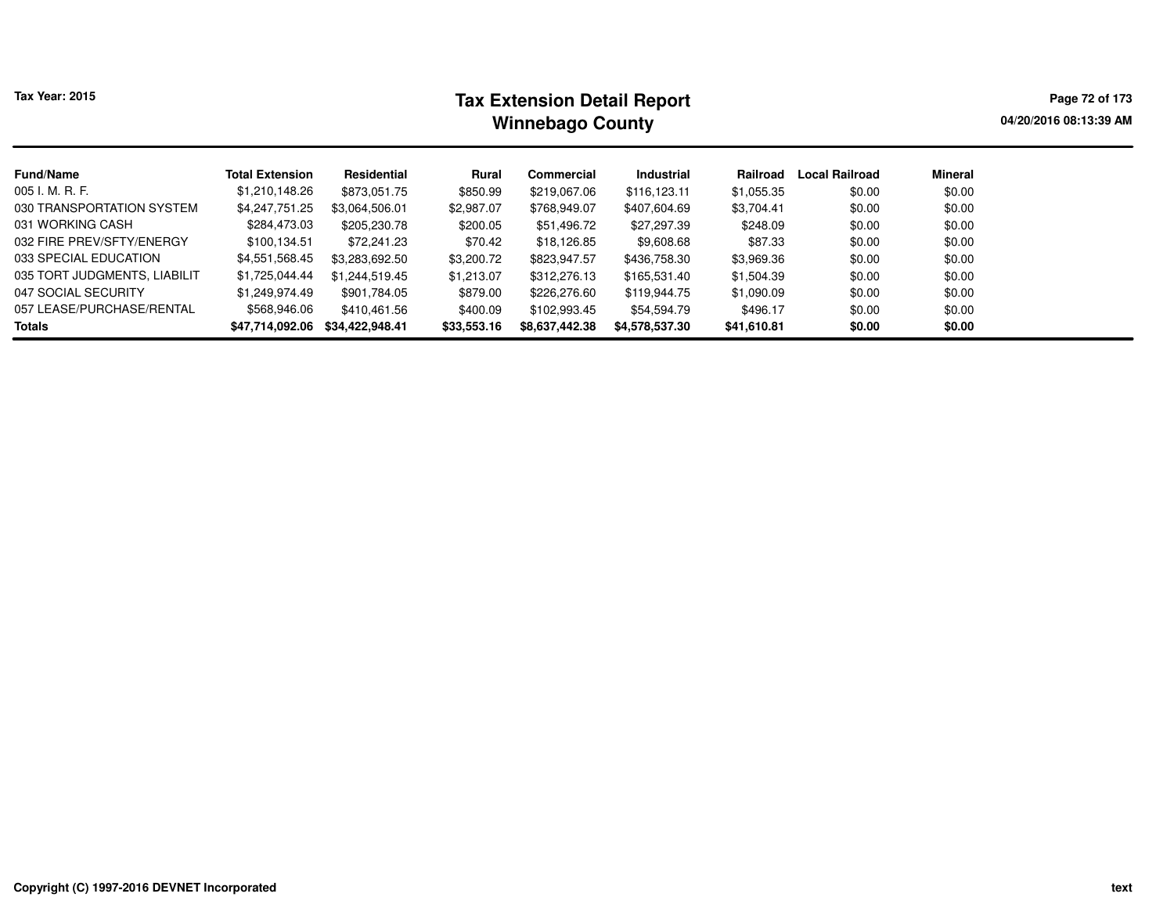# **Tax Extension Detail Report Tax Year: 2015 Page 72 of 173 Winnebago County**

**04/20/2016 08:13:39 AM**

| <b>Fund/Name</b>             | <b>Total Extension</b> | Residential     | Rural       | <b>Commercial</b> | Industrial     | Railroad    | Local Railroad | <b>Mineral</b> |
|------------------------------|------------------------|-----------------|-------------|-------------------|----------------|-------------|----------------|----------------|
| 005 I. M. R. F.              | \$1,210,148.26         | \$873,051.75    | \$850.99    | \$219,067.06      | \$116,123.11   | \$1,055.35  | \$0.00         | \$0.00         |
| 030 TRANSPORTATION SYSTEM    | \$4,247,751.25         | \$3.064.506.01  | \$2,987.07  | \$768,949.07      | \$407,604.69   | \$3,704.41  | \$0.00         | \$0.00         |
| 031 WORKING CASH             | \$284,473.03           | \$205,230.78    | \$200.05    | \$51,496.72       | \$27,297.39    | \$248.09    | \$0.00         | \$0.00         |
| 032 FIRE PREV/SFTY/ENERGY    | \$100,134.51           | \$72,241.23     | \$70.42     | \$18,126.85       | \$9,608.68     | \$87.33     | \$0.00         | \$0.00         |
| 033 SPECIAL EDUCATION        | \$4,551,568.45         | \$3,283,692.50  | \$3,200.72  | \$823,947.57      | \$436,758.30   | \$3,969.36  | \$0.00         | \$0.00         |
| 035 TORT JUDGMENTS, LIABILIT | \$1,725,044.44         | \$1.244.519.45  | \$1,213.07  | \$312,276.13      | \$165,531.40   | \$1,504.39  | \$0.00         | \$0.00         |
| 047 SOCIAL SECURITY          | \$1.249.974.49         | \$901,784.05    | \$879.00    | \$226,276.60      | \$119,944.75   | \$1,090.09  | \$0.00         | \$0.00         |
| 057 LEASE/PURCHASE/RENTAL    | \$568,946.06           | \$410,461.56    | \$400.09    | \$102,993.45      | \$54,594.79    | \$496.17    | \$0.00         | \$0.00         |
| <b>Totals</b>                | \$47,714,092.06        | \$34,422,948.41 | \$33,553.16 | \$8,637,442.38    | \$4,578,537.30 | \$41,610.81 | \$0.00         | \$0.00         |
|                              |                        |                 |             |                   |                |             |                |                |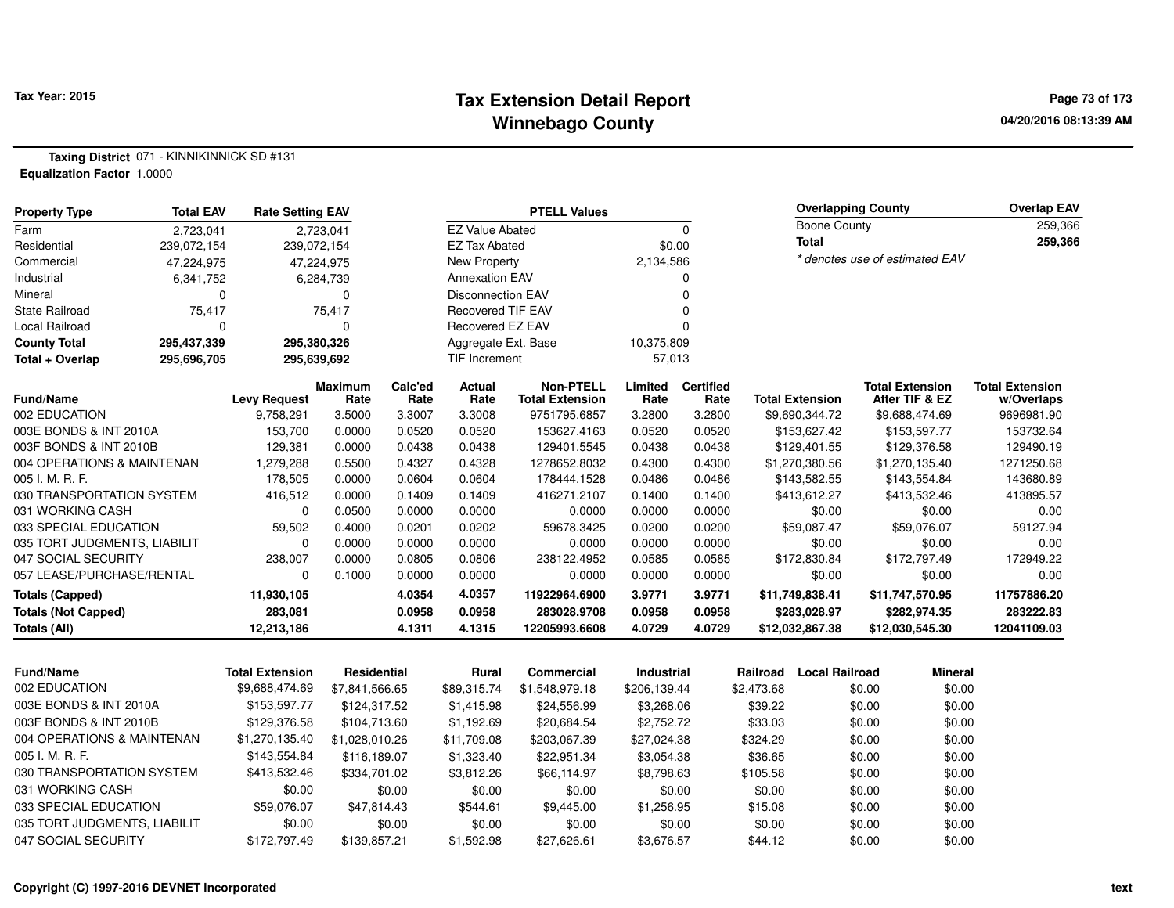### **Tax Extension Detail Report Tax Year: 2015 Page 73 of 173 Winnebago County**

**Taxing District** 071 - KINNIKINNICK SD #131**Equalization Factor** 1.0000

| <b>Property Type</b>         | <b>Total EAV</b> | <b>Rate Setting EAV</b> |                        |                 |                          | <b>PTELL Values</b>                        |                 |                          |                                   | <b>Overlapping County</b>                | <b>Overlap EAV</b>                   |
|------------------------------|------------------|-------------------------|------------------------|-----------------|--------------------------|--------------------------------------------|-----------------|--------------------------|-----------------------------------|------------------------------------------|--------------------------------------|
| Farm                         | 2,723,041        |                         | 2,723,041              |                 | <b>EZ Value Abated</b>   |                                            |                 | $\mathbf 0$              | <b>Boone County</b>               |                                          | 259,366                              |
| Residential                  | 239,072,154      |                         | 239,072,154            |                 | <b>EZ Tax Abated</b>     |                                            | \$0.00          |                          | <b>Total</b>                      |                                          | 259,366                              |
| Commercial                   | 47,224,975       |                         | 47,224,975             |                 | New Property             |                                            | 2,134,586       |                          |                                   | * denotes use of estimated EAV           |                                      |
| Industrial                   | 6,341,752        |                         | 6,284,739              |                 | <b>Annexation EAV</b>    |                                            |                 | 0                        |                                   |                                          |                                      |
| Mineral                      | $\Omega$         |                         | $\Omega$               |                 | <b>Disconnection EAV</b> |                                            |                 | 0                        |                                   |                                          |                                      |
| <b>State Railroad</b>        | 75,417           |                         | 75,417                 |                 | <b>Recovered TIF EAV</b> |                                            |                 | O                        |                                   |                                          |                                      |
| Local Railroad               | ŋ                |                         | $\Omega$               |                 | Recovered EZ EAV         |                                            |                 | O                        |                                   |                                          |                                      |
| <b>County Total</b>          | 295,437,339      |                         | 295,380,326            |                 | Aggregate Ext. Base      |                                            | 10,375,809      |                          |                                   |                                          |                                      |
| Total + Overlap              | 295,696,705      |                         | 295,639,692            |                 | TIF Increment            |                                            | 57,013          |                          |                                   |                                          |                                      |
| <b>Fund/Name</b>             |                  | <b>Levy Request</b>     | <b>Maximum</b><br>Rate | Calc'ed<br>Rate | Actual<br>Rate           | <b>Non-PTELL</b><br><b>Total Extension</b> | Limited<br>Rate | <b>Certified</b><br>Rate | <b>Total Extension</b>            | <b>Total Extension</b><br>After TIF & EZ | <b>Total Extension</b><br>w/Overlaps |
| 002 EDUCATION                |                  | 9,758,291               | 3.5000                 | 3.3007          | 3.3008                   | 9751795.6857                               | 3.2800          | 3.2800                   | \$9,690,344.72                    | \$9,688,474.69                           | 9696981.90                           |
| 003E BONDS & INT 2010A       |                  | 153,700                 | 0.0000                 | 0.0520          | 0.0520                   | 153627.4163                                | 0.0520          | 0.0520                   | \$153,627.42                      | \$153,597.77                             | 153732.64                            |
| 003F BONDS & INT 2010B       |                  | 129,381                 | 0.0000                 | 0.0438          | 0.0438                   | 129401.5545                                | 0.0438          | 0.0438                   | \$129,401.55                      | \$129,376.58                             | 129490.19                            |
| 004 OPERATIONS & MAINTENAN   |                  | 1,279,288               | 0.5500                 | 0.4327          | 0.4328                   | 1278652.8032                               | 0.4300          | 0.4300                   | \$1,270,380.56                    | \$1,270,135.40                           | 1271250.68                           |
| 005 I. M. R. F.              |                  | 178,505                 | 0.0000                 | 0.0604          | 0.0604                   | 178444.1528                                | 0.0486          | 0.0486                   | \$143,582.55                      | \$143,554.84                             | 143680.89                            |
| 030 TRANSPORTATION SYSTEM    |                  | 416,512                 | 0.0000                 | 0.1409          | 0.1409                   | 416271.2107                                | 0.1400          | 0.1400                   | \$413,612.27                      | \$413,532.46                             | 413895.57                            |
| 031 WORKING CASH             |                  | $\Omega$                | 0.0500                 | 0.0000          | 0.0000                   | 0.0000                                     | 0.0000          | 0.0000                   | \$0.00                            | \$0.00                                   | 0.00                                 |
| 033 SPECIAL EDUCATION        |                  | 59,502                  | 0.4000                 | 0.0201          | 0.0202                   | 59678.3425                                 | 0.0200          | 0.0200                   | \$59,087.47                       | \$59,076.07                              | 59127.94                             |
| 035 TORT JUDGMENTS, LIABILIT |                  | $\Omega$                | 0.0000                 | 0.0000          | 0.0000                   | 0.0000                                     | 0.0000          | 0.0000                   | \$0.00                            | \$0.00                                   | 0.00                                 |
| 047 SOCIAL SECURITY          |                  | 238.007                 | 0.0000                 | 0.0805          | 0.0806                   | 238122.4952                                | 0.0585          | 0.0585                   | \$172,830.84                      | \$172,797.49                             | 172949.22                            |
| 057 LEASE/PURCHASE/RENTAL    |                  | 0                       | 0.1000                 | 0.0000          | 0.0000                   | 0.0000                                     | 0.0000          | 0.0000                   | \$0.00                            | \$0.00                                   | 0.00                                 |
| <b>Totals (Capped)</b>       |                  | 11,930,105              |                        | 4.0354          | 4.0357                   | 11922964.6900                              | 3.9771          | 3.9771                   | \$11,749,838.41                   | \$11,747,570.95                          | 11757886.20                          |
| <b>Totals (Not Capped)</b>   |                  | 283,081                 |                        | 0.0958          | 0.0958                   | 283028.9708                                | 0.0958          | 0.0958                   | \$283,028.97                      | \$282,974.35                             | 283222.83                            |
| <b>Totals (All)</b>          |                  | 12,213,186              |                        | 4.1311          | 4.1315                   | 12205993.6608                              | 4.0729          | 4.0729                   | \$12,032,867.38                   | \$12,030,545.30                          | 12041109.03                          |
|                              |                  |                         |                        |                 |                          |                                            |                 |                          |                                   |                                          |                                      |
| <b>Fund/Name</b>             |                  | <b>Total Extension</b>  | Residential            |                 | <b>Rural</b>             | Commercial                                 | Industrial      |                          | <b>Local Railroad</b><br>Railroad | <b>Mineral</b>                           |                                      |
| 002 EDUCATION                |                  | \$9,688,474.69          | \$7,841,566.65         |                 | \$89,315.74              | \$1,548,979.18                             | \$206,139.44    |                          | \$2,473.68                        | \$0.00<br>\$0.00                         |                                      |
| 003E BONDS & INT 2010A       |                  | \$153,597.77            | \$124,317.52           |                 | \$1,415.98               | \$24,556.99                                | \$3,268.06      |                          | \$39.22                           | \$0.00<br>\$0.00                         |                                      |
| 003F BONDS & INT 2010B       |                  | \$129,376.58            | \$104,713.60           |                 | \$1,192.69               | \$20,684.54                                | \$2,752.72      |                          | \$33.03                           | \$0.00<br>\$0.00                         |                                      |
| 004 OPERATIONS & MAINTENAN   |                  | \$1,270,135.40          | \$1,028,010.26         |                 | \$11,709.08              | \$203,067.39                               | \$27,024.38     |                          | \$324.29                          | \$0.00<br>\$0.00                         |                                      |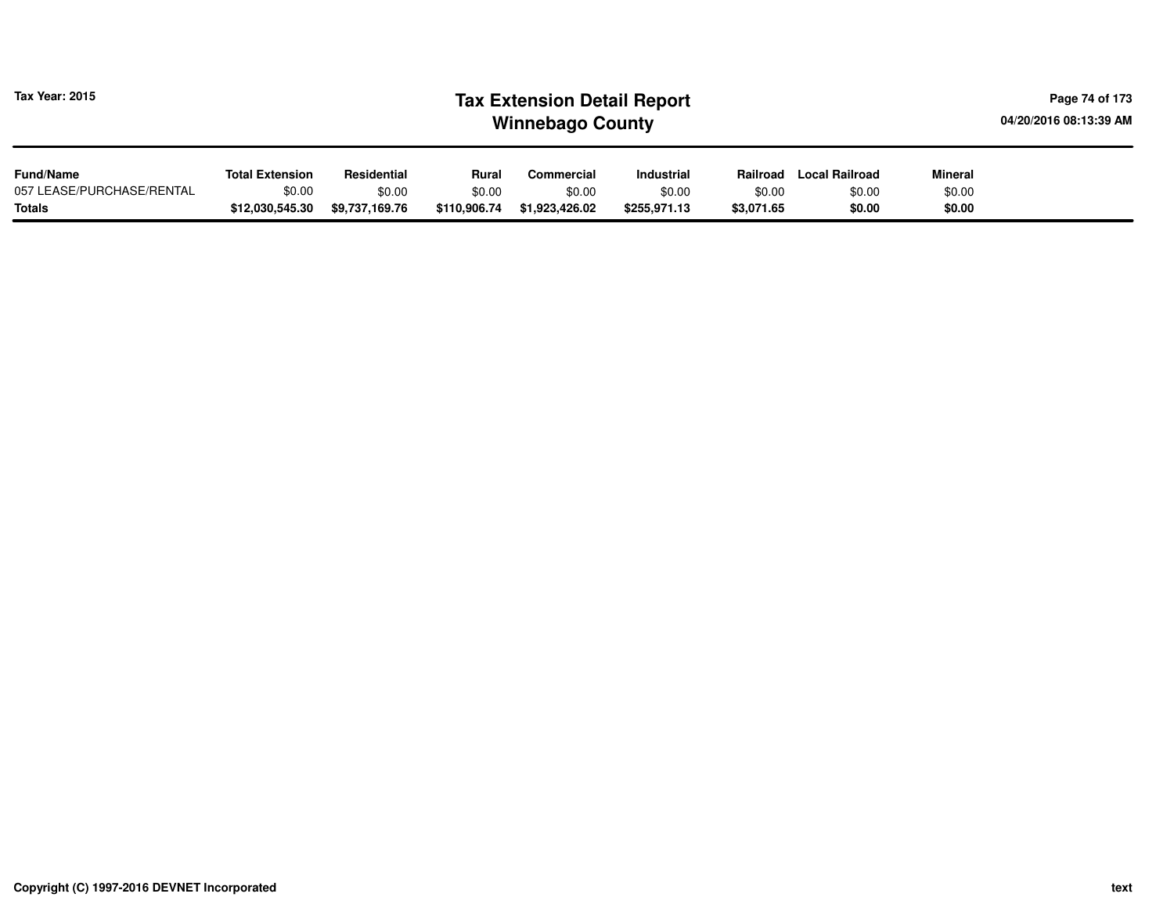| Tax Year: 2015            | <b>Tax Extension Detail Report</b><br><b>Winnebago County</b> |                |              |                |                   |            |                       |                | Page 74 of 173<br>04/20/2016 08:13:39 AM |
|---------------------------|---------------------------------------------------------------|----------------|--------------|----------------|-------------------|------------|-----------------------|----------------|------------------------------------------|
| <b>Fund/Name</b>          | <b>Total Extension</b>                                        | Residential    | Rural        | Commercial     | <b>Industrial</b> | Railroad   | <b>Local Railroad</b> | <b>Mineral</b> |                                          |
| 057 LEASE/PURCHASE/RENTAL | \$0.00                                                        | \$0.00         | \$0.00       | \$0.00         | \$0.00            | \$0.00     | \$0.00                | \$0.00         |                                          |
| <b>Totals</b>             | \$12,030,545.30                                               | \$9,737,169.76 | \$110,906.74 | \$1,923,426.02 | \$255,971.13      | \$3,071.65 | \$0.00                | \$0.00         |                                          |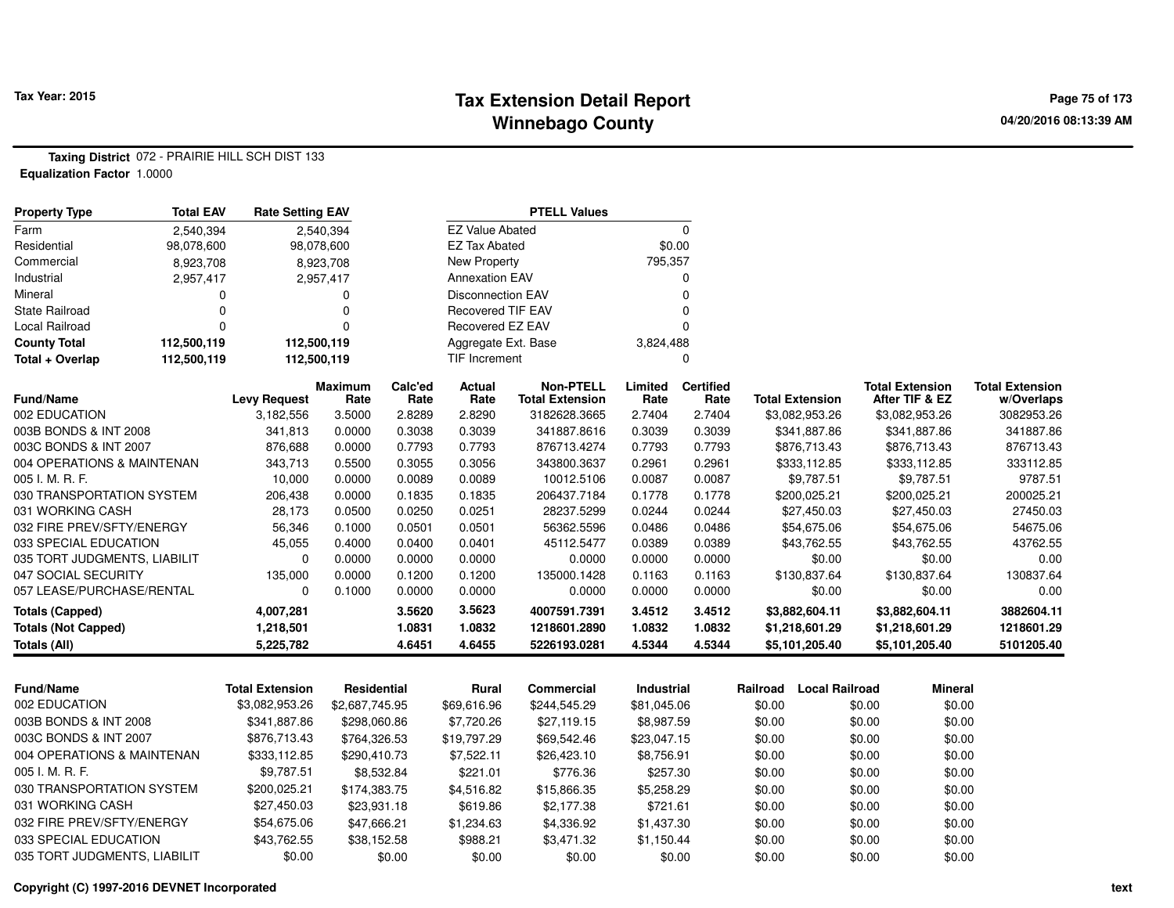### **Tax Extension Detail Report Tax Year: 2015 Page 75 of 173 Winnebago County**

**Taxing District** 072 - PRAIRIE HILL SCH DIST 133**Equalization Factor** 1.0000

| <b>Property Type</b>         | <b>Total EAV</b> | <b>Rate Setting EAV</b> |                        |                 |                          | <b>PTELL Values</b>                        |                 |                          |          |                        |                                          |                                      |
|------------------------------|------------------|-------------------------|------------------------|-----------------|--------------------------|--------------------------------------------|-----------------|--------------------------|----------|------------------------|------------------------------------------|--------------------------------------|
| Farm                         | 2,540,394        |                         | 2,540,394              |                 | <b>EZ Value Abated</b>   |                                            |                 | $\mathbf 0$              |          |                        |                                          |                                      |
| Residential                  | 98,078,600       |                         | 98,078,600             |                 | <b>EZ Tax Abated</b>     |                                            | \$0.00          |                          |          |                        |                                          |                                      |
| Commercial                   | 8,923,708        |                         | 8,923,708              |                 | <b>New Property</b>      |                                            | 795,357         |                          |          |                        |                                          |                                      |
| Industrial                   | 2,957,417        |                         | 2,957,417              |                 | <b>Annexation EAV</b>    |                                            |                 | $\Omega$                 |          |                        |                                          |                                      |
| Mineral                      | 0                |                         | 0                      |                 | Disconnection EAV        |                                            |                 | $\Omega$                 |          |                        |                                          |                                      |
| <b>State Railroad</b>        | 0                |                         | $\mathbf 0$            |                 | <b>Recovered TIF EAV</b> |                                            |                 | $\Omega$                 |          |                        |                                          |                                      |
| <b>Local Railroad</b>        | $\Omega$         |                         | $\overline{0}$         |                 | Recovered EZ EAV         |                                            |                 | $\Omega$                 |          |                        |                                          |                                      |
| <b>County Total</b>          | 112,500,119      | 112,500,119             |                        |                 | Aggregate Ext. Base      |                                            | 3,824,488       |                          |          |                        |                                          |                                      |
| Total + Overlap              | 112,500,119      | 112,500,119             |                        |                 | <b>TIF Increment</b>     |                                            |                 | $\Omega$                 |          |                        |                                          |                                      |
| Fund/Name                    |                  | <b>Levy Request</b>     | <b>Maximum</b><br>Rate | Calc'ed<br>Rate | <b>Actual</b><br>Rate    | <b>Non-PTELL</b><br><b>Total Extension</b> | Limited<br>Rate | <b>Certified</b><br>Rate |          | <b>Total Extension</b> | <b>Total Extension</b><br>After TIF & EZ | <b>Total Extension</b><br>w/Overlaps |
| 002 EDUCATION                |                  | 3,182,556               | 3.5000                 | 2.8289          | 2.8290                   | 3182628.3665                               | 2.7404          | 2.7404                   |          | \$3,082,953.26         | \$3,082,953.26                           | 3082953.26                           |
| 003B BONDS & INT 2008        |                  | 341,813                 | 0.0000                 | 0.3038          | 0.3039                   | 341887.8616                                | 0.3039          | 0.3039                   |          | \$341,887.86           | \$341,887.86                             | 341887.86                            |
| 003C BONDS & INT 2007        |                  | 876,688                 | 0.0000                 | 0.7793          | 0.7793                   | 876713.4274                                | 0.7793          | 0.7793                   |          | \$876,713.43           | \$876,713.43                             | 876713.43                            |
| 004 OPERATIONS & MAINTENAN   |                  | 343,713                 | 0.5500                 | 0.3055          | 0.3056                   | 343800.3637                                | 0.2961          | 0.2961                   |          | \$333,112.85           | \$333,112.85                             | 333112.85                            |
| 005 I. M. R. F.              |                  | 10,000                  | 0.0000                 | 0.0089          | 0.0089                   | 10012.5106                                 | 0.0087          | 0.0087                   |          | \$9,787.51             | \$9,787.51                               | 9787.51                              |
| 030 TRANSPORTATION SYSTEM    |                  | 206,438                 | 0.0000                 | 0.1835          | 0.1835                   | 206437.7184                                | 0.1778          | 0.1778                   |          | \$200,025.21           | \$200,025.21                             | 200025.21                            |
| 031 WORKING CASH             |                  | 28,173                  | 0.0500                 | 0.0250          | 0.0251                   | 28237.5299                                 | 0.0244          | 0.0244                   |          | \$27,450.03            | \$27,450.03                              | 27450.03                             |
| 032 FIRE PREV/SFTY/ENERGY    |                  | 56,346                  | 0.1000                 | 0.0501          | 0.0501                   | 56362.5596                                 | 0.0486          | 0.0486                   |          | \$54,675.06            | \$54,675.06                              | 54675.06                             |
| 033 SPECIAL EDUCATION        |                  | 45,055                  | 0.4000                 | 0.0400          | 0.0401                   | 45112.5477                                 | 0.0389          | 0.0389                   |          | \$43,762.55            | \$43,762.55                              | 43762.55                             |
| 035 TORT JUDGMENTS, LIABILIT |                  | $\mathbf 0$             | 0.0000                 | 0.0000          | 0.0000                   | 0.0000                                     | 0.0000          | 0.0000                   |          | \$0.00                 | \$0.00                                   | 0.00                                 |
| 047 SOCIAL SECURITY          |                  | 135,000                 | 0.0000                 | 0.1200          | 0.1200                   | 135000.1428                                | 0.1163          | 0.1163                   |          | \$130,837.64           | \$130,837.64                             | 130837.64                            |
| 057 LEASE/PURCHASE/RENTAL    |                  | $\Omega$                | 0.1000                 | 0.0000          | 0.0000                   | 0.0000                                     | 0.0000          | 0.0000                   |          | \$0.00                 | \$0.00                                   | 0.00                                 |
| <b>Totals (Capped)</b>       |                  | 4,007,281               |                        | 3.5620          | 3.5623                   | 4007591.7391                               | 3.4512          | 3.4512                   |          | \$3,882,604.11         | \$3,882,604.11                           | 3882604.11                           |
| <b>Totals (Not Capped)</b>   |                  | 1,218,501               |                        | 1.0831          | 1.0832                   | 1218601.2890                               | 1.0832          | 1.0832                   |          | \$1,218,601.29         | \$1,218,601.29                           | 1218601.29                           |
| <b>Totals (All)</b>          |                  | 5,225,782               |                        | 4.6451          | 4.6455                   | 5226193.0281                               | 4.5344          | 4.5344                   |          | \$5,101,205.40         | \$5,101,205.40                           | 5101205.40                           |
|                              |                  |                         |                        |                 |                          |                                            |                 |                          |          |                        |                                          |                                      |
| <b>Fund/Name</b>             |                  | <b>Total Extension</b>  | Residential            |                 | <b>Rural</b>             | <b>Commercial</b>                          | Industrial      |                          | Railroad | <b>Local Railroad</b>  | <b>Mineral</b>                           |                                      |
| 002 EDUCATION                |                  | \$3,082,953.26          | \$2,687,745.95         |                 | \$69,616.96              | \$244,545.29                               | \$81,045.06     |                          | \$0.00   |                        | \$0.00                                   | \$0.00                               |
| 003B BONDS & INT 2008        |                  | \$341,887.86            | \$298,060.86           |                 | \$7,720.26               | \$27,119.15                                | \$8,987.59      |                          | \$0.00   |                        | \$0.00                                   | \$0.00                               |
| 003C BONDS & INT 2007        |                  | \$876,713.43            | \$764,326.53           |                 | \$19,797.29              | \$69,542.46                                | \$23,047.15     |                          | \$0.00   |                        | \$0.00                                   | \$0.00                               |
| 004 OPERATIONS & MAINTENAN   |                  | \$333,112.85            | \$290,410.73           |                 | \$7,522.11               | \$26,423.10                                | \$8,756.91      |                          | \$0.00   |                        | \$0.00                                   | \$0.00                               |
| 005 I. M. R. F.              |                  | \$9,787.51              | \$8,532.84             |                 | \$221.01                 | \$776.36                                   | \$257.30        |                          | \$0.00   |                        | \$0.00                                   | \$0.00                               |
| 030 TRANSPORTATION SYSTEM    |                  | \$200,025.21            | \$174,383.75           |                 | \$4,516.82               | \$15,866.35                                | \$5,258.29      |                          | \$0.00   |                        | \$0.00                                   | \$0.00                               |
| 031 WORKING CASH             |                  | \$27,450.03             | \$23,931.18            |                 | \$619.86                 | \$2,177.38                                 | \$721.61        |                          | \$0.00   |                        | \$0.00                                   | \$0.00                               |
| 032 FIRE PREV/SFTY/ENERGY    |                  | \$54,675.06             | \$47,666.21            |                 | \$1,234.63               | \$4,336.92                                 | \$1,437.30      |                          | \$0.00   |                        | \$0.00                                   | \$0.00                               |
| 033 SPECIAL EDUCATION        |                  | \$43,762.55             | \$38,152.58            |                 | \$988.21                 | \$3,471.32                                 | \$1,150.44      |                          | \$0.00   |                        | \$0.00                                   | \$0.00                               |
| 035 TORT JUDGMENTS, LIABILIT |                  | \$0.00                  |                        | \$0.00          | \$0.00                   | \$0.00                                     |                 | \$0.00                   | \$0.00   |                        | \$0.00                                   | \$0.00                               |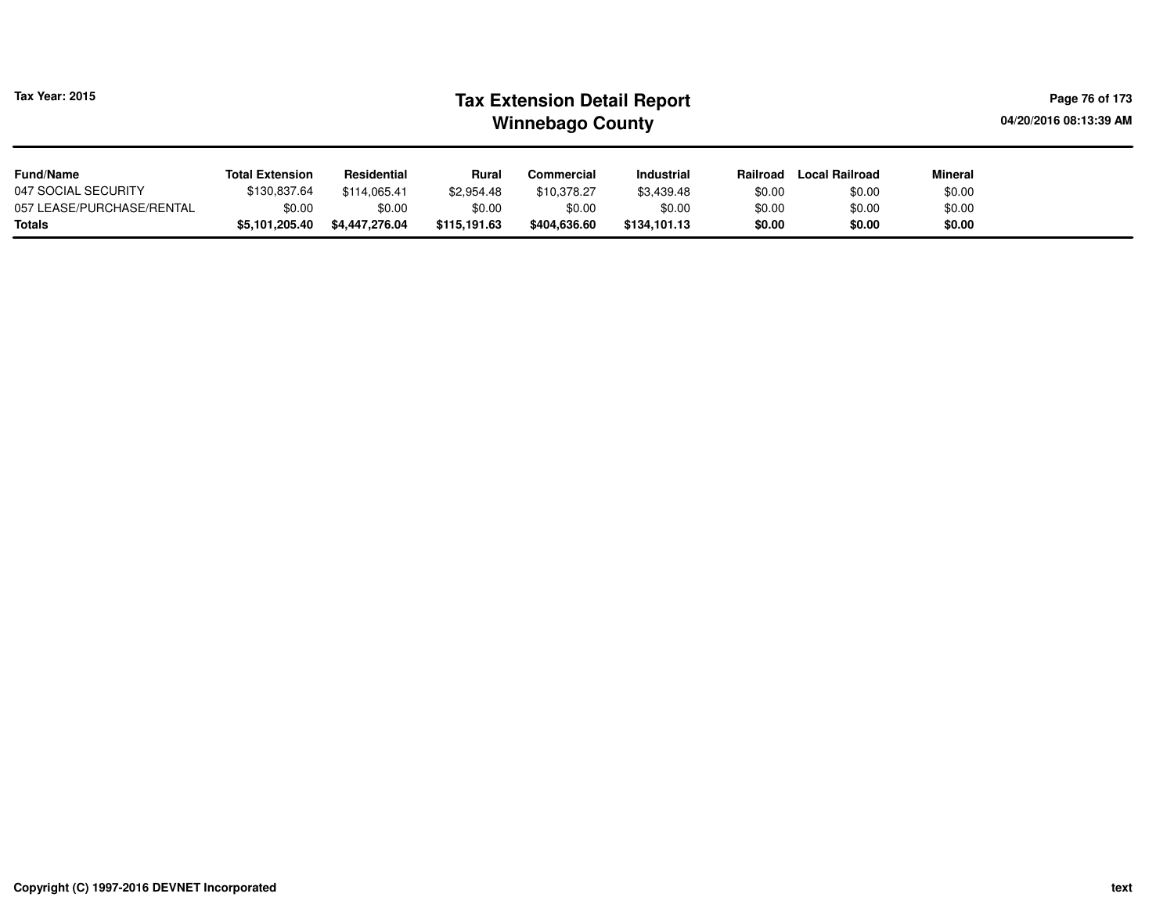| <b>Tax Year: 2015</b>                      | <b>Tax Extension Detail Report</b><br><b>Winnebago County</b> |                          |                        |                        |                        |                  |                       |                  | Page 76 of 173<br>04/20/2016 08:13:39 AM |
|--------------------------------------------|---------------------------------------------------------------|--------------------------|------------------------|------------------------|------------------------|------------------|-----------------------|------------------|------------------------------------------|
| <b>Fund/Name</b>                           | <b>Total Extension</b>                                        | Residential              | Rural                  | <b>Commercial</b>      | <b>Industrial</b>      | Railroad         | <b>Local Railroad</b> | <b>Mineral</b>   |                                          |
| 047 SOCIAL SECURITY                        | \$130,837.64                                                  | \$114.065.41             | \$2,954.48             | \$10,378.27            | \$3,439.48             | \$0.00           | \$0.00                | \$0.00           |                                          |
| 057 LEASE/PURCHASE/RENTAL<br><b>Totals</b> | \$0.00<br>\$5,101,205.40                                      | \$0.00<br>\$4,447,276.04 | \$0.00<br>\$115.191.63 | \$0.00<br>\$404,636.60 | \$0.00<br>\$134,101.13 | \$0.00<br>\$0.00 | \$0.00<br>\$0.00      | \$0.00<br>\$0.00 |                                          |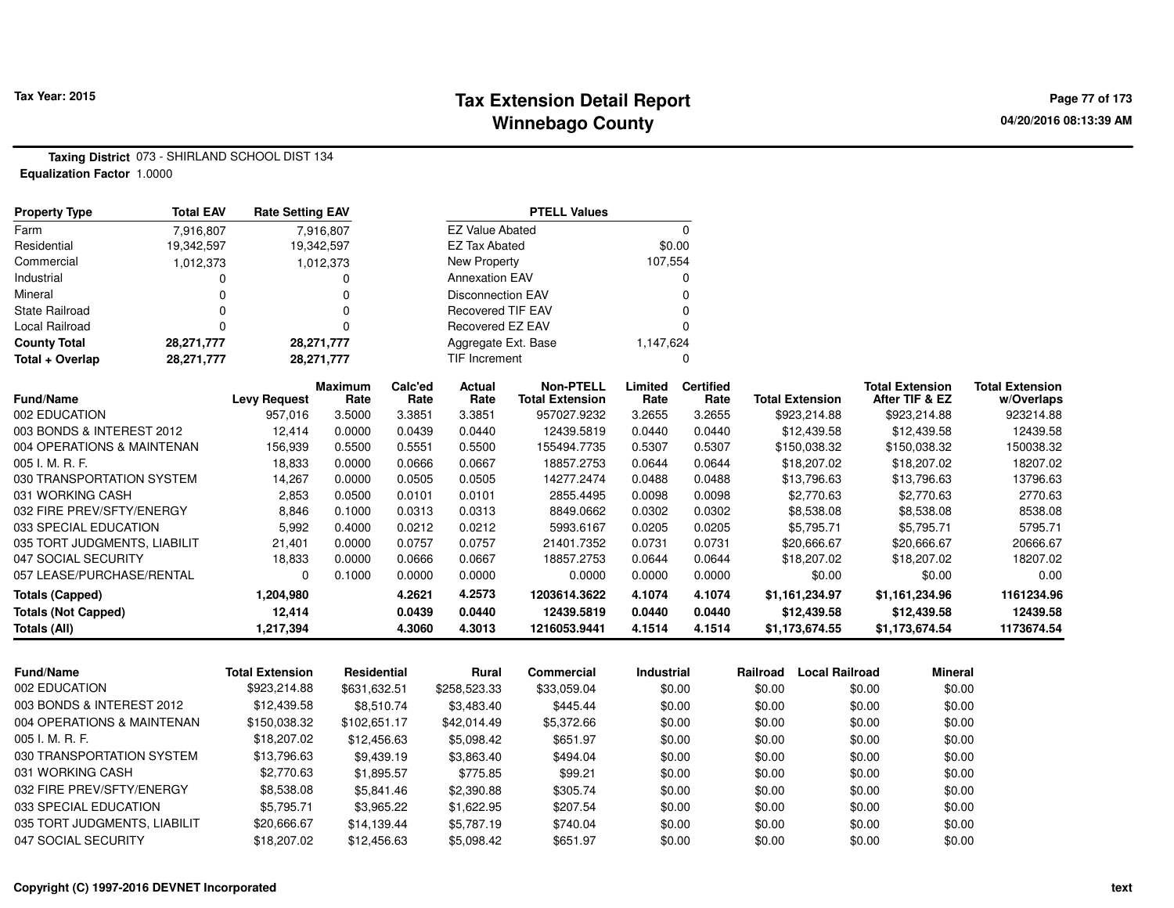### **Tax Extension Detail Report Tax Year: 2015 Page 77 of 173 Winnebago County**

**Taxing District** 073 - SHIRLAND SCHOOL DIST 134**Equalization Factor** 1.0000

| <b>Property Type</b>         | <b>Total EAV</b> | <b>Rate Setting EAV</b> |                        |                 |                          | <b>PTELL Values</b>                        |                 |                          |                        |                                          |                                      |
|------------------------------|------------------|-------------------------|------------------------|-----------------|--------------------------|--------------------------------------------|-----------------|--------------------------|------------------------|------------------------------------------|--------------------------------------|
| Farm                         | 7.916.807        |                         | 7,916,807              |                 | <b>EZ Value Abated</b>   |                                            |                 | 0                        |                        |                                          |                                      |
| Residential                  | 19,342,597       |                         | 19,342,597             |                 | <b>EZ Tax Abated</b>     |                                            |                 | \$0.00                   |                        |                                          |                                      |
| Commercial                   | 1,012,373        |                         | 1,012,373              |                 | New Property             |                                            | 107,554         |                          |                        |                                          |                                      |
| Industrial                   |                  |                         | 0                      |                 | <b>Annexation EAV</b>    |                                            |                 | 0                        |                        |                                          |                                      |
| Mineral                      |                  |                         | 0                      |                 | <b>Disconnection EAV</b> |                                            |                 |                          |                        |                                          |                                      |
| <b>State Railroad</b>        |                  |                         | 0                      |                 | <b>Recovered TIF EAV</b> |                                            |                 |                          |                        |                                          |                                      |
| Local Railroad               |                  |                         | ŋ                      |                 | <b>Recovered EZ EAV</b>  |                                            |                 |                          |                        |                                          |                                      |
| <b>County Total</b>          | 28,271,777       |                         | 28,271,777             |                 | Aggregate Ext. Base      |                                            | 1,147,624       |                          |                        |                                          |                                      |
| Total + Overlap              | 28,271,777       |                         | 28,271,777             |                 | TIF Increment            |                                            |                 | 0                        |                        |                                          |                                      |
| Fund/Name                    |                  | <b>Levy Request</b>     | <b>Maximum</b><br>Rate | Calc'ed<br>Rate | Actual<br>Rate           | <b>Non-PTELL</b><br><b>Total Extension</b> | Limited<br>Rate | <b>Certified</b><br>Rate | <b>Total Extension</b> | <b>Total Extension</b><br>After TIF & EZ | <b>Total Extension</b><br>w/Overlaps |
| 002 EDUCATION                |                  | 957,016                 | 3.5000                 | 3.3851          | 3.3851                   | 957027.9232                                | 3.2655          | 3.2655                   | \$923,214.88           | \$923,214.88                             | 923214.88                            |
| 003 BONDS & INTEREST 2012    |                  | 12,414                  | 0.0000                 | 0.0439          | 0.0440                   | 12439.5819                                 | 0.0440          | 0.0440                   | \$12,439.58            | \$12,439.58                              | 12439.58                             |
| 004 OPERATIONS & MAINTENAN   |                  | 156,939                 | 0.5500                 | 0.5551          | 0.5500                   | 155494.7735                                | 0.5307          | 0.5307                   | \$150,038.32           | \$150,038.32                             | 150038.32                            |
| 005 I. M. R. F.              |                  | 18,833                  | 0.0000                 | 0.0666          | 0.0667                   | 18857.2753                                 | 0.0644          | 0.0644                   | \$18,207.02            | \$18,207.02                              | 18207.02                             |
| 030 TRANSPORTATION SYSTEM    |                  | 14,267                  | 0.0000                 | 0.0505          | 0.0505                   | 14277.2474                                 | 0.0488          | 0.0488                   | \$13,796.63            | \$13,796.63                              | 13796.63                             |
| 031 WORKING CASH             |                  | 2,853                   | 0.0500                 | 0.0101          | 0.0101                   | 2855.4495                                  | 0.0098          | 0.0098                   | \$2,770.63             | \$2,770.63                               | 2770.63                              |
| 032 FIRE PREV/SFTY/ENERGY    |                  | 8,846                   | 0.1000                 | 0.0313          | 0.0313                   | 8849.0662                                  | 0.0302          | 0.0302                   | \$8,538.08             | \$8,538.08                               | 8538.08                              |
| 033 SPECIAL EDUCATION        |                  | 5,992                   | 0.4000                 | 0.0212          | 0.0212                   | 5993.6167                                  | 0.0205          | 0.0205                   | \$5,795.71             | \$5,795.71                               | 5795.71                              |
| 035 TORT JUDGMENTS, LIABILIT |                  | 21,401                  | 0.0000                 | 0.0757          | 0.0757                   | 21401.7352                                 | 0.0731          | 0.0731                   | \$20,666.67            | \$20,666.67                              | 20666.67                             |
| 047 SOCIAL SECURITY          |                  | 18,833                  | 0.0000                 | 0.0666          | 0.0667                   | 18857.2753                                 | 0.0644          | 0.0644                   | \$18,207.02            | \$18,207.02                              | 18207.02                             |
| 057 LEASE/PURCHASE/RENTAL    |                  | $\Omega$                | 0.1000                 | 0.0000          | 0.0000                   | 0.0000                                     | 0.0000          | 0.0000                   | \$0.00                 | \$0.00                                   | 0.00                                 |
| <b>Totals (Capped)</b>       |                  | 1,204,980               |                        | 4.2621          | 4.2573                   | 1203614.3622                               | 4.1074          | 4.1074                   | \$1,161,234.97         | \$1,161,234.96                           | 1161234.96                           |
| <b>Totals (Not Capped)</b>   |                  | 12,414                  |                        | 0.0439          | 0.0440                   | 12439.5819                                 | 0.0440          | 0.0440                   | \$12,439.58            | \$12,439.58                              | 12439.58                             |
|                              |                  | 1,217,394               |                        | 4.3060          | 4.3013                   | 1216053.9441                               | 4.1514          | 4.1514                   | \$1,173,674.55         | \$1,173,674.54                           | 1173674.54                           |

| <b>Fund/Name</b>             | Total Extension | Residential  | Rural        | Commercial  | Industrial | Railroad | Local Railroad | Mineral |
|------------------------------|-----------------|--------------|--------------|-------------|------------|----------|----------------|---------|
| 002 EDUCATION                | \$923,214.88    | \$631.632.51 | \$258,523,33 | \$33,059.04 | \$0.00     | \$0.00   | \$0.00         | \$0.00  |
| 003 BONDS & INTEREST 2012    | \$12,439.58     | \$8.510.74   | \$3,483.40   | \$445.44    | \$0.00     | \$0.00   | \$0.00         | \$0.00  |
| 004 OPERATIONS & MAINTENAN   | \$150,038.32    | \$102.651.17 | \$42,014.49  | \$5,372.66  | \$0.00     | \$0.00   | \$0.00         | \$0.00  |
| 005 I. M. R. F.              | \$18,207.02     | \$12,456.63  | \$5.098.42   | \$651.97    | \$0.00     | \$0.00   | \$0.00         | \$0.00  |
| 030 TRANSPORTATION SYSTEM    | \$13,796.63     | \$9.439.19   | \$3.863.40   | \$494.04    | \$0.00     | \$0.00   | \$0.00         | \$0.00  |
| 031 WORKING CASH             | \$2,770.63      | \$1,895.57   | \$775.85     | \$99.21     | \$0.00     | \$0.00   | \$0.00         | \$0.00  |
| 032 FIRE PREV/SFTY/ENERGY    | \$8,538.08      | \$5.841.46   | \$2,390.88   | \$305.74    | \$0.00     | \$0.00   | \$0.00         | \$0.00  |
| 033 SPECIAL EDUCATION        | \$5.795.71      | \$3,965.22   | \$1,622.95   | \$207.54    | \$0.00     | \$0.00   | \$0.00         | \$0.00  |
| 035 TORT JUDGMENTS, LIABILIT | \$20,666.67     | \$14,139.44  | \$5,787.19   | \$740.04    | \$0.00     | \$0.00   | \$0.00         | \$0.00  |
| 047 SOCIAL SECURITY          | \$18,207.02     | \$12,456.63  | \$5,098.42   | \$651.97    | \$0.00     | \$0.00   | \$0.00         | \$0.00  |
|                              |                 |              |              |             |            |          |                |         |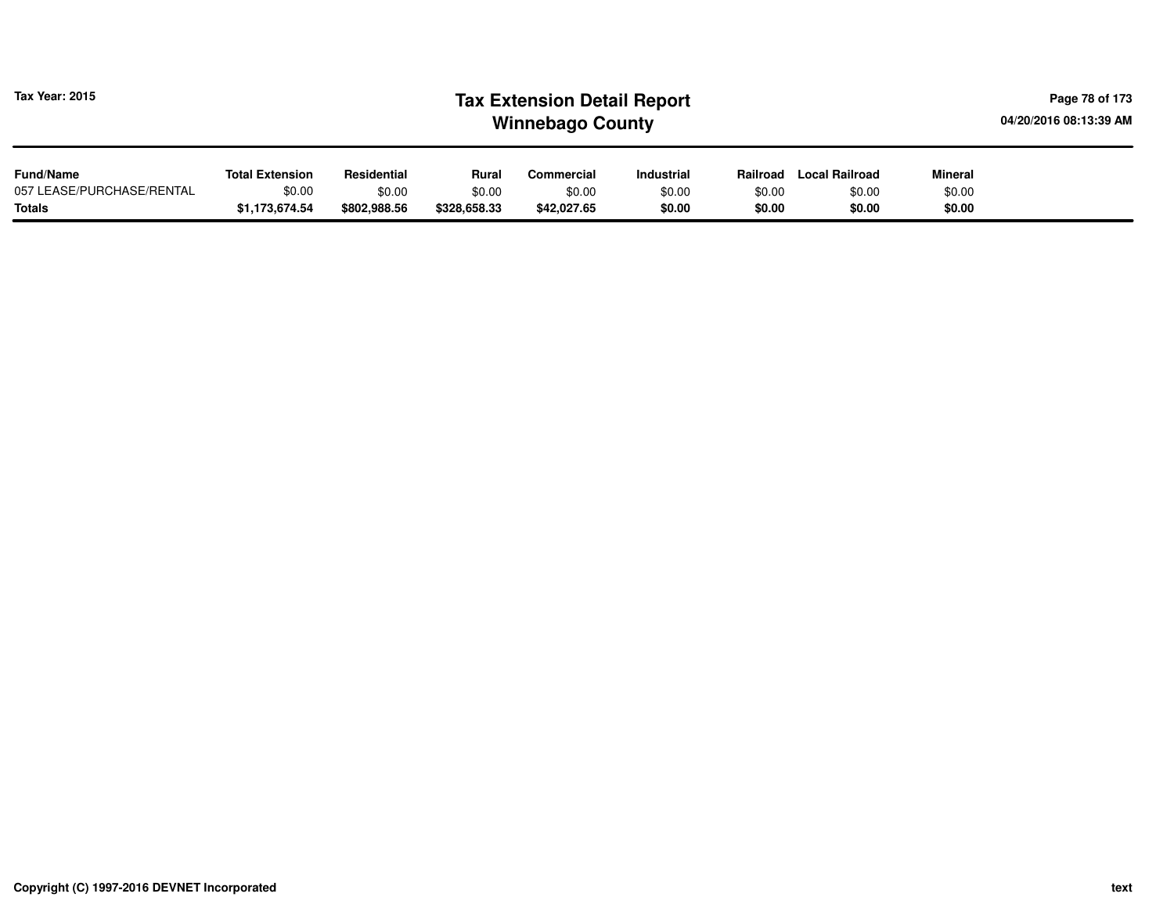| <b>Tax Year: 2015</b>                         |                                  |                       | <b>Tax Extension Detail Report</b><br>04/20/2016 08:13:39 AM<br><b>Winnebago County</b> |                       |                   |                  |                       |                  |  |
|-----------------------------------------------|----------------------------------|-----------------------|-----------------------------------------------------------------------------------------|-----------------------|-------------------|------------------|-----------------------|------------------|--|
| <b>Fund/Name</b><br>057 LEASE/PURCHASE/RENTAL | <b>Total Extension</b><br>\$0.00 | Residential<br>\$0.00 | Rural                                                                                   | Commercial            | <b>Industrial</b> | Railroad         | <b>Local Railroad</b> | <b>Mineral</b>   |  |
| Totals                                        | \$1,173,674.54                   | \$802,988.56          | \$0.00<br>\$328,658.33                                                                  | \$0.00<br>\$42,027.65 | \$0.00<br>\$0.00  | \$0.00<br>\$0.00 | \$0.00<br>\$0.00      | \$0.00<br>\$0.00 |  |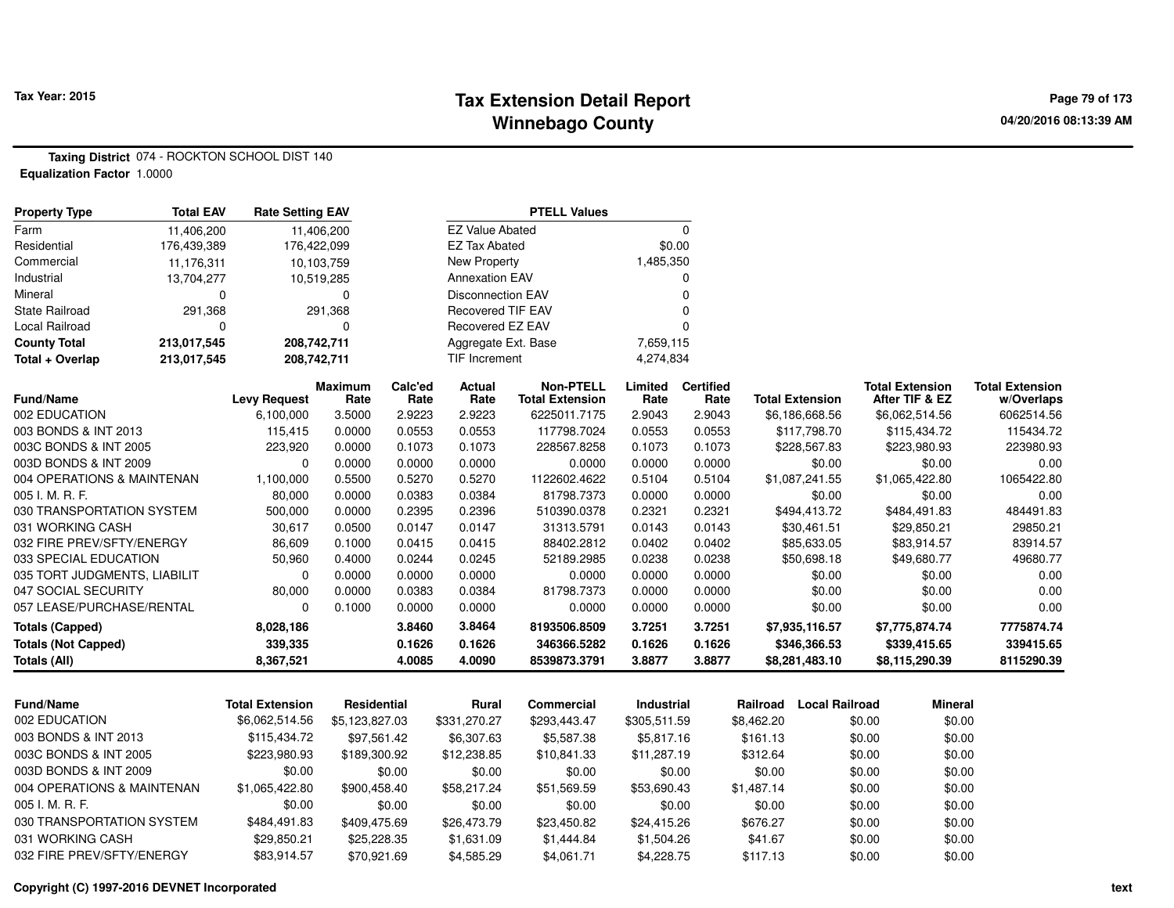### **Tax Extension Detail Report Tax Year: 2015 Page 79 of 173 Winnebago County**

**Taxing District** 074 - ROCKTON SCHOOL DIST 140**Equalization Factor** 1.0000

| <b>Property Type</b>         | <b>Total EAV</b> | <b>Rate Setting EAV</b> |                        |                 |                          | <b>PTELL Values</b>                        |                   |                          |                                   |                                          |                                      |
|------------------------------|------------------|-------------------------|------------------------|-----------------|--------------------------|--------------------------------------------|-------------------|--------------------------|-----------------------------------|------------------------------------------|--------------------------------------|
| Farm                         | 11,406,200       |                         | 11,406,200             |                 | <b>EZ Value Abated</b>   |                                            |                   | $\Omega$                 |                                   |                                          |                                      |
| Residential                  | 176,439,389      |                         | 176,422,099            |                 | <b>EZ Tax Abated</b>     |                                            | \$0.00            |                          |                                   |                                          |                                      |
| Commercial                   | 11,176,311       |                         | 10,103,759             |                 | New Property             |                                            | 1,485,350         |                          |                                   |                                          |                                      |
| Industrial                   | 13,704,277       |                         | 10,519,285             |                 | <b>Annexation EAV</b>    |                                            |                   | $\Omega$                 |                                   |                                          |                                      |
| Mineral                      | ∩                |                         | O                      |                 | <b>Disconnection EAV</b> |                                            |                   | n                        |                                   |                                          |                                      |
| State Railroad               | 291,368          |                         | 291,368                |                 | <b>Recovered TIF EAV</b> |                                            |                   |                          |                                   |                                          |                                      |
| Local Railroad               | ∩                |                         | 0                      |                 | Recovered EZ EAV         |                                            |                   |                          |                                   |                                          |                                      |
| <b>County Total</b>          | 213,017,545      |                         | 208,742,711            |                 | Aggregate Ext. Base      |                                            | 7,659,115         |                          |                                   |                                          |                                      |
| Total + Overlap              | 213,017,545      |                         | 208,742,711            |                 | <b>TIF Increment</b>     |                                            | 4,274,834         |                          |                                   |                                          |                                      |
| <b>Fund/Name</b>             |                  | <b>Levy Request</b>     | <b>Maximum</b><br>Rate | Calc'ed<br>Rate | Actual<br>Rate           | <b>Non-PTELL</b><br><b>Total Extension</b> | Limited<br>Rate   | <b>Certified</b><br>Rate | <b>Total Extension</b>            | <b>Total Extension</b><br>After TIF & EZ | <b>Total Extension</b><br>w/Overlaps |
| 002 EDUCATION                |                  | 6,100,000               | 3.5000                 | 2.9223          | 2.9223                   | 6225011.7175                               | 2.9043            | 2.9043                   | \$6,186,668.56                    | \$6,062,514.56                           | 6062514.56                           |
| 003 BONDS & INT 2013         |                  | 115,415                 | 0.0000                 | 0.0553          | 0.0553                   | 117798.7024                                | 0.0553            | 0.0553                   | \$117,798.70                      | \$115,434.72                             | 115434.72                            |
| 003C BONDS & INT 2005        |                  | 223,920                 | 0.0000                 | 0.1073          | 0.1073                   | 228567.8258                                | 0.1073            | 0.1073                   | \$228,567.83                      | \$223,980.93                             | 223980.93                            |
| 003D BONDS & INT 2009        |                  | $\Omega$                | 0.0000                 | 0.0000          | 0.0000                   | 0.0000                                     | 0.0000            | 0.0000                   | \$0.00                            | \$0.00                                   | 0.00                                 |
| 004 OPERATIONS & MAINTENAN   |                  | 1,100,000               | 0.5500                 | 0.5270          | 0.5270                   | 1122602.4622                               | 0.5104            | 0.5104                   | \$1,087,241.55                    | \$1,065,422.80                           | 1065422.80                           |
| 005 I. M. R. F.              |                  | 80,000                  | 0.0000                 | 0.0383          | 0.0384                   | 81798.7373                                 | 0.0000            | 0.0000                   | \$0.00                            | \$0.00                                   | 0.00                                 |
| 030 TRANSPORTATION SYSTEM    |                  | 500,000                 | 0.0000                 | 0.2395          | 0.2396                   | 510390.0378                                | 0.2321            | 0.2321                   | \$494,413.72                      | \$484,491.83                             | 484491.83                            |
| 031 WORKING CASH             |                  | 30,617                  | 0.0500                 | 0.0147          | 0.0147                   | 31313.5791                                 | 0.0143            | 0.0143                   | \$30,461.51                       | \$29,850.21                              | 29850.21                             |
| 032 FIRE PREV/SFTY/ENERGY    |                  | 86,609                  | 0.1000                 | 0.0415          | 0.0415                   | 88402.2812                                 | 0.0402            | 0.0402                   | \$85,633.05                       | \$83,914.57                              | 83914.57                             |
| 033 SPECIAL EDUCATION        |                  | 50,960                  | 0.4000                 | 0.0244          | 0.0245                   | 52189.2985                                 | 0.0238            | 0.0238                   | \$50,698.18                       | \$49,680.77                              | 49680.77                             |
| 035 TORT JUDGMENTS, LIABILIT |                  | 0                       | 0.0000                 | 0.0000          | 0.0000                   | 0.0000                                     | 0.0000            | 0.0000                   | \$0.00                            | \$0.00                                   | 0.00                                 |
| 047 SOCIAL SECURITY          |                  | 80,000                  | 0.0000                 | 0.0383          | 0.0384                   | 81798.7373                                 | 0.0000            | 0.0000                   | \$0.00                            | \$0.00                                   | 0.00                                 |
| 057 LEASE/PURCHASE/RENTAL    |                  | $\Omega$                | 0.1000                 | 0.0000          | 0.0000                   | 0.0000                                     | 0.0000            | 0.0000                   | \$0.00                            | \$0.00                                   | 0.00                                 |
| <b>Totals (Capped)</b>       |                  | 8,028,186               |                        | 3.8460          | 3.8464                   | 8193506.8509                               | 3.7251            | 3.7251                   | \$7,935,116.57                    | \$7,775,874.74                           | 7775874.74                           |
| <b>Totals (Not Capped)</b>   |                  | 339,335                 |                        | 0.1626          | 0.1626                   | 346366.5282                                | 0.1626            | 0.1626                   | \$346,366.53                      | \$339,415.65                             | 339415.65                            |
| Totals (All)                 |                  | 8,367,521               |                        | 4.0085          | 4.0090                   | 8539873.3791                               | 3.8877            | 3.8877                   | \$8,281,483.10                    | \$8,115,290.39                           | 8115290.39                           |
|                              |                  |                         |                        |                 |                          |                                            |                   |                          |                                   |                                          |                                      |
| Fund/Name                    |                  | <b>Total Extension</b>  | Residential            |                 | <b>Rural</b>             | Commercial                                 | Industrial        |                          | <b>Local Railroad</b><br>Railroad | <b>Mineral</b>                           |                                      |
| 002 EDUCATION                |                  | \$6,062,514.56          | \$5,123,827.03         |                 | \$331,270.27             | \$293,443.47                               | \$305,511.59      |                          | \$8,462.20                        | \$0.00                                   | \$0.00                               |
| 003 BONDS & INT 2013         |                  | \$115,434.72            | \$97,561.42            |                 | \$6,307.63               | \$5,587.38                                 | \$5,817.16        |                          | \$161.13                          | \$0.00                                   | \$0.00                               |
| MARC BONING & INIT 2005      |                  | CO NRO CCCA             | <b>CO NNC 00.5</b>     |                 | <b>CHO ODD OF</b>        | <b>CO FRO 011</b>                          | <b>411 207 10</b> |                          | 0.210R                            | ድስ ሰሰ                                    | CD, CD                               |

| <u>UUJ DUNDJ 0. IN LEUTJ</u> | JIIJ. TUTIL    | <b>957.JUT.44</b> | <u> 50. JUZ. UJ</u> |             | 0.011.10    | <b>UULLU</b> | wu.uu  | vu.vu  |
|------------------------------|----------------|-------------------|---------------------|-------------|-------------|--------------|--------|--------|
| 003C BONDS & INT 2005        | \$223,980.93   | \$189,300.92      | \$12,238.85         | \$10.841.33 | \$11,287.19 | \$312.64     | \$0.00 | \$0.00 |
| 003D BONDS & INT 2009        | \$0.00         | \$0.00            | \$0.00              | \$0.00      | \$0.00      | \$0.00       | \$0.00 | \$0.00 |
| 004 OPERATIONS & MAINTENAN   | \$1.065.422.80 | \$900.458.40      | \$58,217.24         | \$51.569.59 | \$53.690.43 | \$1.487.14   | \$0.00 | \$0.00 |
| 005 I. M. R. F.              | \$0.00         | \$0.00            | \$0.00              | \$0.00      | \$0.00      | \$0.00       | \$0.00 | \$0.00 |
| 030 TRANSPORTATION SYSTEM    | \$484.491.83   | \$409.475.69      | \$26,473.79         | \$23,450.82 | \$24.415.26 | \$676.27     | \$0.00 | \$0.00 |
| 031 WORKING CASH             | \$29.850.21    | \$25,228,35       | \$1.631.09          | \$1,444.84  | \$1,504.26  | \$41.67      | \$0.00 | \$0.00 |
| 032 FIRF PRFV/SFTY/FNFRGY    | \$83.914.57    | \$70.921.69       | \$4,585.29          | \$4.061.71  | \$4.228.75  | \$117.13     | \$0.00 | \$0.00 |
|                              |                |                   |                     |             |             |              |        |        |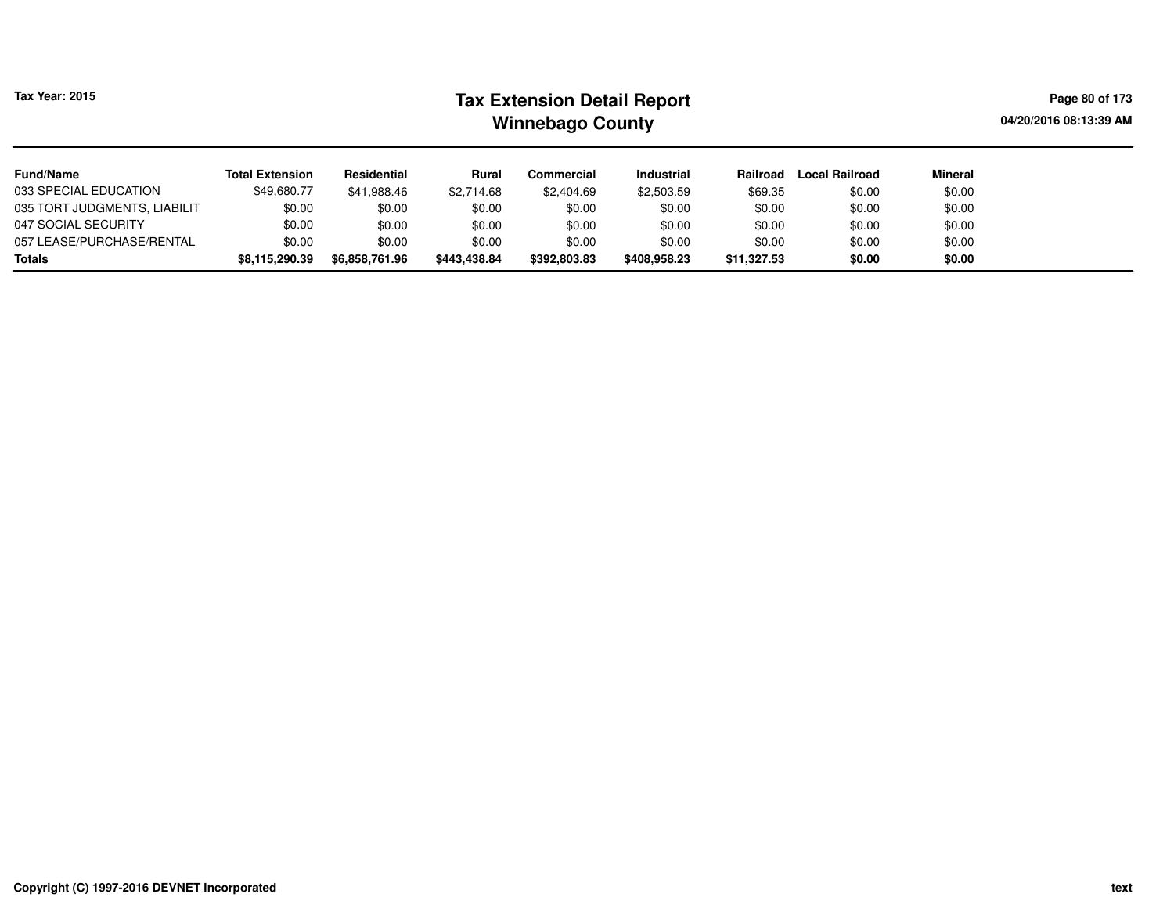| <b>Tax Year: 2015</b>        | <b>Tax Extension Detail Report</b><br><b>Winnebago County</b> |                |              |              |                   |             |                       | Page 80 of 173<br>04/20/2016 08:13:39 AM |  |
|------------------------------|---------------------------------------------------------------|----------------|--------------|--------------|-------------------|-------------|-----------------------|------------------------------------------|--|
| <b>Fund/Name</b>             | <b>Total Extension</b>                                        | Residential    | Rural        | Commercial   | <b>Industrial</b> | Railroad    | <b>Local Railroad</b> | <b>Mineral</b>                           |  |
| 033 SPECIAL EDUCATION        | \$49,680.77                                                   | \$41,988.46    | \$2,714.68   | \$2,404.69   | \$2,503.59        | \$69.35     | \$0.00                | \$0.00                                   |  |
| 035 TORT JUDGMENTS, LIABILIT | \$0.00                                                        | \$0.00         | \$0.00       | \$0.00       | \$0.00            | \$0.00      | \$0.00                | \$0.00                                   |  |
| 047 SOCIAL SECURITY          | \$0.00                                                        | \$0.00         | \$0.00       | \$0.00       | \$0.00            | \$0.00      | \$0.00                | \$0.00                                   |  |
| 057 LEASE/PURCHASE/RENTAL    | \$0.00                                                        | \$0.00         | \$0.00       | \$0.00       | \$0.00            | \$0.00      | \$0.00                | \$0.00                                   |  |
| <b>Totals</b>                | \$8,115,290.39                                                | \$6,858,761.96 | \$443,438.84 | \$392,803.83 | \$408,958,23      | \$11,327.53 | \$0.00                | \$0.00                                   |  |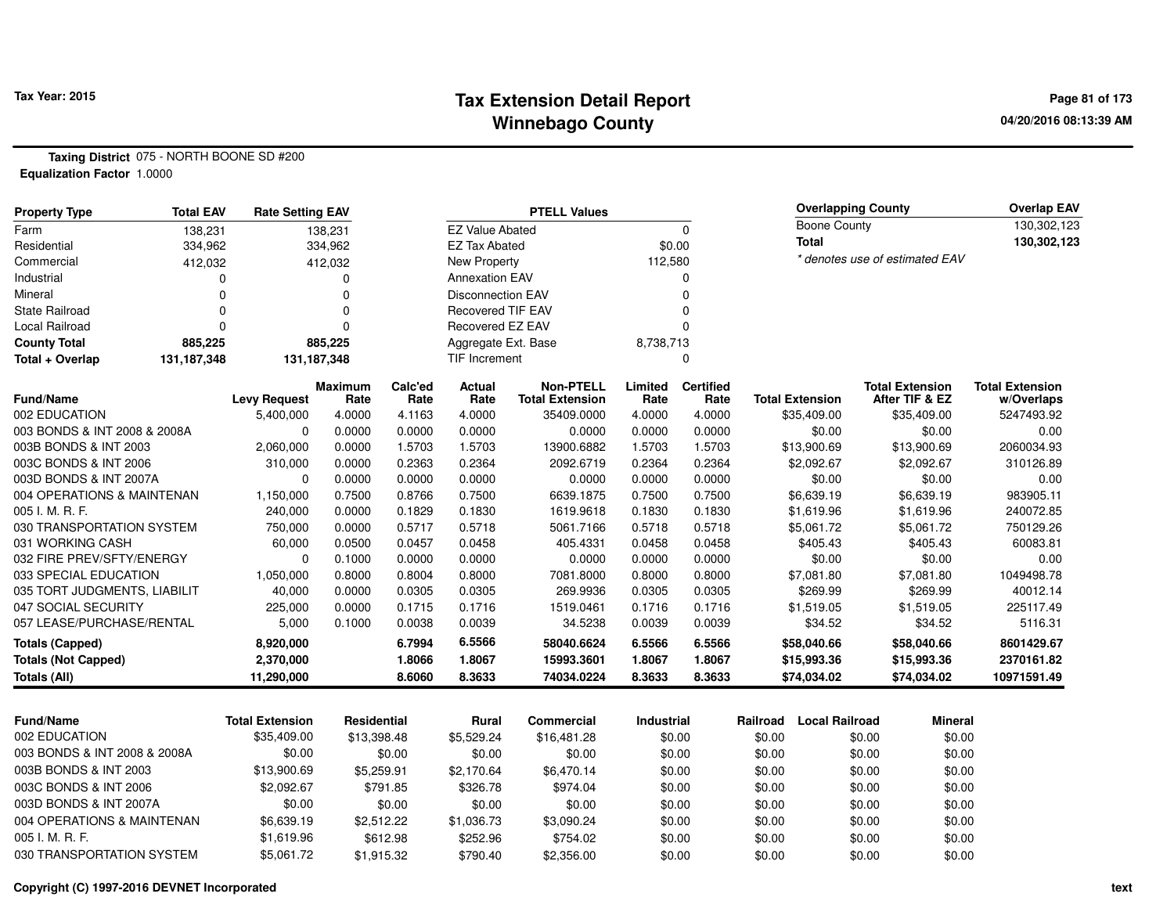### **Tax Extension Detail Report Tax Year: 2015 Page 81 of 173 Winnebago County**

**Taxing District** 075 - NORTH BOONE SD #200

**Equalization Factor** 1.0000

| <b>Property Type</b>         | <b>Total EAV</b> | <b>Rate Setting EAV</b> |                    |            |                          | <b>PTELL Values</b>    |                   |                  |          | <b>Overlapping County</b> |        |                                | <b>Overlap EAV</b>     |
|------------------------------|------------------|-------------------------|--------------------|------------|--------------------------|------------------------|-------------------|------------------|----------|---------------------------|--------|--------------------------------|------------------------|
| Farm                         | 138,231          |                         | 138,231            |            | <b>EZ Value Abated</b>   |                        |                   | $\Omega$         |          | Boone County              |        |                                | 130,302,123            |
| Residential                  | 334,962          |                         | 334,962            |            | <b>EZ Tax Abated</b>     |                        |                   | \$0.00           |          | <b>Total</b>              |        |                                | 130,302,123            |
| Commercial                   | 412,032          |                         | 412,032            |            | New Property             |                        | 112,580           |                  |          |                           |        | * denotes use of estimated EAV |                        |
| Industrial                   |                  |                         | 0                  |            | <b>Annexation EAV</b>    |                        |                   | 0                |          |                           |        |                                |                        |
| Mineral                      | $\Omega$         |                         | $\Omega$           |            | <b>Disconnection EAV</b> |                        |                   | 0                |          |                           |        |                                |                        |
| <b>State Railroad</b>        | $\Omega$         |                         | 0                  |            | <b>Recovered TIF EAV</b> |                        |                   | $\Omega$         |          |                           |        |                                |                        |
| Local Railroad               |                  |                         | O                  |            | Recovered EZ EAV         |                        |                   | $\Omega$         |          |                           |        |                                |                        |
| <b>County Total</b>          | 885,225          |                         | 885,225            |            | Aggregate Ext. Base      |                        | 8,738,713         |                  |          |                           |        |                                |                        |
| Total + Overlap              | 131, 187, 348    | 131, 187, 348           |                    |            | <b>TIF Increment</b>     |                        |                   | 0                |          |                           |        |                                |                        |
|                              |                  |                         | <b>Maximum</b>     | Calc'ed    | Actual                   | <b>Non-PTELL</b>       | Limited           | <b>Certified</b> |          |                           |        | <b>Total Extension</b>         | <b>Total Extension</b> |
| <b>Fund/Name</b>             |                  | <b>Levy Request</b>     | Rate               | Rate       | Rate                     | <b>Total Extension</b> | Rate              | Rate             |          | <b>Total Extension</b>    |        | After TIF & EZ                 | w/Overlaps             |
| 002 EDUCATION                |                  | 5,400,000               | 4.0000             | 4.1163     | 4.0000                   | 35409.0000             | 4.0000            | 4.0000           |          | \$35,409.00               |        | \$35,409.00                    | 5247493.92             |
| 003 BONDS & INT 2008 & 2008A |                  | $\mathbf 0$             | 0.0000             | 0.0000     | 0.0000                   | 0.0000                 | 0.0000            | 0.0000           |          | \$0.00                    |        | \$0.00                         | 0.00                   |
| 003B BONDS & INT 2003        |                  | 2,060,000               | 0.0000             | 1.5703     | 1.5703                   | 13900.6882             | 1.5703            | 1.5703           |          | \$13,900.69               |        | \$13,900.69                    | 2060034.93             |
| 003C BONDS & INT 2006        |                  | 310,000                 | 0.0000             | 0.2363     | 0.2364                   | 2092.6719              | 0.2364            | 0.2364           |          | \$2,092.67                |        | \$2,092.67                     | 310126.89              |
| 003D BONDS & INT 2007A       |                  | $\mathbf 0$             | 0.0000             | 0.0000     | 0.0000                   | 0.0000                 | 0.0000            | 0.0000           |          | \$0.00                    |        | \$0.00                         | 0.00                   |
| 004 OPERATIONS & MAINTENAN   |                  | 1,150,000               | 0.7500             | 0.8766     | 0.7500                   | 6639.1875              | 0.7500            | 0.7500           |          | \$6,639.19                |        | \$6,639.19                     | 983905.11              |
| 005 I. M. R. F.              |                  | 240,000                 | 0.0000             | 0.1829     | 0.1830                   | 1619.9618              | 0.1830            | 0.1830           |          | \$1,619.96                |        | \$1,619.96                     | 240072.85              |
| 030 TRANSPORTATION SYSTEM    |                  | 750,000                 | 0.0000             | 0.5717     | 0.5718                   | 5061.7166              | 0.5718            | 0.5718           |          | \$5,061.72                |        | \$5,061.72                     | 750129.26              |
| 031 WORKING CASH             |                  | 60,000                  | 0.0500             | 0.0457     | 0.0458                   | 405.4331               | 0.0458            | 0.0458           |          | \$405.43                  |        | \$405.43                       | 60083.81               |
| 032 FIRE PREV/SFTY/ENERGY    |                  | $\Omega$                | 0.1000             | 0.0000     | 0.0000                   | 0.0000                 | 0.0000            | 0.0000           |          | \$0.00                    |        | \$0.00                         | 0.00                   |
| 033 SPECIAL EDUCATION        |                  | 1,050,000               | 0.8000             | 0.8004     | 0.8000                   | 7081.8000              | 0.8000            | 0.8000           |          | \$7,081.80                |        | \$7,081.80                     | 1049498.78             |
| 035 TORT JUDGMENTS, LIABILIT |                  | 40,000                  | 0.0000             | 0.0305     | 0.0305                   | 269.9936               | 0.0305            | 0.0305           |          | \$269.99                  |        | \$269.99                       | 40012.14               |
| 047 SOCIAL SECURITY          |                  | 225,000                 | 0.0000             | 0.1715     | 0.1716                   | 1519.0461              | 0.1716            | 0.1716           |          | \$1,519.05                |        | \$1,519.05                     | 225117.49              |
| 057 LEASE/PURCHASE/RENTAL    |                  | 5,000                   | 0.1000             | 0.0038     | 0.0039<br>6.5566         | 34.5238                | 0.0039            | 0.0039           |          | \$34.52                   |        | \$34.52                        | 5116.31                |
| <b>Totals (Capped)</b>       |                  | 8,920,000               |                    | 6.7994     |                          | 58040.6624             | 6.5566            | 6.5566           |          | \$58,040.66               |        | \$58,040.66                    | 8601429.67             |
| <b>Totals (Not Capped)</b>   |                  | 2,370,000               |                    | 1.8066     | 1.8067                   | 15993.3601             | 1.8067            | 1.8067           |          | \$15,993.36               |        | \$15,993.36                    | 2370161.82             |
| Totals (All)                 |                  | 11,290,000              |                    | 8.6060     | 8.3633                   | 74034.0224             | 8.3633            | 8.3633           |          | \$74,034.02               |        | \$74,034.02                    | 10971591.49            |
| <b>Fund/Name</b>             |                  | <b>Total Extension</b>  | <b>Residential</b> |            | Rural                    | <b>Commercial</b>      | <b>Industrial</b> |                  | Railroad | <b>Local Railroad</b>     |        | <b>Mineral</b>                 |                        |
| 002 EDUCATION                |                  | \$35,409.00             | \$13,398.48        |            | \$5,529.24               | \$16,481.28            |                   | \$0.00           | \$0.00   |                           | \$0.00 | \$0.00                         |                        |
| 003 BONDS & INT 2008 & 2008A |                  | \$0.00                  |                    | \$0.00     | \$0.00                   | \$0.00                 |                   | \$0.00           | \$0.00   |                           | \$0.00 | \$0.00                         |                        |
| 003B BONDS & INT 2003        |                  | \$13,900.69             |                    | \$5,259.91 | \$2,170.64               | \$6,470.14             |                   | \$0.00           | \$0.00   |                           | \$0.00 | \$0.00                         |                        |
| 003C BONDS & INT 2006        |                  | \$2,092.67              |                    | \$791.85   | \$326.78                 | \$974.04               |                   | \$0.00           | \$0.00   |                           | \$0.00 | \$0.00                         |                        |
| 003D BONDS & INT 2007A       |                  | \$0.00                  |                    | \$0.00     | \$0.00                   | \$0.00                 |                   | \$0.00           | \$0.00   |                           | \$0.00 | \$0.00                         |                        |
| 004 OPERATIONS & MAINTENAN   |                  | \$6,639.19              |                    |            |                          |                        |                   |                  |          |                           |        |                                |                        |
| 005 I. M. R. F.              |                  |                         |                    | \$2,512.22 | \$1,036.73               | \$3,090.24             |                   | \$0.00           | \$0.00   |                           | \$0.00 | \$0.00                         |                        |
|                              |                  | \$1,619.96              |                    | \$612.98   | \$252.96                 | \$754.02               |                   | \$0.00           | \$0.00   |                           | \$0.00 | \$0.00                         |                        |
| 030 TRANSPORTATION SYSTEM    |                  | \$5,061.72              |                    | \$1,915.32 | \$790.40                 | \$2,356.00             |                   | \$0.00           | \$0.00   |                           | \$0.00 | \$0.00                         |                        |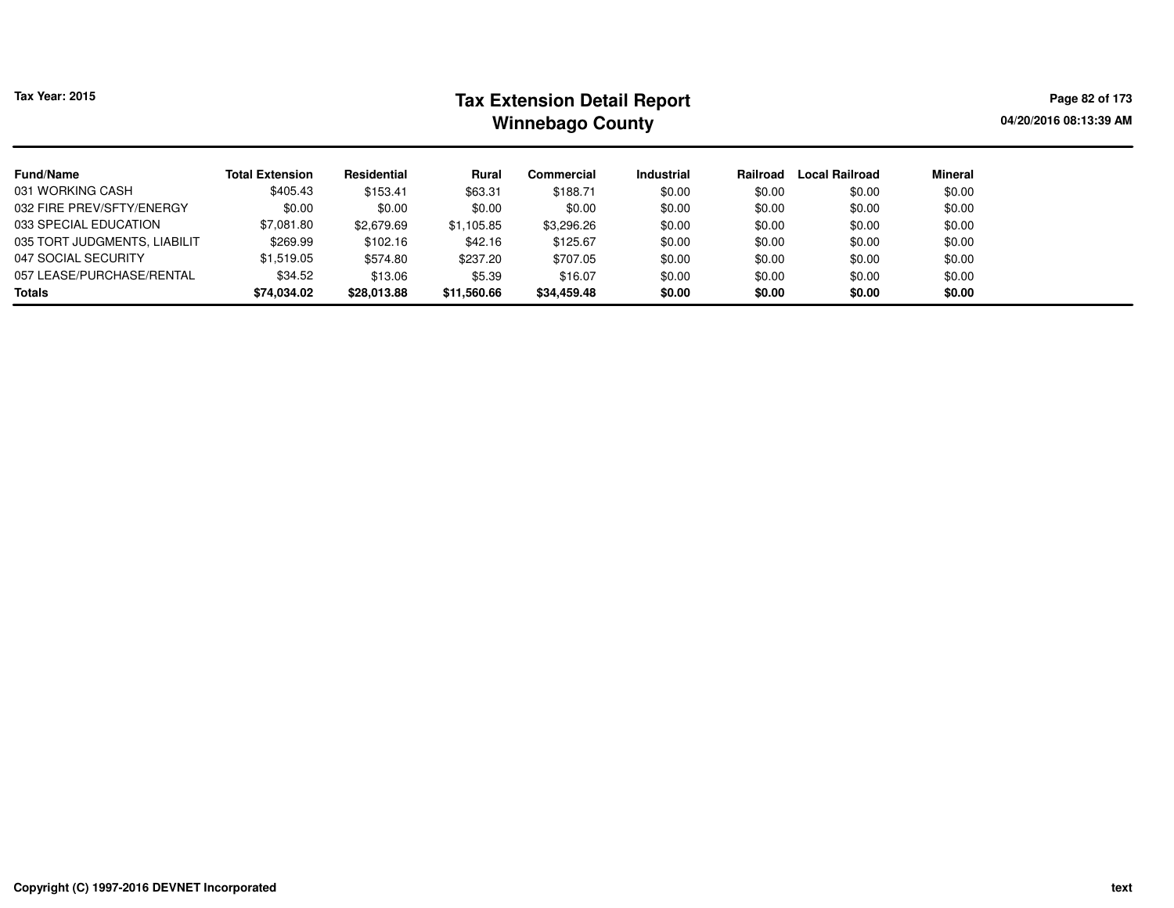# **Tax Extension Detail Report Tax Year: 2015 Page 82 of 173 Winnebago County**

**04/20/2016 08:13:39 AM**

| <b>Fund/Name</b>             | <b>Total Extension</b> | Residential | Rural       | Commercial  | <b>Industrial</b> | Railroad | <b>Local Railroad</b> | Mineral |
|------------------------------|------------------------|-------------|-------------|-------------|-------------------|----------|-----------------------|---------|
| 031 WORKING CASH             | \$405.43               | \$153.41    | \$63.31     | \$188.71    | \$0.00            | \$0.00   | \$0.00                | \$0.00  |
| 032 FIRE PREV/SFTY/ENERGY    | \$0.00                 | \$0.00      | \$0.00      | \$0.00      | \$0.00            | \$0.00   | \$0.00                | \$0.00  |
| 033 SPECIAL EDUCATION        | \$7,081.80             | \$2,679.69  | \$1,105.85  | \$3,296.26  | \$0.00            | \$0.00   | \$0.00                | \$0.00  |
| 035 TORT JUDGMENTS, LIABILIT | \$269.99               | \$102.16    | \$42.16     | \$125.67    | \$0.00            | \$0.00   | \$0.00                | \$0.00  |
| 047 SOCIAL SECURITY          | \$1.519.05             | \$574.80    | \$237.20    | \$707.05    | \$0.00            | \$0.00   | \$0.00                | \$0.00  |
| 057 LEASE/PURCHASE/RENTAL    | \$34.52                | \$13.06     | \$5.39      | \$16.07     | \$0.00            | \$0.00   | \$0.00                | \$0.00  |
| <b>Totals</b>                | \$74,034.02            | \$28,013.88 | \$11,560.66 | \$34,459.48 | \$0.00            | \$0.00   | \$0.00                | \$0.00  |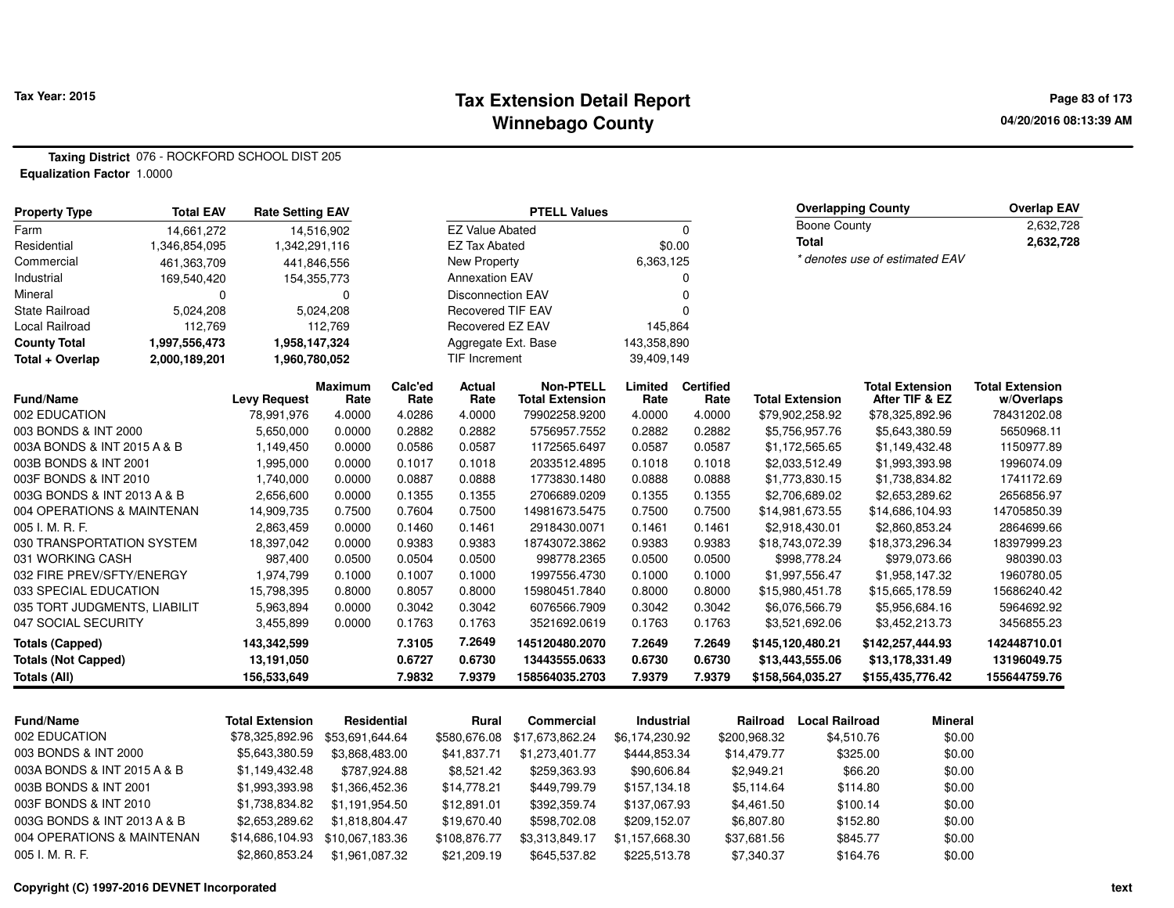### **Tax Extension Detail Report Tax Year: 2015 Page 83 of 173 Winnebago County**

**Taxing District** 076 - ROCKFORD SCHOOL DIST 205**Equalization Factor** 1.0000

| <b>Property Type</b>         | <b>Total EAV</b> | <b>Rate Setting EAV</b> |                        |                      |                          | <b>PTELL Values</b>                        | <b>Overlapping County</b> |                          |                                |                                          | <b>Overlap EAV</b>                   |
|------------------------------|------------------|-------------------------|------------------------|----------------------|--------------------------|--------------------------------------------|---------------------------|--------------------------|--------------------------------|------------------------------------------|--------------------------------------|
| Farm                         | 14,661,272       |                         | 14,516,902             |                      | <b>EZ Value Abated</b>   |                                            |                           | 0                        | Boone County                   |                                          | 2,632,728                            |
| Residential                  | 1,346,854,095    | 1,342,291,116           |                        |                      | <b>EZ Tax Abated</b>     |                                            | \$0.00                    |                          | <b>Total</b>                   |                                          | 2,632,728                            |
| Commercial                   | 461,363,709      |                         | 441,846,556            |                      | New Property             |                                            | 6,363,125                 |                          | * denotes use of estimated EAV |                                          |                                      |
| Industrial                   | 169,540,420      |                         | 154,355,773            |                      | <b>Annexation EAV</b>    |                                            | 0                         |                          |                                |                                          |                                      |
| Mineral                      | 0                |                         | 0                      |                      | <b>Disconnection EAV</b> |                                            |                           |                          |                                |                                          |                                      |
| <b>State Railroad</b>        | 5,024,208        |                         | 5,024,208              |                      | <b>Recovered TIF EAV</b> |                                            |                           |                          |                                |                                          |                                      |
| <b>Local Railroad</b>        | 112,769          |                         | 112,769                |                      | Recovered EZ EAV         |                                            | 145,864                   |                          |                                |                                          |                                      |
| <b>County Total</b>          | 1,997,556,473    | 1,958,147,324           |                        |                      | Aggregate Ext. Base      |                                            | 143,358,890               |                          |                                |                                          |                                      |
| Total + Overlap              | 2,000,189,201    | 1,960,780,052           |                        | <b>TIF Increment</b> |                          |                                            | 39,409,149                |                          |                                |                                          |                                      |
| <b>Fund/Name</b>             |                  | <b>Levy Request</b>     | <b>Maximum</b><br>Rate | Calc'ed<br>Rate      | Actual<br>Rate           | <b>Non-PTELL</b><br><b>Total Extension</b> | Limited<br>Rate           | <b>Certified</b><br>Rate | <b>Total Extension</b>         | <b>Total Extension</b><br>After TIF & EZ | <b>Total Extension</b><br>w/Overlaps |
| 002 EDUCATION                |                  | 78,991,976              | 4.0000                 | 4.0286               | 4.0000                   | 79902258.9200                              | 4.0000                    | 4.0000                   | \$79,902,258.92                | \$78,325,892.96                          | 78431202.08                          |
| 003 BONDS & INT 2000         |                  | 5,650,000               | 0.0000                 | 0.2882               | 0.2882                   | 5756957.7552                               | 0.2882                    | 0.2882                   | \$5,756,957.76                 | \$5,643,380.59                           | 5650968.11                           |
| 003A BONDS & INT 2015 A & B  |                  | 1,149,450               | 0.0000                 | 0.0586               | 0.0587                   | 1172565.6497                               | 0.0587                    | 0.0587                   | \$1,172,565.65                 | \$1,149,432.48                           | 1150977.89                           |
| 003B BONDS & INT 2001        |                  | 1,995,000               | 0.0000                 | 0.1017               | 0.1018                   | 2033512.4895                               | 0.1018                    | 0.1018                   | \$2,033,512.49                 | \$1,993,393.98                           | 1996074.09                           |
| 003F BONDS & INT 2010        |                  | 1,740,000               | 0.0000                 | 0.0887               | 0.0888                   | 1773830.1480                               | 0.0888                    | 0.0888                   | \$1,773,830.15                 | \$1,738,834.82                           | 1741172.69                           |
| 003G BONDS & INT 2013 A & B  |                  | 2,656,600               | 0.0000                 | 0.1355               | 0.1355                   | 2706689.0209                               | 0.1355                    | 0.1355                   | \$2,706,689.02                 | \$2,653,289.62                           | 2656856.97                           |
| 004 OPERATIONS & MAINTENAN   |                  | 14,909,735              | 0.7500                 | 0.7604               | 0.7500                   | 14981673.5475                              | 0.7500                    | 0.7500                   | \$14,981,673.55                | \$14,686,104.93                          | 14705850.39                          |
| 005 I. M. R. F.              |                  | 2,863,459               | 0.0000                 | 0.1460               | 0.1461                   | 2918430.0071                               | 0.1461                    | 0.1461                   | \$2,918,430.01                 | \$2,860,853.24                           | 2864699.66                           |
| 030 TRANSPORTATION SYSTEM    |                  | 18,397,042              | 0.0000                 | 0.9383               | 0.9383                   | 18743072.3862                              | 0.9383                    | 0.9383                   | \$18,743,072.39                | \$18,373,296.34                          | 18397999.23                          |
| 031 WORKING CASH             |                  | 987,400                 | 0.0500                 | 0.0504               | 0.0500                   | 998778.2365                                | 0.0500                    | 0.0500                   | \$998,778.24                   | \$979,073.66                             | 980390.03                            |
| 032 FIRE PREV/SFTY/ENERGY    |                  | 1,974,799               | 0.1000                 | 0.1007               | 0.1000                   | 1997556.4730                               | 0.1000                    | 0.1000                   | \$1,997,556.47                 | \$1,958,147.32                           | 1960780.05                           |
| 033 SPECIAL EDUCATION        |                  | 15,798,395              | 0.8000                 | 0.8057               | 0.8000                   | 15980451.7840                              | 0.8000                    | 0.8000                   | \$15,980,451.78                | \$15,665,178.59                          | 15686240.42                          |
| 035 TORT JUDGMENTS, LIABILIT |                  | 5,963,894               | 0.0000                 | 0.3042               | 0.3042                   | 6076566.7909                               | 0.3042                    | 0.3042                   | \$6,076,566.79                 | \$5,956,684.16                           | 5964692.92                           |
| 047 SOCIAL SECURITY          |                  | 3,455,899               | 0.0000                 | 0.1763               | 0.1763                   | 3521692.0619                               | 0.1763                    | 0.1763                   | \$3,521,692.06                 | \$3,452,213.73                           | 3456855.23                           |
| <b>Totals (Capped)</b>       |                  | 143,342,599             |                        | 7.3105               | 7.2649                   | 145120480.2070                             | 7.2649                    | 7.2649                   | \$145,120,480.21               | \$142,257,444.93                         | 142448710.01                         |
| <b>Totals (Not Capped)</b>   |                  | 13,191,050              |                        | 0.6727               | 0.6730                   | 13443555.0633                              | 0.6730                    | 0.6730                   | \$13,443,555.06                | \$13,178,331.49                          | 13196049.75                          |
| Totals (All)                 |                  | 156,533,649             |                        | 7.9832               | 7.9379                   | 158564035.2703                             | 7.9379                    | 7.9379                   | \$158,564,035.27               | \$155,435,776.42                         | 155644759.76                         |

| <b>Fund/Name</b>            | <b>Total Extension</b> | Residential     | Rural        | Commercial      | Industrial     | Railroad     | Local Railroad | <b>Mineral</b> |
|-----------------------------|------------------------|-----------------|--------------|-----------------|----------------|--------------|----------------|----------------|
| 002 EDUCATION               | \$78,325,892.96        | \$53.691.644.64 | \$580,676,08 | \$17.673.862.24 | \$6.174.230.92 | \$200.968.32 | \$4,510.76     | \$0.00         |
| 003 BONDS & INT 2000        | \$5,643,380.59         | \$3.868.483.00  | \$41.837.71  | \$1,273,401,77  | \$444.853.34   | \$14,479.77  | \$325.00       | \$0.00         |
| 003A BONDS & INT 2015 A & B | \$1,149,432.48         | \$787.924.88    | \$8.521.42   | \$259.363.93    | \$90,606.84    | \$2.949.21   | \$66.20        | \$0.00         |
| 003B BONDS & INT 2001       | \$1,993,393.98         | \$1,366,452,36  | \$14,778.21  | \$449.799.79    | \$157.134.18   | \$5.114.64   | \$114.80       | \$0.00         |
| 003F BONDS & INT 2010       | \$1,738,834.82         | \$1.191.954.50  | \$12.891.01  | \$392.359.74    | \$137.067.93   | \$4,461.50   | \$100.14       | \$0.00         |
| 003G BONDS & INT 2013 A & B | \$2,653,289.62         | \$1.818.804.47  | \$19.670.40  | \$598.702.08    | \$209.152.07   | \$6.807.80   | \$152.80       | \$0.00         |
| 004 OPERATIONS & MAINTENAN  | \$14,686,104.93        | \$10.067.183.36 | \$108,876.77 | \$3.313.849.17  | \$1.157.668.30 | \$37,681.56  | \$845.77       | \$0.00         |
| $005$ J. M. R. F.           | \$2,860,853.24         | \$1.961.087.32  | \$21,209.19  | \$645,537.82    | \$225.513.78   | \$7.340.37   | \$164.76       | \$0.00         |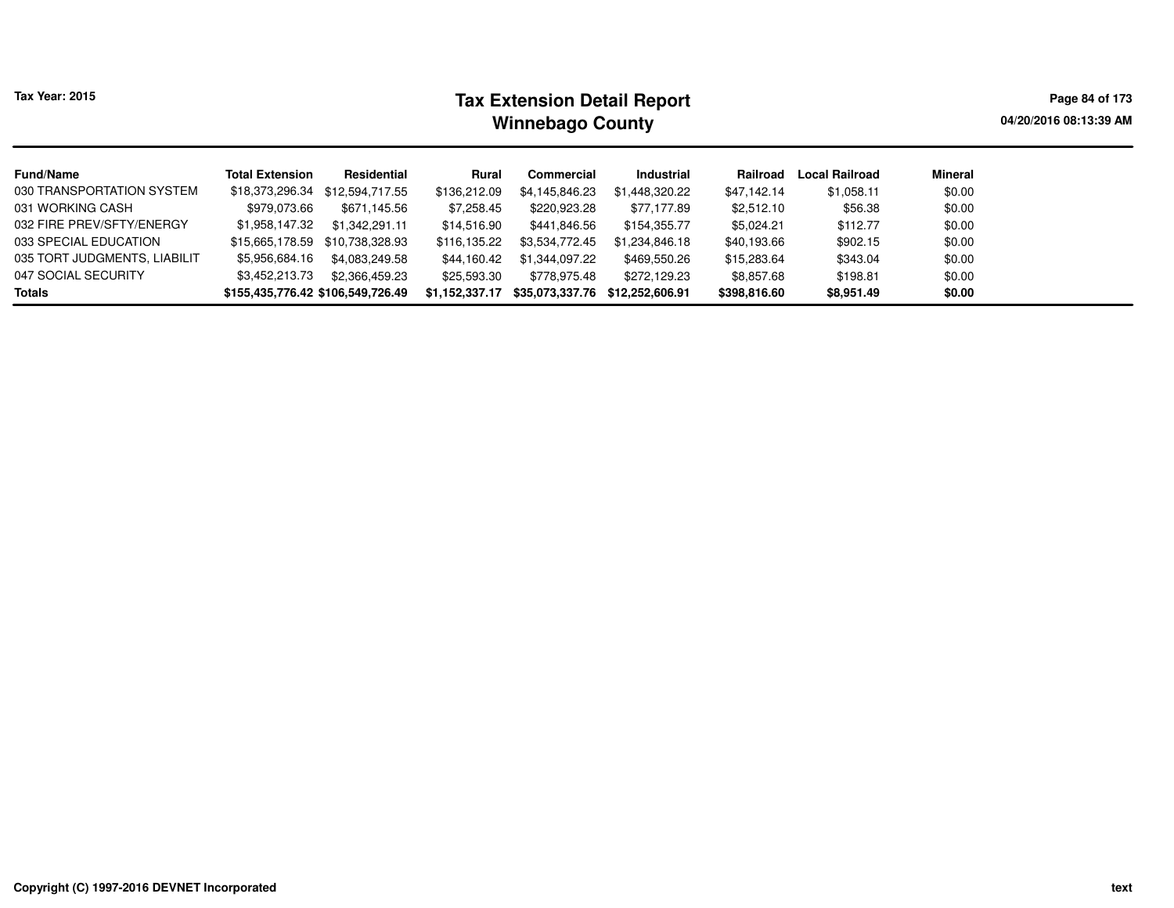| Tax Year: 2015 |  |  |
|----------------|--|--|
|----------------|--|--|

# **Tax Extension Detail Report Tax Year: 2015 Page 84 of 173 Winnebago County**

**04/20/2016 08:13:39 AM**

| <b>Fund/Name</b>             | <b>Total Extension</b>            | Residential     | Rural          | Commercial      | Industrial      | Railroad     | <b>Local Railroad</b> | Mineral |
|------------------------------|-----------------------------------|-----------------|----------------|-----------------|-----------------|--------------|-----------------------|---------|
| 030 TRANSPORTATION SYSTEM    | \$18,373,296.34                   | \$12,594,717.55 | \$136,212.09   | \$4,145,846.23  | \$1,448,320.22  | \$47,142.14  | \$1,058.11            | \$0.00  |
| 031 WORKING CASH             | \$979,073.66                      | \$671.145.56    | \$7,258.45     | \$220,923.28    | \$77,177.89     | \$2,512.10   | \$56.38               | \$0.00  |
| 032 FIRE PREV/SFTY/ENERGY    | \$1,958,147.32                    | \$1,342,291.11  | \$14,516.90    | \$441,846.56    | \$154,355.77    | \$5,024.21   | \$112.77              | \$0.00  |
| 033 SPECIAL EDUCATION        | \$15,665,178.59                   | \$10.738.328.93 | \$116.135.22   | \$3,534,772.45  | \$1,234,846.18  | \$40,193.66  | \$902.15              | \$0.00  |
| 035 TORT JUDGMENTS, LIABILIT | \$5,956,684.16                    | \$4.083.249.58  | \$44,160.42    | \$1,344,097.22  | \$469,550.26    | \$15,283.64  | \$343.04              | \$0.00  |
| 047 SOCIAL SECURITY          | \$3,452,213.73                    | \$2.366.459.23  | \$25,593.30    | \$778.975.48    | \$272,129.23    | \$8,857.68   | \$198.81              | \$0.00  |
| <b>Totals</b>                | \$155,435,776.42 \$106,549,726.49 |                 | \$1,152,337.17 | \$35,073,337.76 | \$12.252.606.91 | \$398,816.60 | \$8,951.49            | \$0.00  |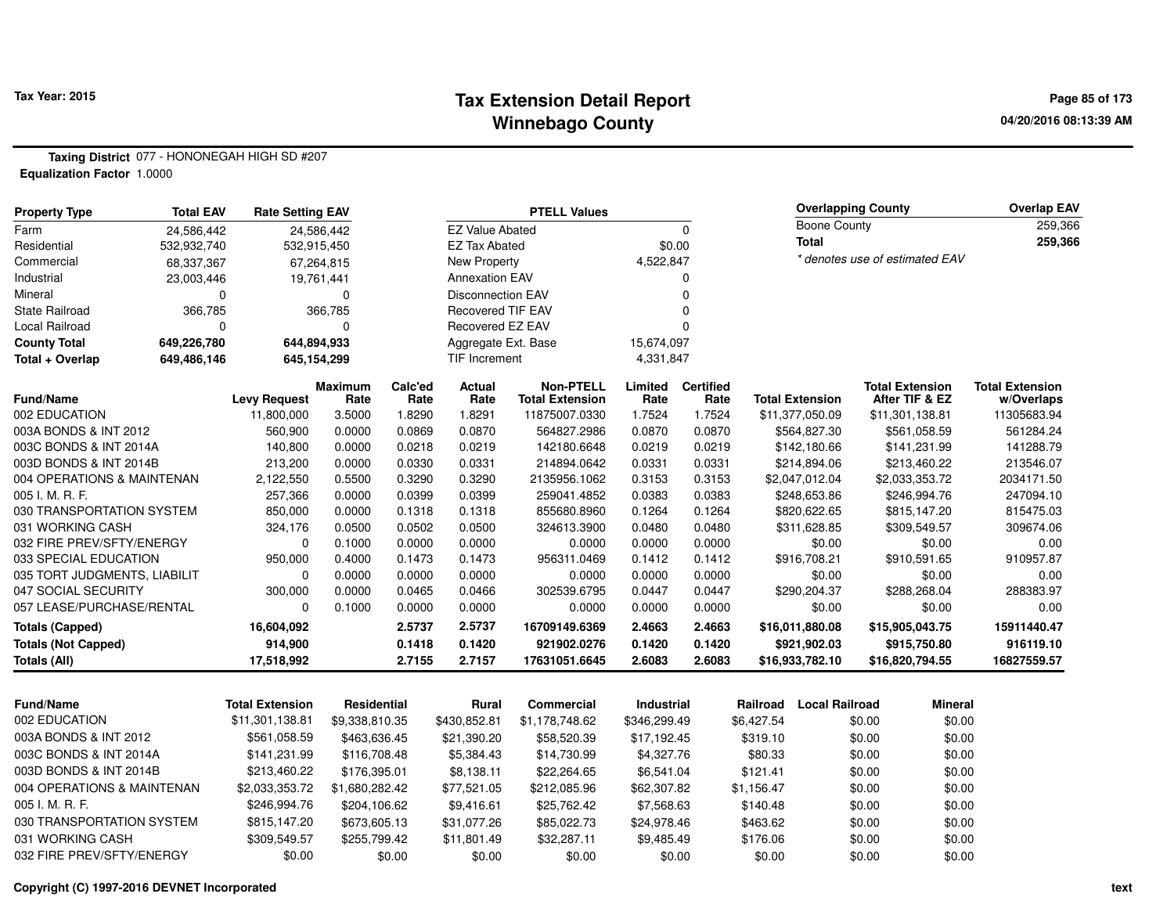### **Tax Extension Detail Report Tax Year: 2015 Page 85 of 173 Winnebago County**

**Taxing District** 077 - HONONEGAH HIGH SD #207**Equalization Factor** 1.0000

| <b>Property Type</b>         | <b>Total EAV</b> | <b>Rate Setting EAV</b> |                        | <b>PTELL Values</b> |                          |                                            |                 |                          | <b>Overlapping County</b>      | <b>Overlap EAV</b>                       |                                      |
|------------------------------|------------------|-------------------------|------------------------|---------------------|--------------------------|--------------------------------------------|-----------------|--------------------------|--------------------------------|------------------------------------------|--------------------------------------|
| Farm                         | 24,586,442       |                         | 24,586,442             |                     | <b>EZ Value Abated</b>   |                                            |                 | 0                        | <b>Boone County</b>            |                                          | 259,366                              |
| Residential                  | 532,932,740      | 532,915,450             |                        |                     | <b>EZ Tax Abated</b>     |                                            | \$0.00          |                          | <b>Total</b>                   |                                          | 259,366                              |
| Commercial                   | 68,337,367       |                         | 67,264,815             |                     | New Property             |                                            | 4,522,847       |                          | * denotes use of estimated EAV |                                          |                                      |
| Industrial                   | 23,003,446       |                         | 19,761,441             |                     | <b>Annexation EAV</b>    |                                            |                 | n                        |                                |                                          |                                      |
| Mineral                      | $\Omega$         |                         | 0                      |                     | <b>Disconnection EAV</b> |                                            |                 | $\Omega$                 |                                |                                          |                                      |
| <b>State Railroad</b>        | 366,785          |                         | 366,785                |                     | <b>Recovered TIF EAV</b> |                                            |                 |                          |                                |                                          |                                      |
| Local Railroad               | $\Omega$         |                         | $\Omega$               |                     | Recovered EZ EAV         |                                            |                 |                          |                                |                                          |                                      |
| <b>County Total</b>          | 649,226,780      | 644,894,933             |                        |                     | Aggregate Ext. Base      |                                            | 15,674,097      |                          |                                |                                          |                                      |
| Total + Overlap              | 649,486,146      | 645,154,299             |                        |                     | <b>TIF Increment</b>     |                                            | 4,331,847       |                          |                                |                                          |                                      |
| <b>Fund/Name</b>             |                  | <b>Levy Request</b>     | <b>Maximum</b><br>Rate | Calc'ed<br>Rate     | Actual<br>Rate           | <b>Non-PTELL</b><br><b>Total Extension</b> | Limited<br>Rate | <b>Certified</b><br>Rate | <b>Total Extension</b>         | <b>Total Extension</b><br>After TIF & EZ | <b>Total Extension</b><br>w/Overlaps |
| 002 EDUCATION                |                  | 11,800,000              | 3.5000                 | 1.8290              | 1.8291                   | 11875007.0330                              | 1.7524          | 1.7524                   | \$11,377,050.09                | \$11,301,138.81                          | 11305683.94                          |
| 003A BONDS & INT 2012        |                  | 560,900                 | 0.0000                 | 0.0869              | 0.0870                   | 564827.2986                                | 0.0870          | 0.0870                   | \$564,827.30                   | \$561,058.59                             | 561284.24                            |
| 003C BONDS & INT 2014A       |                  | 140,800                 | 0.0000                 | 0.0218              | 0.0219                   | 142180.6648                                | 0.0219          | 0.0219                   | \$142,180.66                   | \$141,231.99                             | 141288.79                            |
| 003D BONDS & INT 2014B       |                  | 213,200                 | 0.0000                 | 0.0330              | 0.0331                   | 214894.0642                                | 0.0331          | 0.0331                   | \$214,894.06                   | \$213,460.22                             | 213546.07                            |
| 004 OPERATIONS & MAINTENAN   |                  | 2,122,550               | 0.5500                 | 0.3290              | 0.3290                   | 2135956.1062                               | 0.3153          | 0.3153                   | \$2,047,012.04                 | \$2,033,353.72                           | 2034171.50                           |
| 005 I. M. R. F.              |                  | 257,366                 | 0.0000                 | 0.0399              | 0.0399                   | 259041.4852                                | 0.0383          | 0.0383                   | \$248,653.86                   | \$246,994.76                             | 247094.10                            |
| 030 TRANSPORTATION SYSTEM    |                  | 850,000                 | 0.0000                 | 0.1318              | 0.1318                   | 855680.8960                                | 0.1264          | 0.1264                   | \$820,622.65                   | \$815,147.20                             | 815475.03                            |
| 031 WORKING CASH             |                  | 324,176                 | 0.0500                 | 0.0502              | 0.0500                   | 324613.3900                                | 0.0480          | 0.0480                   | \$311,628.85                   | \$309,549.57                             | 309674.06                            |
| 032 FIRE PREV/SFTY/ENERGY    |                  | $\Omega$                | 0.1000                 | 0.0000              | 0.0000                   | 0.0000                                     | 0.0000          | 0.0000                   | \$0.00                         | \$0.00                                   | 0.00                                 |
| 033 SPECIAL EDUCATION        |                  | 950,000                 | 0.4000                 | 0.1473              | 0.1473                   | 956311.0469                                | 0.1412          | 0.1412                   | \$916,708.21                   | \$910,591.65                             | 910957.87                            |
| 035 TORT JUDGMENTS, LIABILIT |                  | $\Omega$                | 0.0000                 | 0.0000              | 0.0000                   | 0.0000                                     | 0.0000          | 0.0000                   | \$0.00                         | \$0.00                                   | 0.00                                 |
| 047 SOCIAL SECURITY          |                  | 300,000                 | 0.0000                 | 0.0465              | 0.0466                   | 302539.6795                                | 0.0447          | 0.0447                   | \$290,204.37                   | \$288,268.04                             | 288383.97                            |
| 057 LEASE/PURCHASE/RENTAL    |                  | 0                       | 0.1000                 | 0.0000              | 0.0000                   | 0.0000                                     | 0.0000          | 0.0000                   | \$0.00                         | \$0.00                                   | 0.00                                 |
| <b>Totals (Capped)</b>       |                  | 16,604,092              |                        | 2.5737              | 2.5737                   | 16709149.6369                              | 2.4663          | 2.4663                   | \$16,011,880.08                | \$15,905,043.75                          | 15911440.47                          |
| <b>Totals (Not Capped)</b>   |                  | 914,900                 |                        | 0.1418              | 0.1420                   | 921902.0276                                | 0.1420          | 0.1420                   | \$921,902.03                   | \$915,750.80                             | 916119.10                            |
| Totals (All)                 |                  | 17,518,992              |                        | 2.7155              | 2.7157                   | 17631051.6645                              | 2.6083          | 2.6083                   | \$16,933,782.10                | \$16,820,794.55                          | 16827559.57                          |

| <b>Total Extension</b> | Residential    | Rural        | Commercial     | <b>Industrial</b> | Railroad   | Local Railroad | <b>Mineral</b> |
|------------------------|----------------|--------------|----------------|-------------------|------------|----------------|----------------|
| \$11,301,138.81        | \$9.338.810.35 | \$430.852.81 | \$1.178.748.62 | \$346.299.49      | \$6.427.54 | \$0.00         | \$0.00         |
| \$561,058.59           | \$463,636.45   | \$21,390.20  | \$58,520.39    | \$17,192.45       | \$319.10   | \$0.00         | \$0.00         |
| \$141.231.99           | \$116,708.48   | \$5.384.43   | \$14.730.99    | \$4.327.76        | \$80.33    | \$0.00         | \$0.00         |
| \$213,460.22           | \$176.395.01   | \$8.138.11   | \$22,264.65    | \$6.541.04        | \$121.41   | \$0.00         | \$0.00         |
| \$2,033,353.72         | \$1.680.282.42 | \$77,521.05  | \$212,085.96   | \$62,307.82       | \$1.156.47 | \$0.00         | \$0.00         |
| \$246,994.76           | \$204.106.62   | \$9.416.61   | \$25,762.42    | \$7,568,63        | \$140.48   | \$0.00         | \$0.00         |
| \$815,147.20           | \$673,605.13   | \$31.077.26  | \$85,022,73    | \$24.978.46       | \$463.62   | \$0.00         | \$0.00         |
| \$309,549.57           | \$255,799.42   | \$11.801.49  | \$32,287.11    | \$9.485.49        | \$176.06   | \$0.00         | \$0.00         |
| \$0.00                 | \$0.00         | \$0.00       | \$0.00         | \$0.00            | \$0.00     | \$0.00         | \$0.00         |
|                        |                |              |                |                   |            |                |                |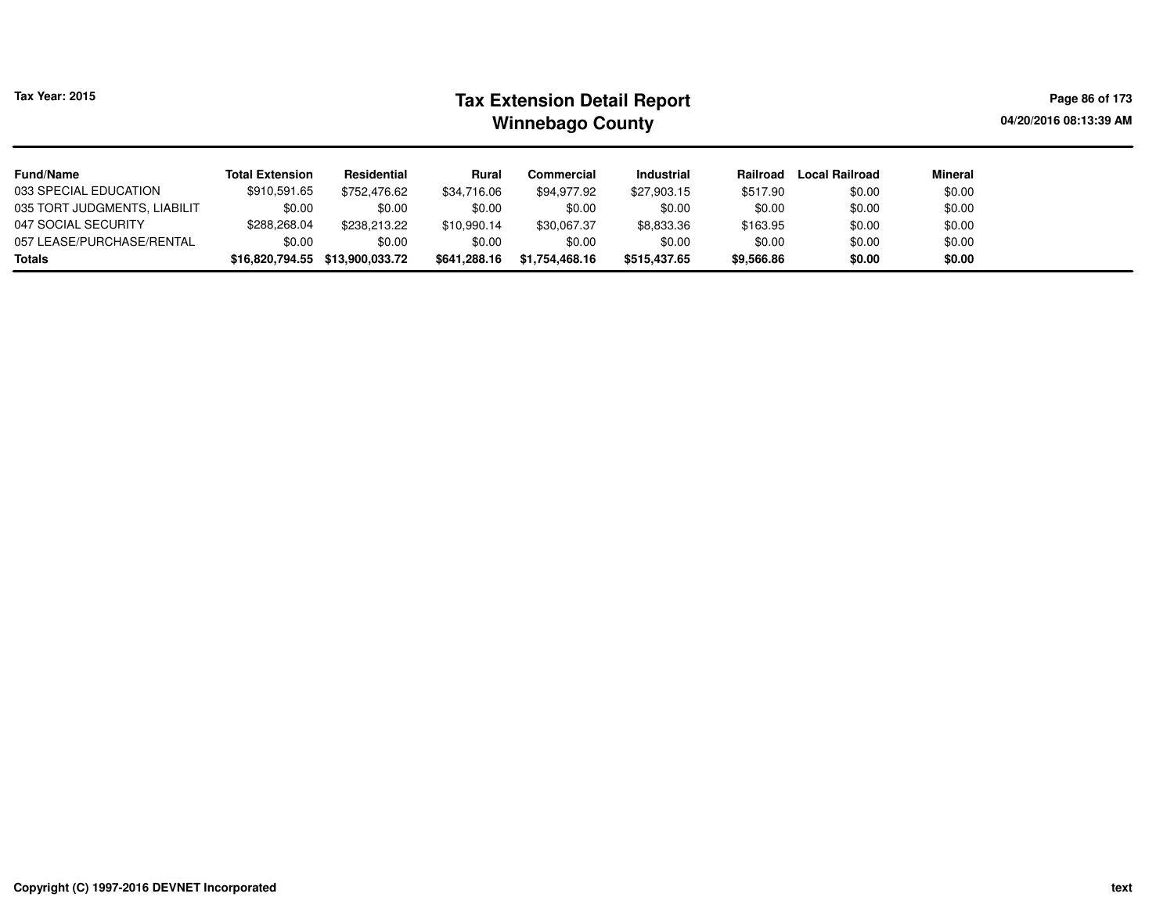| <b>Tax Year: 2015</b>        |                                                                                                                     |              | Page 86 of 173<br>04/20/2016 08:13:39 AM |             |                   |          |                       |                |  |
|------------------------------|---------------------------------------------------------------------------------------------------------------------|--------------|------------------------------------------|-------------|-------------------|----------|-----------------------|----------------|--|
| <b>Fund/Name</b>             | <b>Total Extension</b>                                                                                              | Residential  | Rural                                    | Commercial  | <b>Industrial</b> | Railroad | <b>Local Railroad</b> | <b>Mineral</b> |  |
| 033 SPECIAL EDUCATION        | \$910,591.65                                                                                                        | \$752.476.62 | \$34,716.06                              | \$94.977.92 | \$27,903.15       | \$517.90 | \$0.00                | \$0.00         |  |
| 035 TORT JUDGMENTS, LIABILIT | \$0.00                                                                                                              | \$0.00       | \$0.00                                   | \$0.00      | \$0.00            | \$0.00   | \$0.00                | \$0.00         |  |
| 047 SOCIAL SECURITY          | \$288,268.04                                                                                                        | \$238,213,22 | \$10.990.14                              | \$30,067.37 | \$8,833.36        | \$163.95 | \$0.00                | \$0.00         |  |
| 057 LEASE/PURCHASE/RENTAL    | \$0.00<br>\$0.00<br>\$0.00<br>\$0.00<br>\$0.00<br>\$0.00<br>\$0.00<br>\$0.00                                        |              |                                          |             |                   |          |                       |                |  |
| <b>Totals</b>                | \$0.00<br>\$1,754,468.16<br>\$16,820,794.55 \$13,900,033.72<br>\$515,437.65<br>\$9,566.86<br>\$0.00<br>\$641,288.16 |              |                                          |             |                   |          |                       |                |  |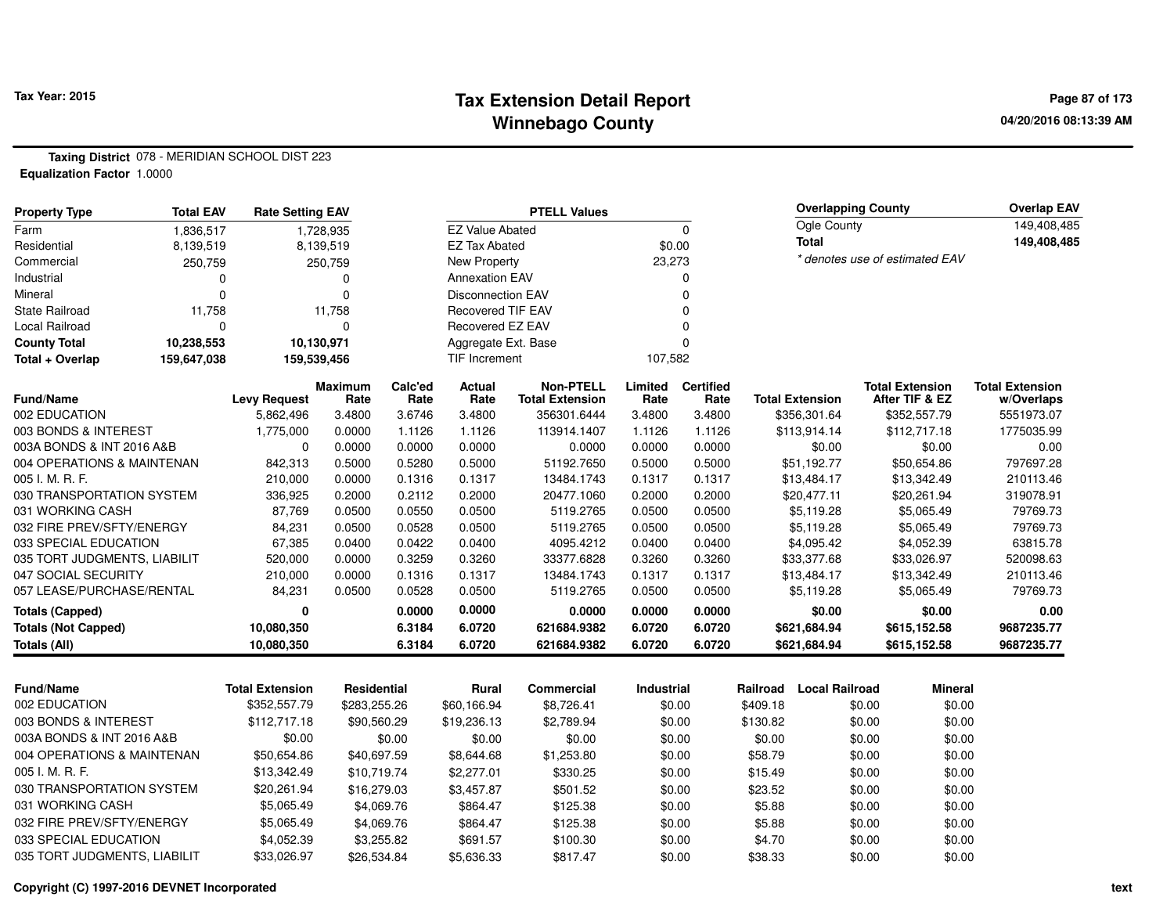### **Tax Extension Detail Report Tax Year: 2015 Page 87 of 173 Winnebago County**

**Taxing District** 078 - MERIDIAN SCHOOL DIST 223**Equalization Factor** 1.0000

| <b>PTELL Values</b><br><b>Total EAV</b><br><b>Property Type</b><br><b>Rate Setting EAV</b> |             |                        |                        |                 | <b>Overlapping County</b> |                                            |                 |                          |          | <b>Overlap EAV</b>     |        |                                          |                                      |
|--------------------------------------------------------------------------------------------|-------------|------------------------|------------------------|-----------------|---------------------------|--------------------------------------------|-----------------|--------------------------|----------|------------------------|--------|------------------------------------------|--------------------------------------|
| Farm                                                                                       | 1,836,517   |                        | 1,728,935              |                 | <b>EZ Value Abated</b>    |                                            |                 | $\Omega$                 |          | Ogle County            |        |                                          | 149,408,485                          |
| Residential                                                                                | 8,139,519   |                        | 8,139,519              |                 | <b>EZ Tax Abated</b>      |                                            |                 | \$0.00                   |          | <b>Total</b>           |        |                                          | 149,408,485                          |
| Commercial                                                                                 | 250,759     |                        | 250,759                |                 | New Property              |                                            | 23,273          |                          |          |                        |        | * denotes use of estimated EAV           |                                      |
| Industrial                                                                                 | $\Omega$    |                        | $\Omega$               |                 | <b>Annexation EAV</b>     |                                            |                 | $\Omega$                 |          |                        |        |                                          |                                      |
| Mineral                                                                                    | $\Omega$    |                        | $\Omega$               |                 | <b>Disconnection EAV</b>  |                                            |                 | $\Omega$                 |          |                        |        |                                          |                                      |
| <b>State Railroad</b>                                                                      | 11,758      |                        | 11,758                 |                 | Recovered TIF EAV         |                                            |                 | $\Omega$                 |          |                        |        |                                          |                                      |
| Local Railroad                                                                             | $\Omega$    |                        | $\mathbf 0$            |                 | Recovered EZ EAV          |                                            |                 | $\Omega$                 |          |                        |        |                                          |                                      |
| <b>County Total</b>                                                                        | 10,238,553  |                        | 10,130,971             |                 | Aggregate Ext. Base       |                                            |                 | $\Omega$                 |          |                        |        |                                          |                                      |
| Total + Overlap                                                                            | 159,647,038 |                        | 159,539,456            |                 | TIF Increment             |                                            | 107,582         |                          |          |                        |        |                                          |                                      |
| <b>Fund/Name</b>                                                                           |             | <b>Levy Request</b>    | <b>Maximum</b><br>Rate | Calc'ed<br>Rate | Actual<br>Rate            | <b>Non-PTELL</b><br><b>Total Extension</b> | Limited<br>Rate | <b>Certified</b><br>Rate |          | <b>Total Extension</b> |        | <b>Total Extension</b><br>After TIF & EZ | <b>Total Extension</b><br>w/Overlaps |
| 002 EDUCATION                                                                              |             | 5,862,496              | 3.4800                 | 3.6746          | 3.4800                    | 356301.6444                                | 3.4800          | 3.4800                   |          | \$356,301.64           |        | \$352,557.79                             | 5551973.07                           |
| 003 BONDS & INTEREST                                                                       |             | 1,775,000              | 0.0000                 | 1.1126          | 1.1126                    | 113914.1407                                | 1.1126          | 1.1126                   |          | \$113,914.14           |        | \$112,717.18                             | 1775035.99                           |
| 003A BONDS & INT 2016 A&B                                                                  |             | $\Omega$               | 0.0000                 | 0.0000          | 0.0000                    | 0.0000                                     | 0.0000          | 0.0000                   |          | \$0.00                 |        | \$0.00                                   | 0.00                                 |
| 004 OPERATIONS & MAINTENAN                                                                 |             | 842,313                | 0.5000                 | 0.5280          | 0.5000                    | 51192.7650                                 | 0.5000          | 0.5000                   |          | \$51,192.77            |        | \$50,654.86                              | 797697.28                            |
| 005 I. M. R. F.                                                                            |             | 210,000                | 0.0000                 | 0.1316          | 0.1317                    | 13484.1743                                 | 0.1317          | 0.1317                   |          | \$13,484.17            |        | \$13,342.49                              | 210113.46                            |
| 030 TRANSPORTATION SYSTEM                                                                  |             | 336,925                | 0.2000                 | 0.2112          | 0.2000                    | 20477.1060                                 | 0.2000          | 0.2000                   |          | \$20,477.11            |        | \$20,261.94                              | 319078.91                            |
| 031 WORKING CASH                                                                           |             | 87,769                 | 0.0500                 | 0.0550          | 0.0500                    | 5119.2765                                  | 0.0500          | 0.0500                   |          | \$5,119.28             |        | \$5,065.49                               | 79769.73                             |
| 032 FIRE PREV/SFTY/ENERGY                                                                  |             | 84,231                 | 0.0500                 | 0.0528          | 0.0500                    | 5119.2765                                  | 0.0500          | 0.0500                   |          | \$5,119.28             |        | \$5,065.49                               | 79769.73                             |
| 033 SPECIAL EDUCATION                                                                      |             | 67,385                 | 0.0400                 | 0.0422          | 0.0400                    | 4095.4212                                  | 0.0400          | 0.0400                   |          | \$4,095.42             |        | \$4,052.39                               | 63815.78                             |
| 035 TORT JUDGMENTS, LIABILIT                                                               |             | 520,000                | 0.0000                 | 0.3259          | 0.3260                    | 33377.6828                                 | 0.3260          | 0.3260                   |          | \$33,377.68            |        | \$33,026.97                              | 520098.63                            |
| 047 SOCIAL SECURITY                                                                        |             | 210,000                | 0.0000                 | 0.1316          | 0.1317                    | 13484.1743                                 | 0.1317          | 0.1317                   |          | \$13,484.17            |        | \$13,342.49                              | 210113.46                            |
| 057 LEASE/PURCHASE/RENTAL                                                                  |             | 84,231                 | 0.0500                 | 0.0528          | 0.0500                    | 5119.2765                                  | 0.0500          | 0.0500                   |          | \$5,119.28             |        | \$5,065.49                               | 79769.73                             |
| <b>Totals (Capped)</b>                                                                     |             | $\mathbf 0$            |                        | 0.0000          | 0.0000                    | 0.0000                                     | 0.0000          | 0.0000                   |          | \$0.00                 |        | \$0.00                                   | 0.00                                 |
| <b>Totals (Not Capped)</b>                                                                 |             | 10,080,350             |                        | 6.3184          | 6.0720                    | 621684.9382                                | 6.0720          | 6.0720                   |          | \$621,684.94           |        | \$615,152.58                             | 9687235.77                           |
| <b>Totals (All)</b>                                                                        |             | 10,080,350             |                        | 6.3184          | 6.0720                    | 621684.9382                                | 6.0720          | 6.0720                   |          | \$621,684.94           |        | \$615,152.58                             | 9687235.77                           |
|                                                                                            |             |                        |                        |                 |                           |                                            |                 |                          |          |                        |        |                                          |                                      |
| <b>Fund/Name</b>                                                                           |             | <b>Total Extension</b> | Residential            |                 | Rural                     | <b>Commercial</b>                          | Industrial      |                          | Railroad | <b>Local Railroad</b>  |        | <b>Mineral</b>                           |                                      |
| 002 EDUCATION                                                                              |             | \$352,557.79           | \$283,255.26           |                 | \$60,166.94               | \$8,726.41                                 |                 | \$0.00                   | \$409.18 |                        | \$0.00 | \$0.00                                   |                                      |
| 003 BONDS & INTEREST                                                                       |             | \$112,717.18           | \$90,560.29            |                 | \$19,236.13               | \$2,789.94                                 |                 | \$0.00                   | \$130.82 |                        | \$0.00 | \$0.00                                   |                                      |
| 003A BONDS & INT 2016 A&B                                                                  |             | \$0.00                 |                        | \$0.00          | \$0.00                    | \$0.00                                     |                 | \$0.00                   | \$0.00   |                        | \$0.00 | \$0.00                                   |                                      |
| 004 OPERATIONS & MAINTENAN                                                                 |             | \$50,654.86            | \$40,697.59            |                 | \$8,644.68                | \$1,253.80                                 |                 | \$0.00                   | \$58.79  |                        | \$0.00 | \$0.00                                   |                                      |
| 005 I. M. R. F.                                                                            |             | \$13,342.49            | \$10,719.74            |                 | \$2,277.01                | \$330.25                                   |                 | \$0.00                   | \$15.49  |                        | \$0.00 | \$0.00                                   |                                      |
| 030 TRANSPORTATION SYSTEM                                                                  |             | \$20,261.94            | \$16,279.03            |                 | \$3,457.87                | \$501.52                                   |                 | \$0.00                   | \$23.52  |                        | \$0.00 | \$0.00                                   |                                      |
| 031 WORKING CASH                                                                           |             | \$5,065.49             |                        | \$4,069.76      | \$864.47                  | \$125.38                                   |                 | \$0.00                   | \$5.88   |                        | \$0.00 | \$0.00                                   |                                      |
| 032 FIRE PREV/SFTY/ENERGY                                                                  |             | \$5,065.49             |                        | \$4,069.76      | \$864.47                  | \$125.38                                   |                 | \$0.00                   | \$5.88   |                        | \$0.00 | \$0.00                                   |                                      |
| 033 SPECIAL EDUCATION                                                                      |             | \$4,052.39             |                        | \$3,255.82      | \$691.57                  | \$100.30                                   |                 | \$0.00                   | \$4.70   |                        | \$0.00 | \$0.00                                   |                                      |
| 035 TORT JUDGMENTS, LIABILIT                                                               |             | \$33,026.97            | \$26,534.84            |                 | \$5,636.33                | \$817.47                                   |                 | \$0.00                   | \$38.33  |                        | \$0.00 | \$0.00                                   |                                      |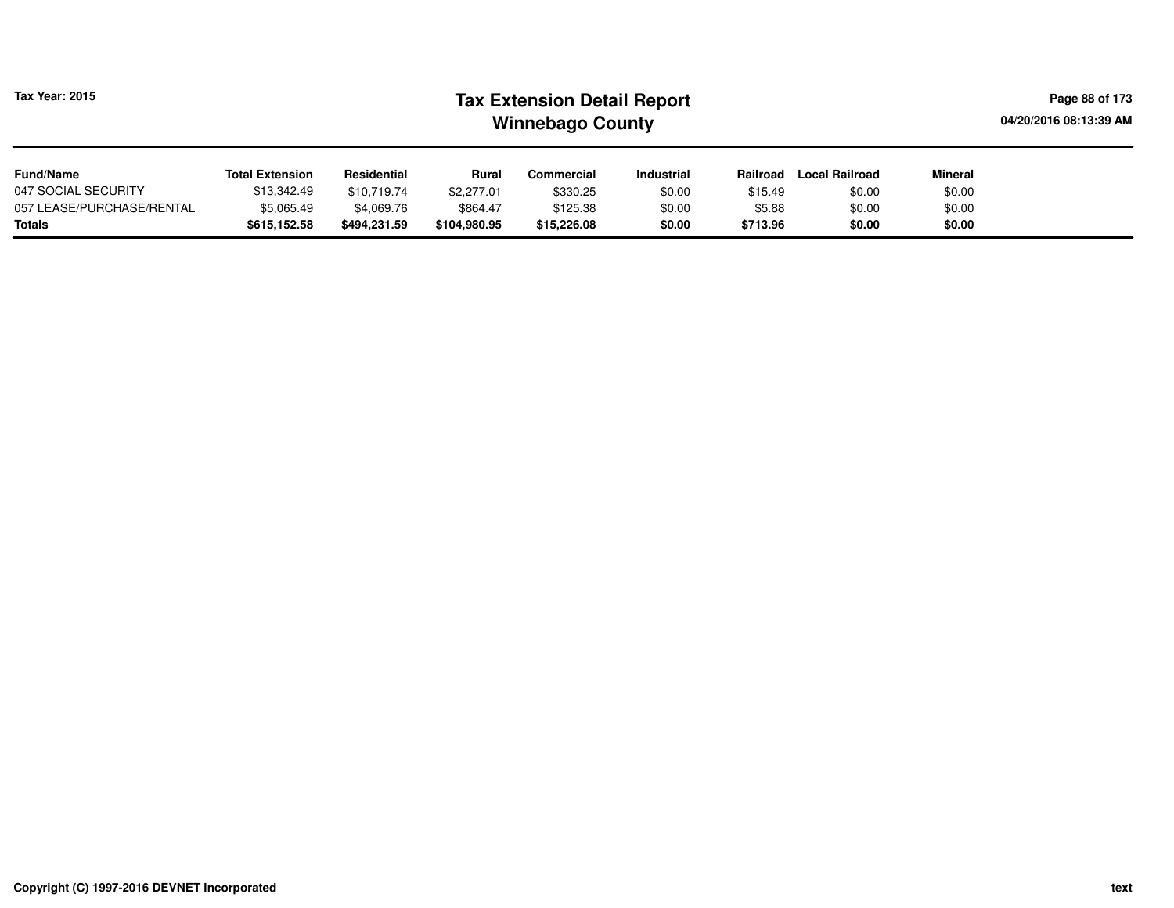| <b>Tax Year: 2015</b>     |                        | <b>Tax Extension Detail Report</b><br><b>Winnebago County</b> |            |            |            |          |                       |                |  |  |  |  |
|---------------------------|------------------------|---------------------------------------------------------------|------------|------------|------------|----------|-----------------------|----------------|--|--|--|--|
| <b>Fund/Name</b>          | <b>Total Extension</b> | Residential                                                   | Rural      | Commercial | Industrial | Railroad | <b>Local Railroad</b> | <b>Mineral</b> |  |  |  |  |
| 047 SOCIAL SECURITY       | \$13,342.49            | \$10,719.74                                                   | \$2,277.01 | \$330.25   | \$0.00     | \$15.49  | \$0.00                | \$0.00         |  |  |  |  |
| 057 LEASE/PURCHASE/RENTAL | \$5,065.49             | \$4,069.76                                                    | \$864.47   | \$125.38   | \$0.00     | \$5.88   | \$0.00                | \$0.00         |  |  |  |  |
| <b>Totals</b>             | \$615,152.58           | \$0.00                                                        |            |            |            |          |                       |                |  |  |  |  |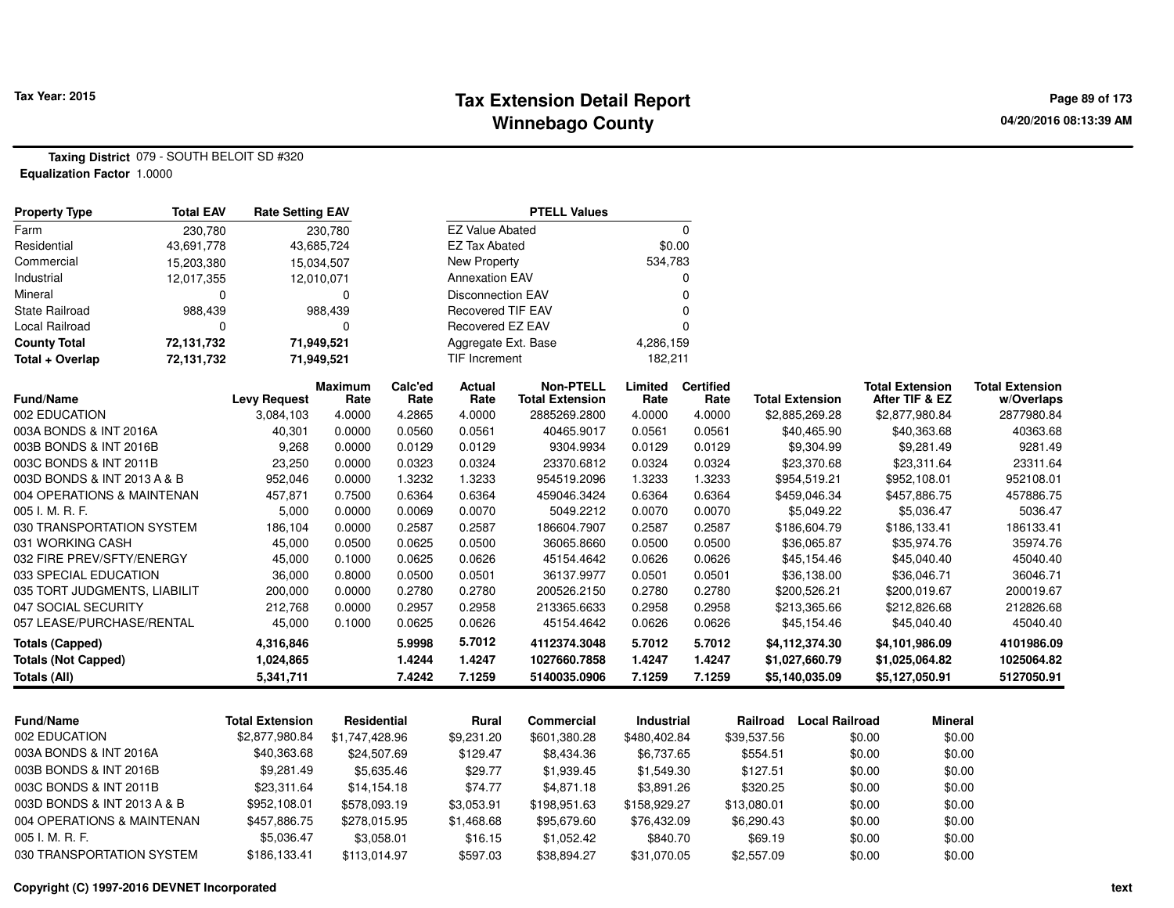### **Tax Extension Detail Report Tax Year: 2015 Page 89 of 173 Winnebago County**

**Taxing District** 079 - SOUTH BELOIT SD #320**Equalization Factor** 1.0000

| <b>Property Type</b>         | <b>Total EAV</b> | <b>Rate Setting EAV</b> |                        |                 |                          | <b>PTELL Values</b>                        |                 |                          |                        |                       |                                          |                                      |
|------------------------------|------------------|-------------------------|------------------------|-----------------|--------------------------|--------------------------------------------|-----------------|--------------------------|------------------------|-----------------------|------------------------------------------|--------------------------------------|
| Farm                         | 230,780          |                         | 230,780                |                 | <b>EZ Value Abated</b>   |                                            |                 | $\Omega$                 |                        |                       |                                          |                                      |
| Residential                  | 43,691,778       | 43,685,724              |                        |                 | <b>EZ Tax Abated</b>     |                                            | \$0.00          |                          |                        |                       |                                          |                                      |
| Commercial                   | 15,203,380       |                         | 15,034,507             |                 | <b>New Property</b>      |                                            | 534,783         |                          |                        |                       |                                          |                                      |
| Industrial                   | 12,017,355       | 12,010,071              |                        |                 | <b>Annexation EAV</b>    |                                            |                 | 0                        |                        |                       |                                          |                                      |
| Mineral                      | 0                |                         | 0                      |                 | <b>Disconnection EAV</b> |                                            |                 | $\mathbf 0$              |                        |                       |                                          |                                      |
| State Railroad               | 988,439          |                         | 988,439                |                 | <b>Recovered TIF EAV</b> |                                            |                 | $\mathbf 0$              |                        |                       |                                          |                                      |
| <b>Local Railroad</b>        | $\Omega$         |                         | $\Omega$               |                 | Recovered EZ EAV         |                                            |                 | $\Omega$                 |                        |                       |                                          |                                      |
| <b>County Total</b>          | 72,131,732       | 71,949,521              |                        |                 | Aggregate Ext. Base      |                                            | 4,286,159       |                          |                        |                       |                                          |                                      |
| Total + Overlap              | 72,131,732       | 71,949,521              |                        |                 | <b>TIF Increment</b>     |                                            | 182,211         |                          |                        |                       |                                          |                                      |
| Fund/Name                    |                  | <b>Levy Request</b>     | <b>Maximum</b><br>Rate | Calc'ed<br>Rate | <b>Actual</b><br>Rate    | <b>Non-PTELL</b><br><b>Total Extension</b> | Limited<br>Rate | <b>Certified</b><br>Rate | <b>Total Extension</b> |                       | <b>Total Extension</b><br>After TIF & EZ | <b>Total Extension</b><br>w/Overlaps |
| 002 EDUCATION                |                  | 3,084,103               | 4.0000                 | 4.2865          | 4.0000                   | 2885269.2800                               | 4.0000          | 4.0000                   | \$2,885,269.28         |                       | \$2,877,980.84                           | 2877980.84                           |
| 003A BONDS & INT 2016A       |                  | 40,301                  | 0.0000                 | 0.0560          | 0.0561                   | 40465.9017                                 | 0.0561          | 0.0561                   | \$40,465.90            |                       | \$40,363.68                              | 40363.68                             |
| 003B BONDS & INT 2016B       |                  | 9,268                   | 0.0000                 | 0.0129          | 0.0129                   | 9304.9934                                  | 0.0129          | 0.0129                   | \$9,304.99             |                       | \$9,281.49                               | 9281.49                              |
| 003C BONDS & INT 2011B       |                  | 23,250                  | 0.0000                 | 0.0323          | 0.0324                   | 23370.6812                                 | 0.0324          | 0.0324                   | \$23,370.68            |                       | \$23,311.64                              | 23311.64                             |
| 003D BONDS & INT 2013 A & B  |                  | 952,046                 | 0.0000                 | 1.3232          | 1.3233                   | 954519.2096                                | 1.3233          | 1.3233                   | \$954,519.21           |                       | \$952,108.01                             | 952108.01                            |
| 004 OPERATIONS & MAINTENAN   |                  | 457,871                 | 0.7500                 | 0.6364          | 0.6364                   | 459046.3424                                | 0.6364          | 0.6364                   | \$459,046.34           |                       | \$457,886.75                             | 457886.75                            |
| 005 I. M. R. F.              |                  | 5,000                   | 0.0000                 | 0.0069          | 0.0070                   | 5049.2212                                  | 0.0070          | 0.0070                   | \$5,049.22             |                       | \$5,036.47                               | 5036.47                              |
| 030 TRANSPORTATION SYSTEM    |                  | 186,104                 | 0.0000                 | 0.2587          | 0.2587                   | 186604.7907                                | 0.2587          | 0.2587                   | \$186,604.79           |                       | \$186,133.41                             | 186133.41                            |
| 031 WORKING CASH             |                  | 45,000                  | 0.0500                 | 0.0625          | 0.0500                   | 36065.8660                                 | 0.0500          | 0.0500                   | \$36,065.87            |                       | \$35,974.76                              | 35974.76                             |
| 032 FIRE PREV/SFTY/ENERGY    |                  | 45,000                  | 0.1000                 | 0.0625          | 0.0626                   | 45154.4642                                 | 0.0626          | 0.0626                   | \$45,154.46            |                       | \$45,040.40                              | 45040.40                             |
| 033 SPECIAL EDUCATION        |                  | 36,000                  | 0.8000                 | 0.0500          | 0.0501                   | 36137.9977                                 | 0.0501          | 0.0501                   | \$36,138.00            |                       | \$36,046.71                              | 36046.71                             |
| 035 TORT JUDGMENTS, LIABILIT |                  | 200,000                 | 0.0000                 | 0.2780          | 0.2780                   | 200526.2150                                | 0.2780          | 0.2780                   | \$200,526.21           |                       | \$200,019.67                             | 200019.67                            |
| 047 SOCIAL SECURITY          |                  | 212,768                 | 0.0000                 | 0.2957          | 0.2958                   | 213365.6633                                | 0.2958          | 0.2958                   | \$213,365.66           |                       | \$212,826.68                             | 212826.68                            |
| 057 LEASE/PURCHASE/RENTAL    |                  | 45,000                  | 0.1000                 | 0.0625          | 0.0626                   | 45154.4642                                 | 0.0626          | 0.0626                   | \$45,154.46            |                       | \$45,040.40                              | 45040.40                             |
| <b>Totals (Capped)</b>       |                  | 4,316,846               |                        | 5.9998          | 5.7012                   | 4112374.3048                               | 5.7012          | 5.7012                   | \$4,112,374.30         |                       | \$4,101,986.09                           | 4101986.09                           |
| <b>Totals (Not Capped)</b>   |                  | 1,024,865               |                        | 1.4244          | 1.4247                   | 1027660.7858                               | 1.4247          | 1.4247                   | \$1,027,660.79         |                       | \$1,025,064.82                           | 1025064.82                           |
| <b>Totals (All)</b>          |                  | 5,341,711               |                        | 7.4242          | 7.1259                   | 5140035.0906                               | 7.1259          | 7.1259                   | \$5,140,035.09         |                       | \$5,127,050.91                           | 5127050.91                           |
|                              |                  |                         |                        |                 |                          |                                            |                 |                          |                        |                       |                                          |                                      |
| <b>Fund/Name</b>             |                  | <b>Total Extension</b>  | Residential            |                 | Rural                    | <b>Commercial</b>                          | Industrial      |                          | Railroad               | <b>Local Railroad</b> | <b>Mineral</b>                           |                                      |
| 002 EDUCATION                |                  | \$2,877,980.84          | \$1,747,428.96         |                 | \$9,231.20               | \$601,380.28                               | \$480,402.84    |                          | \$39,537.56            | \$0.00                | \$0.00                                   |                                      |
| 003A BONDS & INT 2016A       |                  | \$40,363.68             | \$24,507.69            |                 | \$129.47                 | \$8,434.36                                 | \$6,737.65      |                          | \$554.51               | \$0.00                | \$0.00                                   |                                      |
| 003B BONDS & INT 2016B       |                  | \$9,281.49              |                        | \$5,635.46      | \$29.77                  | \$1,939.45                                 | \$1,549.30      |                          | \$127.51               | \$0.00                | \$0.00                                   |                                      |
| 003C BONDS & INT 2011B       |                  | \$23,311.64             | \$14,154.18            |                 | \$74.77                  | \$4,871.18                                 | \$3,891.26      |                          | \$320.25               | \$0.00                | \$0.00                                   |                                      |
| 003D BONDS & INT 2013 A & B  |                  | \$952,108.01            | \$578,093.19           |                 | \$3,053.91               | \$198,951.63                               | \$158,929.27    |                          | \$13,080.01            | \$0.00                | \$0.00                                   |                                      |
| 004 OPERATIONS & MAINTENAN   |                  | \$457,886.75            | \$278,015.95           |                 | \$1,468.68               | \$95,679.60                                | \$76,432.09     |                          | \$6,290.43             | \$0.00                | \$0.00                                   |                                      |
| 005 I. M. R. F.              |                  | \$5,036.47              | \$3,058.01             |                 | \$16.15                  | \$1,052.42                                 | \$840.70        |                          | \$69.19                | \$0.00                | \$0.00                                   |                                      |
| 030 TRANSPORTATION SYSTEM    |                  | \$186,133.41            | \$113,014.97           |                 | \$597.03                 | \$38,894.27                                | \$31,070.05     |                          | \$2,557.09             | \$0.00                | \$0.00                                   |                                      |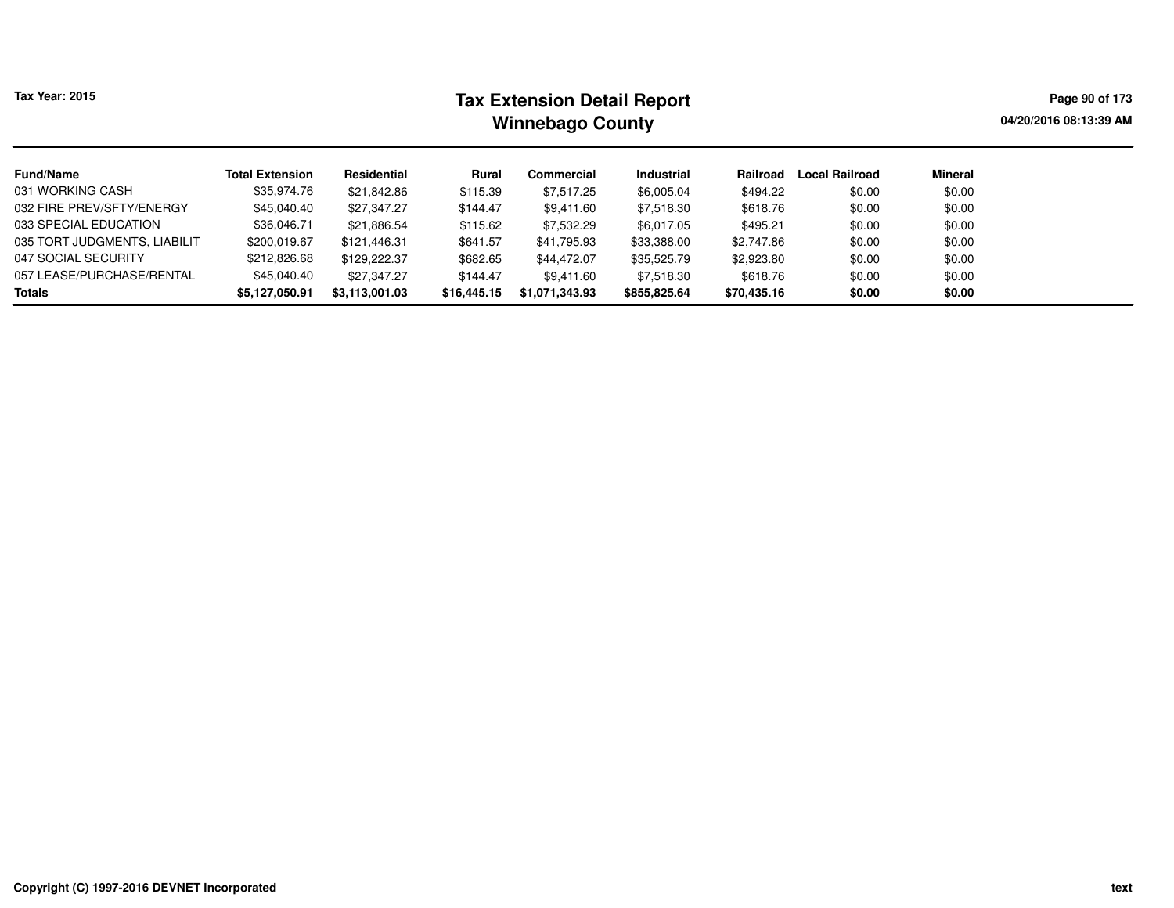| Tax Year: 2015               |                        |                | Page 90 of 173<br>04/20/2016 08:13:39 AM |                |                   |             |                       |         |  |
|------------------------------|------------------------|----------------|------------------------------------------|----------------|-------------------|-------------|-----------------------|---------|--|
| Fund/Name                    | <b>Total Extension</b> | Residential    | Rural                                    | Commercial     | <b>Industrial</b> | Railroad    | <b>Local Railroad</b> | Mineral |  |
| 031 WORKING CASH             | \$35.974.76            | \$21,842.86    | \$115.39                                 | \$7,517.25     | \$6,005.04        | \$494.22    | \$0.00                | \$0.00  |  |
| 032 FIRE PREV/SFTY/ENERGY    | \$45,040.40            | \$27.347.27    | \$144.47                                 | \$9.411.60     | \$7.518.30        | \$618.76    | \$0.00                | \$0.00  |  |
| 033 SPECIAL EDUCATION        | \$36,046.71            | \$21.886.54    | \$115.62                                 | \$7,532.29     | \$6.017.05        | \$495.21    | \$0.00                | \$0.00  |  |
| 035 TORT JUDGMENTS. LIABILIT | \$200,019.67           | \$121.446.31   | \$641.57                                 | \$41.795.93    | \$33,388.00       | \$2,747.86  | \$0.00                | \$0.00  |  |
| 047 SOCIAL SECURITY          | \$212,826.68           | \$129.222.37   | \$682.65                                 | \$44,472.07    | \$35,525.79       | \$2,923.80  | \$0.00                | \$0.00  |  |
| 057 LEASE/PURCHASE/RENTAL    | \$45,040,40            | \$27.347.27    | \$144.47                                 | \$9.411.60     | \$7.518.30        | \$618.76    | \$0.00                | \$0.00  |  |
| Totals                       | \$5,127,050.91         | \$3.113.001.03 | \$16,445.15                              | \$1,071,343.93 | \$855,825.64      | \$70,435.16 | \$0.00                | \$0.00  |  |

 $\overline{\phantom{a}}$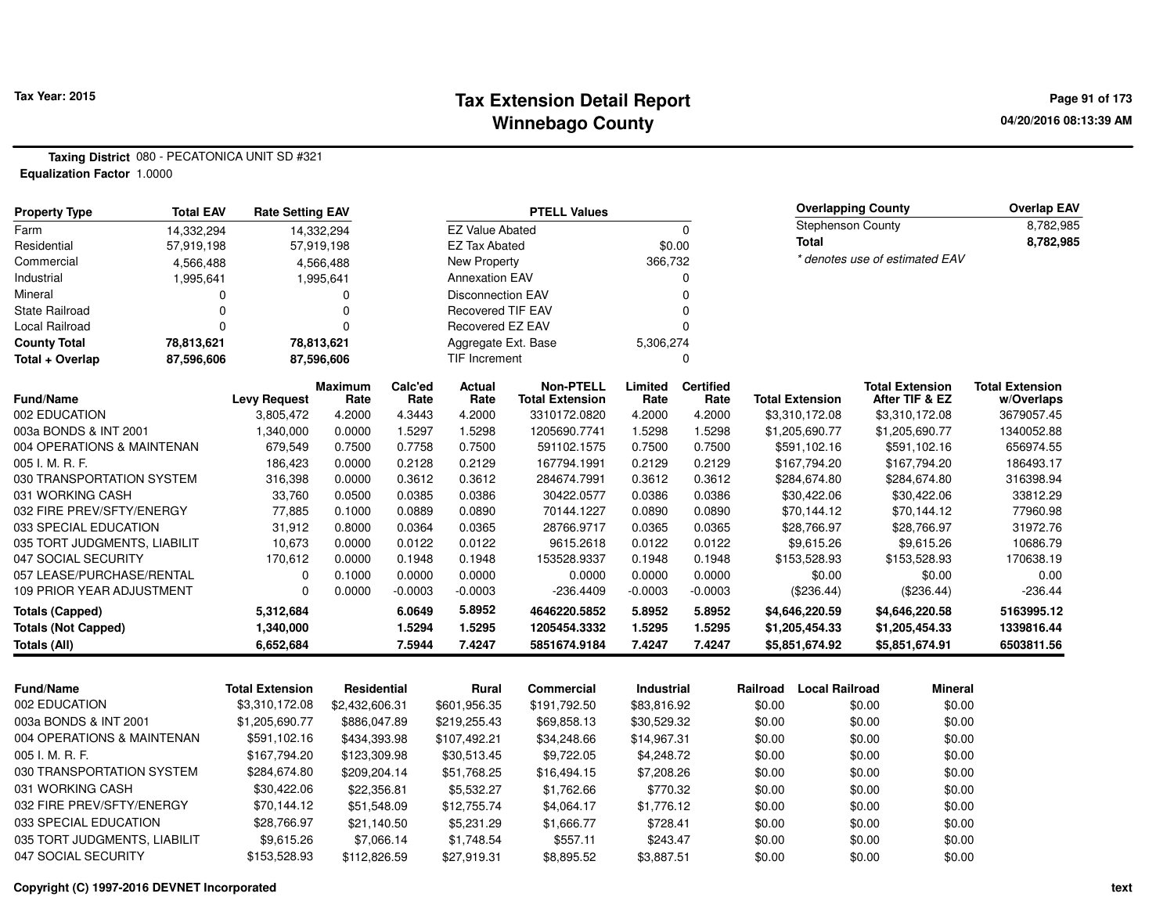### **Tax Extension Detail Report Tax Year: 2015 Page 91 of 173 Winnebago County**

**Taxing District** 080 - PECATONICA UNIT SD #321**Equalization Factor** 1.0000

| <b>Property Type</b>         | <b>Total EAV</b> | <b>Rate Setting EAV</b> |                    | <b>PTELL Values</b> |                          |                              |                   |                  | <b>Overlapping County</b>        |        | <b>Overlap EAV</b>               |                          |
|------------------------------|------------------|-------------------------|--------------------|---------------------|--------------------------|------------------------------|-------------------|------------------|----------------------------------|--------|----------------------------------|--------------------------|
| Farm                         | 14,332,294       |                         | 14,332,294         |                     | <b>EZ Value Abated</b>   |                              | 0                 |                  | <b>Stephenson County</b>         |        |                                  | 8,782,985                |
| Residential                  | 57,919,198       |                         | 57,919,198         |                     | <b>EZ Tax Abated</b>     |                              |                   | \$0.00           | <b>Total</b>                     |        |                                  | 8,782,985                |
| Commercial                   | 4,566,488        |                         | 4,566,488          |                     | <b>New Property</b>      |                              | 366,732           |                  |                                  |        | * denotes use of estimated EAV   |                          |
| Industrial                   | 1,995,641        |                         | 1,995,641          |                     | <b>Annexation EAV</b>    |                              |                   | 0                |                                  |        |                                  |                          |
| Mineral                      | 0                |                         | 0                  |                     | <b>Disconnection EAV</b> |                              |                   | 0                |                                  |        |                                  |                          |
| <b>State Railroad</b>        | $\Omega$         |                         | 0                  |                     | <b>Recovered TIF EAV</b> |                              |                   | 0                |                                  |        |                                  |                          |
| Local Railroad               | $\Omega$         |                         | $\Omega$           |                     | Recovered EZ EAV         |                              |                   | 0                |                                  |        |                                  |                          |
| <b>County Total</b>          | 78,813,621       |                         | 78,813,621         |                     | Aggregate Ext. Base      |                              | 5,306,274         |                  |                                  |        |                                  |                          |
| Total + Overlap              | 87,596,606       |                         | 87,596,606         |                     | TIF Increment            |                              | 0                 |                  |                                  |        |                                  |                          |
|                              |                  |                         | <b>Maximum</b>     | Calc'ed             | <b>Actual</b>            | <b>Non-PTELL</b>             | Limited           | <b>Certified</b> |                                  |        | <b>Total Extension</b>           | <b>Total Extension</b>   |
| Fund/Name<br>002 EDUCATION   |                  | <b>Levy Request</b>     | Rate               | Rate                | Rate                     | <b>Total Extension</b>       | Rate              | Rate             | <b>Total Extension</b>           |        | After TIF & EZ                   | w/Overlaps               |
| 003a BONDS & INT 2001        |                  | 3,805,472<br>1,340,000  | 4.2000<br>0.0000   | 4.3443<br>1.5297    | 4.2000<br>1.5298         | 3310172.0820<br>1205690.7741 | 4.2000<br>1.5298  | 4.2000<br>1.5298 | \$3,310,172.08<br>\$1,205,690.77 |        | \$3,310,172.08<br>\$1,205,690.77 | 3679057.45<br>1340052.88 |
| 004 OPERATIONS & MAINTENAN   |                  | 679,549                 | 0.7500             | 0.7758              | 0.7500                   | 591102.1575                  | 0.7500            | 0.7500           | \$591,102.16                     |        | \$591,102.16                     | 656974.55                |
| 005 I. M. R. F.              |                  | 186,423                 | 0.0000             | 0.2128              | 0.2129                   | 167794.1991                  | 0.2129            | 0.2129           | \$167,794.20                     |        | \$167,794.20                     | 186493.17                |
| 030 TRANSPORTATION SYSTEM    |                  | 316,398                 | 0.0000             | 0.3612              | 0.3612                   | 284674.7991                  | 0.3612            | 0.3612           | \$284,674.80                     |        | \$284,674.80                     | 316398.94                |
| 031 WORKING CASH             |                  | 33,760                  | 0.0500             | 0.0385              | 0.0386                   | 30422.0577                   | 0.0386            | 0.0386           | \$30,422.06                      |        | \$30,422.06                      | 33812.29                 |
| 032 FIRE PREV/SFTY/ENERGY    |                  | 77,885                  | 0.1000             | 0.0889              | 0.0890                   | 70144.1227                   | 0.0890            | 0.0890           | \$70,144.12                      |        | \$70,144.12                      | 77960.98                 |
| 033 SPECIAL EDUCATION        |                  | 31,912                  | 0.8000             | 0.0364              | 0.0365                   | 28766.9717                   | 0.0365            | 0.0365           | \$28,766.97                      |        | \$28,766.97                      | 31972.76                 |
| 035 TORT JUDGMENTS, LIABILIT |                  | 10,673                  | 0.0000             | 0.0122              | 0.0122                   | 9615.2618                    | 0.0122            | 0.0122           | \$9,615.26                       |        | \$9,615.26                       | 10686.79                 |
| 047 SOCIAL SECURITY          |                  | 170,612                 | 0.0000             | 0.1948              | 0.1948                   | 153528.9337                  | 0.1948            | 0.1948           | \$153,528.93                     |        | \$153,528.93                     | 170638.19                |
| 057 LEASE/PURCHASE/RENTAL    |                  | $\Omega$                | 0.1000             | 0.0000              | 0.0000                   | 0.0000                       | 0.0000            | 0.0000           | \$0.00                           |        | \$0.00                           | 0.00                     |
| 109 PRIOR YEAR ADJUSTMENT    |                  | $\Omega$                | 0.0000             | $-0.0003$           | $-0.0003$                | $-236.4409$                  | $-0.0003$         | $-0.0003$        | $(\$236.44)$                     |        | $(\$236.44)$                     | $-236.44$                |
| <b>Totals (Capped)</b>       |                  | 5,312,684               |                    | 6.0649              | 5.8952                   | 4646220.5852                 | 5.8952            | 5.8952           | \$4,646,220.59                   |        | \$4,646,220.58                   | 5163995.12               |
| <b>Totals (Not Capped)</b>   |                  | 1,340,000               |                    | 1.5294              | 1.5295                   | 1205454.3332                 | 1.5295            | 1.5295           | \$1,205,454.33                   |        | \$1,205,454.33                   | 1339816.44               |
| <b>Totals (All)</b>          |                  | 6,652,684               |                    | 7.5944              | 7.4247                   | 5851674.9184                 | 7.4247            | 7.4247           | \$5,851,674.92                   |        | \$5,851,674.91                   | 6503811.56               |
| <b>Fund/Name</b>             |                  | <b>Total Extension</b>  |                    |                     |                          |                              |                   |                  | <b>Local Railroad</b>            |        | <b>Mineral</b>                   |                          |
| 002 EDUCATION                |                  |                         | <b>Residential</b> |                     | Rural                    | Commercial                   | <b>Industrial</b> |                  | Railroad                         |        |                                  |                          |
| 003a BONDS & INT 2001        |                  | \$3,310,172.08          | \$2,432,606.31     |                     | \$601,956.35             | \$191,792.50                 | \$83,816.92       |                  | \$0.00                           | \$0.00 | \$0.00                           |                          |
|                              |                  | \$1,205,690.77          | \$886,047.89       |                     | \$219,255.43             | \$69,858.13                  | \$30,529.32       |                  | \$0.00                           | \$0.00 | \$0.00                           |                          |
| 004 OPERATIONS & MAINTENAN   |                  | \$591,102.16            | \$434,393.98       |                     | \$107,492.21             | \$34,248.66                  | \$14,967.31       |                  | \$0.00                           | \$0.00 | \$0.00                           |                          |
| 005 I. M. R. F.              |                  | \$167,794.20            | \$123,309.98       |                     | \$30,513.45              | \$9,722.05                   | \$4,248.72        |                  | \$0.00                           | \$0.00 | \$0.00                           |                          |
| 030 TRANSPORTATION SYSTEM    |                  | \$284,674.80            | \$209,204.14       |                     | \$51,768.25              | \$16,494.15                  | \$7,208.26        |                  | \$0.00                           | \$0.00 | \$0.00                           |                          |
| 031 WORKING CASH             |                  | \$30,422.06             | \$22,356.81        |                     | \$5,532.27               | \$1,762.66                   | \$770.32          |                  | \$0.00                           | \$0.00 | \$0.00                           |                          |
| 032 FIRE PREV/SFTY/ENERGY    |                  | \$70,144.12             | \$51,548.09        |                     | \$12,755.74              | \$4,064.17                   | \$1,776.12        |                  | \$0.00                           | \$0.00 | \$0.00                           |                          |

\$21,140.50 \$5,231.29 \$1,666.77 \$728.41 \$0.00 \$0.00 \$0.00

\$112,826.59 \$27,919.31 \$8,895.52 \$3,887.51 \$0.00 \$0.00 \$0.00

\$9,615.26 \$7,066.14 \$1,748.54 \$557.11 \$243.47 \$0.00 \$0.00 \$0.00

033 SPECIAL EDUCATION \$28,766.97

035 TORT JUDGMENTS, LIABILIT \$9,615.26

047 SOCIAL SECURITY \$153,528.93

\$0.00

\$0.00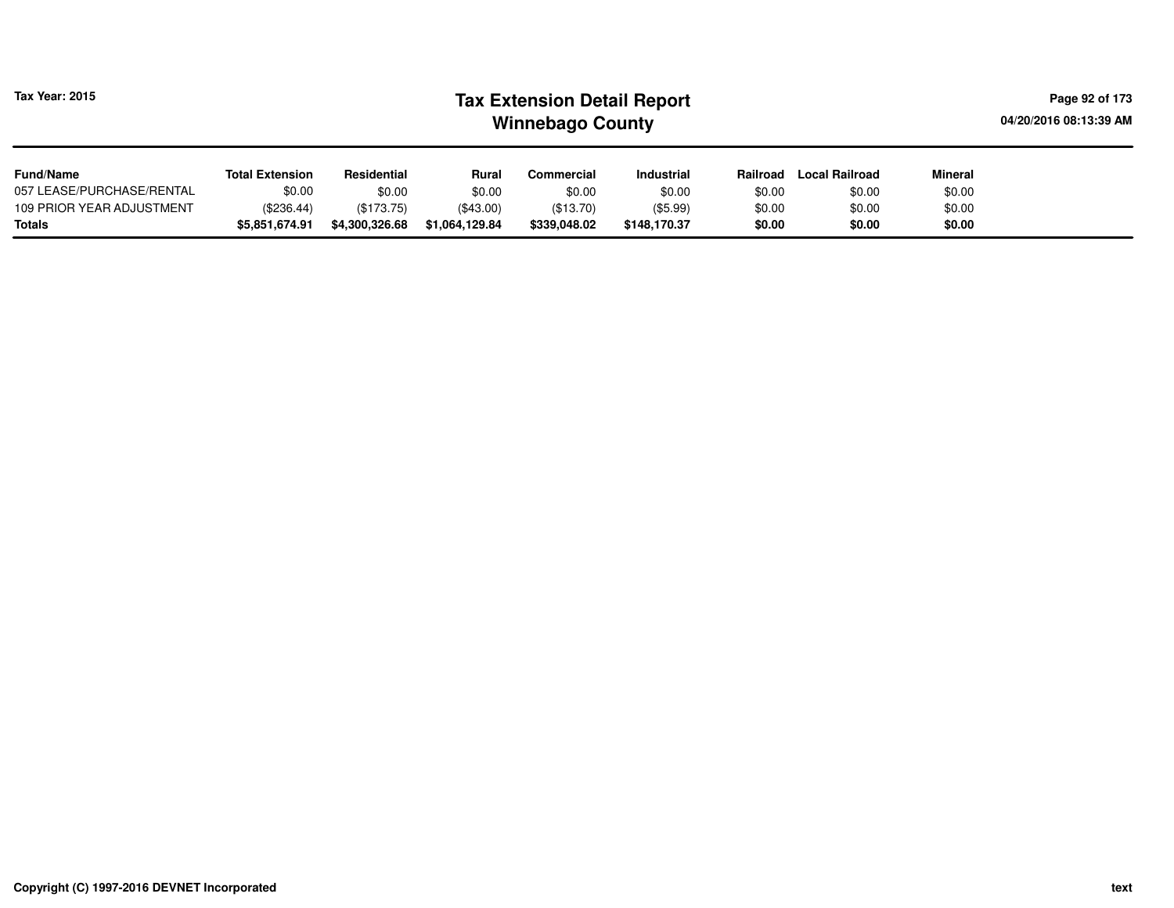| <b>Tax Year: 2015</b>     |                        |                |                | <b>Tax Extension Detail Report</b><br><b>Winnebago County</b> |                   |          |                       | Page 92 of 173<br>04/20/2016 08:13:39 AM |  |
|---------------------------|------------------------|----------------|----------------|---------------------------------------------------------------|-------------------|----------|-----------------------|------------------------------------------|--|
| <b>Fund/Name</b>          | <b>Total Extension</b> | Residential    | Rural          | Commercial                                                    | <b>Industrial</b> | Railroad | <b>Local Railroad</b> | <b>Mineral</b>                           |  |
| 057 LEASE/PURCHASE/RENTAL | \$0.00                 | \$0.00         | \$0.00         | \$0.00                                                        | \$0.00            | \$0.00   | \$0.00                | \$0.00                                   |  |
| 109 PRIOR YEAR ADJUSTMENT | (\$236.44)             | (\$173.75)     | (\$43.00)      | (\$13.70)                                                     | (\$5.99)          | \$0.00   | \$0.00                | \$0.00                                   |  |
| Totals                    | \$5,851,674.91         | \$4,300,326.68 | \$1,064,129.84 | \$339,048.02                                                  | \$148,170.37      | \$0.00   | \$0.00                | \$0.00                                   |  |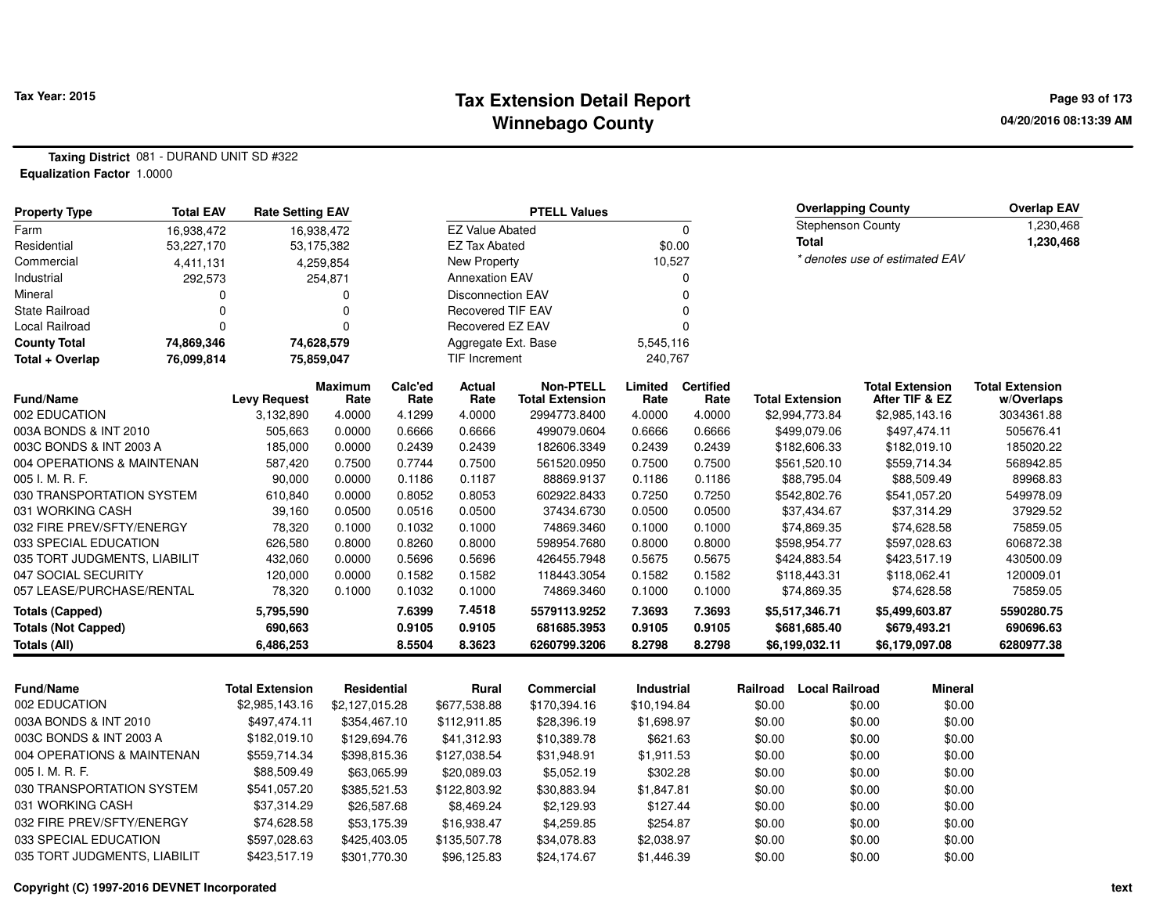### **Tax Extension Detail Report Tax Year: 2015 Page 93 of 173 Winnebago County**

**Taxing District** 081 - DURAND UNIT SD #322**Equalization Factor** 1.0000

| <b>Property Type</b>         | <b>Total EAV</b> | <b>Rate Setting EAV</b> |                        |                 |                          | <b>PTELL Values</b>                        |                 |                          |                          | <b>Overlapping County</b> |        |                                          | <b>Overlap EAV</b>                   |
|------------------------------|------------------|-------------------------|------------------------|-----------------|--------------------------|--------------------------------------------|-----------------|--------------------------|--------------------------|---------------------------|--------|------------------------------------------|--------------------------------------|
| Farm                         | 16,938,472       |                         | 16,938,472             |                 | <b>EZ Value Abated</b>   |                                            | 0               |                          | <b>Stephenson County</b> |                           |        | 1,230,468                                |                                      |
| Residential                  | 53,227,170       |                         | 53,175,382             |                 | <b>EZ Tax Abated</b>     |                                            |                 | \$0.00                   |                          | Total                     |        |                                          | 1,230,468                            |
| Commercial                   | 4,411,131        |                         | 4,259,854              |                 | New Property             |                                            | 10,527          |                          |                          |                           |        | * denotes use of estimated EAV           |                                      |
| Industrial                   | 292,573          |                         | 254,871                |                 | <b>Annexation EAV</b>    |                                            |                 | 0                        |                          |                           |        |                                          |                                      |
| Mineral                      |                  |                         | 0                      |                 | <b>Disconnection EAV</b> |                                            |                 | $\Omega$                 |                          |                           |        |                                          |                                      |
| State Railroad               | $\Omega$         |                         | 0                      |                 | <b>Recovered TIF EAV</b> |                                            |                 | $\mathbf 0$              |                          |                           |        |                                          |                                      |
| Local Railroad               |                  |                         | 0                      |                 | Recovered EZ EAV         |                                            |                 | $\mathbf 0$              |                          |                           |        |                                          |                                      |
| <b>County Total</b>          | 74,869,346       |                         | 74,628,579             |                 | Aggregate Ext. Base      |                                            | 5,545,116       |                          |                          |                           |        |                                          |                                      |
| Total + Overlap              | 76,099,814       |                         | 75,859,047             |                 | <b>TIF Increment</b>     |                                            | 240,767         |                          |                          |                           |        |                                          |                                      |
| <b>Fund/Name</b>             |                  | <b>Levy Request</b>     | <b>Maximum</b><br>Rate | Calc'ed<br>Rate | Actual<br>Rate           | <b>Non-PTELL</b><br><b>Total Extension</b> | Limited<br>Rate | <b>Certified</b><br>Rate |                          | <b>Total Extension</b>    |        | <b>Total Extension</b><br>After TIF & EZ | <b>Total Extension</b><br>w/Overlaps |
| 002 EDUCATION                |                  | 3,132,890               | 4.0000                 | 4.1299          | 4.0000                   | 2994773.8400                               | 4.0000          | 4.0000                   |                          | \$2,994,773.84            |        | \$2,985,143.16                           | 3034361.88                           |
| 003A BONDS & INT 2010        |                  | 505,663                 | 0.0000                 | 0.6666          | 0.6666                   | 499079.0604                                | 0.6666          | 0.6666                   |                          | \$499,079.06              |        | \$497,474.11                             | 505676.41                            |
| 003C BONDS & INT 2003 A      |                  | 185,000                 | 0.0000                 | 0.2439          | 0.2439                   | 182606.3349                                | 0.2439          | 0.2439                   |                          | \$182,606.33              |        | \$182,019.10                             | 185020.22                            |
| 004 OPERATIONS & MAINTENAN   |                  | 587,420                 | 0.7500                 | 0.7744          | 0.7500                   | 561520.0950                                | 0.7500          | 0.7500                   |                          | \$561,520.10              |        | \$559,714.34                             | 568942.85                            |
| 005 I. M. R. F.              |                  | 90,000                  | 0.0000                 | 0.1186          | 0.1187                   | 88869.9137                                 | 0.1186          | 0.1186                   |                          | \$88,795.04               |        | \$88,509.49                              | 89968.83                             |
| 030 TRANSPORTATION SYSTEM    |                  | 610,840                 | 0.0000                 | 0.8052          | 0.8053                   | 602922.8433                                | 0.7250          | 0.7250                   |                          | \$542,802.76              |        | \$541,057.20                             | 549978.09                            |
| 031 WORKING CASH             |                  | 39,160                  | 0.0500                 | 0.0516          | 0.0500                   | 37434.6730                                 | 0.0500          | 0.0500                   |                          | \$37,434.67               |        | \$37,314.29                              | 37929.52                             |
| 032 FIRE PREV/SFTY/ENERGY    |                  | 78,320                  | 0.1000                 | 0.1032          | 0.1000                   | 74869.3460                                 | 0.1000          | 0.1000                   |                          | \$74,869.35               |        | \$74,628.58                              | 75859.05                             |
| 033 SPECIAL EDUCATION        |                  | 626,580                 | 0.8000                 | 0.8260          | 0.8000                   | 598954.7680                                | 0.8000          | 0.8000                   |                          | \$598,954.77              |        | \$597,028.63                             | 606872.38                            |
| 035 TORT JUDGMENTS, LIABILIT |                  | 432,060                 | 0.0000                 | 0.5696          | 0.5696                   | 426455.7948                                | 0.5675          | 0.5675                   |                          | \$424,883.54              |        | \$423,517.19                             | 430500.09                            |
| 047 SOCIAL SECURITY          |                  | 120,000                 | 0.0000                 | 0.1582          | 0.1582                   | 118443.3054                                | 0.1582          | 0.1582                   |                          | \$118,443.31              |        | \$118,062.41                             | 120009.01                            |
| 057 LEASE/PURCHASE/RENTAL    |                  | 78,320                  | 0.1000                 | 0.1032          | 0.1000                   | 74869.3460                                 | 0.1000          | 0.1000                   |                          | \$74,869.35               |        | \$74,628.58                              | 75859.05                             |
| <b>Totals (Capped)</b>       |                  | 5,795,590               |                        | 7.6399          | 7.4518                   | 5579113.9252                               | 7.3693          | 7.3693                   |                          | \$5,517,346.71            |        | \$5,499,603.87                           | 5590280.75                           |
| <b>Totals (Not Capped)</b>   |                  | 690,663                 |                        | 0.9105          | 0.9105                   | 681685.3953                                | 0.9105          | 0.9105                   |                          | \$681,685.40              |        | \$679,493.21                             | 690696.63                            |
| <b>Totals (All)</b>          |                  | 6,486,253               |                        | 8.5504          | 8.3623                   | 6260799.3206                               | 8.2798          | 8.2798                   |                          | \$6,199,032.11            |        | \$6,179,097.08                           | 6280977.38                           |
|                              |                  |                         |                        |                 |                          |                                            |                 |                          |                          |                           |        |                                          |                                      |
| <b>Fund/Name</b>             |                  | <b>Total Extension</b>  | Residential            |                 | <b>Rural</b>             | <b>Commercial</b>                          | Industrial      |                          | Railroad                 | <b>Local Railroad</b>     |        | <b>Mineral</b>                           |                                      |
| 002 EDUCATION                |                  | \$2,985,143.16          | \$2,127,015.28         |                 | \$677,538.88             | \$170,394.16                               | \$10,194.84     |                          | \$0.00                   |                           | \$0.00 | \$0.00                                   |                                      |
| 003A BONDS & INT 2010        |                  | \$497,474.11            | \$354,467.10           |                 | \$112,911.85             | \$28,396.19                                | \$1,698.97      |                          | \$0.00                   |                           | \$0.00 | \$0.00                                   |                                      |
| 003C BONDS & INT 2003 A      |                  | \$182,019.10            | \$129,694.76           |                 | \$41,312.93              | \$10,389.78                                | \$621.63        |                          | \$0.00                   |                           | \$0.00 | \$0.00                                   |                                      |
| 004 OPERATIONS & MAINTENAN   |                  | \$559,714.34            | \$398,815.36           |                 | \$127,038.54             | \$31,948.91                                | \$1,911.53      |                          | \$0.00                   |                           | \$0.00 | \$0.00                                   |                                      |
| 005 I. M. R. F.              |                  | \$88,509.49             | \$63,065.99            |                 | \$20,089.03              | \$5,052.19                                 | \$302.28        |                          | \$0.00                   |                           | \$0.00 | \$0.00                                   |                                      |
| 030 TRANSPORTATION SYSTEM    |                  | \$541,057.20            | \$385,521.53           |                 | \$122,803.92             | \$30,883.94                                | \$1,847.81      |                          | \$0.00                   |                           | \$0.00 | \$0.00                                   |                                      |
| 031 WORKING CASH             |                  | \$37,314.29             | \$26,587.68            |                 | \$8,469.24               | \$2,129.93                                 | \$127.44        |                          | \$0.00                   |                           | \$0.00 | \$0.00                                   |                                      |
| 032 FIRE PREV/SFTY/ENERGY    |                  | \$74,628.58             | \$53,175.39            |                 | \$16,938.47              | \$4,259.85                                 | \$254.87        |                          | \$0.00                   |                           | \$0.00 | \$0.00                                   |                                      |
| 033 SPECIAL EDUCATION        |                  | \$597,028.63            | \$425,403.05           |                 | \$135,507.78             | \$34,078.83                                | \$2,038.97      |                          | \$0.00                   |                           | \$0.00 | \$0.00                                   |                                      |
| 035 TORT JUDGMENTS, LIABILIT |                  | \$423,517.19            | \$301,770.30           |                 | \$96,125.83              | \$24,174.67                                | \$1,446.39      |                          | \$0.00                   |                           | \$0.00 | \$0.00                                   |                                      |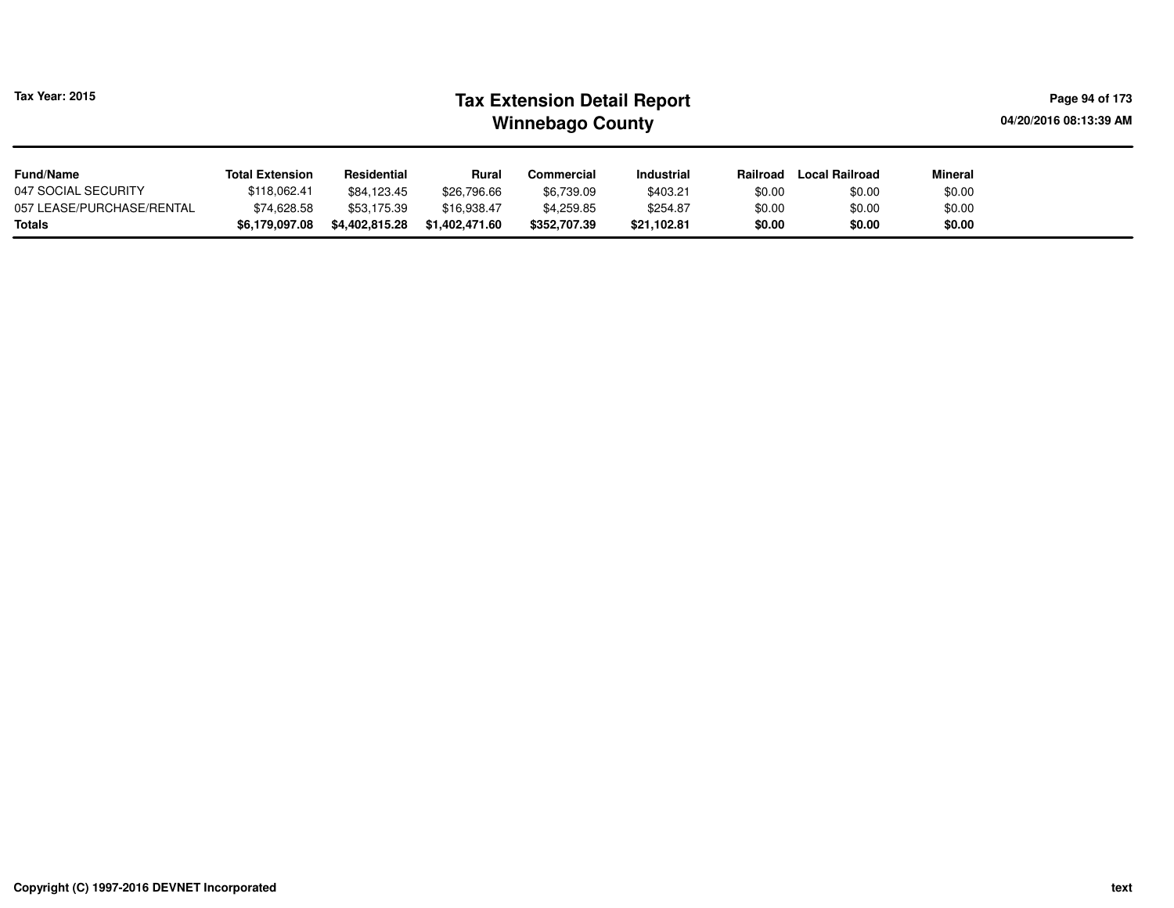| Tax Year: 2015            |                        |                | Page 94 of 173<br>04/20/2016 08:13:39 AM |                   |                   |          |                       |                |  |
|---------------------------|------------------------|----------------|------------------------------------------|-------------------|-------------------|----------|-----------------------|----------------|--|
| <b>Fund/Name</b>          | <b>Total Extension</b> | Residential    | <b>Rural</b>                             | <b>Commercial</b> | <b>Industrial</b> | Railroad | <b>Local Railroad</b> | <b>Mineral</b> |  |
| 047 SOCIAL SECURITY       | \$118.062.41           | \$84.123.45    | \$26.796.66                              | \$6,739.09        | \$403.21          | \$0.00   | \$0.00                | \$0.00         |  |
| 057 LEASE/PURCHASE/RENTAL | \$74,628.58            | \$53.175.39    | \$16.938.47                              | \$4,259.85        | \$254.87          | \$0.00   | \$0.00                | \$0.00         |  |
| Totals                    | \$6,179,097.08         | \$4,402,815.28 | \$1,402,471.60                           | \$352,707.39      | \$21,102.81       | \$0.00   | \$0.00                | \$0.00         |  |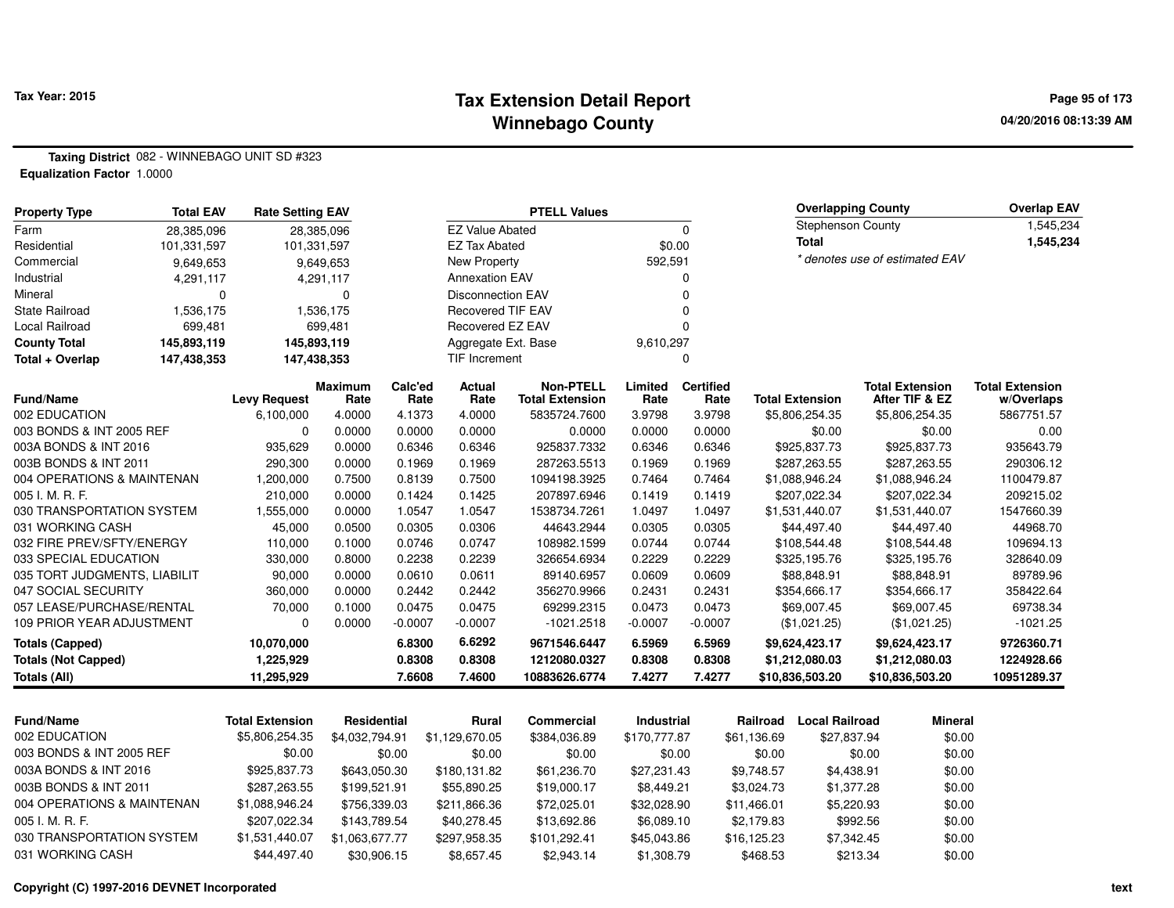### **Tax Extension Detail Report Tax Year: 2015 Page 95 of 173 Winnebago County**

**Taxing District** 082 - WINNEBAGO UNIT SD #323**Equalization Factor** 1.0000

| <b>Property Type</b>                          | <b>Total EAV</b> | <b>Rate Setting EAV</b> |                  |                  |                          | <b>PTELL Values</b>       |                  |                  |             | <b>Overlapping County</b>   |                                | <b>Overlap EAV</b>     |
|-----------------------------------------------|------------------|-------------------------|------------------|------------------|--------------------------|---------------------------|------------------|------------------|-------------|-----------------------------|--------------------------------|------------------------|
| Farm                                          | 28,385,096       |                         | 28,385,096       |                  | <b>EZ Value Abated</b>   |                           |                  | $\mathbf 0$      |             | Stephenson County           |                                | 1,545,234              |
| Residential                                   | 101,331,597      | 101,331,597             |                  |                  | <b>EZ Tax Abated</b>     |                           | \$0.00           |                  |             | <b>Total</b>                |                                | 1,545,234              |
| Commercial                                    | 9,649,653        |                         | 9,649,653        |                  | New Property             |                           | 592,591          |                  |             |                             | * denotes use of estimated EAV |                        |
| Industrial                                    | 4,291,117        |                         | 4,291,117        |                  | <b>Annexation EAV</b>    |                           |                  | $\Omega$         |             |                             |                                |                        |
| Mineral                                       | $\mathbf 0$      |                         | $\mathbf 0$      |                  | <b>Disconnection EAV</b> |                           |                  | $\Omega$         |             |                             |                                |                        |
| <b>State Railroad</b>                         | 1,536,175        |                         | 1,536,175        |                  | <b>Recovered TIF EAV</b> |                           |                  | $\Omega$         |             |                             |                                |                        |
| <b>Local Railroad</b>                         | 699,481          |                         | 699,481          |                  | Recovered EZ EAV         |                           |                  | $\Omega$         |             |                             |                                |                        |
| <b>County Total</b>                           | 145,893,119      | 145,893,119             |                  |                  | Aggregate Ext. Base      |                           | 9,610,297        |                  |             |                             |                                |                        |
| Total + Overlap                               | 147,438,353      | 147,438,353             |                  |                  | TIF Increment            |                           |                  | 0                |             |                             |                                |                        |
|                                               |                  |                         | <b>Maximum</b>   | Calc'ed          | <b>Actual</b>            | <b>Non-PTELL</b>          | Limited          | <b>Certified</b> |             |                             | <b>Total Extension</b>         | <b>Total Extension</b> |
| <b>Fund/Name</b>                              |                  | <b>Levy Request</b>     | Rate             | Rate             | Rate                     | <b>Total Extension</b>    | Rate             | Rate             |             | <b>Total Extension</b>      | After TIF & EZ                 | w/Overlaps             |
| 002 EDUCATION                                 |                  | 6,100,000               | 4.0000           | 4.1373           | 4.0000                   | 5835724.7600              | 3.9798           | 3.9798           |             | \$5,806,254.35              | \$5,806,254.35                 | 5867751.57             |
| 003 BONDS & INT 2005 REF                      |                  | $\Omega$                | 0.0000           | 0.0000           | 0.0000                   | 0.0000                    | 0.0000           | 0.0000           |             | \$0.00                      | \$0.00                         | 0.00                   |
| 003A BONDS & INT 2016                         |                  | 935,629                 | 0.0000           | 0.6346           | 0.6346                   | 925837.7332               | 0.6346           | 0.6346           |             | \$925,837.73                | \$925,837.73                   | 935643.79              |
| 003B BONDS & INT 2011                         |                  | 290,300                 | 0.0000           | 0.1969           | 0.1969                   | 287263.5513               | 0.1969           | 0.1969           |             | \$287,263.55                | \$287,263.55                   | 290306.12              |
| 004 OPERATIONS & MAINTENAN                    |                  | 1,200,000               | 0.7500           | 0.8139           | 0.7500                   | 1094198.3925              | 0.7464           | 0.7464           |             | \$1,088,946.24              | \$1,088,946.24                 | 1100479.87             |
| 005 I. M. R. F.                               |                  | 210,000                 | 0.0000           | 0.1424           | 0.1425                   | 207897.6946               | 0.1419           | 0.1419           |             | \$207,022.34                | \$207,022.34                   | 209215.02              |
| 030 TRANSPORTATION SYSTEM<br>031 WORKING CASH |                  | 1,555,000               | 0.0000           | 1.0547<br>0.0305 | 1.0547<br>0.0306         | 1538734.7261              | 1.0497<br>0.0305 | 1.0497<br>0.0305 |             | \$1,531,440.07              | \$1,531,440.07                 | 1547660.39<br>44968.70 |
| 032 FIRE PREV/SFTY/ENERGY                     |                  | 45,000<br>110,000       | 0.0500<br>0.1000 | 0.0746           | 0.0747                   | 44643.2944<br>108982.1599 | 0.0744           | 0.0744           |             | \$44,497.40                 | \$44,497.40                    | 109694.13              |
| 033 SPECIAL EDUCATION                         |                  |                         | 0.8000           | 0.2238           |                          | 326654.6934               | 0.2229           | 0.2229           |             | \$108,544.48                | \$108,544.48                   | 328640.09              |
| 035 TORT JUDGMENTS, LIABILIT                  |                  | 330,000<br>90,000       | 0.0000           | 0.0610           | 0.2239<br>0.0611         | 89140.6957                | 0.0609           | 0.0609           |             | \$325,195.76<br>\$88,848.91 | \$325,195.76<br>\$88,848.91    | 89789.96               |
| 047 SOCIAL SECURITY                           |                  | 360,000                 | 0.0000           | 0.2442           | 0.2442                   | 356270.9966               | 0.2431           | 0.2431           |             | \$354,666.17                | \$354,666.17                   | 358422.64              |
| 057 LEASE/PURCHASE/RENTAL                     |                  | 70,000                  | 0.1000           | 0.0475           | 0.0475                   | 69299.2315                | 0.0473           | 0.0473           |             | \$69,007.45                 | \$69,007.45                    | 69738.34               |
| 109 PRIOR YEAR ADJUSTMENT                     |                  | $\Omega$                | 0.0000           | $-0.0007$        | $-0.0007$                | $-1021.2518$              | $-0.0007$        | $-0.0007$        |             | (\$1,021.25)                | (\$1,021.25)                   | $-1021.25$             |
|                                               |                  |                         |                  | 6.8300           | 6.6292                   | 9671546.6447              | 6.5969           | 6.5969           |             |                             |                                | 9726360.71             |
| <b>Totals (Capped)</b>                        |                  | 10,070,000              |                  |                  |                          |                           |                  |                  |             | \$9,624,423.17              | \$9,624,423.17                 |                        |
| <b>Totals (Not Capped)</b>                    |                  | 1,225,929               |                  | 0.8308           | 0.8308                   | 1212080.0327              | 0.8308<br>7.4277 | 0.8308           |             | \$1,212,080.03              | \$1,212,080.03                 | 1224928.66             |
| <b>Totals (All)</b>                           |                  | 11,295,929              |                  | 7.6608           | 7.4600                   | 10883626.6774             |                  | 7.4277           |             | \$10,836,503.20             | \$10,836,503.20                | 10951289.37            |
|                                               |                  |                         |                  |                  |                          |                           |                  |                  |             |                             |                                |                        |
| Fund/Name                                     |                  | <b>Total Extension</b>  | Residential      |                  | <b>Rural</b>             | <b>Commercial</b>         | Industrial       |                  | Railroad    | <b>Local Railroad</b>       | <b>Mineral</b>                 |                        |
| 002 EDUCATION                                 |                  | \$5,806,254.35          | \$4,032,794.91   |                  | \$1,129,670.05           | \$384,036.89              | \$170,777.87     |                  | \$61,136.69 | \$27,837.94                 | \$0.00                         |                        |
| 003 BONDS & INT 2005 REF                      |                  | \$0.00                  |                  | \$0.00           | \$0.00                   | \$0.00                    | \$0.00           |                  | \$0.00      |                             | \$0.00<br>\$0.00               |                        |
| 003A BONDS & INT 2016                         |                  | \$925,837.73            | \$643,050.30     |                  | \$180,131.82             | \$61,236.70               | \$27,231.43      |                  | \$9,748.57  | \$4,438.91                  | \$0.00                         |                        |
| 003B BONDS & INT 2011                         |                  | \$287,263.55            | \$199,521.91     |                  | \$55,890.25              | \$19,000.17               | \$8,449.21       |                  | \$3,024.73  | \$1,377.28                  | \$0.00                         |                        |
| 004 OPERATIONS & MAINTENAN                    |                  | \$1,088,946.24          | \$756,339.03     |                  | \$211,866.36             | \$72,025.01               | \$32,028.90      |                  | \$11,466.01 | \$5,220.93                  | \$0.00                         |                        |
| 005 I. M. R. F.                               |                  | \$207,022.34            | \$143,789.54     |                  | \$40,278.45              | \$13,692.86               | \$6,089.10       |                  | \$2,179.83  | \$992.56                    | \$0.00                         |                        |
| 030 TRANSPORTATION SYSTEM                     |                  | \$1,531,440.07          | \$1,063,677.77   |                  | \$297,958.35             | \$101,292.41              | \$45,043.86      |                  | \$16,125.23 | \$7,342.45                  | \$0.00                         |                        |

\$30,906.15 \$8,657.45 \$2,943.14 \$1,308.79 \$468.53 \$213.34

**Copyright (C) 1997-2016 DEVNET Incorporated**

031 WORKING CASH \$44,497.40

4 \$0.00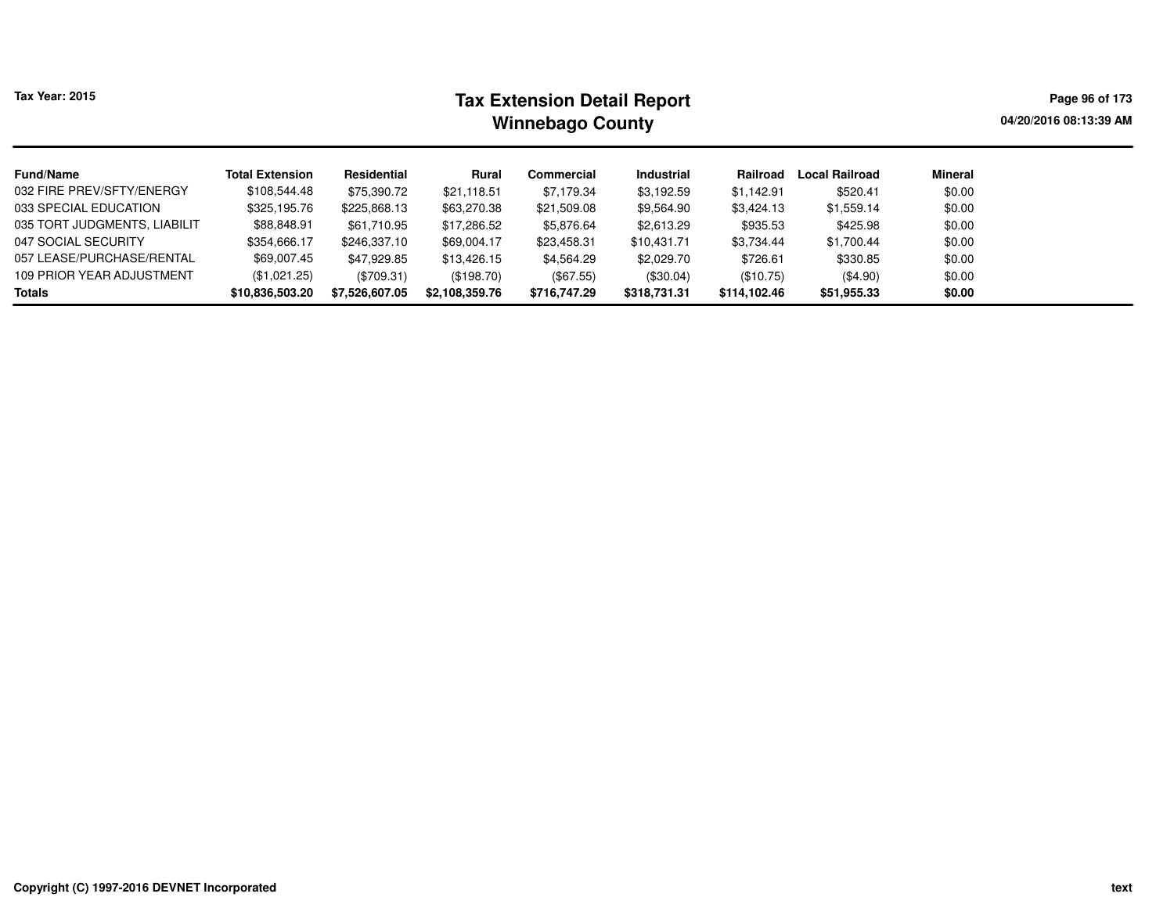| <b>Tax Year: 2015</b>        |                        | Page 96 of 173<br>04/20/2016 08:13:39 AM |                |              |              |              |                |         |  |
|------------------------------|------------------------|------------------------------------------|----------------|--------------|--------------|--------------|----------------|---------|--|
| <b>Fund/Name</b>             | <b>Total Extension</b> | Residential                              | Rural          | Commercial   | Industrial   | Railroad     | Local Railroad | Mineral |  |
| 032 FIRE PREV/SFTY/ENERGY    | \$108,544.48           | \$75,390.72                              | \$21.118.51    | \$7.179.34   | \$3,192.59   | \$1.142.91   | \$520.41       | \$0.00  |  |
| 033 SPECIAL EDUCATION        | \$325,195.76           | \$225,868.13                             | \$63,270.38    | \$21,509.08  | \$9,564.90   | \$3,424.13   | \$1,559.14     | \$0.00  |  |
| 035 TORT JUDGMENTS, LIABILIT | \$88,848.91            | \$61,710.95                              | \$17,286.52    | \$5,876.64   | \$2,613.29   | \$935.53     | \$425.98       | \$0.00  |  |
| 047 SOCIAL SECURITY          | \$354,666.17           | \$246,337.10                             | \$69.004.17    | \$23,458.31  | \$10.431.71  | \$3,734.44   | \$1,700.44     | \$0.00  |  |
| 057 LEASE/PURCHASE/RENTAL    | \$69.007.45            | \$47.929.85                              | \$13,426.15    | \$4,564.29   | \$2,029.70   | \$726.61     | \$330.85       | \$0.00  |  |
| 109 PRIOR YEAR ADJUSTMENT    | (\$1,021.25)           | (\$709.31)                               | (\$198.70)     | $(\$67.55)$  | $(\$30.04)$  | (\$10.75)    | $(\$4.90)$     | \$0.00  |  |
| <b>Totals</b>                | \$10,836,503.20        | \$7,526,607.05                           | \$2,108,359.76 | \$716,747.29 | \$318,731.31 | \$114,102.46 | \$51,955.33    | \$0.00  |  |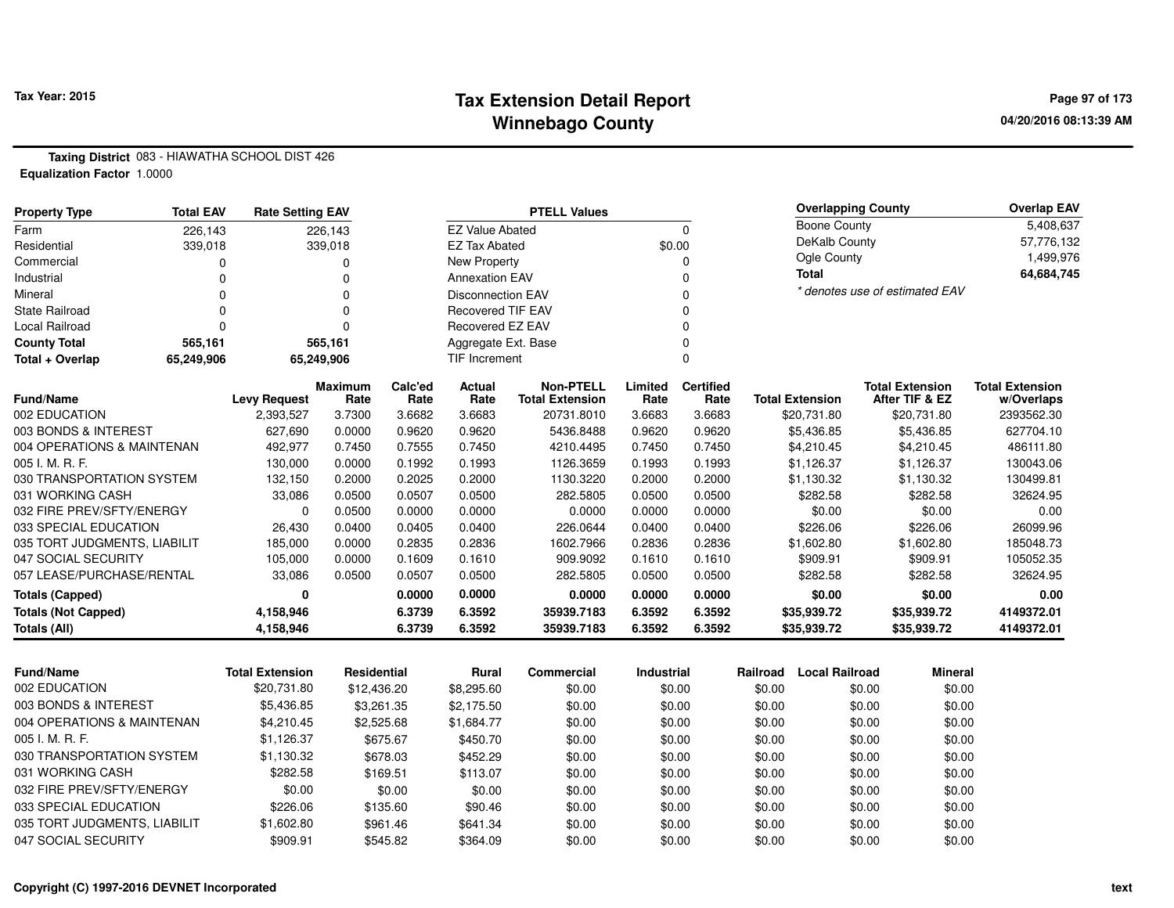## **Tax Extension Detail Report Tax Year: 2015 Page 97 of 173 Winnebago County**

**Taxing District** 083 - HIAWATHA SCHOOL DIST 426**Equalization Factor** 1.0000

| <b>Property Type</b>         | <b>Total EAV</b> | <b>Rate Setting EAV</b> |                 | <b>PTELL Values</b> |                          |                                            |                 |                          | <b>Overlap EAV</b>     |                                          |                                      |
|------------------------------|------------------|-------------------------|-----------------|---------------------|--------------------------|--------------------------------------------|-----------------|--------------------------|------------------------|------------------------------------------|--------------------------------------|
| Farm                         | 226,143          |                         | 226,143         |                     | <b>EZ Value Abated</b>   |                                            |                 | $\Omega$                 | Boone County           |                                          | 5,408,637                            |
| Residential                  | 339,018          |                         | 339,018         |                     | <b>EZ Tax Abated</b>     |                                            | \$0.00          |                          | DeKalb County          |                                          | 57,776,132                           |
| Commercial                   |                  |                         | 0               |                     | New Property             |                                            |                 |                          | Ogle County            |                                          | 1,499,976                            |
| Industrial                   |                  |                         | 0               |                     | <b>Annexation EAV</b>    |                                            |                 |                          | <b>Total</b>           |                                          | 64,684,745                           |
| Mineral                      |                  |                         | 0               |                     | <b>Disconnection EAV</b> |                                            |                 |                          |                        | * denotes use of estimated EAV           |                                      |
| <b>State Railroad</b>        |                  |                         | 0               |                     | <b>Recovered TIF EAV</b> |                                            |                 |                          |                        |                                          |                                      |
| Local Railroad               |                  |                         |                 |                     | Recovered EZ EAV         |                                            |                 |                          |                        |                                          |                                      |
| <b>County Total</b>          | 565,161          |                         | 565,161         |                     | Aggregate Ext. Base      |                                            |                 |                          |                        |                                          |                                      |
| Total + Overlap              | 65,249,906       |                         | 65,249,906      |                     | <b>TIF Increment</b>     |                                            |                 |                          |                        |                                          |                                      |
| Fund/Name                    |                  | <b>Levy Request</b>     | Maximum<br>Rate | Calc'ed<br>Rate     | Actual<br>Rate           | <b>Non-PTELL</b><br><b>Total Extension</b> | Limited<br>Rate | <b>Certified</b><br>Rate | <b>Total Extension</b> | <b>Total Extension</b><br>After TIF & EZ | <b>Total Extension</b><br>w/Overlaps |
| 002 EDUCATION                |                  | 2,393,527               | 3.7300          | 3.6682              | 3.6683                   | 20731.8010                                 | 3.6683          | 3.6683                   | \$20,731.80            | \$20,731.80                              | 2393562.30                           |
| 003 BONDS & INTEREST         |                  | 627,690                 | 0.0000          | 0.9620              | 0.9620                   | 5436.8488                                  | 0.9620          | 0.9620                   | \$5,436.85             | \$5,436.85                               | 627704.10                            |
| 004 OPERATIONS & MAINTENAN   |                  | 492,977                 | 0.7450          | 0.7555              | 0.7450                   | 4210.4495                                  | 0.7450          | 0.7450                   | \$4,210.45             | \$4,210.45                               | 486111.80                            |
| 005 I. M. R. F.              |                  | 130,000                 | 0.0000          | 0.1992              | 0.1993                   | 1126.3659                                  | 0.1993          | 0.1993                   | \$1,126.37             | \$1,126.37                               | 130043.06                            |
| 030 TRANSPORTATION SYSTEM    |                  | 132,150                 | 0.2000          | 0.2025              | 0.2000                   | 1130.3220                                  | 0.2000          | 0.2000                   | \$1,130.32             | \$1,130.32                               | 130499.81                            |
| 031 WORKING CASH             |                  | 33,086                  | 0.0500          | 0.0507              | 0.0500                   | 282.5805                                   | 0.0500          | 0.0500                   | \$282.58               | \$282.58                                 | 32624.95                             |
| 032 FIRE PREV/SFTY/ENERGY    |                  | $\Omega$                | 0.0500          | 0.0000              | 0.0000                   | 0.0000                                     | 0.0000          | 0.0000                   | \$0.00                 | \$0.00                                   | 0.00                                 |
| 033 SPECIAL EDUCATION        |                  | 26,430                  | 0.0400          | 0.0405              | 0.0400                   | 226.0644                                   | 0.0400          | 0.0400                   | \$226.06               | \$226.06                                 | 26099.96                             |
| 035 TORT JUDGMENTS, LIABILIT |                  | 185,000                 | 0.0000          | 0.2835              | 0.2836                   | 1602.7966                                  | 0.2836          | 0.2836                   | \$1,602.80             | \$1,602.80                               | 185048.73                            |
| 047 SOCIAL SECURITY          |                  | 105,000                 | 0.0000          | 0.1609              | 0.1610                   | 909.9092                                   | 0.1610          | 0.1610                   | \$909.91               | \$909.91                                 | 105052.35                            |
| 057 LEASE/PURCHASE/RENTAL    |                  | 33,086                  | 0.0500          | 0.0507              | 0.0500                   | 282.5805                                   | 0.0500          | 0.0500                   | \$282.58               | \$282.58                                 | 32624.95                             |
| Totals (Capped)              |                  | 0                       |                 | 0.0000              | 0.0000                   | 0.0000                                     | 0.0000          | 0.0000                   | \$0.00                 | \$0.00                                   | 0.00                                 |
| <b>Totals (Not Capped)</b>   |                  | 4,158,946               |                 | 6.3739              | 6.3592                   | 35939.7183                                 | 6.3592          | 6.3592                   | \$35,939.72            | \$35,939.72                              | 4149372.01                           |
| Totals (All)                 |                  | 4,158,946               |                 | 6.3739              | 6.3592                   | 35939.7183                                 | 6.3592          | 6.3592                   | \$35,939.72            | \$35,939.72                              | 4149372.01                           |

| <b>Fund/Name</b>             | <b>Total Extension</b> | Residential | Rural      | Commercial | <b>Industrial</b> | Railroad | <b>Local Railroad</b> | <b>Mineral</b> |
|------------------------------|------------------------|-------------|------------|------------|-------------------|----------|-----------------------|----------------|
| 002 EDUCATION                | \$20,731.80            | \$12,436.20 | \$8,295.60 | \$0.00     | \$0.00            | \$0.00   | \$0.00                | \$0.00         |
| 003 BONDS & INTEREST         | \$5,436.85             | \$3.261.35  | \$2.175.50 | \$0.00     | \$0.00            | \$0.00   | \$0.00                | \$0.00         |
| 004 OPERATIONS & MAINTENAN   | \$4,210.45             | \$2,525.68  | \$1.684.77 | \$0.00     | \$0.00            | \$0.00   | \$0.00                | \$0.00         |
| 005 I. M. R. F.              | \$1,126.37             | \$675.67    | \$450.70   | \$0.00     | \$0.00            | \$0.00   | \$0.00                | \$0.00         |
| 030 TRANSPORTATION SYSTEM    | \$1.130.32             | \$678.03    | \$452.29   | \$0.00     | \$0.00            | \$0.00   | \$0.00                | \$0.00         |
| 031 WORKING CASH             | \$282.58               | \$169.51    | \$113.07   | \$0.00     | \$0.00            | \$0.00   | \$0.00                | \$0.00         |
| 032 FIRE PREV/SFTY/ENERGY    | \$0.00                 | \$0.00      | \$0.00     | \$0.00     | \$0.00            | \$0.00   | \$0.00                | \$0.00         |
| 033 SPECIAL EDUCATION        | \$226.06               | \$135.60    | \$90.46    | \$0.00     | \$0.00            | \$0.00   | \$0.00                | \$0.00         |
| 035 TORT JUDGMENTS, LIABILIT | \$1,602.80             | \$961.46    | \$641.34   | \$0.00     | \$0.00            | \$0.00   | \$0.00                | \$0.00         |
| 047 SOCIAL SECURITY          | \$909.91               | \$545.82    | \$364.09   | \$0.00     | \$0.00            | \$0.00   | \$0.00                | \$0.00         |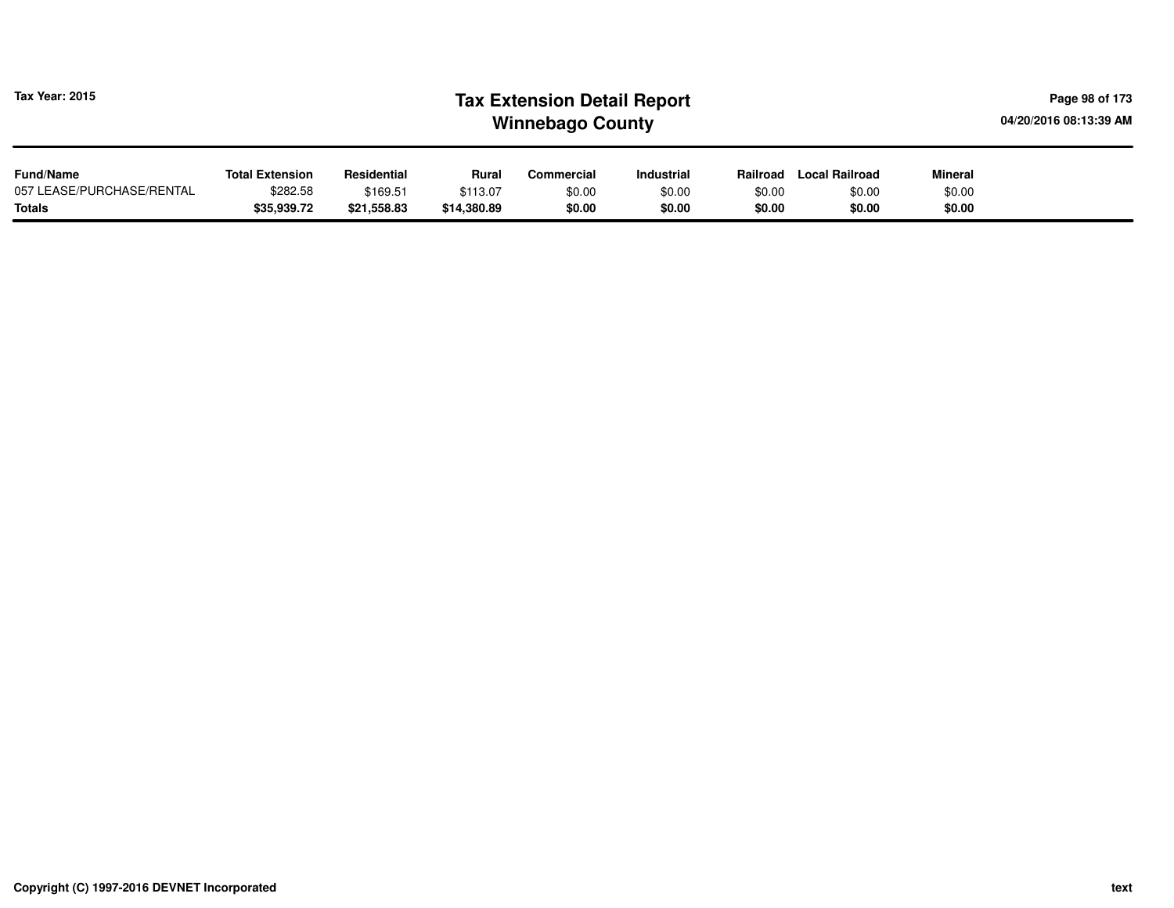| <b>Tax Year: 2015</b>     | <b>Tax Extension Detail Report</b><br>04/20/2016 08:13:39 AM<br><b>Winnebago County</b> |             |             |            |            |          |                       |                |  |  |  |
|---------------------------|-----------------------------------------------------------------------------------------|-------------|-------------|------------|------------|----------|-----------------------|----------------|--|--|--|
| <b>Fund/Name</b>          | <b>Total Extension</b>                                                                  | Residential | Rural       | Commercial | Industrial | Railroad | <b>Local Railroad</b> | <b>Mineral</b> |  |  |  |
| 057 LEASE/PURCHASE/RENTAL | \$282.58                                                                                | \$169.51    | \$113.07    | \$0.00     | \$0.00     | \$0.00   | \$0.00                | \$0.00         |  |  |  |
| <b>Totals</b>             | \$35,939.72                                                                             | \$21,558.83 | \$14,380.89 | \$0.00     | \$0.00     | \$0.00   | \$0.00                | \$0.00         |  |  |  |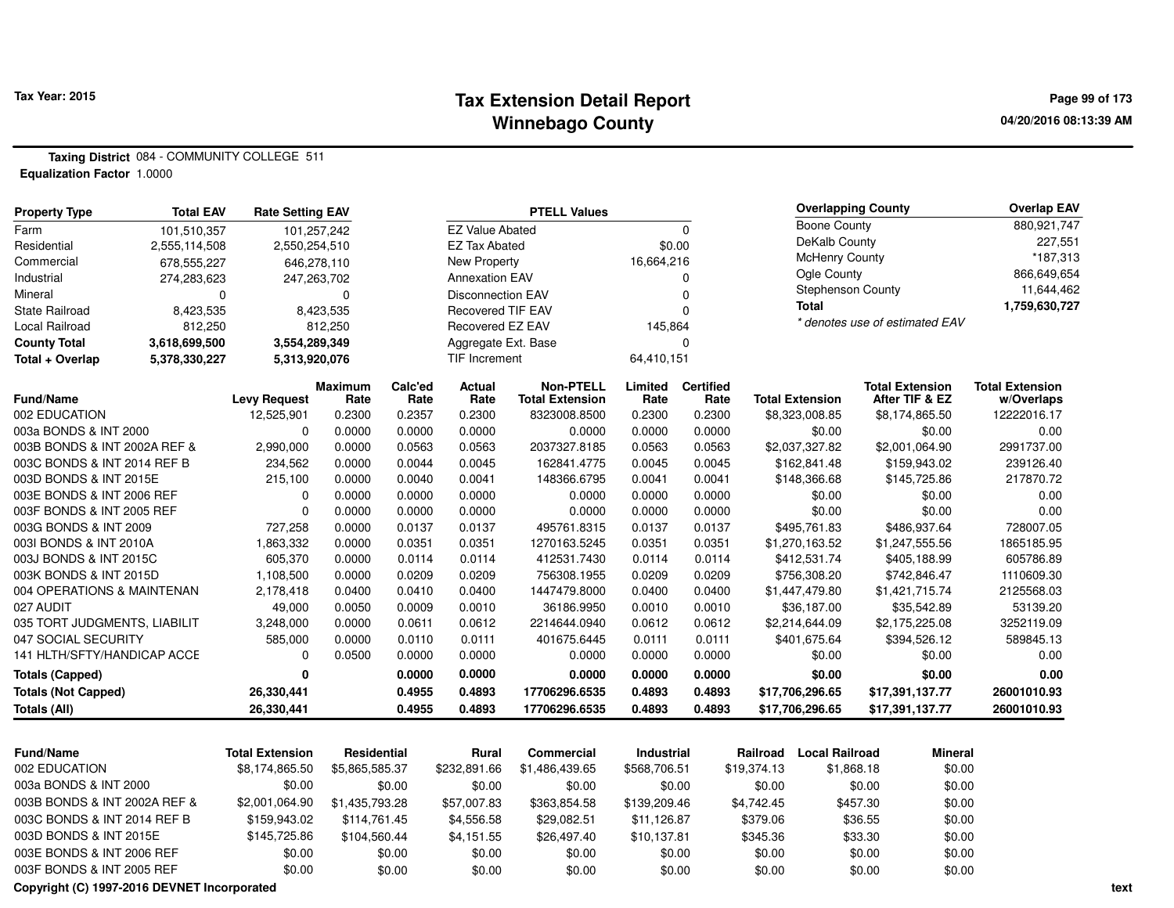### **Tax Extension Detail Report Tax Year: 2015 Page 99 of 173 Winnebago County**

**Taxing District** 084 - COMMUNITY COLLEGE 511**Equalization Factor** 1.0000

| <b>Property Type</b>         | <b>Total EAV</b> | <b>Rate Setting EAV</b> |                    |         |                          | <b>PTELL Values</b>    |                   |                  |             |                          | <b>Overlapping County</b>      |                | <b>Overlap EAV</b>     |
|------------------------------|------------------|-------------------------|--------------------|---------|--------------------------|------------------------|-------------------|------------------|-------------|--------------------------|--------------------------------|----------------|------------------------|
| Farm                         | 101,510,357      | 101,257,242             |                    |         | <b>EZ Value Abated</b>   |                        |                   | $\Omega$         |             | <b>Boone County</b>      |                                |                | 880,921,747            |
| Residential                  | 2,555,114,508    | 2,550,254,510           |                    |         | <b>EZ Tax Abated</b>     |                        |                   | \$0.00           |             | DeKalb County            |                                |                | 227,551                |
| Commercial                   | 678,555,227      | 646,278,110             |                    |         | New Property             |                        | 16,664,216        |                  |             | <b>McHenry County</b>    |                                |                | *187,313               |
| Industrial                   | 274,283,623      | 247,263,702             |                    |         | <b>Annexation EAV</b>    |                        |                   | $\Omega$         |             | Ogle County              |                                |                | 866,649,654            |
| Mineral                      | 0                |                         | 0                  |         | <b>Disconnection EAV</b> |                        |                   | $\Omega$         |             | <b>Stephenson County</b> |                                |                | 11,644,462             |
| <b>State Railroad</b>        | 8,423,535        |                         | 8,423,535          |         | <b>Recovered TIF EAV</b> |                        |                   | $\Omega$         |             | <b>Total</b>             |                                |                | 1,759,630,727          |
| Local Railroad               | 812,250          |                         | 812,250            |         | <b>Recovered EZ EAV</b>  |                        | 145,864           |                  |             |                          | * denotes use of estimated EAV |                |                        |
| <b>County Total</b>          | 3,618,699,500    | 3,554,289,349           |                    |         | Aggregate Ext. Base      |                        |                   | $\Omega$         |             |                          |                                |                |                        |
| Total + Overlap              | 5,378,330,227    | 5,313,920,076           |                    |         | <b>TIF Increment</b>     |                        | 64,410,151        |                  |             |                          |                                |                |                        |
|                              |                  |                         | <b>Maximum</b>     | Calc'ed | Actual                   | <b>Non-PTELL</b>       | Limited           | <b>Certified</b> |             |                          | <b>Total Extension</b>         |                | <b>Total Extension</b> |
| Fund/Name                    |                  | <b>Levy Request</b>     | Rate               | Rate    | Rate                     | <b>Total Extension</b> | Rate              | Rate             |             | <b>Total Extension</b>   |                                | After TIF & EZ | w/Overlaps             |
| 002 EDUCATION                |                  | 12,525,901              | 0.2300             | 0.2357  | 0.2300                   | 8323008.8500           | 0.2300            | 0.2300           |             | \$8,323,008.85           |                                | \$8,174,865.50 | 12222016.17            |
| 003a BONDS & INT 2000        |                  | $\mathbf 0$             | 0.0000             | 0.0000  | 0.0000                   | 0.0000                 | 0.0000            | 0.0000           |             | \$0.00                   |                                | \$0.00         | 0.00                   |
| 003B BONDS & INT 2002A REF & |                  | 2,990,000               | 0.0000             | 0.0563  | 0.0563                   | 2037327.8185           | 0.0563            | 0.0563           |             | \$2,037,327.82           |                                | \$2,001,064.90 | 2991737.00             |
| 003C BONDS & INT 2014 REF B  |                  | 234,562                 | 0.0000             | 0.0044  | 0.0045                   | 162841.4775            | 0.0045            | 0.0045           |             | \$162,841.48             |                                | \$159,943.02   | 239126.40              |
| 003D BONDS & INT 2015E       |                  | 215,100                 | 0.0000             | 0.0040  | 0.0041                   | 148366.6795            | 0.0041            | 0.0041           |             | \$148,366.68             |                                | \$145,725.86   | 217870.72              |
| 003E BONDS & INT 2006 REF    |                  | 0                       | 0.0000             | 0.0000  | 0.0000                   | 0.0000                 | 0.0000            | 0.0000           |             | \$0.00                   |                                | \$0.00         | 0.00                   |
| 003F BONDS & INT 2005 REF    |                  | $\mathbf 0$             | 0.0000             | 0.0000  | 0.0000                   | 0.0000                 | 0.0000            | 0.0000           |             | \$0.00                   |                                | \$0.00         | 0.00                   |
| 003G BONDS & INT 2009        |                  | 727,258                 | 0.0000             | 0.0137  | 0.0137                   | 495761.8315            | 0.0137            | 0.0137           |             | \$495,761.83             |                                | \$486,937.64   | 728007.05              |
| 003I BONDS & INT 2010A       |                  | 1,863,332               | 0.0000             | 0.0351  | 0.0351                   | 1270163.5245           | 0.0351            | 0.0351           |             | \$1,270,163.52           |                                | \$1,247,555.56 | 1865185.95             |
| 003J BONDS & INT 2015C       |                  | 605,370                 | 0.0000             | 0.0114  | 0.0114                   | 412531.7430            | 0.0114            | 0.0114           |             | \$412,531.74             |                                | \$405,188.99   | 605786.89              |
| 003K BONDS & INT 2015D       |                  | 1,108,500               | 0.0000             | 0.0209  | 0.0209                   | 756308.1955            | 0.0209            | 0.0209           |             | \$756,308.20             |                                | \$742,846.47   | 1110609.30             |
| 004 OPERATIONS & MAINTENAN   |                  | 2,178,418               | 0.0400             | 0.0410  | 0.0400                   | 1447479.8000           | 0.0400            | 0.0400           |             | \$1,447,479.80           |                                | \$1,421,715.74 | 2125568.03             |
| 027 AUDIT                    |                  | 49,000                  | 0.0050             | 0.0009  | 0.0010                   | 36186.9950             | 0.0010            | 0.0010           |             | \$36,187.00              |                                | \$35,542.89    | 53139.20               |
| 035 TORT JUDGMENTS, LIABILIT |                  | 3,248,000               | 0.0000             | 0.0611  | 0.0612                   | 2214644.0940           | 0.0612            | 0.0612           |             | \$2,214,644.09           |                                | \$2,175,225.08 | 3252119.09             |
| 047 SOCIAL SECURITY          |                  | 585,000                 | 0.0000             | 0.0110  | 0.0111                   | 401675.6445            | 0.0111            | 0.0111           |             | \$401,675.64             |                                | \$394,526.12   | 589845.13              |
| 141 HLTH/SFTY/HANDICAP ACCE  |                  | 0                       | 0.0500             | 0.0000  | 0.0000                   | 0.0000                 | 0.0000            | 0.0000           |             | \$0.00                   |                                | \$0.00         | 0.00                   |
| <b>Totals (Capped)</b>       |                  | 0                       |                    | 0.0000  | 0.0000                   | 0.0000                 | 0.0000            | 0.0000           |             | \$0.00                   |                                | \$0.00         | 0.00                   |
| <b>Totals (Not Capped)</b>   |                  | 26,330,441              |                    | 0.4955  | 0.4893                   | 17706296.6535          | 0.4893            | 0.4893           |             | \$17,706,296.65          | \$17,391,137.77                |                | 26001010.93            |
| <b>Totals (All)</b>          |                  | 26,330,441              |                    | 0.4955  | 0.4893                   | 17706296.6535          | 0.4893            | 0.4893           |             | \$17,706,296.65          | \$17,391,137.77                |                | 26001010.93            |
|                              |                  |                         |                    |         |                          |                        |                   |                  |             |                          |                                |                |                        |
| <b>Fund/Name</b>             |                  | <b>Total Extension</b>  | <b>Residential</b> |         | <b>Rural</b>             | <b>Commercial</b>      | <b>Industrial</b> |                  | Railroad    | <b>Local Railroad</b>    |                                | Mineral        |                        |
| 002 EDUCATION                |                  | \$8,174,865.50          | \$5,865,585.37     |         | \$232,891.66             | \$1,486,439.65         | \$568,706.51      |                  | \$19,374.13 | \$1,868.18               |                                | \$0.00         |                        |
| 003a BONDS & INT 2000        |                  | \$0.00                  |                    | \$0.00  | \$0.00                   | \$0.00                 |                   | \$0.00           | \$0.00      |                          | \$0.00                         | \$0.00         |                        |
| 003B BONDS & INT 2002A REF & |                  | \$2,001,064.90          | \$1,435,793.28     |         | \$57,007.83              | \$363,854.58           | \$139,209.46      |                  | \$4,742.45  |                          | \$457.30                       | \$0.00         |                        |
| 003C BONDS & INT 2014 REF B  |                  | \$159,943.02            | \$114,761.45       |         | \$4,556.58               | \$29,082.51            | \$11,126.87       |                  | \$379.06    |                          | \$36.55                        | \$0.00         |                        |
| 003D BONDS & INT 2015E       |                  | \$145,725.86            | \$104,560.44       |         | \$4,151.55               | \$26,497.40            | \$10,137.81       |                  | \$345.36    |                          | \$33.30                        | \$0.00         |                        |
| 003E BONDS & INT 2006 REF    |                  | \$0.00                  |                    | \$0.00  | \$0.00                   | \$0.00                 |                   | \$0.00           | \$0.00      |                          | \$0.00                         | \$0.00         |                        |

0 \$0.00 \$0.00 \$0.00 \$0.00 \$0.00 \$0.00 \$0.00 \$0.00

**Copyright (C) 1997-2016 DEVNET Incorporated**

003F BONDS & INT 2005 REF \$0.00

 $$0.00$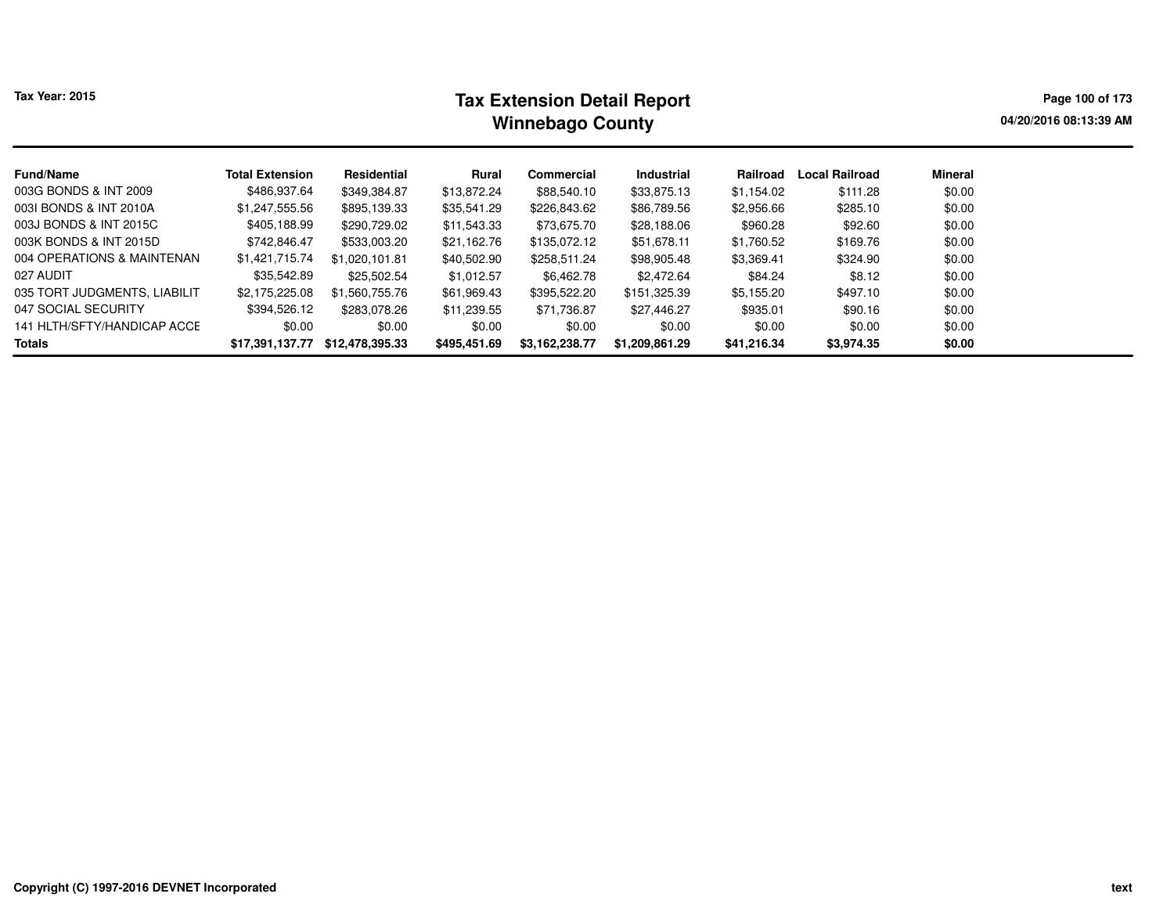| Tax Year: 2015 |
|----------------|
|                |

# **Tax Extension Detail Report Tax Year: 2015 Page 100 of 173 Winnebago County**

**04/20/2016 08:13:39 AM**

| <b>Fund/Name</b>             | <b>Total Extension</b> | Residential     | Rural        | Commercial     | Industrial     | Railroad    | <b>Local Railroad</b> | <b>Mineral</b> |
|------------------------------|------------------------|-----------------|--------------|----------------|----------------|-------------|-----------------------|----------------|
| 003G BONDS & INT 2009        | \$486,937.64           | \$349,384.87    | \$13,872.24  | \$88,540.10    | \$33,875.13    | \$1,154.02  | \$111.28              | \$0.00         |
| 003I BONDS & INT 2010A       | \$1,247,555.56         | \$895,139.33    | \$35,541.29  | \$226,843.62   | \$86,789.56    | \$2,956.66  | \$285.10              | \$0.00         |
| 003J BONDS & INT 2015C       | \$405,188.99           | \$290,729.02    | \$11,543.33  | \$73,675.70    | \$28,188.06    | \$960.28    | \$92.60               | \$0.00         |
| 003K BONDS & INT 2015D       | \$742,846.47           | \$533,003.20    | \$21.162.76  | \$135.072.12   | \$51,678.11    | \$1,760.52  | \$169.76              | \$0.00         |
| 004 OPERATIONS & MAINTENAN   | \$1,421,715.74         | \$1,020,101.81  | \$40,502.90  | \$258,511.24   | \$98,905.48    | \$3,369.41  | \$324.90              | \$0.00         |
| 027 AUDIT                    | \$35,542.89            | \$25,502.54     | \$1,012.57   | \$6,462.78     | \$2,472.64     | \$84.24     | \$8.12                | \$0.00         |
| 035 TORT JUDGMENTS, LIABILIT | \$2,175,225.08         | \$1.560.755.76  | \$61,969.43  | \$395,522.20   | \$151,325.39   | \$5,155.20  | \$497.10              | \$0.00         |
| 047 SOCIAL SECURITY          | \$394,526.12           | \$283.078.26    | \$11,239.55  | \$71,736.87    | \$27,446.27    | \$935.01    | \$90.16               | \$0.00         |
| 141 HLTH/SFTY/HANDICAP ACCE  | \$0.00                 | \$0.00          | \$0.00       | \$0.00         | \$0.00         | \$0.00      | \$0.00                | \$0.00         |
| <b>Totals</b>                | \$17,391,137.77        | \$12,478,395.33 | \$495,451.69 | \$3.162.238.77 | \$1.209.861.29 | \$41,216.34 | \$3,974.35            | \$0.00         |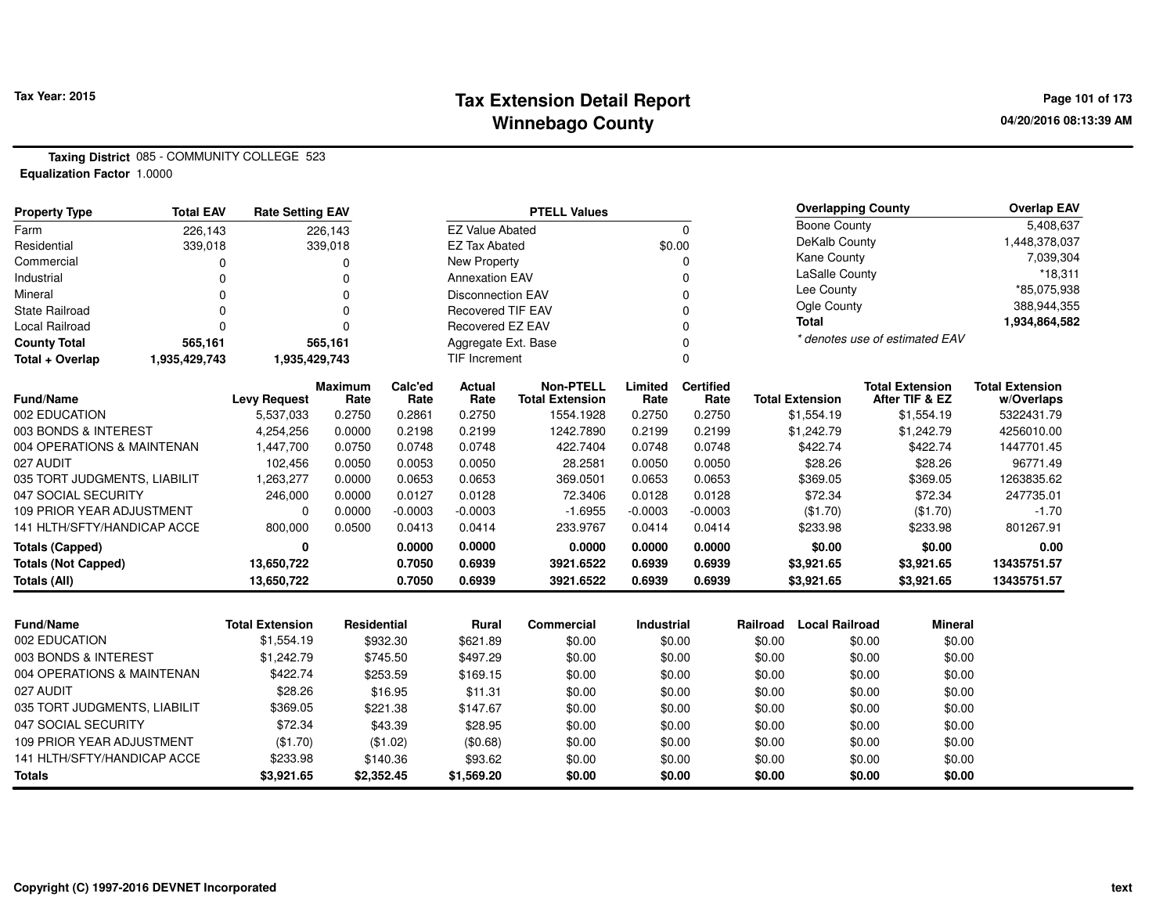### **Tax Extension Detail Report Tax Year: 2015 Page 101 of 173 Winnebago County**

**Taxing District** 085 - COMMUNITY COLLEGE 523**Equalization Factor** 1.0000

| <b>Property Type</b>                  | <b>Total EAV</b> | <b>Rate Setting EAV</b> |                  |                  |                          | <b>PTELL Values</b>    |                  |                  |          | <b>Overlapping County</b> |                                | <b>Overlap EAV</b>       |
|---------------------------------------|------------------|-------------------------|------------------|------------------|--------------------------|------------------------|------------------|------------------|----------|---------------------------|--------------------------------|--------------------------|
| Farm                                  | 226,143          |                         | 226,143          |                  | <b>EZ Value Abated</b>   |                        |                  | $\Omega$         |          | <b>Boone County</b>       |                                | 5,408,637                |
| Residential                           | 339,018          |                         | 339,018          |                  | <b>EZ Tax Abated</b>     |                        | \$0.00           |                  |          | DeKalb County             |                                | 1,448,378,037            |
| Commercial                            | 0                |                         | 0                |                  | <b>New Property</b>      |                        |                  | 0                |          | Kane County               | 7,039,304                      |                          |
| Industrial                            | $\Omega$         |                         | $\Omega$         |                  | <b>Annexation EAV</b>    |                        | $\Omega$         |                  |          | LaSalle County            |                                | $*18,311$                |
| Mineral                               | $\Omega$         |                         | $\Omega$         |                  | <b>Disconnection EAV</b> |                        |                  | $\Omega$         |          | Lee County                |                                | *85,075,938              |
| <b>State Railroad</b>                 | $\Omega$         |                         | $\Omega$         |                  | <b>Recovered TIF EAV</b> |                        |                  | $\Omega$         |          | Ogle County               |                                | 388,944,355              |
| <b>Local Railroad</b>                 | $\Omega$         |                         | $\Omega$         |                  | Recovered EZ EAV         |                        |                  | $\Omega$         |          | <b>Total</b>              |                                | 1,934,864,582            |
| <b>County Total</b>                   | 565,161          |                         | 565,161          |                  | Aggregate Ext. Base      |                        |                  | $\Omega$         |          |                           | * denotes use of estimated EAV |                          |
| Total + Overlap                       | 1,935,429,743    | 1,935,429,743           |                  |                  | <b>TIF Increment</b>     |                        |                  | $\Omega$         |          |                           |                                |                          |
|                                       |                  |                         | <b>Maximum</b>   | Calc'ed          | Actual                   | <b>Non-PTELL</b>       | Limited          | <b>Certified</b> |          |                           | <b>Total Extension</b>         | <b>Total Extension</b>   |
| Fund/Name                             |                  | <b>Levy Request</b>     | Rate             | Rate             | Rate                     | <b>Total Extension</b> | Rate             | Rate             |          | <b>Total Extension</b>    | After TIF & EZ                 | w/Overlaps               |
| 002 EDUCATION<br>003 BONDS & INTEREST |                  | 5,537,033<br>4,254,256  | 0.2750<br>0.0000 | 0.2861<br>0.2198 | 0.2750<br>0.2199         | 1554.1928<br>1242.7890 | 0.2750<br>0.2199 | 0.2750<br>0.2199 |          | \$1,554.19<br>\$1,242.79  | \$1,554.19<br>\$1,242.79       | 5322431.79<br>4256010.00 |
| 004 OPERATIONS & MAINTENAN            |                  | 1,447,700               | 0.0750           | 0.0748           | 0.0748                   | 422.7404               | 0.0748           | 0.0748           |          | \$422.74                  | \$422.74                       | 1447701.45               |
| 027 AUDIT                             |                  | 102,456                 | 0.0050           | 0.0053           | 0.0050                   | 28.2581                | 0.0050           | 0.0050           |          | \$28.26                   | \$28.26                        | 96771.49                 |
| 035 TORT JUDGMENTS, LIABILIT          |                  | 1,263,277               | 0.0000           | 0.0653           | 0.0653                   | 369.0501               | 0.0653           | 0.0653           |          | \$369.05                  | \$369.05                       | 1263835.62               |
| 047 SOCIAL SECURITY                   |                  | 246,000                 | 0.0000           | 0.0127           | 0.0128                   | 72.3406                | 0.0128           | 0.0128           |          | \$72.34                   | \$72.34                        | 247735.01                |
| <b>109 PRIOR YEAR ADJUSTMENT</b>      |                  | $\Omega$                | 0.0000           | $-0.0003$        | $-0.0003$                | $-1.6955$              | $-0.0003$        | $-0.0003$        |          | (\$1.70)                  | (\$1.70)                       | $-1.70$                  |
| 141 HLTH/SFTY/HANDICAP ACCE           |                  | 800,000                 | 0.0500           | 0.0413           | 0.0414                   | 233.9767               | 0.0414           | 0.0414           |          | \$233.98                  | \$233.98                       | 801267.91                |
| <b>Totals (Capped)</b>                |                  | 0                       |                  | 0.0000           | 0.0000                   | 0.0000                 | 0.0000           | 0.0000           |          | \$0.00                    | \$0.00                         | 0.00                     |
| <b>Totals (Not Capped)</b>            |                  | 13,650,722              |                  | 0.7050           | 0.6939                   | 3921.6522              | 0.6939           | 0.6939           |          | \$3,921.65                | \$3,921.65                     | 13435751.57              |
| Totals (All)                          |                  | 13,650,722              |                  | 0.7050           | 0.6939                   | 3921.6522              | 0.6939           | 0.6939           |          | \$3,921.65                | \$3,921.65                     | 13435751.57              |
|                                       |                  |                         |                  |                  |                          |                        |                  |                  |          |                           |                                |                          |
| Fund/Name                             |                  | <b>Total Extension</b>  | Residential      |                  | <b>Rural</b>             | <b>Commercial</b>      | Industrial       |                  | Railroad | <b>Local Railroad</b>     | <b>Mineral</b>                 |                          |
| 002 EDUCATION                         |                  | \$1,554.19              |                  | \$932.30         | \$621.89                 | \$0.00                 | \$0.00           |                  | \$0.00   |                           | \$0.00<br>\$0.00               |                          |
| 003 BONDS & INTEREST                  |                  | \$1,242.79              |                  | \$745.50         | \$497.29                 | \$0.00                 |                  | \$0.00           | \$0.00   |                           | \$0.00<br>\$0.00               |                          |
| 004 OPERATIONS & MAINTENAN            |                  | \$422.74                |                  | \$253.59         | \$169.15                 | \$0.00                 |                  | \$0.00           | \$0.00   |                           | \$0.00<br>\$0.00               |                          |
| 027 AUDIT                             |                  | \$28.26                 |                  | \$16.95          | \$11.31                  | \$0.00                 |                  | \$0.00           | \$0.00   |                           | \$0.00<br>\$0.00               |                          |
| 035 TORT JUDGMENTS, LIABILIT          |                  | \$369.05                |                  | \$221.38         | \$147.67                 | \$0.00                 |                  | \$0.00           | \$0.00   |                           | \$0.00<br>\$0.00               |                          |
| 047 SOCIAL SECURITY                   |                  | \$72.34                 |                  | \$43.39          | \$28.95                  | \$0.00                 |                  | \$0.00           | \$0.00   |                           | \$0.00<br>\$0.00               |                          |
| <b>109 PRIOR YEAR ADJUSTMENT</b>      |                  | (\$1.70)                |                  | (\$1.02)         | (\$0.68)                 | \$0.00                 |                  | \$0.00           | \$0.00   |                           | \$0.00<br>\$0.00               |                          |
| 141 HLTH/SFTY/HANDICAP ACCE           |                  | \$233.98                |                  | \$140.36         | \$93.62                  | \$0.00                 |                  | \$0.00           | \$0.00   |                           | \$0.00<br>\$0.00               |                          |
| <b>Totals</b>                         |                  | \$3,921.65              | \$2,352.45       |                  | \$1,569.20               | \$0.00                 |                  | \$0.00           | \$0.00   |                           | \$0.00<br>\$0.00               |                          |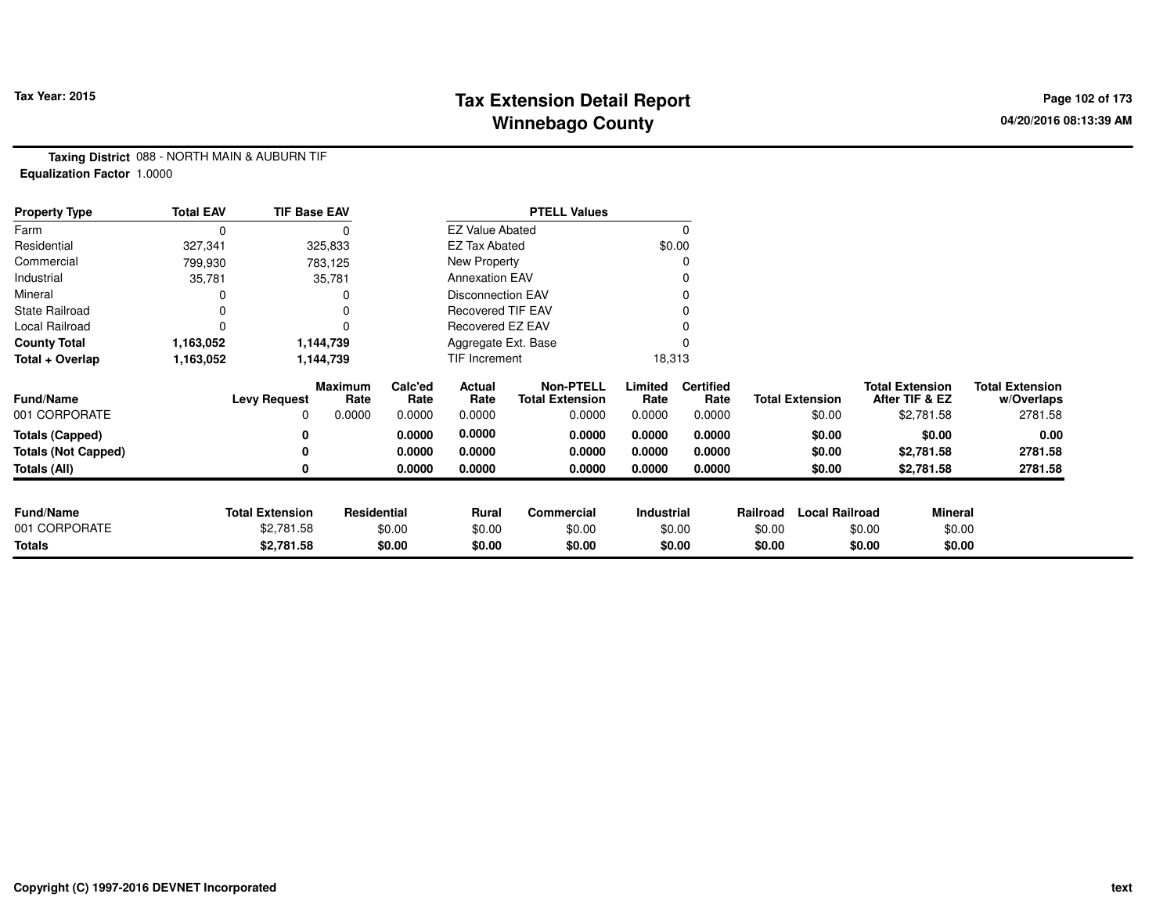## **Tax Extension Detail Report Tax Year: 2015 Page 102 of 173 Winnebago County**

**Taxing District** 088 - NORTH MAIN & AUBURN TIF**Equalization Factor** 1.0000

| <b>Property Type</b>       | <b>Total EAV</b> | <b>TIF Base EAV</b>    |                 |                 |                          | <b>PTELL Values</b>                        |                 |                          |          |                        |                                          |                                      |
|----------------------------|------------------|------------------------|-----------------|-----------------|--------------------------|--------------------------------------------|-----------------|--------------------------|----------|------------------------|------------------------------------------|--------------------------------------|
| Farm                       | 0                |                        |                 |                 | <b>EZ Value Abated</b>   |                                            |                 |                          |          |                        |                                          |                                      |
| Residential                | 327,341          |                        | 325,833         |                 | <b>EZ Tax Abated</b>     |                                            |                 | \$0.00                   |          |                        |                                          |                                      |
| Commercial                 | 799,930          |                        | 783,125         |                 | New Property             |                                            |                 |                          |          |                        |                                          |                                      |
| Industrial                 | 35,781           |                        | 35,781          |                 | <b>Annexation EAV</b>    |                                            |                 |                          |          |                        |                                          |                                      |
| Mineral                    |                  |                        |                 |                 | <b>Disconnection EAV</b> |                                            |                 |                          |          |                        |                                          |                                      |
| <b>State Railroad</b>      |                  |                        |                 |                 | <b>Recovered TIF EAV</b> |                                            |                 |                          |          |                        |                                          |                                      |
| Local Railroad             |                  |                        |                 |                 | Recovered EZ EAV         |                                            |                 |                          |          |                        |                                          |                                      |
| <b>County Total</b>        | 1,163,052        |                        | 1,144,739       |                 | Aggregate Ext. Base      |                                            |                 |                          |          |                        |                                          |                                      |
| Total + Overlap            | 1,163,052        |                        | 1,144,739       |                 |                          | TIF Increment                              |                 | 18,313                   |          |                        |                                          |                                      |
| <b>Fund/Name</b>           |                  | <b>Levy Request</b>    | Maximum<br>Rate | Calc'ed<br>Rate | Actual<br>Rate           | <b>Non-PTELL</b><br><b>Total Extension</b> | Limited<br>Rate | <b>Certified</b><br>Rate |          | <b>Total Extension</b> | <b>Total Extension</b><br>After TIF & EZ | <b>Total Extension</b><br>w/Overlaps |
| 001 CORPORATE              |                  |                        | 0.0000          | 0.0000          | 0.0000                   | 0.0000                                     | 0.0000          | 0.0000                   |          | \$0.00                 | \$2,781.58                               | 2781.58                              |
| <b>Totals (Capped)</b>     |                  |                        |                 | 0.0000          | 0.0000                   | 0.0000                                     | 0.0000          | 0.0000                   |          | \$0.00                 | \$0.00                                   | 0.00                                 |
| <b>Totals (Not Capped)</b> |                  |                        |                 | 0.0000          | 0.0000                   | 0.0000                                     | 0.0000          | 0.0000                   |          | \$0.00                 | \$2,781.58                               | 2781.58                              |
| <b>Totals (All)</b>        |                  |                        |                 | 0.0000          | 0.0000                   | 0.0000                                     | 0.0000          | 0.0000                   |          | \$0.00                 | \$2,781.58                               | 2781.58                              |
|                            |                  |                        |                 |                 |                          |                                            |                 |                          |          |                        |                                          |                                      |
| <b>Fund/Name</b>           |                  | <b>Total Extension</b> | Residential     |                 | Rural                    | Commercial                                 | Industrial      |                          | Railroad | <b>Local Railroad</b>  | Mineral                                  |                                      |
| 001 CORPORATE              |                  | \$2,781.58             |                 | \$0.00          | \$0.00                   | \$0.00                                     |                 | \$0.00                   | \$0.00   |                        | \$0.00                                   | \$0.00                               |
| <b>Totals</b>              |                  | \$2,781.58             |                 | \$0.00          | \$0.00                   | \$0.00                                     |                 | \$0.00                   | \$0.00   |                        | \$0.00                                   | \$0.00                               |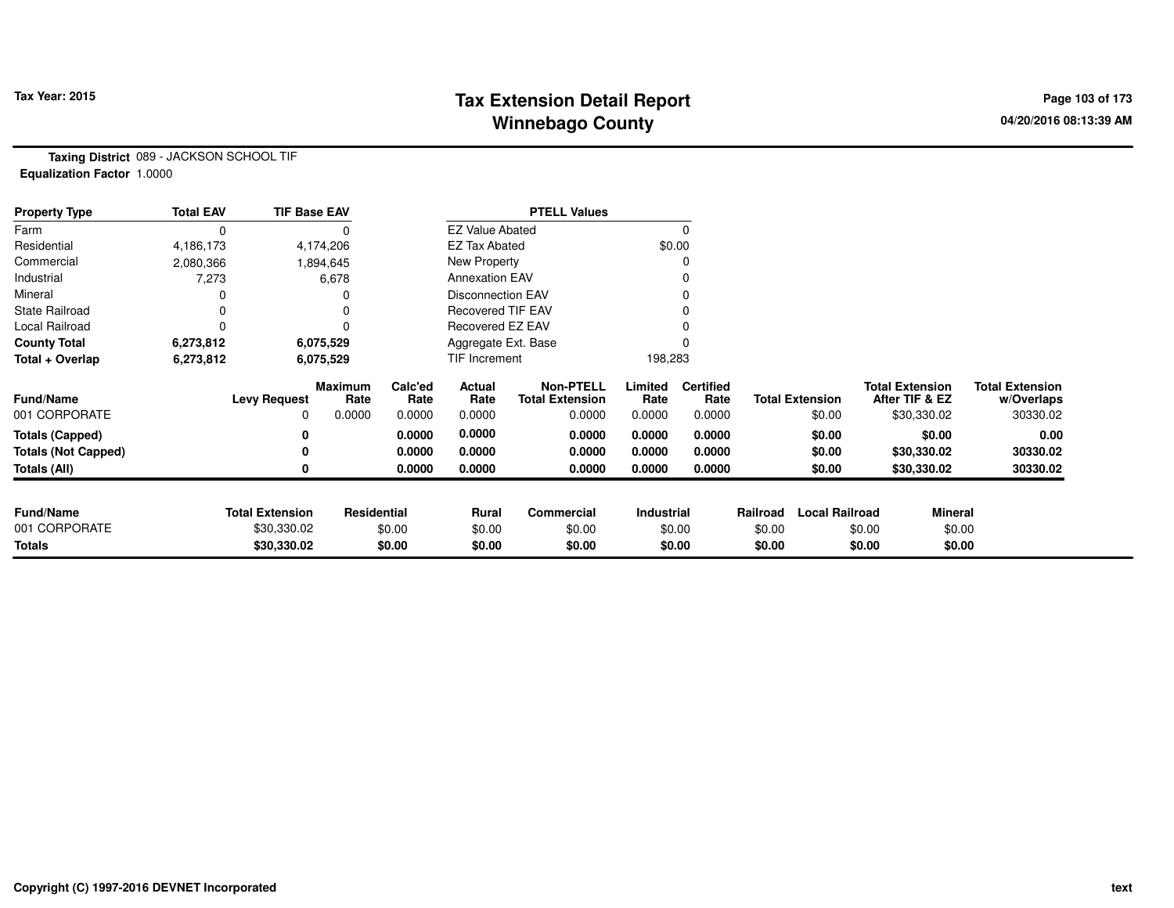## **Tax Extension Detail Report Tax Year: 2015 Page 103 of 173 Winnebago County**

**Taxing District** 089 - JACKSON SCHOOL TIF**Equalization Factor** 1.0000

| <b>Property Type</b>       | <b>Total EAV</b> | <b>TIF Base EAV</b>    |                 |                 |                        | <b>PTELL Values</b>                        |                 |                          |          |                        |                        |                |                                      |
|----------------------------|------------------|------------------------|-----------------|-----------------|------------------------|--------------------------------------------|-----------------|--------------------------|----------|------------------------|------------------------|----------------|--------------------------------------|
| Farm                       | 0                |                        |                 |                 | <b>EZ Value Abated</b> |                                            |                 | $\Omega$                 |          |                        |                        |                |                                      |
| Residential                | 4,186,173        |                        | 4,174,206       |                 | <b>EZ Tax Abated</b>   |                                            | \$0.00          |                          |          |                        |                        |                |                                      |
| Commercial                 | 2,080,366        |                        | 1,894,645       |                 | New Property           |                                            |                 |                          |          |                        |                        |                |                                      |
| Industrial                 | 7,273            |                        | 6,678           |                 | <b>Annexation EAV</b>  |                                            |                 |                          |          |                        |                        |                |                                      |
| Mineral                    |                  |                        |                 |                 | Disconnection EAV      |                                            |                 |                          |          |                        |                        |                |                                      |
| <b>State Railroad</b>      | 0                |                        | 0               |                 | Recovered TIF EAV      |                                            |                 |                          |          |                        |                        |                |                                      |
| Local Railroad             | 0                |                        | $\Omega$        |                 | Recovered EZ EAV       |                                            |                 |                          |          |                        |                        |                |                                      |
| <b>County Total</b>        | 6,273,812        |                        | 6,075,529       |                 | Aggregate Ext. Base    |                                            |                 |                          |          |                        |                        |                |                                      |
| Total + Overlap            | 6,273,812        |                        | 6,075,529       |                 | TIF Increment          |                                            | 198,283         |                          |          |                        |                        |                |                                      |
| <b>Fund/Name</b>           |                  | <b>Levy Request</b>    | Maximum<br>Rate | Calc'ed<br>Rate | Actual<br>Rate         | <b>Non-PTELL</b><br><b>Total Extension</b> | Limited<br>Rate | <b>Certified</b><br>Rate |          | <b>Total Extension</b> | <b>Total Extension</b> | After TIF & EZ | <b>Total Extension</b><br>w/Overlaps |
| 001 CORPORATE              |                  | 0                      | 0.0000          | 0.0000          | 0.0000                 | 0.0000                                     | 0.0000          | 0.0000                   |          | \$0.00                 |                        | \$30,330.02    | 30330.02                             |
| <b>Totals (Capped)</b>     |                  | 0                      |                 | 0.0000          | 0.0000                 | 0.0000                                     | 0.0000          | 0.0000                   |          | \$0.00                 |                        | \$0.00         | 0.00                                 |
| <b>Totals (Not Capped)</b> |                  | 0                      |                 | 0.0000          | 0.0000                 | 0.0000                                     | 0.0000          | 0.0000                   |          | \$0.00                 |                        | \$30,330.02    | 30330.02                             |
| Totals (All)               |                  | 0                      |                 | 0.0000          | 0.0000                 | 0.0000                                     | 0.0000          | 0.0000                   |          | \$0.00                 |                        | \$30,330.02    | 30330.02                             |
|                            |                  |                        |                 |                 |                        |                                            |                 |                          |          |                        |                        |                |                                      |
| <b>Fund/Name</b>           |                  | <b>Total Extension</b> | Residential     |                 | Rural                  | Commercial                                 | Industrial      |                          | Railroad | <b>Local Railroad</b>  |                        | <b>Mineral</b> |                                      |
| 001 CORPORATE              |                  | \$30,330.02            |                 | \$0.00          | \$0.00                 | \$0.00                                     |                 | \$0.00                   | \$0.00   |                        | \$0.00                 | \$0.00         |                                      |
| <b>Totals</b>              |                  | \$30,330.02            |                 | \$0.00          | \$0.00                 | \$0.00                                     |                 | \$0.00                   | \$0.00   |                        | \$0.00                 | \$0.00         |                                      |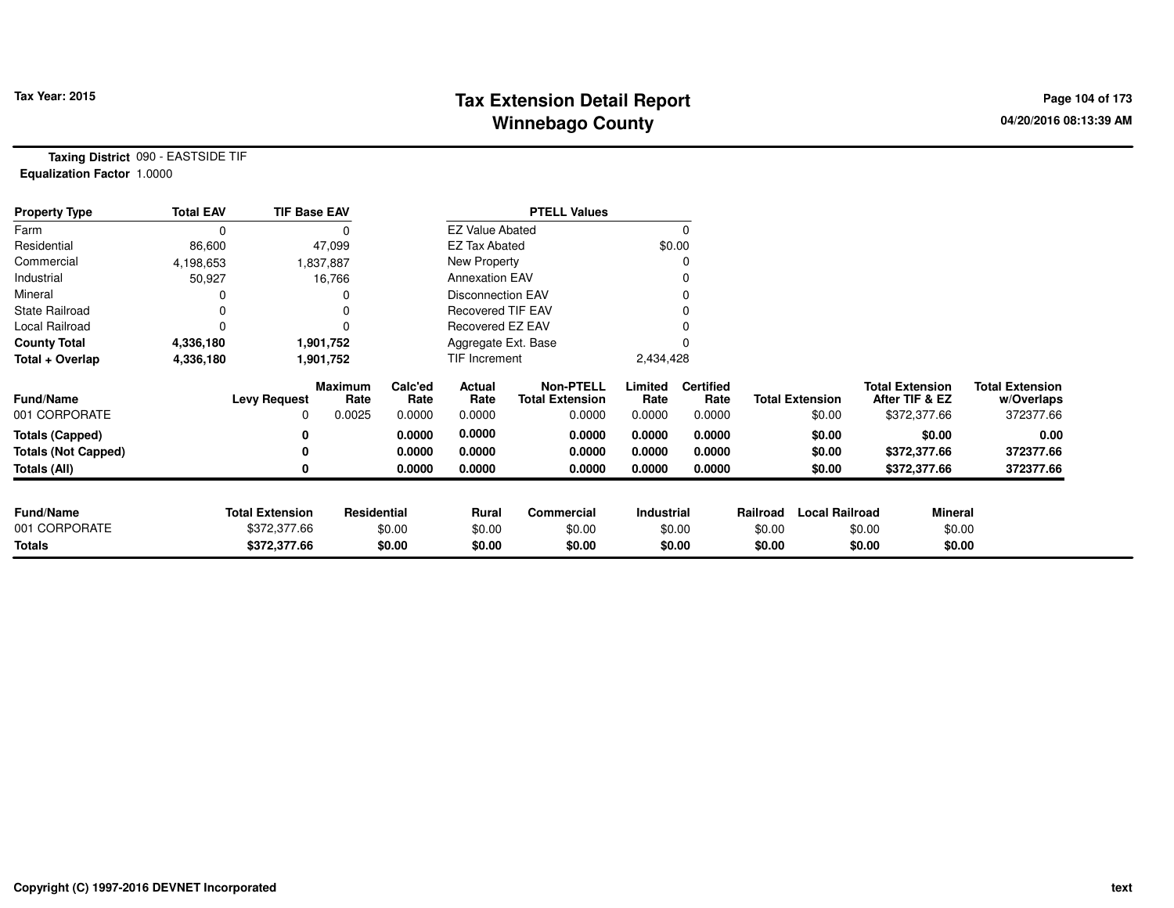## **Tax Extension Detail Report Tax Year: 2015 Page 104 of 173 Winnebago County**

**Taxing District** 090 - EASTSIDE TIF**Equalization Factor** 1.0000

| <b>Property Type</b>       | <b>Total EAV</b> | <b>TIF Base EAV</b>    |                 |                 |                          | <b>PTELL Values</b>                        |                 |                          |          |                        |                                          |                                      |
|----------------------------|------------------|------------------------|-----------------|-----------------|--------------------------|--------------------------------------------|-----------------|--------------------------|----------|------------------------|------------------------------------------|--------------------------------------|
| Farm                       | 0                |                        |                 |                 | <b>EZ Value Abated</b>   |                                            |                 |                          |          |                        |                                          |                                      |
| Residential                | 86,600           |                        | 47,099          |                 | <b>EZ Tax Abated</b>     |                                            |                 | \$0.00                   |          |                        |                                          |                                      |
| Commercial                 | 4,198,653        |                        | 1,837,887       |                 | New Property             |                                            |                 |                          |          |                        |                                          |                                      |
| Industrial                 | 50,927           |                        | 16,766          |                 | <b>Annexation EAV</b>    |                                            |                 |                          |          |                        |                                          |                                      |
| Mineral                    |                  |                        |                 |                 | <b>Disconnection EAV</b> |                                            |                 |                          |          |                        |                                          |                                      |
| <b>State Railroad</b>      |                  |                        |                 |                 | <b>Recovered TIF EAV</b> |                                            |                 |                          |          |                        |                                          |                                      |
| Local Railroad             |                  |                        |                 |                 | Recovered EZ EAV         |                                            |                 |                          |          |                        |                                          |                                      |
| <b>County Total</b>        | 4,336,180        |                        | 1,901,752       |                 | Aggregate Ext. Base      |                                            |                 |                          |          |                        |                                          |                                      |
| Total + Overlap            | 4,336,180        |                        | 1,901,752       |                 | TIF Increment            |                                            | 2,434,428       |                          |          |                        |                                          |                                      |
| <b>Fund/Name</b>           |                  | <b>Levy Request</b>    | Maximum<br>Rate | Calc'ed<br>Rate | Actual<br>Rate           | <b>Non-PTELL</b><br><b>Total Extension</b> | Limited<br>Rate | <b>Certified</b><br>Rate |          | <b>Total Extension</b> | <b>Total Extension</b><br>After TIF & EZ | <b>Total Extension</b><br>w/Overlaps |
| 001 CORPORATE              |                  | 0                      | 0.0025          | 0.0000          | 0.0000                   | 0.0000                                     | 0.0000          | 0.0000                   |          | \$0.00                 | \$372,377.66                             | 372377.66                            |
| <b>Totals (Capped)</b>     |                  | 0                      |                 | 0.0000          | 0.0000                   | 0.0000                                     | 0.0000          | 0.0000                   |          | \$0.00                 | \$0.00                                   | 0.00                                 |
| <b>Totals (Not Capped)</b> |                  |                        |                 | 0.0000          | 0.0000                   | 0.0000                                     | 0.0000          | 0.0000                   |          | \$0.00                 | \$372,377.66                             | 372377.66                            |
| Totals (All)               |                  | 0                      |                 | 0.0000          | 0.0000                   | 0.0000                                     | 0.0000          | 0.0000                   |          | \$0.00                 | \$372,377.66                             | 372377.66                            |
|                            |                  |                        |                 |                 |                          |                                            |                 |                          |          |                        |                                          |                                      |
| <b>Fund/Name</b>           |                  | <b>Total Extension</b> | Residential     |                 | Rural                    | Commercial                                 | Industrial      |                          | Railroad | <b>Local Railroad</b>  | <b>Mineral</b>                           |                                      |
| 001 CORPORATE              |                  | \$372,377.66           |                 | \$0.00          | \$0.00                   | \$0.00                                     |                 | \$0.00                   | \$0.00   |                        | \$0.00                                   | \$0.00                               |
| <b>Totals</b>              |                  | \$372,377.66           |                 | \$0.00          | \$0.00                   | \$0.00                                     |                 | \$0.00                   | \$0.00   |                        | \$0.00                                   | \$0.00                               |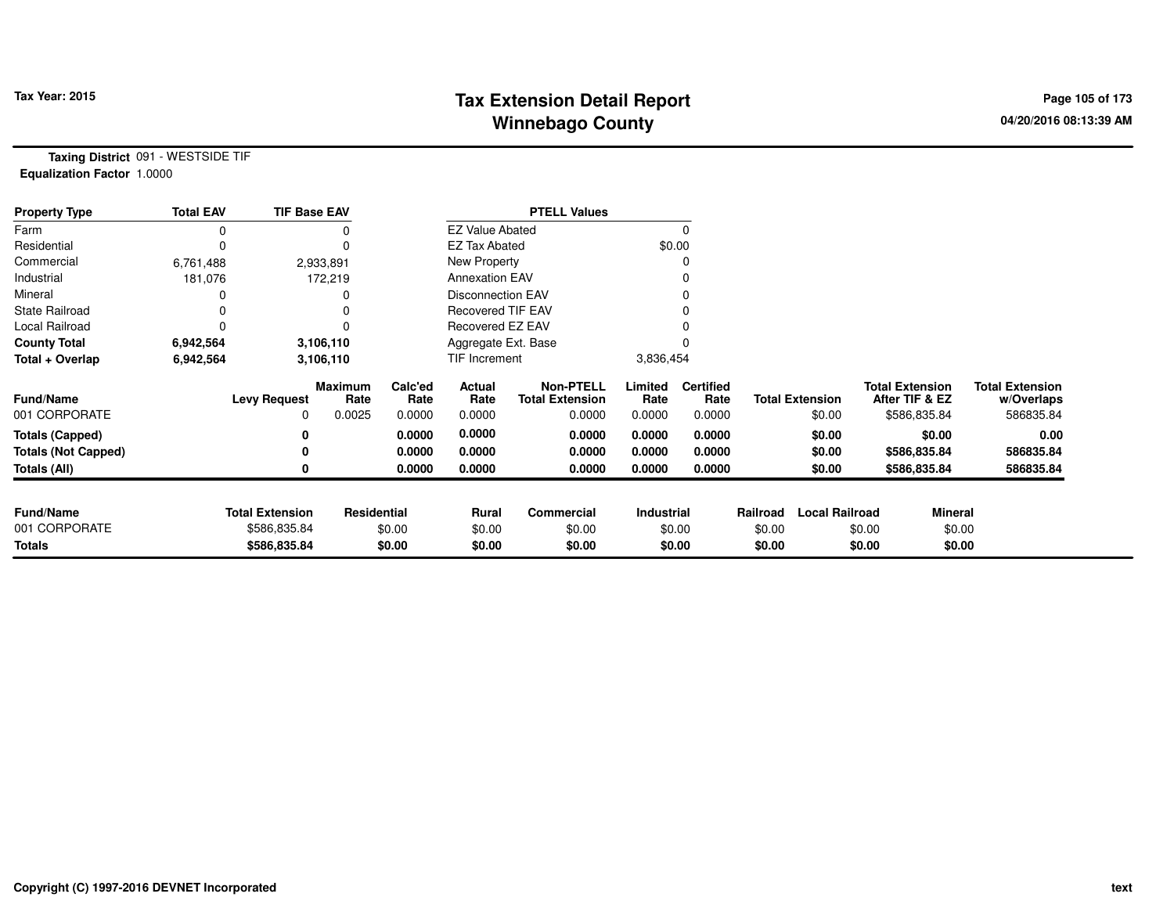## **Tax Extension Detail Report Tax Year: 2015 Page 105 of 173 Winnebago County**

**Taxing District** 091 - WESTSIDE TIF**Equalization Factor** 1.0000

| <b>Property Type</b>       | <b>Total EAV</b> | <b>TIF Base EAV</b>    |                        |                 |                          | <b>PTELL Values</b>                        |                 |                          |          |                        |                                          |                                      |
|----------------------------|------------------|------------------------|------------------------|-----------------|--------------------------|--------------------------------------------|-----------------|--------------------------|----------|------------------------|------------------------------------------|--------------------------------------|
| Farm                       |                  |                        |                        |                 | <b>EZ Value Abated</b>   |                                            |                 |                          |          |                        |                                          |                                      |
| Residential                |                  |                        | $\Omega$               |                 | <b>EZ Tax Abated</b>     |                                            |                 | \$0.00                   |          |                        |                                          |                                      |
| Commercial                 | 6,761,488        |                        | 2,933,891              |                 | New Property             |                                            |                 |                          |          |                        |                                          |                                      |
| Industrial                 | 181,076          |                        | 172,219                |                 | <b>Annexation EAV</b>    |                                            |                 |                          |          |                        |                                          |                                      |
| Mineral                    |                  |                        |                        |                 | <b>Disconnection EAV</b> |                                            |                 |                          |          |                        |                                          |                                      |
| <b>State Railroad</b>      |                  |                        |                        |                 | <b>Recovered TIF EAV</b> |                                            |                 |                          |          |                        |                                          |                                      |
| Local Railroad             |                  |                        |                        |                 | Recovered EZ EAV         |                                            |                 |                          |          |                        |                                          |                                      |
| <b>County Total</b>        | 6,942,564        |                        | 3,106,110              |                 | Aggregate Ext. Base      |                                            |                 |                          |          |                        |                                          |                                      |
| Total + Overlap            | 6,942,564        |                        | 3,106,110              |                 | TIF Increment            |                                            | 3,836,454       |                          |          |                        |                                          |                                      |
| <b>Fund/Name</b>           |                  | <b>Levy Request</b>    | <b>Maximum</b><br>Rate | Calc'ed<br>Rate | Actual<br>Rate           | <b>Non-PTELL</b><br><b>Total Extension</b> | Limited<br>Rate | <b>Certified</b><br>Rate |          | <b>Total Extension</b> | <b>Total Extension</b><br>After TIF & EZ | <b>Total Extension</b><br>w/Overlaps |
| 001 CORPORATE              |                  | 0                      | 0.0025                 | 0.0000          | 0.0000                   | 0.0000                                     | 0.0000          | 0.0000                   |          | \$0.00                 | \$586,835.84                             | 586835.84                            |
| <b>Totals (Capped)</b>     |                  | 0                      |                        | 0.0000          | 0.0000                   | 0.0000                                     | 0.0000          | 0.0000                   |          | \$0.00                 | \$0.00                                   | 0.00                                 |
| <b>Totals (Not Capped)</b> |                  | 0                      |                        | 0.0000          | 0.0000                   | 0.0000                                     | 0.0000          | 0.0000                   |          | \$0.00                 | \$586,835.84                             | 586835.84                            |
| Totals (All)               |                  | 0                      |                        | 0.0000          | 0.0000                   | 0.0000                                     | 0.0000          | 0.0000                   |          | \$0.00                 | \$586,835.84                             | 586835.84                            |
|                            |                  |                        |                        |                 |                          |                                            |                 |                          |          |                        |                                          |                                      |
| <b>Fund/Name</b>           |                  | <b>Total Extension</b> | Residential            |                 | Rural                    | Commercial                                 | Industrial      |                          | Railroad | <b>Local Railroad</b>  |                                          | <b>Mineral</b>                       |
| 001 CORPORATE              |                  | \$586,835.84           |                        | \$0.00          | \$0.00                   | \$0.00                                     |                 | \$0.00                   | \$0.00   |                        | \$0.00                                   | \$0.00                               |
| Totals                     |                  | \$586,835.84           |                        | \$0.00          | \$0.00                   | \$0.00                                     |                 | \$0.00                   | \$0.00   |                        | \$0.00                                   | \$0.00                               |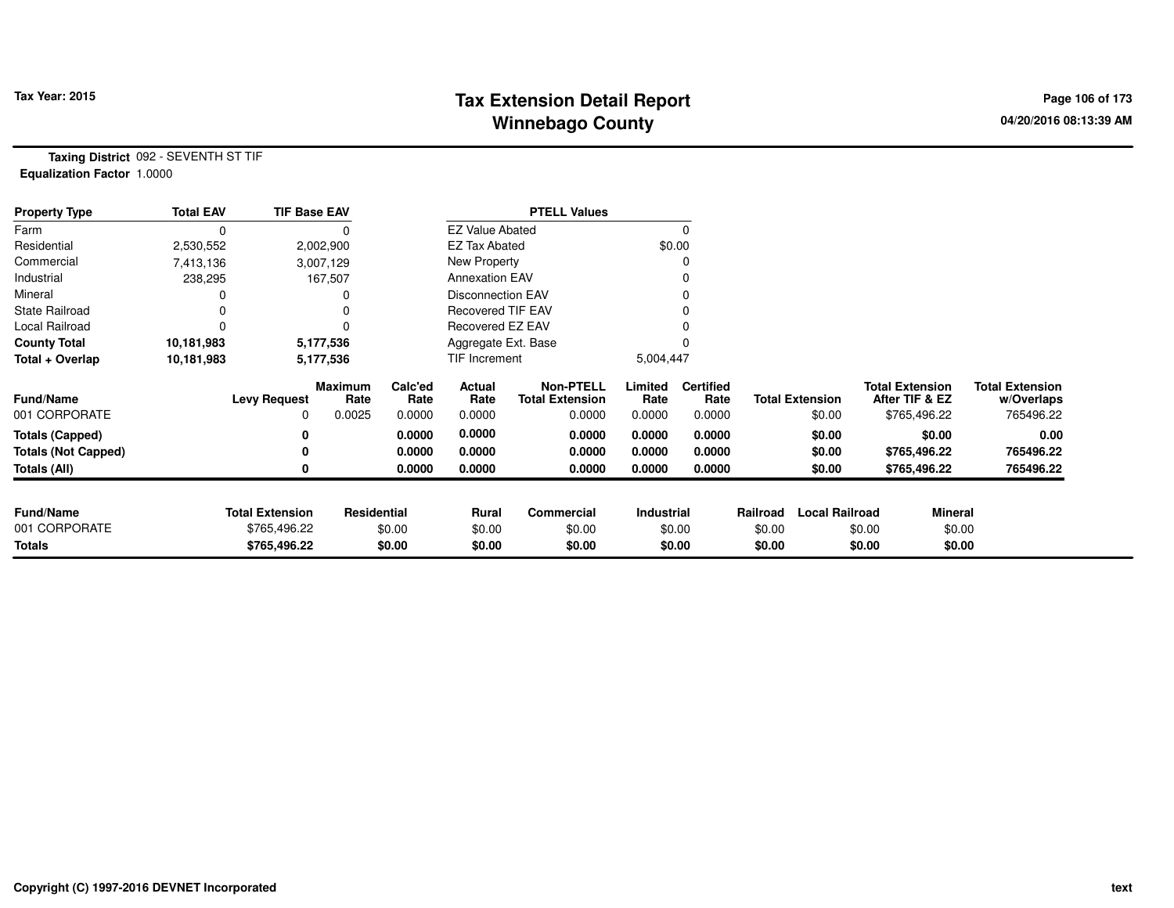## **Tax Extension Detail Report Tax Year: 2015 Page 106 of 173 Winnebago County**

**Taxing District** 092 - SEVENTH ST TIF**Equalization Factor** 1.0000

| <b>Property Type</b>       | <b>Total EAV</b> | <b>TIF Base EAV</b>    |                 |                 |                          | <b>PTELL Values</b>                        |                 |                          |          |                        |                                          |                                      |
|----------------------------|------------------|------------------------|-----------------|-----------------|--------------------------|--------------------------------------------|-----------------|--------------------------|----------|------------------------|------------------------------------------|--------------------------------------|
| Farm                       | 0                |                        |                 |                 | <b>EZ Value Abated</b>   |                                            |                 |                          |          |                        |                                          |                                      |
| Residential                | 2,530,552        |                        | 2,002,900       |                 | <b>EZ Tax Abated</b>     |                                            |                 | \$0.00                   |          |                        |                                          |                                      |
| Commercial                 | 7,413,136        |                        | 3,007,129       |                 | New Property             |                                            |                 |                          |          |                        |                                          |                                      |
| Industrial                 | 238,295          |                        | 167,507         |                 | <b>Annexation EAV</b>    |                                            |                 |                          |          |                        |                                          |                                      |
| Mineral                    |                  |                        |                 |                 | <b>Disconnection EAV</b> |                                            |                 |                          |          |                        |                                          |                                      |
| <b>State Railroad</b>      |                  |                        |                 |                 | <b>Recovered TIF EAV</b> |                                            |                 |                          |          |                        |                                          |                                      |
| Local Railroad             |                  |                        |                 |                 | Recovered EZ EAV         |                                            |                 |                          |          |                        |                                          |                                      |
| <b>County Total</b>        | 10,181,983       |                        | 5,177,536       |                 | Aggregate Ext. Base      |                                            |                 |                          |          |                        |                                          |                                      |
| Total + Overlap            | 10,181,983       |                        | 5,177,536       |                 | TIF Increment            |                                            | 5,004,447       |                          |          |                        |                                          |                                      |
| <b>Fund/Name</b>           |                  | <b>Levy Request</b>    | Maximum<br>Rate | Calc'ed<br>Rate | Actual<br>Rate           | <b>Non-PTELL</b><br><b>Total Extension</b> | Limited<br>Rate | <b>Certified</b><br>Rate |          | <b>Total Extension</b> | <b>Total Extension</b><br>After TIF & EZ | <b>Total Extension</b><br>w/Overlaps |
| 001 CORPORATE              |                  | 0                      | 0.0025          | 0.0000          | 0.0000                   | 0.0000                                     | 0.0000          | 0.0000                   |          | \$0.00                 | \$765,496.22                             | 765496.22                            |
| <b>Totals (Capped)</b>     |                  |                        |                 | 0.0000          | 0.0000                   | 0.0000                                     | 0.0000          | 0.0000                   |          | \$0.00                 | \$0.00                                   | 0.00                                 |
| <b>Totals (Not Capped)</b> |                  |                        |                 | 0.0000          | 0.0000                   | 0.0000                                     | 0.0000          | 0.0000                   |          | \$0.00                 | \$765,496.22                             | 765496.22                            |
| Totals (All)               |                  |                        |                 | 0.0000          | 0.0000                   | 0.0000                                     | 0.0000          | 0.0000                   |          | \$0.00                 | \$765,496.22                             | 765496.22                            |
|                            |                  |                        |                 |                 |                          |                                            |                 |                          |          |                        |                                          |                                      |
| <b>Fund/Name</b>           |                  | <b>Total Extension</b> | Residential     |                 | Rural                    | Commercial                                 | Industrial      |                          | Railroad | <b>Local Railroad</b>  | <b>Mineral</b>                           |                                      |
| 001 CORPORATE              |                  | \$765,496.22           |                 | \$0.00          | \$0.00                   | \$0.00                                     |                 | \$0.00                   | \$0.00   |                        | \$0.00                                   | \$0.00                               |
| <b>Totals</b>              |                  | \$765,496.22           |                 | \$0.00          | \$0.00                   | \$0.00                                     |                 | \$0.00                   | \$0.00   |                        | \$0.00                                   | \$0.00                               |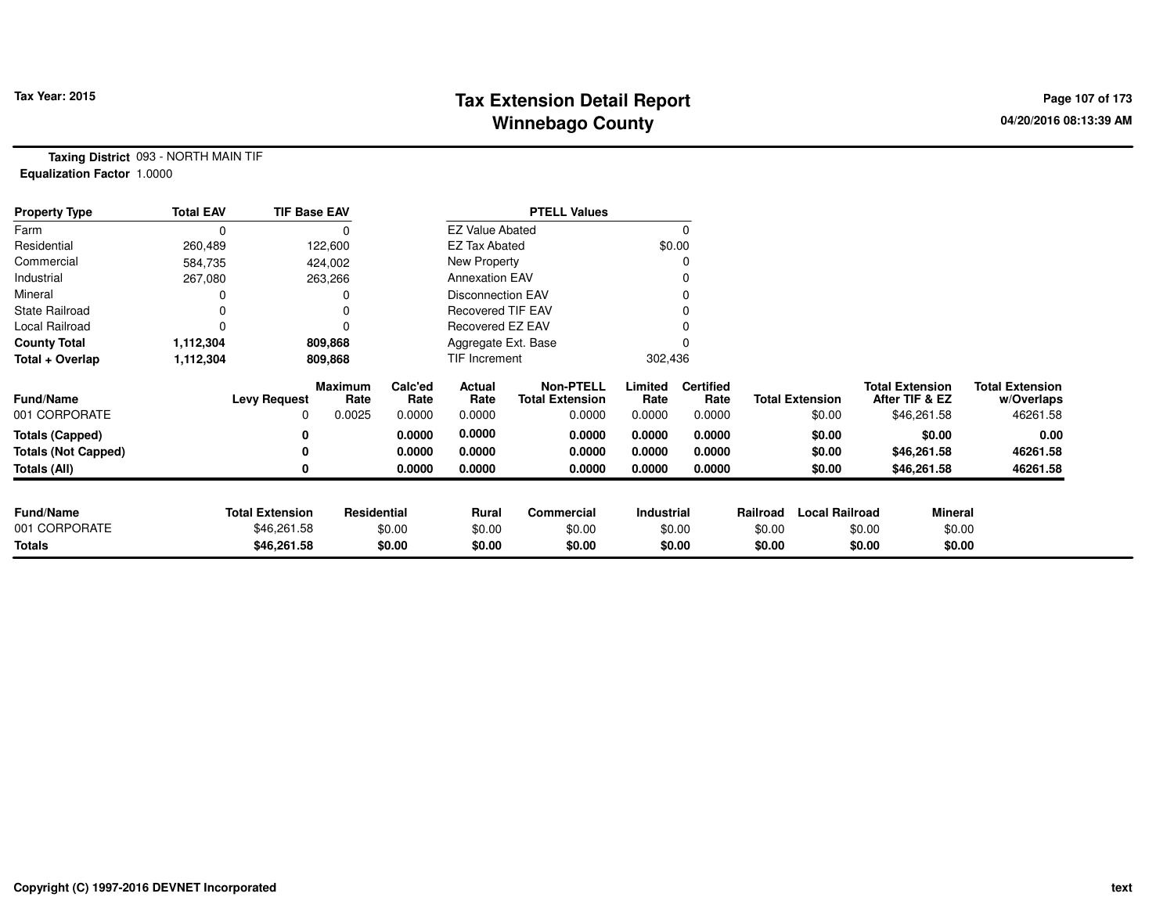## **Tax Extension Detail Report Tax Year: 2015 Page 107 of 173 Winnebago County**

**Taxing District** 093 - NORTH MAIN TIF**Equalization Factor** 1.0000

| <b>Property Type</b>       | <b>Total EAV</b> | <b>TIF Base EAV</b>    |                        |                 |                          | <b>PTELL Values</b>                        |                 |                          |          |                        |                                          |                |                                      |
|----------------------------|------------------|------------------------|------------------------|-----------------|--------------------------|--------------------------------------------|-----------------|--------------------------|----------|------------------------|------------------------------------------|----------------|--------------------------------------|
| Farm                       | 0                |                        |                        |                 | <b>EZ Value Abated</b>   |                                            |                 |                          |          |                        |                                          |                |                                      |
| Residential                | 260,489          |                        | 122,600                |                 | <b>EZ Tax Abated</b>     |                                            | \$0.00          |                          |          |                        |                                          |                |                                      |
| Commercial                 | 584,735          |                        | 424,002                |                 | New Property             |                                            |                 |                          |          |                        |                                          |                |                                      |
| Industrial                 | 267,080          |                        | 263,266                |                 | <b>Annexation EAV</b>    |                                            |                 |                          |          |                        |                                          |                |                                      |
| Mineral                    |                  |                        |                        |                 | <b>Disconnection EAV</b> |                                            |                 |                          |          |                        |                                          |                |                                      |
| <b>State Railroad</b>      | ი                |                        |                        |                 | <b>Recovered TIF EAV</b> |                                            |                 |                          |          |                        |                                          |                |                                      |
| Local Railroad             | 0                |                        |                        |                 | Recovered EZ EAV         |                                            |                 |                          |          |                        |                                          |                |                                      |
| <b>County Total</b>        | 1,112,304        |                        | 809,868                |                 | Aggregate Ext. Base      |                                            |                 |                          |          |                        |                                          |                |                                      |
| Total + Overlap            | 1,112,304        |                        | 809,868                |                 | TIF Increment            |                                            | 302,436         |                          |          |                        |                                          |                |                                      |
| <b>Fund/Name</b>           |                  | <b>Levy Request</b>    | <b>Maximum</b><br>Rate | Calc'ed<br>Rate | Actual<br>Rate           | <b>Non-PTELL</b><br><b>Total Extension</b> | Limited<br>Rate | <b>Certified</b><br>Rate |          | <b>Total Extension</b> | <b>Total Extension</b><br>After TIF & EZ |                | <b>Total Extension</b><br>w/Overlaps |
| 001 CORPORATE              |                  | 0                      | 0.0025                 | 0.0000          | 0.0000                   | 0.0000                                     | 0.0000          | 0.0000                   |          | \$0.00                 |                                          | \$46,261.58    | 46261.58                             |
| <b>Totals (Capped)</b>     |                  | 0                      |                        | 0.0000          | 0.0000                   | 0.0000                                     | 0.0000          | 0.0000                   |          | \$0.00                 |                                          | \$0.00         | 0.00                                 |
| <b>Totals (Not Capped)</b> |                  | 0                      |                        | 0.0000          | 0.0000                   | 0.0000                                     | 0.0000          | 0.0000                   |          | \$0.00                 |                                          | \$46,261.58    | 46261.58                             |
| Totals (All)               |                  | 0                      |                        | 0.0000          | 0.0000                   | 0.0000                                     | 0.0000          | 0.0000                   |          | \$0.00                 |                                          | \$46,261.58    | 46261.58                             |
|                            |                  |                        |                        |                 |                          |                                            |                 |                          |          |                        |                                          |                |                                      |
| <b>Fund/Name</b>           |                  | <b>Total Extension</b> | <b>Residential</b>     |                 | <b>Rural</b>             | Commercial                                 | Industrial      |                          | Railroad | <b>Local Railroad</b>  |                                          | <b>Mineral</b> |                                      |
| 001 CORPORATE              |                  | \$46,261.58            |                        | \$0.00          | \$0.00                   | \$0.00                                     |                 | \$0.00                   | \$0.00   |                        | \$0.00                                   | \$0.00         |                                      |
| <b>Totals</b>              |                  | \$46,261.58            |                        | \$0.00          | \$0.00                   | \$0.00                                     |                 | \$0.00                   | \$0.00   |                        | \$0.00                                   | \$0.00         |                                      |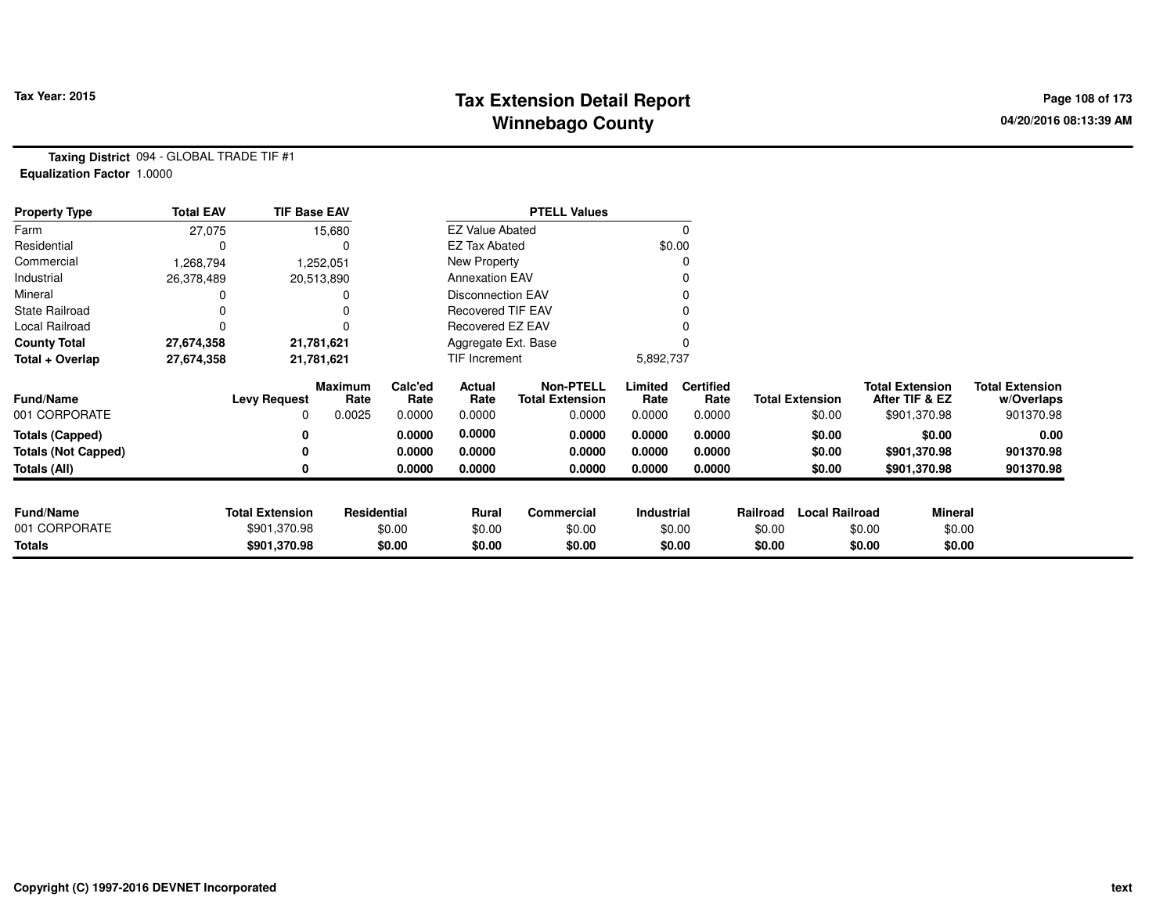## **Tax Extension Detail Report Tax Year: 2015 Page 108 of 173 Winnebago County**

**Taxing District** 094 - GLOBAL TRADE TIF #1**Equalization Factor** 1.0000

| <b>Property Type</b>       | <b>Total EAV</b> | <b>TIF Base EAV</b>    |                    |                 |                          | <b>PTELL Values</b>                        |                 |                          |          |                        |                                          |                |                                      |
|----------------------------|------------------|------------------------|--------------------|-----------------|--------------------------|--------------------------------------------|-----------------|--------------------------|----------|------------------------|------------------------------------------|----------------|--------------------------------------|
| Farm                       | 27,075           |                        | 15,680             |                 | <b>EZ Value Abated</b>   |                                            |                 |                          |          |                        |                                          |                |                                      |
| Residential                |                  |                        |                    |                 | <b>EZ Tax Abated</b>     |                                            |                 | \$0.00                   |          |                        |                                          |                |                                      |
| Commercial                 | 1,268,794        |                        | 1,252,051          |                 | New Property             |                                            |                 |                          |          |                        |                                          |                |                                      |
| Industrial                 | 26,378,489       |                        | 20,513,890         |                 | <b>Annexation EAV</b>    |                                            |                 |                          |          |                        |                                          |                |                                      |
| Mineral                    |                  |                        |                    |                 | <b>Disconnection EAV</b> |                                            |                 |                          |          |                        |                                          |                |                                      |
| <b>State Railroad</b>      |                  |                        |                    |                 | <b>Recovered TIF EAV</b> |                                            |                 |                          |          |                        |                                          |                |                                      |
| Local Railroad             |                  |                        |                    |                 | Recovered EZ EAV         |                                            |                 |                          |          |                        |                                          |                |                                      |
| <b>County Total</b>        | 27,674,358       |                        | 21,781,621         |                 | Aggregate Ext. Base      |                                            |                 |                          |          |                        |                                          |                |                                      |
| Total + Overlap            | 27,674,358       |                        | 21,781,621         |                 | TIF Increment            |                                            |                 | 5,892,737                |          |                        |                                          |                |                                      |
| <b>Fund/Name</b>           |                  | <b>Levy Request</b>    | Maximum<br>Rate    | Calc'ed<br>Rate | Actual<br>Rate           | <b>Non-PTELL</b><br><b>Total Extension</b> | Limited<br>Rate | <b>Certified</b><br>Rate |          | <b>Total Extension</b> | <b>Total Extension</b><br>After TIF & EZ |                | <b>Total Extension</b><br>w/Overlaps |
| 001 CORPORATE              |                  | 0                      | 0.0025             | 0.0000          | 0.0000                   | 0.0000                                     | 0.0000          | 0.0000                   |          | \$0.00                 | \$901,370.98                             |                | 901370.98                            |
| Totals (Capped)            |                  |                        |                    | 0.0000          | 0.0000                   | 0.0000                                     | 0.0000          | 0.0000                   |          | \$0.00                 |                                          | \$0.00         | 0.00                                 |
| <b>Totals (Not Capped)</b> |                  |                        |                    | 0.0000          | 0.0000                   | 0.0000                                     | 0.0000          | 0.0000                   |          | \$0.00                 | \$901,370.98                             |                | 901370.98                            |
| Totals (All)               |                  |                        |                    | 0.0000          | 0.0000                   | 0.0000                                     | 0.0000          | 0.0000                   |          | \$0.00                 | \$901,370.98                             |                | 901370.98                            |
|                            |                  |                        |                    |                 |                          |                                            |                 |                          |          |                        |                                          |                |                                      |
| <b>Fund/Name</b>           |                  | <b>Total Extension</b> | <b>Residential</b> |                 | Rural                    | <b>Commercial</b>                          | Industrial      |                          | Railroad | <b>Local Railroad</b>  |                                          | <b>Mineral</b> |                                      |
| 001 CORPORATE              |                  | \$901,370.98           |                    | \$0.00          | \$0.00                   | \$0.00                                     |                 | \$0.00                   | \$0.00   |                        | \$0.00                                   | \$0.00         |                                      |
| Totals                     |                  | \$901,370.98           |                    | \$0.00          | \$0.00                   | \$0.00                                     |                 | \$0.00                   | \$0.00   |                        | \$0.00                                   | \$0.00         |                                      |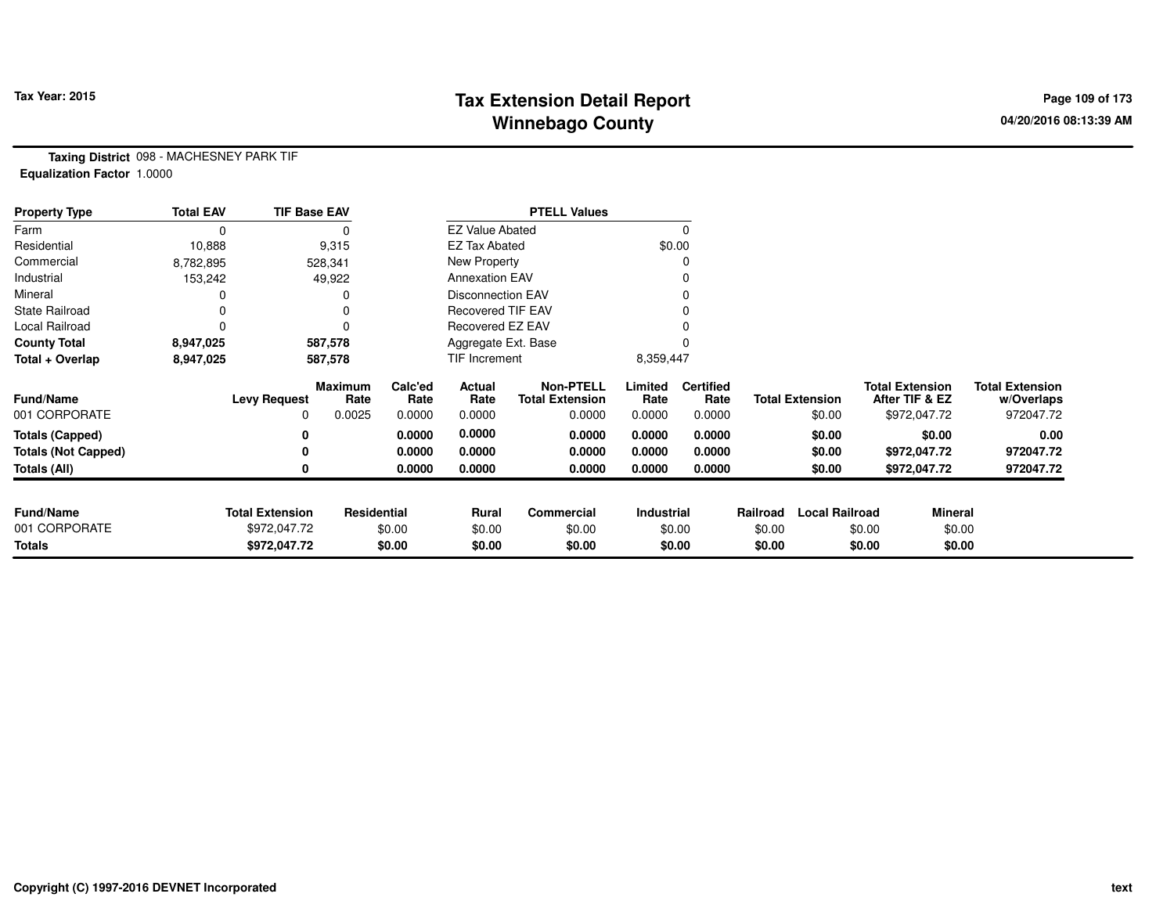# **Tax Extension Detail Report Tax Year: 2015 Page 109 of 173 Winnebago County**

**Taxing District** 098 - MACHESNEY PARK TIF**Equalization Factor** 1.0000

| <b>Property Type</b>       | <b>Total EAV</b> | <b>TIF Base EAV</b>    |                        |                 |                          | <b>PTELL Values</b>                        |                 |                          |          |                        |                                          |              |                                      |
|----------------------------|------------------|------------------------|------------------------|-----------------|--------------------------|--------------------------------------------|-----------------|--------------------------|----------|------------------------|------------------------------------------|--------------|--------------------------------------|
| Farm                       | 0                |                        |                        |                 | <b>EZ Value Abated</b>   |                                            |                 | 0                        |          |                        |                                          |              |                                      |
| Residential                | 10,888           |                        | 9,315                  |                 | <b>EZ Tax Abated</b>     |                                            |                 | \$0.00                   |          |                        |                                          |              |                                      |
| Commercial                 | 8,782,895        |                        | 528,341                |                 | New Property             |                                            |                 | 0                        |          |                        |                                          |              |                                      |
| Industrial                 | 153,242          |                        | 49,922                 |                 | <b>Annexation EAV</b>    |                                            |                 |                          |          |                        |                                          |              |                                      |
| Mineral                    |                  |                        | 0                      |                 | Disconnection EAV        |                                            |                 | 0                        |          |                        |                                          |              |                                      |
| <b>State Railroad</b>      |                  |                        | 0                      |                 | <b>Recovered TIF EAV</b> |                                            |                 |                          |          |                        |                                          |              |                                      |
| Local Railroad             |                  |                        | 0                      |                 | Recovered EZ EAV         |                                            |                 |                          |          |                        |                                          |              |                                      |
| <b>County Total</b>        | 8,947,025        |                        | 587,578                |                 | Aggregate Ext. Base      |                                            |                 |                          |          |                        |                                          |              |                                      |
| Total + Overlap            | 8,947,025        |                        | 587,578                |                 | TIF Increment            |                                            | 8,359,447       |                          |          |                        |                                          |              |                                      |
| <b>Fund/Name</b>           |                  | <b>Levy Request</b>    | <b>Maximum</b><br>Rate | Calc'ed<br>Rate | Actual<br>Rate           | <b>Non-PTELL</b><br><b>Total Extension</b> | Limited<br>Rate | <b>Certified</b><br>Rate |          | <b>Total Extension</b> | <b>Total Extension</b><br>After TIF & EZ |              | <b>Total Extension</b><br>w/Overlaps |
| 001 CORPORATE              |                  | 0                      | 0.0025                 | 0.0000          | 0.0000                   | 0.0000                                     | 0.0000          | 0.0000                   |          | \$0.00                 |                                          | \$972,047.72 | 972047.72                            |
| <b>Totals (Capped)</b>     |                  | 0                      |                        | 0.0000          | 0.0000                   | 0.0000                                     | 0.0000          | 0.0000                   |          | \$0.00                 |                                          | \$0.00       | 0.00                                 |
| <b>Totals (Not Capped)</b> |                  | 0                      |                        | 0.0000          | 0.0000                   | 0.0000                                     | 0.0000          | 0.0000                   |          | \$0.00                 |                                          | \$972,047.72 | 972047.72                            |
| <b>Totals (All)</b>        |                  | 0                      |                        | 0.0000          | 0.0000                   | 0.0000                                     | 0.0000          | 0.0000                   |          | \$0.00                 |                                          | \$972,047.72 | 972047.72                            |
| <b>Fund/Name</b>           |                  | <b>Total Extension</b> | Residential            |                 | Rural                    | Commercial                                 | Industrial      |                          | Railroad | <b>Local Railroad</b>  |                                          | Mineral      |                                      |
| 001 CORPORATE              |                  | \$972,047.72           |                        | \$0.00          | \$0.00                   | \$0.00                                     |                 | \$0.00                   | \$0.00   |                        | \$0.00                                   | \$0.00       |                                      |
| <b>Totals</b>              |                  | \$972,047.72           |                        | \$0.00          | \$0.00                   | \$0.00                                     |                 | \$0.00                   | \$0.00   |                        | \$0.00                                   | \$0.00       |                                      |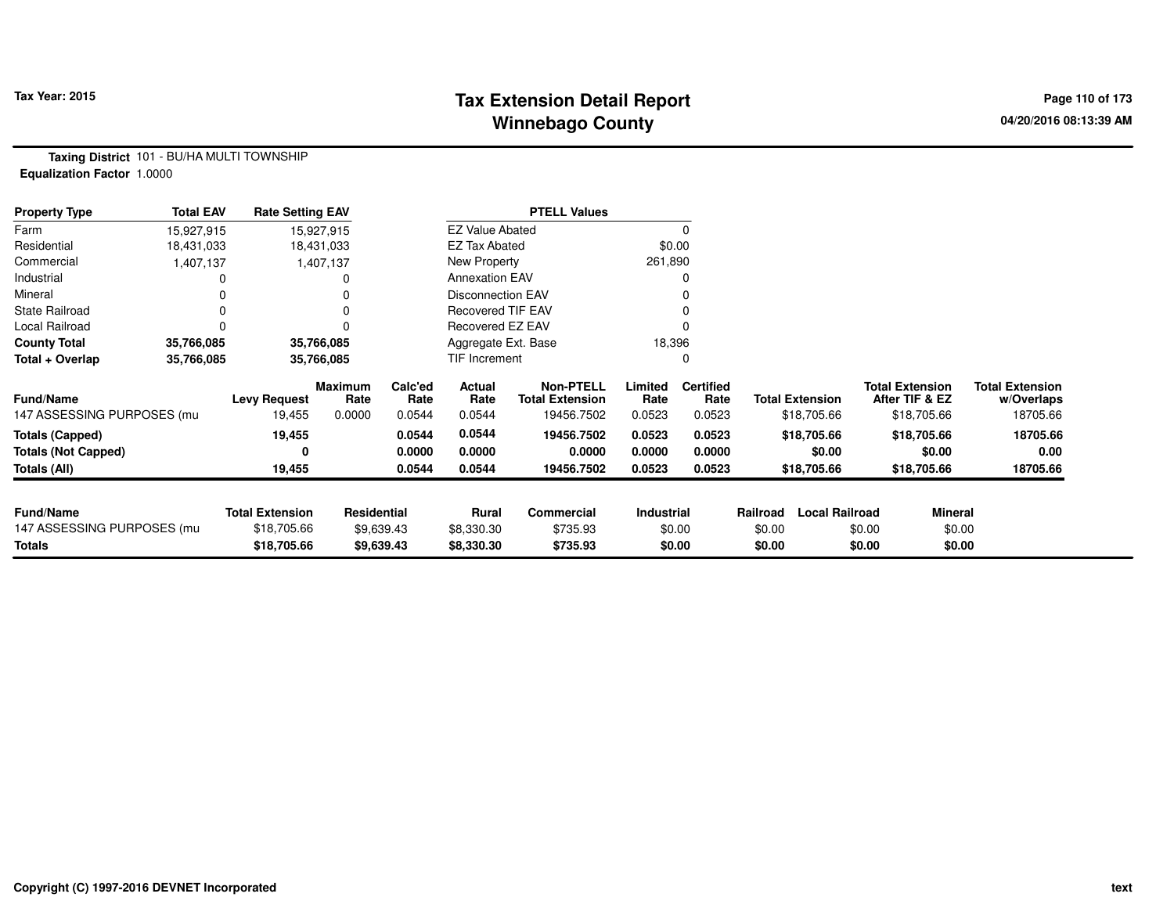# **Tax Extension Detail Report Tax Year: 2015 Page 110 of 173 Winnebago County**

**Taxing District** 101 - BU/HA MULTI TOWNSHIP**Equalization Factor** 1.0000

| <b>Property Type</b>       | <b>Total EAV</b> | <b>Rate Setting EAV</b> |                        |                 |                          | <b>PTELL Values</b>                        |                 |                          |                        |                       |                                          |                                      |
|----------------------------|------------------|-------------------------|------------------------|-----------------|--------------------------|--------------------------------------------|-----------------|--------------------------|------------------------|-----------------------|------------------------------------------|--------------------------------------|
| Farm                       | 15,927,915       |                         | 15,927,915             |                 | <b>EZ Value Abated</b>   |                                            |                 |                          |                        |                       |                                          |                                      |
| Residential                | 18,431,033       |                         | 18,431,033             |                 | <b>EZ Tax Abated</b>     |                                            | \$0.00          |                          |                        |                       |                                          |                                      |
| Commercial                 | 1,407,137        |                         | 1,407,137              |                 | New Property             |                                            | 261,890         |                          |                        |                       |                                          |                                      |
| Industrial                 |                  |                         |                        |                 | <b>Annexation EAV</b>    |                                            |                 |                          |                        |                       |                                          |                                      |
| Mineral                    |                  |                         |                        |                 | <b>Disconnection EAV</b> |                                            |                 |                          |                        |                       |                                          |                                      |
| <b>State Railroad</b>      |                  |                         |                        |                 | Recovered TIF EAV        |                                            |                 |                          |                        |                       |                                          |                                      |
| Local Railroad             |                  |                         |                        |                 | Recovered EZ EAV         |                                            |                 |                          |                        |                       |                                          |                                      |
| <b>County Total</b>        | 35,766,085       |                         | 35,766,085             |                 | Aggregate Ext. Base      |                                            | 18,396          |                          |                        |                       |                                          |                                      |
| Total + Overlap            | 35,766,085       |                         | 35,766,085             |                 | TIF Increment            |                                            |                 |                          |                        |                       |                                          |                                      |
| <b>Fund/Name</b>           |                  | <b>Levy Request</b>     | <b>Maximum</b><br>Rate | Calc'ed<br>Rate | Actual<br>Rate           | <b>Non-PTELL</b><br><b>Total Extension</b> | Limited<br>Rate | <b>Certified</b><br>Rate | <b>Total Extension</b> |                       | <b>Total Extension</b><br>After TIF & EZ | <b>Total Extension</b><br>w/Overlaps |
| 147 ASSESSING PURPOSES (mu |                  | 19,455                  | 0.0000                 | 0.0544          | 0.0544                   | 19456.7502                                 | 0.0523          | 0.0523                   |                        | \$18,705.66           | \$18,705.66                              | 18705.66                             |
| <b>Totals (Capped)</b>     |                  | 19,455                  |                        | 0.0544          | 0.0544                   | 19456.7502                                 | 0.0523          | 0.0523                   |                        | \$18,705.66           | \$18,705.66                              | 18705.66                             |
| <b>Totals (Not Capped)</b> |                  | 0                       |                        | 0.0000          | 0.0000                   | 0.0000                                     | 0.0000          | 0.0000                   |                        | \$0.00                | \$0.00                                   | 0.00                                 |
| Totals (All)               |                  | 19,455                  |                        | 0.0544          | 0.0544                   | 19456.7502                                 | 0.0523          | 0.0523                   |                        | \$18,705.66           | \$18,705.66                              | 18705.66                             |
|                            |                  |                         |                        |                 |                          |                                            |                 |                          |                        |                       |                                          |                                      |
| <b>Fund/Name</b>           |                  | <b>Total Extension</b>  | Residential            |                 | <b>Rural</b>             | Commercial                                 | Industrial      |                          | Railroad               | <b>Local Railroad</b> | <b>Mineral</b>                           |                                      |
| 147 ASSESSING PURPOSES (mu |                  | \$18,705.66             |                        | \$9,639.43      | \$8,330.30               | \$735.93                                   |                 | \$0.00                   | \$0.00                 | \$0.00                | \$0.00                                   |                                      |
| Totals                     |                  | \$18,705.66             |                        | \$9,639.43      | \$8,330.30               | \$735.93                                   |                 | \$0.00                   | \$0.00                 | \$0.00                | \$0.00                                   |                                      |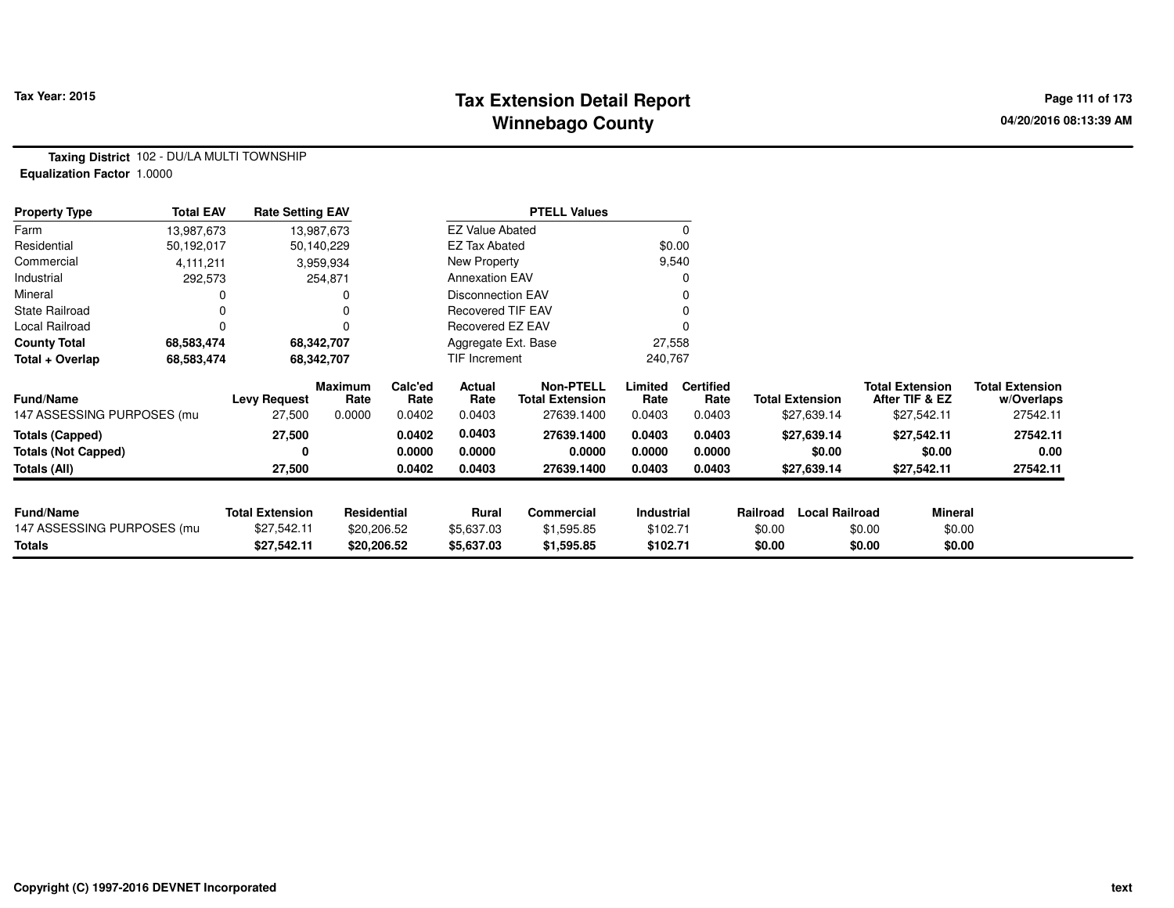# **Tax Extension Detail Report Tax Year: 2015 Page 111 of 173 Winnebago County**

**Taxing District** 102 - DU/LA MULTI TOWNSHIP**Equalization Factor** 1.0000

| <b>Property Type</b>       | <b>Total EAV</b> | <b>Rate Setting EAV</b> |                        |                 |                          | <b>PTELL Values</b>                        |                 |                          |          |                        |                                          |                |                                      |
|----------------------------|------------------|-------------------------|------------------------|-----------------|--------------------------|--------------------------------------------|-----------------|--------------------------|----------|------------------------|------------------------------------------|----------------|--------------------------------------|
| Farm                       | 13,987,673       |                         | 13,987,673             |                 | <b>EZ Value Abated</b>   |                                            |                 | 0                        |          |                        |                                          |                |                                      |
| Residential                | 50,192,017       |                         | 50,140,229             |                 | <b>EZ Tax Abated</b>     |                                            |                 | \$0.00                   |          |                        |                                          |                |                                      |
| Commercial                 | 4, 111, 211      |                         | 3,959,934              |                 | New Property             |                                            |                 | 9,540                    |          |                        |                                          |                |                                      |
| Industrial                 | 292,573          |                         | 254,871                |                 | <b>Annexation EAV</b>    |                                            |                 | 0                        |          |                        |                                          |                |                                      |
| Mineral                    |                  |                         |                        |                 | Disconnection EAV        |                                            |                 | 0                        |          |                        |                                          |                |                                      |
| <b>State Railroad</b>      |                  |                         |                        |                 | <b>Recovered TIF EAV</b> |                                            |                 |                          |          |                        |                                          |                |                                      |
| Local Railroad             |                  |                         |                        |                 | Recovered EZ EAV         |                                            |                 |                          |          |                        |                                          |                |                                      |
| <b>County Total</b>        | 68,583,474       |                         | 68,342,707             |                 | Aggregate Ext. Base      |                                            | 27,558          |                          |          |                        |                                          |                |                                      |
| Total + Overlap            | 68,583,474       |                         | 68,342,707             |                 | TIF Increment            |                                            | 240,767         |                          |          |                        |                                          |                |                                      |
| Fund/Name                  |                  | <b>Levy Request</b>     | <b>Maximum</b><br>Rate | Calc'ed<br>Rate | Actual<br>Rate           | <b>Non-PTELL</b><br><b>Total Extension</b> | Limited<br>Rate | <b>Certified</b><br>Rate |          | <b>Total Extension</b> | <b>Total Extension</b><br>After TIF & EZ |                | <b>Total Extension</b><br>w/Overlaps |
| 147 ASSESSING PURPOSES (mu |                  | 27,500                  | 0.0000                 | 0.0402          | 0.0403                   | 27639.1400                                 | 0.0403          | 0.0403                   |          | \$27,639.14            | \$27,542.11                              |                | 27542.11                             |
| <b>Totals (Capped)</b>     |                  | 27,500                  |                        | 0.0402          | 0.0403                   | 27639.1400                                 | 0.0403          | 0.0403                   |          | \$27,639.14            | \$27,542.11                              |                | 27542.11                             |
| <b>Totals (Not Capped)</b> |                  | 0                       |                        | 0.0000          | 0.0000                   | 0.0000                                     | 0.0000          | 0.0000                   |          | \$0.00                 | \$0.00                                   |                | 0.00                                 |
| Totals (All)               |                  | 27,500                  |                        | 0.0402          | 0.0403                   | 27639.1400                                 | 0.0403          | 0.0403                   |          | \$27,639.14            | \$27,542.11                              |                | 27542.11                             |
|                            |                  |                         |                        |                 |                          |                                            |                 |                          |          |                        |                                          |                |                                      |
| <b>Fund/Name</b>           |                  | <b>Total Extension</b>  | Residential            |                 | Rural                    | <b>Commercial</b>                          | Industrial      |                          | Railroad | <b>Local Railroad</b>  |                                          | <b>Mineral</b> |                                      |
| 147 ASSESSING PURPOSES (mu |                  | \$27,542.11             | \$20,206.52            |                 | \$5,637.03               | \$1,595.85                                 | \$102.71        |                          | \$0.00   |                        | \$0.00                                   | \$0.00         |                                      |
| Totals                     |                  | \$27,542.11             | \$20,206.52            |                 | \$5,637.03               | \$1,595.85                                 | \$102.71        |                          | \$0.00   |                        | \$0.00                                   | \$0.00         |                                      |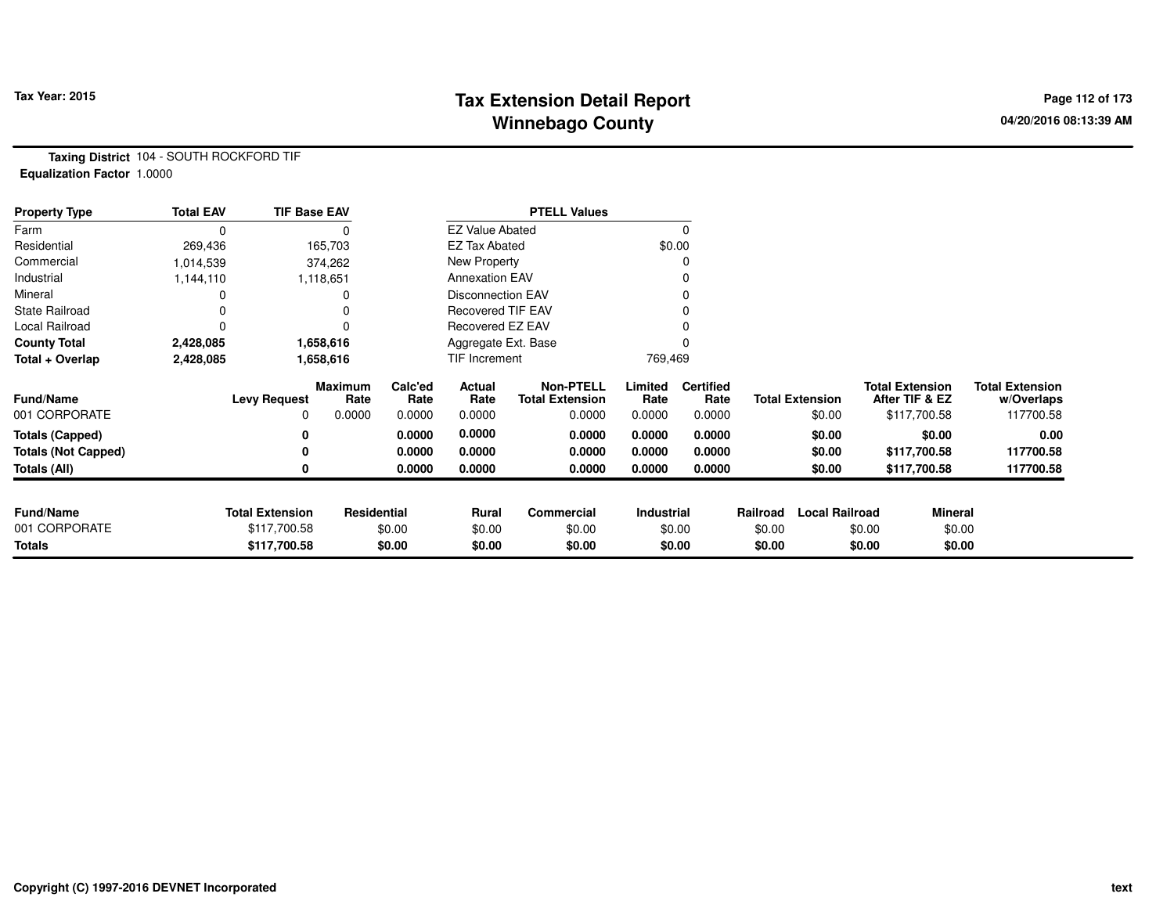# **Tax Extension Detail Report Tax Year: 2015 Page 112 of 173 Winnebago County**

**Taxing District** 104 - SOUTH ROCKFORD TIF**Equalization Factor** 1.0000

| <b>Property Type</b>       | <b>Total EAV</b> | <b>TIF Base EAV</b>    |                        |                 |                          | <b>PTELL Values</b>                        |                 |                          |          |                        |                                          |                |                                      |
|----------------------------|------------------|------------------------|------------------------|-----------------|--------------------------|--------------------------------------------|-----------------|--------------------------|----------|------------------------|------------------------------------------|----------------|--------------------------------------|
| Farm                       | $\Omega$         |                        |                        |                 | <b>EZ Value Abated</b>   |                                            |                 |                          |          |                        |                                          |                |                                      |
| Residential                | 269,436          |                        | 165,703                |                 | <b>EZ Tax Abated</b>     |                                            |                 | \$0.00                   |          |                        |                                          |                |                                      |
| Commercial                 | 1,014,539        |                        | 374,262                |                 | New Property             |                                            |                 |                          |          |                        |                                          |                |                                      |
| Industrial                 | 1,144,110        |                        | 1,118,651              |                 | <b>Annexation EAV</b>    |                                            |                 |                          |          |                        |                                          |                |                                      |
| Mineral                    |                  |                        |                        |                 | <b>Disconnection EAV</b> |                                            |                 |                          |          |                        |                                          |                |                                      |
| <b>State Railroad</b>      |                  |                        |                        |                 | <b>Recovered TIF EAV</b> |                                            |                 |                          |          |                        |                                          |                |                                      |
| Local Railroad             | 0                |                        |                        |                 | Recovered EZ EAV         |                                            |                 |                          |          |                        |                                          |                |                                      |
| <b>County Total</b>        | 2,428,085        |                        | 1,658,616              |                 | Aggregate Ext. Base      |                                            |                 |                          |          |                        |                                          |                |                                      |
| Total + Overlap            | 2,428,085        |                        | 1,658,616              |                 | TIF Increment            |                                            | 769,469         |                          |          |                        |                                          |                |                                      |
| <b>Fund/Name</b>           |                  | <b>Levy Request</b>    | <b>Maximum</b><br>Rate | Calc'ed<br>Rate | Actual<br>Rate           | <b>Non-PTELL</b><br><b>Total Extension</b> | Limited<br>Rate | <b>Certified</b><br>Rate |          | <b>Total Extension</b> | <b>Total Extension</b><br>After TIF & EZ |                | <b>Total Extension</b><br>w/Overlaps |
| 001 CORPORATE              |                  | 0                      | 0.0000                 | 0.0000          | 0.0000                   | 0.0000                                     | 0.0000          | 0.0000                   |          | \$0.00                 | \$117,700.58                             |                | 117700.58                            |
| <b>Totals (Capped)</b>     |                  | 0                      |                        | 0.0000          | 0.0000                   | 0.0000                                     | 0.0000          | 0.0000                   |          | \$0.00                 |                                          | \$0.00         | 0.00                                 |
| <b>Totals (Not Capped)</b> |                  | 0                      |                        | 0.0000          | 0.0000                   | 0.0000                                     | 0.0000          | 0.0000                   |          | \$0.00                 | \$117,700.58                             |                | 117700.58                            |
| <b>Totals (All)</b>        |                  | 0                      |                        | 0.0000          | 0.0000                   | 0.0000                                     | 0.0000          | 0.0000                   |          | \$0.00                 | \$117,700.58                             |                | 117700.58                            |
|                            |                  |                        |                        |                 |                          |                                            |                 |                          |          |                        |                                          |                |                                      |
| <b>Fund/Name</b>           |                  | <b>Total Extension</b> | Residential            |                 | Rural                    | <b>Commercial</b>                          | Industrial      |                          | Railroad | <b>Local Railroad</b>  |                                          | <b>Mineral</b> |                                      |
| 001 CORPORATE              |                  | \$117,700.58           |                        | \$0.00          | \$0.00                   | \$0.00                                     |                 | \$0.00                   | \$0.00   |                        | \$0.00                                   | \$0.00         |                                      |
| Totals                     |                  | \$117,700.58           |                        | \$0.00          | \$0.00                   | \$0.00                                     |                 | \$0.00                   | \$0.00   |                        | \$0.00                                   | \$0.00         |                                      |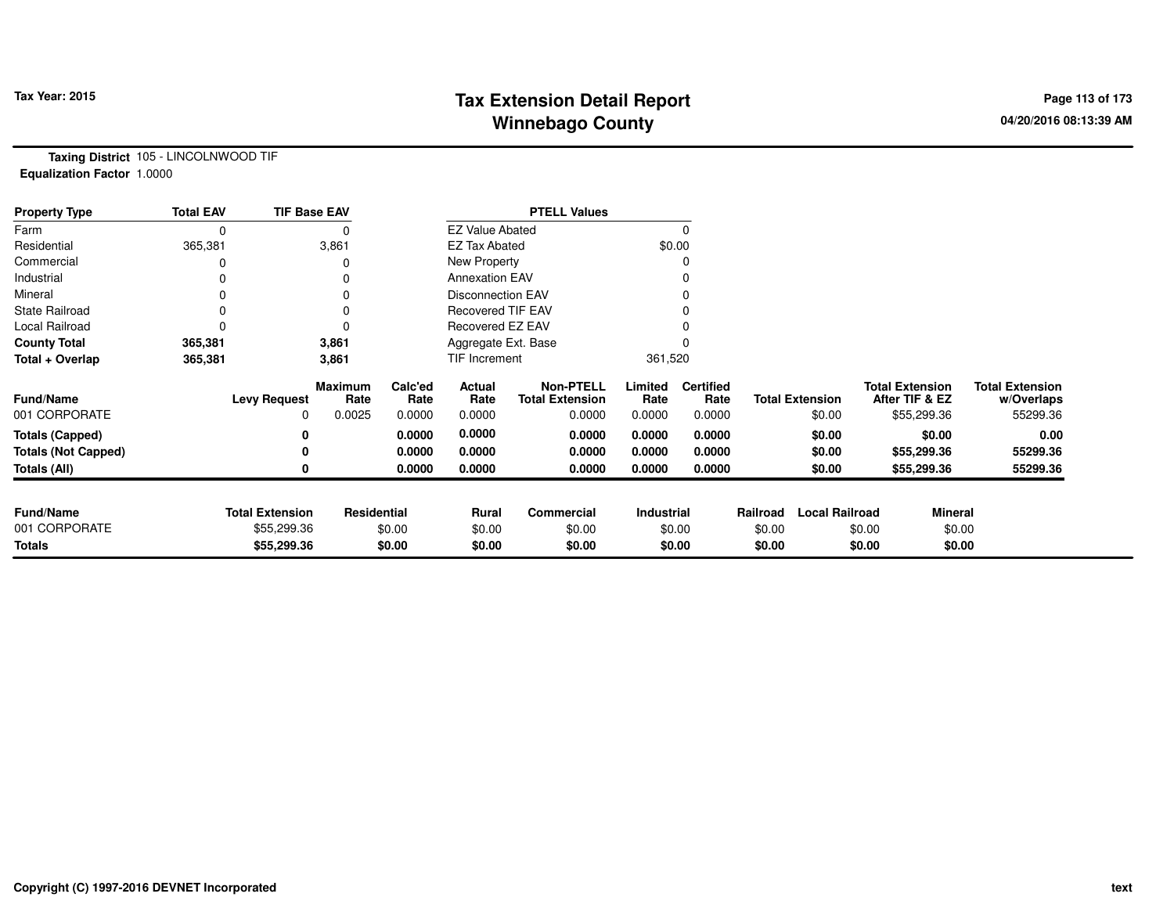# **Tax Extension Detail Report Tax Year: 2015 Page 113 of 173 Winnebago County**

**Taxing District** 105 - LINCOLNWOOD TIF**Equalization Factor** 1.0000

| <b>Property Type</b>       | <b>Total EAV</b> | <b>TIF Base EAV</b>    |                        |                 |                          | <b>PTELL Values</b>                        |                   |                          |          |                        |        |                                          |                                      |
|----------------------------|------------------|------------------------|------------------------|-----------------|--------------------------|--------------------------------------------|-------------------|--------------------------|----------|------------------------|--------|------------------------------------------|--------------------------------------|
| Farm                       | 0                |                        | 0                      |                 | <b>EZ Value Abated</b>   |                                            |                   | $\Omega$                 |          |                        |        |                                          |                                      |
| Residential                | 365,381          |                        | 3,861                  |                 | <b>EZ Tax Abated</b>     |                                            |                   | \$0.00                   |          |                        |        |                                          |                                      |
| Commercial                 |                  |                        | 0                      |                 | New Property             |                                            |                   | 0                        |          |                        |        |                                          |                                      |
| Industrial                 |                  |                        | 0                      |                 | <b>Annexation EAV</b>    |                                            |                   |                          |          |                        |        |                                          |                                      |
| Mineral                    |                  |                        | 0                      |                 | <b>Disconnection EAV</b> |                                            |                   | 0                        |          |                        |        |                                          |                                      |
| <b>State Railroad</b>      |                  |                        | 0                      |                 | <b>Recovered TIF EAV</b> |                                            |                   |                          |          |                        |        |                                          |                                      |
| Local Railroad             |                  |                        | 0                      |                 | Recovered EZ EAV         |                                            |                   |                          |          |                        |        |                                          |                                      |
| <b>County Total</b>        | 365,381          |                        | 3,861                  |                 | Aggregate Ext. Base      |                                            |                   |                          |          |                        |        |                                          |                                      |
| Total + Overlap            | 365,381          |                        | 3,861                  |                 | TIF Increment            |                                            | 361,520           |                          |          |                        |        |                                          |                                      |
| <b>Fund/Name</b>           |                  | <b>Levy Request</b>    | <b>Maximum</b><br>Rate | Calc'ed<br>Rate | Actual<br>Rate           | <b>Non-PTELL</b><br><b>Total Extension</b> | Limited<br>Rate   | <b>Certified</b><br>Rate |          | <b>Total Extension</b> |        | <b>Total Extension</b><br>After TIF & EZ | <b>Total Extension</b><br>w/Overlaps |
| 001 CORPORATE              |                  | 0                      | 0.0025                 | 0.0000          | 0.0000                   | 0.0000                                     | 0.0000            | 0.0000                   |          | \$0.00                 |        | \$55,299.36                              | 55299.36                             |
| <b>Totals (Capped)</b>     |                  | 0                      |                        | 0.0000          | 0.0000                   | 0.0000                                     | 0.0000            | 0.0000                   |          | \$0.00                 |        | \$0.00                                   | 0.00                                 |
| <b>Totals (Not Capped)</b> |                  | 0                      |                        | 0.0000          | 0.0000                   | 0.0000                                     | 0.0000            | 0.0000                   |          | \$0.00                 |        | \$55,299.36                              | 55299.36                             |
| Totals (All)               |                  | 0                      |                        | 0.0000          | 0.0000                   | 0.0000                                     | 0.0000            | 0.0000                   |          | \$0.00                 |        | \$55,299.36                              | 55299.36                             |
| <b>Fund/Name</b>           |                  | <b>Total Extension</b> | Residential            |                 | Rural                    | <b>Commercial</b>                          | <b>Industrial</b> |                          | Railroad | <b>Local Railroad</b>  |        | <b>Mineral</b>                           |                                      |
| 001 CORPORATE              |                  | \$55,299.36            |                        | \$0.00          | \$0.00                   | \$0.00                                     |                   | \$0.00                   | \$0.00   |                        | \$0.00 | \$0.00                                   |                                      |
| Totals                     |                  | \$55,299.36            |                        | \$0.00          | \$0.00                   | \$0.00                                     |                   | \$0.00                   | \$0.00   |                        | \$0.00 | \$0.00                                   |                                      |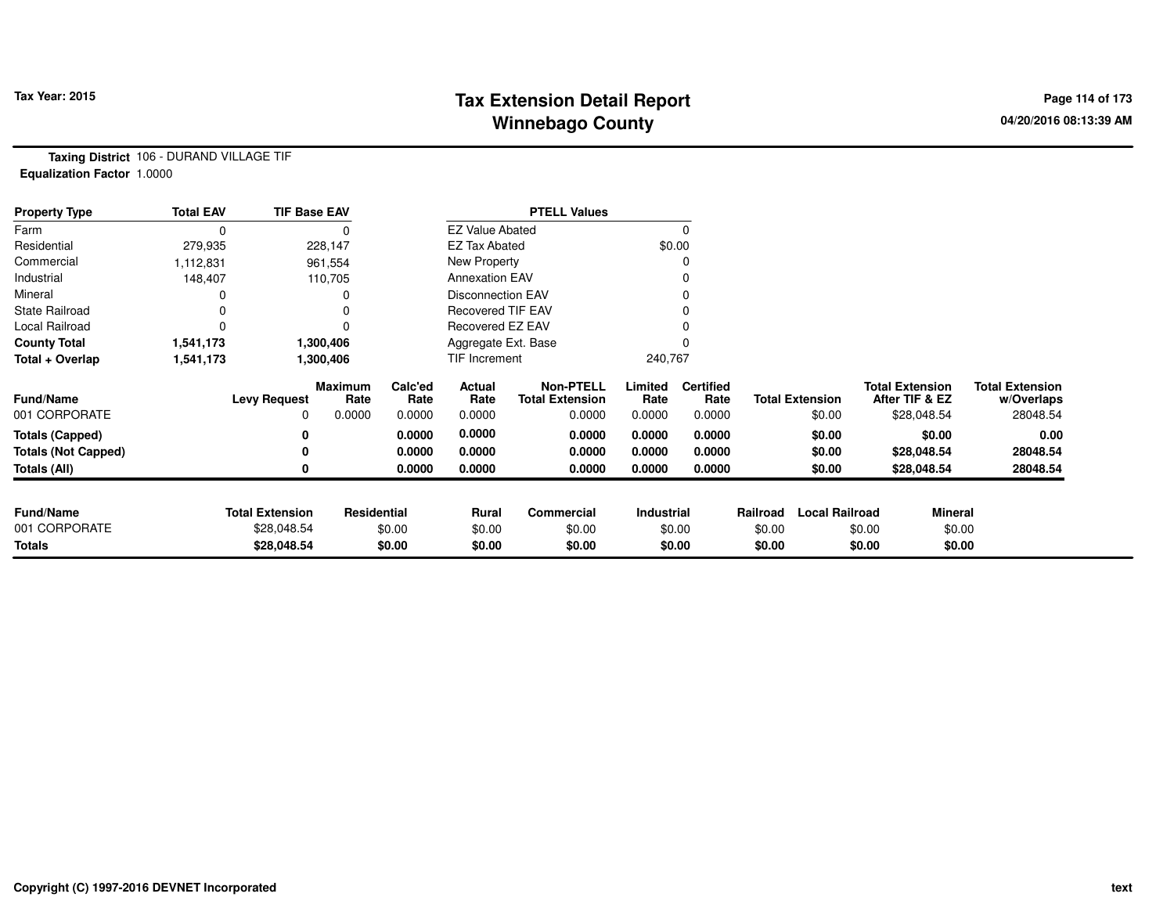# **Tax Extension Detail Report Tax Year: 2015 Page 114 of 173 Winnebago County**

**Taxing District** 106 - DURAND VILLAGE TIF**Equalization Factor** 1.0000

| <b>Property Type</b>       | <b>Total EAV</b> | <b>TIF Base EAV</b>    |                 |                 |                          | <b>PTELL Values</b>                        |                 |                          |          |                        |        |                                          |                                      |
|----------------------------|------------------|------------------------|-----------------|-----------------|--------------------------|--------------------------------------------|-----------------|--------------------------|----------|------------------------|--------|------------------------------------------|--------------------------------------|
| Farm                       |                  |                        |                 |                 | <b>EZ Value Abated</b>   |                                            |                 | $\Omega$                 |          |                        |        |                                          |                                      |
| Residential                | 279,935          |                        | 228,147         |                 | <b>EZ Tax Abated</b>     |                                            |                 | \$0.00                   |          |                        |        |                                          |                                      |
| Commercial                 | 1,112,831        |                        | 961,554         |                 | New Property             |                                            |                 | 0                        |          |                        |        |                                          |                                      |
| Industrial                 | 148,407          |                        | 110,705         |                 | <b>Annexation EAV</b>    |                                            |                 | 0                        |          |                        |        |                                          |                                      |
| Mineral                    |                  |                        |                 |                 | <b>Disconnection EAV</b> |                                            |                 | 0                        |          |                        |        |                                          |                                      |
| <b>State Railroad</b>      |                  |                        |                 |                 | <b>Recovered TIF EAV</b> |                                            |                 |                          |          |                        |        |                                          |                                      |
| Local Railroad             |                  |                        |                 |                 | Recovered EZ EAV         |                                            |                 |                          |          |                        |        |                                          |                                      |
| <b>County Total</b>        | 1,541,173        |                        | 1,300,406       |                 | Aggregate Ext. Base      |                                            |                 | $\Omega$                 |          |                        |        |                                          |                                      |
| Total + Overlap            | 1,541,173        |                        | 1,300,406       |                 | TIF Increment            |                                            | 240,767         |                          |          |                        |        |                                          |                                      |
| <b>Fund/Name</b>           |                  | <b>Levy Request</b>    | Maximum<br>Rate | Calc'ed<br>Rate | Actual<br>Rate           | <b>Non-PTELL</b><br><b>Total Extension</b> | Limited<br>Rate | <b>Certified</b><br>Rate |          | <b>Total Extension</b> |        | <b>Total Extension</b><br>After TIF & EZ | <b>Total Extension</b><br>w/Overlaps |
| 001 CORPORATE              |                  | 0                      | 0.0000          | 0.0000          | 0.0000                   | 0.0000                                     | 0.0000          | 0.0000                   |          | \$0.00                 |        | \$28,048.54                              | 28048.54                             |
| <b>Totals (Capped)</b>     |                  |                        |                 | 0.0000          | 0.0000                   | 0.0000                                     | 0.0000          | 0.0000                   |          | \$0.00                 |        | \$0.00                                   | 0.00                                 |
| <b>Totals (Not Capped)</b> |                  |                        |                 | 0.0000          | 0.0000                   | 0.0000                                     | 0.0000          | 0.0000                   |          | \$0.00                 |        | \$28,048.54                              | 28048.54                             |
| <b>Totals (All)</b>        |                  |                        |                 | 0.0000          | 0.0000                   | 0.0000                                     | 0.0000          | 0.0000                   |          | \$0.00                 |        | \$28,048.54                              | 28048.54                             |
| <b>Fund/Name</b>           |                  | <b>Total Extension</b> | Residential     |                 | Rural                    | Commercial                                 | Industrial      |                          | Railroad | <b>Local Railroad</b>  |        | <b>Mineral</b>                           |                                      |
| 001 CORPORATE              |                  | \$28,048.54            |                 | \$0.00          | \$0.00                   | \$0.00                                     |                 | \$0.00                   | \$0.00   |                        | \$0.00 | \$0.00                                   |                                      |
| <b>Totals</b>              |                  | \$28,048.54            |                 | \$0.00          | \$0.00                   | \$0.00                                     |                 | \$0.00                   | \$0.00   |                        | \$0.00 | \$0.00                                   |                                      |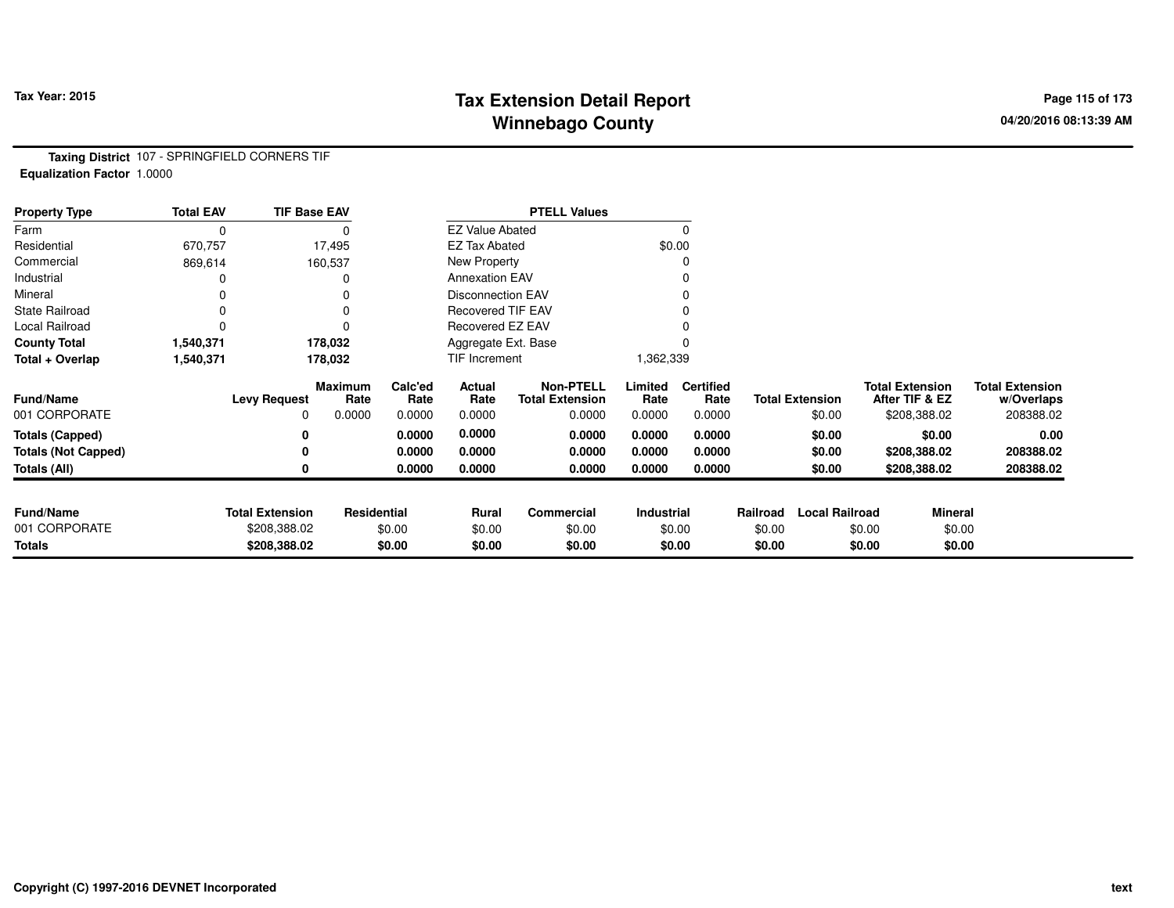# **Tax Fax Extension Detail Report Constant Constant Constant Page 115 of 173 Winnebago County**

**Taxing District** 107 - SPRINGFIELD CORNERS TIF**Equalization Factor** 1.0000

| <b>Property Type</b>       | <b>Total EAV</b> | <b>TIF Base EAV</b>    |                    |                 |                          | <b>PTELL Values</b>                        |                 |                          |          |                        |                                          |                                      |
|----------------------------|------------------|------------------------|--------------------|-----------------|--------------------------|--------------------------------------------|-----------------|--------------------------|----------|------------------------|------------------------------------------|--------------------------------------|
| Farm                       | 0                |                        | 0                  |                 | <b>EZ Value Abated</b>   |                                            |                 |                          |          |                        |                                          |                                      |
| Residential                | 670,757          |                        | 17,495             |                 | <b>EZ Tax Abated</b>     |                                            |                 | \$0.00                   |          |                        |                                          |                                      |
| Commercial                 | 869,614          |                        | 160,537            |                 | New Property             |                                            |                 |                          |          |                        |                                          |                                      |
| Industrial                 |                  |                        |                    |                 | <b>Annexation EAV</b>    |                                            |                 |                          |          |                        |                                          |                                      |
| Mineral                    |                  |                        |                    |                 | <b>Disconnection EAV</b> |                                            |                 |                          |          |                        |                                          |                                      |
| <b>State Railroad</b>      | $\Omega$         |                        | 0                  |                 | <b>Recovered TIF EAV</b> |                                            |                 |                          |          |                        |                                          |                                      |
| Local Railroad             |                  |                        |                    |                 | Recovered EZ EAV         |                                            |                 |                          |          |                        |                                          |                                      |
| <b>County Total</b>        | 1,540,371        |                        | 178,032            |                 | Aggregate Ext. Base      |                                            |                 |                          |          |                        |                                          |                                      |
| Total + Overlap            | 1,540,371        |                        | 178,032            |                 | TIF Increment            |                                            | 1,362,339       |                          |          |                        |                                          |                                      |
| <b>Fund/Name</b>           |                  | <b>Levy Request</b>    | Maximum<br>Rate    | Calc'ed<br>Rate | Actual<br>Rate           | <b>Non-PTELL</b><br><b>Total Extension</b> | Limited<br>Rate | <b>Certified</b><br>Rate |          | <b>Total Extension</b> | <b>Total Extension</b><br>After TIF & EZ | <b>Total Extension</b><br>w/Overlaps |
| 001 CORPORATE              |                  | 0                      | 0.0000             | 0.0000          | 0.0000                   | 0.0000                                     | 0.0000          | 0.0000                   |          | \$0.00                 | \$208,388.02                             | 208388.02                            |
| <b>Totals (Capped)</b>     |                  | 0                      |                    | 0.0000          | 0.0000                   | 0.0000                                     | 0.0000          | 0.0000                   |          | \$0.00                 | \$0.00                                   | 0.00                                 |
| <b>Totals (Not Capped)</b> |                  |                        |                    | 0.0000          | 0.0000                   | 0.0000                                     | 0.0000          | 0.0000                   |          | \$0.00                 | \$208,388.02                             | 208388.02                            |
| Totals (All)               |                  | 0                      |                    | 0.0000          | 0.0000                   | 0.0000                                     | 0.0000          | 0.0000                   |          | \$0.00                 | \$208,388.02                             | 208388.02                            |
|                            |                  |                        |                    |                 |                          |                                            |                 |                          |          |                        |                                          |                                      |
| <b>Fund/Name</b>           |                  | <b>Total Extension</b> | <b>Residential</b> |                 | <b>Rural</b>             | Commercial                                 | Industrial      |                          | Railroad | <b>Local Railroad</b>  |                                          | <b>Mineral</b>                       |
| 001 CORPORATE              |                  | \$208,388.02           |                    | \$0.00          | \$0.00                   | \$0.00                                     |                 | \$0.00                   | \$0.00   |                        | \$0.00                                   | \$0.00                               |
| <b>Totals</b>              |                  | \$208,388.02           |                    | \$0.00          | \$0.00                   | \$0.00                                     |                 | \$0.00                   | \$0.00   |                        | \$0.00                                   | \$0.00                               |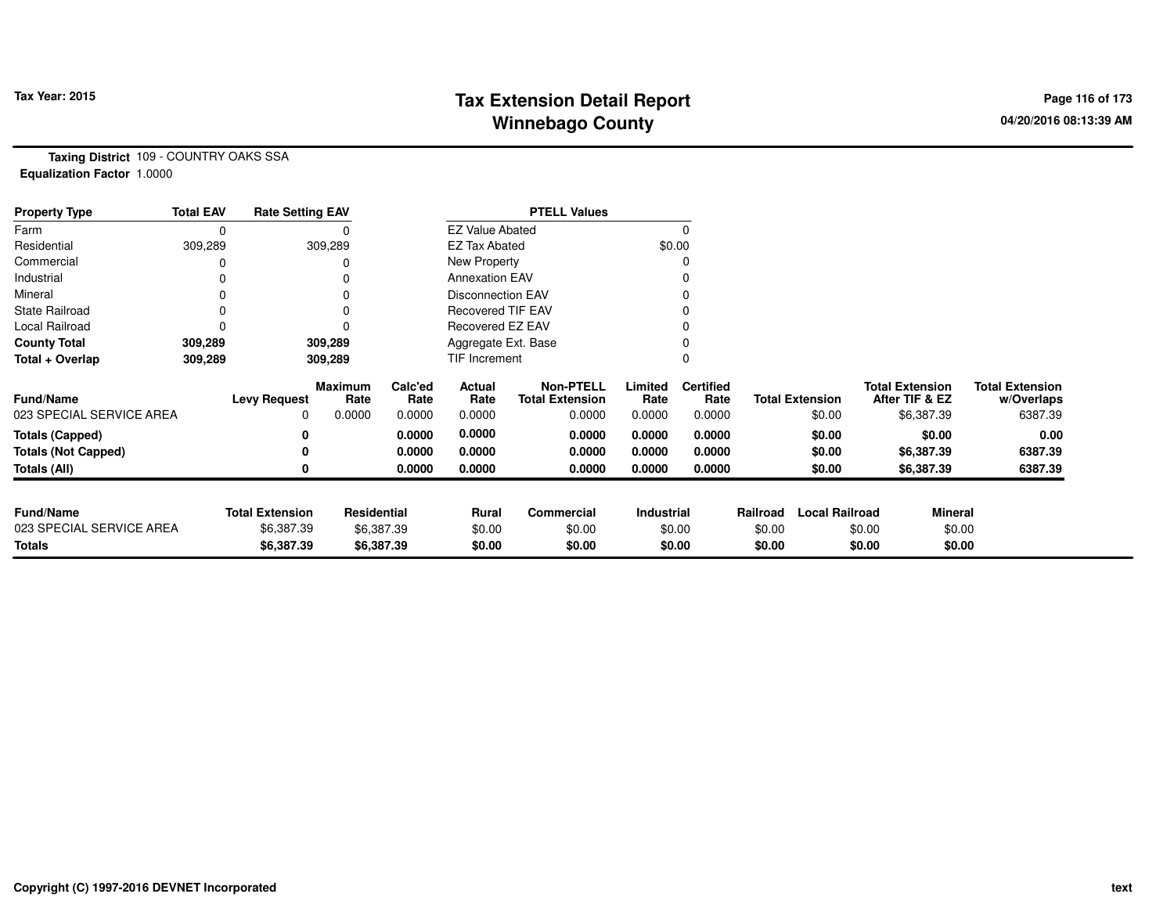# **Tax Extension Detail Report Tax Year: 2015 Page 116 of 173 Winnebago County**

**Taxing District** 109 - COUNTRY OAKS SSA**Equalization Factor** 1.0000

| <b>Property Type</b>       | <b>Total EAV</b> | <b>Rate Setting EAV</b> |                 |                 |                          | <b>PTELL Values</b>                        |                 |                          |          |                        |                                          |                                      |
|----------------------------|------------------|-------------------------|-----------------|-----------------|--------------------------|--------------------------------------------|-----------------|--------------------------|----------|------------------------|------------------------------------------|--------------------------------------|
| Farm                       |                  |                         |                 |                 | <b>EZ Value Abated</b>   |                                            |                 | 0                        |          |                        |                                          |                                      |
| Residential                | 309,289          |                         | 309,289         |                 | <b>EZ Tax Abated</b>     |                                            | \$0.00          |                          |          |                        |                                          |                                      |
| Commercial                 |                  |                         |                 |                 | New Property             |                                            |                 | 0                        |          |                        |                                          |                                      |
| Industrial                 |                  |                         |                 |                 | <b>Annexation EAV</b>    |                                            |                 |                          |          |                        |                                          |                                      |
| Mineral                    |                  |                         |                 |                 | <b>Disconnection EAV</b> |                                            |                 | 0                        |          |                        |                                          |                                      |
| <b>State Railroad</b>      |                  |                         |                 |                 | <b>Recovered TIF EAV</b> |                                            |                 |                          |          |                        |                                          |                                      |
| Local Railroad             |                  |                         |                 |                 | Recovered EZ EAV         |                                            |                 |                          |          |                        |                                          |                                      |
| <b>County Total</b>        | 309,289          |                         | 309,289         |                 | Aggregate Ext. Base      |                                            |                 | $\Omega$                 |          |                        |                                          |                                      |
| Total + Overlap            | 309,289          |                         | 309,289         |                 | TIF Increment            |                                            |                 | 0                        |          |                        |                                          |                                      |
| <b>Fund/Name</b>           |                  | <b>Levy Request</b>     | Maximum<br>Rate | Calc'ed<br>Rate | Actual<br>Rate           | <b>Non-PTELL</b><br><b>Total Extension</b> | Limited<br>Rate | <b>Certified</b><br>Rate |          | <b>Total Extension</b> | <b>Total Extension</b><br>After TIF & EZ | <b>Total Extension</b><br>w/Overlaps |
| 023 SPECIAL SERVICE AREA   |                  |                         | 0.0000          | 0.0000          | 0.0000                   | 0.0000                                     | 0.0000          | 0.0000                   |          | \$0.00                 | \$6,387.39                               | 6387.39                              |
| <b>Totals (Capped)</b>     |                  |                         |                 | 0.0000          | 0.0000                   | 0.0000                                     | 0.0000          | 0.0000                   |          | \$0.00                 | \$0.00                                   | 0.00                                 |
| <b>Totals (Not Capped)</b> |                  |                         |                 | 0.0000          | 0.0000                   | 0.0000                                     | 0.0000          | 0.0000                   |          | \$0.00                 | \$6,387.39                               | 6387.39                              |
| Totals (All)               |                  |                         |                 | 0.0000          | 0.0000                   | 0.0000                                     | 0.0000          | 0.0000                   |          | \$0.00                 | \$6,387.39                               | 6387.39                              |
|                            |                  |                         |                 |                 |                          |                                            |                 |                          |          |                        |                                          |                                      |
| <b>Fund/Name</b>           |                  | <b>Total Extension</b>  | Residential     |                 | Rural                    | <b>Commercial</b>                          | Industrial      |                          | Railroad | <b>Local Railroad</b>  |                                          | <b>Mineral</b>                       |
| 023 SPECIAL SERVICE AREA   |                  | \$6,387.39              |                 | \$6,387.39      | \$0.00                   | \$0.00                                     |                 | \$0.00                   | \$0.00   |                        | \$0.00                                   | \$0.00                               |
| <b>Totals</b>              |                  | \$6,387.39              |                 | \$6,387.39      | \$0.00                   | \$0.00                                     |                 | \$0.00                   | \$0.00   |                        | \$0.00                                   | \$0.00                               |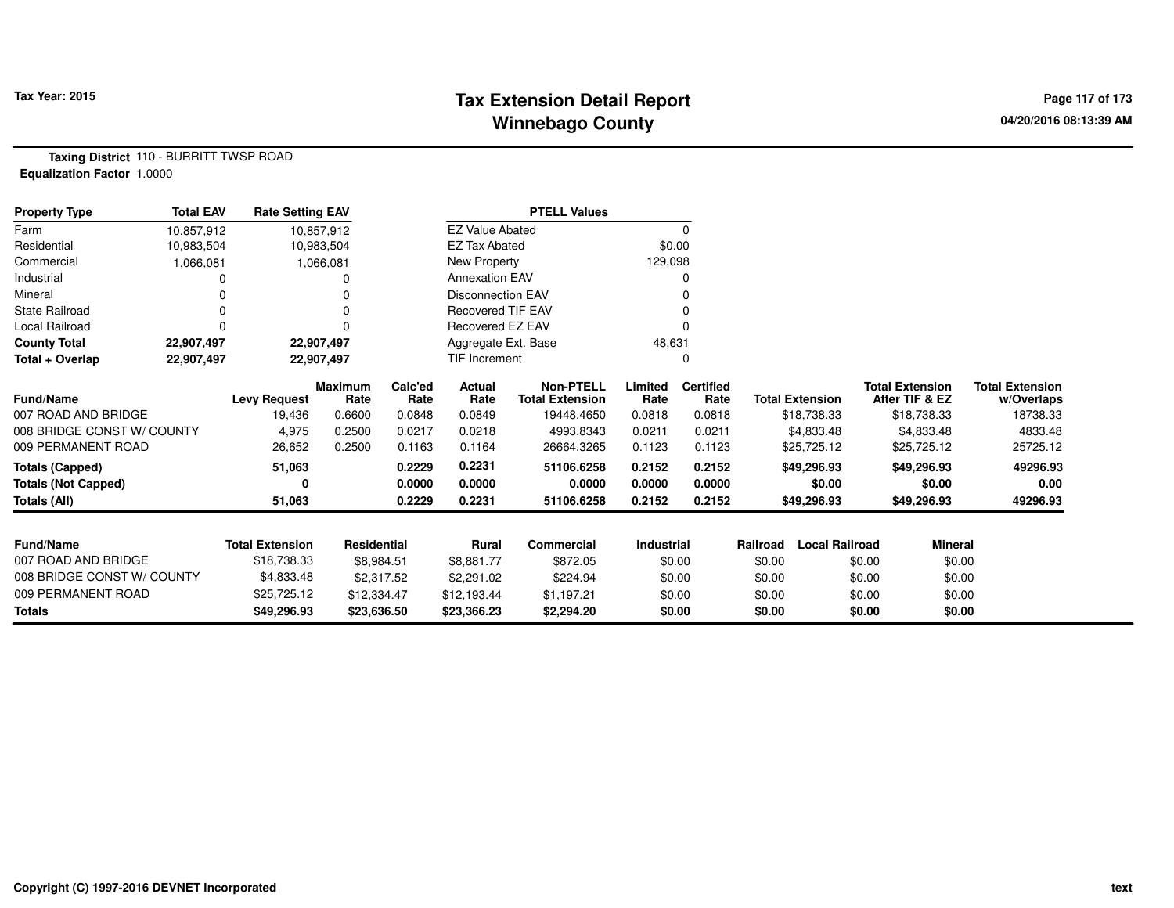# **Tax Extension Detail Report Tax Year: 2015 Page 117 of 173 Winnebago County**

**Taxing District** 110 - BURRITT TWSP ROAD**Equalization Factor** 1.0000

| <b>Property Type</b>       | <b>Total EAV</b> | <b>Rate Setting EAV</b> |                        |                 |                          | <b>PTELL Values</b>                        |                   |                          |                                   |                                          |                                      |
|----------------------------|------------------|-------------------------|------------------------|-----------------|--------------------------|--------------------------------------------|-------------------|--------------------------|-----------------------------------|------------------------------------------|--------------------------------------|
| Farm                       | 10,857,912       |                         | 10,857,912             |                 | <b>EZ Value Abated</b>   |                                            |                   | 0                        |                                   |                                          |                                      |
| Residential                | 10,983,504       |                         | 10,983,504             |                 | <b>EZ Tax Abated</b>     |                                            | \$0.00            |                          |                                   |                                          |                                      |
| Commercial                 | 1,066,081        |                         | 1,066,081              |                 | New Property             |                                            | 129,098           |                          |                                   |                                          |                                      |
| Industrial                 |                  |                         |                        |                 | <b>Annexation EAV</b>    |                                            |                   | o                        |                                   |                                          |                                      |
| Mineral                    |                  |                         |                        |                 | <b>Disconnection EAV</b> |                                            |                   |                          |                                   |                                          |                                      |
| <b>State Railroad</b>      |                  |                         |                        |                 | <b>Recovered TIF EAV</b> |                                            |                   |                          |                                   |                                          |                                      |
| Local Railroad             | $\Omega$         |                         | 0                      |                 | Recovered EZ EAV         |                                            |                   |                          |                                   |                                          |                                      |
| <b>County Total</b>        | 22,907,497       |                         | 22,907,497             |                 | Aggregate Ext. Base      |                                            | 48,631            |                          |                                   |                                          |                                      |
| Total + Overlap            | 22,907,497       |                         | 22,907,497             |                 | <b>TIF Increment</b>     |                                            |                   | 0                        |                                   |                                          |                                      |
| Fund/Name                  |                  | <b>Levy Request</b>     | <b>Maximum</b><br>Rate | Calc'ed<br>Rate | <b>Actual</b><br>Rate    | <b>Non-PTELL</b><br><b>Total Extension</b> | Limited<br>Rate   | <b>Certified</b><br>Rate | <b>Total Extension</b>            | <b>Total Extension</b><br>After TIF & EZ | <b>Total Extension</b><br>w/Overlaps |
| 007 ROAD AND BRIDGE        |                  | 19,436                  | 0.6600                 | 0.0848          | 0.0849                   | 19448.4650                                 | 0.0818            | 0.0818                   | \$18,738.33                       | \$18,738.33                              | 18738.33                             |
| 008 BRIDGE CONST W/ COUNTY |                  | 4,975                   | 0.2500                 | 0.0217          | 0.0218                   | 4993.8343                                  | 0.0211            | 0.0211                   | \$4,833.48                        | \$4,833.48                               | 4833.48                              |
| 009 PERMANENT ROAD         |                  | 26,652                  | 0.2500                 | 0.1163          | 0.1164                   | 26664.3265                                 | 0.1123            | 0.1123                   | \$25,725.12                       | \$25,725.12                              | 25725.12                             |
| <b>Totals (Capped)</b>     |                  | 51,063                  |                        | 0.2229          | 0.2231                   | 51106.6258                                 | 0.2152            | 0.2152                   | \$49,296.93                       | \$49,296.93                              | 49296.93                             |
| <b>Totals (Not Capped)</b> |                  | 0                       |                        | 0.0000          | 0.0000                   | 0.0000                                     | 0.0000            | 0.0000                   | \$0.00                            | \$0.00                                   | 0.00                                 |
| <b>Totals (All)</b>        |                  | 51,063                  |                        | 0.2229          | 0.2231                   | 51106.6258                                 | 0.2152            | 0.2152                   | \$49,296.93                       | \$49,296.93                              | 49296.93                             |
|                            |                  |                         |                        |                 |                          |                                            |                   |                          |                                   |                                          |                                      |
| <b>Fund/Name</b>           |                  | <b>Total Extension</b>  | Residential            |                 | Rural                    | <b>Commercial</b>                          | <b>Industrial</b> |                          | <b>Local Railroad</b><br>Railroad | <b>Mineral</b>                           |                                      |
| 007 ROAD AND BRIDGE        |                  | \$18,738.33             | \$8,984.51             |                 | \$8,881.77               | \$872.05                                   |                   | \$0.00                   | \$0.00                            | \$0.00                                   | \$0.00                               |
| 008 BRIDGE CONST W/ COUNTY |                  | \$4,833.48              | \$2,317.52             |                 | \$2,291.02               | \$224.94                                   |                   | \$0.00                   | \$0.00                            | \$0.00                                   | \$0.00                               |
| 009 PERMANENT ROAD         |                  | \$25,725.12             | \$12,334.47            |                 | \$12,193.44              | \$1,197.21                                 |                   | \$0.00                   | \$0.00                            | \$0.00                                   | \$0.00                               |
| <b>Totals</b>              |                  | \$49,296.93             | \$23,636.50            |                 | \$23,366.23              | \$2,294.20                                 |                   | \$0.00                   | \$0.00                            | \$0.00                                   | \$0.00                               |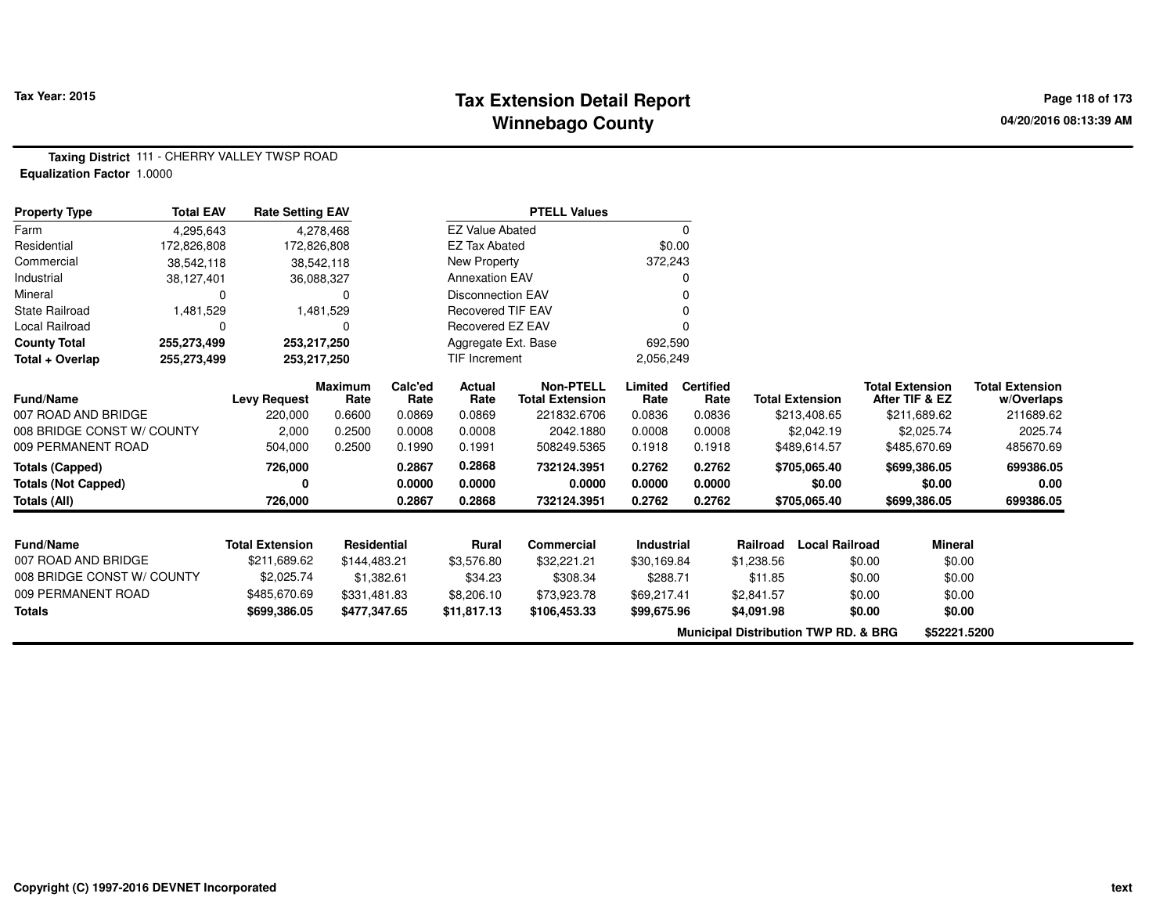#### **Tax Extension Detail Report Tax Year: 2015 Page 118 of 173 Winnebago County**

**Taxing District** 111 - CHERRY VALLEY TWSP ROAD**Equalization Factor** 1.0000

| <b>Property Type</b>       | <b>Total EAV</b> | <b>Rate Setting EAV</b> |                        |                 |                          | <b>PTELL Values</b>                        |                 |                          |                                                 |                        |        |                                          |                                      |
|----------------------------|------------------|-------------------------|------------------------|-----------------|--------------------------|--------------------------------------------|-----------------|--------------------------|-------------------------------------------------|------------------------|--------|------------------------------------------|--------------------------------------|
| Farm                       | 4,295,643        |                         | 4,278,468              |                 | <b>EZ Value Abated</b>   |                                            |                 | $\Omega$                 |                                                 |                        |        |                                          |                                      |
| Residential                | 172,826,808      | 172,826,808             |                        |                 | <b>EZ Tax Abated</b>     |                                            | \$0.00          |                          |                                                 |                        |        |                                          |                                      |
| Commercial                 | 38,542,118       |                         | 38,542,118             |                 | New Property             |                                            | 372,243         |                          |                                                 |                        |        |                                          |                                      |
| Industrial                 | 38,127,401       |                         | 36,088,327             |                 | <b>Annexation EAV</b>    |                                            |                 |                          |                                                 |                        |        |                                          |                                      |
| Mineral                    | $\Omega$         |                         | $\Omega$               |                 | <b>Disconnection EAV</b> |                                            |                 |                          |                                                 |                        |        |                                          |                                      |
| <b>State Railroad</b>      | 1,481,529        |                         | 1,481,529              |                 | <b>Recovered TIF EAV</b> |                                            |                 |                          |                                                 |                        |        |                                          |                                      |
| Local Railroad             | 0                |                         | $\Omega$               |                 | Recovered EZ EAV         |                                            |                 |                          |                                                 |                        |        |                                          |                                      |
| <b>County Total</b>        | 255,273,499      | 253,217,250             |                        |                 | Aggregate Ext. Base      |                                            | 692,590         |                          |                                                 |                        |        |                                          |                                      |
| Total + Overlap            | 255,273,499      | 253,217,250             |                        |                 | TIF Increment            |                                            | 2,056,249       |                          |                                                 |                        |        |                                          |                                      |
| <b>Fund/Name</b>           |                  | <b>Levy Request</b>     | <b>Maximum</b><br>Rate | Calc'ed<br>Rate | Actual<br>Rate           | <b>Non-PTELL</b><br><b>Total Extension</b> | Limited<br>Rate | <b>Certified</b><br>Rate |                                                 | <b>Total Extension</b> |        | <b>Total Extension</b><br>After TIF & EZ | <b>Total Extension</b><br>w/Overlaps |
| 007 ROAD AND BRIDGE        |                  | 220,000                 | 0.6600                 | 0.0869          | 0.0869                   | 221832.6706                                | 0.0836          | 0.0836                   |                                                 | \$213,408.65           |        | \$211,689.62                             | 211689.62                            |
| 008 BRIDGE CONST W/ COUNTY |                  | 2,000                   | 0.2500                 | 0.0008          | 0.0008                   | 2042.1880                                  | 0.0008          | 0.0008                   |                                                 | \$2,042.19             |        | \$2,025.74                               | 2025.74                              |
| 009 PERMANENT ROAD         |                  | 504,000                 | 0.2500                 | 0.1990          | 0.1991                   | 508249.5365                                | 0.1918          | 0.1918                   |                                                 | \$489,614.57           |        | \$485,670.69                             | 485670.69                            |
| <b>Totals (Capped)</b>     |                  | 726,000                 |                        | 0.2867          | 0.2868                   | 732124.3951                                | 0.2762          | 0.2762                   |                                                 | \$705,065.40           |        | \$699,386.05                             | 699386.05                            |
| <b>Totals (Not Capped)</b> |                  |                         |                        | 0.0000          | 0.0000                   | 0.0000                                     | 0.0000          | 0.0000                   |                                                 | \$0.00                 |        | \$0.00                                   | 0.00                                 |
| Totals (All)               |                  | 726,000                 |                        | 0.2867          | 0.2868                   | 732124.3951                                | 0.2762          | 0.2762                   |                                                 | \$705,065.40           |        | \$699,386.05                             | 699386.05                            |
|                            |                  |                         |                        |                 |                          |                                            |                 |                          |                                                 |                        |        |                                          |                                      |
| <b>Fund/Name</b>           |                  | <b>Total Extension</b>  | <b>Residential</b>     |                 | <b>Rural</b>             | Commercial                                 | Industrial      |                          | Railroad                                        | <b>Local Railroad</b>  |        | <b>Mineral</b>                           |                                      |
| 007 ROAD AND BRIDGE        |                  | \$211,689.62            | \$144,483.21           |                 | \$3,576.80               | \$32,221.21                                | \$30,169.84     |                          | \$1,238.56                                      |                        | \$0.00 | \$0.00                                   |                                      |
| 008 BRIDGE CONST W/ COUNTY |                  | \$2,025.74              | \$1,382.61             |                 | \$34.23                  | \$308.34                                   | \$288.71        |                          | \$11.85                                         |                        | \$0.00 | \$0.00                                   |                                      |
| 009 PERMANENT ROAD         |                  | \$485,670.69            | \$331,481.83           |                 | \$8,206.10               | \$73,923.78                                | \$69,217.41     |                          | \$2,841.57                                      |                        | \$0.00 | \$0.00                                   |                                      |
| <b>Totals</b>              |                  | \$699,386.05            | \$477,347.65           |                 | \$11,817.13              | \$106,453.33                               | \$99,675.96     |                          | \$4,091.98                                      |                        | \$0.00 | \$0.00                                   |                                      |
|                            |                  |                         |                        |                 |                          |                                            |                 |                          | <b>Municipal Distribution TWP RD. &amp; BRG</b> |                        |        | \$52221.5200                             |                                      |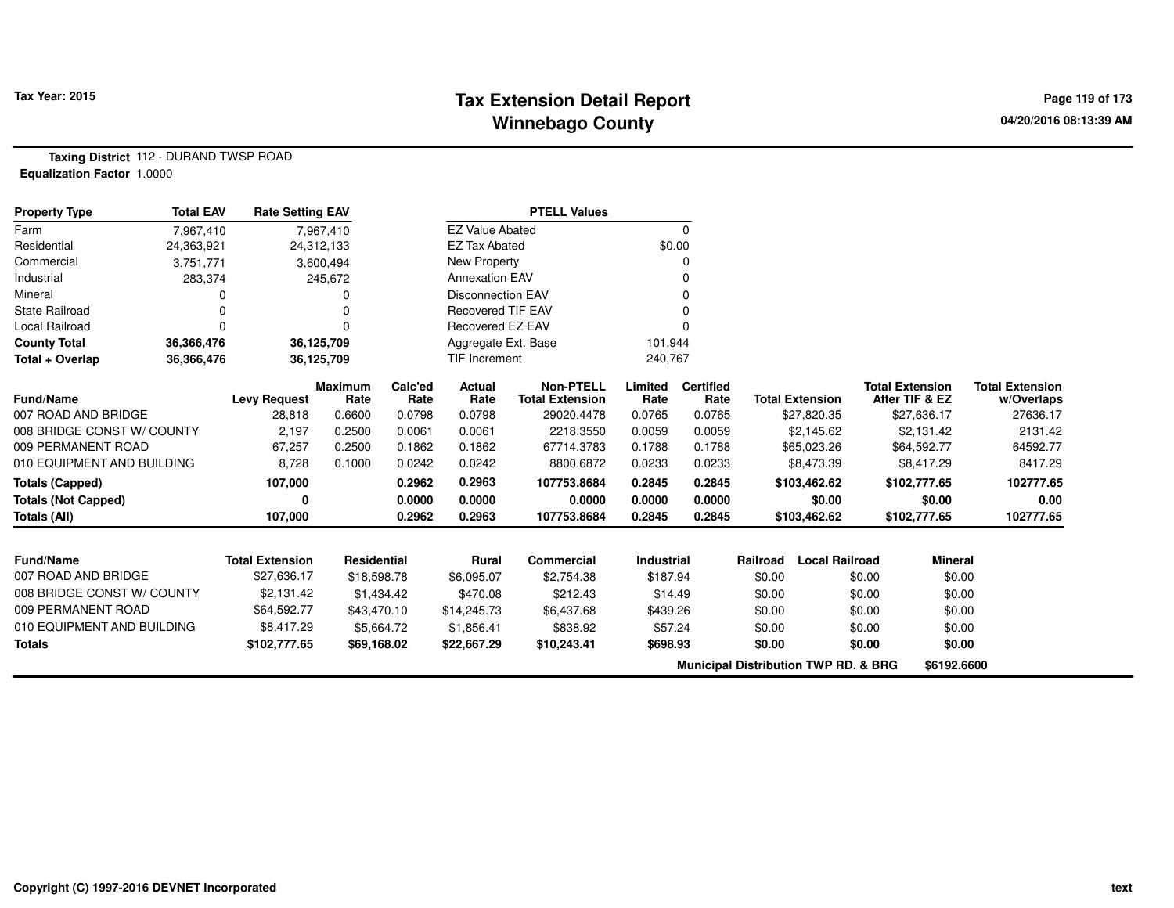## **Tax Extension Detail Report Tax Year: 2015 Page 119 of 173 Winnebago County**

**Taxing District** 112 - DURAND TWSP ROAD**Equalization Factor** 1.0000

| <b>Property Type</b>       | <b>Total EAV</b> | <b>Rate Setting EAV</b> |                        |                 |                          | <b>PTELL Values</b>                        |                   |                          |          |                                                 |                                          |                                      |
|----------------------------|------------------|-------------------------|------------------------|-----------------|--------------------------|--------------------------------------------|-------------------|--------------------------|----------|-------------------------------------------------|------------------------------------------|--------------------------------------|
| Farm                       | 7,967,410        |                         | 7,967,410              |                 | <b>EZ Value Abated</b>   |                                            |                   | 0                        |          |                                                 |                                          |                                      |
| Residential                | 24,363,921       |                         | 24,312,133             |                 | <b>EZ Tax Abated</b>     |                                            |                   | \$0.00                   |          |                                                 |                                          |                                      |
| Commercial                 | 3,751,771        |                         | 3,600,494              |                 | New Property             |                                            |                   | 0                        |          |                                                 |                                          |                                      |
| Industrial                 | 283,374          |                         | 245,672                |                 | <b>Annexation EAV</b>    |                                            |                   | 0                        |          |                                                 |                                          |                                      |
| Mineral                    | ი                |                         |                        |                 | <b>Disconnection EAV</b> |                                            |                   | 0                        |          |                                                 |                                          |                                      |
| <b>State Railroad</b>      | $\Omega$         |                         |                        |                 | <b>Recovered TIF EAV</b> |                                            |                   | 0                        |          |                                                 |                                          |                                      |
| <b>Local Railroad</b>      | $\Omega$         |                         | $\Omega$               |                 | Recovered EZ EAV         |                                            |                   | $\Omega$                 |          |                                                 |                                          |                                      |
| <b>County Total</b>        | 36,366,476       |                         | 36,125,709             |                 | Aggregate Ext. Base      |                                            | 101,944           |                          |          |                                                 |                                          |                                      |
| Total + Overlap            | 36,366,476       |                         | 36,125,709             |                 | <b>TIF Increment</b>     |                                            | 240,767           |                          |          |                                                 |                                          |                                      |
| <b>Fund/Name</b>           |                  | <b>Levy Request</b>     | <b>Maximum</b><br>Rate | Calc'ed<br>Rate | Actual<br>Rate           | <b>Non-PTELL</b><br><b>Total Extension</b> | Limited<br>Rate   | <b>Certified</b><br>Rate |          | <b>Total Extension</b>                          | <b>Total Extension</b><br>After TIF & EZ | <b>Total Extension</b><br>w/Overlaps |
| 007 ROAD AND BRIDGE        |                  | 28,818                  | 0.6600                 | 0.0798          | 0.0798                   | 29020.4478                                 | 0.0765            | 0.0765                   |          | \$27,820.35                                     | \$27,636.17                              | 27636.17                             |
| 008 BRIDGE CONST W/ COUNTY |                  | 2,197                   | 0.2500                 | 0.0061          | 0.0061                   | 2218.3550                                  | 0.0059            | 0.0059                   |          | \$2,145.62                                      | \$2,131.42                               | 2131.42                              |
| 009 PERMANENT ROAD         |                  | 67,257                  | 0.2500                 | 0.1862          | 0.1862                   | 67714.3783                                 | 0.1788            | 0.1788                   |          | \$65,023.26                                     | \$64,592.77                              | 64592.77                             |
| 010 EQUIPMENT AND BUILDING |                  | 8,728                   | 0.1000                 | 0.0242          | 0.0242                   | 8800.6872                                  | 0.0233            | 0.0233                   |          | \$8,473.39                                      | \$8,417.29                               | 8417.29                              |
| <b>Totals (Capped)</b>     |                  | 107,000                 |                        | 0.2962          | 0.2963                   | 107753.8684                                | 0.2845            | 0.2845                   |          | \$103,462.62                                    | \$102,777.65                             | 102777.65                            |
| <b>Totals (Not Capped)</b> |                  | 0                       |                        | 0.0000          | 0.0000                   | 0.0000                                     | 0.0000            | 0.0000                   |          | \$0.00                                          | \$0.00                                   | 0.00                                 |
| Totals (All)               |                  | 107,000                 |                        | 0.2962          | 0.2963                   | 107753.8684                                | 0.2845            | 0.2845                   |          | \$103,462.62                                    | \$102,777.65                             | 102777.65                            |
|                            |                  |                         |                        |                 |                          |                                            |                   |                          |          |                                                 |                                          |                                      |
| Fund/Name                  |                  | <b>Total Extension</b>  | Residential            |                 | <b>Rural</b>             | Commercial                                 | <b>Industrial</b> |                          | Railroad | <b>Local Railroad</b>                           | <b>Mineral</b>                           |                                      |
| 007 ROAD AND BRIDGE        |                  | \$27,636.17             | \$18,598.78            |                 | \$6,095.07               | \$2,754.38                                 | \$187.94          |                          | \$0.00   | \$0.00                                          | \$0.00                                   |                                      |
| 008 BRIDGE CONST W/ COUNTY |                  | \$2,131.42              |                        | \$1,434.42      | \$470.08                 | \$212.43                                   | \$14.49           |                          | \$0.00   | \$0.00                                          | \$0.00                                   |                                      |
| 009 PERMANENT ROAD         |                  | \$64,592.77             | \$43,470.10            |                 | \$14,245.73              | \$6,437.68                                 | \$439.26          |                          | \$0.00   | \$0.00                                          | \$0.00                                   |                                      |
| 010 EQUIPMENT AND BUILDING |                  | \$8,417.29              |                        | \$5,664.72      | \$1,856.41               | \$838.92                                   | \$57.24           |                          | \$0.00   | \$0.00                                          | \$0.00                                   |                                      |
| <b>Totals</b>              |                  | \$102,777.65            | \$69,168.02            |                 | \$22,667.29              | \$10,243.41                                | \$698.93          |                          | \$0.00   | \$0.00                                          | \$0.00                                   |                                      |
|                            |                  |                         |                        |                 |                          |                                            |                   |                          |          | <b>Municipal Distribution TWP RD. &amp; BRG</b> | \$6192.6600                              |                                      |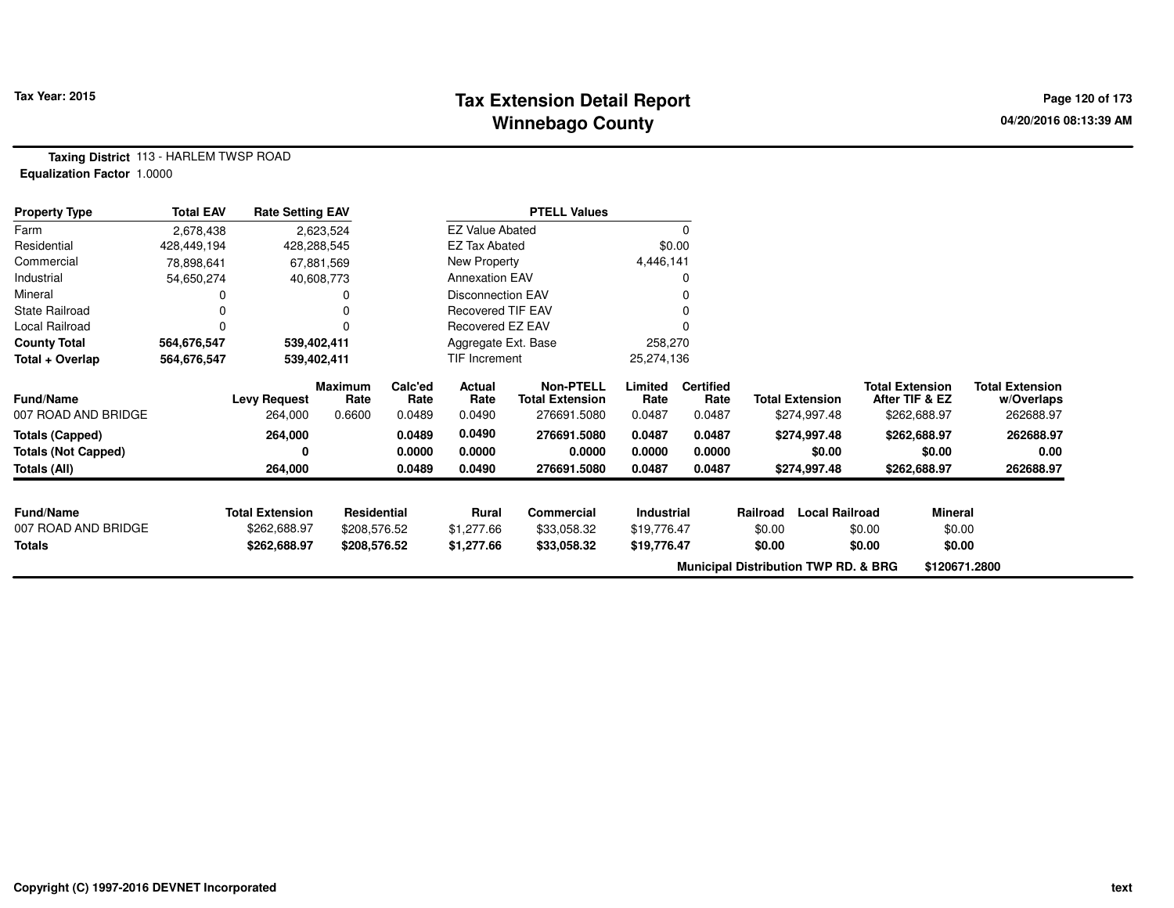# **Tax Extension Detail Report Tax Year: 2015 Page 120 of 173 Winnebago County**

**Taxing District** 113 - HARLEM TWSP ROAD**Equalization Factor** 1.0000

| <b>Property Type</b>       | <b>Total EAV</b> | <b>Rate Setting EAV</b> |                 |                 |                          | <b>PTELL Values</b>                        |                 |                          |                                                 |                        |                                          |                |                                      |
|----------------------------|------------------|-------------------------|-----------------|-----------------|--------------------------|--------------------------------------------|-----------------|--------------------------|-------------------------------------------------|------------------------|------------------------------------------|----------------|--------------------------------------|
| Farm                       | 2,678,438        |                         | 2,623,524       |                 | <b>EZ Value Abated</b>   |                                            |                 |                          |                                                 |                        |                                          |                |                                      |
| Residential                | 428,449,194      |                         | 428,288,545     |                 | EZ Tax Abated            |                                            |                 | \$0.00                   |                                                 |                        |                                          |                |                                      |
| Commercial                 | 78,898,641       |                         | 67,881,569      |                 | New Property             |                                            | 4,446,141       |                          |                                                 |                        |                                          |                |                                      |
| Industrial                 | 54,650,274       |                         | 40,608,773      |                 | <b>Annexation EAV</b>    |                                            |                 |                          |                                                 |                        |                                          |                |                                      |
| Mineral                    |                  |                         |                 |                 | <b>Disconnection EAV</b> |                                            |                 |                          |                                                 |                        |                                          |                |                                      |
| <b>State Railroad</b>      |                  |                         |                 |                 | <b>Recovered TIF EAV</b> |                                            |                 |                          |                                                 |                        |                                          |                |                                      |
| Local Railroad             |                  |                         |                 |                 | Recovered EZ EAV         |                                            |                 |                          |                                                 |                        |                                          |                |                                      |
| <b>County Total</b>        | 564,676,547      |                         | 539,402,411     |                 | Aggregate Ext. Base      |                                            | 258,270         |                          |                                                 |                        |                                          |                |                                      |
| Total + Overlap            | 564,676,547      |                         | 539,402,411     |                 | TIF Increment            |                                            | 25,274,136      |                          |                                                 |                        |                                          |                |                                      |
| <b>Fund/Name</b>           |                  | <b>Levy Request</b>     | Maximum<br>Rate | Calc'ed<br>Rate | Actual<br>Rate           | <b>Non-PTELL</b><br><b>Total Extension</b> | Limited<br>Rate | <b>Certified</b><br>Rate |                                                 | <b>Total Extension</b> | <b>Total Extension</b><br>After TIF & EZ |                | <b>Total Extension</b><br>w/Overlaps |
| 007 ROAD AND BRIDGE        |                  | 264,000                 | 0.6600          | 0.0489          | 0.0490                   | 276691.5080                                | 0.0487          | 0.0487                   |                                                 | \$274,997.48           | \$262,688.97                             |                | 262688.97                            |
| <b>Totals (Capped)</b>     |                  | 264,000                 |                 | 0.0489          | 0.0490                   | 276691.5080                                | 0.0487          | 0.0487                   |                                                 | \$274,997.48           | \$262,688.97                             |                | 262688.97                            |
| <b>Totals (Not Capped)</b> |                  | 0                       |                 | 0.0000          | 0.0000                   | 0.0000                                     | 0.0000          | 0.0000                   |                                                 | \$0.00                 |                                          | \$0.00         | 0.00                                 |
| Totals (All)               |                  | 264,000                 |                 | 0.0489          | 0.0490                   | 276691.5080                                | 0.0487          | 0.0487                   |                                                 | \$274,997.48           | \$262,688.97                             |                | 262688.97                            |
| <b>Fund/Name</b>           |                  | <b>Total Extension</b>  | Residential     |                 | Rural                    | Commercial                                 | Industrial      |                          | Railroad                                        | <b>Local Railroad</b>  |                                          | <b>Mineral</b> |                                      |
| 007 ROAD AND BRIDGE        |                  | \$262,688.97            | \$208,576.52    |                 | \$1,277.66               | \$33,058.32                                | \$19,776.47     |                          | \$0.00                                          |                        | \$0.00                                   | \$0.00         |                                      |
| Totals                     |                  | \$262,688.97            | \$208,576.52    |                 | \$1,277.66               | \$33,058.32                                | \$19,776.47     |                          | \$0.00                                          |                        | \$0.00                                   | \$0.00         |                                      |
|                            |                  |                         |                 |                 |                          |                                            |                 |                          |                                                 |                        |                                          |                |                                      |
|                            |                  |                         |                 |                 |                          |                                            |                 |                          | <b>Municipal Distribution TWP RD. &amp; BRG</b> |                        |                                          | \$120671.2800  |                                      |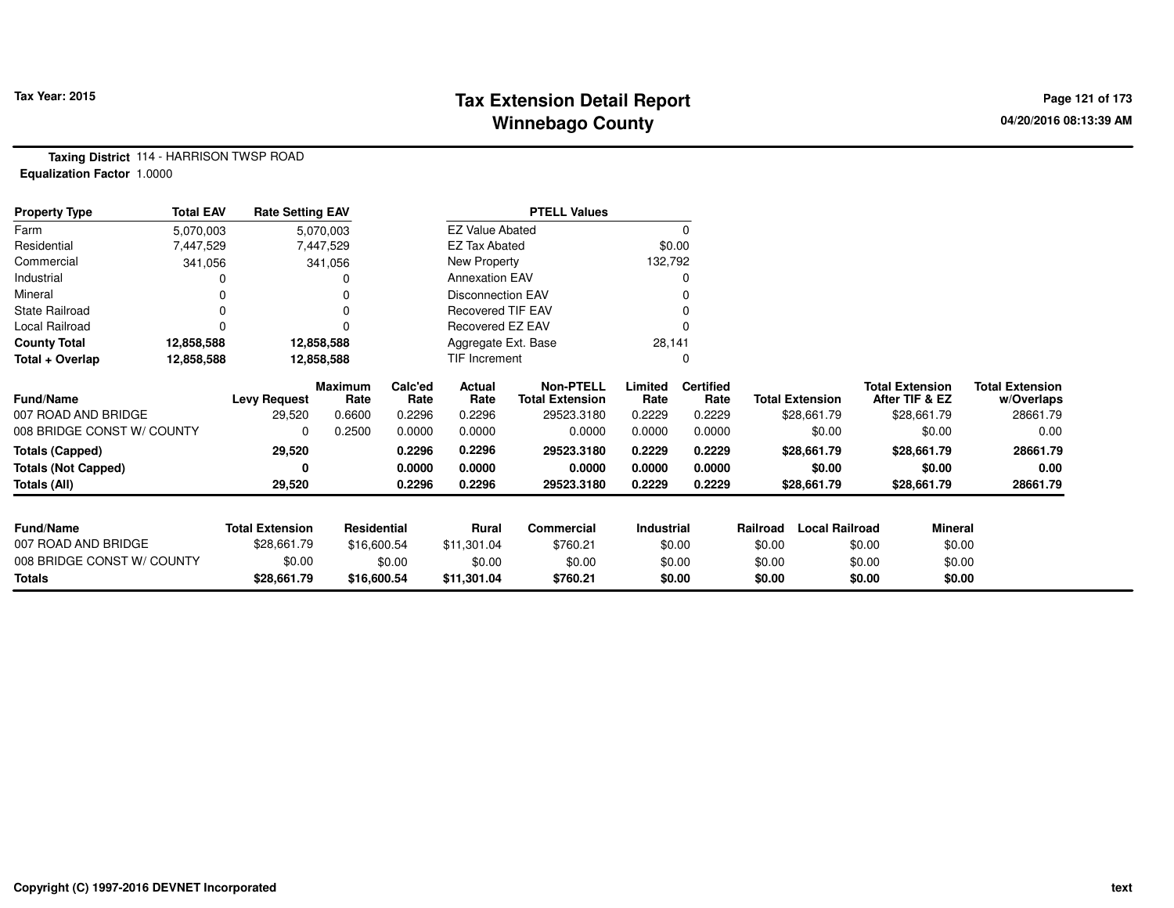# **Tax Extension Detail Report Tax Year: 2015 Page 121 of 173 Winnebago County**

**Taxing District** 114 - HARRISON TWSP ROAD**Equalization Factor** 1.0000

| <b>Property Type</b>       | <b>Total EAV</b> | <b>Rate Setting EAV</b> |                        |                 |                          | <b>PTELL Values</b>                        |                 |                          |          |                        |                                          |                |                                      |
|----------------------------|------------------|-------------------------|------------------------|-----------------|--------------------------|--------------------------------------------|-----------------|--------------------------|----------|------------------------|------------------------------------------|----------------|--------------------------------------|
| Farm                       | 5,070,003        |                         | 5,070,003              |                 | <b>EZ Value Abated</b>   |                                            |                 | 0                        |          |                        |                                          |                |                                      |
| Residential                | 7,447,529        |                         | 7,447,529              |                 | <b>EZ Tax Abated</b>     |                                            |                 | \$0.00                   |          |                        |                                          |                |                                      |
| Commercial                 | 341,056          |                         | 341,056                |                 | New Property             |                                            | 132,792         |                          |          |                        |                                          |                |                                      |
| Industrial                 |                  |                         |                        |                 | <b>Annexation EAV</b>    |                                            |                 | 0                        |          |                        |                                          |                |                                      |
| Mineral                    |                  |                         |                        |                 | <b>Disconnection EAV</b> |                                            |                 |                          |          |                        |                                          |                |                                      |
| <b>State Railroad</b>      |                  |                         |                        |                 | <b>Recovered TIF EAV</b> |                                            |                 |                          |          |                        |                                          |                |                                      |
| Local Railroad             |                  |                         |                        |                 | Recovered EZ EAV         |                                            |                 |                          |          |                        |                                          |                |                                      |
| <b>County Total</b>        | 12,858,588       |                         | 12,858,588             |                 | Aggregate Ext. Base      |                                            | 28,141          |                          |          |                        |                                          |                |                                      |
| Total + Overlap            | 12,858,588       |                         | 12,858,588             |                 | TIF Increment            |                                            |                 | 0                        |          |                        |                                          |                |                                      |
| Fund/Name                  |                  | <b>Levy Request</b>     | <b>Maximum</b><br>Rate | Calc'ed<br>Rate | Actual<br>Rate           | <b>Non-PTELL</b><br><b>Total Extension</b> | Limited<br>Rate | <b>Certified</b><br>Rate |          | <b>Total Extension</b> | <b>Total Extension</b><br>After TIF & EZ |                | <b>Total Extension</b><br>w/Overlaps |
| 007 ROAD AND BRIDGE        |                  | 29,520                  | 0.6600                 | 0.2296          | 0.2296                   | 29523.3180                                 | 0.2229          | 0.2229                   |          | \$28,661.79            |                                          | \$28,661.79    | 28661.79                             |
| 008 BRIDGE CONST W/ COUNTY |                  | 0                       | 0.2500                 | 0.0000          | 0.0000                   | 0.0000                                     | 0.0000          | 0.0000                   |          | \$0.00                 |                                          | \$0.00         | 0.00                                 |
| <b>Totals (Capped)</b>     |                  | 29,520                  |                        | 0.2296          | 0.2296                   | 29523.3180                                 | 0.2229          | 0.2229                   |          | \$28,661.79            |                                          | \$28,661.79    | 28661.79                             |
| <b>Totals (Not Capped)</b> |                  | U                       |                        | 0.0000          | 0.0000                   | 0.0000                                     | 0.0000          | 0.0000                   |          | \$0.00                 |                                          | \$0.00         | 0.00                                 |
| Totals (All)               |                  | 29,520                  |                        | 0.2296          | 0.2296                   | 29523.3180                                 | 0.2229          | 0.2229                   |          | \$28,661.79            |                                          | \$28,661.79    | 28661.79                             |
| <b>Fund/Name</b>           |                  | <b>Total Extension</b>  | Residential            |                 | Rural                    | Commercial                                 | Industrial      |                          | Railroad | <b>Local Railroad</b>  |                                          | <b>Mineral</b> |                                      |
| 007 ROAD AND BRIDGE        |                  | \$28,661.79             | \$16,600.54            |                 | \$11,301.04              | \$760.21                                   |                 | \$0.00                   | \$0.00   |                        | \$0.00                                   | \$0.00         |                                      |
| 008 BRIDGE CONST W/ COUNTY |                  | \$0.00                  |                        | \$0.00          | \$0.00                   | \$0.00                                     |                 | \$0.00                   | \$0.00   |                        | \$0.00                                   | \$0.00         |                                      |
| Totals                     |                  | \$28,661.79             | \$16,600.54            |                 | \$11,301.04              | \$760.21                                   |                 | \$0.00                   | \$0.00   |                        | \$0.00                                   | \$0.00         |                                      |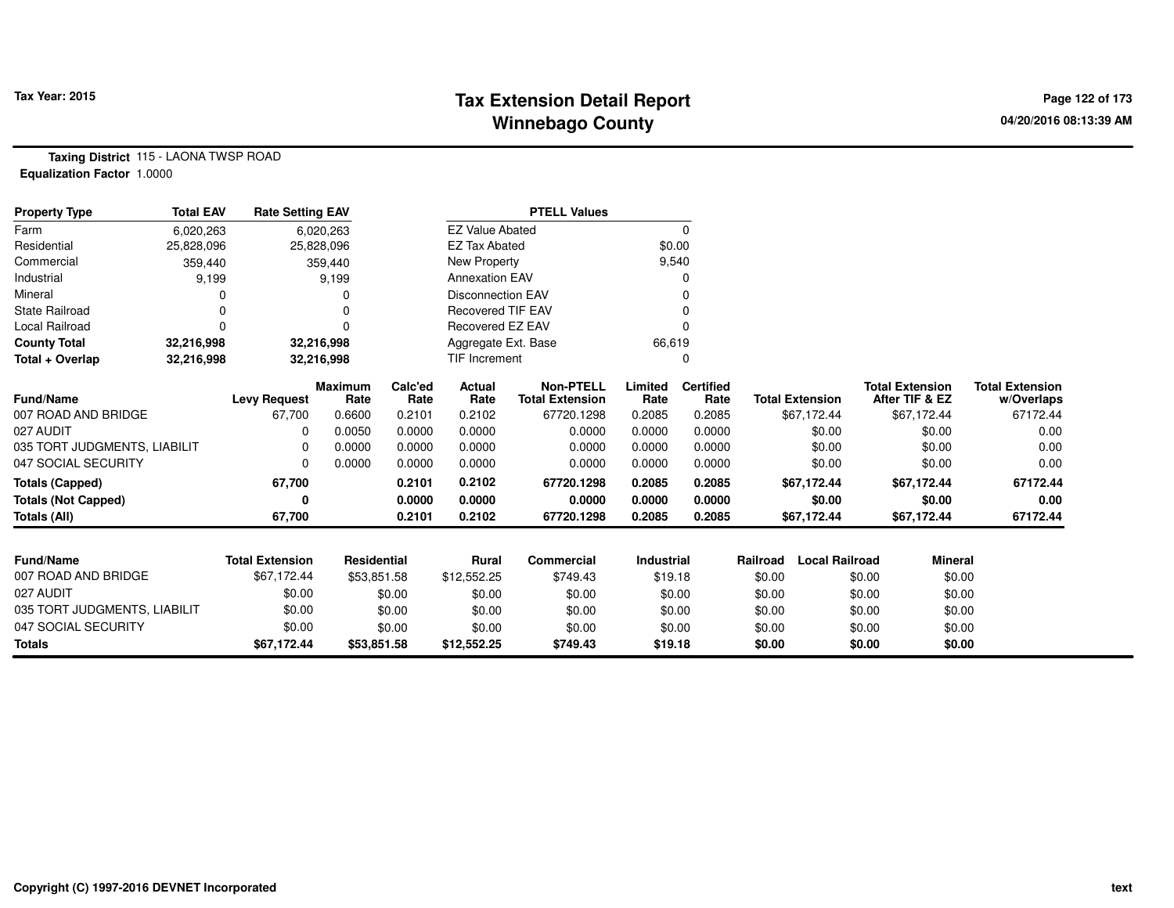# **Tax Extension Detail Report Tax Figure 2015 Page 122 of 173 Winnebago County**

**Taxing District** 115 - LAONA TWSP ROAD**Equalization Factor** 1.0000

| <b>Property Type</b>         | <b>Total EAV</b> | <b>Rate Setting EAV</b> |                        |                 |                          | <b>PTELL Values</b>                        |                   |                          |          |                        |                                          |                                      |
|------------------------------|------------------|-------------------------|------------------------|-----------------|--------------------------|--------------------------------------------|-------------------|--------------------------|----------|------------------------|------------------------------------------|--------------------------------------|
| Farm                         | 6,020,263        |                         | 6,020,263              |                 | <b>EZ Value Abated</b>   |                                            |                   | 0                        |          |                        |                                          |                                      |
| Residential                  | 25,828,096       | 25,828,096              |                        |                 | <b>EZ Tax Abated</b>     |                                            | \$0.00            |                          |          |                        |                                          |                                      |
| Commercial                   | 359,440          |                         | 359,440                |                 | New Property             |                                            | 9,540             |                          |          |                        |                                          |                                      |
| Industrial                   | 9,199            |                         | 9,199                  |                 | <b>Annexation EAV</b>    |                                            |                   | 0                        |          |                        |                                          |                                      |
| Mineral                      |                  |                         | 0                      |                 | <b>Disconnection EAV</b> |                                            |                   |                          |          |                        |                                          |                                      |
| <b>State Railroad</b>        |                  |                         | O                      |                 | <b>Recovered TIF EAV</b> |                                            |                   |                          |          |                        |                                          |                                      |
| <b>Local Railroad</b>        | ŋ                |                         | $\Omega$               |                 | Recovered EZ EAV         |                                            |                   | <sup>0</sup>             |          |                        |                                          |                                      |
| <b>County Total</b>          | 32,216,998       | 32,216,998              |                        |                 | Aggregate Ext. Base      |                                            | 66,619            |                          |          |                        |                                          |                                      |
| Total + Overlap              | 32,216,998       | 32,216,998              |                        |                 | <b>TIF Increment</b>     |                                            |                   | 0                        |          |                        |                                          |                                      |
| Fund/Name                    |                  | <b>Levy Request</b>     | <b>Maximum</b><br>Rate | Calc'ed<br>Rate | Actual<br>Rate           | <b>Non-PTELL</b><br><b>Total Extension</b> | Limited<br>Rate   | <b>Certified</b><br>Rate |          | <b>Total Extension</b> | <b>Total Extension</b><br>After TIF & EZ | <b>Total Extension</b><br>w/Overlaps |
| 007 ROAD AND BRIDGE          |                  | 67.700                  | 0.6600                 | 0.2101          | 0.2102                   | 67720.1298                                 | 0.2085            | 0.2085                   |          | \$67,172.44            | \$67,172.44                              | 67172.44                             |
| 027 AUDIT                    |                  | $\Omega$                | 0.0050                 | 0.0000          | 0.0000                   | 0.0000                                     | 0.0000            | 0.0000                   |          | \$0.00                 | \$0.00                                   | 0.00                                 |
| 035 TORT JUDGMENTS, LIABILIT |                  | 0                       | 0.0000                 | 0.0000          | 0.0000                   | 0.0000                                     | 0.0000            | 0.0000                   |          | \$0.00                 | \$0.00                                   | 0.00                                 |
| 047 SOCIAL SECURITY          |                  | $\Omega$                | 0.0000                 | 0.0000          | 0.0000                   | 0.0000                                     | 0.0000            | 0.0000                   |          | \$0.00                 | \$0.00                                   | 0.00                                 |
| <b>Totals (Capped)</b>       |                  | 67,700                  |                        | 0.2101          | 0.2102                   | 67720.1298                                 | 0.2085            | 0.2085                   |          | \$67,172.44            | \$67,172.44                              | 67172.44                             |
| <b>Totals (Not Capped)</b>   |                  | 0                       |                        | 0.0000          | 0.0000                   | 0.0000                                     | 0.0000            | 0.0000                   |          | \$0.00                 | \$0.00                                   | 0.00                                 |
| <b>Totals (All)</b>          |                  | 67,700                  |                        | 0.2101          | 0.2102                   | 67720.1298                                 | 0.2085            | 0.2085                   |          | \$67,172.44            | \$67,172.44                              | 67172.44                             |
|                              |                  |                         |                        |                 |                          |                                            |                   |                          |          |                        |                                          |                                      |
| Fund/Name                    |                  | <b>Total Extension</b>  | <b>Residential</b>     |                 | <b>Rural</b>             | <b>Commercial</b>                          | <b>Industrial</b> |                          | Railroad | <b>Local Railroad</b>  |                                          | <b>Mineral</b>                       |
| 007 ROAD AND BRIDGE          |                  | \$67,172.44             | \$53,851.58            |                 | \$12,552.25              | \$749.43                                   | \$19.18           |                          | \$0.00   |                        | \$0.00                                   | \$0.00                               |
| 027 AUDIT                    |                  | \$0.00                  |                        | \$0.00          | \$0.00                   | \$0.00                                     | \$0.00            |                          | \$0.00   |                        | \$0.00                                   | \$0.00                               |
| 035 TORT JUDGMENTS, LIABILIT |                  | \$0.00                  |                        | \$0.00          | \$0.00                   | \$0.00                                     | \$0.00            |                          | \$0.00   |                        | \$0.00                                   | \$0.00                               |
| 047 SOCIAL SECURITY          |                  | \$0.00                  |                        | \$0.00          | \$0.00                   | \$0.00                                     | \$0.00            |                          | \$0.00   |                        | \$0.00                                   | \$0.00                               |
| <b>Totals</b>                |                  | \$67,172.44             | \$53,851.58            |                 | \$12,552.25              | \$749.43                                   | \$19.18           |                          | \$0.00   |                        | \$0.00                                   | \$0.00                               |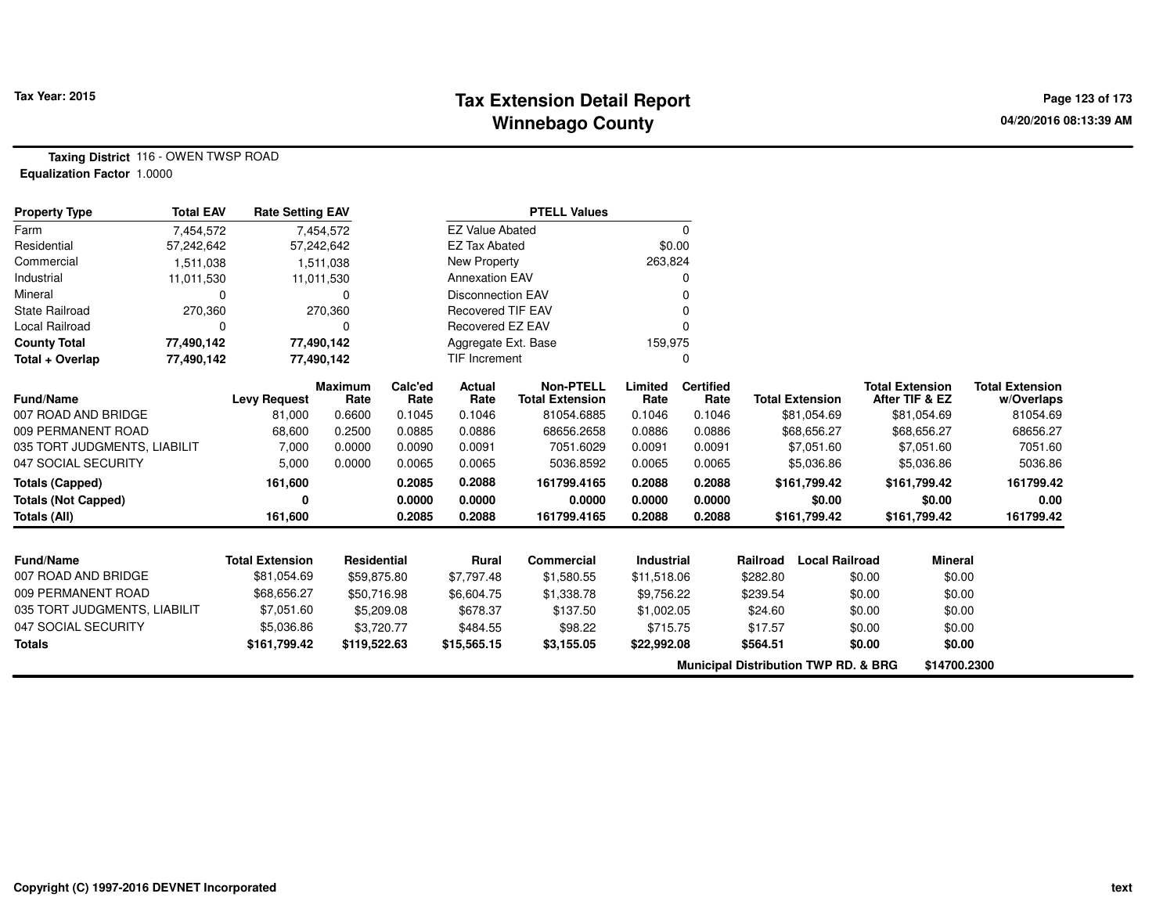## **Tax Extension Detail Report Tax Year: 2015 Page 123 of 173 Winnebago County**

**Taxing District** 116 - OWEN TWSP ROAD**Equalization Factor** 1.0000

| <b>Property Type</b>         | <b>Total EAV</b> | <b>Rate Setting EAV</b> |                        |                 |                          | <b>PTELL Values</b>                        |                 |                          |          |                                                 |                        |                |                                      |
|------------------------------|------------------|-------------------------|------------------------|-----------------|--------------------------|--------------------------------------------|-----------------|--------------------------|----------|-------------------------------------------------|------------------------|----------------|--------------------------------------|
| Farm                         | 7,454,572        |                         | 7,454,572              |                 | <b>EZ Value Abated</b>   |                                            |                 | $\mathbf 0$              |          |                                                 |                        |                |                                      |
| Residential                  | 57,242,642       |                         | 57,242,642             |                 | <b>EZ Tax Abated</b>     |                                            | \$0.00          |                          |          |                                                 |                        |                |                                      |
| Commercial                   | 1,511,038        |                         | 1,511,038              |                 | New Property             |                                            | 263,824         |                          |          |                                                 |                        |                |                                      |
| Industrial                   | 11,011,530       |                         | 11,011,530             |                 | <b>Annexation EAV</b>    |                                            |                 | 0                        |          |                                                 |                        |                |                                      |
| Mineral                      | 0                |                         | 0                      |                 | <b>Disconnection EAV</b> |                                            |                 |                          |          |                                                 |                        |                |                                      |
| <b>State Railroad</b>        | 270,360          |                         | 270,360                |                 | <b>Recovered TIF EAV</b> |                                            |                 |                          |          |                                                 |                        |                |                                      |
| <b>Local Railroad</b>        | 0                |                         | 0                      |                 | Recovered EZ EAV         |                                            |                 |                          |          |                                                 |                        |                |                                      |
| <b>County Total</b>          | 77,490,142       |                         | 77,490,142             |                 | Aggregate Ext. Base      |                                            | 159,975         |                          |          |                                                 |                        |                |                                      |
| Total + Overlap              | 77,490,142       |                         | 77,490,142             |                 | TIF Increment            |                                            |                 | 0                        |          |                                                 |                        |                |                                      |
| <b>Fund/Name</b>             |                  | <b>Levy Request</b>     | <b>Maximum</b><br>Rate | Calc'ed<br>Rate | Actual<br>Rate           | <b>Non-PTELL</b><br><b>Total Extension</b> | Limited<br>Rate | <b>Certified</b><br>Rate |          | <b>Total Extension</b>                          | <b>Total Extension</b> | After TIF & EZ | <b>Total Extension</b><br>w/Overlaps |
| 007 ROAD AND BRIDGE          |                  | 81,000                  | 0.6600                 | 0.1045          | 0.1046                   | 81054.6885                                 | 0.1046          | 0.1046                   |          | \$81,054.69                                     |                        | \$81,054.69    | 81054.69                             |
| 009 PERMANENT ROAD           |                  | 68,600                  | 0.2500                 | 0.0885          | 0.0886                   | 68656.2658                                 | 0.0886          | 0.0886                   |          | \$68,656.27                                     |                        | \$68,656.27    | 68656.27                             |
| 035 TORT JUDGMENTS, LIABILIT |                  | 7,000                   | 0.0000                 | 0.0090          | 0.0091                   | 7051.6029                                  | 0.0091          | 0.0091                   |          | \$7,051.60                                      |                        | \$7,051.60     | 7051.60                              |
| 047 SOCIAL SECURITY          |                  | 5,000                   | 0.0000                 | 0.0065          | 0.0065                   | 5036.8592                                  | 0.0065          | 0.0065                   |          | \$5,036.86                                      |                        | \$5,036.86     | 5036.86                              |
| <b>Totals (Capped)</b>       |                  | 161,600                 |                        | 0.2085          | 0.2088                   | 161799.4165                                | 0.2088          | 0.2088                   |          | \$161,799.42                                    |                        | \$161,799.42   | 161799.42                            |
| <b>Totals (Not Capped)</b>   |                  | Λ                       |                        | 0.0000          | 0.0000                   | 0.0000                                     | 0.0000          | 0.0000                   |          | \$0.00                                          |                        | \$0.00         | 0.00                                 |
| Totals (All)                 |                  | 161,600                 |                        | 0.2085          | 0.2088                   | 161799.4165                                | 0.2088          | 0.2088                   |          | \$161,799.42                                    |                        | \$161,799.42   | 161799.42                            |
|                              |                  |                         |                        |                 |                          |                                            |                 |                          |          |                                                 |                        |                |                                      |
| <b>Fund/Name</b>             |                  | <b>Total Extension</b>  | Residential            |                 | <b>Rural</b>             | Commercial                                 | Industrial      |                          | Railroad | <b>Local Railroad</b>                           |                        | <b>Mineral</b> |                                      |
| 007 ROAD AND BRIDGE          |                  | \$81,054.69             | \$59,875.80            |                 | \$7,797.48               | \$1,580.55                                 | \$11,518.06     |                          | \$282.80 |                                                 | \$0.00                 | \$0.00         |                                      |
| 009 PERMANENT ROAD           |                  | \$68,656.27             | \$50,716.98            |                 | \$6,604.75               | \$1,338.78                                 | \$9,756.22      |                          | \$239.54 |                                                 | \$0.00                 | \$0.00         |                                      |
| 035 TORT JUDGMENTS, LIABILIT |                  | \$7,051.60              |                        | \$5,209.08      | \$678.37                 | \$137.50                                   | \$1,002.05      |                          | \$24.60  |                                                 | \$0.00                 | \$0.00         |                                      |
| 047 SOCIAL SECURITY          |                  | \$5,036.86              |                        | \$3,720.77      | \$484.55                 | \$98.22                                    | \$715.75        |                          | \$17.57  |                                                 | \$0.00                 | \$0.00         |                                      |
| <b>Totals</b>                |                  | \$161,799.42            | \$119,522.63           |                 | \$15,565.15              | \$3,155.05                                 | \$22,992.08     |                          | \$564.51 |                                                 | \$0.00                 | \$0.00         |                                      |
|                              |                  |                         |                        |                 |                          |                                            |                 |                          |          | <b>Municipal Distribution TWP RD. &amp; BRG</b> |                        | \$14700.2300   |                                      |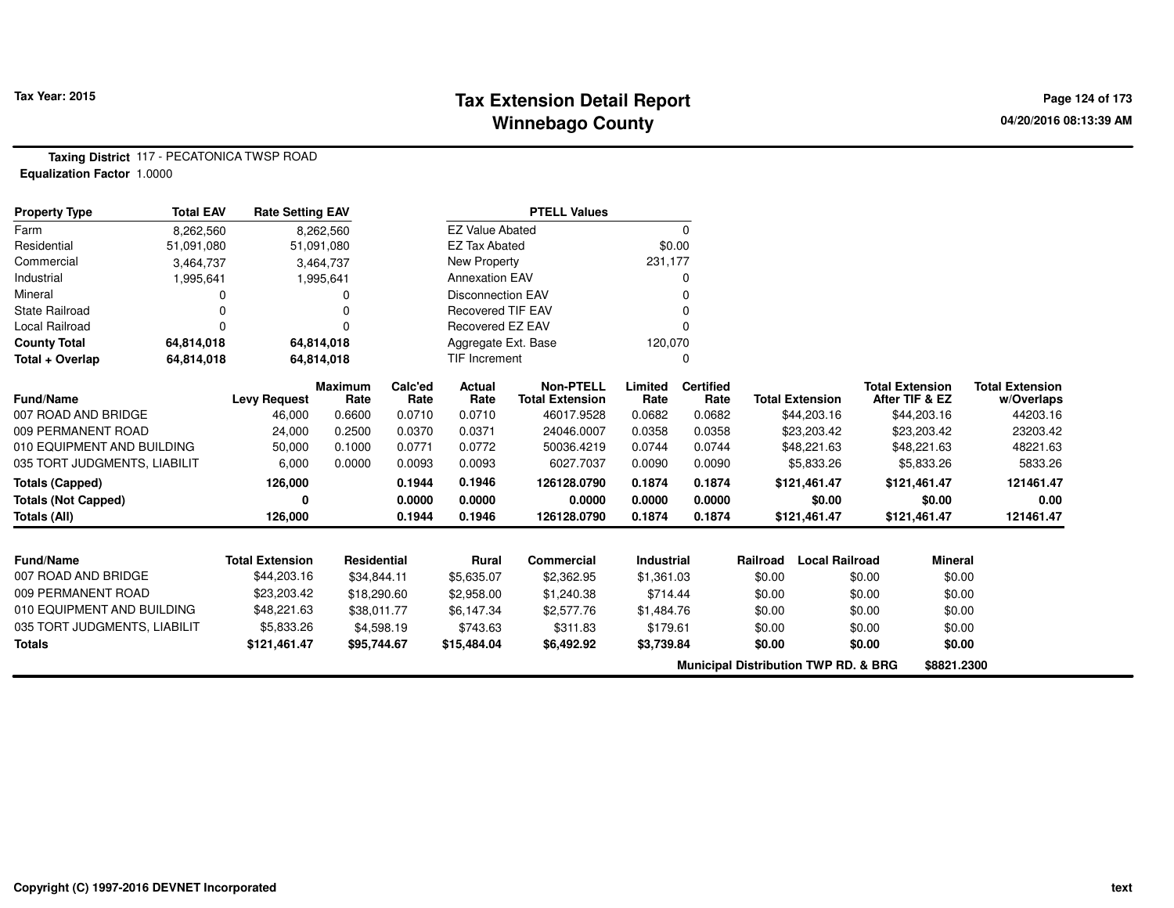## **Tax Extension Detail Report Tax Year: 2015 Page 124 of 173 Winnebago County**

**Taxing District** 117 - PECATONICA TWSP ROAD**Equalization Factor** 1.0000

| <b>Property Type</b>         | <b>Total EAV</b> | <b>Rate Setting EAV</b> |                        |                 |                          | <b>PTELL Values</b>                        |                 |                          |          |                                                 |        |                                          |                                      |
|------------------------------|------------------|-------------------------|------------------------|-----------------|--------------------------|--------------------------------------------|-----------------|--------------------------|----------|-------------------------------------------------|--------|------------------------------------------|--------------------------------------|
| Farm                         | 8,262,560        |                         | 8,262,560              |                 | <b>EZ Value Abated</b>   |                                            |                 | $\Omega$                 |          |                                                 |        |                                          |                                      |
| Residential                  | 51,091,080       |                         | 51,091,080             |                 | <b>EZ Tax Abated</b>     |                                            |                 | \$0.00                   |          |                                                 |        |                                          |                                      |
| Commercial                   | 3,464,737        |                         | 3,464,737              |                 | <b>New Property</b>      |                                            | 231,177         |                          |          |                                                 |        |                                          |                                      |
| Industrial                   | 1,995,641        |                         | 1,995,641              |                 | <b>Annexation EAV</b>    |                                            |                 |                          |          |                                                 |        |                                          |                                      |
| Mineral                      | 0                |                         |                        |                 | <b>Disconnection EAV</b> |                                            |                 |                          |          |                                                 |        |                                          |                                      |
| <b>State Railroad</b>        |                  |                         |                        |                 | <b>Recovered TIF EAV</b> |                                            |                 |                          |          |                                                 |        |                                          |                                      |
| Local Railroad               | 0                |                         |                        |                 | Recovered EZ EAV         |                                            |                 |                          |          |                                                 |        |                                          |                                      |
| <b>County Total</b>          | 64,814,018       |                         | 64,814,018             |                 | Aggregate Ext. Base      |                                            | 120,070         |                          |          |                                                 |        |                                          |                                      |
| Total + Overlap              | 64,814,018       |                         | 64,814,018             |                 | TIF Increment            |                                            |                 | 0                        |          |                                                 |        |                                          |                                      |
| <b>Fund/Name</b>             |                  | <b>Levy Request</b>     | <b>Maximum</b><br>Rate | Calc'ed<br>Rate | <b>Actual</b><br>Rate    | <b>Non-PTELL</b><br><b>Total Extension</b> | Limited<br>Rate | <b>Certified</b><br>Rate |          | <b>Total Extension</b>                          |        | <b>Total Extension</b><br>After TIF & EZ | <b>Total Extension</b><br>w/Overlaps |
| 007 ROAD AND BRIDGE          |                  | 46,000                  | 0.6600                 | 0.0710          | 0.0710                   | 46017.9528                                 | 0.0682          | 0.0682                   |          | \$44,203.16                                     |        | \$44,203.16                              | 44203.16                             |
| 009 PERMANENT ROAD           |                  | 24,000                  | 0.2500                 | 0.0370          | 0.0371                   | 24046.0007                                 | 0.0358          | 0.0358                   |          | \$23,203.42                                     |        | \$23,203.42                              | 23203.42                             |
| 010 EQUIPMENT AND BUILDING   |                  | 50,000                  | 0.1000                 | 0.0771          | 0.0772                   | 50036.4219                                 | 0.0744          | 0.0744                   |          | \$48,221.63                                     |        | \$48,221.63                              | 48221.63                             |
| 035 TORT JUDGMENTS, LIABILIT |                  | 6,000                   | 0.0000                 | 0.0093          | 0.0093                   | 6027.7037                                  | 0.0090          | 0.0090                   |          | \$5,833.26                                      |        | \$5,833.26                               | 5833.26                              |
| <b>Totals (Capped)</b>       |                  | 126,000                 |                        | 0.1944          | 0.1946                   | 126128.0790                                | 0.1874          | 0.1874                   |          | \$121,461.47                                    |        | \$121,461.47                             | 121461.47                            |
| <b>Totals (Not Capped)</b>   |                  | U                       |                        | 0.0000          | 0.0000                   | 0.0000                                     | 0.0000          | 0.0000                   |          | \$0.00                                          |        | \$0.00                                   | 0.00                                 |
| <b>Totals (All)</b>          |                  | 126,000                 |                        | 0.1944          | 0.1946                   | 126128.0790                                | 0.1874          | 0.1874                   |          | \$121,461.47                                    |        | \$121,461.47                             | 121461.47                            |
|                              |                  |                         |                        |                 |                          |                                            |                 |                          |          |                                                 |        |                                          |                                      |
| <b>Fund/Name</b>             |                  | <b>Total Extension</b>  | <b>Residential</b>     |                 | Rural                    | Commercial                                 | Industrial      |                          | Railroad | <b>Local Railroad</b>                           |        | <b>Mineral</b>                           |                                      |
| 007 ROAD AND BRIDGE          |                  | \$44,203.16             | \$34,844.11            |                 | \$5,635.07               | \$2,362.95                                 | \$1,361.03      |                          | \$0.00   |                                                 | \$0.00 | \$0.00                                   |                                      |
| 009 PERMANENT ROAD           |                  | \$23,203.42             | \$18,290.60            |                 | \$2,958.00               | \$1,240.38                                 | \$714.44        |                          | \$0.00   |                                                 | \$0.00 | \$0.00                                   |                                      |
| 010 EQUIPMENT AND BUILDING   |                  | \$48,221.63             | \$38,011.77            |                 | \$6,147.34               | \$2,577.76                                 | \$1,484.76      |                          | \$0.00   |                                                 | \$0.00 | \$0.00                                   |                                      |
| 035 TORT JUDGMENTS, LIABILIT |                  | \$5,833.26              |                        | \$4,598.19      | \$743.63                 | \$311.83                                   | \$179.61        |                          | \$0.00   |                                                 | \$0.00 | \$0.00                                   |                                      |
| <b>Totals</b>                |                  | \$121,461.47            | \$95,744.67            |                 | \$15,484.04              | \$6,492.92                                 | \$3,739.84      |                          | \$0.00   |                                                 | \$0.00 | \$0.00                                   |                                      |
|                              |                  |                         |                        |                 |                          |                                            |                 |                          |          | <b>Municipal Distribution TWP RD. &amp; BRG</b> |        | \$8821.2300                              |                                      |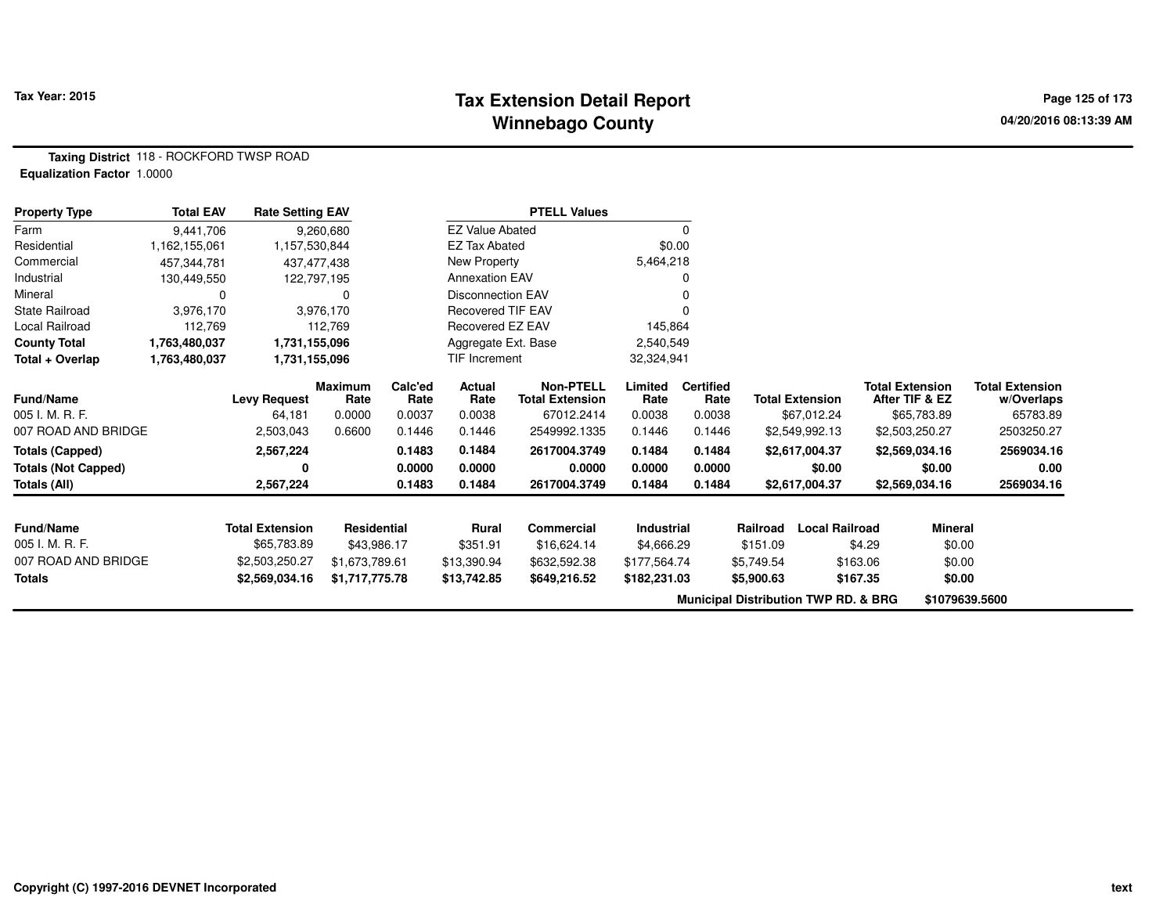#### **Tax Extension Detail Report Constant Constant Constant Page 125 of 173 Winnebago County**

**Taxing District** 118 - ROCKFORD TWSP ROAD**Equalization Factor** 1.0000

| <b>Property Type</b>       | <b>Total EAV</b> | <b>Rate Setting EAV</b> |                        |                 |                          | <b>PTELL Values</b>                        |                 |                          |            |                                                 |                                          |                                      |
|----------------------------|------------------|-------------------------|------------------------|-----------------|--------------------------|--------------------------------------------|-----------------|--------------------------|------------|-------------------------------------------------|------------------------------------------|--------------------------------------|
| Farm                       | 9,441,706        |                         | 9,260,680              |                 | <b>EZ Value Abated</b>   |                                            |                 | 0                        |            |                                                 |                                          |                                      |
| Residential                | 1,162,155,061    | 1,157,530,844           |                        |                 | <b>EZ Tax Abated</b>     |                                            | \$0.00          |                          |            |                                                 |                                          |                                      |
| Commercial                 | 457,344,781      | 437,477,438             |                        |                 | New Property             |                                            | 5,464,218       |                          |            |                                                 |                                          |                                      |
| Industrial                 | 130,449,550      | 122,797,195             |                        |                 | <b>Annexation EAV</b>    |                                            |                 |                          |            |                                                 |                                          |                                      |
| Mineral                    | 0                |                         | O                      |                 | <b>Disconnection EAV</b> |                                            |                 |                          |            |                                                 |                                          |                                      |
| State Railroad             | 3,976,170        |                         | 3,976,170              |                 | <b>Recovered TIF EAV</b> |                                            |                 |                          |            |                                                 |                                          |                                      |
| Local Railroad             | 112,769          |                         | 112,769                |                 | Recovered EZ EAV         |                                            | 145,864         |                          |            |                                                 |                                          |                                      |
| <b>County Total</b>        | 1,763,480,037    | 1,731,155,096           |                        |                 | Aggregate Ext. Base      |                                            | 2,540,549       |                          |            |                                                 |                                          |                                      |
| Total + Overlap            | 1,763,480,037    | 1,731,155,096           |                        |                 | <b>TIF Increment</b>     |                                            | 32,324,941      |                          |            |                                                 |                                          |                                      |
| Fund/Name                  |                  | <b>Levy Request</b>     | <b>Maximum</b><br>Rate | Calc'ed<br>Rate | Actual<br>Rate           | <b>Non-PTELL</b><br><b>Total Extension</b> | Limited<br>Rate | <b>Certified</b><br>Rate |            | <b>Total Extension</b>                          | <b>Total Extension</b><br>After TIF & EZ | <b>Total Extension</b><br>w/Overlaps |
| 005 I. M. R. F.            |                  | 64,181                  | 0.0000                 | 0.0037          | 0.0038                   | 67012.2414                                 | 0.0038          | 0.0038                   |            | \$67,012.24                                     | \$65,783.89                              | 65783.89                             |
| 007 ROAD AND BRIDGE        |                  | 2,503,043               | 0.6600                 | 0.1446          | 0.1446                   | 2549992.1335                               | 0.1446          | 0.1446                   |            | \$2,549,992.13                                  | \$2,503,250.27                           | 2503250.27                           |
| <b>Totals (Capped)</b>     |                  | 2,567,224               |                        | 0.1483          | 0.1484                   | 2617004.3749                               | 0.1484          | 0.1484                   |            | \$2,617,004.37                                  | \$2,569,034.16                           | 2569034.16                           |
| <b>Totals (Not Capped)</b> |                  | 0                       |                        | 0.0000          | 0.0000                   | 0.0000                                     | 0.0000          | 0.0000                   |            | \$0.00                                          | \$0.00                                   | 0.00                                 |
| Totals (All)               |                  | 2,567,224               |                        | 0.1483          | 0.1484                   | 2617004.3749                               | 0.1484          | 0.1484                   |            | \$2,617,004.37                                  | \$2,569,034.16                           | 2569034.16                           |
| <b>Fund/Name</b>           |                  | <b>Total Extension</b>  | Residential            |                 | Rural                    | Commercial                                 | Industrial      |                          | Railroad   | <b>Local Railroad</b>                           | <b>Mineral</b>                           |                                      |
| 005 I. M. R. F.            |                  | \$65,783.89             | \$43,986.17            |                 | \$351.91                 | \$16,624.14                                | \$4,666.29      |                          | \$151.09   |                                                 | \$4.29<br>\$0.00                         |                                      |
| 007 ROAD AND BRIDGE        |                  | \$2,503,250.27          | \$1,673,789.61         |                 | \$13,390.94              | \$632,592.38                               | \$177,564.74    |                          | \$5,749.54 | \$163.06                                        | \$0.00                                   |                                      |
| Totals                     |                  | \$2,569,034.16          | \$1,717,775.78         |                 | \$13,742.85              | \$649,216.52                               | \$182,231.03    |                          | \$5,900.63 | \$167.35                                        | \$0.00                                   |                                      |
|                            |                  |                         |                        |                 |                          |                                            |                 |                          |            | <b>Municipal Distribution TWP RD. &amp; BRG</b> |                                          | \$1079639.5600                       |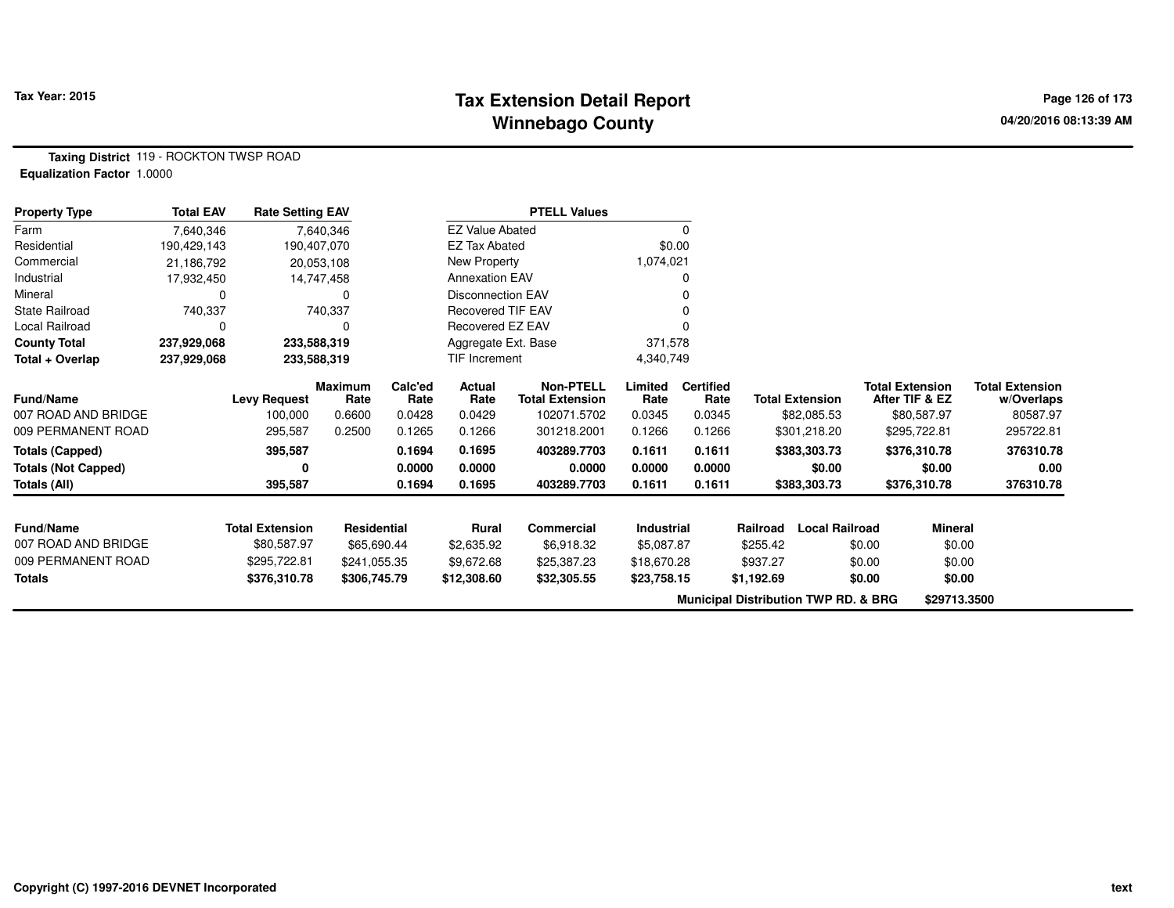## **Tax Extension Detail Report Tax Year: 2015 Page 126 of 173 Winnebago County**

**Taxing District** 119 - ROCKTON TWSP ROAD**Equalization Factor** 1.0000

| <b>Property Type</b>       | <b>Total EAV</b> | <b>Rate Setting EAV</b> |                    |         |                          | <b>PTELL Values</b>    |                   |                  |            |                                                 |                        |                        |
|----------------------------|------------------|-------------------------|--------------------|---------|--------------------------|------------------------|-------------------|------------------|------------|-------------------------------------------------|------------------------|------------------------|
| Farm                       | 7,640,346        |                         | 7,640,346          |         | <b>EZ Value Abated</b>   |                        |                   | 0                |            |                                                 |                        |                        |
| Residential                | 190,429,143      |                         | 190,407,070        |         | <b>EZ Tax Abated</b>     |                        | \$0.00            |                  |            |                                                 |                        |                        |
| Commercial                 | 21,186,792       |                         | 20,053,108         |         | New Property             |                        | 1,074,021         |                  |            |                                                 |                        |                        |
| Industrial                 | 17,932,450       |                         | 14,747,458         |         | <b>Annexation EAV</b>    |                        |                   |                  |            |                                                 |                        |                        |
| Mineral                    |                  |                         | 0                  |         | <b>Disconnection EAV</b> |                        |                   |                  |            |                                                 |                        |                        |
| State Railroad             | 740,337          |                         | 740,337            |         | Recovered TIF EAV        |                        |                   |                  |            |                                                 |                        |                        |
| Local Railroad             | 0                |                         |                    |         | Recovered EZ EAV         |                        |                   |                  |            |                                                 |                        |                        |
| <b>County Total</b>        | 237,929,068      |                         | 233,588,319        |         | Aggregate Ext. Base      |                        | 371,578           |                  |            |                                                 |                        |                        |
| Total + Overlap            | 237,929,068      |                         | 233,588,319        |         | TIF Increment            |                        | 4,340,749         |                  |            |                                                 |                        |                        |
|                            |                  |                         | <b>Maximum</b>     | Calc'ed | Actual                   | <b>Non-PTELL</b>       | Limited           | <b>Certified</b> |            |                                                 | <b>Total Extension</b> | <b>Total Extension</b> |
| Fund/Name                  |                  | <b>Levy Request</b>     | Rate               | Rate    | Rate                     | <b>Total Extension</b> | Rate              | Rate             |            | <b>Total Extension</b>                          | After TIF & EZ         | w/Overlaps             |
| 007 ROAD AND BRIDGE        |                  | 100,000                 | 0.6600             | 0.0428  | 0.0429                   | 102071.5702            | 0.0345            | 0.0345           |            | \$82,085.53                                     | \$80,587.97            | 80587.97               |
| 009 PERMANENT ROAD         |                  | 295,587                 | 0.2500             | 0.1265  | 0.1266                   | 301218.2001            | 0.1266            | 0.1266           |            | \$301,218.20                                    | \$295,722.81           | 295722.81              |
| <b>Totals (Capped)</b>     |                  | 395,587                 |                    | 0.1694  | 0.1695                   | 403289.7703            | 0.1611            | 0.1611           |            | \$383,303.73                                    | \$376,310.78           | 376310.78              |
| <b>Totals (Not Capped)</b> |                  | 0                       |                    | 0.0000  | 0.0000                   | 0.0000                 | 0.0000            | 0.0000           |            | \$0.00                                          | \$0.00                 | 0.00                   |
| Totals (All)               |                  | 395,587                 |                    | 0.1694  | 0.1695                   | 403289.7703            | 0.1611            | 0.1611           |            | \$383,303.73                                    | \$376,310.78           | 376310.78              |
| <b>Fund/Name</b>           |                  | <b>Total Extension</b>  | <b>Residential</b> |         | <b>Rural</b>             | <b>Commercial</b>      | <b>Industrial</b> |                  | Railroad   | <b>Local Railroad</b>                           | <b>Mineral</b>         |                        |
| 007 ROAD AND BRIDGE        |                  | \$80,587.97             | \$65,690.44        |         | \$2,635.92               | \$6,918.32             | \$5,087.87        |                  | \$255.42   |                                                 | \$0.00<br>\$0.00       |                        |
| 009 PERMANENT ROAD         |                  | \$295,722.81            | \$241,055.35       |         | \$9,672.68               | \$25,387.23            | \$18,670.28       |                  | \$937.27   |                                                 | \$0.00<br>\$0.00       |                        |
|                            |                  |                         |                    |         |                          |                        |                   |                  |            |                                                 | \$0.00                 |                        |
| Totals                     |                  | \$376,310.78            | \$306,745.79       |         | \$12,308.60              | \$32,305.55            | \$23,758.15       |                  | \$1,192.69 |                                                 | \$0.00                 |                        |
|                            |                  |                         |                    |         |                          |                        |                   |                  |            | <b>Municipal Distribution TWP RD. &amp; BRG</b> | \$29713.3500           |                        |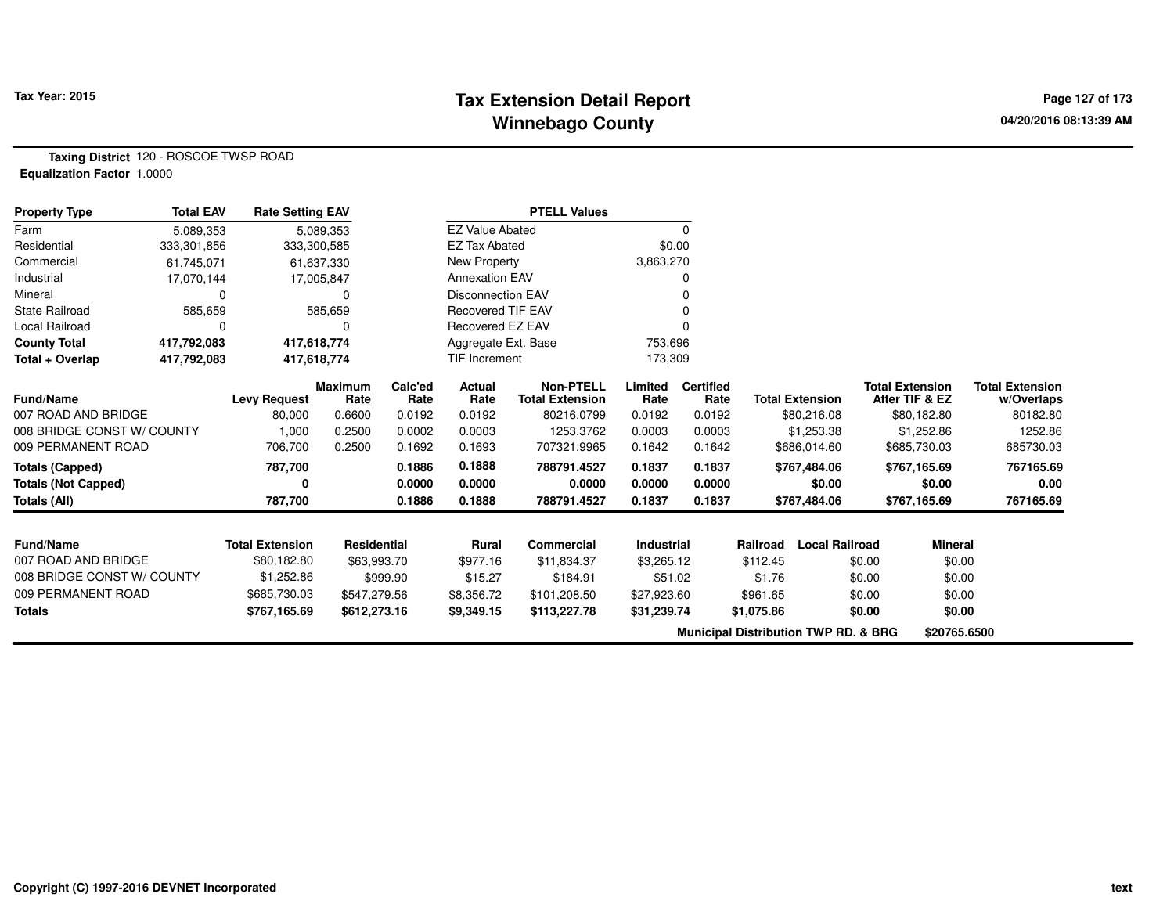## **Tax Extension Detail Report Tax Figure 2015 Page 127 of 173 Winnebago County**

**Taxing District** 120 - ROSCOE TWSP ROAD**Equalization Factor** 1.0000

| <b>Property Type</b>       | <b>Total EAV</b> | <b>Rate Setting EAV</b> |                        |                 |                          | <b>PTELL Values</b>                        |                   |                          |                                                 |                        |                        |                |                                      |
|----------------------------|------------------|-------------------------|------------------------|-----------------|--------------------------|--------------------------------------------|-------------------|--------------------------|-------------------------------------------------|------------------------|------------------------|----------------|--------------------------------------|
| Farm                       | 5,089,353        |                         | 5,089,353              |                 | <b>EZ Value Abated</b>   |                                            |                   | 0                        |                                                 |                        |                        |                |                                      |
| Residential                | 333,301,856      | 333,300,585             |                        |                 | <b>EZ Tax Abated</b>     |                                            |                   | \$0.00                   |                                                 |                        |                        |                |                                      |
| Commercial                 | 61,745,071       |                         | 61,637,330             |                 | New Property             |                                            | 3,863,270         |                          |                                                 |                        |                        |                |                                      |
| Industrial                 | 17,070,144       |                         | 17,005,847             |                 | <b>Annexation EAV</b>    |                                            |                   |                          |                                                 |                        |                        |                |                                      |
| Mineral                    | 0                |                         | $\Omega$               |                 | <b>Disconnection EAV</b> |                                            |                   |                          |                                                 |                        |                        |                |                                      |
| <b>State Railroad</b>      | 585,659          |                         | 585,659                |                 | <b>Recovered TIF EAV</b> |                                            |                   |                          |                                                 |                        |                        |                |                                      |
| Local Railroad             | 0                |                         | O                      |                 | Recovered EZ EAV         |                                            |                   |                          |                                                 |                        |                        |                |                                      |
| <b>County Total</b>        | 417,792,083      | 417,618,774             |                        |                 | Aggregate Ext. Base      |                                            | 753,696           |                          |                                                 |                        |                        |                |                                      |
| Total + Overlap            | 417,792,083      | 417,618,774             |                        |                 | TIF Increment            |                                            | 173,309           |                          |                                                 |                        |                        |                |                                      |
| <b>Fund/Name</b>           |                  | <b>Levy Request</b>     | <b>Maximum</b><br>Rate | Calc'ed<br>Rate | Actual<br>Rate           | <b>Non-PTELL</b><br><b>Total Extension</b> | Limited<br>Rate   | <b>Certified</b><br>Rate |                                                 | <b>Total Extension</b> | <b>Total Extension</b> | After TIF & EZ | <b>Total Extension</b><br>w/Overlaps |
| 007 ROAD AND BRIDGE        |                  | 80,000                  | 0.6600                 | 0.0192          | 0.0192                   | 80216.0799                                 | 0.0192            | 0.0192                   |                                                 | \$80,216.08            |                        | \$80,182.80    | 80182.80                             |
| 008 BRIDGE CONST W/ COUNTY |                  | 1,000                   | 0.2500                 | 0.0002          | 0.0003                   | 1253.3762                                  | 0.0003            | 0.0003                   |                                                 | \$1,253.38             |                        | \$1,252.86     | 1252.86                              |
| 009 PERMANENT ROAD         |                  | 706,700                 | 0.2500                 | 0.1692          | 0.1693                   | 707321.9965                                | 0.1642            | 0.1642                   |                                                 | \$686,014.60           |                        | \$685,730.03   | 685730.03                            |
| <b>Totals (Capped)</b>     |                  | 787,700                 |                        | 0.1886          | 0.1888                   | 788791.4527                                | 0.1837            | 0.1837                   |                                                 | \$767,484.06           |                        | \$767,165.69   | 767165.69                            |
| <b>Totals (Not Capped)</b> |                  |                         |                        | 0.0000          | 0.0000                   | 0.0000                                     | 0.0000            | 0.0000                   |                                                 | \$0.00                 |                        | \$0.00         | 0.00                                 |
| Totals (All)               |                  | 787,700                 |                        | 0.1886          | 0.1888                   | 788791.4527                                | 0.1837            | 0.1837                   |                                                 | \$767,484.06           |                        | \$767,165.69   | 767165.69                            |
|                            |                  |                         |                        |                 |                          |                                            |                   |                          |                                                 |                        |                        |                |                                      |
| <b>Fund/Name</b>           |                  | <b>Total Extension</b>  | <b>Residential</b>     |                 | Rural                    | <b>Commercial</b>                          | <b>Industrial</b> |                          | Railroad                                        | <b>Local Railroad</b>  |                        | <b>Mineral</b> |                                      |
| 007 ROAD AND BRIDGE        |                  | \$80,182.80             | \$63,993.70            |                 | \$977.16                 | \$11,834.37                                | \$3,265.12        |                          | \$112.45                                        |                        | \$0.00                 | \$0.00         |                                      |
| 008 BRIDGE CONST W/ COUNTY |                  | \$1,252.86              |                        | \$999.90        | \$15.27                  | \$184.91                                   | \$51.02           |                          | \$1.76                                          |                        | \$0.00                 | \$0.00         |                                      |
| 009 PERMANENT ROAD         |                  | \$685,730.03            | \$547,279.56           |                 | \$8,356.72               | \$101,208.50                               | \$27,923.60       |                          | \$961.65                                        |                        | \$0.00                 | \$0.00         |                                      |
| <b>Totals</b>              |                  | \$767,165.69            | \$612,273.16           |                 | \$9,349.15               | \$113,227.78                               | \$31,239.74       |                          | \$1,075.86                                      |                        | \$0.00                 | \$0.00         |                                      |
|                            |                  |                         |                        |                 |                          |                                            |                   |                          | <b>Municipal Distribution TWP RD, &amp; BRG</b> |                        |                        | \$20765.6500   |                                      |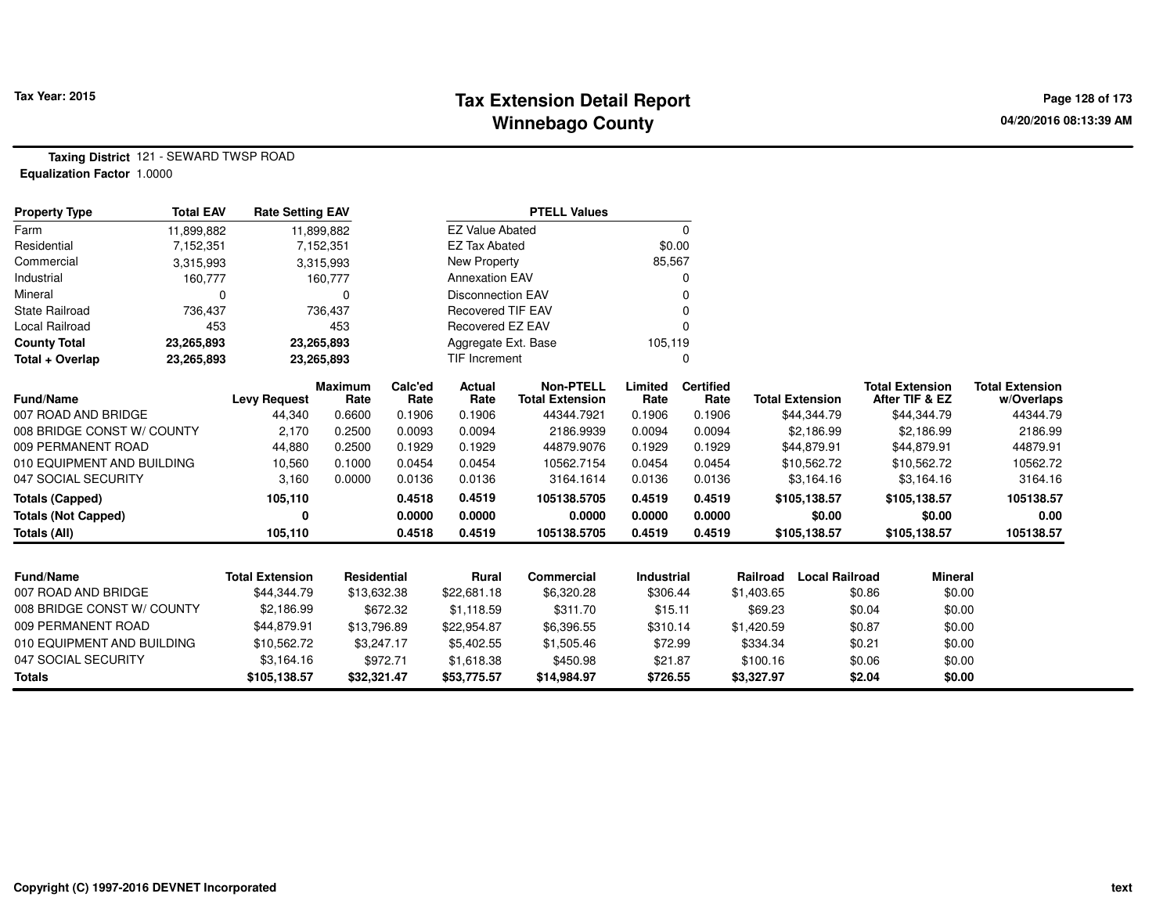# **Tax Extension Detail Report Tax Year: 2015 Page 128 of 173 Winnebago County**

**Taxing District** 121 - SEWARD TWSP ROAD**Equalization Factor** 1.0000

| <b>Property Type</b>       | <b>Total EAV</b> | <b>Rate Setting EAV</b> |                        |                 |                          | <b>PTELL Values</b>                        |                 |                          |            |                        |        |                                          |                                      |
|----------------------------|------------------|-------------------------|------------------------|-----------------|--------------------------|--------------------------------------------|-----------------|--------------------------|------------|------------------------|--------|------------------------------------------|--------------------------------------|
| Farm                       | 11,899,882       |                         | 11,899,882             |                 | <b>EZ Value Abated</b>   |                                            |                 | 0                        |            |                        |        |                                          |                                      |
| Residential                | 7,152,351        |                         | 7,152,351              |                 | <b>EZ Tax Abated</b>     |                                            |                 | \$0.00                   |            |                        |        |                                          |                                      |
| Commercial                 | 3,315,993        |                         | 3,315,993              |                 | New Property             |                                            | 85,567          |                          |            |                        |        |                                          |                                      |
| Industrial                 | 160,777          |                         | 160,777                |                 | <b>Annexation EAV</b>    |                                            |                 |                          |            |                        |        |                                          |                                      |
| Mineral                    | O                |                         | $\Omega$               |                 | Disconnection EAV        |                                            |                 |                          |            |                        |        |                                          |                                      |
| <b>State Railroad</b>      | 736,437          |                         | 736,437                |                 | <b>Recovered TIF EAV</b> |                                            |                 |                          |            |                        |        |                                          |                                      |
| Local Railroad             | 453              |                         | 453                    |                 | Recovered EZ EAV         |                                            |                 |                          |            |                        |        |                                          |                                      |
| <b>County Total</b>        | 23,265,893       |                         | 23,265,893             |                 | Aggregate Ext. Base      |                                            | 105,119         |                          |            |                        |        |                                          |                                      |
| Total + Overlap            | 23,265,893       |                         | 23,265,893             |                 | TIF Increment            |                                            |                 | 0                        |            |                        |        |                                          |                                      |
| <b>Fund/Name</b>           |                  | <b>Levy Request</b>     | <b>Maximum</b><br>Rate | Calc'ed<br>Rate | Actual<br>Rate           | <b>Non-PTELL</b><br><b>Total Extension</b> | Limited<br>Rate | <b>Certified</b><br>Rate |            | <b>Total Extension</b> |        | <b>Total Extension</b><br>After TIF & EZ | <b>Total Extension</b><br>w/Overlaps |
| 007 ROAD AND BRIDGE        |                  | 44,340                  | 0.6600                 | 0.1906          | 0.1906                   | 44344.7921                                 | 0.1906          | 0.1906                   |            | \$44,344.79            |        | \$44,344.79                              | 44344.79                             |
| 008 BRIDGE CONST W/ COUNTY |                  | 2,170                   | 0.2500                 | 0.0093          | 0.0094                   | 2186.9939                                  | 0.0094          | 0.0094                   |            | \$2,186.99             |        | \$2,186.99                               | 2186.99                              |
| 009 PERMANENT ROAD         |                  | 44,880                  | 0.2500                 | 0.1929          | 0.1929                   | 44879.9076                                 | 0.1929          | 0.1929                   |            | \$44,879.91            |        | \$44,879.91                              | 44879.91                             |
| 010 EQUIPMENT AND BUILDING |                  | 10,560                  | 0.1000                 | 0.0454          | 0.0454                   | 10562.7154                                 | 0.0454          | 0.0454                   |            | \$10,562.72            |        | \$10,562.72                              | 10562.72                             |
| 047 SOCIAL SECURITY        |                  | 3,160                   | 0.0000                 | 0.0136          | 0.0136                   | 3164.1614                                  | 0.0136          | 0.0136                   |            | \$3,164.16             |        | \$3,164.16                               | 3164.16                              |
| <b>Totals (Capped)</b>     |                  | 105,110                 |                        | 0.4518          | 0.4519                   | 105138.5705                                | 0.4519          | 0.4519                   |            | \$105,138.57           |        | \$105,138.57                             | 105138.57                            |
| <b>Totals (Not Capped)</b> |                  | 0                       |                        | 0.0000          | 0.0000                   | 0.0000                                     | 0.0000          | 0.0000                   |            | \$0.00                 |        | \$0.00                                   | 0.00                                 |
| <b>Totals (All)</b>        |                  | 105,110                 |                        | 0.4518          | 0.4519                   | 105138.5705                                | 0.4519          | 0.4519                   |            | \$105,138.57           |        | \$105,138.57                             | 105138.57                            |
|                            |                  |                         |                        |                 |                          |                                            |                 |                          |            |                        |        |                                          |                                      |
| <b>Fund/Name</b>           |                  | <b>Total Extension</b>  | Residential            |                 | Rural                    | Commercial                                 | Industrial      |                          | Railroad   | <b>Local Railroad</b>  |        | <b>Mineral</b>                           |                                      |
| 007 ROAD AND BRIDGE        |                  | \$44,344.79             | \$13,632.38            |                 | \$22,681.18              | \$6,320.28                                 | \$306.44        |                          | \$1,403.65 |                        | \$0.86 | \$0.00                                   |                                      |
| 008 BRIDGE CONST W/ COUNTY |                  | \$2,186.99              |                        | \$672.32        | \$1,118.59               | \$311.70                                   | \$15.11         |                          | \$69.23    |                        | \$0.04 | \$0.00                                   |                                      |
| 009 PERMANENT ROAD         |                  | \$44,879.91             | \$13,796.89            |                 | \$22,954.87              | \$6,396.55                                 | \$310.14        |                          | \$1,420.59 |                        | \$0.87 | \$0.00                                   |                                      |
| 010 EQUIPMENT AND BUILDING |                  | \$10,562.72             |                        | \$3,247.17      | \$5,402.55               | \$1,505.46                                 | \$72.99         |                          | \$334.34   |                        | \$0.21 | \$0.00                                   |                                      |
| 047 SOCIAL SECURITY        |                  | \$3,164.16              |                        | \$972.71        | \$1,618.38               | \$450.98                                   | \$21.87         |                          | \$100.16   |                        | \$0.06 | \$0.00                                   |                                      |
| <b>Totals</b>              |                  | \$105,138.57            | \$32,321.47            |                 | \$53,775.57              | \$14,984.97                                | \$726.55        |                          | \$3,327.97 |                        | \$2.04 | \$0.00                                   |                                      |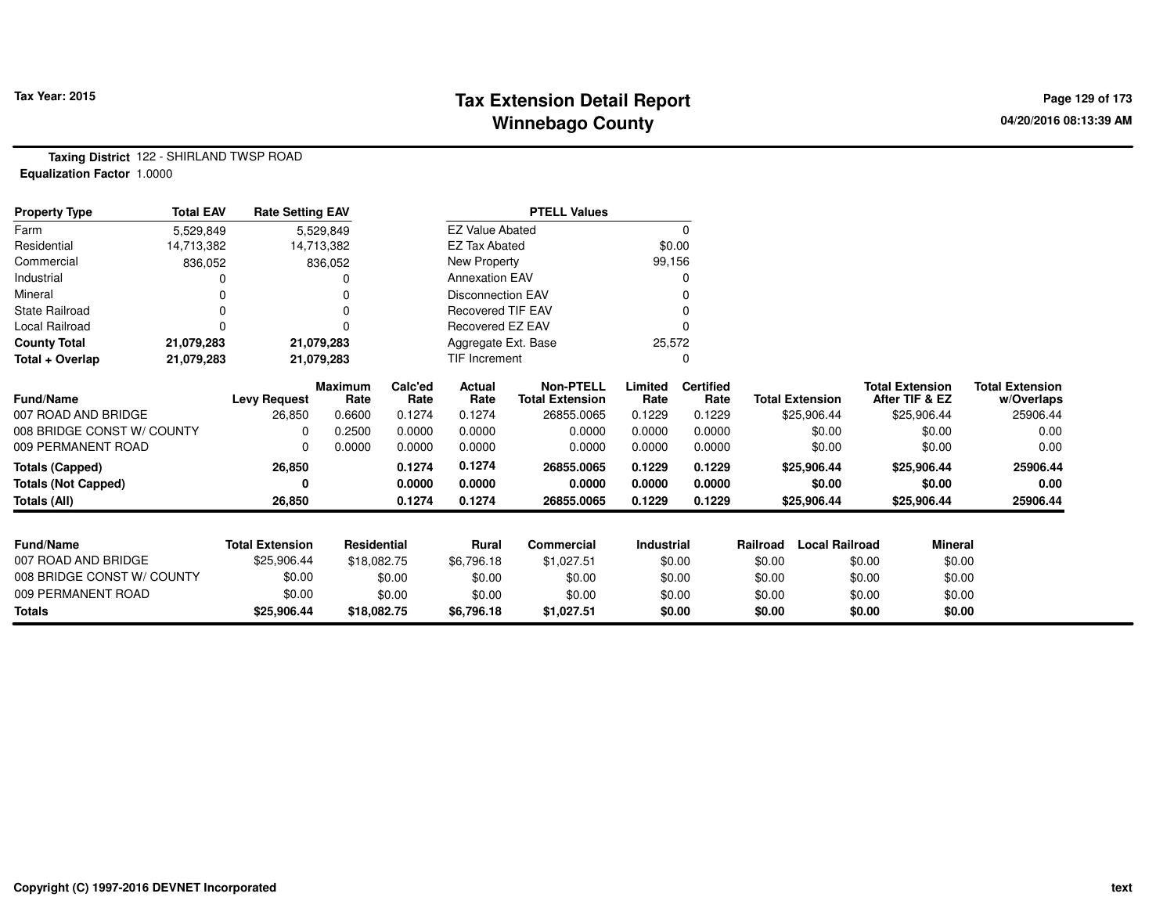# **Tax Extension Detail Report Tax Year: 2015 Page 129 of 173 Winnebago County**

**Taxing District** 122 - SHIRLAND TWSP ROAD**Equalization Factor** 1.0000

| <b>Property Type</b>       | <b>Total EAV</b> | <b>Rate Setting EAV</b> |                        |                 |                          | <b>PTELL Values</b>                        |                 |                          |                                   |                                          |                                      |
|----------------------------|------------------|-------------------------|------------------------|-----------------|--------------------------|--------------------------------------------|-----------------|--------------------------|-----------------------------------|------------------------------------------|--------------------------------------|
| Farm                       | 5,529,849        |                         | 5,529,849              |                 | <b>EZ Value Abated</b>   |                                            |                 | 0                        |                                   |                                          |                                      |
| Residential                | 14,713,382       |                         | 14,713,382             |                 | <b>EZ Tax Abated</b>     |                                            | \$0.00          |                          |                                   |                                          |                                      |
| Commercial                 | 836,052          |                         | 836,052                |                 | New Property             |                                            | 99,156          |                          |                                   |                                          |                                      |
| Industrial                 |                  |                         |                        |                 | <b>Annexation EAV</b>    |                                            |                 |                          |                                   |                                          |                                      |
| Mineral                    |                  |                         | 0                      |                 | <b>Disconnection EAV</b> |                                            |                 |                          |                                   |                                          |                                      |
| State Railroad             | $\Omega$         |                         | 0                      |                 | <b>Recovered TIF EAV</b> |                                            |                 |                          |                                   |                                          |                                      |
| Local Railroad             | 0                |                         | 0                      |                 | Recovered EZ EAV         |                                            |                 |                          |                                   |                                          |                                      |
| <b>County Total</b>        | 21,079,283       |                         | 21,079,283             |                 | Aggregate Ext. Base      |                                            | 25,572          |                          |                                   |                                          |                                      |
| Total + Overlap            | 21,079,283       |                         | 21,079,283             |                 | <b>TIF Increment</b>     |                                            |                 | 0                        |                                   |                                          |                                      |
| <b>Fund/Name</b>           |                  | <b>Levy Request</b>     | <b>Maximum</b><br>Rate | Calc'ed<br>Rate | <b>Actual</b><br>Rate    | <b>Non-PTELL</b><br><b>Total Extension</b> | Limited<br>Rate | <b>Certified</b><br>Rate | <b>Total Extension</b>            | <b>Total Extension</b><br>After TIF & EZ | <b>Total Extension</b><br>w/Overlaps |
| 007 ROAD AND BRIDGE        |                  | 26,850                  | 0.6600                 | 0.1274          | 0.1274                   | 26855.0065                                 | 0.1229          | 0.1229                   | \$25,906.44                       | \$25,906.44                              | 25906.44                             |
| 008 BRIDGE CONST W/ COUNTY |                  | <sup>0</sup>            | 0.2500                 | 0.0000          | 0.0000                   | 0.0000                                     | 0.0000          | 0.0000                   | \$0.00                            | \$0.00                                   | 0.00                                 |
| 009 PERMANENT ROAD         |                  |                         | 0.0000                 | 0.0000          | 0.0000                   | 0.0000                                     | 0.0000          | 0.0000                   | \$0.00                            | \$0.00                                   | 0.00                                 |
| <b>Totals (Capped)</b>     |                  | 26,850                  |                        | 0.1274          | 0.1274                   | 26855.0065                                 | 0.1229          | 0.1229                   | \$25,906.44                       | \$25,906.44                              | 25906.44                             |
| <b>Totals (Not Capped)</b> |                  | 0                       |                        | 0.0000          | 0.0000                   | 0.0000                                     | 0.0000          | 0.0000                   | \$0.00                            | \$0.00                                   | 0.00                                 |
| Totals (All)               |                  | 26,850                  |                        | 0.1274          | 0.1274                   | 26855.0065                                 | 0.1229          | 0.1229                   | \$25,906.44                       | \$25,906.44                              | 25906.44                             |
|                            |                  |                         |                        |                 |                          |                                            |                 |                          |                                   |                                          |                                      |
| <b>Fund/Name</b>           |                  | <b>Total Extension</b>  | <b>Residential</b>     |                 | Rural                    | <b>Commercial</b>                          | Industrial      |                          | <b>Local Railroad</b><br>Railroad | <b>Mineral</b>                           |                                      |
| 007 ROAD AND BRIDGE        |                  | \$25,906.44             | \$18,082.75            |                 | \$6,796.18               | \$1,027.51                                 |                 | \$0.00                   | \$0.00                            | \$0.00<br>\$0.00                         |                                      |
| 008 BRIDGE CONST W/ COUNTY |                  | \$0.00                  |                        | \$0.00          | \$0.00                   | \$0.00                                     |                 | \$0.00                   | \$0.00                            | \$0.00<br>\$0.00                         |                                      |
| 009 PERMANENT ROAD         |                  | \$0.00                  |                        | \$0.00          | \$0.00                   | \$0.00                                     |                 | \$0.00                   | \$0.00                            | \$0.00<br>\$0.00                         |                                      |
| <b>Totals</b>              |                  | \$25,906.44             | \$18,082.75            |                 | \$6,796.18               | \$1,027.51                                 |                 | \$0.00                   | \$0.00                            | \$0.00<br>\$0.00                         |                                      |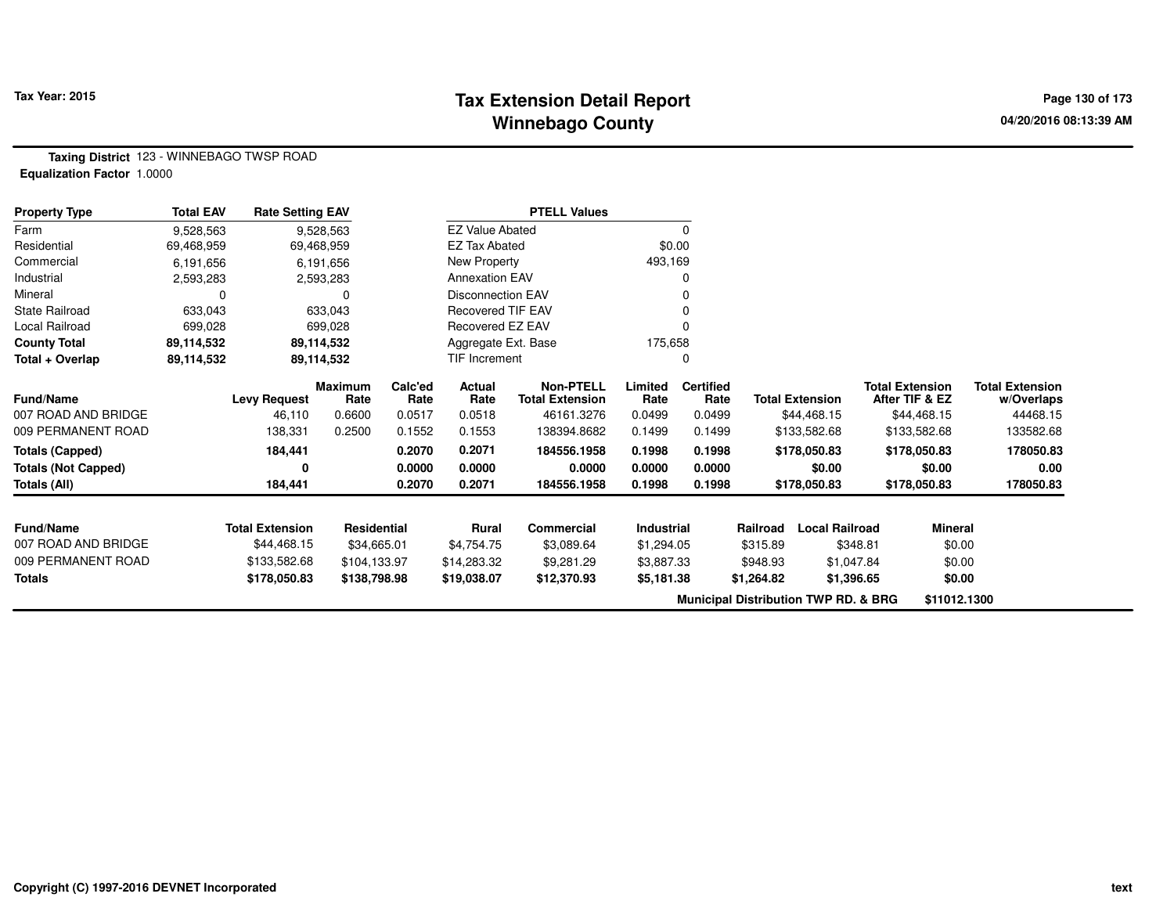### **Tax Extension Detail Report Tax Year: 2015 Page 130 of 173 Winnebago County**

**Taxing District** 123 - WINNEBAGO TWSP ROAD**Equalization Factor** 1.0000

| <b>Property Type</b>                    | <b>Total EAV</b> | <b>Rate Setting EAV</b> |                |         |                          | <b>PTELL Values</b>    |                   |                  |            |                                                 |                        |                        |
|-----------------------------------------|------------------|-------------------------|----------------|---------|--------------------------|------------------------|-------------------|------------------|------------|-------------------------------------------------|------------------------|------------------------|
| Farm                                    | 9,528,563        |                         | 9,528,563      |         | <b>EZ Value Abated</b>   |                        |                   |                  |            |                                                 |                        |                        |
| Residential                             | 69,468,959       |                         | 69,468,959     |         | <b>EZ Tax Abated</b>     |                        | \$0.00            |                  |            |                                                 |                        |                        |
| Commercial                              | 6,191,656        |                         | 6,191,656      |         | New Property             |                        | 493,169           |                  |            |                                                 |                        |                        |
| Industrial                              | 2,593,283        |                         | 2,593,283      |         | <b>Annexation EAV</b>    |                        |                   |                  |            |                                                 |                        |                        |
| Mineral                                 | 0                |                         | 0              |         | <b>Disconnection EAV</b> |                        |                   |                  |            |                                                 |                        |                        |
| <b>State Railroad</b>                   | 633,043          |                         | 633,043        |         | Recovered TIF EAV        |                        |                   |                  |            |                                                 |                        |                        |
| Local Railroad                          | 699,028          |                         | 699,028        |         | Recovered EZ EAV         |                        |                   |                  |            |                                                 |                        |                        |
| <b>County Total</b>                     | 89,114,532       |                         | 89,114,532     |         | Aggregate Ext. Base      |                        | 175,658           |                  |            |                                                 |                        |                        |
| Total + Overlap                         | 89,114,532       |                         | 89,114,532     |         | TIF Increment            |                        |                   | O                |            |                                                 |                        |                        |
|                                         |                  |                         | <b>Maximum</b> | Calc'ed | Actual                   | <b>Non-PTELL</b>       | Limited           | <b>Certified</b> |            |                                                 | <b>Total Extension</b> | <b>Total Extension</b> |
| <b>Fund/Name</b>                        |                  | <b>Levy Request</b>     | Rate           | Rate    | Rate                     | <b>Total Extension</b> | Rate              | Rate             |            | <b>Total Extension</b>                          | After TIF & EZ         | w/Overlaps             |
| 007 ROAD AND BRIDGE                     |                  | 46,110                  | 0.6600         | 0.0517  | 0.0518                   | 46161.3276             | 0.0499            | 0.0499           |            | \$44,468.15                                     | \$44,468.15            | 44468.15               |
| 009 PERMANENT ROAD                      |                  | 138,331                 | 0.2500         | 0.1552  | 0.1553                   | 138394.8682            | 0.1499            | 0.1499           |            | \$133,582.68                                    | \$133,582.68           | 133582.68              |
| <b>Totals (Capped)</b>                  |                  | 184,441                 |                | 0.2070  | 0.2071                   | 184556.1958            | 0.1998            | 0.1998           |            | \$178,050.83                                    | \$178,050.83           | 178050.83              |
| <b>Totals (Not Capped)</b>              |                  | 0                       |                | 0.0000  | 0.0000                   | 0.0000                 | 0.0000            | 0.0000           |            | \$0.00                                          | \$0.00                 | 0.00                   |
| Totals (All)                            |                  | 184,441                 |                | 0.2070  | 0.2071                   | 184556.1958            | 0.1998            | 0.1998           |            | \$178,050.83                                    | \$178,050.83           | 178050.83              |
|                                         |                  |                         |                |         |                          |                        |                   |                  |            |                                                 |                        |                        |
| <b>Fund/Name</b><br>007 ROAD AND BRIDGE |                  | <b>Total Extension</b>  | Residential    |         | <b>Rural</b>             | <b>Commercial</b>      | <b>Industrial</b> |                  | Railroad   | <b>Local Railroad</b>                           | <b>Mineral</b>         |                        |
|                                         |                  | \$44,468.15             | \$34,665.01    |         | \$4,754.75               | \$3,089.64             | \$1,294.05        |                  | \$315.89   | \$348.81                                        | \$0.00                 |                        |
| 009 PERMANENT ROAD                      |                  | \$133,582.68            | \$104,133.97   |         | \$14,283.32              | \$9,281.29             | \$3,887.33        |                  | \$948.93   | \$1,047.84                                      | \$0.00                 |                        |
| <b>Totals</b>                           |                  | \$178,050.83            | \$138,798.98   |         | \$19,038.07              | \$12,370.93            | \$5,181.38        |                  | \$1,264.82 | \$1,396.65                                      | \$0.00                 |                        |
|                                         |                  |                         |                |         |                          |                        |                   |                  |            | <b>Municipal Distribution TWP RD. &amp; BRG</b> | \$11012.1300           |                        |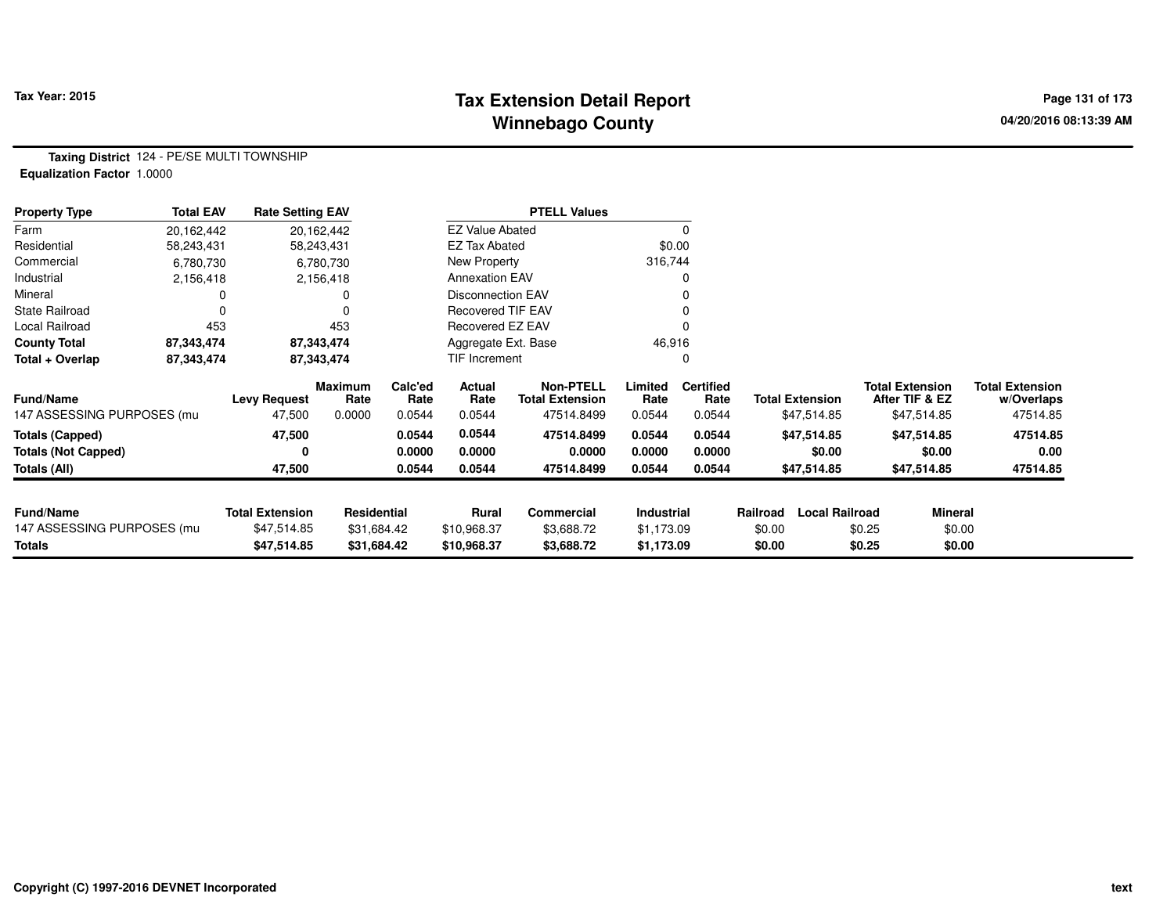# **Tax Extension Detail Report Tax Year: 2015 Page 131 of 173 Winnebago County**

**Taxing District** 124 - PE/SE MULTI TOWNSHIP**Equalization Factor** 1.0000

| <b>Property Type</b>       | <b>Total EAV</b> | <b>Rate Setting EAV</b> |                 |                 |                          | <b>PTELL Values</b>                        |                 |                          |                        |                       |                                          |                                      |
|----------------------------|------------------|-------------------------|-----------------|-----------------|--------------------------|--------------------------------------------|-----------------|--------------------------|------------------------|-----------------------|------------------------------------------|--------------------------------------|
| Farm                       | 20,162,442       |                         | 20,162,442      |                 | <b>EZ Value Abated</b>   |                                            |                 |                          |                        |                       |                                          |                                      |
| Residential                | 58,243,431       |                         | 58,243,431      |                 | <b>EZ Tax Abated</b>     |                                            |                 | \$0.00                   |                        |                       |                                          |                                      |
| Commercial                 | 6,780,730        |                         | 6,780,730       |                 | New Property             |                                            | 316,744         |                          |                        |                       |                                          |                                      |
| Industrial                 | 2,156,418        |                         | 2,156,418       |                 | <b>Annexation EAV</b>    |                                            |                 |                          |                        |                       |                                          |                                      |
| Mineral                    |                  |                         |                 |                 | <b>Disconnection EAV</b> |                                            |                 |                          |                        |                       |                                          |                                      |
| <b>State Railroad</b>      |                  |                         | $\Omega$        |                 | <b>Recovered TIF EAV</b> |                                            |                 |                          |                        |                       |                                          |                                      |
| Local Railroad             | 453              |                         | 453             |                 | Recovered EZ EAV         |                                            |                 |                          |                        |                       |                                          |                                      |
| <b>County Total</b>        | 87,343,474       |                         | 87,343,474      |                 | Aggregate Ext. Base      |                                            | 46,916          |                          |                        |                       |                                          |                                      |
| Total + Overlap            | 87,343,474       |                         | 87,343,474      |                 | TIF Increment            |                                            |                 |                          |                        |                       |                                          |                                      |
| <b>Fund/Name</b>           |                  | <b>Levy Request</b>     | Maximum<br>Rate | Calc'ed<br>Rate | Actual<br>Rate           | <b>Non-PTELL</b><br><b>Total Extension</b> | Limited<br>Rate | <b>Certified</b><br>Rate | <b>Total Extension</b> |                       | <b>Total Extension</b><br>After TIF & EZ | <b>Total Extension</b><br>w/Overlaps |
| 147 ASSESSING PURPOSES (mu |                  | 47,500                  | 0.0000          | 0.0544          | 0.0544                   | 47514.8499                                 | 0.0544          | 0.0544                   |                        | \$47,514.85           | \$47,514.85                              | 47514.85                             |
| <b>Totals (Capped)</b>     |                  | 47,500                  |                 | 0.0544          | 0.0544                   | 47514.8499                                 | 0.0544          | 0.0544                   |                        | \$47,514.85           | \$47,514.85                              | 47514.85                             |
| <b>Totals (Not Capped)</b> |                  | 0                       |                 | 0.0000          | 0.0000                   | 0.0000                                     | 0.0000          | 0.0000                   |                        | \$0.00                | \$0.00                                   | 0.00                                 |
| Totals (All)               |                  | 47,500                  |                 | 0.0544          | 0.0544                   | 47514.8499                                 | 0.0544          | 0.0544                   |                        | \$47,514.85           | \$47,514.85                              | 47514.85                             |
|                            |                  |                         |                 |                 |                          |                                            |                 |                          |                        |                       |                                          |                                      |
| <b>Fund/Name</b>           |                  | <b>Total Extension</b>  | Residential     |                 | <b>Rural</b>             | Commercial                                 | Industrial      |                          | Railroad               | <b>Local Railroad</b> | <b>Mineral</b>                           |                                      |
| 147 ASSESSING PURPOSES (mu |                  | \$47,514.85             | \$31,684.42     |                 | \$10,968.37              | \$3,688.72                                 | \$1,173.09      |                          | \$0.00                 | \$0.25                | \$0.00                                   |                                      |
| <b>Totals</b>              |                  | \$47,514.85             | \$31,684.42     |                 | \$10,968.37              | \$3,688.72                                 | \$1,173.09      |                          | \$0.00                 | \$0.25                | \$0.00                                   |                                      |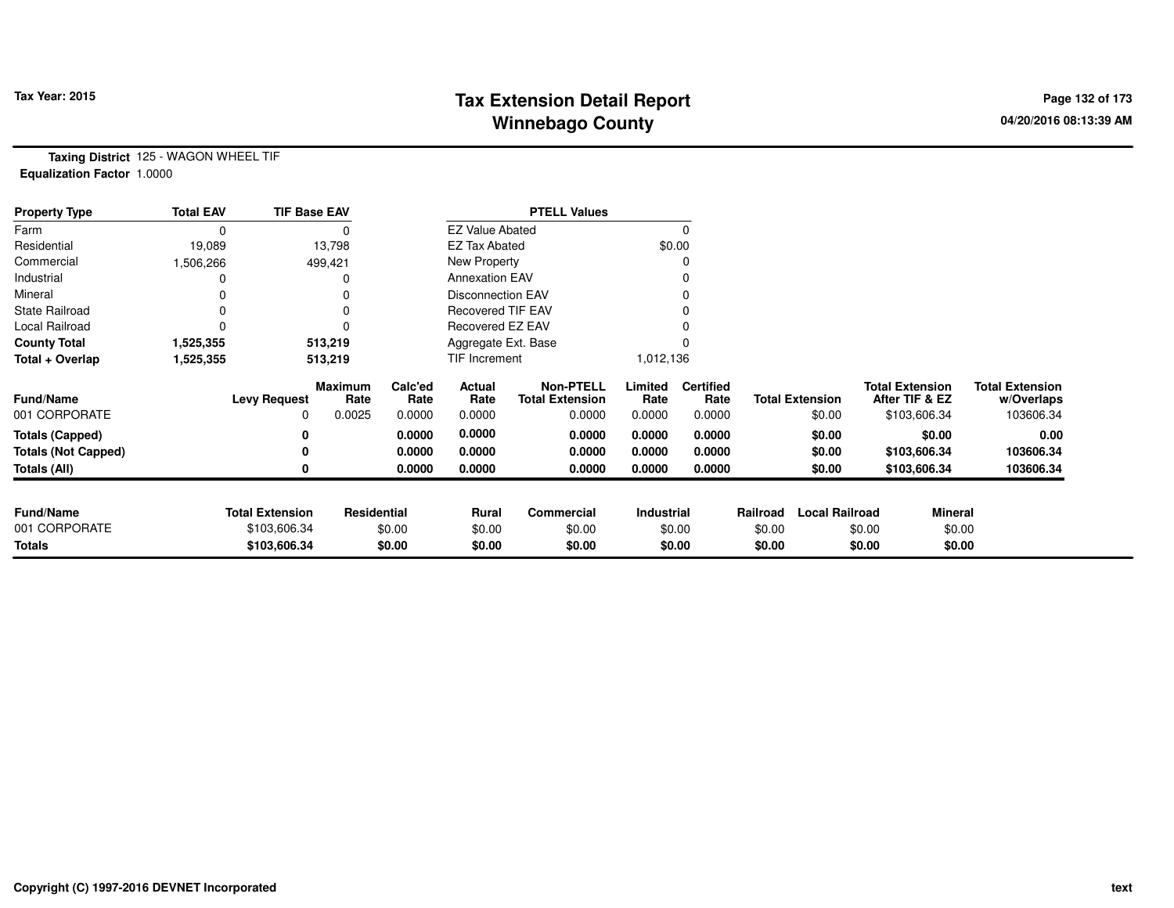# **Tax Extension Detail Report Tax Year: 2015 Page 132 of 173 Winnebago County**

**Taxing District** 125 - WAGON WHEEL TIF**Equalization Factor** 1.0000

| <b>Property Type</b>       | <b>Total EAV</b> | <b>TIF Base EAV</b>    |                    |                 |                          | <b>PTELL Values</b>                        |                   |                          |          |                        |                                          |                |                                      |
|----------------------------|------------------|------------------------|--------------------|-----------------|--------------------------|--------------------------------------------|-------------------|--------------------------|----------|------------------------|------------------------------------------|----------------|--------------------------------------|
| Farm                       |                  |                        |                    |                 | <b>EZ Value Abated</b>   |                                            |                   | $\Omega$                 |          |                        |                                          |                |                                      |
| Residential                | 19,089           |                        | 13,798             |                 | <b>EZ Tax Abated</b>     |                                            |                   | \$0.00                   |          |                        |                                          |                |                                      |
| Commercial                 | 1,506,266        |                        | 499,421            |                 | New Property             |                                            |                   | 0                        |          |                        |                                          |                |                                      |
| Industrial                 |                  |                        |                    |                 | <b>Annexation EAV</b>    |                                            |                   |                          |          |                        |                                          |                |                                      |
| Mineral                    |                  |                        |                    |                 | <b>Disconnection EAV</b> |                                            |                   | 0                        |          |                        |                                          |                |                                      |
| <b>State Railroad</b>      |                  |                        |                    |                 | <b>Recovered TIF EAV</b> |                                            |                   |                          |          |                        |                                          |                |                                      |
| Local Railroad             |                  |                        |                    |                 | Recovered EZ EAV         |                                            |                   |                          |          |                        |                                          |                |                                      |
| <b>County Total</b>        | 1,525,355        |                        | 513,219            |                 | Aggregate Ext. Base      |                                            |                   |                          |          |                        |                                          |                |                                      |
| Total + Overlap            | 1,525,355        |                        | 513,219            |                 | TIF Increment            |                                            | 1,012,136         |                          |          |                        |                                          |                |                                      |
| <b>Fund/Name</b>           |                  | <b>Levy Request</b>    | Maximum<br>Rate    | Calc'ed<br>Rate | Actual<br>Rate           | <b>Non-PTELL</b><br><b>Total Extension</b> | Limited<br>Rate   | <b>Certified</b><br>Rate |          | <b>Total Extension</b> | <b>Total Extension</b><br>After TIF & EZ |                | <b>Total Extension</b><br>w/Overlaps |
| 001 CORPORATE              |                  | 0                      | 0.0025             | 0.0000          | 0.0000                   | 0.0000                                     | 0.0000            | 0.0000                   |          | \$0.00                 | \$103,606.34                             |                | 103606.34                            |
| <b>Totals (Capped)</b>     |                  | 0                      |                    | 0.0000          | 0.0000                   | 0.0000                                     | 0.0000            | 0.0000                   |          | \$0.00                 |                                          | \$0.00         | 0.00                                 |
| <b>Totals (Not Capped)</b> |                  | 0                      |                    | 0.0000          | 0.0000                   | 0.0000                                     | 0.0000            | 0.0000                   |          | \$0.00                 | \$103,606.34                             |                | 103606.34                            |
| Totals (All)               |                  | 0                      |                    | 0.0000          | 0.0000                   | 0.0000                                     | 0.0000            | 0.0000                   |          | \$0.00                 | \$103,606.34                             |                | 103606.34                            |
| <b>Fund/Name</b>           |                  | <b>Total Extension</b> | <b>Residential</b> |                 |                          | <b>Commercial</b>                          | <b>Industrial</b> |                          | Railroad | <b>Local Railroad</b>  |                                          | <b>Mineral</b> |                                      |
| 001 CORPORATE              |                  | \$103,606.34           |                    | \$0.00          | Rural<br>\$0.00          | \$0.00                                     |                   | \$0.00                   | \$0.00   |                        | \$0.00                                   | \$0.00         |                                      |
| Totals                     |                  | \$103,606.34           |                    | \$0.00          | \$0.00                   | \$0.00                                     |                   | \$0.00                   | \$0.00   |                        | \$0.00                                   | \$0.00         |                                      |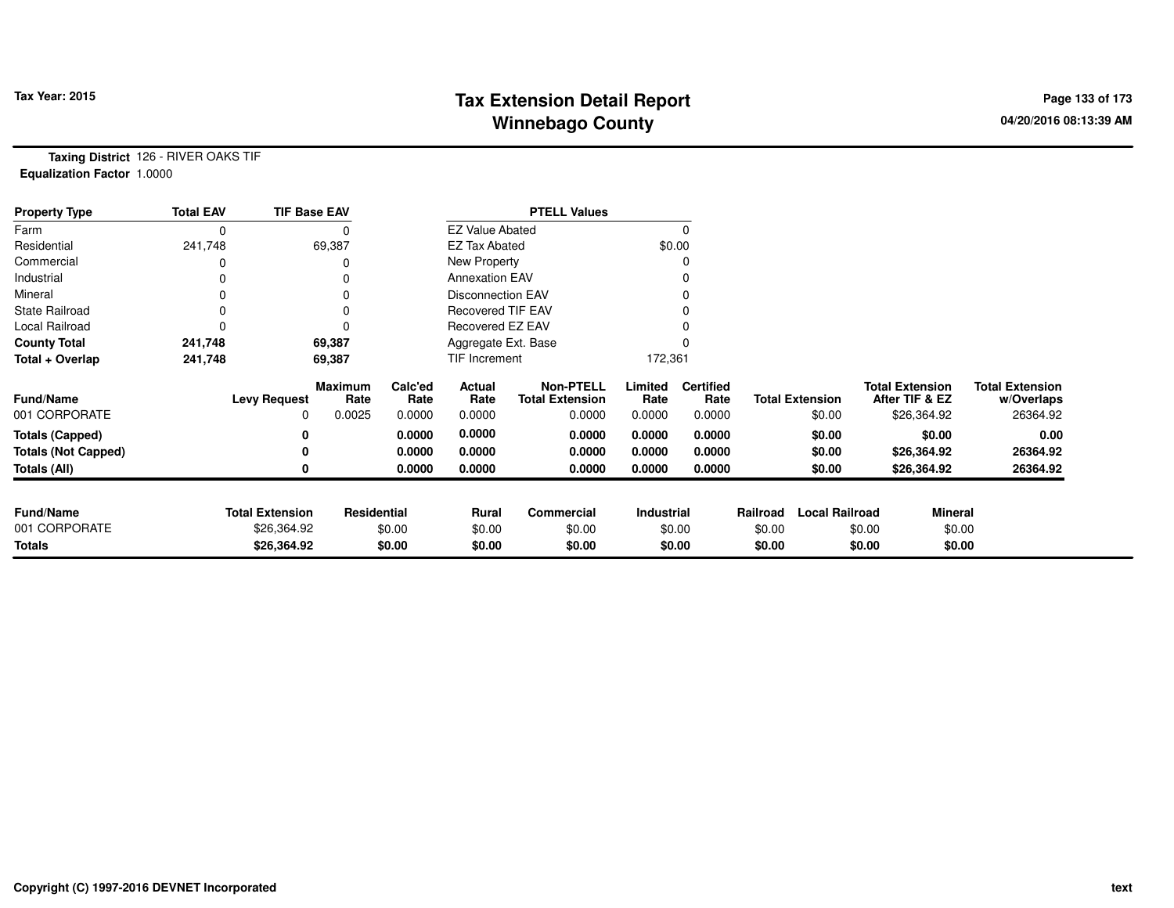# **Tax Extension Detail Report Tax Year: 2015 Page 133 of 173 Winnebago County**

**Taxing District** 126 - RIVER OAKS TIF**Equalization Factor** 1.0000

| <b>Property Type</b>       | <b>Total EAV</b> | <b>TIF Base EAV</b>    |                        |                 |                          | <b>PTELL Values</b>                        |                 |                          |          |                        |        |                                          |                                      |
|----------------------------|------------------|------------------------|------------------------|-----------------|--------------------------|--------------------------------------------|-----------------|--------------------------|----------|------------------------|--------|------------------------------------------|--------------------------------------|
| Farm                       | 0                |                        | 0                      |                 | <b>EZ Value Abated</b>   |                                            |                 |                          |          |                        |        |                                          |                                      |
| Residential                | 241,748          |                        | 69,387                 |                 | <b>EZ Tax Abated</b>     |                                            |                 | \$0.00                   |          |                        |        |                                          |                                      |
| Commercial                 |                  |                        |                        |                 | New Property             |                                            |                 |                          |          |                        |        |                                          |                                      |
| Industrial                 |                  |                        | 0                      |                 | <b>Annexation EAV</b>    |                                            |                 |                          |          |                        |        |                                          |                                      |
| Mineral                    |                  |                        |                        |                 | <b>Disconnection EAV</b> |                                            |                 |                          |          |                        |        |                                          |                                      |
| <b>State Railroad</b>      | 0                |                        | 0                      |                 | <b>Recovered TIF EAV</b> |                                            |                 |                          |          |                        |        |                                          |                                      |
| Local Railroad             |                  |                        | $\Omega$               |                 | Recovered EZ EAV         |                                            |                 |                          |          |                        |        |                                          |                                      |
| <b>County Total</b>        | 241,748          |                        | 69,387                 |                 | Aggregate Ext. Base      |                                            |                 |                          |          |                        |        |                                          |                                      |
| Total + Overlap            | 241,748          |                        | 69,387                 |                 | TIF Increment            |                                            | 172,361         |                          |          |                        |        |                                          |                                      |
| <b>Fund/Name</b>           |                  | <b>Levy Request</b>    | <b>Maximum</b><br>Rate | Calc'ed<br>Rate | Actual<br>Rate           | <b>Non-PTELL</b><br><b>Total Extension</b> | Limited<br>Rate | <b>Certified</b><br>Rate |          | <b>Total Extension</b> |        | <b>Total Extension</b><br>After TIF & EZ | <b>Total Extension</b><br>w/Overlaps |
| 001 CORPORATE              |                  | 0                      | 0.0025                 | 0.0000          | 0.0000                   | 0.0000                                     | 0.0000          | 0.0000                   |          | \$0.00                 |        | \$26,364.92                              | 26364.92                             |
| <b>Totals (Capped)</b>     |                  | 0                      |                        | 0.0000          | 0.0000                   | 0.0000                                     | 0.0000          | 0.0000                   |          | \$0.00                 |        | \$0.00                                   | 0.00                                 |
| <b>Totals (Not Capped)</b> |                  | 0                      |                        | 0.0000          | 0.0000                   | 0.0000                                     | 0.0000          | 0.0000                   |          | \$0.00                 |        | \$26,364.92                              | 26364.92                             |
| Totals (All)               |                  | 0                      |                        | 0.0000          | 0.0000                   | 0.0000                                     | 0.0000          | 0.0000                   |          | \$0.00                 |        | \$26,364.92                              | 26364.92                             |
|                            |                  |                        |                        |                 |                          |                                            |                 |                          |          |                        |        |                                          |                                      |
| <b>Fund/Name</b>           |                  | <b>Total Extension</b> | Residential            |                 | Rural                    | Commercial                                 | Industrial      |                          | Railroad | <b>Local Railroad</b>  |        | <b>Mineral</b>                           |                                      |
| 001 CORPORATE              |                  | \$26,364.92            |                        | \$0.00          | \$0.00                   | \$0.00                                     |                 | \$0.00                   | \$0.00   |                        | \$0.00 | \$0.00                                   |                                      |
| <b>Totals</b>              |                  | \$26,364.92            |                        | \$0.00          | \$0.00                   | \$0.00                                     |                 | \$0.00                   | \$0.00   |                        | \$0.00 | \$0.00                                   |                                      |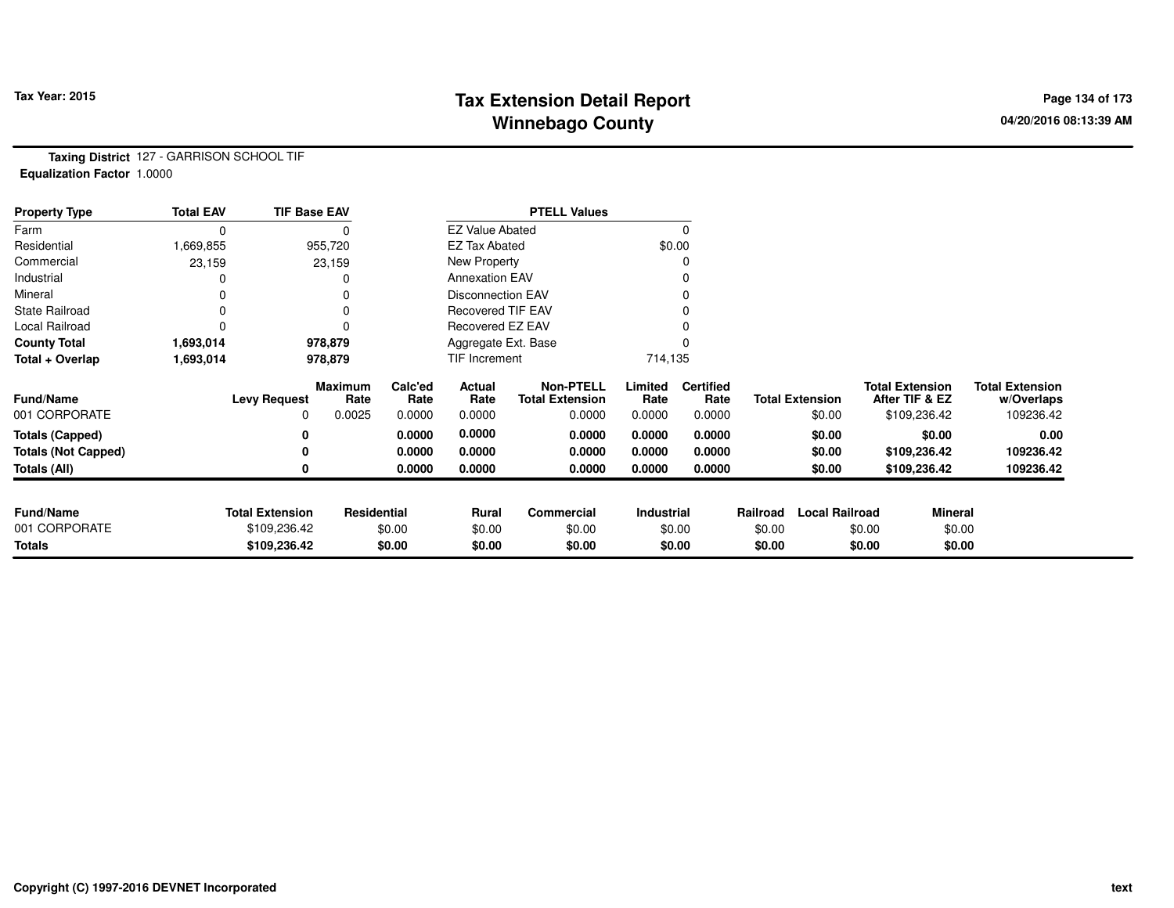# **Tax Extension Detail Report Tax Year: 2015 Page 134 of 173 Winnebago County**

**Taxing District** 127 - GARRISON SCHOOL TIF**Equalization Factor** 1.0000

| <b>Property Type</b>       | <b>Total EAV</b> | <b>TIF Base EAV</b>    |                        |                 |                          | <b>PTELL Values</b>                        |                 |                          |          |                        |                                          |                                      |
|----------------------------|------------------|------------------------|------------------------|-----------------|--------------------------|--------------------------------------------|-----------------|--------------------------|----------|------------------------|------------------------------------------|--------------------------------------|
| Farm                       | 0                |                        |                        |                 | <b>EZ Value Abated</b>   |                                            |                 |                          |          |                        |                                          |                                      |
| Residential                | 1,669,855        |                        | 955,720                |                 | EZ Tax Abated            |                                            | \$0.00          |                          |          |                        |                                          |                                      |
| Commercial                 | 23,159           |                        | 23,159                 |                 | New Property             |                                            |                 |                          |          |                        |                                          |                                      |
| Industrial                 |                  |                        |                        |                 | <b>Annexation EAV</b>    |                                            |                 |                          |          |                        |                                          |                                      |
| Mineral                    | 0                |                        |                        |                 | <b>Disconnection EAV</b> |                                            |                 |                          |          |                        |                                          |                                      |
| <b>State Railroad</b>      | 0                |                        |                        |                 | Recovered TIF EAV        |                                            |                 |                          |          |                        |                                          |                                      |
| Local Railroad             |                  |                        |                        |                 | <b>Recovered EZ EAV</b>  |                                            |                 |                          |          |                        |                                          |                                      |
| <b>County Total</b>        | 1,693,014        |                        | 978,879                |                 | Aggregate Ext. Base      |                                            |                 |                          |          |                        |                                          |                                      |
| Total + Overlap            | 1,693,014        |                        | 978,879                |                 | <b>TIF Increment</b>     |                                            | 714,135         |                          |          |                        |                                          |                                      |
| <b>Fund/Name</b>           |                  | <b>Levy Request</b>    | <b>Maximum</b><br>Rate | Calc'ed<br>Rate | Actual<br>Rate           | <b>Non-PTELL</b><br><b>Total Extension</b> | Limited<br>Rate | <b>Certified</b><br>Rate |          | <b>Total Extension</b> | <b>Total Extension</b><br>After TIF & EZ | <b>Total Extension</b><br>w/Overlaps |
| 001 CORPORATE              |                  | 0                      | 0.0025                 | 0.0000          | 0.0000                   | 0.0000                                     | 0.0000          | 0.0000                   |          | \$0.00                 | \$109,236.42                             | 109236.42                            |
| <b>Totals (Capped)</b>     |                  |                        |                        | 0.0000          | 0.0000                   | 0.0000                                     | 0.0000          | 0.0000                   |          | \$0.00                 | \$0.00                                   | 0.00                                 |
| <b>Totals (Not Capped)</b> |                  |                        |                        | 0.0000          | 0.0000                   | 0.0000                                     | 0.0000          | 0.0000                   |          | \$0.00                 | \$109,236.42                             | 109236.42                            |
| Totals (All)               |                  |                        |                        | 0.0000          | 0.0000                   | 0.0000                                     | 0.0000          | 0.0000                   |          | \$0.00                 | \$109,236.42                             | 109236.42                            |
|                            |                  |                        |                        |                 |                          |                                            |                 |                          |          |                        |                                          |                                      |
| <b>Fund/Name</b>           |                  | <b>Total Extension</b> | Residential            |                 | Rural                    | Commercial                                 | Industrial      |                          | Railroad | <b>Local Railroad</b>  |                                          | <b>Mineral</b>                       |
| 001 CORPORATE              |                  | \$109,236.42           |                        | \$0.00          | \$0.00                   | \$0.00                                     |                 | \$0.00                   | \$0.00   |                        | \$0.00                                   | \$0.00                               |
| Totals                     |                  | \$109,236.42           |                        | \$0.00          | \$0.00                   | \$0.00                                     |                 | \$0.00                   | \$0.00   |                        | \$0.00                                   | \$0.00                               |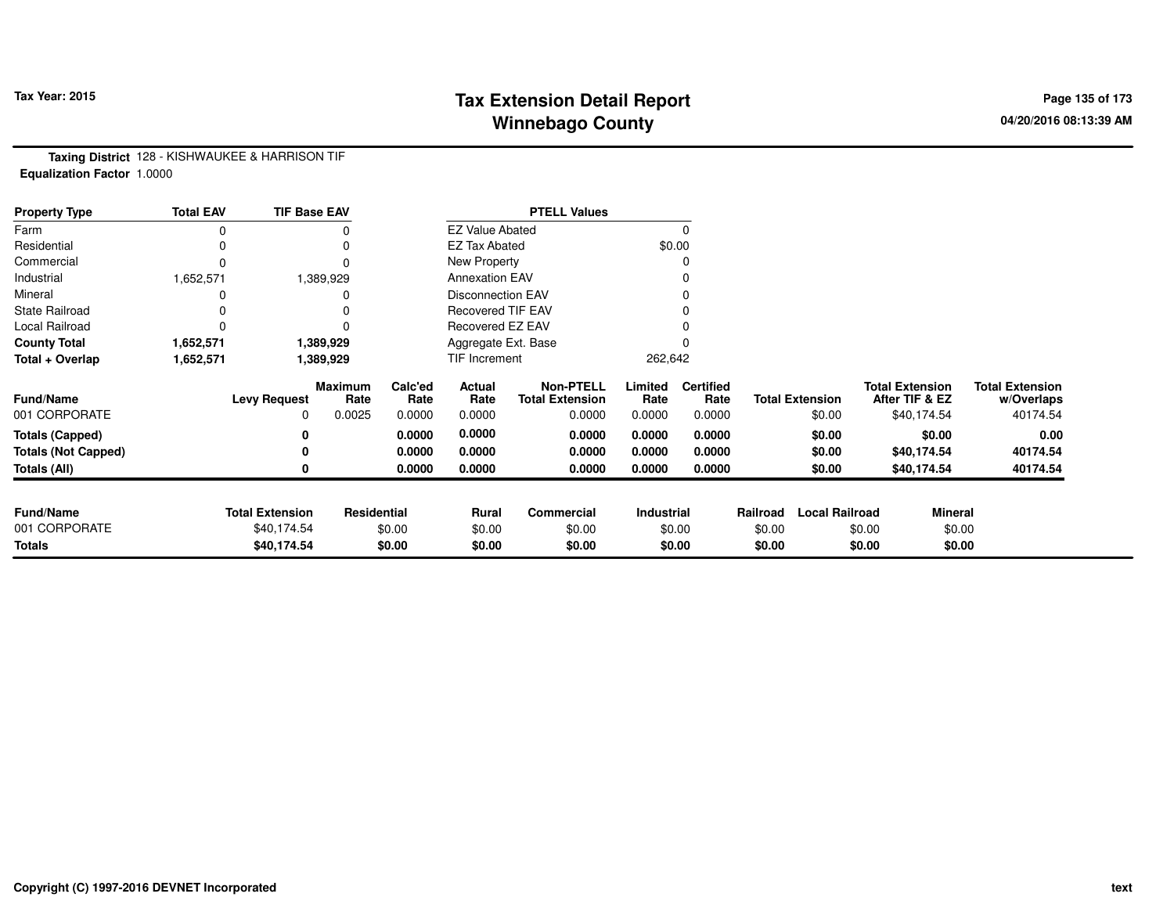# **Tax Extension Detail Report Tax Year: 2015 Page 135 of 173 Winnebago County**

**Taxing District** 128 - KISHWAUKEE & HARRISON TIF**Equalization Factor** 1.0000

| <b>Property Type</b>       | <b>Total EAV</b> | <b>TIF Base EAV</b>    |                        |                 |                          | <b>PTELL Values</b>                        |                 |                          |          |                        |        |                                          |                                      |
|----------------------------|------------------|------------------------|------------------------|-----------------|--------------------------|--------------------------------------------|-----------------|--------------------------|----------|------------------------|--------|------------------------------------------|--------------------------------------|
| Farm                       | 0                |                        | 0                      |                 | <b>EZ Value Abated</b>   |                                            |                 | 0                        |          |                        |        |                                          |                                      |
| Residential                | 0                |                        | 0                      |                 | <b>EZ Tax Abated</b>     |                                            |                 | \$0.00                   |          |                        |        |                                          |                                      |
| Commercial                 | $\Omega$         |                        | $\Omega$               |                 | New Property             |                                            |                 | 0                        |          |                        |        |                                          |                                      |
| Industrial                 | 1,652,571        |                        | 1,389,929              |                 | <b>Annexation EAV</b>    |                                            |                 |                          |          |                        |        |                                          |                                      |
| Mineral                    |                  |                        |                        |                 | <b>Disconnection EAV</b> |                                            |                 | 0                        |          |                        |        |                                          |                                      |
| <b>State Railroad</b>      |                  |                        |                        |                 | Recovered TIF EAV        |                                            |                 |                          |          |                        |        |                                          |                                      |
| Local Railroad             | 0                |                        |                        |                 | Recovered EZ EAV         |                                            |                 |                          |          |                        |        |                                          |                                      |
| <b>County Total</b>        | 1,652,571        |                        | 1,389,929              |                 | Aggregate Ext. Base      |                                            |                 |                          |          |                        |        |                                          |                                      |
| Total + Overlap            | 1,652,571        |                        | 1,389,929              |                 | TIF Increment            |                                            | 262,642         |                          |          |                        |        |                                          |                                      |
| <b>Fund/Name</b>           |                  | <b>Levy Request</b>    | <b>Maximum</b><br>Rate | Calc'ed<br>Rate | Actual<br>Rate           | <b>Non-PTELL</b><br><b>Total Extension</b> | Limited<br>Rate | <b>Certified</b><br>Rate |          | <b>Total Extension</b> |        | <b>Total Extension</b><br>After TIF & EZ | <b>Total Extension</b><br>w/Overlaps |
| 001 CORPORATE              |                  | 0                      | 0.0025                 | 0.0000          | 0.0000                   | 0.0000                                     | 0.0000          | 0.0000                   |          | \$0.00                 |        | \$40,174.54                              | 40174.54                             |
| <b>Totals (Capped)</b>     |                  | 0                      |                        | 0.0000          | 0.0000                   | 0.0000                                     | 0.0000          | 0.0000                   |          | \$0.00                 |        | \$0.00                                   | 0.00                                 |
| <b>Totals (Not Capped)</b> |                  | 0                      |                        | 0.0000          | 0.0000                   | 0.0000                                     | 0.0000          | 0.0000                   |          | \$0.00                 |        | \$40,174.54                              | 40174.54                             |
| Totals (All)               |                  | 0                      |                        | 0.0000          | 0.0000                   | 0.0000                                     | 0.0000          | 0.0000                   |          | \$0.00                 |        | \$40,174.54                              | 40174.54                             |
|                            |                  |                        |                        |                 |                          |                                            |                 |                          |          |                        |        |                                          |                                      |
| <b>Fund/Name</b>           |                  | <b>Total Extension</b> | <b>Residential</b>     |                 | Rural                    | Commercial                                 | Industrial      |                          | Railroad | <b>Local Railroad</b>  |        | Mineral                                  |                                      |
| 001 CORPORATE              |                  | \$40,174.54            |                        | \$0.00          | \$0.00                   | \$0.00                                     |                 | \$0.00                   | \$0.00   |                        | \$0.00 | \$0.00                                   |                                      |
| <b>Totals</b>              |                  | \$40,174.54            |                        | \$0.00          | \$0.00                   | \$0.00                                     |                 | \$0.00                   | \$0.00   |                        | \$0.00 | \$0.00                                   |                                      |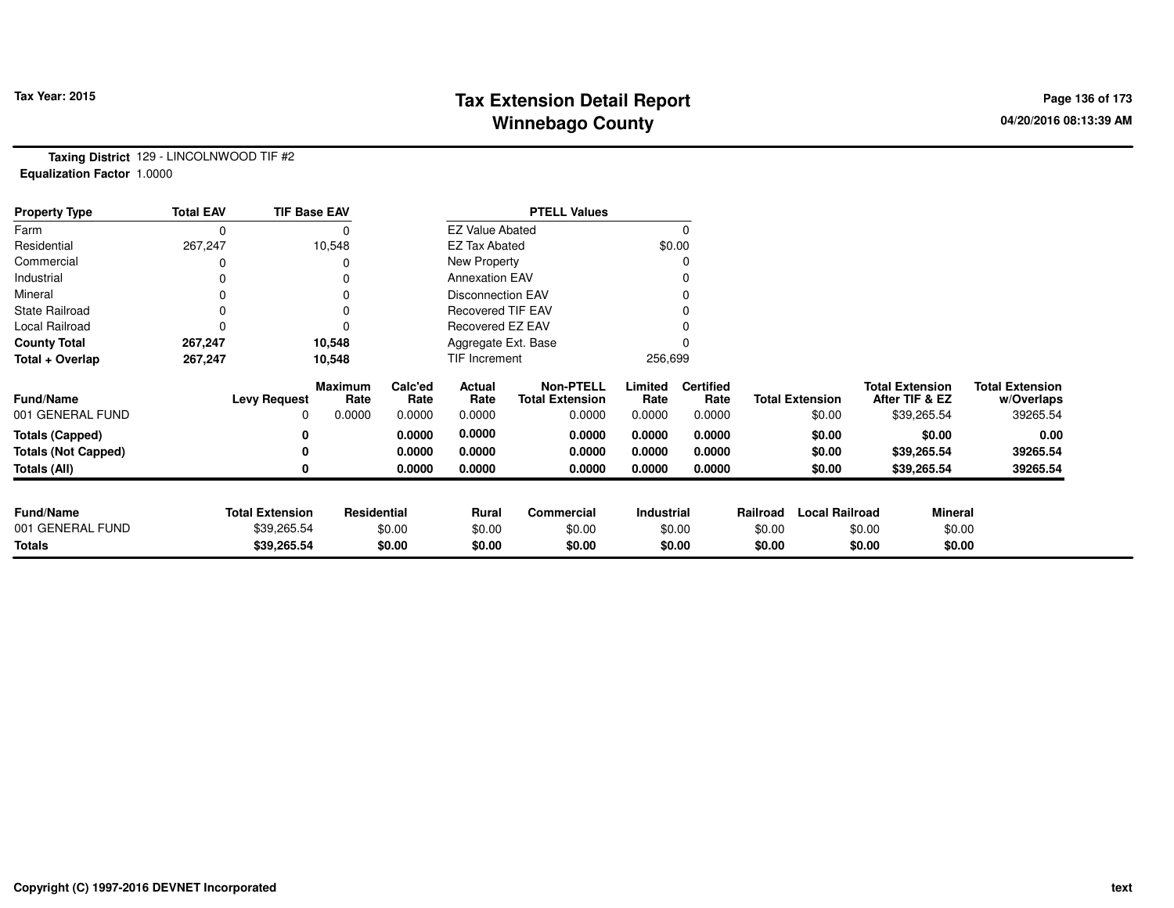# **Tax Extension Detail Report Tax Year: 2015 Page 136 of 173 Winnebago County**

**Taxing District** 129 - LINCOLNWOOD TIF #2**Equalization Factor** 1.0000

| <b>Property Type</b>       | <b>Total EAV</b> |                        | <b>TIF Base EAV</b> |                 |                          | <b>PTELL Values</b>                        |                 |                          |          |                        |        |                                          |                                      |
|----------------------------|------------------|------------------------|---------------------|-----------------|--------------------------|--------------------------------------------|-----------------|--------------------------|----------|------------------------|--------|------------------------------------------|--------------------------------------|
| Farm                       |                  |                        |                     |                 | <b>EZ Value Abated</b>   |                                            |                 | $\Omega$                 |          |                        |        |                                          |                                      |
| Residential                | 267,247          |                        | 10,548              |                 | <b>EZ Tax Abated</b>     |                                            |                 | \$0.00                   |          |                        |        |                                          |                                      |
| Commercial                 |                  |                        |                     |                 | New Property             |                                            |                 | 0                        |          |                        |        |                                          |                                      |
| Industrial                 |                  |                        |                     |                 | <b>Annexation EAV</b>    |                                            |                 |                          |          |                        |        |                                          |                                      |
| Mineral                    |                  |                        |                     |                 | <b>Disconnection EAV</b> |                                            |                 | 0                        |          |                        |        |                                          |                                      |
| <b>State Railroad</b>      |                  |                        |                     |                 | <b>Recovered TIF EAV</b> |                                            |                 |                          |          |                        |        |                                          |                                      |
| Local Railroad             |                  |                        |                     |                 | Recovered EZ EAV         |                                            |                 |                          |          |                        |        |                                          |                                      |
| <b>County Total</b>        | 267,247          |                        | 10,548              |                 | Aggregate Ext. Base      |                                            |                 |                          |          |                        |        |                                          |                                      |
| Total + Overlap            | 267,247          |                        | 10,548              |                 | TIF Increment            |                                            | 256,699         |                          |          |                        |        |                                          |                                      |
| <b>Fund/Name</b>           |                  | <b>Levy Request</b>    | Maximum<br>Rate     | Calc'ed<br>Rate | Actual<br>Rate           | <b>Non-PTELL</b><br><b>Total Extension</b> | Limited<br>Rate | <b>Certified</b><br>Rate |          | <b>Total Extension</b> |        | <b>Total Extension</b><br>After TIF & EZ | <b>Total Extension</b><br>w/Overlaps |
| 001 GENERAL FUND           |                  | 0                      | 0.0000              | 0.0000          | 0.0000                   | 0.0000                                     | 0.0000          | 0.0000                   |          | \$0.00                 |        | \$39,265.54                              | 39265.54                             |
| <b>Totals (Capped)</b>     |                  |                        |                     | 0.0000          | 0.0000                   | 0.0000                                     | 0.0000          | 0.0000                   |          | \$0.00                 |        | \$0.00                                   | 0.00                                 |
| <b>Totals (Not Capped)</b> |                  |                        |                     | 0.0000          | 0.0000                   | 0.0000                                     | 0.0000          | 0.0000                   |          | \$0.00                 |        | \$39,265.54                              | 39265.54                             |
| <b>Totals (All)</b>        |                  |                        |                     | 0.0000          | 0.0000                   | 0.0000                                     | 0.0000          | 0.0000                   |          | \$0.00                 |        | \$39,265.54                              | 39265.54                             |
| <b>Fund/Name</b>           |                  | <b>Total Extension</b> | Residential         |                 | Rural                    | Commercial                                 | Industrial      |                          | Railroad | <b>Local Railroad</b>  |        | <b>Mineral</b>                           |                                      |
| 001 GENERAL FUND           |                  | \$39,265.54            |                     | \$0.00          | \$0.00                   | \$0.00                                     |                 | \$0.00                   | \$0.00   |                        | \$0.00 | \$0.00                                   |                                      |
| <b>Totals</b>              |                  | \$39,265.54            |                     | \$0.00          | \$0.00                   | \$0.00                                     |                 | \$0.00                   | \$0.00   |                        | \$0.00 | \$0.00                                   |                                      |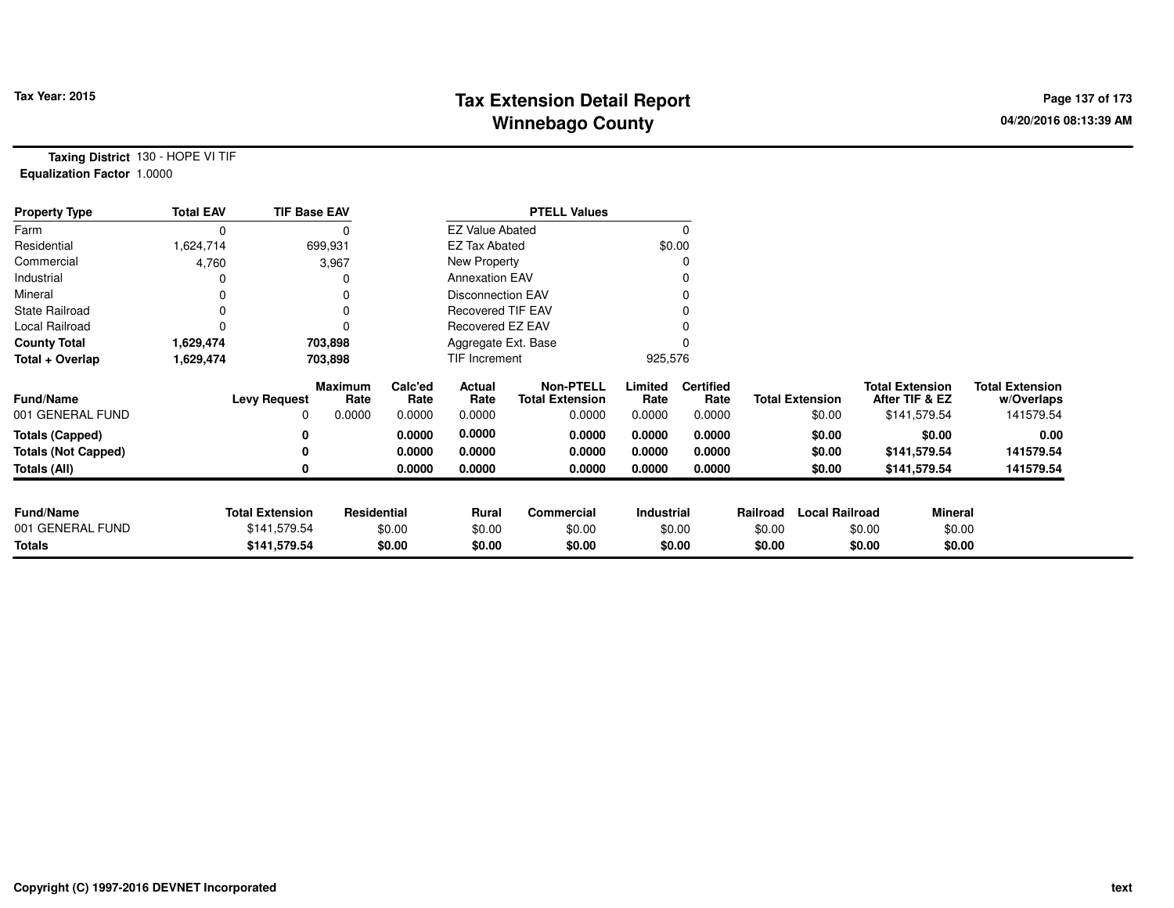# **Tax Extension Detail Report Tax Figure 2015 Page 137 of 173 Winnebago County**

**Taxing District** 130 - HOPE VI TIF**Equalization Factor** 1.0000

| <b>Property Type</b>       | <b>Total EAV</b> | <b>TIF Base EAV</b>    |                        |                 |                          | <b>PTELL Values</b>                        |                 |                          |          |                        |                                          |                |                                      |
|----------------------------|------------------|------------------------|------------------------|-----------------|--------------------------|--------------------------------------------|-----------------|--------------------------|----------|------------------------|------------------------------------------|----------------|--------------------------------------|
| Farm                       | 0                |                        |                        |                 | <b>EZ Value Abated</b>   |                                            |                 |                          |          |                        |                                          |                |                                      |
| Residential                | 1,624,714        |                        | 699,931                |                 | <b>EZ Tax Abated</b>     |                                            |                 | \$0.00                   |          |                        |                                          |                |                                      |
| Commercial                 | 4,760            |                        | 3,967                  |                 | New Property             |                                            |                 |                          |          |                        |                                          |                |                                      |
| Industrial                 |                  |                        |                        |                 | <b>Annexation EAV</b>    |                                            |                 |                          |          |                        |                                          |                |                                      |
| Mineral                    |                  |                        | 0                      |                 | <b>Disconnection EAV</b> |                                            |                 |                          |          |                        |                                          |                |                                      |
| <b>State Railroad</b>      |                  |                        | 0                      |                 | <b>Recovered TIF EAV</b> |                                            |                 |                          |          |                        |                                          |                |                                      |
| Local Railroad             |                  |                        | 0                      |                 | Recovered EZ EAV         |                                            |                 |                          |          |                        |                                          |                |                                      |
| <b>County Total</b>        | 1,629,474        |                        | 703,898                |                 | Aggregate Ext. Base      |                                            |                 |                          |          |                        |                                          |                |                                      |
| Total + Overlap            | 1,629,474        |                        | 703,898                |                 | TIF Increment            |                                            | 925,576         |                          |          |                        |                                          |                |                                      |
| <b>Fund/Name</b>           |                  | <b>Levy Request</b>    | <b>Maximum</b><br>Rate | Calc'ed<br>Rate | Actual<br>Rate           | <b>Non-PTELL</b><br><b>Total Extension</b> | Limited<br>Rate | <b>Certified</b><br>Rate |          | <b>Total Extension</b> | <b>Total Extension</b><br>After TIF & EZ |                | <b>Total Extension</b><br>w/Overlaps |
| 001 GENERAL FUND           |                  | 0                      | 0.0000                 | 0.0000          | 0.0000                   | 0.0000                                     | 0.0000          | 0.0000                   |          | \$0.00                 |                                          | \$141,579.54   | 141579.54                            |
| <b>Totals (Capped)</b>     |                  | 0                      |                        | 0.0000          | 0.0000                   | 0.0000                                     | 0.0000          | 0.0000                   |          | \$0.00                 |                                          | \$0.00         | 0.00                                 |
| <b>Totals (Not Capped)</b> |                  | 0                      |                        | 0.0000          | 0.0000                   | 0.0000                                     | 0.0000          | 0.0000                   |          | \$0.00                 |                                          | \$141,579.54   | 141579.54                            |
| Totals (All)               |                  | 0                      |                        | 0.0000          | 0.0000                   | 0.0000                                     | 0.0000          | 0.0000                   |          | \$0.00                 |                                          | \$141,579.54   | 141579.54                            |
| <b>Fund/Name</b>           |                  | <b>Total Extension</b> | Residential            |                 | Rural                    | Commercial                                 | Industrial      |                          | Railroad | <b>Local Railroad</b>  |                                          | <b>Mineral</b> |                                      |
| 001 GENERAL FUND           |                  | \$141,579.54           |                        | \$0.00          | \$0.00                   | \$0.00                                     |                 | \$0.00                   | \$0.00   |                        | \$0.00                                   | \$0.00         |                                      |
| <b>Totals</b>              |                  | \$141,579.54           |                        | \$0.00          | \$0.00                   | \$0.00                                     |                 | \$0.00                   | \$0.00   |                        | \$0.00                                   | \$0.00         |                                      |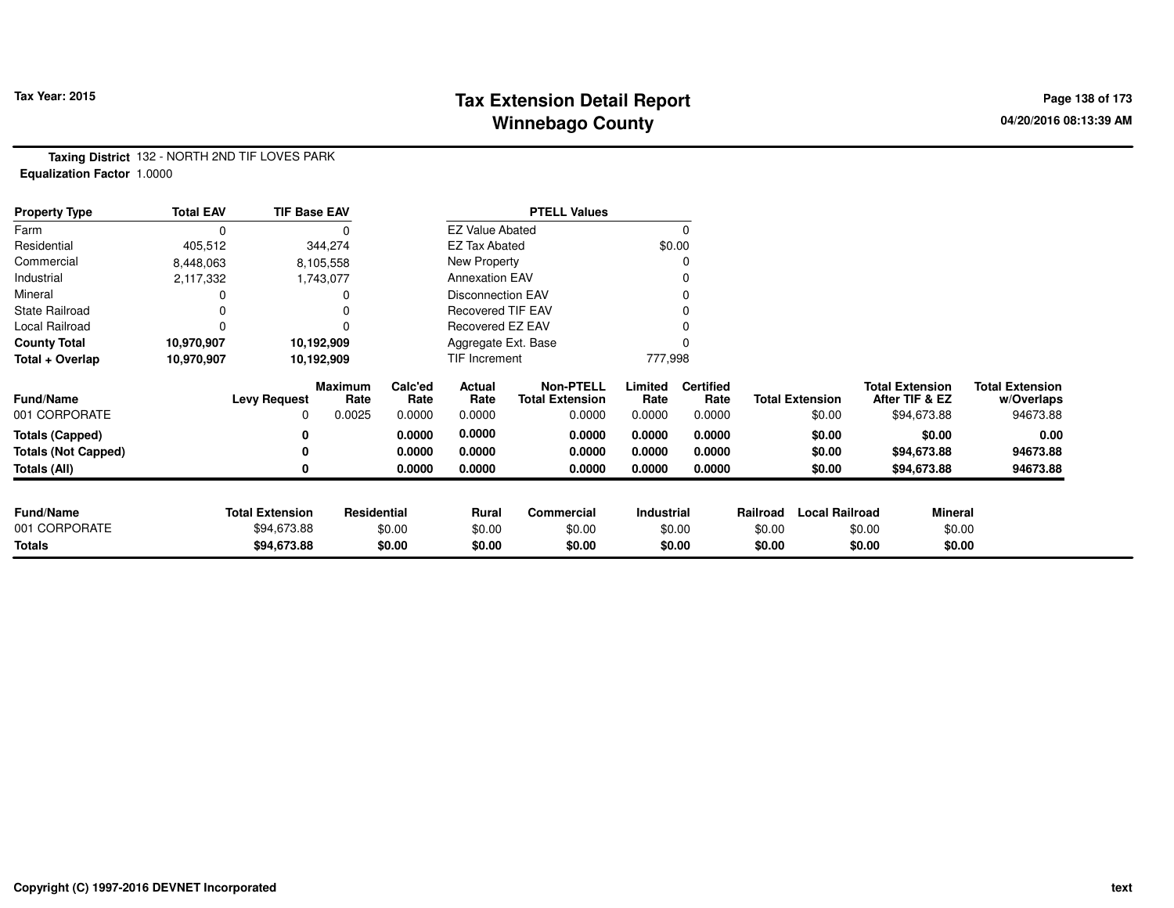# **Tax Extension Detail Report Tax Year: 2015 Page 138 of 173 Winnebago County**

**Taxing District** 132 - NORTH 2ND TIF LOVES PARK**Equalization Factor** 1.0000

| <b>Property Type</b>       | <b>Total EAV</b> | <b>TIF Base EAV</b>    |                    |                 |                          | <b>PTELL Values</b>                        |                 |                          |          |                        |                                          |                                      |
|----------------------------|------------------|------------------------|--------------------|-----------------|--------------------------|--------------------------------------------|-----------------|--------------------------|----------|------------------------|------------------------------------------|--------------------------------------|
| Farm                       | 0                |                        |                    |                 | <b>EZ Value Abated</b>   |                                            |                 |                          |          |                        |                                          |                                      |
| Residential                | 405,512          |                        | 344,274            |                 | <b>EZ Tax Abated</b>     |                                            |                 | \$0.00                   |          |                        |                                          |                                      |
| Commercial                 | 8,448,063        |                        | 8,105,558          |                 | New Property             |                                            |                 |                          |          |                        |                                          |                                      |
| Industrial                 | 2,117,332        |                        | 1,743,077          |                 | <b>Annexation EAV</b>    |                                            |                 |                          |          |                        |                                          |                                      |
| Mineral                    |                  |                        |                    |                 | <b>Disconnection EAV</b> |                                            |                 |                          |          |                        |                                          |                                      |
| <b>State Railroad</b>      |                  |                        |                    |                 | <b>Recovered TIF EAV</b> |                                            |                 |                          |          |                        |                                          |                                      |
| Local Railroad             | 0                |                        |                    |                 | Recovered EZ EAV         |                                            |                 |                          |          |                        |                                          |                                      |
| <b>County Total</b>        | 10,970,907       |                        | 10,192,909         |                 | Aggregate Ext. Base      |                                            |                 |                          |          |                        |                                          |                                      |
| Total + Overlap            | 10,970,907       |                        | 10,192,909         |                 | TIF Increment            |                                            | 777,998         |                          |          |                        |                                          |                                      |
| <b>Fund/Name</b>           |                  | <b>Levy Request</b>    | Maximum<br>Rate    | Calc'ed<br>Rate | Actual<br>Rate           | <b>Non-PTELL</b><br><b>Total Extension</b> | Limited<br>Rate | <b>Certified</b><br>Rate |          | <b>Total Extension</b> | <b>Total Extension</b><br>After TIF & EZ | <b>Total Extension</b><br>w/Overlaps |
| 001 CORPORATE              |                  | 0                      | 0.0025             | 0.0000          | 0.0000                   | 0.0000                                     | 0.0000          | 0.0000                   |          | \$0.00                 | \$94,673.88                              | 94673.88                             |
| <b>Totals (Capped)</b>     |                  |                        |                    | 0.0000          | 0.0000                   | 0.0000                                     | 0.0000          | 0.0000                   |          | \$0.00                 | \$0.00                                   | 0.00                                 |
| <b>Totals (Not Capped)</b> |                  |                        |                    | 0.0000          | 0.0000                   | 0.0000                                     | 0.0000          | 0.0000                   |          | \$0.00                 | \$94,673.88                              | 94673.88                             |
| Totals (All)               |                  |                        |                    | 0.0000          | 0.0000                   | 0.0000                                     | 0.0000          | 0.0000                   |          | \$0.00                 | \$94,673.88                              | 94673.88                             |
|                            |                  |                        |                    |                 |                          |                                            |                 |                          |          |                        |                                          |                                      |
| <b>Fund/Name</b>           |                  | <b>Total Extension</b> | <b>Residential</b> |                 | Rural                    | <b>Commercial</b>                          | Industrial      |                          | Railroad | <b>Local Railroad</b>  |                                          | <b>Mineral</b>                       |
| 001 CORPORATE              |                  | \$94,673.88            |                    | \$0.00          | \$0.00                   | \$0.00                                     |                 | \$0.00                   | \$0.00   |                        | \$0.00                                   | \$0.00                               |
| <b>Totals</b>              |                  | \$94,673.88            |                    | \$0.00          | \$0.00                   | \$0.00                                     |                 | \$0.00                   | \$0.00   |                        | \$0.00                                   | \$0.00                               |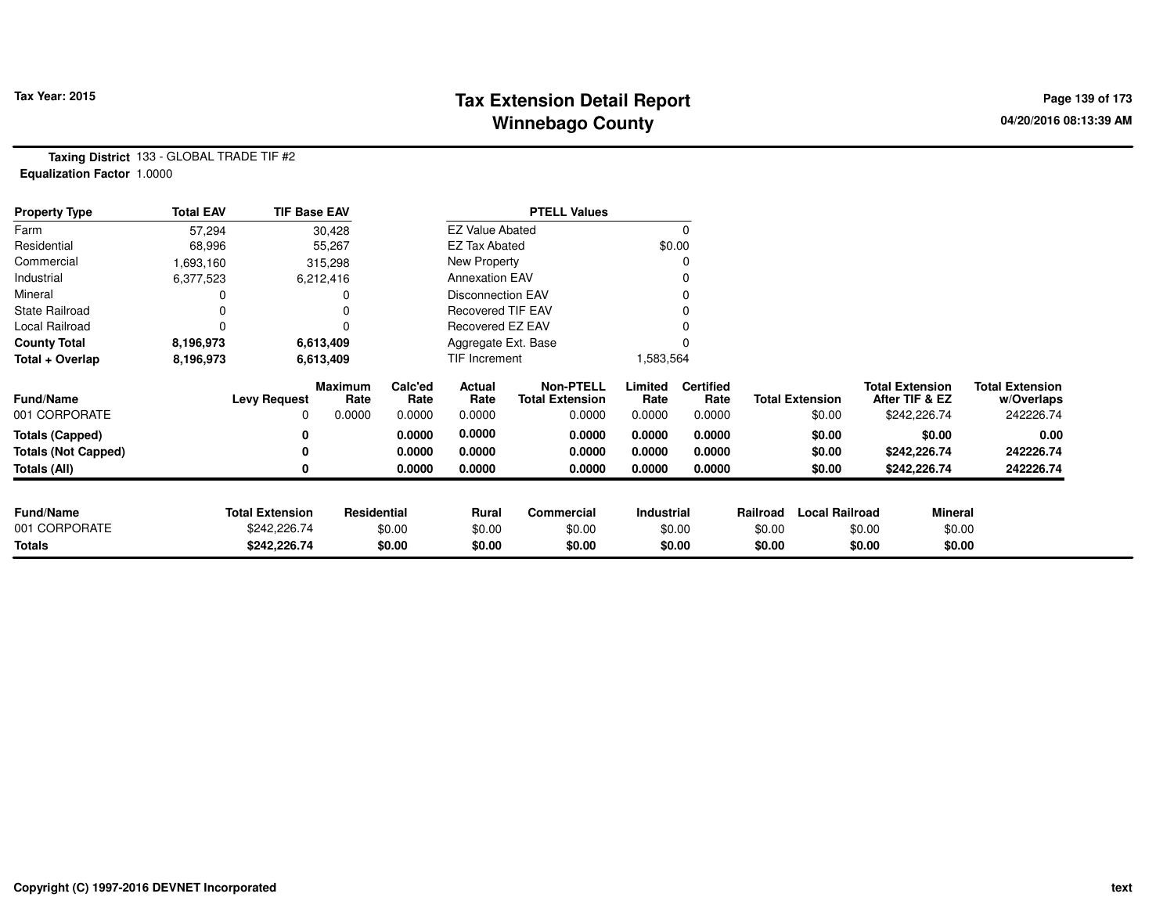# **Tax Extension Detail Report Tax Year: 2015 Page 139 of 173 Winnebago County**

**Taxing District** 133 - GLOBAL TRADE TIF #2**Equalization Factor** 1.0000

| <b>Property Type</b>       | <b>Total EAV</b> | <b>TIF Base EAV</b>    |                 |                 |                          | <b>PTELL Values</b>                        |                 |                          |          |                        |                                          |                                      |
|----------------------------|------------------|------------------------|-----------------|-----------------|--------------------------|--------------------------------------------|-----------------|--------------------------|----------|------------------------|------------------------------------------|--------------------------------------|
| Farm                       | 57,294           |                        | 30,428          |                 | <b>EZ Value Abated</b>   |                                            |                 | 0                        |          |                        |                                          |                                      |
| Residential                | 68,996           |                        | 55,267          |                 | <b>EZ Tax Abated</b>     |                                            |                 | \$0.00                   |          |                        |                                          |                                      |
| Commercial                 | 1,693,160        |                        | 315,298         |                 | New Property             |                                            |                 |                          |          |                        |                                          |                                      |
| Industrial                 | 6,377,523        |                        | 6,212,416       |                 | <b>Annexation EAV</b>    |                                            |                 |                          |          |                        |                                          |                                      |
| Mineral                    |                  |                        |                 |                 | <b>Disconnection EAV</b> |                                            |                 |                          |          |                        |                                          |                                      |
| <b>State Railroad</b>      |                  |                        |                 |                 | Recovered TIF EAV        |                                            |                 |                          |          |                        |                                          |                                      |
| Local Railroad             | 0                |                        |                 |                 | <b>Recovered EZ EAV</b>  |                                            |                 |                          |          |                        |                                          |                                      |
| <b>County Total</b>        | 8,196,973        |                        | 6,613,409       |                 | Aggregate Ext. Base      |                                            |                 |                          |          |                        |                                          |                                      |
| Total + Overlap            | 8,196,973        |                        | 6,613,409       |                 | TIF Increment            |                                            | 1,583,564       |                          |          |                        |                                          |                                      |
| <b>Fund/Name</b>           |                  | <b>Levy Request</b>    | Maximum<br>Rate | Calc'ed<br>Rate | Actual<br>Rate           | <b>Non-PTELL</b><br><b>Total Extension</b> | Limited<br>Rate | <b>Certified</b><br>Rate |          | <b>Total Extension</b> | <b>Total Extension</b><br>After TIF & EZ | <b>Total Extension</b><br>w/Overlaps |
| 001 CORPORATE              |                  | 0                      | 0.0000          | 0.0000          | 0.0000                   | 0.0000                                     | 0.0000          | 0.0000                   |          | \$0.00                 | \$242,226.74                             | 242226.74                            |
| <b>Totals (Capped)</b>     |                  | 0                      |                 | 0.0000          | 0.0000                   | 0.0000                                     | 0.0000          | 0.0000                   |          | \$0.00                 | \$0.00                                   | 0.00                                 |
| <b>Totals (Not Capped)</b> |                  |                        |                 | 0.0000          | 0.0000                   | 0.0000                                     | 0.0000          | 0.0000                   |          | \$0.00                 | \$242,226.74                             | 242226.74                            |
| Totals (All)               |                  | 0                      |                 | 0.0000          | 0.0000                   | 0.0000                                     | 0.0000          | 0.0000                   |          | \$0.00                 | \$242,226.74                             | 242226.74                            |
|                            |                  |                        |                 |                 |                          |                                            |                 |                          |          |                        |                                          |                                      |
| <b>Fund/Name</b>           |                  | <b>Total Extension</b> | Residential     |                 | <b>Rural</b>             | Commercial                                 | Industrial      |                          | Railroad | <b>Local Railroad</b>  | <b>Mineral</b>                           |                                      |
| 001 CORPORATE              |                  | \$242,226.74           |                 | \$0.00          | \$0.00                   | \$0.00                                     |                 | \$0.00                   | \$0.00   |                        | \$0.00                                   | \$0.00                               |
| <b>Totals</b>              |                  | \$242,226.74           |                 | \$0.00          | \$0.00                   | \$0.00                                     |                 | \$0.00                   | \$0.00   |                        | \$0.00                                   | \$0.00                               |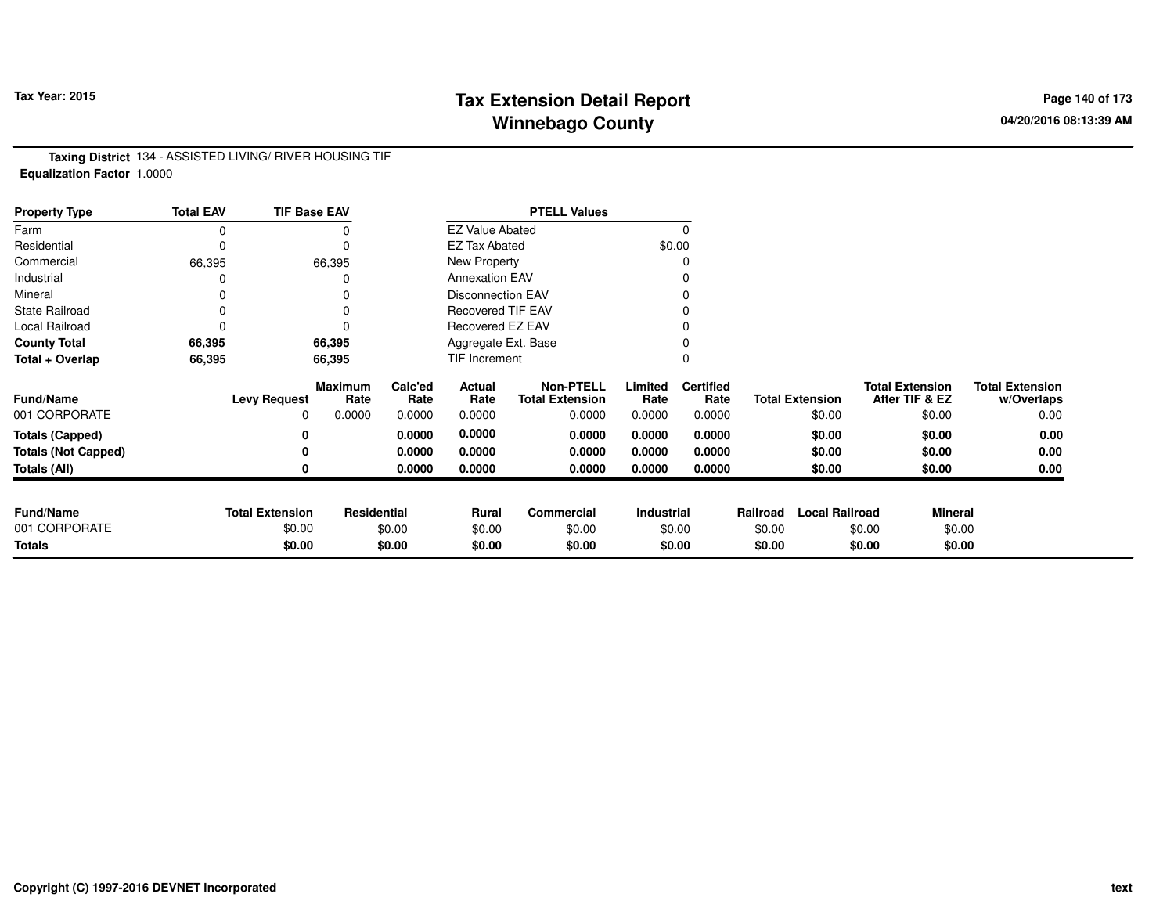# **Tax Extension Detail Report Tax Year: 2015 Page 140 of 173 Winnebago County**

**Taxing District** 134 - ASSISTED LIVING/ RIVER HOUSING TIF**Equalization Factor** 1.0000

| <b>Property Type</b>       | <b>Total EAV</b> | <b>TIF Base EAV</b>    |                 |                 |                          | <b>PTELL Values</b>                        |                 |                          |          |                        |                                          |                |                                      |
|----------------------------|------------------|------------------------|-----------------|-----------------|--------------------------|--------------------------------------------|-----------------|--------------------------|----------|------------------------|------------------------------------------|----------------|--------------------------------------|
| Farm                       |                  |                        |                 |                 | <b>EZ Value Abated</b>   |                                            |                 | $\Omega$                 |          |                        |                                          |                |                                      |
| Residential                |                  |                        | 0               |                 | <b>EZ Tax Abated</b>     |                                            |                 | \$0.00                   |          |                        |                                          |                |                                      |
| Commercial                 | 66,395           |                        | 66,395          |                 | New Property             |                                            |                 |                          |          |                        |                                          |                |                                      |
| Industrial                 |                  |                        |                 |                 | <b>Annexation EAV</b>    |                                            |                 |                          |          |                        |                                          |                |                                      |
| Mineral                    |                  |                        |                 |                 | Disconnection EAV        |                                            |                 |                          |          |                        |                                          |                |                                      |
| <b>State Railroad</b>      |                  |                        |                 |                 | <b>Recovered TIF EAV</b> |                                            |                 |                          |          |                        |                                          |                |                                      |
| Local Railroad             |                  |                        |                 |                 | Recovered EZ EAV         |                                            |                 |                          |          |                        |                                          |                |                                      |
| <b>County Total</b>        | 66,395           |                        | 66,395          |                 | Aggregate Ext. Base      |                                            |                 |                          |          |                        |                                          |                |                                      |
| Total + Overlap            | 66,395           |                        | 66,395          |                 | TIF Increment            |                                            |                 |                          |          |                        |                                          |                |                                      |
| <b>Fund/Name</b>           |                  | <b>Levy Request</b>    | Maximum<br>Rate | Calc'ed<br>Rate | Actual<br>Rate           | <b>Non-PTELL</b><br><b>Total Extension</b> | Limited<br>Rate | <b>Certified</b><br>Rate |          | <b>Total Extension</b> | <b>Total Extension</b><br>After TIF & EZ |                | <b>Total Extension</b><br>w/Overlaps |
| 001 CORPORATE              |                  | 0                      | 0.0000          | 0.0000          | 0.0000                   | 0.0000                                     | 0.0000          | 0.0000                   |          | \$0.00                 | \$0.00                                   |                | 0.00                                 |
| <b>Totals (Capped)</b>     |                  |                        |                 | 0.0000          | 0.0000                   | 0.0000                                     | 0.0000          | 0.0000                   |          | \$0.00                 | \$0.00                                   |                | 0.00                                 |
| <b>Totals (Not Capped)</b> |                  |                        |                 | 0.0000          | 0.0000                   | 0.0000                                     | 0.0000          | 0.0000                   |          | \$0.00                 | \$0.00                                   |                | 0.00                                 |
| Totals (All)               |                  |                        |                 | 0.0000          | 0.0000                   | 0.0000                                     | 0.0000          | 0.0000                   |          | \$0.00                 | \$0.00                                   |                | 0.00                                 |
|                            |                  |                        |                 |                 |                          |                                            |                 |                          |          |                        |                                          |                |                                      |
| <b>Fund/Name</b>           |                  | <b>Total Extension</b> | Residential     |                 | Rural                    | Commercial                                 | Industrial      |                          | Railroad | <b>Local Railroad</b>  |                                          | <b>Mineral</b> |                                      |
| 001 CORPORATE              |                  | \$0.00                 |                 | \$0.00          | \$0.00                   | \$0.00                                     |                 | \$0.00                   | \$0.00   |                        | \$0.00                                   | \$0.00         |                                      |
| <b>Totals</b>              |                  | \$0.00                 |                 | \$0.00          | \$0.00                   | \$0.00                                     |                 | \$0.00                   | \$0.00   |                        | \$0.00                                   | \$0.00         |                                      |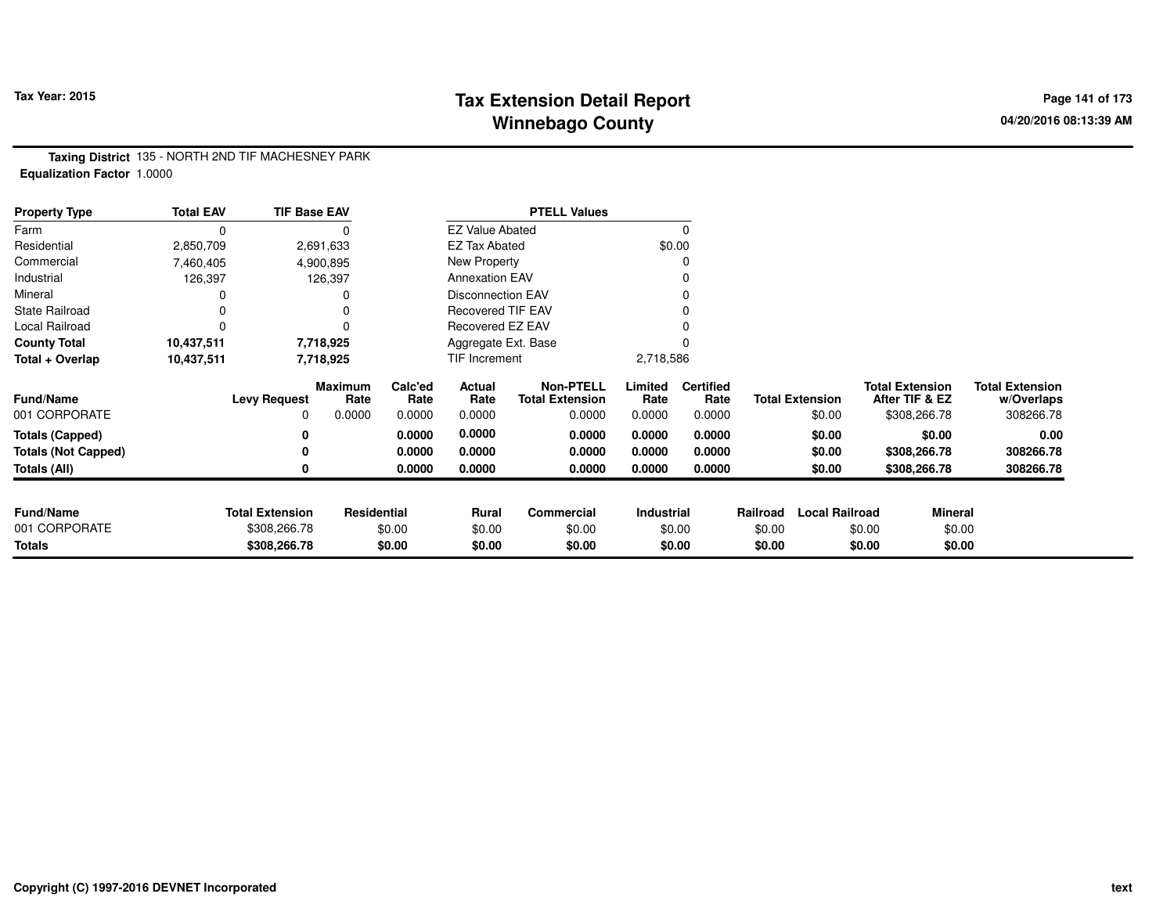# **Tax Extension Detail Report Tax Year: 2015 Page 141 of 173 Winnebago County**

**Taxing District** 135 - NORTH 2ND TIF MACHESNEY PARK**Equalization Factor** 1.0000

| <b>Property Type</b>       | <b>Total EAV</b> | <b>TIF Base EAV</b>    |                        |                 |                          | <b>PTELL Values</b>                        |                 |                          |          |                        |                                          |                                      |
|----------------------------|------------------|------------------------|------------------------|-----------------|--------------------------|--------------------------------------------|-----------------|--------------------------|----------|------------------------|------------------------------------------|--------------------------------------|
| Farm                       | $\Omega$         |                        |                        |                 | <b>EZ Value Abated</b>   |                                            |                 |                          |          |                        |                                          |                                      |
| Residential                | 2,850,709        |                        | 2,691,633              |                 | <b>EZ Tax Abated</b>     |                                            |                 | \$0.00                   |          |                        |                                          |                                      |
| Commercial                 | 7,460,405        |                        | 4,900,895              |                 | New Property             |                                            |                 |                          |          |                        |                                          |                                      |
| Industrial                 | 126,397          |                        | 126,397                |                 | <b>Annexation EAV</b>    |                                            |                 |                          |          |                        |                                          |                                      |
| Mineral                    |                  |                        |                        |                 | <b>Disconnection EAV</b> |                                            |                 |                          |          |                        |                                          |                                      |
| <b>State Railroad</b>      |                  |                        |                        |                 | <b>Recovered TIF EAV</b> |                                            |                 |                          |          |                        |                                          |                                      |
| Local Railroad             |                  |                        |                        |                 | Recovered EZ EAV         |                                            |                 |                          |          |                        |                                          |                                      |
| <b>County Total</b>        | 10,437,511       |                        | 7,718,925              |                 | Aggregate Ext. Base      |                                            |                 |                          |          |                        |                                          |                                      |
| Total + Overlap            | 10,437,511       |                        | 7,718,925              |                 | TIF Increment            |                                            | 2,718,586       |                          |          |                        |                                          |                                      |
| <b>Fund/Name</b>           |                  | <b>Levy Request</b>    | <b>Maximum</b><br>Rate | Calc'ed<br>Rate | Actual<br>Rate           | <b>Non-PTELL</b><br><b>Total Extension</b> | Limited<br>Rate | <b>Certified</b><br>Rate |          | <b>Total Extension</b> | <b>Total Extension</b><br>After TIF & EZ | <b>Total Extension</b><br>w/Overlaps |
| 001 CORPORATE              |                  | $\Omega$               | 0.0000                 | 0.0000          | 0.0000                   | 0.0000                                     | 0.0000          | 0.0000                   |          | \$0.00                 | \$308,266.78                             | 308266.78                            |
| <b>Totals (Capped)</b>     |                  | 0                      |                        | 0.0000          | 0.0000                   | 0.0000                                     | 0.0000          | 0.0000                   |          | \$0.00                 | \$0.00                                   | 0.00                                 |
| <b>Totals (Not Capped)</b> |                  |                        |                        | 0.0000          | 0.0000                   | 0.0000                                     | 0.0000          | 0.0000                   |          | \$0.00                 | \$308,266.78                             | 308266.78                            |
| Totals (All)               |                  |                        |                        | 0.0000          | 0.0000                   | 0.0000                                     | 0.0000          | 0.0000                   |          | \$0.00                 | \$308,266.78                             | 308266.78                            |
|                            |                  |                        |                        |                 |                          |                                            |                 |                          |          |                        |                                          |                                      |
| <b>Fund/Name</b>           |                  | <b>Total Extension</b> | <b>Residential</b>     |                 | <b>Rural</b>             | Commercial                                 | Industrial      |                          | Railroad | <b>Local Railroad</b>  |                                          | <b>Mineral</b>                       |
| 001 CORPORATE              |                  | \$308,266.78           |                        | \$0.00          | \$0.00                   | \$0.00                                     |                 | \$0.00                   | \$0.00   |                        | \$0.00                                   | \$0.00                               |
| Totals                     |                  | \$308,266.78           |                        | \$0.00          | \$0.00                   | \$0.00                                     |                 | \$0.00                   | \$0.00   |                        | \$0.00                                   | \$0.00                               |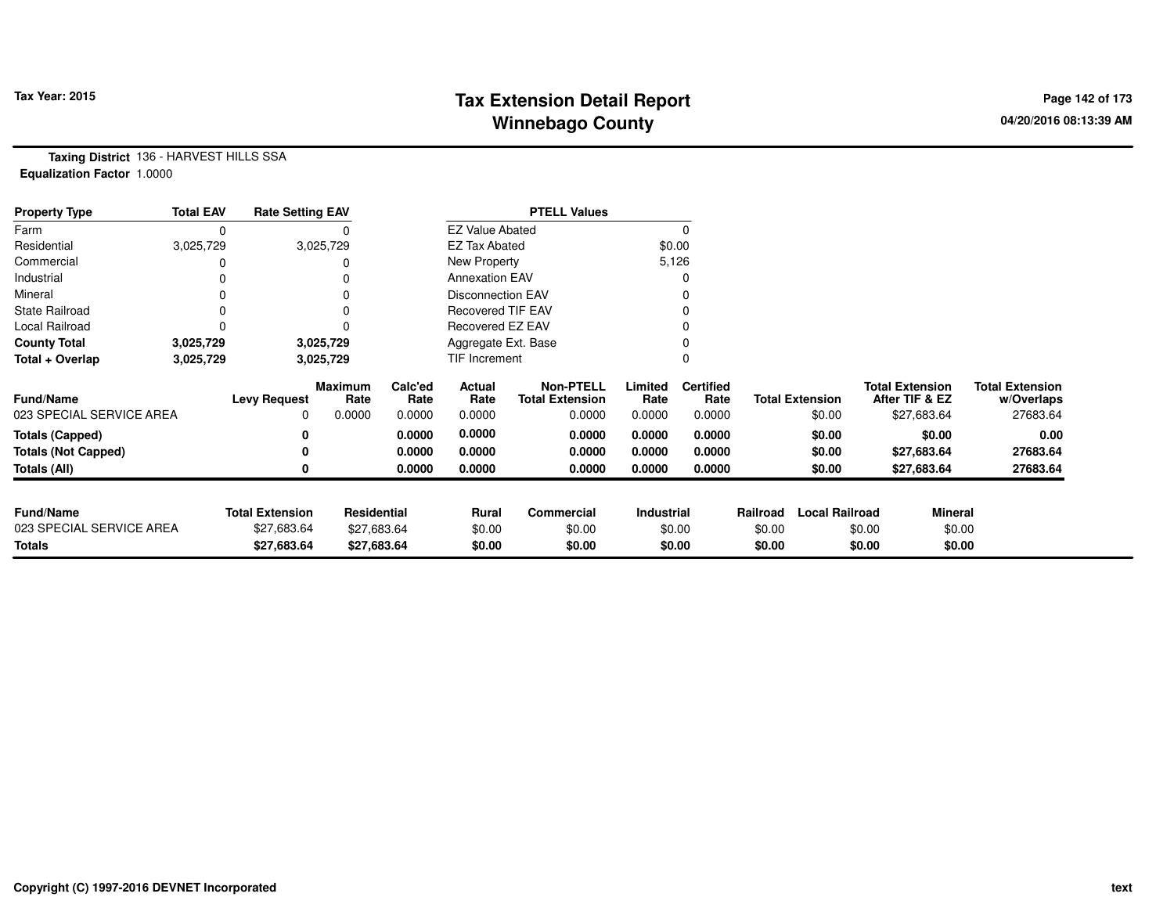## **Tax Extension Detail Report Tax Year: 2015 Page 142 of 173 Winnebago County**

**Taxing District** 136 - HARVEST HILLS SSA**Equalization Factor** 1.0000

| <b>Property Type</b>       | <b>Total EAV</b> | <b>Rate Setting EAV</b> |                        |                 |                          | <b>PTELL Values</b>                        |                 |                          |          |                        |        |                                          |                                      |
|----------------------------|------------------|-------------------------|------------------------|-----------------|--------------------------|--------------------------------------------|-----------------|--------------------------|----------|------------------------|--------|------------------------------------------|--------------------------------------|
| Farm                       | 0                |                         |                        |                 | <b>EZ Value Abated</b>   |                                            |                 |                          |          |                        |        |                                          |                                      |
| Residential                | 3,025,729        |                         | 3,025,729              |                 | <b>EZ Tax Abated</b>     |                                            | \$0.00          |                          |          |                        |        |                                          |                                      |
| Commercial                 |                  |                         |                        |                 | New Property             |                                            | 5,126           |                          |          |                        |        |                                          |                                      |
| Industrial                 |                  |                         |                        |                 | <b>Annexation EAV</b>    |                                            |                 |                          |          |                        |        |                                          |                                      |
| Mineral                    |                  |                         |                        |                 | <b>Disconnection EAV</b> |                                            |                 |                          |          |                        |        |                                          |                                      |
| <b>State Railroad</b>      | O                |                         |                        |                 | <b>Recovered TIF EAV</b> |                                            |                 |                          |          |                        |        |                                          |                                      |
| Local Railroad             |                  |                         |                        |                 | Recovered EZ EAV         |                                            |                 |                          |          |                        |        |                                          |                                      |
| <b>County Total</b>        | 3,025,729        |                         | 3,025,729              |                 | Aggregate Ext. Base      |                                            |                 |                          |          |                        |        |                                          |                                      |
| Total + Overlap            | 3,025,729        |                         | 3,025,729              |                 | TIF Increment            |                                            |                 |                          |          |                        |        |                                          |                                      |
| <b>Fund/Name</b>           |                  | <b>Levy Request</b>     | <b>Maximum</b><br>Rate | Calc'ed<br>Rate | Actual<br>Rate           | <b>Non-PTELL</b><br><b>Total Extension</b> | Limited<br>Rate | <b>Certified</b><br>Rate |          | <b>Total Extension</b> |        | <b>Total Extension</b><br>After TIF & EZ | <b>Total Extension</b><br>w/Overlaps |
| 023 SPECIAL SERVICE AREA   |                  | 0                       | 0.0000                 | 0.0000          | 0.0000                   | 0.0000                                     | 0.0000          | 0.0000                   |          | \$0.00                 |        | \$27,683.64                              | 27683.64                             |
| <b>Totals (Capped)</b>     |                  | 0                       |                        | 0.0000          | 0.0000                   | 0.0000                                     | 0.0000          | 0.0000                   |          | \$0.00                 |        | \$0.00                                   | 0.00                                 |
| <b>Totals (Not Capped)</b> |                  | 0                       |                        | 0.0000          | 0.0000                   | 0.0000                                     | 0.0000          | 0.0000                   |          | \$0.00                 |        | \$27,683.64                              | 27683.64                             |
| Totals (All)               |                  |                         |                        | 0.0000          | 0.0000                   | 0.0000                                     | 0.0000          | 0.0000                   |          | \$0.00                 |        | \$27,683.64                              | 27683.64                             |
|                            |                  |                         |                        |                 |                          |                                            |                 |                          |          |                        |        |                                          |                                      |
| <b>Fund/Name</b>           |                  | <b>Total Extension</b>  | Residential            |                 | <b>Rural</b>             | Commercial                                 | Industrial      |                          | Railroad | <b>Local Railroad</b>  |        | Mineral                                  |                                      |
| 023 SPECIAL SERVICE AREA   |                  | \$27,683.64             | \$27,683.64            |                 | \$0.00                   | \$0.00                                     |                 | \$0.00                   | \$0.00   |                        | \$0.00 | \$0.00                                   |                                      |
| <b>Totals</b>              |                  | \$27,683.64             | \$27,683.64            |                 | \$0.00                   | \$0.00                                     |                 | \$0.00                   | \$0.00   |                        | \$0.00 | \$0.00                                   |                                      |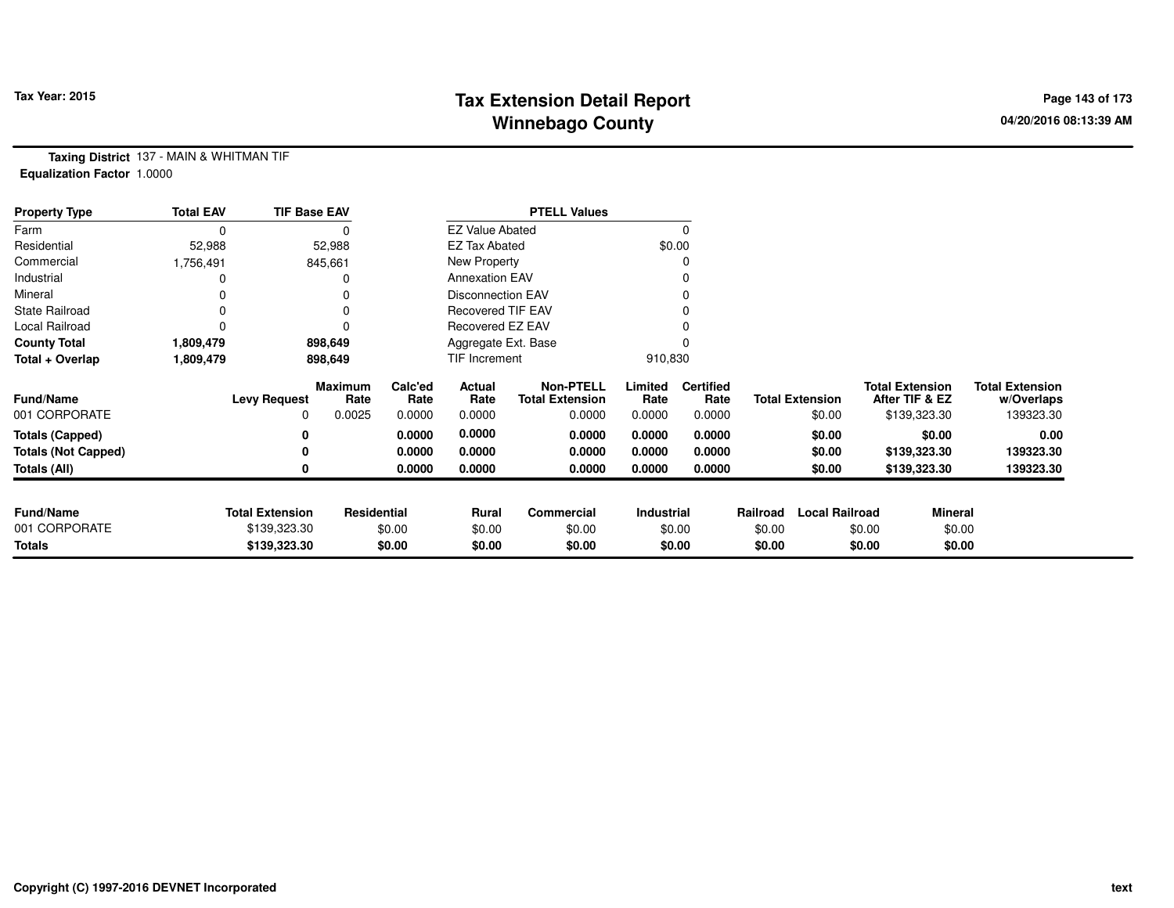# **Tax Extension Detail Report Tax Year: 2015 Page 143 of 173 Winnebago County**

**Taxing District** 137 - MAIN & WHITMAN TIF**Equalization Factor** 1.0000

| <b>Property Type</b>       | <b>Total EAV</b> | <b>TIF Base EAV</b>    |                        |                 |                          | <b>PTELL Values</b>                        |                 |                          |          |                        |                                          |                |                                      |
|----------------------------|------------------|------------------------|------------------------|-----------------|--------------------------|--------------------------------------------|-----------------|--------------------------|----------|------------------------|------------------------------------------|----------------|--------------------------------------|
| Farm                       | 0                |                        |                        |                 | <b>EZ Value Abated</b>   |                                            |                 |                          |          |                        |                                          |                |                                      |
| Residential                | 52,988           |                        | 52,988                 |                 | <b>EZ Tax Abated</b>     |                                            |                 | \$0.00                   |          |                        |                                          |                |                                      |
| Commercial                 | 1,756,491        |                        | 845,661                |                 | New Property             |                                            |                 |                          |          |                        |                                          |                |                                      |
| Industrial                 |                  |                        |                        |                 | <b>Annexation EAV</b>    |                                            |                 |                          |          |                        |                                          |                |                                      |
| Mineral                    |                  |                        |                        |                 | <b>Disconnection EAV</b> |                                            |                 |                          |          |                        |                                          |                |                                      |
| <b>State Railroad</b>      |                  |                        | 0                      |                 | <b>Recovered TIF EAV</b> |                                            |                 |                          |          |                        |                                          |                |                                      |
| Local Railroad             |                  |                        | 0                      |                 | Recovered EZ EAV         |                                            |                 |                          |          |                        |                                          |                |                                      |
| <b>County Total</b>        | 1,809,479        |                        | 898,649                |                 | Aggregate Ext. Base      |                                            |                 |                          |          |                        |                                          |                |                                      |
| Total + Overlap            | 1,809,479        |                        | 898,649                |                 | TIF Increment            |                                            | 910,830         |                          |          |                        |                                          |                |                                      |
| <b>Fund/Name</b>           |                  | <b>Levy Request</b>    | <b>Maximum</b><br>Rate | Calc'ed<br>Rate | Actual<br>Rate           | <b>Non-PTELL</b><br><b>Total Extension</b> | Limited<br>Rate | <b>Certified</b><br>Rate |          | <b>Total Extension</b> | <b>Total Extension</b><br>After TIF & EZ |                | <b>Total Extension</b><br>w/Overlaps |
| 001 CORPORATE              |                  | 0                      | 0.0025                 | 0.0000          | 0.0000                   | 0.0000                                     | 0.0000          | 0.0000                   |          | \$0.00                 |                                          | \$139,323.30   | 139323.30                            |
| <b>Totals (Capped)</b>     |                  | 0                      |                        | 0.0000          | 0.0000                   | 0.0000                                     | 0.0000          | 0.0000                   |          | \$0.00                 |                                          | \$0.00         | 0.00                                 |
| <b>Totals (Not Capped)</b> |                  | 0                      |                        | 0.0000          | 0.0000                   | 0.0000                                     | 0.0000          | 0.0000                   |          | \$0.00                 |                                          | \$139,323.30   | 139323.30                            |
| <b>Totals (All)</b>        |                  | 0                      |                        | 0.0000          | 0.0000                   | 0.0000                                     | 0.0000          | 0.0000                   |          | \$0.00                 |                                          | \$139,323.30   | 139323.30                            |
| <b>Fund/Name</b>           |                  |                        |                        |                 |                          |                                            |                 |                          |          |                        |                                          | <b>Mineral</b> |                                      |
| 001 CORPORATE              |                  | <b>Total Extension</b> | Residential            |                 | <b>Rural</b>             | Commercial                                 | Industrial      |                          | Railroad | <b>Local Railroad</b>  |                                          |                |                                      |
|                            |                  | \$139,323.30           |                        | \$0.00          | \$0.00                   | \$0.00                                     |                 | \$0.00                   | \$0.00   |                        | \$0.00                                   | \$0.00         |                                      |
| <b>Totals</b>              |                  | \$139,323.30           |                        | \$0.00          | \$0.00                   | \$0.00                                     |                 | \$0.00                   | \$0.00   |                        | \$0.00                                   | \$0.00         |                                      |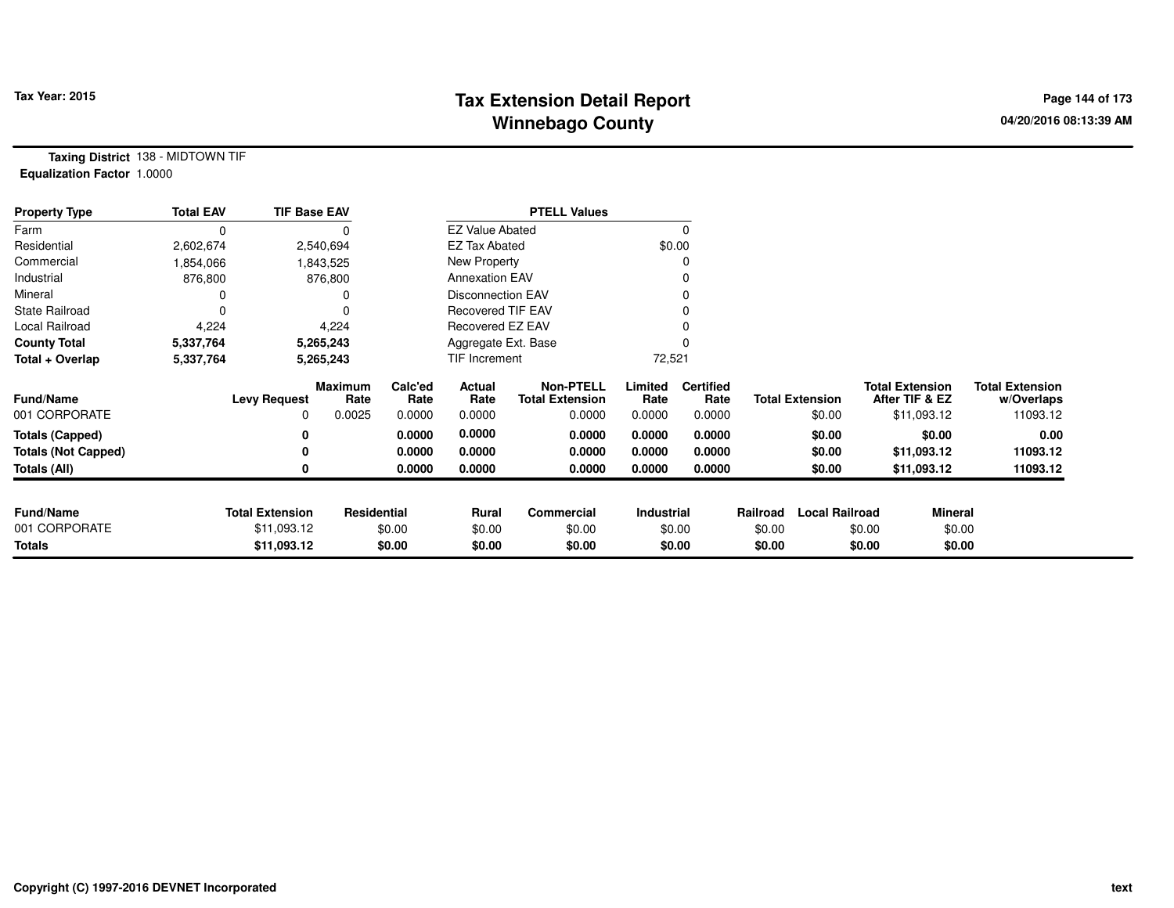# **Tax Extension Detail Report Tax Year: 2015 Page 144 of 173 Winnebago County**

**Taxing District** 138 - MIDTOWN TIF**Equalization Factor** 1.0000

| <b>Property Type</b>       | <b>Total EAV</b> | <b>TIF Base EAV</b>    |                        |                 |                          | <b>PTELL Values</b>                        |                 |                          |          |                        |        |                                          |                                      |
|----------------------------|------------------|------------------------|------------------------|-----------------|--------------------------|--------------------------------------------|-----------------|--------------------------|----------|------------------------|--------|------------------------------------------|--------------------------------------|
| Farm                       | 0                |                        |                        |                 | <b>EZ Value Abated</b>   |                                            |                 |                          |          |                        |        |                                          |                                      |
| Residential                | 2,602,674        |                        | 2,540,694              |                 | <b>EZ Tax Abated</b>     |                                            |                 | \$0.00                   |          |                        |        |                                          |                                      |
| Commercial                 | 1,854,066        |                        | 1,843,525              |                 | New Property             |                                            |                 |                          |          |                        |        |                                          |                                      |
| Industrial                 | 876,800          |                        | 876,800                |                 | <b>Annexation EAV</b>    |                                            |                 |                          |          |                        |        |                                          |                                      |
| Mineral                    |                  |                        |                        |                 | <b>Disconnection EAV</b> |                                            |                 |                          |          |                        |        |                                          |                                      |
| <b>State Railroad</b>      |                  |                        | $\Omega$               |                 | <b>Recovered TIF EAV</b> |                                            |                 |                          |          |                        |        |                                          |                                      |
| Local Railroad             | 4,224            |                        | 4,224                  |                 | Recovered EZ EAV         |                                            |                 |                          |          |                        |        |                                          |                                      |
| <b>County Total</b>        | 5,337,764        |                        | 5,265,243              |                 | Aggregate Ext. Base      |                                            |                 |                          |          |                        |        |                                          |                                      |
| Total + Overlap            | 5,337,764        |                        | 5,265,243              |                 | TIF Increment            |                                            | 72,521          |                          |          |                        |        |                                          |                                      |
| <b>Fund/Name</b>           |                  | <b>Levy Request</b>    | <b>Maximum</b><br>Rate | Calc'ed<br>Rate | Actual<br>Rate           | <b>Non-PTELL</b><br><b>Total Extension</b> | Limited<br>Rate | <b>Certified</b><br>Rate |          | <b>Total Extension</b> |        | <b>Total Extension</b><br>After TIF & EZ | <b>Total Extension</b><br>w/Overlaps |
| 001 CORPORATE              |                  | 0                      | 0.0025                 | 0.0000          | 0.0000                   | 0.0000                                     | 0.0000          | 0.0000                   |          | \$0.00                 |        | \$11,093.12                              | 11093.12                             |
| <b>Totals (Capped)</b>     |                  | 0                      |                        | 0.0000          | 0.0000                   | 0.0000                                     | 0.0000          | 0.0000                   |          | \$0.00                 |        | \$0.00                                   | 0.00                                 |
| <b>Totals (Not Capped)</b> |                  | 0                      |                        | 0.0000          | 0.0000                   | 0.0000                                     | 0.0000          | 0.0000                   |          | \$0.00                 |        | \$11,093.12                              | 11093.12                             |
| Totals (All)               |                  |                        |                        | 0.0000          | 0.0000                   | 0.0000                                     | 0.0000          | 0.0000                   |          | \$0.00                 |        | \$11,093.12                              | 11093.12                             |
|                            |                  |                        |                        |                 |                          |                                            |                 |                          |          |                        |        |                                          |                                      |
| <b>Fund/Name</b>           |                  | <b>Total Extension</b> | Residential            |                 | <b>Rural</b>             | Commercial                                 | Industrial      |                          | Railroad | <b>Local Railroad</b>  |        | <b>Mineral</b>                           |                                      |
| 001 CORPORATE              |                  | \$11,093.12            |                        | \$0.00          | \$0.00                   | \$0.00                                     |                 | \$0.00                   | \$0.00   |                        | \$0.00 | \$0.00                                   |                                      |
| <b>Totals</b>              |                  | \$11,093.12            |                        | \$0.00          | \$0.00                   | \$0.00                                     |                 | \$0.00                   | \$0.00   |                        | \$0.00 | \$0.00                                   |                                      |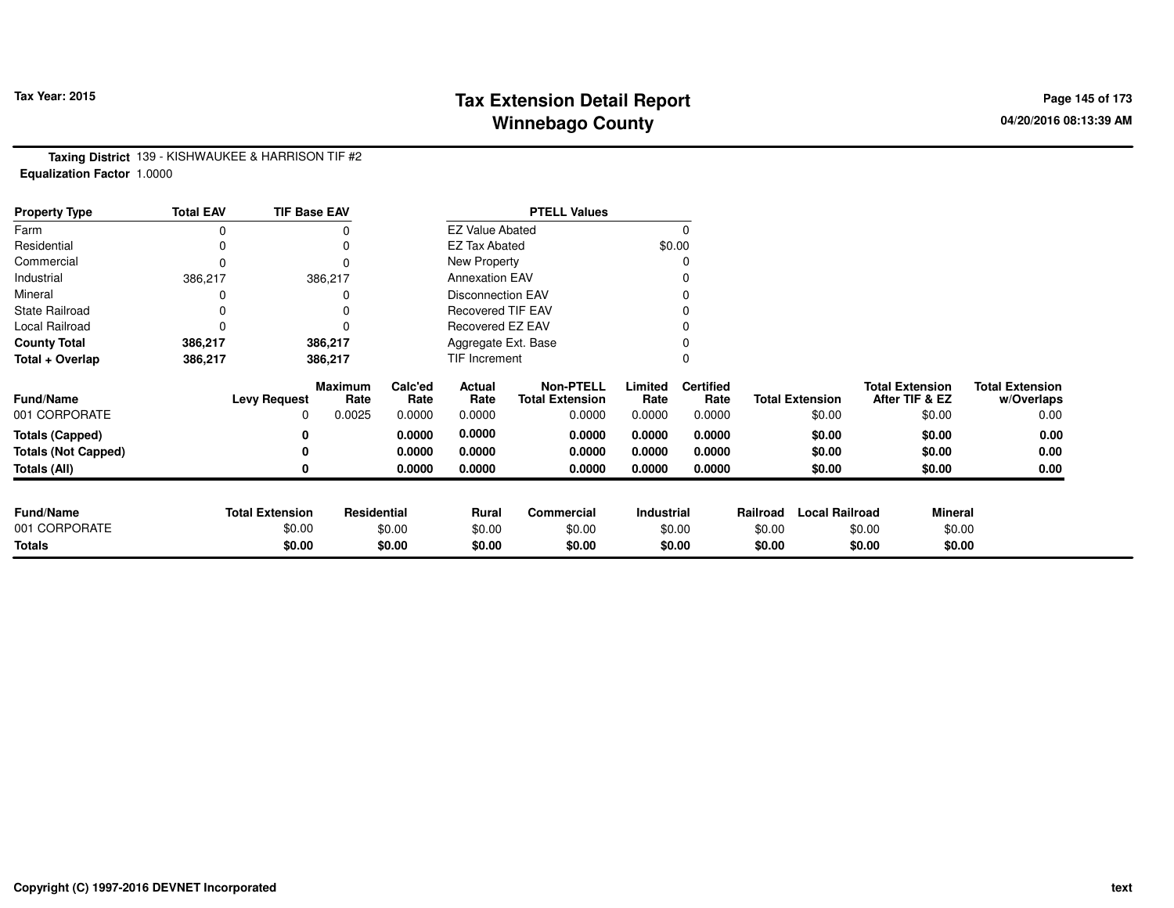# **Tax Extension Detail Report Tax Year: 2015 Page 145 of 173 Winnebago County**

**Taxing District** 139 - KISHWAUKEE & HARRISON TIF #2**Equalization Factor** 1.0000

| <b>Property Type</b>       | <b>Total EAV</b> | <b>TIF Base EAV</b>    |                        |                 |                          | <b>PTELL Values</b>                        |                 |                          |          |                        |                                          |                                      |
|----------------------------|------------------|------------------------|------------------------|-----------------|--------------------------|--------------------------------------------|-----------------|--------------------------|----------|------------------------|------------------------------------------|--------------------------------------|
| Farm                       | 0                |                        | 0                      |                 | <b>EZ Value Abated</b>   |                                            |                 |                          |          |                        |                                          |                                      |
| Residential                | 0                |                        |                        |                 | <b>EZ Tax Abated</b>     |                                            | \$0.00          |                          |          |                        |                                          |                                      |
| Commercial                 | 0                |                        | 0                      |                 | New Property             |                                            |                 |                          |          |                        |                                          |                                      |
| Industrial                 | 386,217          |                        | 386,217                |                 | <b>Annexation EAV</b>    |                                            |                 |                          |          |                        |                                          |                                      |
| Mineral                    |                  |                        |                        |                 | Disconnection EAV        |                                            |                 |                          |          |                        |                                          |                                      |
| <b>State Railroad</b>      | 0                |                        |                        |                 | <b>Recovered TIF EAV</b> |                                            |                 |                          |          |                        |                                          |                                      |
| Local Railroad             | $\Omega$         |                        | O                      |                 | Recovered EZ EAV         |                                            |                 |                          |          |                        |                                          |                                      |
| <b>County Total</b>        | 386,217          |                        | 386,217                |                 | Aggregate Ext. Base      |                                            |                 |                          |          |                        |                                          |                                      |
| Total + Overlap            | 386,217          |                        | 386,217                |                 | TIF Increment            |                                            |                 |                          |          |                        |                                          |                                      |
| <b>Fund/Name</b>           |                  | <b>Levy Request</b>    | <b>Maximum</b><br>Rate | Calc'ed<br>Rate | Actual<br>Rate           | <b>Non-PTELL</b><br><b>Total Extension</b> | Limited<br>Rate | <b>Certified</b><br>Rate |          | <b>Total Extension</b> | <b>Total Extension</b><br>After TIF & EZ | <b>Total Extension</b><br>w/Overlaps |
| 001 CORPORATE              |                  | 0                      | 0.0025                 | 0.0000          | 0.0000                   | 0.0000                                     | 0.0000          | 0.0000                   |          | \$0.00                 | \$0.00                                   | 0.00                                 |
| <b>Totals (Capped)</b>     |                  | 0                      |                        | 0.0000          | 0.0000                   | 0.0000                                     | 0.0000          | 0.0000                   |          | \$0.00                 | \$0.00                                   | 0.00                                 |
| <b>Totals (Not Capped)</b> |                  | 0                      |                        | 0.0000          | 0.0000                   | 0.0000                                     | 0.0000          | 0.0000                   |          | \$0.00                 | \$0.00                                   | 0.00                                 |
| Totals (All)               |                  | 0                      |                        | 0.0000          | 0.0000                   | 0.0000                                     | 0.0000          | 0.0000                   |          | \$0.00                 | \$0.00                                   | 0.00                                 |
|                            |                  |                        |                        |                 |                          |                                            |                 |                          |          |                        |                                          |                                      |
| <b>Fund/Name</b>           |                  | <b>Total Extension</b> | Residential            |                 | Rural                    | <b>Commercial</b>                          | Industrial      |                          | Railroad | <b>Local Railroad</b>  | <b>Mineral</b>                           |                                      |
| 001 CORPORATE              |                  | \$0.00                 |                        | \$0.00          | \$0.00                   | \$0.00                                     |                 | \$0.00                   | \$0.00   |                        | \$0.00                                   | \$0.00                               |
| <b>Totals</b>              |                  | \$0.00                 |                        | \$0.00          | \$0.00                   | \$0.00                                     |                 | \$0.00                   | \$0.00   |                        | \$0.00                                   | \$0.00                               |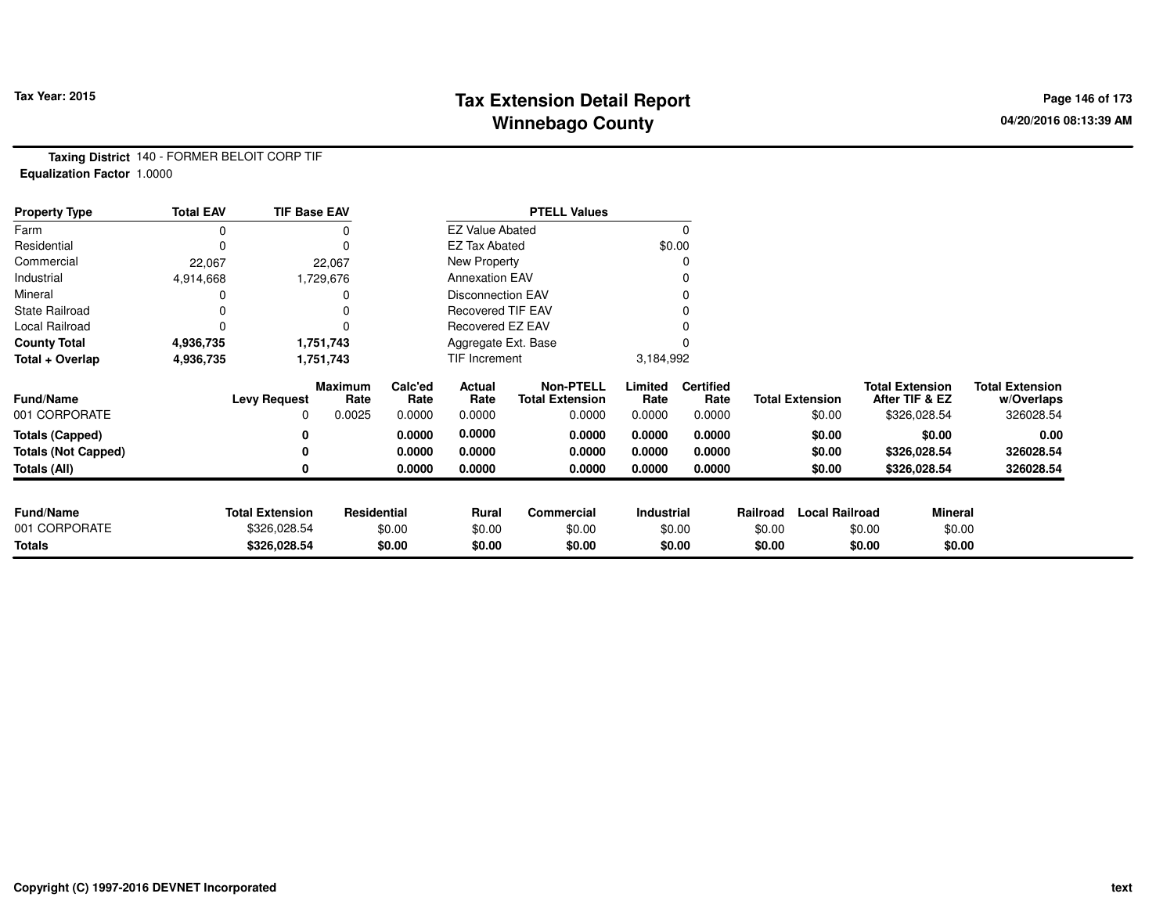## **Tax Extension Detail Report Tax Year: 2015 Page 146 of 173 Winnebago County**

**Taxing District** 140 - FORMER BELOIT CORP TIF**Equalization Factor** 1.0000

| <b>Property Type</b>       | <b>Total EAV</b> | <b>TIF Base EAV</b>    |                 |                 |                          | <b>PTELL Values</b>                        |                   |                          |          |                        |                                          |                |                                      |
|----------------------------|------------------|------------------------|-----------------|-----------------|--------------------------|--------------------------------------------|-------------------|--------------------------|----------|------------------------|------------------------------------------|----------------|--------------------------------------|
| Farm                       | 0                |                        |                 |                 | <b>EZ Value Abated</b>   |                                            |                   |                          |          |                        |                                          |                |                                      |
| Residential                | 0                |                        |                 |                 | <b>EZ Tax Abated</b>     |                                            |                   | \$0.00                   |          |                        |                                          |                |                                      |
| Commercial                 | 22,067           |                        | 22,067          |                 | New Property             |                                            |                   |                          |          |                        |                                          |                |                                      |
| Industrial                 | 4,914,668        |                        | 1,729,676       |                 | <b>Annexation EAV</b>    |                                            |                   |                          |          |                        |                                          |                |                                      |
| Mineral                    |                  |                        |                 |                 | Disconnection EAV        |                                            |                   |                          |          |                        |                                          |                |                                      |
| <b>State Railroad</b>      |                  |                        |                 |                 | <b>Recovered TIF EAV</b> |                                            |                   |                          |          |                        |                                          |                |                                      |
| Local Railroad             | 0                |                        |                 |                 | Recovered EZ EAV         |                                            |                   |                          |          |                        |                                          |                |                                      |
| <b>County Total</b>        | 4,936,735        |                        | 1,751,743       |                 | Aggregate Ext. Base      |                                            |                   |                          |          |                        |                                          |                |                                      |
| Total + Overlap            | 4,936,735        |                        | 1,751,743       |                 | TIF Increment            |                                            | 3,184,992         |                          |          |                        |                                          |                |                                      |
| <b>Fund/Name</b>           |                  | <b>Levy Request</b>    | Maximum<br>Rate | Calc'ed<br>Rate | Actual<br>Rate           | <b>Non-PTELL</b><br><b>Total Extension</b> | Limited<br>Rate   | <b>Certified</b><br>Rate |          | <b>Total Extension</b> | <b>Total Extension</b><br>After TIF & EZ |                | <b>Total Extension</b><br>w/Overlaps |
| 001 CORPORATE              |                  | 0                      | 0.0025          | 0.0000          | 0.0000                   | 0.0000                                     | 0.0000            | 0.0000                   |          | \$0.00                 | \$326,028.54                             |                | 326028.54                            |
| <b>Totals (Capped)</b>     |                  | 0                      |                 | 0.0000          | 0.0000                   | 0.0000                                     | 0.0000            | 0.0000                   |          | \$0.00                 |                                          | \$0.00         | 0.00                                 |
| <b>Totals (Not Capped)</b> |                  | 0                      |                 | 0.0000          | 0.0000                   | 0.0000                                     | 0.0000            | 0.0000                   |          | \$0.00                 | \$326,028.54                             |                | 326028.54                            |
| Totals (All)               |                  | 0                      |                 | 0.0000          | 0.0000                   | 0.0000                                     | 0.0000            | 0.0000                   |          | \$0.00                 | \$326,028.54                             |                | 326028.54                            |
|                            |                  |                        |                 |                 |                          |                                            |                   |                          |          |                        |                                          |                |                                      |
| <b>Fund/Name</b>           |                  | <b>Total Extension</b> | Residential     |                 | <b>Rural</b>             | Commercial                                 | <b>Industrial</b> |                          | Railroad | <b>Local Railroad</b>  |                                          | <b>Mineral</b> |                                      |
| 001 CORPORATE              |                  | \$326,028.54           |                 | \$0.00          | \$0.00                   | \$0.00                                     |                   | \$0.00                   | \$0.00   |                        | \$0.00                                   | \$0.00         |                                      |
| Totals                     |                  | \$326,028.54           |                 | \$0.00          | \$0.00                   | \$0.00                                     |                   | \$0.00                   | \$0.00   |                        | \$0.00                                   | \$0.00         |                                      |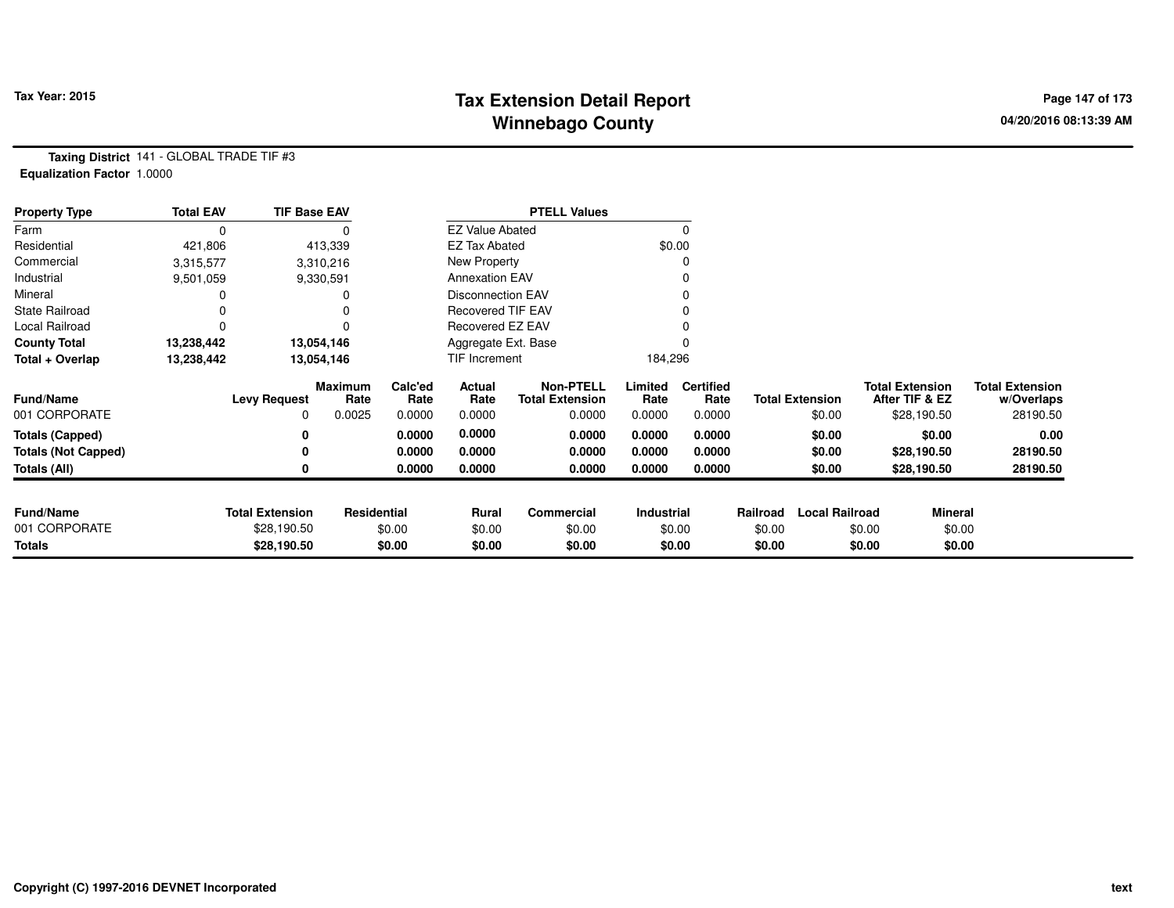# **Tax Extension Detail Report Tax Figure 2015 Page 147 of 173 Winnebago County**

**Taxing District** 141 - GLOBAL TRADE TIF #3**Equalization Factor** 1.0000

| <b>Property Type</b>       | <b>Total EAV</b> | <b>TIF Base EAV</b>    |                 |                 |                          | <b>PTELL Values</b>                        |                 |                          |          |                        |                        |                |                                      |
|----------------------------|------------------|------------------------|-----------------|-----------------|--------------------------|--------------------------------------------|-----------------|--------------------------|----------|------------------------|------------------------|----------------|--------------------------------------|
| Farm                       | 0                |                        |                 |                 | <b>EZ Value Abated</b>   |                                            |                 | 0                        |          |                        |                        |                |                                      |
| Residential                | 421,806          |                        | 413,339         |                 | <b>EZ Tax Abated</b>     |                                            |                 | \$0.00                   |          |                        |                        |                |                                      |
| Commercial                 | 3,315,577        |                        | 3,310,216       |                 | New Property             |                                            |                 |                          |          |                        |                        |                |                                      |
| Industrial                 | 9,501,059        |                        | 9,330,591       |                 | <b>Annexation EAV</b>    |                                            |                 |                          |          |                        |                        |                |                                      |
| Mineral                    |                  |                        | 0               |                 | <b>Disconnection EAV</b> |                                            |                 |                          |          |                        |                        |                |                                      |
| <b>State Railroad</b>      |                  |                        |                 |                 | Recovered TIF EAV        |                                            |                 |                          |          |                        |                        |                |                                      |
| Local Railroad             |                  |                        |                 |                 | Recovered EZ EAV         |                                            |                 |                          |          |                        |                        |                |                                      |
| <b>County Total</b>        | 13,238,442       |                        | 13,054,146      |                 | Aggregate Ext. Base      |                                            |                 |                          |          |                        |                        |                |                                      |
| Total + Overlap            | 13,238,442       |                        | 13,054,146      |                 | TIF Increment            |                                            | 184,296         |                          |          |                        |                        |                |                                      |
| <b>Fund/Name</b>           |                  | <b>Levy Request</b>    | Maximum<br>Rate | Calc'ed<br>Rate | Actual<br>Rate           | <b>Non-PTELL</b><br><b>Total Extension</b> | Limited<br>Rate | <b>Certified</b><br>Rate |          | <b>Total Extension</b> | <b>Total Extension</b> | After TIF & EZ | <b>Total Extension</b><br>w/Overlaps |
| 001 CORPORATE              |                  | 0                      | 0.0025          | 0.0000          | 0.0000                   | 0.0000                                     | 0.0000          | 0.0000                   |          | \$0.00                 |                        | \$28,190.50    | 28190.50                             |
| <b>Totals (Capped)</b>     |                  |                        |                 | 0.0000          | 0.0000                   | 0.0000                                     | 0.0000          | 0.0000                   |          | \$0.00                 |                        | \$0.00         | 0.00                                 |
| <b>Totals (Not Capped)</b> |                  |                        |                 | 0.0000          | 0.0000                   | 0.0000                                     | 0.0000          | 0.0000                   |          | \$0.00                 |                        | \$28,190.50    | 28190.50                             |
| Totals (All)               |                  | 0                      |                 | 0.0000          | 0.0000                   | 0.0000                                     | 0.0000          | 0.0000                   |          | \$0.00                 |                        | \$28,190.50    | 28190.50                             |
| <b>Fund/Name</b>           |                  | <b>Total Extension</b> | Residential     |                 | Rural                    | Commercial                                 | Industrial      |                          | Railroad | <b>Local Railroad</b>  |                        | <b>Mineral</b> |                                      |
| 001 CORPORATE              |                  | \$28,190.50            |                 | \$0.00          | \$0.00                   | \$0.00                                     |                 | \$0.00                   | \$0.00   |                        | \$0.00                 | \$0.00         |                                      |
| <b>Totals</b>              |                  | \$28,190.50            |                 | \$0.00          | \$0.00                   | \$0.00                                     |                 | \$0.00                   | \$0.00   |                        | \$0.00                 | \$0.00         |                                      |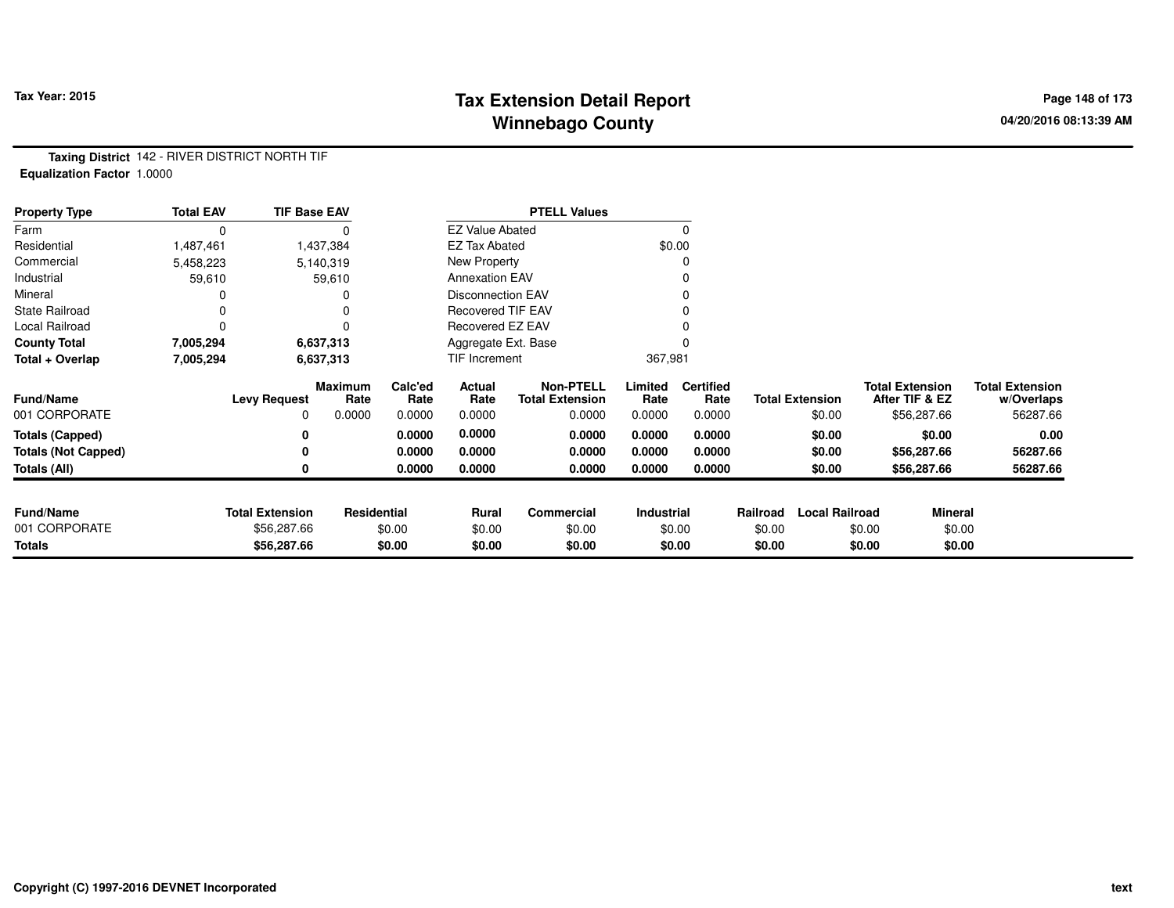### **Tax Extension Detail Report Tax Year: 2015 Page 148 of 173 Winnebago County**

**Taxing District** 142 - RIVER DISTRICT NORTH TIF**Equalization Factor** 1.0000

| <b>Property Type</b>       | <b>Total EAV</b> | <b>TIF Base EAV</b>    |                        |                 |                          | <b>PTELL Values</b>                        |                 |                          |          |                        |        |                                          |                                      |
|----------------------------|------------------|------------------------|------------------------|-----------------|--------------------------|--------------------------------------------|-----------------|--------------------------|----------|------------------------|--------|------------------------------------------|--------------------------------------|
| Farm                       | 0                |                        |                        |                 | <b>EZ Value Abated</b>   |                                            |                 |                          |          |                        |        |                                          |                                      |
| Residential                | 1,487,461        |                        | 1,437,384              |                 | <b>EZ Tax Abated</b>     |                                            |                 | \$0.00                   |          |                        |        |                                          |                                      |
| Commercial                 | 5,458,223        |                        | 5,140,319              |                 | New Property             |                                            |                 |                          |          |                        |        |                                          |                                      |
| Industrial                 | 59,610           |                        | 59,610                 |                 | <b>Annexation EAV</b>    |                                            |                 |                          |          |                        |        |                                          |                                      |
| Mineral                    |                  |                        |                        |                 | <b>Disconnection EAV</b> |                                            |                 |                          |          |                        |        |                                          |                                      |
| State Railroad             |                  |                        |                        |                 | <b>Recovered TIF EAV</b> |                                            |                 |                          |          |                        |        |                                          |                                      |
| Local Railroad             |                  |                        | 0                      |                 | Recovered EZ EAV         |                                            |                 |                          |          |                        |        |                                          |                                      |
| <b>County Total</b>        | 7,005,294        |                        | 6,637,313              |                 | Aggregate Ext. Base      |                                            |                 |                          |          |                        |        |                                          |                                      |
| Total + Overlap            | 7,005,294        |                        | 6,637,313              |                 | TIF Increment            |                                            | 367,981         |                          |          |                        |        |                                          |                                      |
| <b>Fund/Name</b>           |                  | <b>Levy Request</b>    | <b>Maximum</b><br>Rate | Calc'ed<br>Rate | Actual<br>Rate           | <b>Non-PTELL</b><br><b>Total Extension</b> | Limited<br>Rate | <b>Certified</b><br>Rate |          | <b>Total Extension</b> |        | <b>Total Extension</b><br>After TIF & EZ | <b>Total Extension</b><br>w/Overlaps |
| 001 CORPORATE              |                  | 0                      | 0.0000                 | 0.0000          | 0.0000                   | 0.0000                                     | 0.0000          | 0.0000                   |          | \$0.00                 |        | \$56,287.66                              | 56287.66                             |
| <b>Totals (Capped)</b>     |                  | 0                      |                        | 0.0000          | 0.0000                   | 0.0000                                     | 0.0000          | 0.0000                   |          | \$0.00                 |        | \$0.00                                   | 0.00                                 |
| <b>Totals (Not Capped)</b> |                  | 0                      |                        | 0.0000          | 0.0000                   | 0.0000                                     | 0.0000          | 0.0000                   |          | \$0.00                 |        | \$56,287.66                              | 56287.66                             |
| <b>Totals (All)</b>        |                  | 0                      |                        | 0.0000          | 0.0000                   | 0.0000                                     | 0.0000          | 0.0000                   |          | \$0.00                 |        | \$56,287.66                              | 56287.66                             |
|                            |                  |                        |                        |                 |                          |                                            |                 |                          |          |                        |        |                                          |                                      |
| <b>Fund/Name</b>           |                  | <b>Total Extension</b> | Residential            |                 | <b>Rural</b>             | Commercial                                 | Industrial      |                          | Railroad | <b>Local Railroad</b>  |        | <b>Mineral</b>                           |                                      |
| 001 CORPORATE              |                  | \$56,287.66            |                        | \$0.00          | \$0.00                   | \$0.00                                     |                 | \$0.00                   | \$0.00   |                        | \$0.00 | \$0.00                                   |                                      |
| <b>Totals</b>              |                  | \$56,287.66            |                        | \$0.00          | \$0.00                   | \$0.00                                     |                 | \$0.00                   | \$0.00   |                        | \$0.00 | \$0.00                                   |                                      |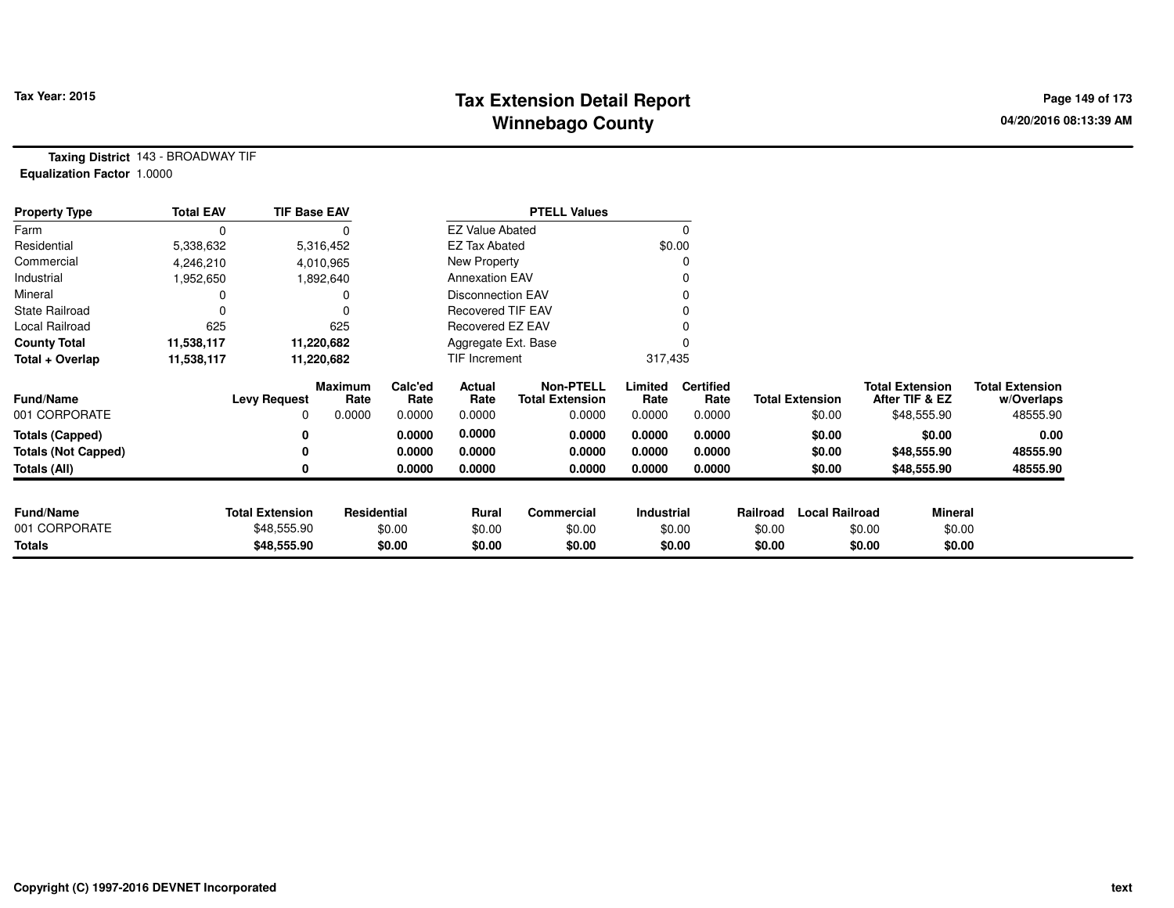# **Tax Extension Detail Report Tax Year: 2015 Page 149 of 173 Winnebago County**

**Taxing District** 143 - BROADWAY TIF**Equalization Factor** 1.0000

| <b>Property Type</b>       | <b>Total EAV</b> | <b>TIF Base EAV</b>    |                 |                 |                          | <b>PTELL Values</b>                        |                 |                          |          |                        |        |                                          |                                      |
|----------------------------|------------------|------------------------|-----------------|-----------------|--------------------------|--------------------------------------------|-----------------|--------------------------|----------|------------------------|--------|------------------------------------------|--------------------------------------|
| Farm                       |                  |                        |                 |                 | <b>EZ Value Abated</b>   |                                            |                 | 0                        |          |                        |        |                                          |                                      |
| Residential                | 5,338,632        |                        | 5,316,452       |                 | <b>EZ Tax Abated</b>     |                                            |                 | \$0.00                   |          |                        |        |                                          |                                      |
| Commercial                 | 4,246,210        |                        | 4,010,965       |                 | New Property             |                                            |                 | 0                        |          |                        |        |                                          |                                      |
| Industrial                 | 1,952,650        |                        | 1,892,640       |                 | <b>Annexation EAV</b>    |                                            |                 | 0                        |          |                        |        |                                          |                                      |
| Mineral                    |                  |                        |                 |                 | <b>Disconnection EAV</b> |                                            |                 | 0                        |          |                        |        |                                          |                                      |
| <b>State Railroad</b>      |                  |                        |                 |                 | Recovered TIF EAV        |                                            |                 |                          |          |                        |        |                                          |                                      |
| Local Railroad             | 625              |                        | 625             |                 | Recovered EZ EAV         |                                            |                 |                          |          |                        |        |                                          |                                      |
| <b>County Total</b>        | 11,538,117       |                        | 11,220,682      |                 | Aggregate Ext. Base      |                                            |                 |                          |          |                        |        |                                          |                                      |
| Total + Overlap            | 11,538,117       |                        | 11,220,682      |                 | TIF Increment            |                                            | 317,435         |                          |          |                        |        |                                          |                                      |
| <b>Fund/Name</b>           |                  | <b>Levy Request</b>    | Maximum<br>Rate | Calc'ed<br>Rate | Actual<br>Rate           | <b>Non-PTELL</b><br><b>Total Extension</b> | Limited<br>Rate | <b>Certified</b><br>Rate |          | <b>Total Extension</b> |        | <b>Total Extension</b><br>After TIF & EZ | <b>Total Extension</b><br>w/Overlaps |
| 001 CORPORATE              |                  | 0                      | 0.0000          | 0.0000          | 0.0000                   | 0.0000                                     | 0.0000          | 0.0000                   |          | \$0.00                 |        | \$48,555.90                              | 48555.90                             |
| <b>Totals (Capped)</b>     |                  |                        |                 | 0.0000          | 0.0000                   | 0.0000                                     | 0.0000          | 0.0000                   |          | \$0.00                 |        | \$0.00                                   | 0.00                                 |
| <b>Totals (Not Capped)</b> |                  |                        |                 | 0.0000          | 0.0000                   | 0.0000                                     | 0.0000          | 0.0000                   |          | \$0.00                 |        | \$48,555.90                              | 48555.90                             |
| <b>Totals (All)</b>        |                  |                        |                 | 0.0000          | 0.0000                   | 0.0000                                     | 0.0000          | 0.0000                   |          | \$0.00                 |        | \$48,555.90                              | 48555.90                             |
|                            |                  |                        |                 |                 |                          |                                            |                 |                          |          |                        |        |                                          |                                      |
| <b>Fund/Name</b>           |                  | <b>Total Extension</b> | Residential     |                 | Rural                    | Commercial                                 | Industrial      |                          | Railroad | <b>Local Railroad</b>  |        | Mineral                                  |                                      |
| 001 CORPORATE              |                  | \$48,555.90            |                 | \$0.00          | \$0.00                   | \$0.00                                     |                 | \$0.00                   | \$0.00   |                        | \$0.00 | \$0.00                                   |                                      |
| <b>Totals</b>              |                  | \$48,555.90            |                 | \$0.00          | \$0.00                   | \$0.00                                     |                 | \$0.00                   | \$0.00   |                        | \$0.00 | \$0.00                                   |                                      |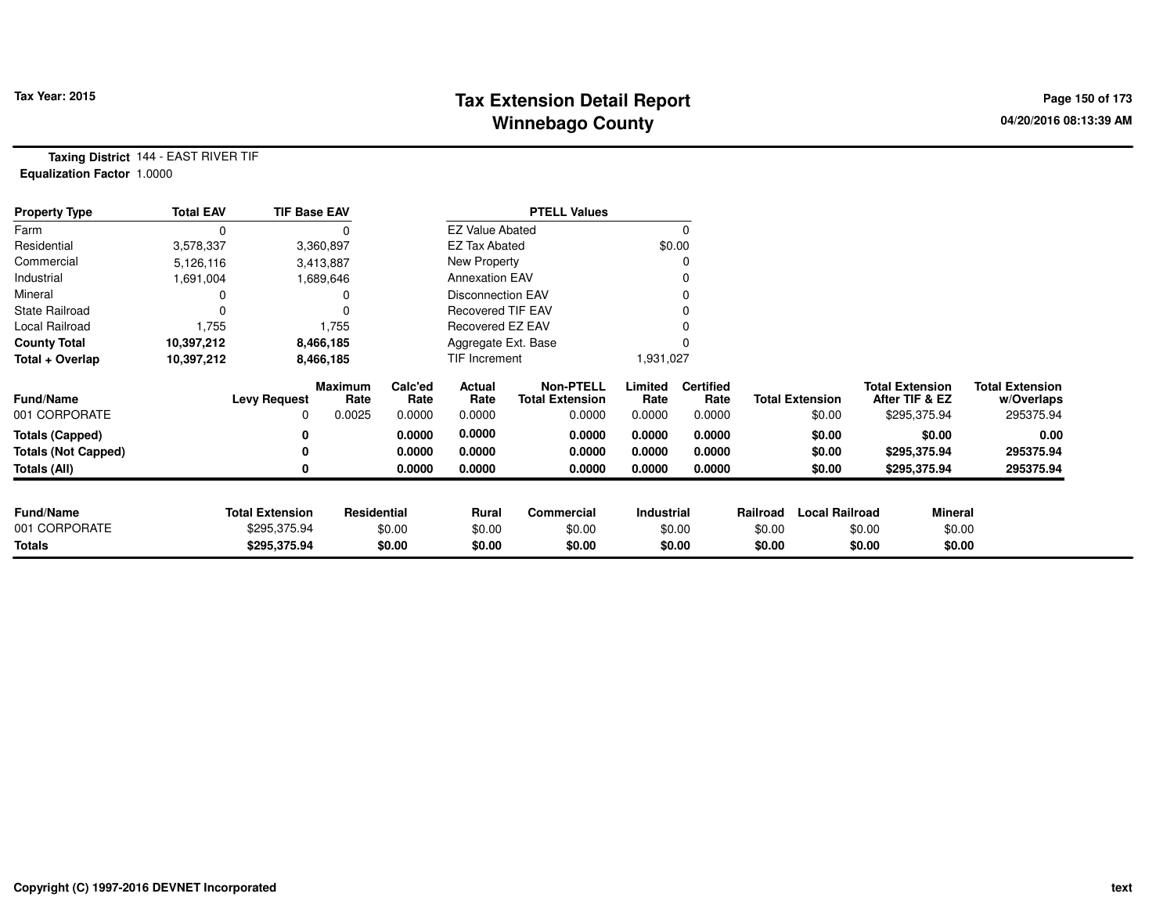# **Tax Extension Detail Report Tax Year: 2015 Page 150 of 173 Winnebago County**

**Taxing District** 144 - EAST RIVER TIF**Equalization Factor** 1.0000

| <b>Property Type</b>       | <b>Total EAV</b> | <b>TIF Base EAV</b>    |                 |                 |                          | <b>PTELL Values</b>                        |                   |                          |          |                        |                                          |                                      |
|----------------------------|------------------|------------------------|-----------------|-----------------|--------------------------|--------------------------------------------|-------------------|--------------------------|----------|------------------------|------------------------------------------|--------------------------------------|
| Farm                       | 0                |                        |                 |                 | <b>EZ Value Abated</b>   |                                            |                   | 0                        |          |                        |                                          |                                      |
| Residential                | 3,578,337        |                        | 3,360,897       |                 | <b>EZ Tax Abated</b>     |                                            |                   | \$0.00                   |          |                        |                                          |                                      |
| Commercial                 | 5,126,116        |                        | 3,413,887       |                 | New Property             |                                            |                   |                          |          |                        |                                          |                                      |
| Industrial                 | 1,691,004        |                        | 1,689,646       |                 | <b>Annexation EAV</b>    |                                            |                   |                          |          |                        |                                          |                                      |
| Mineral                    |                  |                        |                 |                 | <b>Disconnection EAV</b> |                                            |                   |                          |          |                        |                                          |                                      |
| <b>State Railroad</b>      | 0                |                        |                 |                 | <b>Recovered TIF EAV</b> |                                            |                   |                          |          |                        |                                          |                                      |
| Local Railroad             | 1,755            |                        | 1,755           |                 | <b>Recovered EZ EAV</b>  |                                            |                   |                          |          |                        |                                          |                                      |
| <b>County Total</b>        | 10,397,212       |                        | 8,466,185       |                 | Aggregate Ext. Base      |                                            |                   |                          |          |                        |                                          |                                      |
| Total + Overlap            | 10,397,212       |                        | 8,466,185       |                 | TIF Increment            |                                            | 1,931,027         |                          |          |                        |                                          |                                      |
| <b>Fund/Name</b>           |                  | <b>Levy Request</b>    | Maximum<br>Rate | Calc'ed<br>Rate | Actual<br>Rate           | <b>Non-PTELL</b><br><b>Total Extension</b> | Limited<br>Rate   | <b>Certified</b><br>Rate |          | <b>Total Extension</b> | <b>Total Extension</b><br>After TIF & EZ | <b>Total Extension</b><br>w/Overlaps |
| 001 CORPORATE              |                  | 0                      | 0.0025          | 0.0000          | 0.0000                   | 0.0000                                     | 0.0000            | 0.0000                   |          | \$0.00                 | \$295,375.94                             | 295375.94                            |
| <b>Totals (Capped)</b>     |                  | 0                      |                 | 0.0000          | 0.0000                   | 0.0000                                     | 0.0000            | 0.0000                   |          | \$0.00                 | \$0.00                                   | 0.00                                 |
| <b>Totals (Not Capped)</b> |                  | 0                      |                 | 0.0000          | 0.0000                   | 0.0000                                     | 0.0000            | 0.0000                   |          | \$0.00                 | \$295,375.94                             | 295375.94                            |
| <b>Totals (All)</b>        |                  | 0                      |                 | 0.0000          | 0.0000                   | 0.0000                                     | 0.0000            | 0.0000                   |          | \$0.00                 | \$295,375.94                             | 295375.94                            |
| <b>Fund/Name</b>           |                  | <b>Total Extension</b> | Residential     |                 | Rural                    | Commercial                                 | <b>Industrial</b> |                          | Railroad | <b>Local Railroad</b>  |                                          | <b>Mineral</b>                       |
| 001 CORPORATE              |                  | \$295,375.94           |                 | \$0.00          | \$0.00                   | \$0.00                                     |                   | \$0.00                   | \$0.00   |                        | \$0.00                                   | \$0.00                               |
| <b>Totals</b>              |                  | \$295,375.94           |                 | \$0.00          | \$0.00                   | \$0.00                                     |                   | \$0.00                   | \$0.00   |                        | \$0.00                                   | \$0.00                               |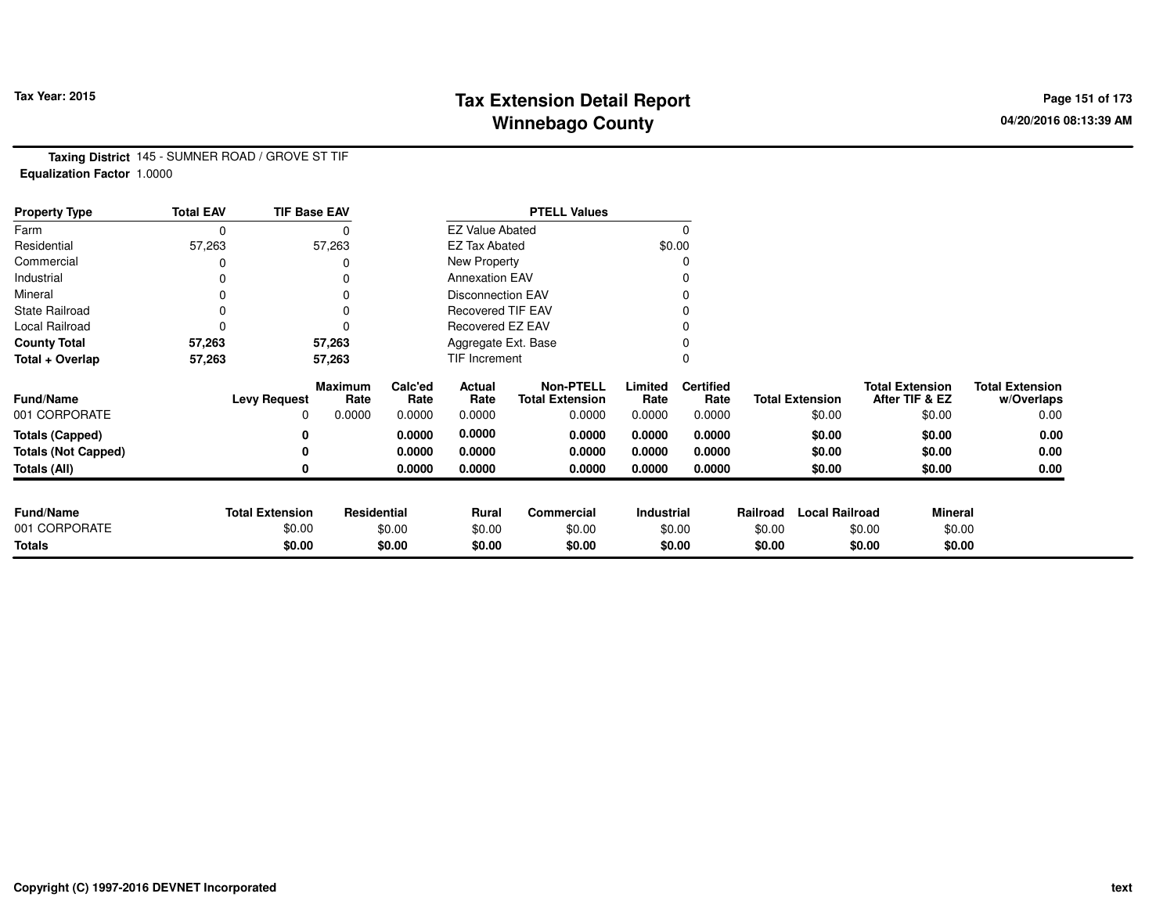# **Tax Extension Detail Report Tax Year: 2015 Page 151 of 173 Winnebago County**

**Taxing District** 145 - SUMNER ROAD / GROVE ST TIF**Equalization Factor** 1.0000

| <b>Property Type</b>              | <b>Total EAV</b> | <b>TIF Base EAV</b>    |                        |                 |                          | <b>PTELL Values</b>                        |                 |                          |          |                        |                                          |                                      |
|-----------------------------------|------------------|------------------------|------------------------|-----------------|--------------------------|--------------------------------------------|-----------------|--------------------------|----------|------------------------|------------------------------------------|--------------------------------------|
| Farm                              | $\mathbf 0$      |                        | 0                      |                 | <b>EZ Value Abated</b>   |                                            |                 | $\Omega$                 |          |                        |                                          |                                      |
| Residential                       | 57,263           |                        | 57,263                 |                 | <b>EZ Tax Abated</b>     |                                            |                 | \$0.00                   |          |                        |                                          |                                      |
| Commercial                        |                  |                        |                        |                 | New Property             |                                            |                 | 0                        |          |                        |                                          |                                      |
| Industrial                        | 0                |                        | 0                      |                 | <b>Annexation EAV</b>    |                                            |                 | 0                        |          |                        |                                          |                                      |
| Mineral                           | $\Omega$         |                        | 0                      |                 | Disconnection EAV        |                                            |                 | 0                        |          |                        |                                          |                                      |
| <b>State Railroad</b>             | 0                |                        | $\Omega$               |                 | <b>Recovered TIF EAV</b> |                                            |                 |                          |          |                        |                                          |                                      |
| Local Railroad                    | 0                |                        | $\Omega$               |                 | Recovered EZ EAV         |                                            |                 |                          |          |                        |                                          |                                      |
| <b>County Total</b>               | 57,263           |                        | 57,263                 |                 | Aggregate Ext. Base      |                                            |                 | 0                        |          |                        |                                          |                                      |
| Total + Overlap                   | 57,263           |                        | 57,263                 |                 | TIF Increment            |                                            |                 | 0                        |          |                        |                                          |                                      |
| Fund/Name                         |                  | <b>Levy Request</b>    | <b>Maximum</b><br>Rate | Calc'ed<br>Rate | Actual<br>Rate           | <b>Non-PTELL</b><br><b>Total Extension</b> | Limited<br>Rate | <b>Certified</b><br>Rate |          | <b>Total Extension</b> | <b>Total Extension</b><br>After TIF & EZ | <b>Total Extension</b><br>w/Overlaps |
| 001 CORPORATE                     |                  | 0                      | 0.0000                 | 0.0000          | 0.0000                   | 0.0000                                     | 0.0000          | 0.0000                   |          | \$0.00                 | \$0.00                                   | 0.00                                 |
| <b>Totals (Capped)</b>            |                  | 0                      |                        | 0.0000          | 0.0000                   | 0.0000                                     | 0.0000          | 0.0000                   |          | \$0.00                 | \$0.00                                   | 0.00                                 |
| <b>Totals (Not Capped)</b>        |                  | 0                      |                        | 0.0000          | 0.0000                   | 0.0000                                     | 0.0000          | 0.0000                   |          | \$0.00                 | \$0.00                                   | 0.00                                 |
| Totals (All)                      |                  | 0                      |                        | 0.0000          | 0.0000                   | 0.0000                                     | 0.0000          | 0.0000                   |          | \$0.00                 | \$0.00                                   | 0.00                                 |
|                                   |                  |                        |                        |                 |                          |                                            |                 |                          |          |                        |                                          |                                      |
| <b>Fund/Name</b><br>001 CORPORATE |                  | <b>Total Extension</b> | Residential            |                 | Rural                    | Commercial                                 | Industrial      |                          | Railroad | <b>Local Railroad</b>  | <b>Mineral</b>                           |                                      |
|                                   |                  | \$0.00                 |                        | \$0.00          | \$0.00                   | \$0.00                                     |                 | \$0.00                   | \$0.00   |                        | \$0.00                                   | \$0.00                               |
| <b>Totals</b>                     |                  | \$0.00                 |                        | \$0.00          | \$0.00                   | \$0.00                                     |                 | \$0.00                   | \$0.00   |                        | \$0.00                                   | \$0.00                               |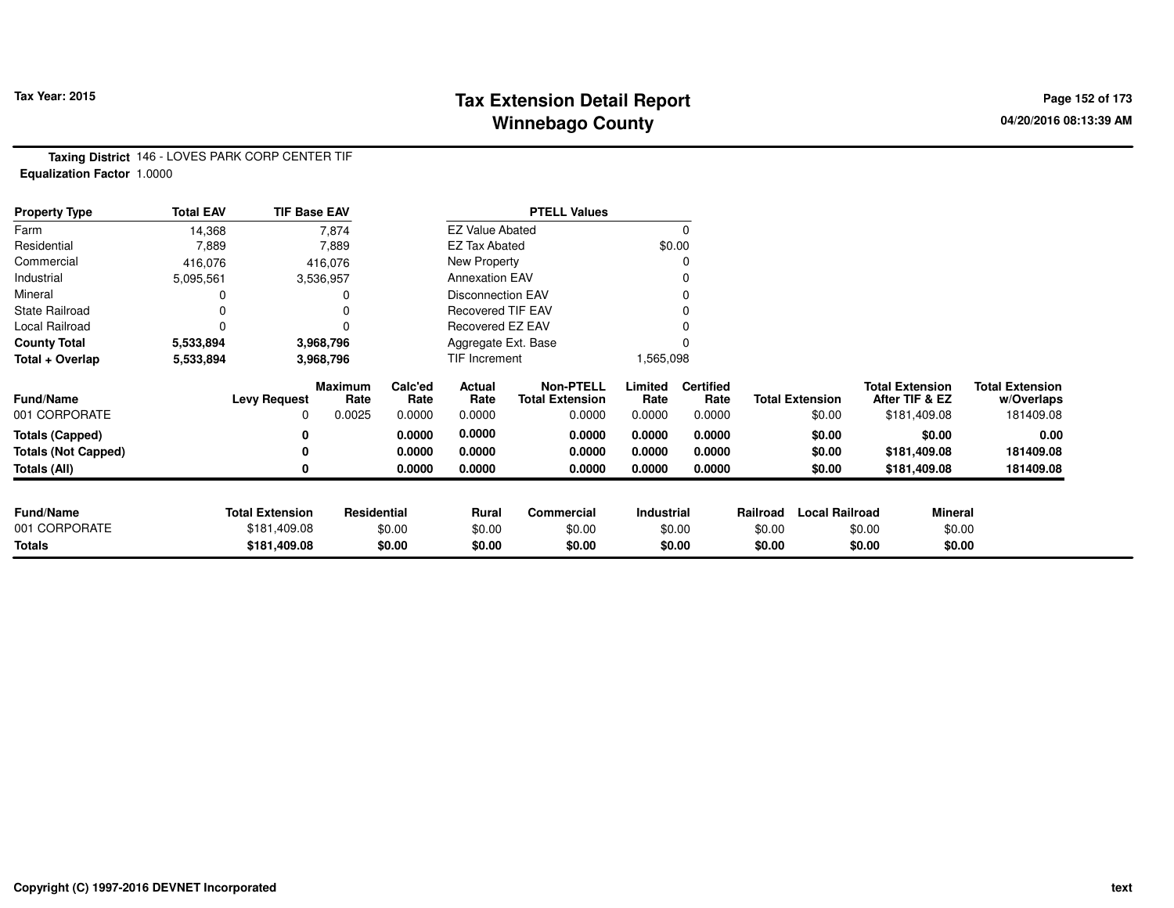### **Tax Extension Detail Report Tax Year: 2015 Page 152 of 173 Winnebago County**

**Taxing District** 146 - LOVES PARK CORP CENTER TIF**Equalization Factor** 1.0000

| <b>Property Type</b>       | <b>Total EAV</b> | <b>TIF Base EAV</b>    |                        |                 |                          | <b>PTELL Values</b>                        |                 |                          |          |                        |                                          |                                      |
|----------------------------|------------------|------------------------|------------------------|-----------------|--------------------------|--------------------------------------------|-----------------|--------------------------|----------|------------------------|------------------------------------------|--------------------------------------|
| Farm                       | 14,368           |                        | 7,874                  |                 | <b>EZ Value Abated</b>   |                                            |                 |                          |          |                        |                                          |                                      |
| Residential                | 7,889            |                        | 7,889                  |                 | <b>EZ Tax Abated</b>     |                                            |                 | \$0.00                   |          |                        |                                          |                                      |
| Commercial                 | 416,076          |                        | 416,076                |                 | New Property             |                                            |                 |                          |          |                        |                                          |                                      |
| Industrial                 | 5,095,561        |                        | 3,536,957              |                 | <b>Annexation EAV</b>    |                                            |                 |                          |          |                        |                                          |                                      |
| Mineral                    |                  |                        |                        |                 | <b>Disconnection EAV</b> |                                            |                 |                          |          |                        |                                          |                                      |
| <b>State Railroad</b>      |                  |                        |                        |                 | <b>Recovered TIF EAV</b> |                                            |                 |                          |          |                        |                                          |                                      |
| Local Railroad             | 0                |                        |                        |                 | Recovered EZ EAV         |                                            |                 |                          |          |                        |                                          |                                      |
| <b>County Total</b>        | 5,533,894        |                        | 3,968,796              |                 | Aggregate Ext. Base      |                                            |                 |                          |          |                        |                                          |                                      |
| Total + Overlap            | 5,533,894        |                        | 3,968,796              |                 | TIF Increment            |                                            | 1,565,098       |                          |          |                        |                                          |                                      |
| <b>Fund/Name</b>           |                  | <b>Levy Request</b>    | <b>Maximum</b><br>Rate | Calc'ed<br>Rate | Actual<br>Rate           | <b>Non-PTELL</b><br><b>Total Extension</b> | Limited<br>Rate | <b>Certified</b><br>Rate |          | <b>Total Extension</b> | <b>Total Extension</b><br>After TIF & EZ | <b>Total Extension</b><br>w/Overlaps |
| 001 CORPORATE              |                  | $\Omega$               | 0.0025                 | 0.0000          | 0.0000                   | 0.0000                                     | 0.0000          | 0.0000                   |          | \$0.00                 | \$181,409.08                             | 181409.08                            |
| <b>Totals (Capped)</b>     |                  | 0                      |                        | 0.0000          | 0.0000                   | 0.0000                                     | 0.0000          | 0.0000                   |          | \$0.00                 | \$0.00                                   | 0.00                                 |
| <b>Totals (Not Capped)</b> |                  |                        |                        | 0.0000          | 0.0000                   | 0.0000                                     | 0.0000          | 0.0000                   |          | \$0.00                 | \$181,409.08                             | 181409.08                            |
| Totals (All)               |                  |                        |                        | 0.0000          | 0.0000                   | 0.0000                                     | 0.0000          | 0.0000                   |          | \$0.00                 | \$181,409.08                             | 181409.08                            |
|                            |                  |                        |                        |                 |                          |                                            |                 |                          |          |                        |                                          |                                      |
| <b>Fund/Name</b>           |                  | <b>Total Extension</b> | Residential            |                 | <b>Rural</b>             | Commercial                                 | Industrial      |                          | Railroad | <b>Local Railroad</b>  |                                          | <b>Mineral</b>                       |
| 001 CORPORATE              |                  | \$181,409.08           |                        | \$0.00          | \$0.00                   | \$0.00                                     |                 | \$0.00                   | \$0.00   |                        | \$0.00                                   | \$0.00                               |
| Totals                     |                  | \$181,409.08           |                        | \$0.00          | \$0.00                   | \$0.00                                     |                 | \$0.00                   | \$0.00   |                        | \$0.00                                   | \$0.00                               |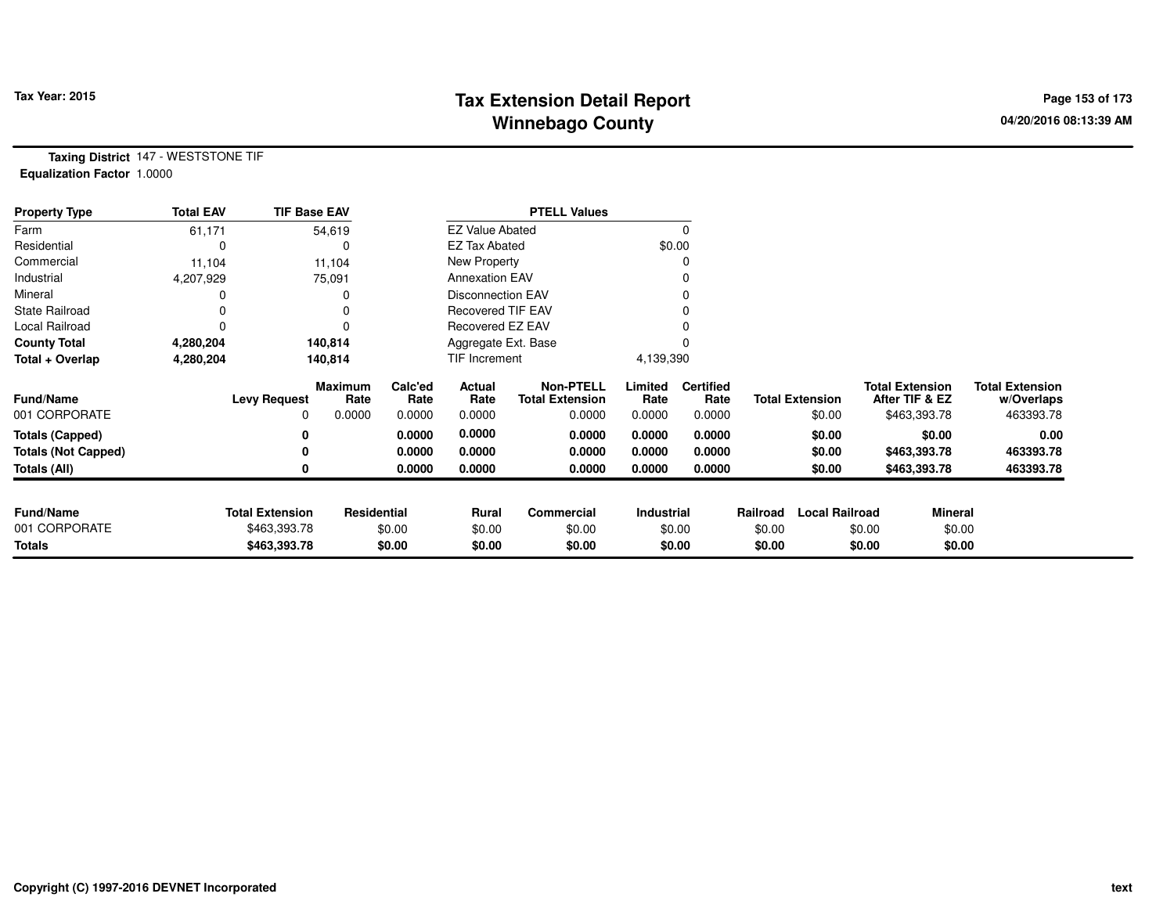# **Tax Extension Detail Report Tax Year: 2015 Page 153 of 173 Winnebago County**

**Taxing District** 147 - WESTSTONE TIF**Equalization Factor** 1.0000

| <b>Property Type</b>       | <b>Total EAV</b> | <b>TIF Base EAV</b>    |                        |                 |                          | <b>PTELL Values</b>                        |                 |                          |          |                        |                                          |                                      |
|----------------------------|------------------|------------------------|------------------------|-----------------|--------------------------|--------------------------------------------|-----------------|--------------------------|----------|------------------------|------------------------------------------|--------------------------------------|
| Farm                       | 61,171           |                        | 54,619                 |                 | <b>EZ Value Abated</b>   |                                            |                 |                          |          |                        |                                          |                                      |
| Residential                |                  |                        |                        |                 | <b>EZ Tax Abated</b>     |                                            | \$0.00          |                          |          |                        |                                          |                                      |
| Commercial                 | 11,104           |                        | 11,104                 |                 | New Property             |                                            |                 |                          |          |                        |                                          |                                      |
| Industrial                 | 4,207,929        |                        | 75,091                 |                 | <b>Annexation EAV</b>    |                                            |                 |                          |          |                        |                                          |                                      |
| Mineral                    |                  |                        |                        |                 | <b>Disconnection EAV</b> |                                            |                 |                          |          |                        |                                          |                                      |
| <b>State Railroad</b>      |                  |                        |                        |                 | <b>Recovered TIF EAV</b> |                                            |                 |                          |          |                        |                                          |                                      |
| Local Railroad             | 0                |                        |                        |                 | Recovered EZ EAV         |                                            |                 |                          |          |                        |                                          |                                      |
| <b>County Total</b>        | 4,280,204        |                        | 140,814                |                 | Aggregate Ext. Base      |                                            |                 |                          |          |                        |                                          |                                      |
| Total + Overlap            | 4,280,204        |                        | 140,814                |                 | TIF Increment            |                                            | 4,139,390       |                          |          |                        |                                          |                                      |
| <b>Fund/Name</b>           |                  | <b>Levy Request</b>    | <b>Maximum</b><br>Rate | Calc'ed<br>Rate | Actual<br>Rate           | <b>Non-PTELL</b><br><b>Total Extension</b> | Limited<br>Rate | <b>Certified</b><br>Rate |          | <b>Total Extension</b> | <b>Total Extension</b><br>After TIF & EZ | <b>Total Extension</b><br>w/Overlaps |
| 001 CORPORATE              |                  | 0                      | 0.0000                 | 0.0000          | 0.0000                   | 0.0000                                     | 0.0000          | 0.0000                   |          | \$0.00                 | \$463,393.78                             | 463393.78                            |
| <b>Totals (Capped)</b>     |                  | 0                      |                        | 0.0000          | 0.0000                   | 0.0000                                     | 0.0000          | 0.0000                   |          | \$0.00                 | \$0.00                                   | 0.00                                 |
| <b>Totals (Not Capped)</b> |                  | 0                      |                        | 0.0000          | 0.0000                   | 0.0000                                     | 0.0000          | 0.0000                   |          | \$0.00                 | \$463,393.78                             | 463393.78                            |
| Totals (All)               |                  | 0                      |                        | 0.0000          | 0.0000                   | 0.0000                                     | 0.0000          | 0.0000                   |          | \$0.00                 | \$463,393.78                             | 463393.78                            |
|                            |                  |                        |                        |                 |                          |                                            |                 |                          |          |                        |                                          |                                      |
| <b>Fund/Name</b>           |                  | <b>Total Extension</b> | Residential            |                 | <b>Rural</b>             | Commercial                                 | Industrial      |                          | Railroad | <b>Local Railroad</b>  |                                          | <b>Mineral</b>                       |
| 001 CORPORATE              |                  | \$463,393.78           |                        | \$0.00          | \$0.00                   | \$0.00                                     |                 | \$0.00                   | \$0.00   |                        | \$0.00                                   | \$0.00                               |
| <b>Totals</b>              |                  | \$463,393.78           |                        | \$0.00          | \$0.00                   | \$0.00                                     |                 | \$0.00                   | \$0.00   |                        | \$0.00                                   | \$0.00                               |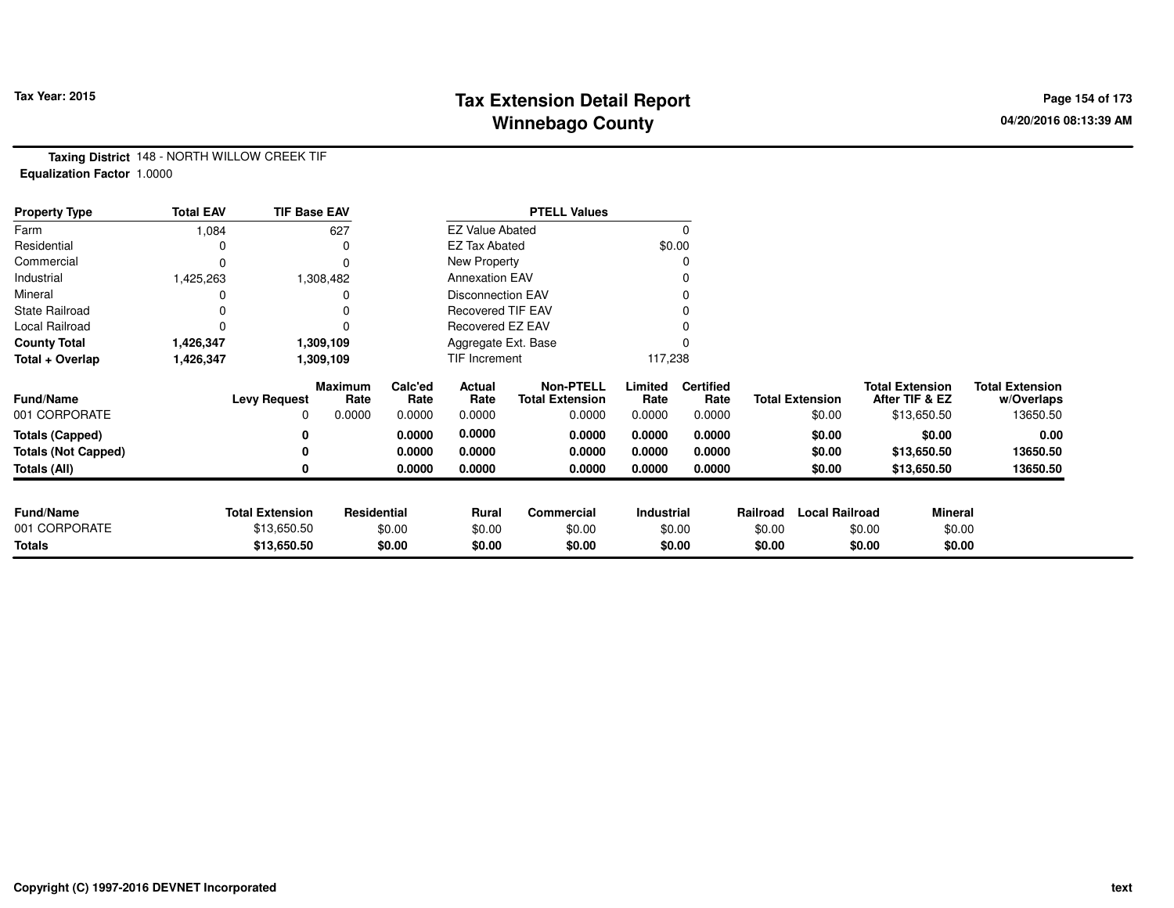# **Tax Extension Detail Report Tax Year: 2015 Page 154 of 173 Winnebago County**

**Taxing District** 148 - NORTH WILLOW CREEK TIF**Equalization Factor** 1.0000

| <b>Property Type</b>       | <b>Total EAV</b> | <b>TIF Base EAV</b>    |                        |                 |                          | <b>PTELL Values</b>                        |                 |                          |          |                        |        |                                          |                                      |
|----------------------------|------------------|------------------------|------------------------|-----------------|--------------------------|--------------------------------------------|-----------------|--------------------------|----------|------------------------|--------|------------------------------------------|--------------------------------------|
| Farm                       | 1,084            |                        | 627                    |                 | <b>EZ Value Abated</b>   |                                            |                 | 0                        |          |                        |        |                                          |                                      |
| Residential                |                  |                        | 0                      |                 | <b>EZ Tax Abated</b>     |                                            |                 | \$0.00                   |          |                        |        |                                          |                                      |
| Commercial                 | 0                |                        | 0                      |                 | New Property             |                                            |                 | 0                        |          |                        |        |                                          |                                      |
| Industrial                 | 1,425,263        |                        | 1,308,482              |                 | <b>Annexation EAV</b>    |                                            |                 |                          |          |                        |        |                                          |                                      |
| Mineral                    |                  |                        |                        |                 | <b>Disconnection EAV</b> |                                            |                 | 0                        |          |                        |        |                                          |                                      |
| <b>State Railroad</b>      |                  |                        |                        |                 | <b>Recovered TIF EAV</b> |                                            |                 |                          |          |                        |        |                                          |                                      |
| Local Railroad             |                  |                        |                        |                 | Recovered EZ EAV         |                                            |                 |                          |          |                        |        |                                          |                                      |
| <b>County Total</b>        | 1,426,347        |                        | 1,309,109              |                 | Aggregate Ext. Base      |                                            |                 |                          |          |                        |        |                                          |                                      |
| Total + Overlap            | 1,426,347        |                        | 1,309,109              |                 | TIF Increment            |                                            | 117,238         |                          |          |                        |        |                                          |                                      |
| <b>Fund/Name</b>           |                  | <b>Levy Request</b>    | <b>Maximum</b><br>Rate | Calc'ed<br>Rate | Actual<br>Rate           | <b>Non-PTELL</b><br><b>Total Extension</b> | Limited<br>Rate | <b>Certified</b><br>Rate |          | <b>Total Extension</b> |        | <b>Total Extension</b><br>After TIF & EZ | <b>Total Extension</b><br>w/Overlaps |
| 001 CORPORATE              |                  | 0                      | 0.0000                 | 0.0000          | 0.0000                   | 0.0000                                     | 0.0000          | 0.0000                   |          | \$0.00                 |        | \$13,650.50                              | 13650.50                             |
| Totals (Capped)            |                  |                        |                        | 0.0000          | 0.0000                   | 0.0000                                     | 0.0000          | 0.0000                   |          | \$0.00                 |        | \$0.00                                   | 0.00                                 |
| <b>Totals (Not Capped)</b> |                  |                        |                        | 0.0000          | 0.0000                   | 0.0000                                     | 0.0000          | 0.0000                   |          | \$0.00                 |        | \$13,650.50                              | 13650.50                             |
| Totals (All)               |                  |                        |                        | 0.0000          | 0.0000                   | 0.0000                                     | 0.0000          | 0.0000                   |          | \$0.00                 |        | \$13,650.50                              | 13650.50                             |
|                            |                  |                        |                        |                 |                          |                                            |                 |                          |          |                        |        |                                          |                                      |
| <b>Fund/Name</b>           |                  | <b>Total Extension</b> | Residential            |                 | Rural                    | Commercial                                 | Industrial      |                          | Railroad | <b>Local Railroad</b>  |        | Mineral                                  |                                      |
| 001 CORPORATE              |                  | \$13,650.50            |                        | \$0.00          | \$0.00                   | \$0.00                                     |                 | \$0.00                   | \$0.00   |                        | \$0.00 | \$0.00                                   |                                      |
| <b>Totals</b>              |                  | \$13,650.50            |                        | \$0.00          | \$0.00                   | \$0.00                                     |                 | \$0.00                   | \$0.00   |                        | \$0.00 | \$0.00                                   |                                      |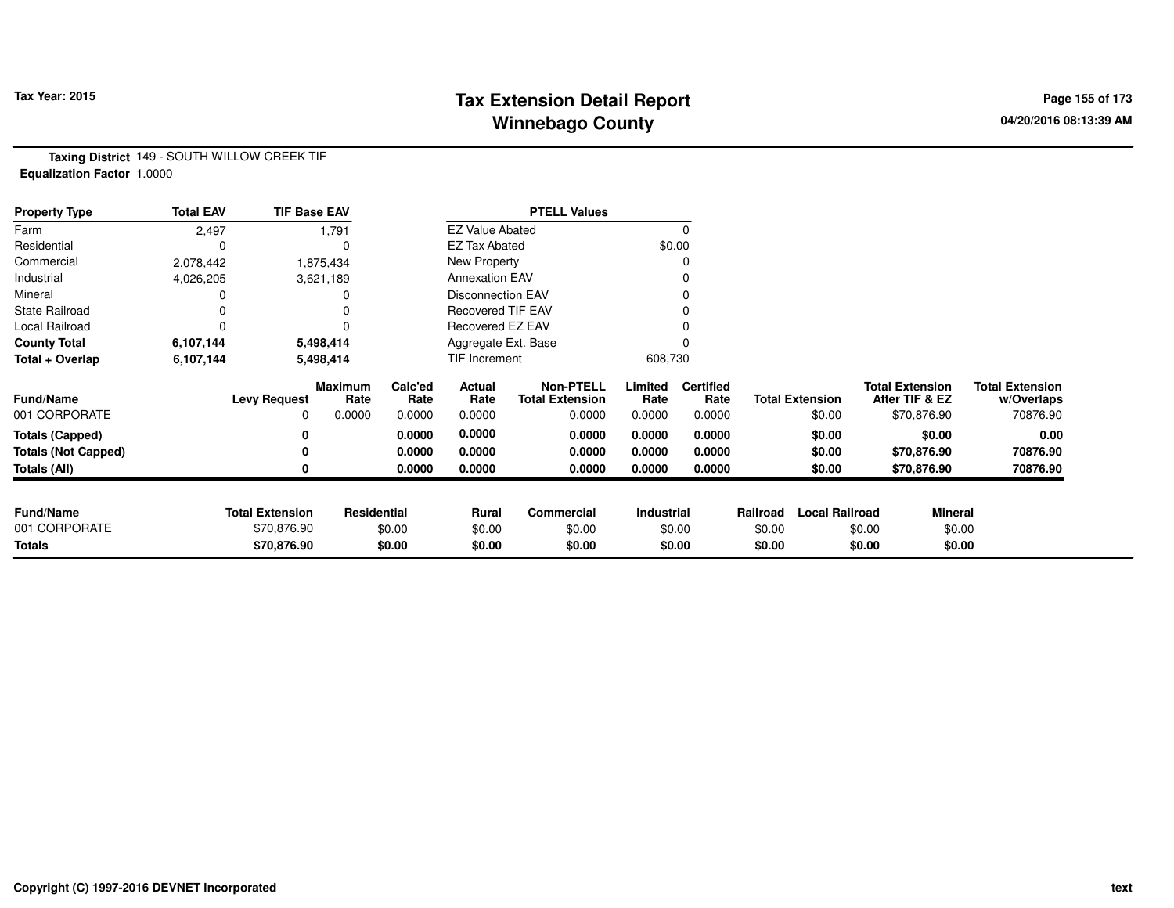# **Tax Extension Detail Report Tax Year: 2015 Page 155 of 173 Winnebago County**

**Taxing District** 149 - SOUTH WILLOW CREEK TIF**Equalization Factor** 1.0000

| <b>Property Type</b>       | <b>Total EAV</b> | <b>TIF Base EAV</b>    |                        |                 |                          | <b>PTELL Values</b>                        |                 |                          |          |                        |                                          |                                      |
|----------------------------|------------------|------------------------|------------------------|-----------------|--------------------------|--------------------------------------------|-----------------|--------------------------|----------|------------------------|------------------------------------------|--------------------------------------|
| Farm                       | 2,497            |                        | 1,791                  |                 | <b>EZ Value Abated</b>   |                                            |                 |                          |          |                        |                                          |                                      |
| Residential                |                  |                        |                        |                 | <b>EZ Tax Abated</b>     |                                            |                 | \$0.00                   |          |                        |                                          |                                      |
| Commercial                 | 2,078,442        |                        | 1,875,434              |                 | New Property             |                                            |                 |                          |          |                        |                                          |                                      |
| Industrial                 | 4,026,205        |                        | 3,621,189              |                 | <b>Annexation EAV</b>    |                                            |                 |                          |          |                        |                                          |                                      |
| Mineral                    |                  |                        |                        |                 | <b>Disconnection EAV</b> |                                            |                 |                          |          |                        |                                          |                                      |
| <b>State Railroad</b>      |                  |                        |                        |                 | <b>Recovered TIF EAV</b> |                                            |                 |                          |          |                        |                                          |                                      |
| Local Railroad             |                  |                        |                        |                 | Recovered EZ EAV         |                                            |                 |                          |          |                        |                                          |                                      |
| <b>County Total</b>        | 6,107,144        |                        | 5,498,414              |                 | Aggregate Ext. Base      |                                            |                 |                          |          |                        |                                          |                                      |
| Total + Overlap            | 6,107,144        |                        | 5,498,414              |                 | TIF Increment            |                                            | 608,730         |                          |          |                        |                                          |                                      |
| <b>Fund/Name</b>           |                  | <b>Levy Request</b>    | <b>Maximum</b><br>Rate | Calc'ed<br>Rate | Actual<br>Rate           | <b>Non-PTELL</b><br><b>Total Extension</b> | Limited<br>Rate | <b>Certified</b><br>Rate |          | <b>Total Extension</b> | <b>Total Extension</b><br>After TIF & EZ | <b>Total Extension</b><br>w/Overlaps |
| 001 CORPORATE              |                  |                        | 0.0000                 | 0.0000          | 0.0000                   | 0.0000                                     | 0.0000          | 0.0000                   |          | \$0.00                 | \$70,876.90                              | 70876.90                             |
| <b>Totals (Capped)</b>     |                  |                        |                        | 0.0000          | 0.0000                   | 0.0000                                     | 0.0000          | 0.0000                   |          | \$0.00                 | \$0.00                                   | 0.00                                 |
| <b>Totals (Not Capped)</b> |                  |                        |                        | 0.0000          | 0.0000                   | 0.0000                                     | 0.0000          | 0.0000                   |          | \$0.00                 | \$70,876.90                              | 70876.90                             |
| Totals (All)               |                  |                        |                        | 0.0000          | 0.0000                   | 0.0000                                     | 0.0000          | 0.0000                   |          | \$0.00                 | \$70,876.90                              | 70876.90                             |
|                            |                  |                        |                        |                 |                          |                                            |                 |                          |          |                        |                                          |                                      |
| <b>Fund/Name</b>           |                  | <b>Total Extension</b> | Residential            |                 | Rural                    | Commercial                                 | Industrial      |                          | Railroad | <b>Local Railroad</b>  | <b>Mineral</b>                           |                                      |
| 001 CORPORATE              |                  | \$70,876.90            |                        | \$0.00          | \$0.00                   | \$0.00                                     |                 | \$0.00                   | \$0.00   |                        | \$0.00                                   | \$0.00                               |
| <b>Totals</b>              |                  | \$70,876.90            |                        | \$0.00          | \$0.00                   | \$0.00                                     |                 | \$0.00                   | \$0.00   |                        | \$0.00                                   | \$0.00                               |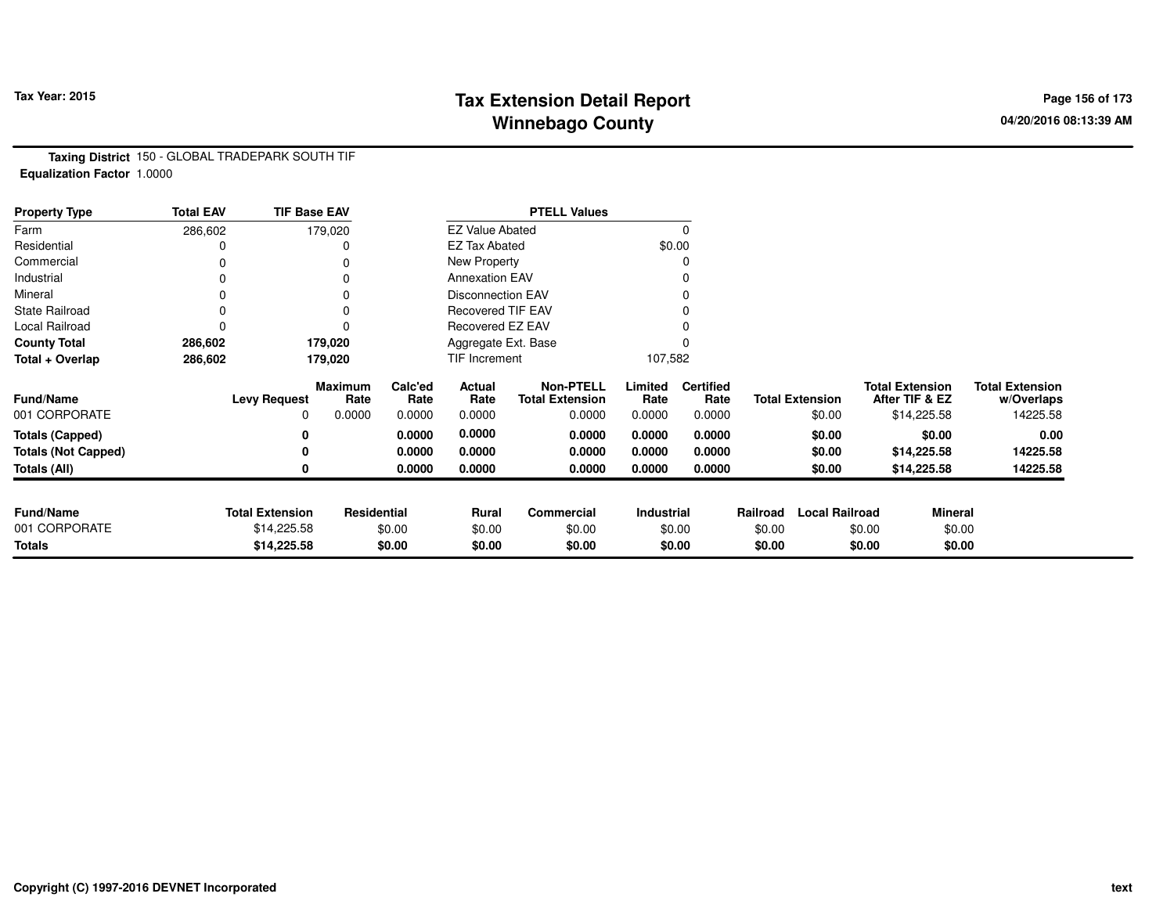# **Tax Extension Detail Report Tax Year: 2015 Page 156 of 173 Winnebago County**

**Taxing District** 150 - GLOBAL TRADEPARK SOUTH TIF**Equalization Factor** 1.0000

| <b>Property Type</b>       | <b>Total EAV</b> | <b>TIF Base EAV</b>    |                        |                 |                          | <b>PTELL Values</b>                        |                 |                          |          |                        |                        |                |                                      |
|----------------------------|------------------|------------------------|------------------------|-----------------|--------------------------|--------------------------------------------|-----------------|--------------------------|----------|------------------------|------------------------|----------------|--------------------------------------|
| Farm                       | 286,602          |                        | 179,020                |                 | <b>EZ Value Abated</b>   |                                            |                 | 0                        |          |                        |                        |                |                                      |
| Residential                |                  |                        | 0                      |                 | <b>EZ Tax Abated</b>     |                                            |                 | \$0.00                   |          |                        |                        |                |                                      |
| Commercial                 | 0                |                        | 0                      |                 | New Property             |                                            |                 | 0                        |          |                        |                        |                |                                      |
| Industrial                 |                  |                        |                        |                 | <b>Annexation EAV</b>    |                                            |                 | 0                        |          |                        |                        |                |                                      |
| Mineral                    | 0                |                        | 0                      |                 | <b>Disconnection EAV</b> |                                            |                 | 0                        |          |                        |                        |                |                                      |
| <b>State Railroad</b>      | 0                |                        | 0                      |                 | <b>Recovered TIF EAV</b> |                                            |                 |                          |          |                        |                        |                |                                      |
| Local Railroad             | 0                |                        | 0                      |                 | Recovered EZ EAV         |                                            |                 |                          |          |                        |                        |                |                                      |
| <b>County Total</b>        | 286,602          |                        | 179,020                |                 | Aggregate Ext. Base      |                                            |                 |                          |          |                        |                        |                |                                      |
| Total + Overlap            | 286,602          |                        | 179,020                |                 | TIF Increment            |                                            | 107,582         |                          |          |                        |                        |                |                                      |
| Fund/Name                  |                  | <b>Levy Request</b>    | <b>Maximum</b><br>Rate | Calc'ed<br>Rate | Actual<br>Rate           | <b>Non-PTELL</b><br><b>Total Extension</b> | Limited<br>Rate | <b>Certified</b><br>Rate |          | <b>Total Extension</b> | <b>Total Extension</b> | After TIF & EZ | <b>Total Extension</b><br>w/Overlaps |
| 001 CORPORATE              |                  | 0                      | 0.0000                 | 0.0000          | 0.0000                   | 0.0000                                     | 0.0000          | 0.0000                   |          | \$0.00                 |                        | \$14,225.58    | 14225.58                             |
| <b>Totals (Capped)</b>     |                  | 0                      |                        | 0.0000          | 0.0000                   | 0.0000                                     | 0.0000          | 0.0000                   |          | \$0.00                 |                        | \$0.00         | 0.00                                 |
| <b>Totals (Not Capped)</b> |                  | 0                      |                        | 0.0000          | 0.0000                   | 0.0000                                     | 0.0000          | 0.0000                   |          | \$0.00                 |                        | \$14,225.58    | 14225.58                             |
| Totals (All)               |                  | 0                      |                        | 0.0000          | 0.0000                   | 0.0000                                     | 0.0000          | 0.0000                   |          | \$0.00                 |                        | \$14,225.58    | 14225.58                             |
|                            |                  |                        |                        |                 |                          |                                            |                 |                          |          |                        |                        |                |                                      |
| <b>Fund/Name</b>           |                  | <b>Total Extension</b> | Residential            |                 | Rural                    | <b>Commercial</b>                          | Industrial      |                          | Railroad | <b>Local Railroad</b>  |                        | Mineral        |                                      |
| 001 CORPORATE              |                  | \$14,225.58            |                        | \$0.00          | \$0.00                   | \$0.00                                     |                 | \$0.00                   | \$0.00   |                        | \$0.00                 | \$0.00         |                                      |
| <b>Totals</b>              |                  | \$14,225.58            |                        | \$0.00          | \$0.00                   | \$0.00                                     |                 | \$0.00                   | \$0.00   |                        | \$0.00                 | \$0.00         |                                      |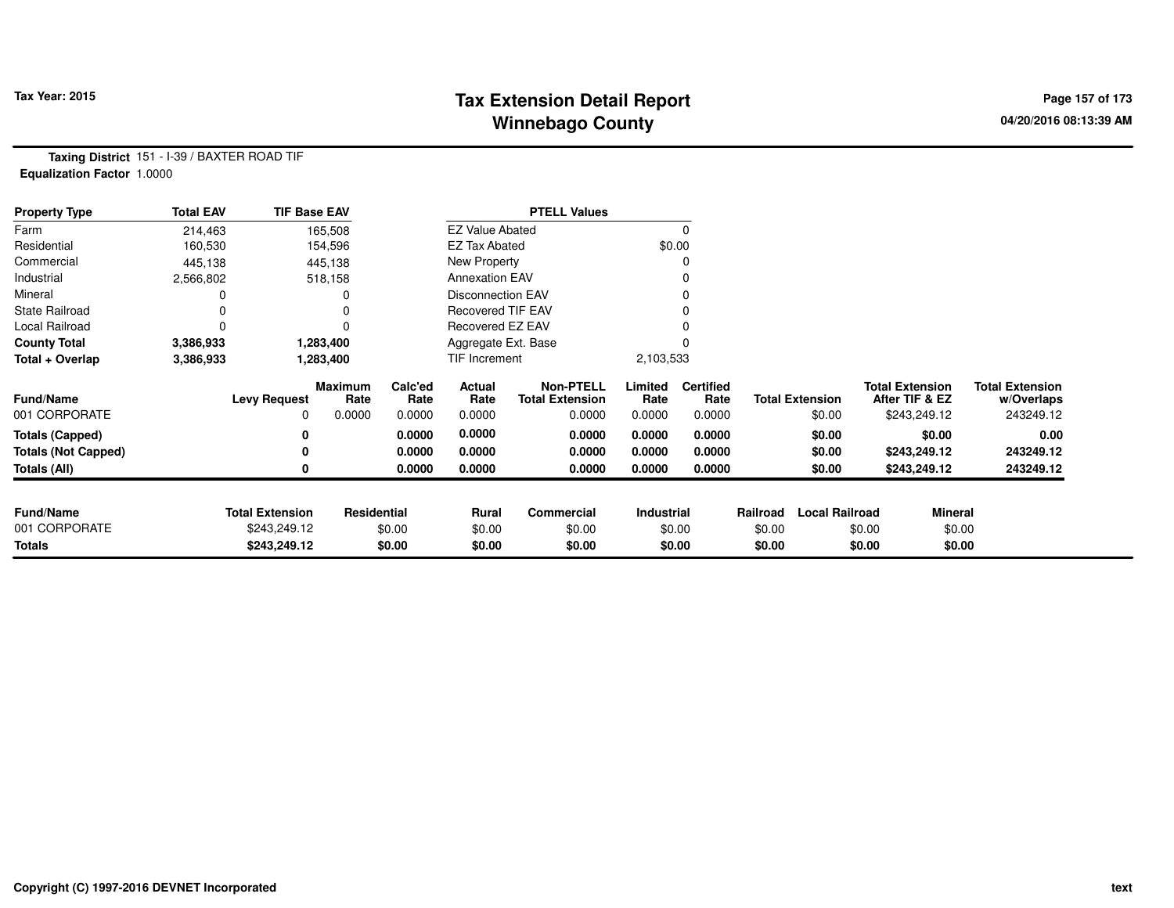# **Tax Extension Detail Report Tax Year: 2015 Page 157 of 173 Winnebago County**

**Taxing District** 151 - I-39 / BAXTER ROAD TIF**Equalization Factor** 1.0000

| <b>Property Type</b>       | <b>Total EAV</b> | <b>TIF Base EAV</b>    |                 |                 |                          | <b>PTELL Values</b>                        |                 |                          |          |                        |                                          |                |                                      |
|----------------------------|------------------|------------------------|-----------------|-----------------|--------------------------|--------------------------------------------|-----------------|--------------------------|----------|------------------------|------------------------------------------|----------------|--------------------------------------|
| Farm                       | 214,463          |                        | 165,508         |                 | <b>EZ Value Abated</b>   |                                            |                 | $\Omega$                 |          |                        |                                          |                |                                      |
| Residential                | 160,530          |                        | 154,596         |                 | <b>EZ Tax Abated</b>     |                                            |                 | \$0.00                   |          |                        |                                          |                |                                      |
| Commercial                 | 445,138          |                        | 445,138         |                 | New Property             |                                            |                 | 0                        |          |                        |                                          |                |                                      |
| Industrial                 | 2,566,802        |                        | 518,158         |                 | <b>Annexation EAV</b>    |                                            |                 |                          |          |                        |                                          |                |                                      |
| Mineral                    |                  |                        |                 |                 | <b>Disconnection EAV</b> |                                            |                 |                          |          |                        |                                          |                |                                      |
| <b>State Railroad</b>      |                  |                        |                 |                 | <b>Recovered TIF EAV</b> |                                            |                 |                          |          |                        |                                          |                |                                      |
| Local Railroad             |                  |                        |                 |                 | Recovered EZ EAV         |                                            |                 |                          |          |                        |                                          |                |                                      |
| <b>County Total</b>        | 3,386,933        |                        | 1,283,400       |                 | Aggregate Ext. Base      |                                            |                 |                          |          |                        |                                          |                |                                      |
| Total + Overlap            | 3,386,933        |                        | 1,283,400       |                 | TIF Increment            |                                            | 2,103,533       |                          |          |                        |                                          |                |                                      |
| <b>Fund/Name</b>           |                  | <b>Levy Request</b>    | Maximum<br>Rate | Calc'ed<br>Rate | Actual<br>Rate           | <b>Non-PTELL</b><br><b>Total Extension</b> | Limited<br>Rate | <b>Certified</b><br>Rate |          | <b>Total Extension</b> | <b>Total Extension</b><br>After TIF & EZ |                | <b>Total Extension</b><br>w/Overlaps |
| 001 CORPORATE              |                  | 0                      | 0.0000          | 0.0000          | 0.0000                   | 0.0000                                     | 0.0000          | 0.0000                   |          | \$0.00                 | \$243,249.12                             |                | 243249.12                            |
| <b>Totals (Capped)</b>     |                  | 0                      |                 | 0.0000          | 0.0000                   | 0.0000                                     | 0.0000          | 0.0000                   |          | \$0.00                 |                                          | \$0.00         | 0.00                                 |
| <b>Totals (Not Capped)</b> |                  | 0                      |                 | 0.0000          | 0.0000                   | 0.0000                                     | 0.0000          | 0.0000                   |          | \$0.00                 | \$243,249.12                             |                | 243249.12                            |
| Totals (All)               |                  | 0                      |                 | 0.0000          | 0.0000                   | 0.0000                                     | 0.0000          | 0.0000                   |          | \$0.00                 | \$243,249.12                             |                | 243249.12                            |
|                            |                  |                        |                 |                 |                          |                                            |                 |                          |          |                        |                                          |                |                                      |
| <b>Fund/Name</b>           |                  | <b>Total Extension</b> | Residential     |                 | Rural                    | Commercial                                 | Industrial      |                          | Railroad | <b>Local Railroad</b>  |                                          | <b>Mineral</b> |                                      |
| 001 CORPORATE              |                  | \$243,249.12           |                 | \$0.00          | \$0.00                   | \$0.00                                     |                 | \$0.00                   | \$0.00   |                        | \$0.00                                   | \$0.00         |                                      |
| Totals                     |                  | \$243,249.12           |                 | \$0.00          | \$0.00                   | \$0.00                                     |                 | \$0.00                   | \$0.00   |                        | \$0.00                                   | \$0.00         |                                      |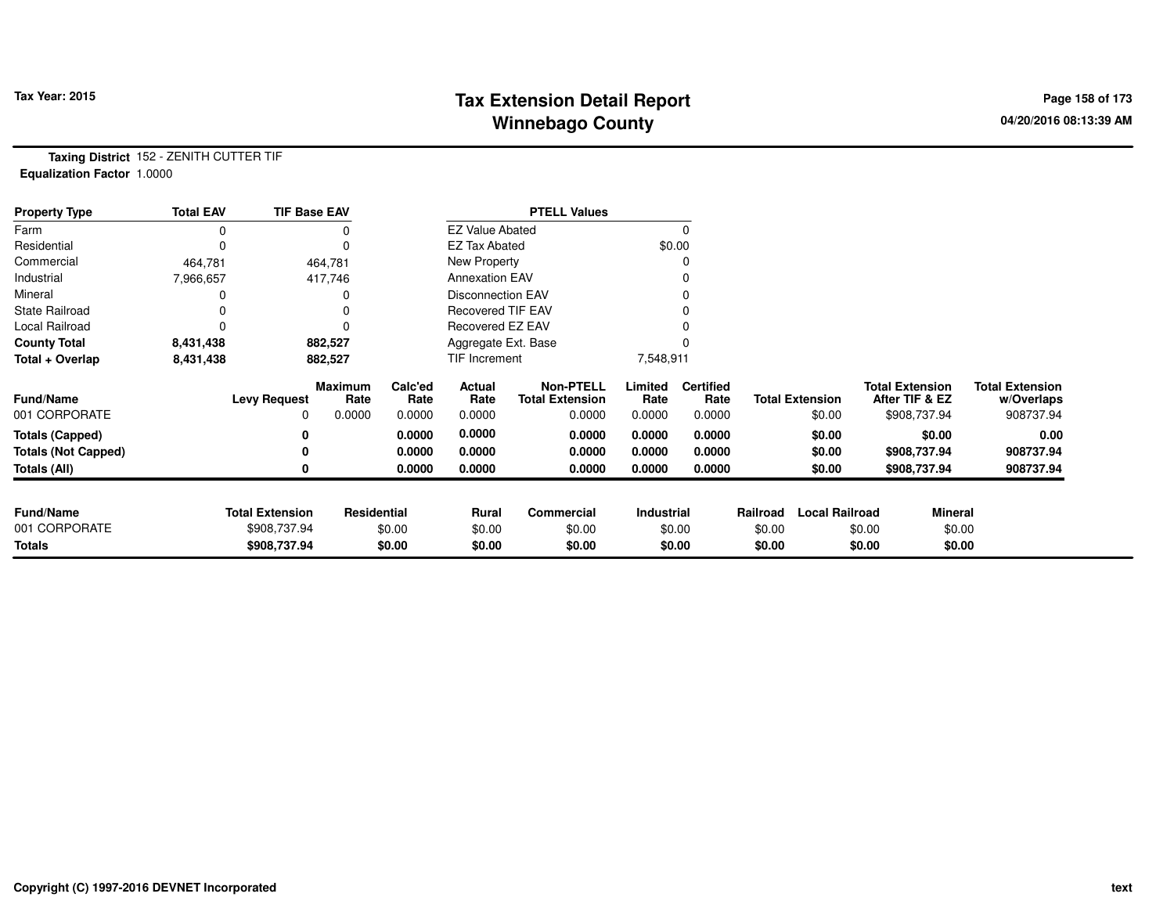# **Tax Extension Detail Report Tax Year: 2015 Page 158 of 173 Winnebago County**

**Taxing District** 152 - ZENITH CUTTER TIF**Equalization Factor** 1.0000

| <b>Property Type</b>       | <b>Total EAV</b> | <b>TIF Base EAV</b>    |                 |                 |                          | <b>PTELL Values</b>                        |                 |                          |          |                        |                                          |                                      |
|----------------------------|------------------|------------------------|-----------------|-----------------|--------------------------|--------------------------------------------|-----------------|--------------------------|----------|------------------------|------------------------------------------|--------------------------------------|
| Farm                       |                  |                        |                 |                 | <b>EZ Value Abated</b>   |                                            |                 |                          |          |                        |                                          |                                      |
| Residential                |                  |                        | 0               |                 | <b>EZ Tax Abated</b>     |                                            |                 | \$0.00                   |          |                        |                                          |                                      |
| Commercial                 | 464,781          |                        | 464,781         |                 | New Property             |                                            |                 |                          |          |                        |                                          |                                      |
| Industrial                 | 7,966,657        |                        | 417,746         |                 | <b>Annexation EAV</b>    |                                            |                 |                          |          |                        |                                          |                                      |
| Mineral                    |                  |                        | 0               |                 | Disconnection EAV        |                                            |                 |                          |          |                        |                                          |                                      |
| <b>State Railroad</b>      |                  |                        | 0               |                 | <b>Recovered TIF EAV</b> |                                            |                 |                          |          |                        |                                          |                                      |
| <b>Local Railroad</b>      |                  |                        |                 |                 | Recovered EZ EAV         |                                            |                 |                          |          |                        |                                          |                                      |
| <b>County Total</b>        | 8,431,438        |                        | 882,527         |                 | Aggregate Ext. Base      |                                            |                 |                          |          |                        |                                          |                                      |
| Total + Overlap            | 8,431,438        |                        | 882,527         |                 | TIF Increment            |                                            | 7,548,911       |                          |          |                        |                                          |                                      |
| <b>Fund/Name</b>           |                  | <b>Levy Request</b>    | Maximum<br>Rate | Calc'ed<br>Rate | Actual<br>Rate           | <b>Non-PTELL</b><br><b>Total Extension</b> | Limited<br>Rate | <b>Certified</b><br>Rate |          | <b>Total Extension</b> | <b>Total Extension</b><br>After TIF & EZ | <b>Total Extension</b><br>w/Overlaps |
| 001 CORPORATE              |                  | 0                      | 0.0000          | 0.0000          | 0.0000                   | 0.0000                                     | 0.0000          | 0.0000                   |          | \$0.00                 | \$908,737.94                             | 908737.94                            |
| <b>Totals (Capped)</b>     |                  |                        |                 | 0.0000          | 0.0000                   | 0.0000                                     | 0.0000          | 0.0000                   |          | \$0.00                 | \$0.00                                   | 0.00                                 |
| <b>Totals (Not Capped)</b> |                  |                        |                 | 0.0000          | 0.0000                   | 0.0000                                     | 0.0000          | 0.0000                   |          | \$0.00                 | \$908,737.94                             | 908737.94                            |
| Totals (All)               |                  |                        |                 | 0.0000          | 0.0000                   | 0.0000                                     | 0.0000          | 0.0000                   |          | \$0.00                 | \$908,737.94                             | 908737.94                            |
|                            |                  |                        |                 |                 |                          |                                            |                 |                          |          |                        |                                          |                                      |
| <b>Fund/Name</b>           |                  | <b>Total Extension</b> | Residential     |                 | Rural                    | <b>Commercial</b>                          | Industrial      |                          | Railroad | <b>Local Railroad</b>  |                                          | Mineral                              |
| 001 CORPORATE              |                  | \$908,737.94           |                 | \$0.00          | \$0.00                   | \$0.00                                     |                 | \$0.00                   | \$0.00   |                        | \$0.00                                   | \$0.00                               |
| Totals                     |                  | \$908,737.94           |                 | \$0.00          | \$0.00                   | \$0.00                                     |                 | \$0.00                   | \$0.00   |                        | \$0.00                                   | \$0.00                               |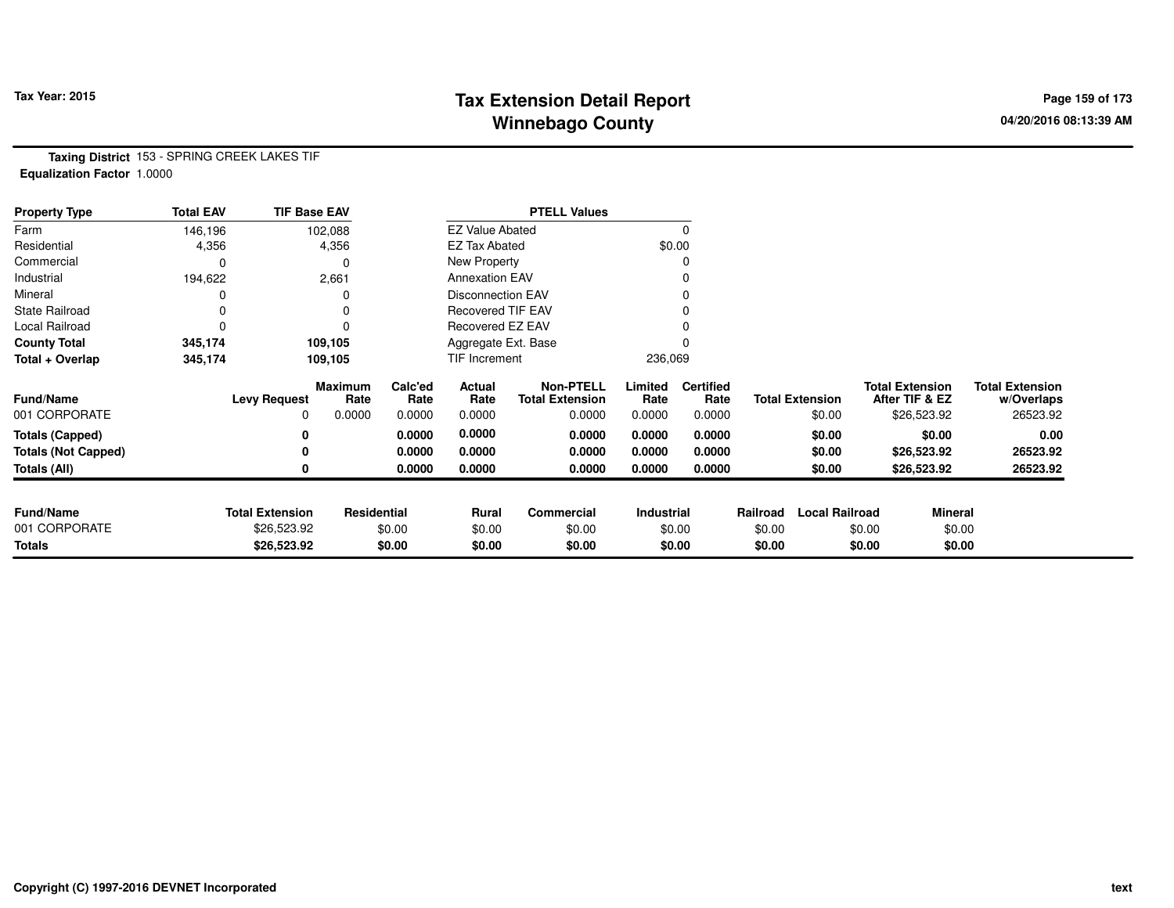# **Tax Extension Detail Report Tax Year: 2015 Page 159 of 173 Winnebago County**

**Taxing District** 153 - SPRING CREEK LAKES TIF**Equalization Factor** 1.0000

| <b>Property Type</b>       | <b>Total EAV</b> | <b>TIF Base EAV</b>    |                 |                 |                          | <b>PTELL Values</b>                        |                 |                          |          |                        |        |                                          |                                      |
|----------------------------|------------------|------------------------|-----------------|-----------------|--------------------------|--------------------------------------------|-----------------|--------------------------|----------|------------------------|--------|------------------------------------------|--------------------------------------|
| Farm                       | 146,196          |                        | 102,088         |                 | <b>EZ Value Abated</b>   |                                            |                 |                          |          |                        |        |                                          |                                      |
| Residential                | 4,356            |                        | 4,356           |                 | <b>EZ Tax Abated</b>     |                                            | \$0.00          |                          |          |                        |        |                                          |                                      |
| Commercial                 | 0                |                        |                 |                 | New Property             |                                            |                 |                          |          |                        |        |                                          |                                      |
| Industrial                 | 194,622          |                        | 2,661           |                 | <b>Annexation EAV</b>    |                                            |                 |                          |          |                        |        |                                          |                                      |
| Mineral                    |                  |                        |                 |                 | <b>Disconnection EAV</b> |                                            |                 |                          |          |                        |        |                                          |                                      |
| <b>State Railroad</b>      | 0                |                        |                 |                 | Recovered TIF EAV        |                                            |                 |                          |          |                        |        |                                          |                                      |
| Local Railroad             | 0                |                        |                 |                 | Recovered EZ EAV         |                                            |                 |                          |          |                        |        |                                          |                                      |
| <b>County Total</b>        | 345,174          |                        | 109,105         |                 | Aggregate Ext. Base      |                                            |                 |                          |          |                        |        |                                          |                                      |
| Total + Overlap            | 345,174          |                        | 109,105         |                 | TIF Increment            |                                            | 236,069         |                          |          |                        |        |                                          |                                      |
| <b>Fund/Name</b>           |                  | <b>Levy Request</b>    | Maximum<br>Rate | Calc'ed<br>Rate | Actual<br>Rate           | <b>Non-PTELL</b><br><b>Total Extension</b> | Limited<br>Rate | <b>Certified</b><br>Rate |          | <b>Total Extension</b> |        | <b>Total Extension</b><br>After TIF & EZ | <b>Total Extension</b><br>w/Overlaps |
| 001 CORPORATE              |                  | 0                      | 0.0000          | 0.0000          | 0.0000                   | 0.0000                                     | 0.0000          | 0.0000                   |          | \$0.00                 |        | \$26,523.92                              | 26523.92                             |
| <b>Totals (Capped)</b>     |                  | 0                      |                 | 0.0000          | 0.0000                   | 0.0000                                     | 0.0000          | 0.0000                   |          | \$0.00                 |        | \$0.00                                   | 0.00                                 |
| <b>Totals (Not Capped)</b> |                  | 0                      |                 | 0.0000          | 0.0000                   | 0.0000                                     | 0.0000          | 0.0000                   |          | \$0.00                 |        | \$26,523.92                              | 26523.92                             |
| Totals (All)               |                  | 0                      |                 | 0.0000          | 0.0000                   | 0.0000                                     | 0.0000          | 0.0000                   |          | \$0.00                 |        | \$26,523.92                              | 26523.92                             |
| <b>Fund/Name</b>           |                  | <b>Total Extension</b> | Residential     |                 | Rural                    | Commercial                                 | Industrial      |                          | Railroad | <b>Local Railroad</b>  |        | <b>Mineral</b>                           |                                      |
| 001 CORPORATE              |                  | \$26,523.92            |                 | \$0.00          | \$0.00                   | \$0.00                                     |                 | \$0.00                   | \$0.00   |                        | \$0.00 | \$0.00                                   |                                      |
| <b>Totals</b>              |                  | \$26,523.92            |                 | \$0.00          | \$0.00                   | \$0.00                                     |                 | \$0.00                   | \$0.00   |                        | \$0.00 | \$0.00                                   |                                      |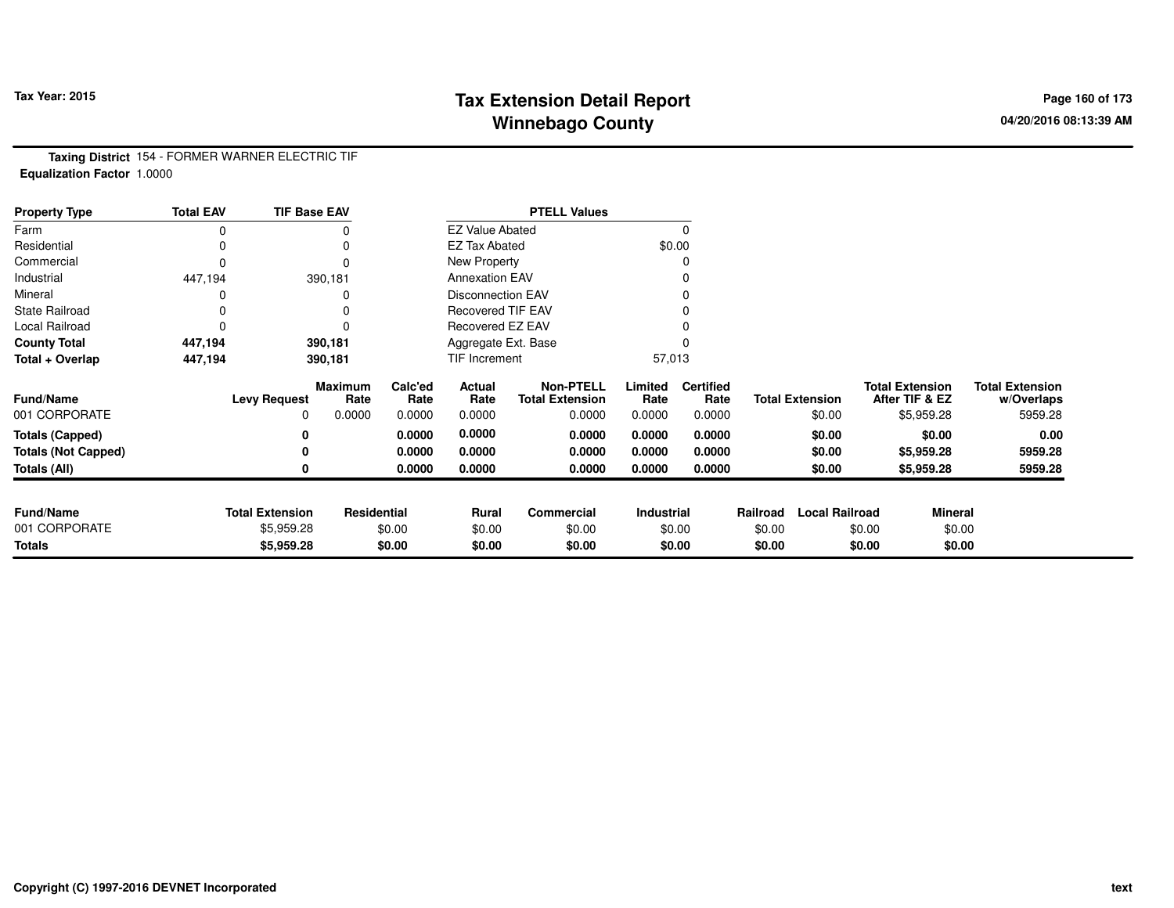# **Tax Extension Detail Report Tax Year: 2015 Page 160 of 173 Winnebago County**

**Taxing District** 154 - FORMER WARNER ELECTRIC TIF**Equalization Factor** 1.0000

| <b>Property Type</b>       | <b>Total EAV</b> | <b>TIF Base EAV</b>    |                 |                 |                          | <b>PTELL Values</b>                        |                   |                          |          |                        |                                          |                                      |
|----------------------------|------------------|------------------------|-----------------|-----------------|--------------------------|--------------------------------------------|-------------------|--------------------------|----------|------------------------|------------------------------------------|--------------------------------------|
| Farm                       | 0                |                        |                 |                 | <b>EZ Value Abated</b>   |                                            |                   | $\Omega$                 |          |                        |                                          |                                      |
| Residential                |                  |                        |                 |                 | <b>EZ Tax Abated</b>     |                                            |                   | \$0.00                   |          |                        |                                          |                                      |
| Commercial                 | 0                |                        | $\Omega$        |                 | New Property             |                                            |                   | 0                        |          |                        |                                          |                                      |
| Industrial                 | 447,194          |                        | 390,181         |                 | <b>Annexation EAV</b>    |                                            |                   |                          |          |                        |                                          |                                      |
| Mineral                    |                  |                        |                 |                 | <b>Disconnection EAV</b> |                                            |                   | 0                        |          |                        |                                          |                                      |
| <b>State Railroad</b>      | 0                |                        |                 |                 | <b>Recovered TIF EAV</b> |                                            |                   |                          |          |                        |                                          |                                      |
| Local Railroad             | 0                |                        |                 |                 | Recovered EZ EAV         |                                            |                   |                          |          |                        |                                          |                                      |
| <b>County Total</b>        | 447,194          |                        | 390,181         |                 | Aggregate Ext. Base      |                                            |                   |                          |          |                        |                                          |                                      |
| Total + Overlap            | 447,194          |                        | 390,181         |                 | TIF Increment            |                                            | 57,013            |                          |          |                        |                                          |                                      |
| <b>Fund/Name</b>           |                  | <b>Levy Request</b>    | Maximum<br>Rate | Calc'ed<br>Rate | Actual<br>Rate           | <b>Non-PTELL</b><br><b>Total Extension</b> | Limited<br>Rate   | <b>Certified</b><br>Rate |          | <b>Total Extension</b> | <b>Total Extension</b><br>After TIF & EZ | <b>Total Extension</b><br>w/Overlaps |
| 001 CORPORATE              |                  | 0                      | 0.0000          | 0.0000          | 0.0000                   | 0.0000                                     | 0.0000            | 0.0000                   |          | \$0.00                 | \$5,959.28                               | 5959.28                              |
| <b>Totals (Capped)</b>     |                  | 0                      |                 | 0.0000          | 0.0000                   | 0.0000                                     | 0.0000            | 0.0000                   |          | \$0.00                 | \$0.00                                   | 0.00                                 |
| <b>Totals (Not Capped)</b> |                  |                        |                 | 0.0000          | 0.0000                   | 0.0000                                     | 0.0000            | 0.0000                   |          | \$0.00                 | \$5,959.28                               | 5959.28                              |
| Totals (All)               |                  |                        |                 | 0.0000          | 0.0000                   | 0.0000                                     | 0.0000            | 0.0000                   |          | \$0.00                 | \$5,959.28                               | 5959.28                              |
|                            |                  |                        |                 |                 |                          |                                            |                   |                          |          |                        |                                          |                                      |
| <b>Fund/Name</b>           |                  | <b>Total Extension</b> | Residential     |                 | Rural                    | Commercial                                 | <b>Industrial</b> |                          | Railroad | <b>Local Railroad</b>  | <b>Mineral</b>                           |                                      |
| 001 CORPORATE              |                  | \$5,959.28             |                 | \$0.00          | \$0.00                   | \$0.00                                     |                   | \$0.00                   | \$0.00   |                        | \$0.00<br>\$0.00                         |                                      |
| <b>Totals</b>              |                  | \$5,959.28             |                 | \$0.00          | \$0.00                   | \$0.00                                     |                   | \$0.00                   | \$0.00   |                        | \$0.00<br>\$0.00                         |                                      |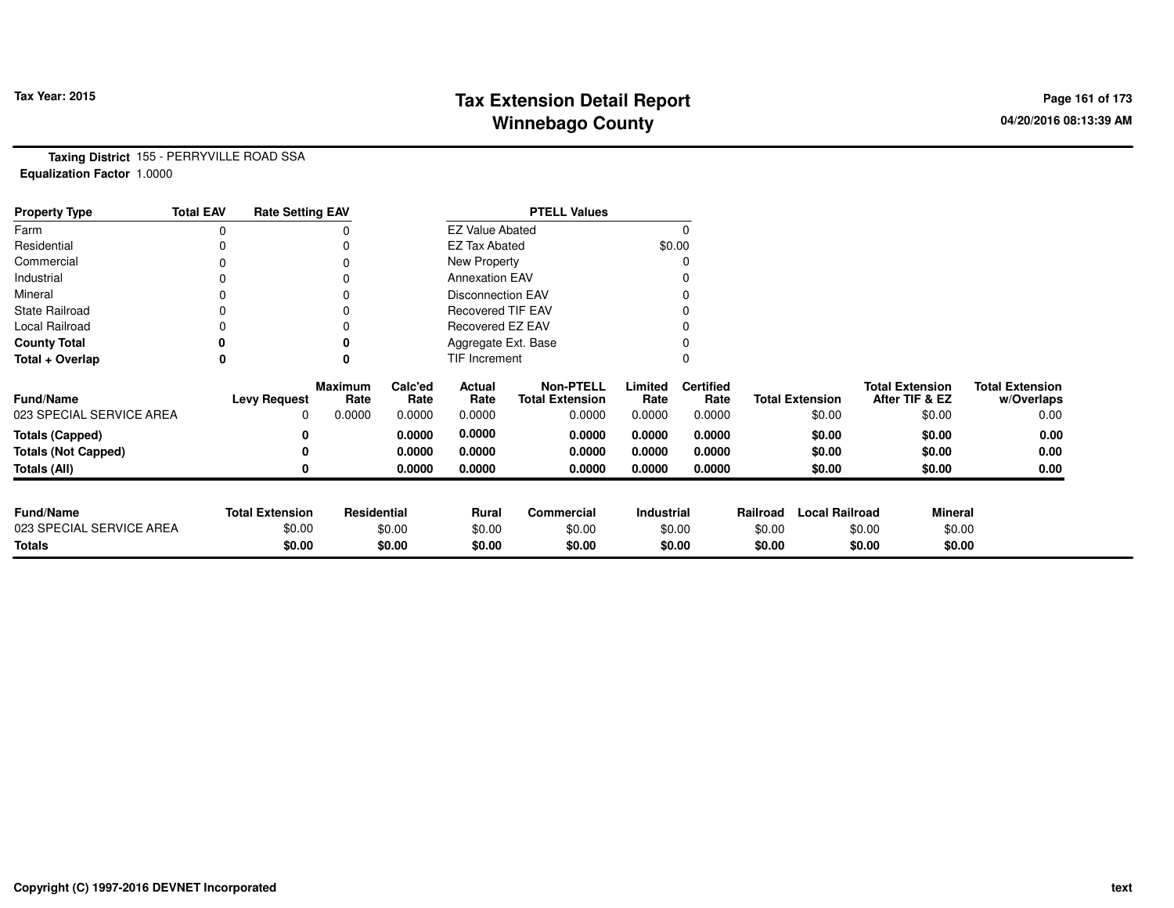# **Tax Extension Detail Report Tax Year: 2015 Page 161 of 173 Winnebago County**

**Taxing District** 155 - PERRYVILLE ROAD SSA**Equalization Factor** 1.0000

| <b>Property Type</b>       | <b>Total EAV</b> | <b>Rate Setting EAV</b> |                 |                 |                          | <b>PTELL Values</b>                        |                   |                          |          |                        |                                          |                                      |
|----------------------------|------------------|-------------------------|-----------------|-----------------|--------------------------|--------------------------------------------|-------------------|--------------------------|----------|------------------------|------------------------------------------|--------------------------------------|
| Farm                       |                  |                         |                 |                 | <b>EZ Value Abated</b>   |                                            |                   |                          |          |                        |                                          |                                      |
| Residential                |                  |                         |                 |                 | <b>EZ Tax Abated</b>     |                                            |                   | \$0.00                   |          |                        |                                          |                                      |
| Commercial                 |                  |                         |                 |                 | New Property             |                                            |                   |                          |          |                        |                                          |                                      |
| Industrial                 |                  |                         |                 |                 | <b>Annexation EAV</b>    |                                            |                   |                          |          |                        |                                          |                                      |
| Mineral                    |                  |                         |                 |                 | <b>Disconnection EAV</b> |                                            |                   |                          |          |                        |                                          |                                      |
| <b>State Railroad</b>      |                  |                         |                 |                 | <b>Recovered TIF EAV</b> |                                            |                   |                          |          |                        |                                          |                                      |
| Local Railroad             |                  |                         |                 |                 | Recovered EZ EAV         |                                            |                   |                          |          |                        |                                          |                                      |
| <b>County Total</b>        |                  |                         |                 |                 | Aggregate Ext. Base      |                                            |                   |                          |          |                        |                                          |                                      |
| Total + Overlap            | 0                |                         | 0               |                 | TIF Increment            |                                            |                   |                          |          |                        |                                          |                                      |
| <b>Fund/Name</b>           |                  | <b>Levy Request</b>     | Maximum<br>Rate | Calc'ed<br>Rate | Actual<br>Rate           | <b>Non-PTELL</b><br><b>Total Extension</b> | Limited<br>Rate   | <b>Certified</b><br>Rate |          | <b>Total Extension</b> | <b>Total Extension</b><br>After TIF & EZ | <b>Total Extension</b><br>w/Overlaps |
| 023 SPECIAL SERVICE AREA   |                  | 0                       | 0.0000          | 0.0000          | 0.0000                   | 0.0000                                     | 0.0000            | 0.0000                   |          | \$0.00                 | \$0.00                                   | 0.00                                 |
| <b>Totals (Capped)</b>     |                  |                         |                 | 0.0000          | 0.0000                   | 0.0000                                     | 0.0000            | 0.0000                   |          | \$0.00                 | \$0.00                                   | 0.00                                 |
| <b>Totals (Not Capped)</b> |                  |                         |                 | 0.0000          | 0.0000                   | 0.0000                                     | 0.0000            | 0.0000                   |          | \$0.00                 | \$0.00                                   | 0.00                                 |
| <b>Totals (All)</b>        |                  |                         |                 | 0.0000          | 0.0000                   | 0.0000                                     | 0.0000            | 0.0000                   |          | \$0.00                 | \$0.00                                   | 0.00                                 |
| <b>Fund/Name</b>           |                  | <b>Total Extension</b>  | Residential     |                 | Rural                    | <b>Commercial</b>                          | <b>Industrial</b> |                          | Railroad | <b>Local Railroad</b>  | <b>Mineral</b>                           |                                      |
| 023 SPECIAL SERVICE AREA   |                  | \$0.00                  |                 | \$0.00          | \$0.00                   | \$0.00                                     |                   | \$0.00                   | \$0.00   |                        | \$0.00                                   | \$0.00                               |
| Totals                     |                  | \$0.00                  |                 | \$0.00          | \$0.00                   | \$0.00                                     |                   | \$0.00                   | \$0.00   |                        | \$0.00                                   | \$0.00                               |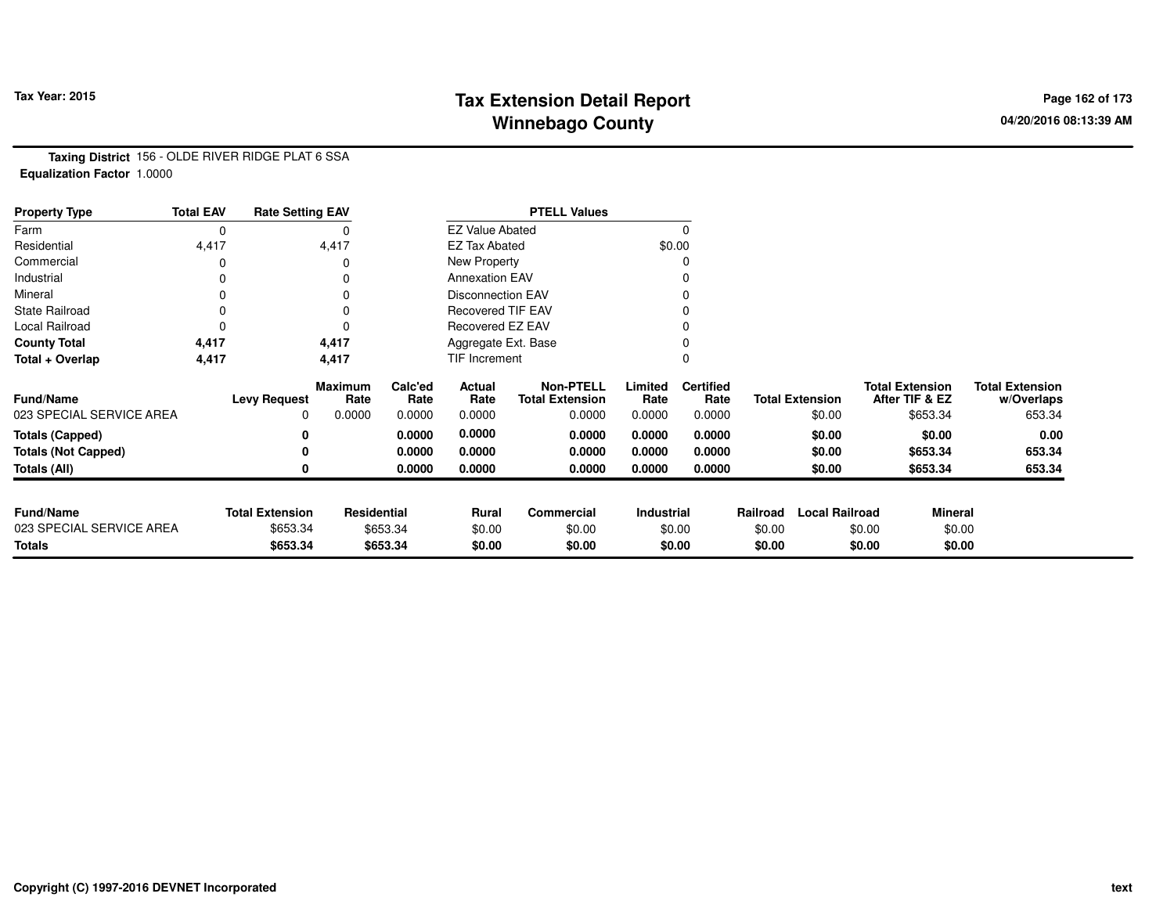# **Tax Extension Detail Report Tax Year: 2015 Page 162 of 173 Winnebago County**

**Taxing District** 156 - OLDE RIVER RIDGE PLAT 6 SSA**Equalization Factor** 1.0000

| <b>Property Type</b>       | <b>Total EAV</b> | <b>Rate Setting EAV</b> |                        |                 |                          | <b>PTELL Values</b>                        |                 |                          |          |                        |                                          |                |                                      |
|----------------------------|------------------|-------------------------|------------------------|-----------------|--------------------------|--------------------------------------------|-----------------|--------------------------|----------|------------------------|------------------------------------------|----------------|--------------------------------------|
| Farm                       | 0                |                         |                        |                 | <b>EZ Value Abated</b>   |                                            |                 | $\Omega$                 |          |                        |                                          |                |                                      |
| Residential                | 4,417            |                         | 4,417                  |                 | <b>EZ Tax Abated</b>     |                                            |                 | \$0.00                   |          |                        |                                          |                |                                      |
| Commercial                 | 0                |                         |                        |                 | New Property             |                                            |                 |                          |          |                        |                                          |                |                                      |
| Industrial                 | 0                |                         |                        |                 | <b>Annexation EAV</b>    |                                            |                 |                          |          |                        |                                          |                |                                      |
| Mineral                    | 0                |                         |                        |                 | <b>Disconnection EAV</b> |                                            |                 |                          |          |                        |                                          |                |                                      |
| <b>State Railroad</b>      | 0                |                         |                        |                 | <b>Recovered TIF EAV</b> |                                            |                 |                          |          |                        |                                          |                |                                      |
| Local Railroad             | 0                |                         |                        |                 | Recovered EZ EAV         |                                            |                 |                          |          |                        |                                          |                |                                      |
| <b>County Total</b>        | 4,417            |                         | 4,417                  |                 | Aggregate Ext. Base      |                                            |                 |                          |          |                        |                                          |                |                                      |
| Total + Overlap            | 4,417            |                         | 4,417                  |                 | <b>TIF Increment</b>     |                                            |                 |                          |          |                        |                                          |                |                                      |
| <b>Fund/Name</b>           |                  | <b>Levy Request</b>     | <b>Maximum</b><br>Rate | Calc'ed<br>Rate | Actual<br>Rate           | <b>Non-PTELL</b><br><b>Total Extension</b> | Limited<br>Rate | <b>Certified</b><br>Rate |          | <b>Total Extension</b> | <b>Total Extension</b><br>After TIF & EZ |                | <b>Total Extension</b><br>w/Overlaps |
| 023 SPECIAL SERVICE AREA   |                  | 0                       | 0.0000                 | 0.0000          | 0.0000                   | 0.0000                                     | 0.0000          | 0.0000                   |          | \$0.00                 |                                          | \$653.34       | 653.34                               |
| <b>Totals (Capped)</b>     |                  | 0                       |                        | 0.0000          | 0.0000                   | 0.0000                                     | 0.0000          | 0.0000                   |          | \$0.00                 |                                          | \$0.00         | 0.00                                 |
| <b>Totals (Not Capped)</b> |                  | 0                       |                        | 0.0000          | 0.0000                   | 0.0000                                     | 0.0000          | 0.0000                   |          | \$0.00                 |                                          | \$653.34       | 653.34                               |
| Totals (All)               |                  | 0                       |                        | 0.0000          | 0.0000                   | 0.0000                                     | 0.0000          | 0.0000                   |          | \$0.00                 |                                          | \$653.34       | 653.34                               |
|                            |                  |                         |                        |                 |                          |                                            |                 |                          |          |                        |                                          |                |                                      |
| <b>Fund/Name</b>           |                  | <b>Total Extension</b>  | Residential            |                 | <b>Rural</b>             | Commercial                                 | Industrial      |                          | Railroad | <b>Local Railroad</b>  |                                          | <b>Mineral</b> |                                      |
| 023 SPECIAL SERVICE AREA   |                  | \$653.34                |                        | \$653.34        | \$0.00                   | \$0.00                                     |                 | \$0.00                   | \$0.00   |                        | \$0.00                                   | \$0.00         |                                      |
| <b>Totals</b>              |                  | \$653.34                |                        | \$653.34        | \$0.00                   | \$0.00                                     |                 | \$0.00                   | \$0.00   |                        | \$0.00                                   | \$0.00         |                                      |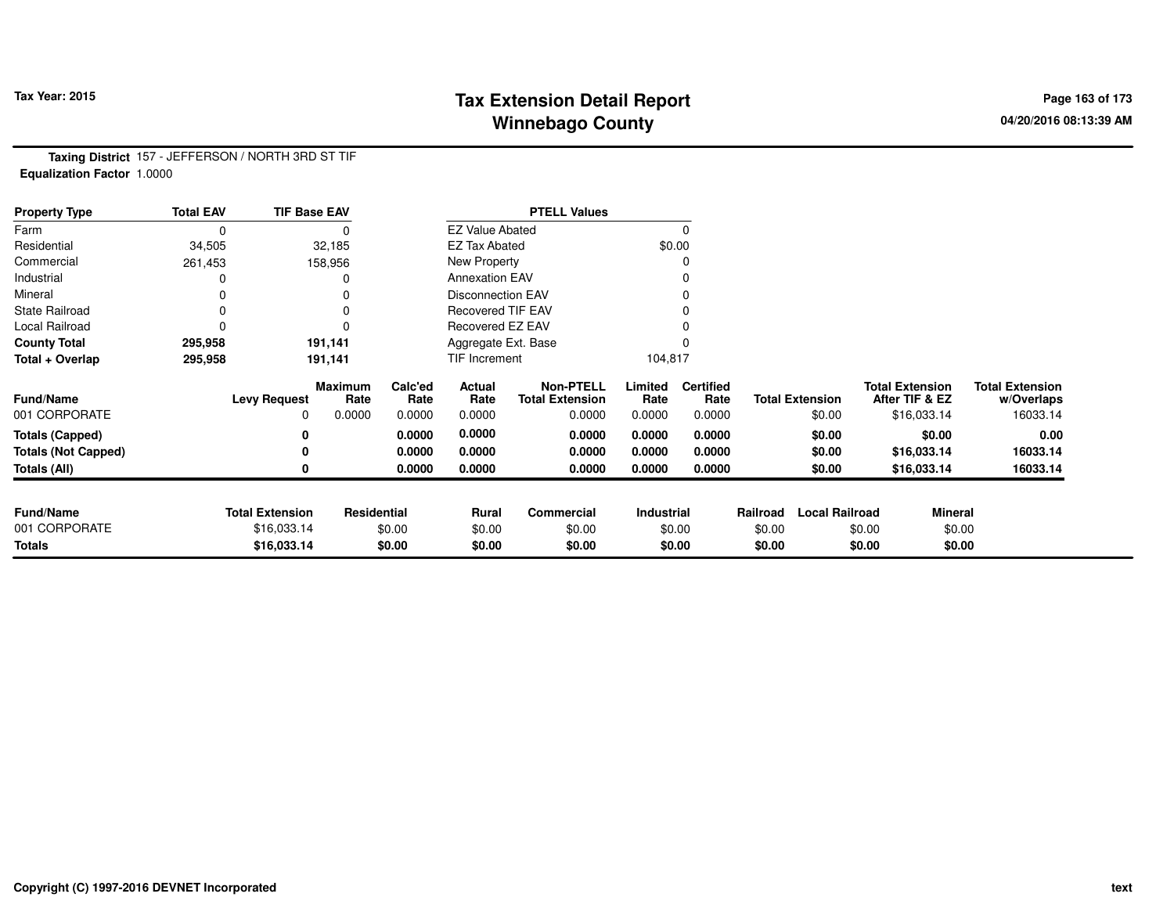# **Tax Extension Detail Report Tax Year: 2015 Page 163 of 173 Winnebago County**

**Taxing District** 157 - JEFFERSON / NORTH 3RD ST TIF**Equalization Factor** 1.0000

| <b>Property Type</b>       | <b>Total EAV</b> | <b>TIF Base EAV</b>    |                 |                 |                          | <b>PTELL Values</b>                        |                 |                          |          |                        |                                          |         |                                      |
|----------------------------|------------------|------------------------|-----------------|-----------------|--------------------------|--------------------------------------------|-----------------|--------------------------|----------|------------------------|------------------------------------------|---------|--------------------------------------|
| Farm                       | 0                |                        |                 |                 | <b>EZ Value Abated</b>   |                                            |                 | $\Omega$                 |          |                        |                                          |         |                                      |
| Residential                | 34,505           |                        | 32,185          |                 | <b>EZ Tax Abated</b>     |                                            |                 | \$0.00                   |          |                        |                                          |         |                                      |
| Commercial                 | 261,453          |                        | 158,956         |                 | New Property             |                                            |                 |                          |          |                        |                                          |         |                                      |
| Industrial                 |                  |                        |                 |                 | <b>Annexation EAV</b>    |                                            |                 |                          |          |                        |                                          |         |                                      |
| Mineral                    |                  |                        |                 |                 | <b>Disconnection EAV</b> |                                            |                 |                          |          |                        |                                          |         |                                      |
| <b>State Railroad</b>      |                  |                        |                 |                 | Recovered TIF EAV        |                                            |                 |                          |          |                        |                                          |         |                                      |
| Local Railroad             |                  |                        | $\Omega$        |                 | Recovered EZ EAV         |                                            |                 |                          |          |                        |                                          |         |                                      |
| <b>County Total</b>        | 295,958          |                        | 191,141         |                 | Aggregate Ext. Base      |                                            |                 |                          |          |                        |                                          |         |                                      |
| Total + Overlap            | 295,958          |                        | 191,141         |                 | TIF Increment            |                                            | 104,817         |                          |          |                        |                                          |         |                                      |
| Fund/Name                  |                  | <b>Levy Request</b>    | Maximum<br>Rate | Calc'ed<br>Rate | Actual<br>Rate           | <b>Non-PTELL</b><br><b>Total Extension</b> | Limited<br>Rate | <b>Certified</b><br>Rate |          | <b>Total Extension</b> | <b>Total Extension</b><br>After TIF & EZ |         | <b>Total Extension</b><br>w/Overlaps |
| 001 CORPORATE              |                  | 0                      | 0.0000          | 0.0000          | 0.0000                   | 0.0000                                     | 0.0000          | 0.0000                   |          | \$0.00                 | \$16,033.14                              |         | 16033.14                             |
| <b>Totals (Capped)</b>     |                  |                        |                 | 0.0000          | 0.0000                   | 0.0000                                     | 0.0000          | 0.0000                   |          | \$0.00                 |                                          | \$0.00  | 0.00                                 |
| <b>Totals (Not Capped)</b> |                  |                        |                 | 0.0000          | 0.0000                   | 0.0000                                     | 0.0000          | 0.0000                   |          | \$0.00                 | \$16,033.14                              |         | 16033.14                             |
| Totals (All)               |                  |                        |                 | 0.0000          | 0.0000                   | 0.0000                                     | 0.0000          | 0.0000                   |          | \$0.00                 | \$16,033.14                              |         | 16033.14                             |
|                            |                  |                        |                 |                 |                          |                                            |                 |                          |          |                        |                                          |         |                                      |
| <b>Fund/Name</b>           |                  | <b>Total Extension</b> | Residential     |                 | Rural                    | Commercial                                 | Industrial      |                          | Railroad | <b>Local Railroad</b>  |                                          | Mineral |                                      |
| 001 CORPORATE              |                  | \$16,033.14            |                 | \$0.00          | \$0.00                   | \$0.00                                     |                 | \$0.00                   | \$0.00   |                        | \$0.00                                   | \$0.00  |                                      |
| <b>Totals</b>              |                  | \$16,033.14            |                 | \$0.00          | \$0.00                   | \$0.00                                     |                 | \$0.00                   | \$0.00   |                        | \$0.00                                   | \$0.00  |                                      |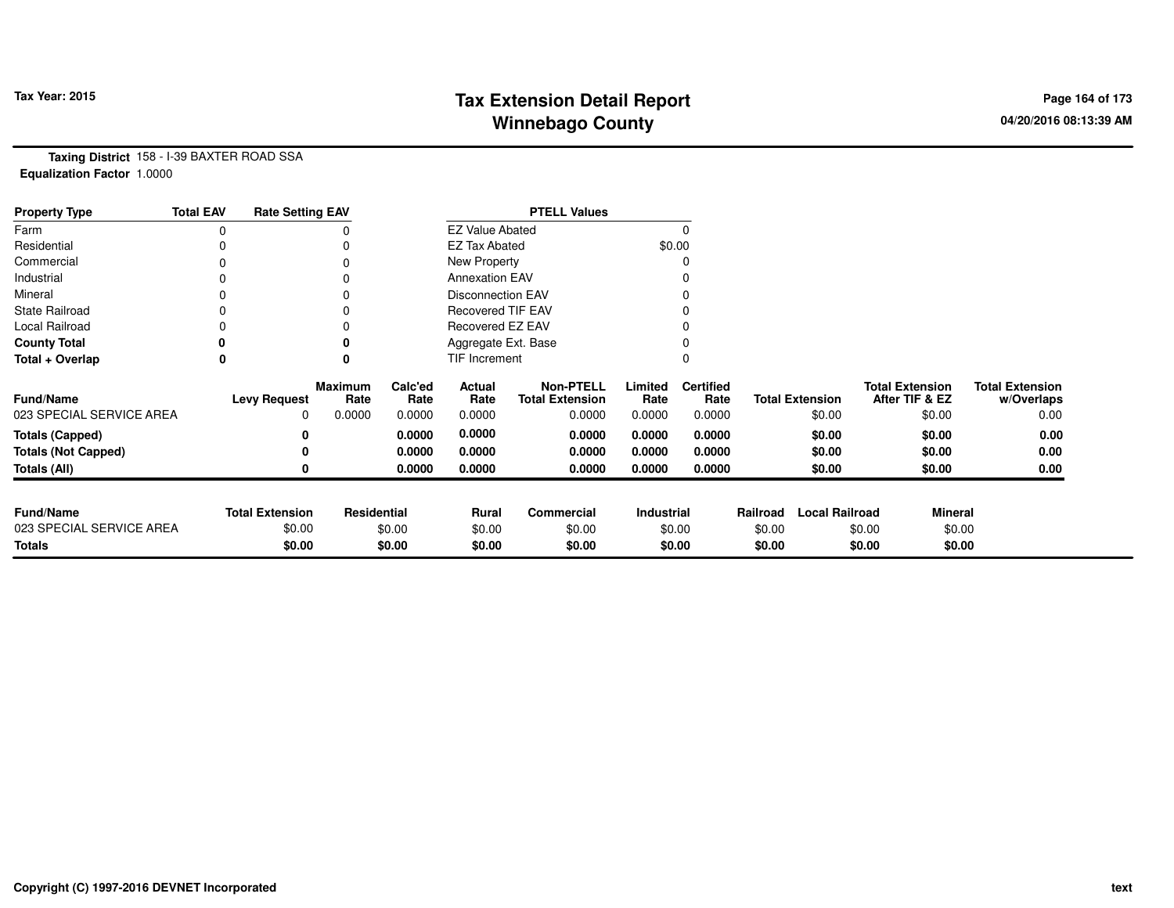# **Tax Extension Detail Report Tax Year: 2015 Page 164 of 173 Winnebago County**

**Taxing District** 158 - I-39 BAXTER ROAD SSA**Equalization Factor** 1.0000

| <b>Property Type</b>       | <b>Total EAV</b> | <b>Rate Setting EAV</b> |                        |                 |                          | <b>PTELL Values</b>                        |                 |                          |          |                        |                                          |                                      |
|----------------------------|------------------|-------------------------|------------------------|-----------------|--------------------------|--------------------------------------------|-----------------|--------------------------|----------|------------------------|------------------------------------------|--------------------------------------|
| Farm                       | 0                |                         |                        |                 | <b>EZ Value Abated</b>   |                                            |                 | $\Omega$                 |          |                        |                                          |                                      |
| Residential                |                  |                         |                        |                 | <b>EZ Tax Abated</b>     |                                            | \$0.00          |                          |          |                        |                                          |                                      |
| Commercial                 | 0                |                         | $\Omega$               |                 | New Property             |                                            |                 | 0                        |          |                        |                                          |                                      |
| Industrial                 | 0                |                         |                        |                 | <b>Annexation EAV</b>    |                                            |                 |                          |          |                        |                                          |                                      |
| Mineral                    | 0                |                         |                        |                 | <b>Disconnection EAV</b> |                                            |                 | 0                        |          |                        |                                          |                                      |
| <b>State Railroad</b>      | 0                |                         | $\Omega$               |                 | <b>Recovered TIF EAV</b> |                                            |                 |                          |          |                        |                                          |                                      |
| Local Railroad             |                  |                         |                        |                 | Recovered EZ EAV         |                                            |                 |                          |          |                        |                                          |                                      |
| <b>County Total</b>        |                  |                         | 0                      |                 | Aggregate Ext. Base      |                                            |                 |                          |          |                        |                                          |                                      |
| Total + Overlap            | 0                |                         | 0                      |                 | TIF Increment            |                                            |                 | 0                        |          |                        |                                          |                                      |
| <b>Fund/Name</b>           |                  | <b>Levy Request</b>     | <b>Maximum</b><br>Rate | Calc'ed<br>Rate | Actual<br>Rate           | <b>Non-PTELL</b><br><b>Total Extension</b> | Limited<br>Rate | <b>Certified</b><br>Rate |          | <b>Total Extension</b> | <b>Total Extension</b><br>After TIF & EZ | <b>Total Extension</b><br>w/Overlaps |
| 023 SPECIAL SERVICE AREA   |                  | 0                       | 0.0000                 | 0.0000          | 0.0000                   | 0.0000                                     | 0.0000          | 0.0000                   |          | \$0.00                 | \$0.00                                   | 0.00                                 |
| <b>Totals (Capped)</b>     |                  | 0                       |                        | 0.0000          | 0.0000                   | 0.0000                                     | 0.0000          | 0.0000                   |          | \$0.00                 | \$0.00                                   | 0.00                                 |
| <b>Totals (Not Capped)</b> |                  |                         |                        | 0.0000          | 0.0000                   | 0.0000                                     | 0.0000          | 0.0000                   |          | \$0.00                 | \$0.00                                   | 0.00                                 |
| Totals (All)               |                  |                         |                        | 0.0000          | 0.0000                   | 0.0000                                     | 0.0000          | 0.0000                   |          | \$0.00                 | \$0.00                                   | 0.00                                 |
|                            |                  |                         |                        |                 |                          |                                            |                 |                          |          |                        |                                          |                                      |
| <b>Fund/Name</b>           |                  | <b>Total Extension</b>  | Residential            |                 | Rural                    | Commercial                                 | Industrial      |                          | Railroad | <b>Local Railroad</b>  | <b>Mineral</b>                           |                                      |
| 023 SPECIAL SERVICE AREA   |                  | \$0.00                  |                        | \$0.00          | \$0.00                   | \$0.00                                     |                 | \$0.00                   | \$0.00   |                        | \$0.00                                   | \$0.00                               |
| <b>Totals</b>              |                  | \$0.00                  |                        | \$0.00          | \$0.00                   | \$0.00                                     |                 | \$0.00                   | \$0.00   |                        | \$0.00                                   | \$0.00                               |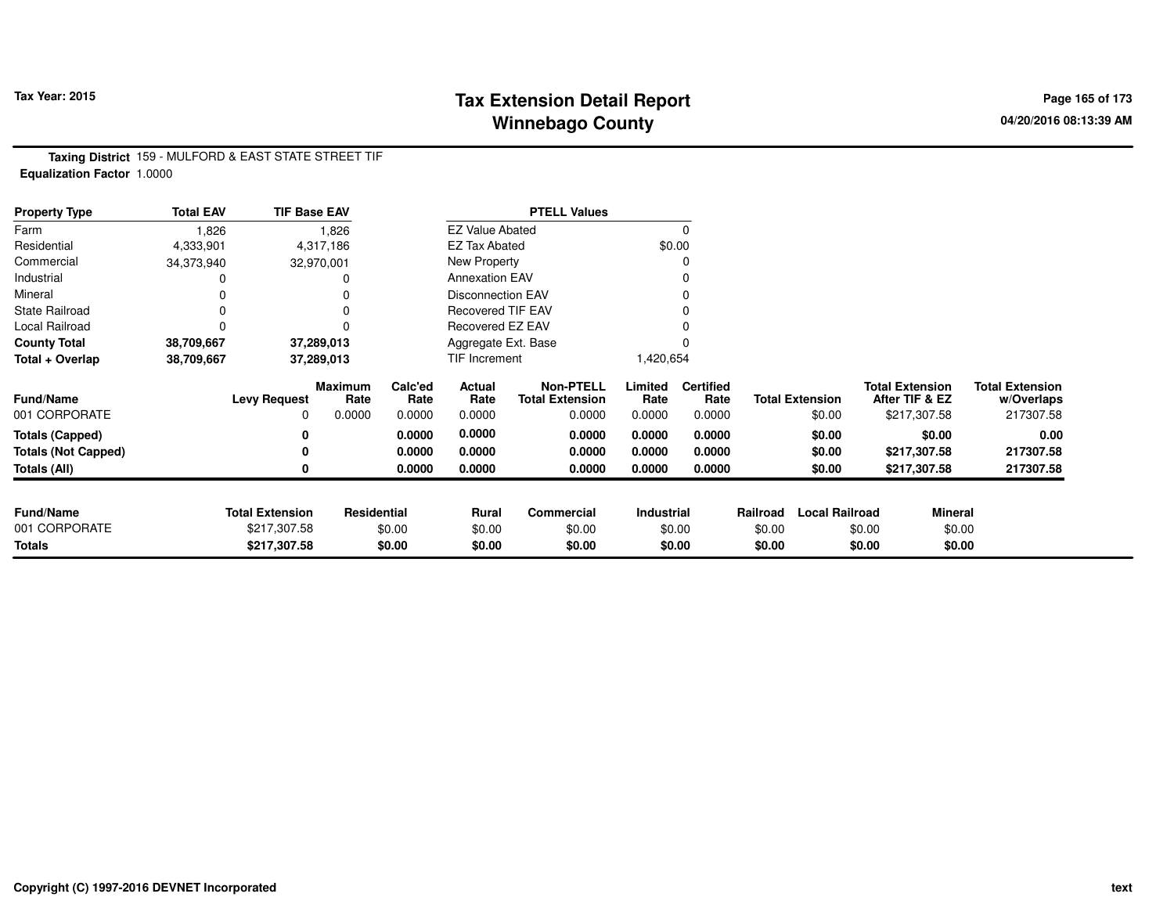## **Tax Extension Detail Report Tax Year: 2015 Page 165 of 173 Winnebago County**

**Taxing District** 159 - MULFORD & EAST STATE STREET TIF**Equalization Factor** 1.0000

| <b>Property Type</b>       | <b>Total EAV</b> | <b>TIF Base EAV</b>    |                        |                 |                          | <b>PTELL Values</b>                        |                 |                          |          |                        |                                          |                                      |
|----------------------------|------------------|------------------------|------------------------|-----------------|--------------------------|--------------------------------------------|-----------------|--------------------------|----------|------------------------|------------------------------------------|--------------------------------------|
| Farm                       | 1,826            |                        | 1,826                  |                 | <b>EZ Value Abated</b>   |                                            |                 | 0                        |          |                        |                                          |                                      |
| Residential                | 4,333,901        |                        | 4,317,186              |                 | <b>EZ Tax Abated</b>     |                                            |                 | \$0.00                   |          |                        |                                          |                                      |
| Commercial                 | 34,373,940       |                        | 32,970,001             |                 | New Property             |                                            |                 | 0                        |          |                        |                                          |                                      |
| Industrial                 |                  |                        |                        |                 | <b>Annexation EAV</b>    |                                            |                 |                          |          |                        |                                          |                                      |
| Mineral                    |                  |                        |                        |                 | <b>Disconnection EAV</b> |                                            |                 | 0                        |          |                        |                                          |                                      |
| <b>State Railroad</b>      | 0                |                        |                        |                 | <b>Recovered TIF EAV</b> |                                            |                 |                          |          |                        |                                          |                                      |
| Local Railroad             | 0                |                        |                        |                 | Recovered EZ EAV         |                                            |                 |                          |          |                        |                                          |                                      |
| <b>County Total</b>        | 38,709,667       |                        | 37,289,013             |                 | Aggregate Ext. Base      |                                            |                 |                          |          |                        |                                          |                                      |
| Total + Overlap            | 38,709,667       |                        | 37,289,013             |                 | TIF Increment            |                                            | 1,420,654       |                          |          |                        |                                          |                                      |
| <b>Fund/Name</b>           |                  | <b>Levy Request</b>    | <b>Maximum</b><br>Rate | Calc'ed<br>Rate | Actual<br>Rate           | <b>Non-PTELL</b><br><b>Total Extension</b> | Limited<br>Rate | <b>Certified</b><br>Rate |          | <b>Total Extension</b> | <b>Total Extension</b><br>After TIF & EZ | <b>Total Extension</b><br>w/Overlaps |
| 001 CORPORATE              |                  | 0                      | 0.0000                 | 0.0000          | 0.0000                   | 0.0000                                     | 0.0000          | 0.0000                   |          | \$0.00                 | \$217,307.58                             | 217307.58                            |
| <b>Totals (Capped)</b>     |                  | 0                      |                        | 0.0000          | 0.0000                   | 0.0000                                     | 0.0000          | 0.0000                   |          | \$0.00                 | \$0.00                                   | 0.00                                 |
| <b>Totals (Not Capped)</b> |                  | 0                      |                        | 0.0000          | 0.0000                   | 0.0000                                     | 0.0000          | 0.0000                   |          | \$0.00                 | \$217,307.58                             | 217307.58                            |
| Totals (All)               |                  | 0                      |                        | 0.0000          | 0.0000                   | 0.0000                                     | 0.0000          | 0.0000                   |          | \$0.00                 | \$217,307.58                             | 217307.58                            |
|                            |                  |                        |                        |                 |                          |                                            |                 |                          |          |                        |                                          |                                      |
| <b>Fund/Name</b>           |                  | <b>Total Extension</b> | Residential            |                 | Rural                    | <b>Commercial</b>                          | Industrial      |                          | Railroad | <b>Local Railroad</b>  |                                          | <b>Mineral</b>                       |
| 001 CORPORATE              |                  | \$217,307.58           |                        | \$0.00          | \$0.00                   | \$0.00                                     |                 | \$0.00                   | \$0.00   |                        | \$0.00                                   | \$0.00                               |
| <b>Totals</b>              |                  | \$217,307.58           |                        | \$0.00          | \$0.00                   | \$0.00                                     |                 | \$0.00                   | \$0.00   |                        | \$0.00                                   | \$0.00                               |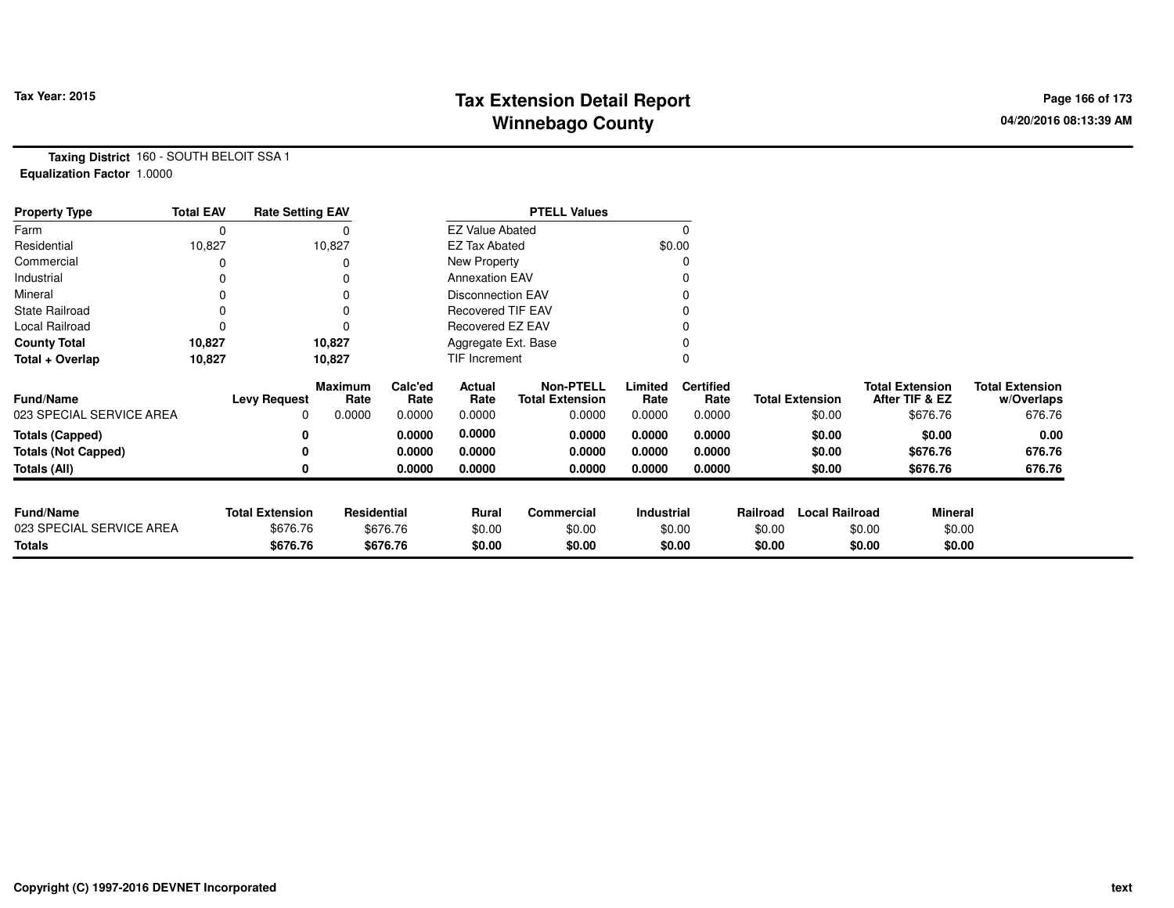# **Tax Extension Detail Report Tax Year: 2015 Page 166 of 173 Winnebago County**

**Taxing District** 160 - SOUTH BELOIT SSA 1**Equalization Factor** 1.0000

| <b>Property Type</b>       | <b>Total EAV</b> | <b>Rate Setting EAV</b> |                 |                 |                          | <b>PTELL Values</b>                        |                 |                          |          |                        |                                          |                                      |
|----------------------------|------------------|-------------------------|-----------------|-----------------|--------------------------|--------------------------------------------|-----------------|--------------------------|----------|------------------------|------------------------------------------|--------------------------------------|
| Farm                       | 0                |                         |                 |                 | <b>EZ Value Abated</b>   |                                            |                 | 0                        |          |                        |                                          |                                      |
| Residential                | 10,827           |                         | 10,827          |                 | <b>EZ Tax Abated</b>     |                                            |                 | \$0.00                   |          |                        |                                          |                                      |
| Commercial                 |                  |                         | 0               |                 | New Property             |                                            |                 | 0                        |          |                        |                                          |                                      |
| Industrial                 |                  |                         | 0               |                 | <b>Annexation EAV</b>    |                                            |                 | 0                        |          |                        |                                          |                                      |
| Mineral                    |                  |                         | 0               |                 | <b>Disconnection EAV</b> |                                            |                 | 0                        |          |                        |                                          |                                      |
| <b>State Railroad</b>      |                  |                         | 0               |                 | <b>Recovered TIF EAV</b> |                                            |                 |                          |          |                        |                                          |                                      |
| Local Railroad             |                  |                         | $\Omega$        |                 | Recovered EZ EAV         |                                            |                 |                          |          |                        |                                          |                                      |
| <b>County Total</b>        | 10,827           |                         | 10,827          |                 | Aggregate Ext. Base      |                                            |                 | $\Omega$                 |          |                        |                                          |                                      |
| Total + Overlap            | 10,827           |                         | 10,827          |                 | TIF Increment            |                                            |                 | $\Omega$                 |          |                        |                                          |                                      |
| <b>Fund/Name</b>           |                  | <b>Levy Request</b>     | Maximum<br>Rate | Calc'ed<br>Rate | Actual<br>Rate           | <b>Non-PTELL</b><br><b>Total Extension</b> | Limited<br>Rate | <b>Certified</b><br>Rate |          | <b>Total Extension</b> | <b>Total Extension</b><br>After TIF & EZ | <b>Total Extension</b><br>w/Overlaps |
| 023 SPECIAL SERVICE AREA   |                  | 0                       | 0.0000          | 0.0000          | 0.0000                   | 0.0000                                     | 0.0000          | 0.0000                   |          | \$0.00                 | \$676.76                                 | 676.76                               |
| <b>Totals (Capped)</b>     |                  | 0                       |                 | 0.0000          | 0.0000                   | 0.0000                                     | 0.0000          | 0.0000                   |          | \$0.00                 | \$0.00                                   | 0.00                                 |
| <b>Totals (Not Capped)</b> |                  |                         |                 | 0.0000          | 0.0000                   | 0.0000                                     | 0.0000          | 0.0000                   |          | \$0.00                 | \$676.76                                 | 676.76                               |
| Totals (All)               |                  |                         |                 | 0.0000          | 0.0000                   | 0.0000                                     | 0.0000          | 0.0000                   |          | \$0.00                 | \$676.76                                 | 676.76                               |
|                            |                  |                         |                 |                 |                          |                                            |                 |                          |          |                        |                                          |                                      |
| <b>Fund/Name</b>           |                  | <b>Total Extension</b>  | Residential     |                 | Rural                    | <b>Commercial</b>                          | Industrial      |                          | Railroad | <b>Local Railroad</b>  | <b>Mineral</b>                           |                                      |
| 023 SPECIAL SERVICE AREA   |                  | \$676.76                |                 | \$676.76        | \$0.00                   | \$0.00                                     |                 | \$0.00                   | \$0.00   |                        | \$0.00                                   | \$0.00                               |
| <b>Totals</b>              |                  | \$676.76                |                 | \$676.76        | \$0.00                   | \$0.00                                     |                 | \$0.00                   | \$0.00   |                        | \$0.00                                   | \$0.00                               |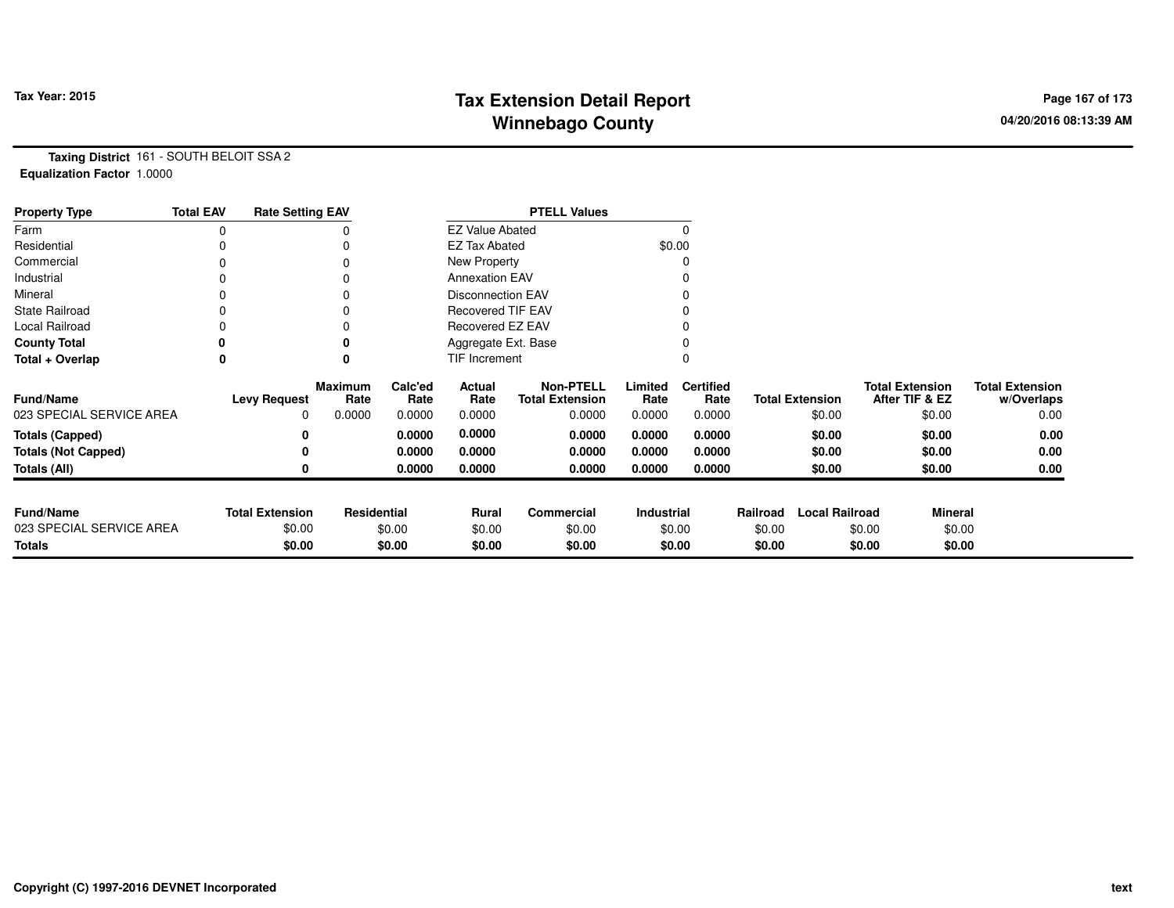# **Tax Extension Detail Report Tax Year: 2015 Page 167 of 173 Winnebago County**

**Taxing District** 161 - SOUTH BELOIT SSA 2**Equalization Factor** 1.0000

| <b>Property Type</b>       | <b>Total EAV</b> | <b>Rate Setting EAV</b> |                        |                 |                          | <b>PTELL Values</b>                        |                   |                          |          |                        |                                          |                                      |
|----------------------------|------------------|-------------------------|------------------------|-----------------|--------------------------|--------------------------------------------|-------------------|--------------------------|----------|------------------------|------------------------------------------|--------------------------------------|
| Farm                       | 0                |                         |                        |                 | <b>EZ Value Abated</b>   |                                            |                   |                          |          |                        |                                          |                                      |
| Residential                |                  |                         |                        |                 | <b>EZ Tax Abated</b>     |                                            | \$0.00            |                          |          |                        |                                          |                                      |
| Commercial                 | 0                |                         |                        |                 | New Property             |                                            |                   |                          |          |                        |                                          |                                      |
| Industrial                 |                  |                         |                        |                 | <b>Annexation EAV</b>    |                                            |                   |                          |          |                        |                                          |                                      |
| Mineral                    |                  |                         |                        |                 | <b>Disconnection EAV</b> |                                            |                   |                          |          |                        |                                          |                                      |
| <b>State Railroad</b>      | 0                |                         |                        |                 | <b>Recovered TIF EAV</b> |                                            |                   |                          |          |                        |                                          |                                      |
| Local Railroad             |                  |                         | O                      |                 | Recovered EZ EAV         |                                            |                   |                          |          |                        |                                          |                                      |
| <b>County Total</b>        |                  |                         |                        |                 | Aggregate Ext. Base      |                                            |                   |                          |          |                        |                                          |                                      |
| Total + Overlap            | 0                |                         | 0                      |                 | TIF Increment            |                                            |                   |                          |          |                        |                                          |                                      |
| <b>Fund/Name</b>           |                  | <b>Levy Request</b>     | <b>Maximum</b><br>Rate | Calc'ed<br>Rate | Actual<br>Rate           | <b>Non-PTELL</b><br><b>Total Extension</b> | Limited<br>Rate   | <b>Certified</b><br>Rate |          | <b>Total Extension</b> | <b>Total Extension</b><br>After TIF & EZ | <b>Total Extension</b><br>w/Overlaps |
| 023 SPECIAL SERVICE AREA   |                  | 0                       | 0.0000                 | 0.0000          | 0.0000                   | 0.0000                                     | 0.0000            | 0.0000                   |          | \$0.00                 | \$0.00                                   | 0.00                                 |
| <b>Totals (Capped)</b>     |                  | 0                       |                        | 0.0000          | 0.0000                   | 0.0000                                     | 0.0000            | 0.0000                   |          | \$0.00                 | \$0.00                                   | 0.00                                 |
| <b>Totals (Not Capped)</b> |                  | 0                       |                        | 0.0000          | 0.0000                   | 0.0000                                     | 0.0000            | 0.0000                   |          | \$0.00                 | \$0.00                                   | 0.00                                 |
| Totals (All)               |                  | 0                       |                        | 0.0000          | 0.0000                   | 0.0000                                     | 0.0000            | 0.0000                   |          | \$0.00                 | \$0.00                                   | 0.00                                 |
| <b>Fund/Name</b>           |                  | <b>Total Extension</b>  | <b>Residential</b>     |                 | Rural                    | Commercial                                 | <b>Industrial</b> |                          | Railroad | <b>Local Railroad</b>  | <b>Mineral</b>                           |                                      |
| 023 SPECIAL SERVICE AREA   |                  | \$0.00                  |                        | \$0.00          | \$0.00                   | \$0.00                                     | \$0.00            |                          | \$0.00   |                        | \$0.00                                   | \$0.00                               |
| <b>Totals</b>              |                  | \$0.00                  |                        | \$0.00          | \$0.00                   | \$0.00                                     |                   | \$0.00                   | \$0.00   |                        | \$0.00                                   | \$0.00                               |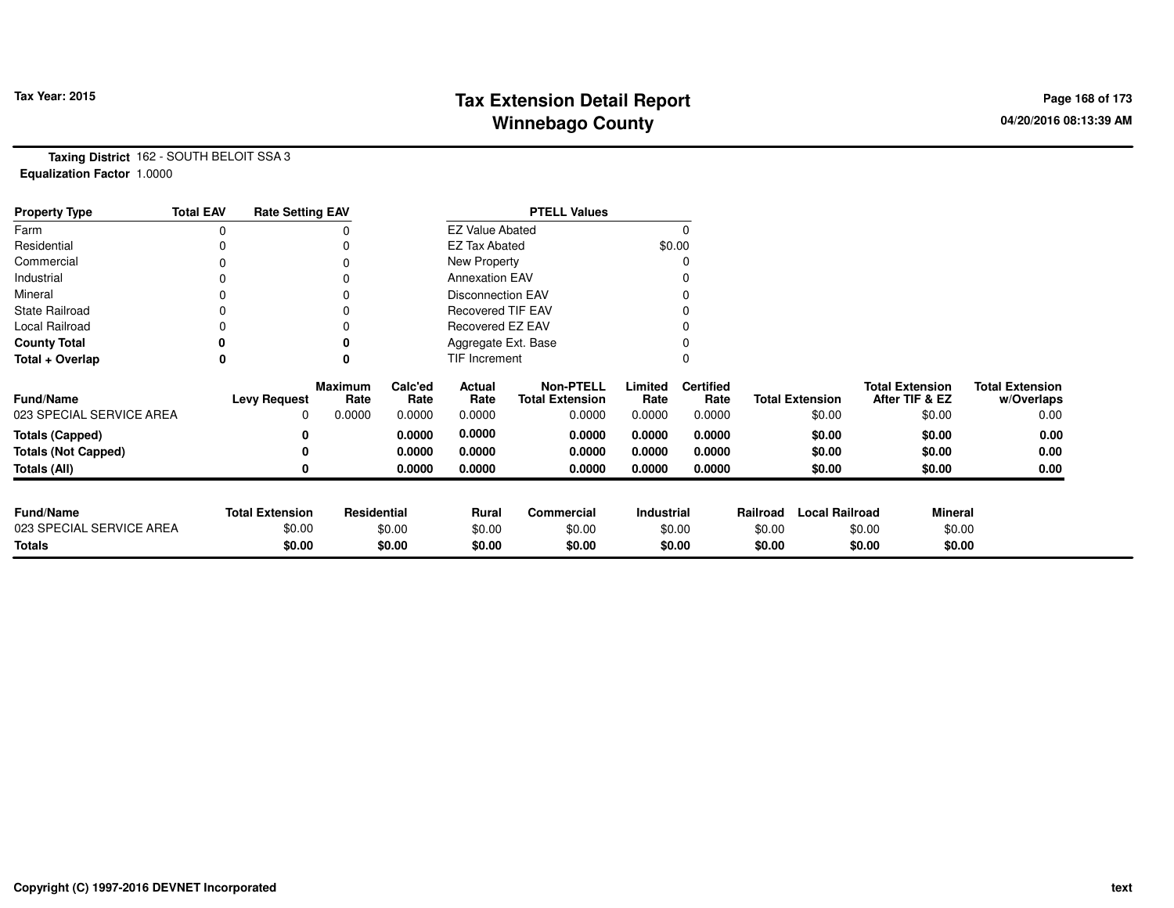# **Tax Extension Detail Report Tax Year: 2015 Page 168 of 173 Winnebago County**

**Taxing District** 162 - SOUTH BELOIT SSA 3**Equalization Factor** 1.0000

| <b>Property Type</b>       | <b>Total EAV</b> | <b>Rate Setting EAV</b> |                        |                 |                          | <b>PTELL Values</b>                        |                 |                          |          |                        |                                          |                                      |
|----------------------------|------------------|-------------------------|------------------------|-----------------|--------------------------|--------------------------------------------|-----------------|--------------------------|----------|------------------------|------------------------------------------|--------------------------------------|
| Farm                       | 0                |                         |                        |                 | <b>EZ Value Abated</b>   |                                            |                 |                          |          |                        |                                          |                                      |
| Residential                |                  |                         |                        |                 | <b>EZ Tax Abated</b>     |                                            |                 | \$0.00                   |          |                        |                                          |                                      |
| Commercial                 | 0                |                         |                        |                 | New Property             |                                            |                 |                          |          |                        |                                          |                                      |
| Industrial                 |                  |                         |                        |                 | <b>Annexation EAV</b>    |                                            |                 |                          |          |                        |                                          |                                      |
| Mineral                    |                  |                         |                        |                 | <b>Disconnection EAV</b> |                                            |                 |                          |          |                        |                                          |                                      |
| <b>State Railroad</b>      | 0                |                         |                        |                 | <b>Recovered TIF EAV</b> |                                            |                 |                          |          |                        |                                          |                                      |
| Local Railroad             |                  |                         |                        |                 | Recovered EZ EAV         |                                            |                 |                          |          |                        |                                          |                                      |
| <b>County Total</b>        |                  |                         | 0                      |                 | Aggregate Ext. Base      |                                            |                 |                          |          |                        |                                          |                                      |
| Total + Overlap            | 0                |                         | $\mathbf{0}$           |                 | <b>TIF Increment</b>     |                                            |                 |                          |          |                        |                                          |                                      |
| <b>Fund/Name</b>           |                  | <b>Levy Request</b>     | <b>Maximum</b><br>Rate | Calc'ed<br>Rate | Actual<br>Rate           | <b>Non-PTELL</b><br><b>Total Extension</b> | Limited<br>Rate | <b>Certified</b><br>Rate |          | <b>Total Extension</b> | <b>Total Extension</b><br>After TIF & EZ | <b>Total Extension</b><br>w/Overlaps |
| 023 SPECIAL SERVICE AREA   |                  | 0                       | 0.0000                 | 0.0000          | 0.0000                   | 0.0000                                     | 0.0000          | 0.0000                   |          | \$0.00                 | \$0.00                                   | 0.00                                 |
| <b>Totals (Capped)</b>     |                  | 0                       |                        | 0.0000          | 0.0000                   | 0.0000                                     | 0.0000          | 0.0000                   |          | \$0.00                 | \$0.00                                   | 0.00                                 |
| <b>Totals (Not Capped)</b> |                  | 0                       |                        | 0.0000          | 0.0000                   | 0.0000                                     | 0.0000          | 0.0000                   |          | \$0.00                 | \$0.00                                   | 0.00                                 |
| <b>Totals (All)</b>        |                  | 0                       |                        | 0.0000          | 0.0000                   | 0.0000                                     | 0.0000          | 0.0000                   |          | \$0.00                 | \$0.00                                   | 0.00                                 |
|                            |                  |                         |                        |                 |                          |                                            |                 |                          |          |                        |                                          |                                      |
| <b>Fund/Name</b>           |                  | <b>Total Extension</b>  | Residential            |                 | Rural                    | Commercial                                 | Industrial      |                          | Railroad | <b>Local Railroad</b>  | <b>Mineral</b>                           |                                      |
| 023 SPECIAL SERVICE AREA   |                  | \$0.00                  |                        | \$0.00          | \$0.00                   | \$0.00                                     |                 | \$0.00                   | \$0.00   |                        | \$0.00                                   | \$0.00                               |
| <b>Totals</b>              |                  | \$0.00                  |                        | \$0.00          | \$0.00                   | \$0.00                                     |                 | \$0.00                   | \$0.00   |                        | \$0.00                                   | \$0.00                               |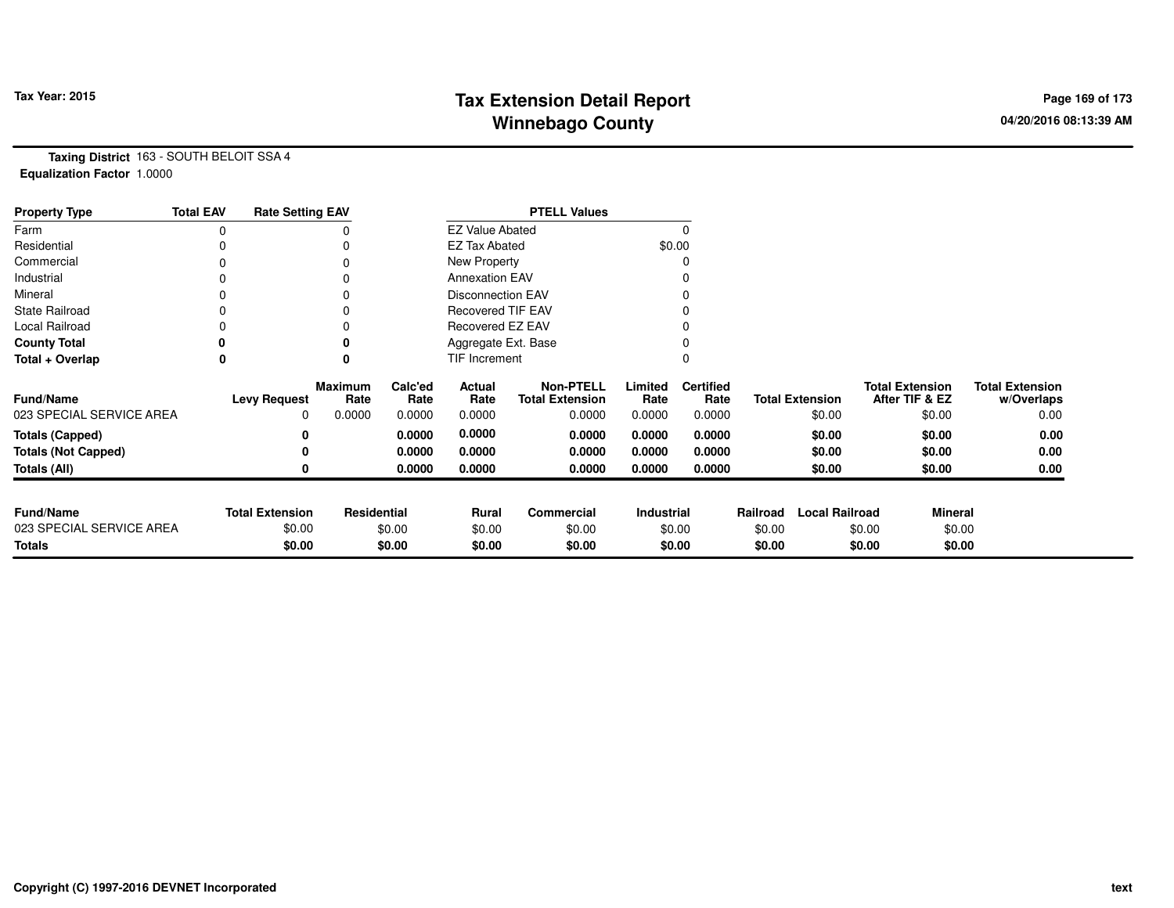# **Tax Extension Detail Report Tax Year: 2015 Page 169 of 173 Winnebago County**

**Taxing District** 163 - SOUTH BELOIT SSA 4**Equalization Factor** 1.0000

| <b>Property Type</b>       | <b>Total EAV</b> | <b>Rate Setting EAV</b> |                        |                        |                          | <b>PTELL Values</b>                        |                   |                          |          |                        |                                          |                                      |
|----------------------------|------------------|-------------------------|------------------------|------------------------|--------------------------|--------------------------------------------|-------------------|--------------------------|----------|------------------------|------------------------------------------|--------------------------------------|
| Farm                       | 0                |                         |                        | <b>EZ Value Abated</b> |                          |                                            |                   |                          |          |                        |                                          |                                      |
| Residential                |                  |                         |                        | <b>EZ Tax Abated</b>   |                          |                                            | \$0.00            |                          |          |                        |                                          |                                      |
| Commercial                 | 0                |                         |                        |                        | New Property             |                                            |                   |                          |          |                        |                                          |                                      |
| Industrial                 |                  |                         |                        |                        | <b>Annexation EAV</b>    |                                            |                   |                          |          |                        |                                          |                                      |
| Mineral                    |                  |                         |                        |                        | <b>Disconnection EAV</b> |                                            |                   |                          |          |                        |                                          |                                      |
| <b>State Railroad</b>      | 0                |                         |                        |                        | <b>Recovered TIF EAV</b> |                                            |                   |                          |          |                        |                                          |                                      |
| Local Railroad             |                  |                         | O                      |                        | Recovered EZ EAV         |                                            |                   |                          |          |                        |                                          |                                      |
| <b>County Total</b>        |                  |                         |                        |                        | Aggregate Ext. Base      |                                            |                   |                          |          |                        |                                          |                                      |
| Total + Overlap            | 0                |                         | 0                      |                        | TIF Increment            |                                            |                   |                          |          |                        |                                          |                                      |
| <b>Fund/Name</b>           |                  | <b>Levy Request</b>     | <b>Maximum</b><br>Rate | Calc'ed<br>Rate        | Actual<br>Rate           | <b>Non-PTELL</b><br><b>Total Extension</b> | Limited<br>Rate   | <b>Certified</b><br>Rate |          | <b>Total Extension</b> | <b>Total Extension</b><br>After TIF & EZ | <b>Total Extension</b><br>w/Overlaps |
| 023 SPECIAL SERVICE AREA   |                  | 0                       | 0.0000                 | 0.0000                 | 0.0000                   | 0.0000                                     | 0.0000            | 0.0000                   |          | \$0.00                 | \$0.00                                   | 0.00                                 |
| <b>Totals (Capped)</b>     |                  | 0                       |                        | 0.0000                 | 0.0000                   | 0.0000                                     | 0.0000            | 0.0000                   |          | \$0.00                 | \$0.00                                   | 0.00                                 |
| <b>Totals (Not Capped)</b> |                  | 0                       |                        | 0.0000                 | 0.0000                   | 0.0000                                     | 0.0000            | 0.0000                   |          | \$0.00                 | \$0.00                                   | 0.00                                 |
| Totals (All)               |                  | 0                       |                        | 0.0000                 | 0.0000                   | 0.0000                                     | 0.0000            | 0.0000                   |          | \$0.00                 | \$0.00                                   | 0.00                                 |
| <b>Fund/Name</b>           |                  | <b>Total Extension</b>  | <b>Residential</b>     |                        | Rural                    | Commercial                                 | <b>Industrial</b> |                          | Railroad | <b>Local Railroad</b>  | <b>Mineral</b>                           |                                      |
| 023 SPECIAL SERVICE AREA   |                  | \$0.00                  |                        | \$0.00                 | \$0.00                   | \$0.00                                     | \$0.00            |                          | \$0.00   |                        | \$0.00                                   | \$0.00                               |
| <b>Totals</b>              |                  | \$0.00                  |                        | \$0.00                 | \$0.00                   | \$0.00                                     |                   | \$0.00                   | \$0.00   |                        | \$0.00                                   | \$0.00                               |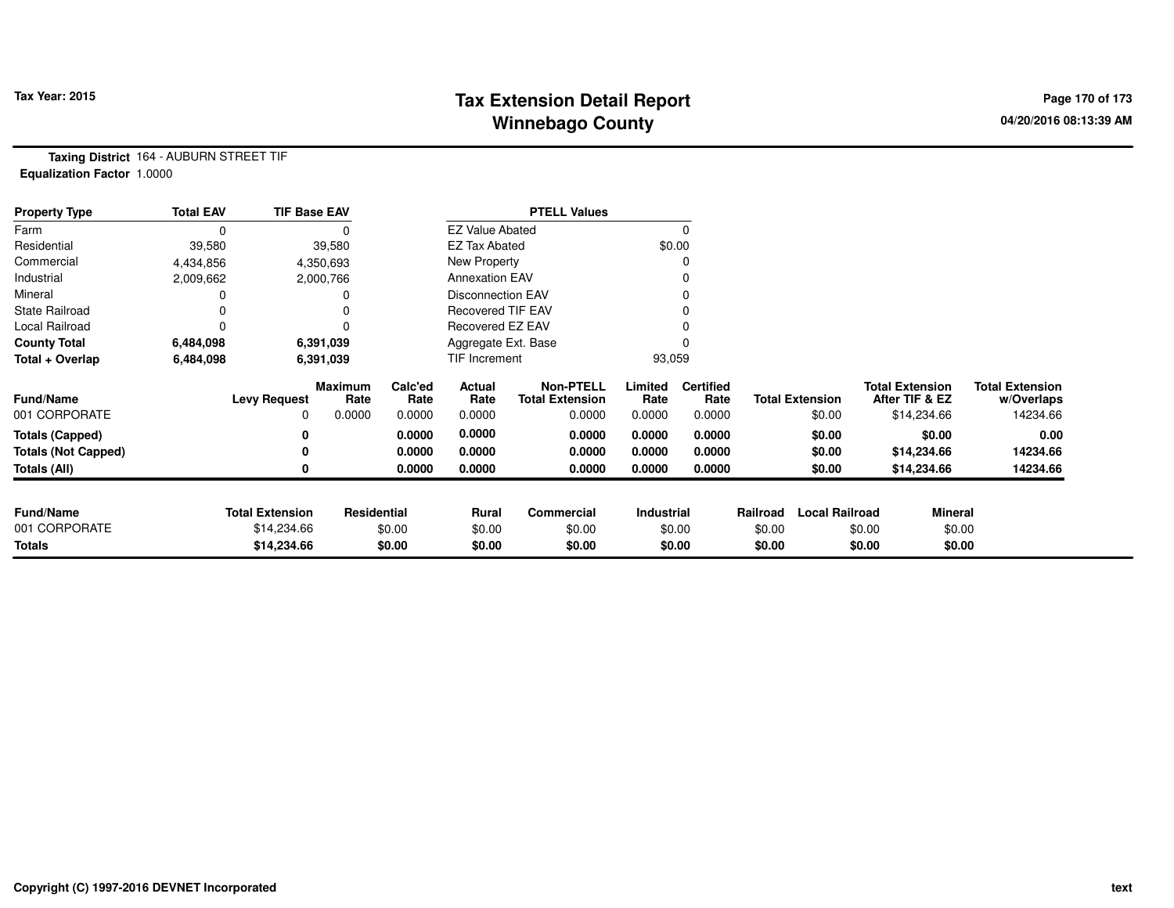### **Tax Extension Detail Report Tax Year: 2015 Page 170 of 173 Winnebago County**

**Taxing District** 164 - AUBURN STREET TIF**Equalization Factor** 1.0000

| <b>Property Type</b>       | <b>Total EAV</b> | <b>TIF Base EAV</b>    |                        |                 |                          | <b>PTELL Values</b>                        |                 |                          |          |                        |                                          |                |                                      |
|----------------------------|------------------|------------------------|------------------------|-----------------|--------------------------|--------------------------------------------|-----------------|--------------------------|----------|------------------------|------------------------------------------|----------------|--------------------------------------|
| Farm                       | 0                |                        |                        |                 | <b>EZ Value Abated</b>   |                                            |                 |                          |          |                        |                                          |                |                                      |
| Residential                | 39,580           |                        | 39,580                 |                 | <b>EZ Tax Abated</b>     |                                            | \$0.00          |                          |          |                        |                                          |                |                                      |
| Commercial                 | 4,434,856        |                        | 4,350,693              |                 | New Property             |                                            |                 |                          |          |                        |                                          |                |                                      |
| Industrial                 | 2,009,662        |                        | 2,000,766              |                 | <b>Annexation EAV</b>    |                                            |                 |                          |          |                        |                                          |                |                                      |
| Mineral                    |                  |                        |                        |                 | <b>Disconnection EAV</b> |                                            |                 |                          |          |                        |                                          |                |                                      |
| <b>State Railroad</b>      |                  |                        |                        |                 | Recovered TIF EAV        |                                            |                 |                          |          |                        |                                          |                |                                      |
| Local Railroad             | 0                |                        |                        |                 | Recovered EZ EAV         |                                            |                 |                          |          |                        |                                          |                |                                      |
| <b>County Total</b>        | 6,484,098        |                        | 6,391,039              |                 | Aggregate Ext. Base      |                                            |                 |                          |          |                        |                                          |                |                                      |
| Total + Overlap            | 6,484,098        | 6,391,039              |                        |                 | TIF Increment            |                                            |                 | 93,059                   |          |                        |                                          |                |                                      |
| <b>Fund/Name</b>           |                  | <b>Levy Request</b>    | <b>Maximum</b><br>Rate | Calc'ed<br>Rate | Actual<br>Rate           | <b>Non-PTELL</b><br><b>Total Extension</b> | Limited<br>Rate | <b>Certified</b><br>Rate |          | <b>Total Extension</b> | <b>Total Extension</b><br>After TIF & EZ |                | <b>Total Extension</b><br>w/Overlaps |
| 001 CORPORATE              |                  | 0                      | 0.0000                 | 0.0000          | 0.0000                   | 0.0000                                     | 0.0000          | 0.0000                   |          | \$0.00                 |                                          | \$14,234.66    | 14234.66                             |
| <b>Totals (Capped)</b>     |                  | 0                      |                        | 0.0000          | 0.0000                   | 0.0000                                     | 0.0000          | 0.0000                   |          | \$0.00                 |                                          | \$0.00         | 0.00                                 |
| <b>Totals (Not Capped)</b> |                  | 0                      |                        | 0.0000          | 0.0000                   | 0.0000                                     | 0.0000          | 0.0000                   |          | \$0.00                 |                                          | \$14,234.66    | 14234.66                             |
| Totals (All)               |                  | 0                      |                        | 0.0000          | 0.0000                   | 0.0000                                     | 0.0000          | 0.0000                   |          | \$0.00                 |                                          | \$14,234.66    | 14234.66                             |
|                            |                  |                        |                        |                 |                          |                                            |                 |                          |          |                        |                                          |                |                                      |
| <b>Fund/Name</b>           |                  | <b>Total Extension</b> | Residential            |                 | Rural                    | Commercial                                 | Industrial      |                          | Railroad | <b>Local Railroad</b>  |                                          | <b>Mineral</b> |                                      |
| 001 CORPORATE              |                  | \$14,234.66            |                        | \$0.00          | \$0.00                   | \$0.00                                     |                 | \$0.00                   | \$0.00   |                        | \$0.00                                   | \$0.00         |                                      |
| <b>Totals</b>              |                  | \$14,234.66            |                        | \$0.00          | \$0.00                   | \$0.00                                     |                 | \$0.00                   | \$0.00   |                        | \$0.00                                   | \$0.00         |                                      |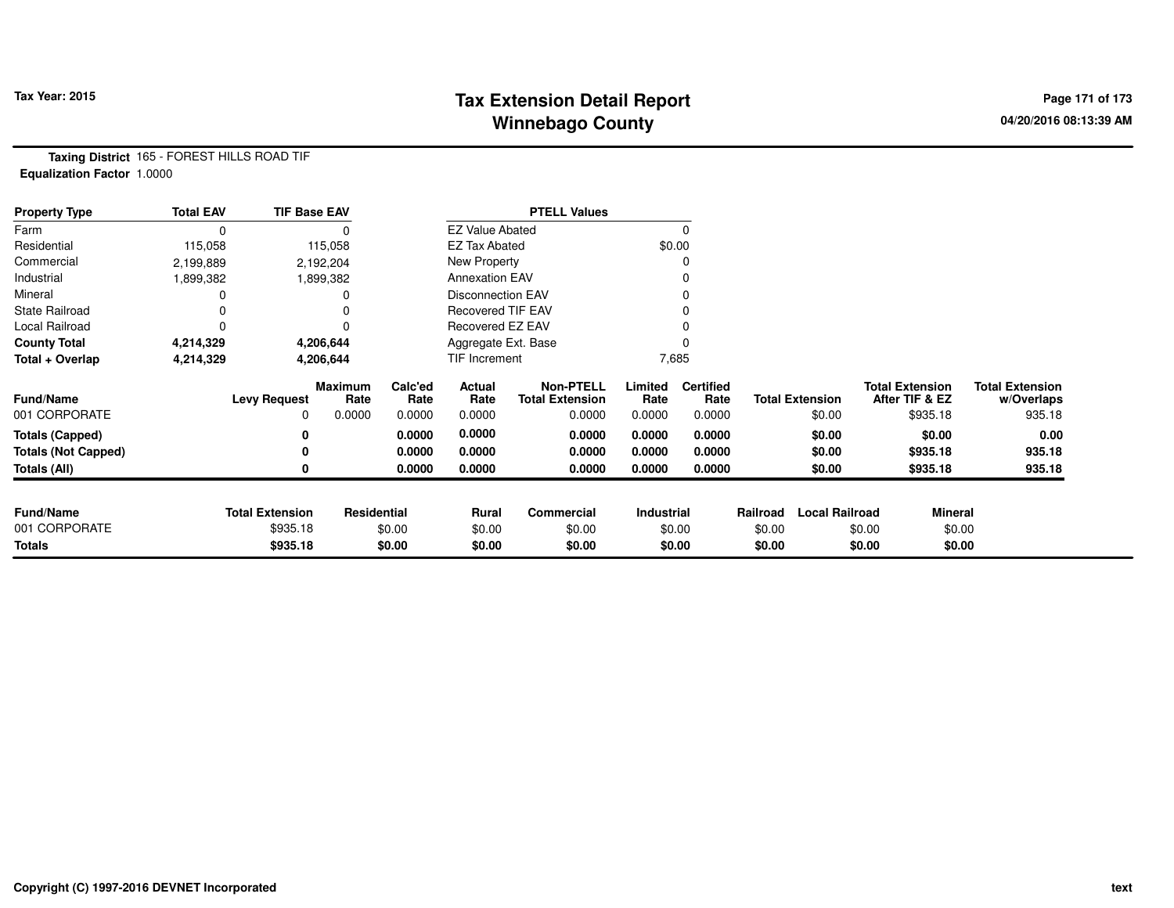# **Tax Extension Detail Report Tax Year: 2015 Page 171 of 173 Winnebago County**

**Taxing District** 165 - FOREST HILLS ROAD TIF**Equalization Factor** 1.0000

| <b>Property Type</b>       | <b>Total EAV</b> | <b>TIF Base EAV</b>    |                 |                 |                          | <b>PTELL Values</b>                        |                   |                          |          |                        |                                          |                                      |
|----------------------------|------------------|------------------------|-----------------|-----------------|--------------------------|--------------------------------------------|-------------------|--------------------------|----------|------------------------|------------------------------------------|--------------------------------------|
| Farm                       |                  |                        |                 |                 | <b>EZ Value Abated</b>   |                                            |                   | $\Omega$                 |          |                        |                                          |                                      |
| Residential                | 115,058          |                        | 115,058         |                 | <b>EZ Tax Abated</b>     |                                            | \$0.00            |                          |          |                        |                                          |                                      |
| Commercial                 | 2,199,889        |                        | 2,192,204       |                 | <b>New Property</b>      |                                            |                   | O                        |          |                        |                                          |                                      |
| Industrial                 | 1,899,382        |                        | 1,899,382       |                 | <b>Annexation EAV</b>    |                                            |                   |                          |          |                        |                                          |                                      |
| Mineral                    |                  |                        |                 |                 | <b>Disconnection EAV</b> |                                            |                   |                          |          |                        |                                          |                                      |
| <b>State Railroad</b>      |                  |                        |                 |                 | <b>Recovered TIF EAV</b> |                                            |                   |                          |          |                        |                                          |                                      |
| Local Railroad             |                  |                        | U               |                 | Recovered EZ EAV         |                                            |                   |                          |          |                        |                                          |                                      |
| <b>County Total</b>        | 4,214,329        |                        | 4,206,644       |                 | Aggregate Ext. Base      |                                            |                   |                          |          |                        |                                          |                                      |
| Total + Overlap            | 4,214,329        |                        | 4,206,644       |                 | TIF Increment            |                                            |                   | 7,685                    |          |                        |                                          |                                      |
| <b>Fund/Name</b>           |                  | <b>Levy Request</b>    | Maximum<br>Rate | Calc'ed<br>Rate | Actual<br>Rate           | <b>Non-PTELL</b><br><b>Total Extension</b> | Limited<br>Rate   | <b>Certified</b><br>Rate |          | <b>Total Extension</b> | <b>Total Extension</b><br>After TIF & EZ | <b>Total Extension</b><br>w/Overlaps |
| 001 CORPORATE              |                  | 0                      | 0.0000          | 0.0000          | 0.0000                   | 0.0000                                     | 0.0000            | 0.0000                   |          | \$0.00                 | \$935.18                                 | 935.18                               |
| <b>Totals (Capped)</b>     |                  | 0                      |                 | 0.0000          | 0.0000                   | 0.0000                                     | 0.0000            | 0.0000                   |          | \$0.00                 | \$0.00                                   | 0.00                                 |
| <b>Totals (Not Capped)</b> |                  | 0                      |                 | 0.0000          | 0.0000                   | 0.0000                                     | 0.0000            | 0.0000                   |          | \$0.00                 | \$935.18                                 | 935.18                               |
| Totals (All)               |                  | 0                      |                 | 0.0000          | 0.0000                   | 0.0000                                     | 0.0000            | 0.0000                   |          | \$0.00                 | \$935.18                                 | 935.18                               |
|                            |                  |                        |                 |                 |                          |                                            |                   |                          |          |                        |                                          |                                      |
| <b>Fund/Name</b>           |                  | <b>Total Extension</b> | Residential     |                 | Rural<br>\$0.00          | Commercial                                 | <b>Industrial</b> |                          | Railroad | <b>Local Railroad</b>  | <b>Mineral</b>                           |                                      |
| 001 CORPORATE              |                  | \$935.18               |                 | \$0.00          |                          | \$0.00                                     | \$0.00            |                          | \$0.00   |                        | \$0.00                                   | \$0.00                               |
| <b>Totals</b>              |                  | \$935.18               |                 | \$0.00          | \$0.00                   | \$0.00                                     |                   | \$0.00                   | \$0.00   |                        | \$0.00                                   | \$0.00                               |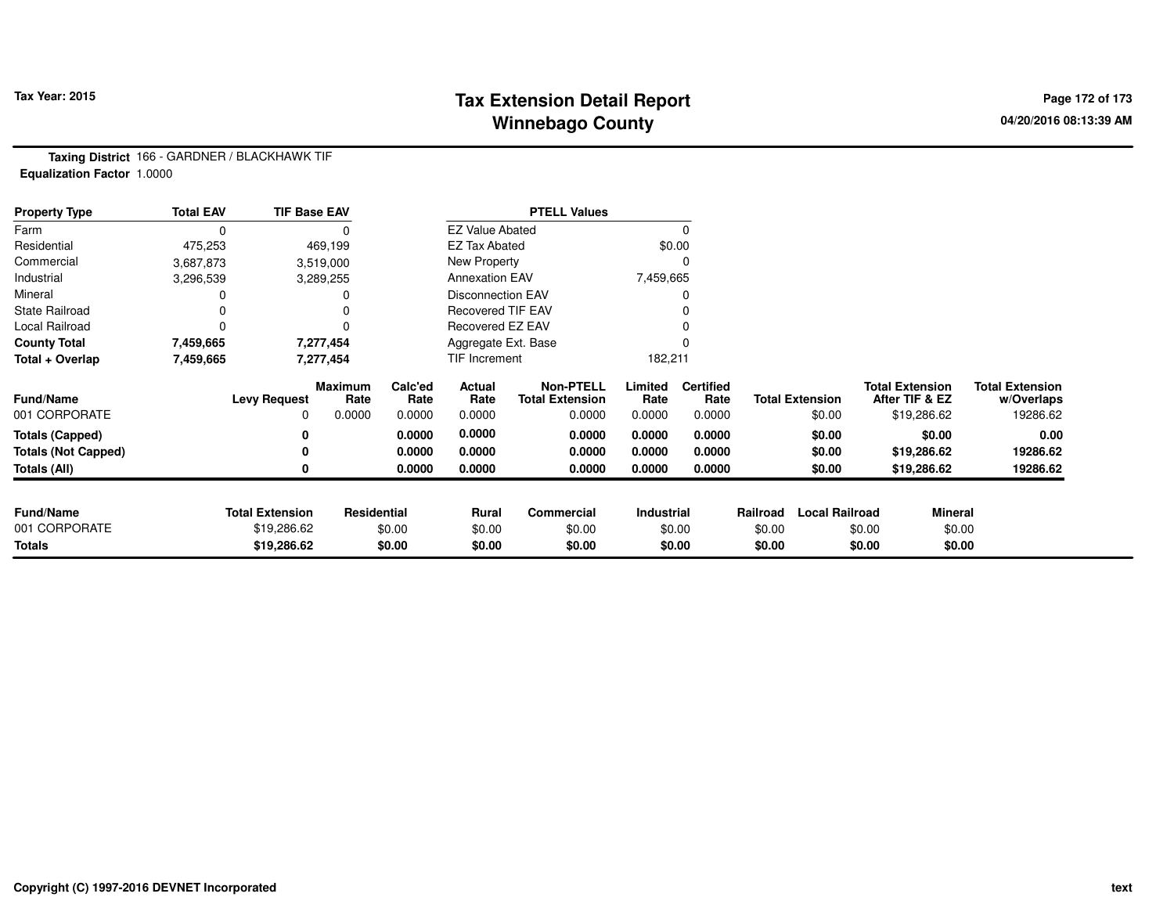# **Tax Extension Detail Report Tax Year: 2015 Page 172 of 173 Winnebago County**

**Taxing District** 166 - GARDNER / BLACKHAWK TIF**Equalization Factor** 1.0000

| <b>Property Type</b>       | <b>Total EAV</b> | <b>TIF Base EAV</b>    |                        |                     |                          | <b>PTELL Values</b>                        |                 |                          |          |                        |        |                                          |                                      |
|----------------------------|------------------|------------------------|------------------------|---------------------|--------------------------|--------------------------------------------|-----------------|--------------------------|----------|------------------------|--------|------------------------------------------|--------------------------------------|
| Farm                       | $\Omega$         |                        |                        |                     | <b>EZ Value Abated</b>   |                                            |                 |                          |          |                        |        |                                          |                                      |
| Residential                | 475,253          |                        | 469,199                |                     | <b>EZ Tax Abated</b>     |                                            | \$0.00          |                          |          |                        |        |                                          |                                      |
| Commercial                 | 3,687,873        |                        | 3,519,000              |                     | New Property             |                                            |                 |                          |          |                        |        |                                          |                                      |
| Industrial                 | 3,296,539        |                        | 3,289,255              |                     | <b>Annexation EAV</b>    |                                            | 7,459,665       |                          |          |                        |        |                                          |                                      |
| Mineral                    |                  |                        |                        |                     | Disconnection EAV        |                                            |                 |                          |          |                        |        |                                          |                                      |
| <b>State Railroad</b>      |                  |                        |                        |                     | <b>Recovered TIF EAV</b> |                                            |                 |                          |          |                        |        |                                          |                                      |
| Local Railroad             | 0                |                        |                        |                     | Recovered EZ EAV         |                                            |                 |                          |          |                        |        |                                          |                                      |
| <b>County Total</b>        | 7,459,665        | 7,277,454              |                        | Aggregate Ext. Base |                          |                                            |                 |                          |          |                        |        |                                          |                                      |
| Total + Overlap            | 7,459,665        | 7,277,454              |                        |                     | TIF Increment            |                                            |                 | 182,211                  |          |                        |        |                                          |                                      |
| <b>Fund/Name</b>           |                  | <b>Levy Request</b>    | <b>Maximum</b><br>Rate | Calc'ed<br>Rate     | Actual<br>Rate           | <b>Non-PTELL</b><br><b>Total Extension</b> | Limited<br>Rate | <b>Certified</b><br>Rate |          | <b>Total Extension</b> |        | <b>Total Extension</b><br>After TIF & EZ | <b>Total Extension</b><br>w/Overlaps |
| 001 CORPORATE              |                  | 0                      | 0.0000                 | 0.0000              | 0.0000                   | 0.0000                                     | 0.0000          | 0.0000                   |          | \$0.00                 |        | \$19,286.62                              | 19286.62                             |
| <b>Totals (Capped)</b>     |                  | 0                      |                        | 0.0000              | 0.0000                   | 0.0000                                     | 0.0000          | 0.0000                   |          | \$0.00                 |        | \$0.00                                   | 0.00                                 |
| <b>Totals (Not Capped)</b> |                  | 0                      |                        | 0.0000              | 0.0000                   | 0.0000                                     | 0.0000          | 0.0000                   |          | \$0.00                 |        | \$19,286.62                              | 19286.62                             |
| Totals (All)               |                  | 0                      |                        | 0.0000              | 0.0000                   | 0.0000                                     | 0.0000          | 0.0000                   |          | \$0.00                 |        | \$19,286.62                              | 19286.62                             |
| <b>Fund/Name</b>           |                  | <b>Total Extension</b> | Residential            |                     | Rural                    | Commercial                                 | Industrial      |                          | Railroad | <b>Local Railroad</b>  |        | <b>Mineral</b>                           |                                      |
| 001 CORPORATE              |                  | \$19,286.62            |                        | \$0.00              | \$0.00                   | \$0.00                                     |                 | \$0.00                   | \$0.00   |                        | \$0.00 | \$0.00                                   |                                      |
| <b>Totals</b>              |                  | \$19,286.62            |                        | \$0.00              | \$0.00                   | \$0.00                                     |                 | \$0.00                   | \$0.00   |                        | \$0.00 | \$0.00                                   |                                      |